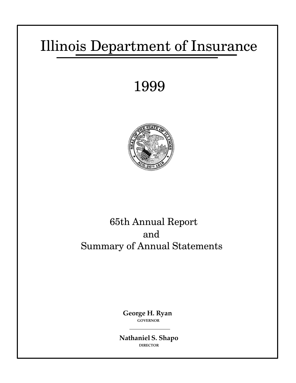# **Illinois Department of Insurance**

# 1999



### 65th Annual Report and **Summary of Annual Statements**

George H. Ryan **GOVERNOR** 

Nathaniel S. Shapo **DIRECTOR**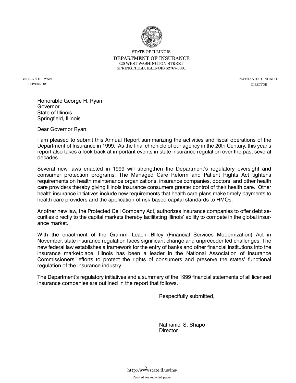

**STATE OF ILLINOIS** DEPARTMENT OF INSURANCE 320 WEST WASHINGTON STREET SPRINGFIELD, ILLINOIS 62767-0001

**GEORGE H. RYAN GOVERNOR** 

NATHANIEL S. SHAPO **DIRECTOR** 

Honorable George H. Ryan Governor State of Illinois Springfield, Illinois

Dear Governor Ryan:

I am pleased to submit this Annual Report summarizing the activities and fiscal operations of the Department of Insurance in 1999. As the final chronicle of our agency in the 20th Century, this year's report also takes a look back at important events in state insurance regulation over the past several decades.

Several new laws enacted in 1999 will strengthen the Department's regulatory oversight and consumer protection programs. The Managed Care Reform and Patient Rights Act tightens requirements on health maintenance organizations, insurance companies, doctors, and other health care providers thereby giving Illinois insurance consumers greater control of their health care. Other health insurance initiatives include new requirements that health care plans make timely payments to health care providers and the application of risk based capital standards to HMOs.

Another new law, the Protected Cell Company Act, authorizes insurance companies to offer debt securities directly to the capital markets thereby facilitating Illinois' ability to compete in the global insurance market.

With the enactment of the Gramm-Leach-Bliley (Financial Services Modernization) Act in November, state insurance regulation faces significant change and unprecedented challenges. The new federal law establishes a framework for the entry of banks and other financial institutions into the insurance marketplace. Illinois has been a leader in the National Association of Insurance Commissioners' efforts to protect the rights of consumers and preserve the states' functional regulation of the insurance industry.

The Department's regulatory initiatives and a summary of the 1999 financial statements of all licensed insurance companies are outlined in the report that follows.

Respectfully submitted,

Nathaniel S. Shapo **Director** 

http://www.state.il.us/ins/ Printed on recycled paper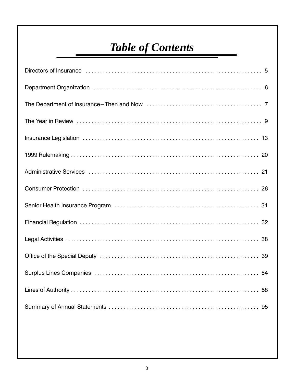## **Table of Contents**

| 58 |  |
|----|--|
|    |  |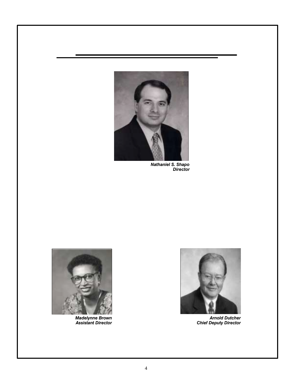

**Nathaniel S. Shapo**<br>Director



**Madelynne Brown<br>Assistant Director** 



**Arnold Dutcher**<br>Chief Deputy Director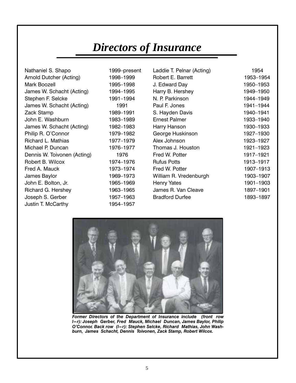## **Directors of Insurance**

Nathaniel S. Shapo Arnold Dutcher (Acting) Mark Boozell James W. Schacht (Acting) Stephen F. Selcke James W. Schacht (Acting) Zack Stamp John E. Washburn James W. Schacht (Acting) Philip R. O'Connor Richard L. Mathias Michael P. Duncan Dennis W. Toivonen (Acting) Robert B. Wilcox Fred A. Mauck James Baylor John E. Bolton, Jr. Richard G. Hershey Joseph S. Gerber Justin T. McCarthy

1999-present 1998-1999 1995-1998 1994-1995 1991-1994 1991 1989-1991 1983-1989 1982-1983 1979-1982 1977-1979 1976-1977 1976 1974-1976 1973-1974 1969-1973 1965-1969 1963-1965 1957-1963 1954-1957

| Laddie T. Pelnar (Acting) | 1954      |
|---------------------------|-----------|
| Robert E. Barrett         | 1953-1954 |
| J. Edward Day             | 1950-1953 |
| Harry B. Hershey          | 1949-1950 |
| N. P. Parkinson           | 1944-1949 |
| Paul F. Jones             | 1941-1944 |
| S. Hayden Davis           | 1940-1941 |
| <b>Ernest Palmer</b>      | 1933-1940 |
| Harry Hanson              | 1930-1933 |
| George Huskinson          | 1927-1930 |
| Alex Johnson              | 1923-1927 |
| Thomas J. Houston         | 1921-1923 |
| Fred W. Potter            | 1917-1921 |
| <b>Rufus Potts</b>        | 1913-1917 |
| Fred W. Potter            | 1907-1913 |
| William R. Vredenburgh    | 1903-1907 |
| <b>Henry Yates</b>        | 1901-1903 |
| James R. Van Cleave       | 1897-1901 |
| <b>Bradford Durfee</b>    | 1893–1897 |



Former Directors of the Department of Insurance include (front row I-r): Joseph Gerber, Fred Mauck, Michael Duncan, James Baylor, Philip O'Connor. Back row (I-r): Stephen Selcke, Richard Mathias, John Washburn, James Schacht, Dennis Toivonen, Zack Stamp, Robert Wilcox.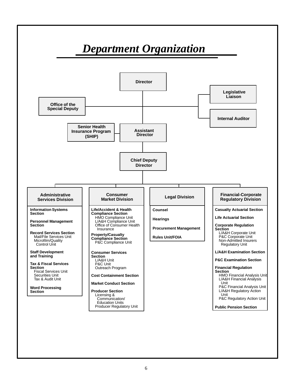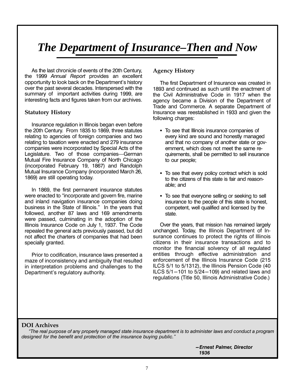## The Department of Insurance–Then and Now

As the last chronicle of events of the 20th Century. the 1999 Annual Report provides an excellent opportunity to look back on the Department's history over the past several decades. Interspersed with the summary of important activities during 1999, are interesting facts and figures taken from our archives.

#### **Statutory History**

Insurance regulation in Illinois began even before the 20th Century. From 1835 to 1869, three statutes relating to agencies of foreign companies and two relating to taxation were enacted and 279 insurance companies were incorporated by Special Acts of the Legislature. Two of those companies-German Mutual Fire Insurance Company of North Chicago (incorporated February 19, 1867) and Randolph Mutual Insurance Company (incorporated March 26, 1869) are still operating today.

In 1869, the first permanent insurance statutes were enacted to "incorporate and govern fire, marine and inland navigation insurance companies doing business in the State of Illinois." In the years that followed, another 87 laws and 169 amendments were passed, culminating in the adoption of the Illinois Insurance Code on July 1, 1937. The Code repealed the general acts previously passed, but did not affect the charters of companies that had been specially granted.

Prior to codification, insurance laws presented a maze of inconsistency and ambiguity that resulted in interpretation problems and challenges to the Department's regulatory authority.

#### **Agency History**

The first Department of Insurance was created in 1893 and continued as such until the enactment of the Civil Administrative Code in 1917 when the agency became a Division of the Department of Trade and Commerce. A separate Department of Insurance was reestablished in 1933 and given the following charges:

- To see that Illinois insurance companies of every kind are sound and honestly managed and that no company of another state or government, which does not meet the same requirements, shall be permitted to sell insurance to our people;
- To see that every policy contract which is sold to the citizens of this state is fair and reasonable: and
- To see that everyone selling or seeking to sell insurance to the people of this state is honest, competent, well qualified and licensed by the state.

Over the years, that mission has remained largely unchanged. Today, the Illinois Department of Insurance continues to protect the rights of Illinois citizens in their insurance transactions and to monitor the financial solvency of all regulated entities through effective administration and enforcement of the Illinois Insurance Code (215) ILCS 5/1 to 5/1312), the Illinois Pension Code (40 ILCS  $5/1-101$  to  $5/24-109$ ) and related laws and regulations (Title 50, Illinois Administrative Code.)

#### **DOI** Archives

"The real purpose of any properly managed state insurance department is to administer laws and conduct a program designed for the benefit and protection of the insurance buying public."

> -Ernest Palmer, Director 1936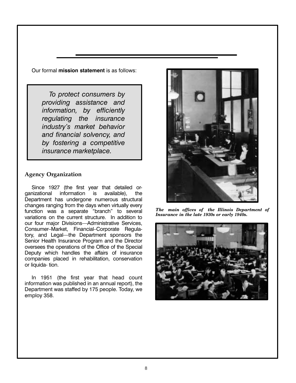Our formal mission statement is as follows:

To protect consumers by providing assistance and information, by efficiently regulating the insurance industry's market behavior and financial solvency, and by fostering a competitive insurance marketplace.

#### **Agency Organization**

Since 1927 (the first year that detailed orinformation is ganizational available), the Department has undergone numerous structural changes ranging from the days when virtually every function was a separate "branch" to several variations on the current structure. In addition to our four major Divisions-Administrative Services, Consumer-Market, Financial-Corporate Regulatory, and Legal-the Department sponsors the Senior Health Insurance Program and the Director oversees the operations of the Office of the Special Deputy which handles the affairs of insurance companies placed in rehabilitation, conservation or liquida-tion.

In 1951 (the first year that head count information was published in an annual report), the Department was staffed by 175 people. Today, we employ 358.



The main offices of the Illinois Department of Insurance in the late 1930s or early 1940s.

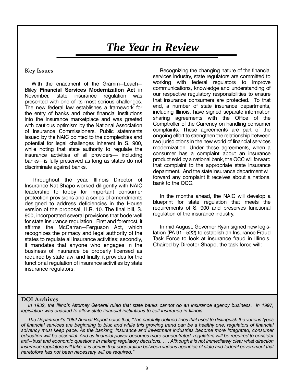**The Year in Review** 

#### **Key Issues**

With the enactment of the Gramm-Leach-Bliley Financial Services Modernization Act in November. state insurance regulation was presented with one of its most serious challenges. The new federal law establishes a framework for the entry of banks and other financial institutions into the insurance marketplace and was greeted with cautious optimism by the National Association of Insurance Commissioners. Public statements issued by the NAIC pointed to the complexities and potential for legal challenges inherent in S. 900, while noting that state authority to regulate the insurance activities of all providers- including banks-is fully preserved as long as states do not discriminate against banks.

Throughout the year, Illinois Director of Insurance Nat Shapo worked diligently with NAIC leadership to lobby for important consumer protection provisions and a series of amendments designed to address deficiencies in the House version of the proposal, H.R. 10. The final bill, S. 900, incorporated several provisions that bode well for state insurance regulation. First and foremost, it affirms the McCarran-Ferguson Act, which recognizes the primacy and legal authority of the states to regulate all insurance activities; secondly, it mandates that anyone who engages in the business of insurance be properly licensed as required by state law; and finally, it provides for the functional regulation of insurance activities by state insurance regulators.

Recognizing the changing nature of the financial services industry, state regulators are committed to working with federal regulators to improve communications, knowledge and understanding of our respective regulatory responsibilities to ensure that insurance consumers are protected. To that end, a number of state insurance departments, including Illinois, have signed separate information sharing agreements with the Office of the Comptroller of the Currency on handling consumer complaints. These agreements are part of the ongoing effort to strengthen the relationship between two jurisdictions in the new world of financial services modernization. Under these agreements, when a consumer has a complaint about an insurance product sold by a national bank, the OCC will forward that complaint to the appropriate state insurance department. And the state insurance department will forward any complaint it receives about a national bank to the OCC.

In the months ahead, the NAIC will develop a blueprint for state regulation that meets the requirements of S. 900 and preserves functional regulation of the insurance industry.

In mid August, Governor Ryan signed new legislation (PA 91-522) to establish an Insurance Fraud Task Force to look at insurance fraud in Illinois. Chaired by Director Shapo, the task force will:

#### **DOI** Archives

In 1932, the Illinois Attorney General ruled that state banks cannot do an insurance agency business. In 1997, legislation was enacted to allow state financial institutions to sell insurance in Illinois.

The Department's 1982 Annual Report notes that, "The carefully defined lines that used to distinguish the various types of financial services are beginning to blur, and while this growing trend can be a healthy one, regulators of financial solvency must keep pace. As the banking, insurance and investment industries become more integrated, consumer education will be essential. And as financial power becomes more concentrated, regulators will be required to consider anti-trust and economic questions in making regulatory decisions. . . . Although it is not immediately clear what direction insurance regulators will take, it is certain that cooperation between various agencies of state and federal government that heretofore has not been necessary will be required."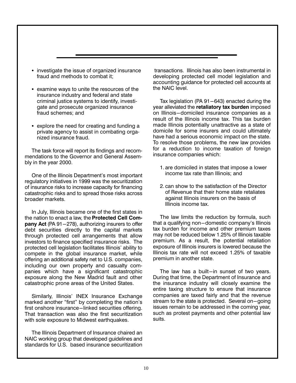- investigate the issue of organized insurance fraud and methods to combat it:
- examine ways to unite the resources of the insurance industry and federal and state criminal justice systems to identify, investigate and prosecute organized insurance fraud schemes: and
- explore the need for creating and funding a private agency to assist in combating organized insurance fraud.

The task force will report its findings and recommendations to the Governor and General Assembly in the year 2000.

One of the Illinois Department's most important regulatory initiatives in 1999 was the securitization of insurance risks to increase capacity for financing catastrophic risks and to spread those risks across broader markets.

In July, Illinois became one of the first states in the nation to enact a law, the Protected Cell Company Act (PA 91-278), authorizing insurers to offer debt securities directly to the capital markets through protected cell arrangements that allow investors to finance specified insurance risks. The protected cell legislation facilitates Illinois' ability to compete in the global insurance market, while offering an additional safety net to U.S. companies, including our own property and casualty companies which have a significant catastrophic exposure along the New Madrid fault and other catastrophic prone areas of the United States.

Similarly, Illinois' INEX Insurance Exchange marked another "first" by completing the nation's first onshore insurance-linked securities offering. That transaction was also the first securitization with sole exposure to Midwest earthquakes.

The Illinois Department of Insurance chaired an NAIC working group that developed guidelines and standards for U.S. based insurance securitization

transactions. Illinois has also been instrumental in developing protected cell model legislation and accounting guidance for protected cell accounts at the NAIC level.

Tax legislation (PA 91-643) enacted during the year alleviated the retaliatory tax burden imposed on Illinois-domiciled insurance companies as a result of the Illinois income tax. This tax burden made Illinois potentially unattractive as a state of domicile for some insurers and could ultimately have had a serious economic impact on the state. To resolve those problems, the new law provides for a reduction to income taxation of foreign insurance companies which:

- 1. are domiciled in states that impose a lower income tax rate than Illinois; and
- 2. can show to the satisfaction of the Director of Revenue that their home state retaliates against Illinois insurers on the basis of Illinois income tax.

The law limits the reduction by formula, such that a qualifying non-domestic company's Illinois tax burden for income and other premium taxes may not be reduced below 1.25% of Illinois taxable premium. As a result, the potential retaliation exposure of Illinois insurers is lowered because the Illinois tax rate will not exceed 1.25% of taxable premium in another state.

The law has a built-in sunset of two years. During that time, the Department of Insurance and the insurance industry will closely examine the entire taxing structure to ensure that insurance companies are taxed fairly and that the revenue stream to the state is protected. Several on-going issues remain to be addressed in the coming year, such as protest payments and other potential law suits.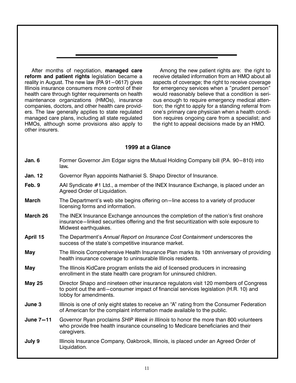After months of negotiation, managed care reform and patient rights legislation became a reality in August. The new law (PA 91-0617) gives Illinois insurance consumers more control of their health care through tighter requirements on health maintenance organizations (HMOs), insurance companies, doctors, and other health care providers. The law generally applies to state regulated managed care plans, including all state regulated HMOs, although some provisions also apply to other insurers.

Among the new patient rights are: the right to receive detailed information from an HMO about all aspects of coverage; the right to receive coverage for emergency services when a "prudent person" would reasonably believe that a condition is serious enough to require emergency medical attention; the right to apply for a standing referral from one's primary care physician when a health condition requires ongoing care from a specialist; and the right to appeal decisions made by an HMO.

#### 1999 at a Glance

| Jan. 6         | Former Governor Jim Edgar signs the Mutual Holding Company bill (P.A. 90–810) into<br>law.                                                                                                             |
|----------------|--------------------------------------------------------------------------------------------------------------------------------------------------------------------------------------------------------|
| <b>Jan. 12</b> | Governor Ryan appoints Nathaniel S. Shapo Director of Insurance.                                                                                                                                       |
| Feb. 9         | AAI Syndicate #1 Ltd., a member of the INEX Insurance Exchange, is placed under an<br>Agreed Order of Liquidation.                                                                                     |
| <b>March</b>   | The Department's web site begins offering on-line access to a variety of producer<br>licensing forms and information.                                                                                  |
| March 26       | The INEX Insurance Exchange announces the completion of the nation's first onshore<br>insurance-linked securities offering and the first securitization with sole exposure to<br>Midwest earthquakes.  |
| April 15       | The Department's Annual Report on Insurance Cost Containment underscores the<br>success of the state's competitive insurance market.                                                                   |
| May            | The Illinois Comprehensive Health Insurance Plan marks its 10th anniversary of providing<br>health insurance coverage to uninsurable Illinois residents.                                               |
| May            | The Illinois KidCare program enlists the aid of licensed producers in increasing<br>enrollment in the state health care program for uninsured children.                                                |
| <b>May 25</b>  | Director Shapo and nineteen other insurance regulators visit 120 members of Congress<br>to point out the anti-consumer impact of financial services legislation (H.R. 10) and<br>lobby for amendments. |
| June 3         | Illinois is one of only eight states to receive an "A" rating from the Consumer Federation<br>of American for the complaint information made available to the public.                                  |
| June 7-11      | Governor Ryan proclaims SHIP Week in Illinois to honor the more than 800 volunteers<br>who provide free health insurance counseling to Medicare beneficiaries and their<br>caregivers.                 |
| July 9         | Illinois Insurance Company, Oakbrook, Illinois, is placed under an Agreed Order of<br>Liquidation.                                                                                                     |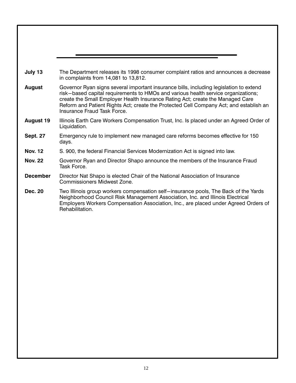| July 13          | The Department releases its 1998 consumer complaint ratios and announces a decrease<br>in complaints from 14,081 to 13,812.                                                                                                                                                                                                                                                            |
|------------------|----------------------------------------------------------------------------------------------------------------------------------------------------------------------------------------------------------------------------------------------------------------------------------------------------------------------------------------------------------------------------------------|
| <b>August</b>    | Governor Ryan signs several important insurance bills, including legislation to extend<br>risk-based capital requirements to HMOs and various health service organizations;<br>create the Small Employer Health Insurance Rating Act; create the Managed Care<br>Reform and Patient Rights Act; create the Protected Cell Company Act; and establish an<br>Insurance Fraud Task Force. |
| <b>August 19</b> | Illinois Earth Care Workers Compensation Trust, Inc. Is placed under an Agreed Order of<br>Liquidation.                                                                                                                                                                                                                                                                                |
| <b>Sept. 27</b>  | Emergency rule to implement new managed care reforms becomes effective for 150<br>days.                                                                                                                                                                                                                                                                                                |
| <b>Nov. 12</b>   | S. 900, the federal Financial Services Modernization Act is signed into law.                                                                                                                                                                                                                                                                                                           |
| <b>Nov. 22</b>   | Governor Ryan and Director Shapo announce the members of the Insurance Fraud<br>Task Force.                                                                                                                                                                                                                                                                                            |
| <b>December</b>  | Director Nat Shapo is elected Chair of the National Association of Insurance<br>Commissioners Midwest Zone.                                                                                                                                                                                                                                                                            |
| <b>Dec. 20</b>   | Two Illinois group workers compensation self—insurance pools, The Back of the Yards<br>Neighborhood Council Risk Management Association, Inc. and Illinois Electrical<br>Employers Workers Compensation Association, Inc., are placed under Agreed Orders of<br>Rehabilitation.                                                                                                        |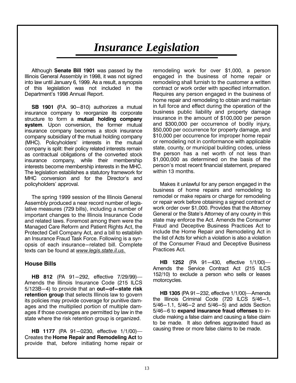### **Insurance Legislation**

Although Senate Bill 1901 was passed by the Illinois General Assembly in 1998, it was not signed into law until January 6, 1999. As a result, a synopsis of this legislation was not included in the Department's 1998 Annual Report.

SB 1901 (P.A. 90-810) authorizes a mutual insurance company to reorganize its corporate structure to form a mutual holding company system. Upon conversion, the former mutual insurance company becomes a stock insurance company subsidiary of the mutual holding company (MHC). Policyholders' interests in the mutual company is split: their policy related interests remain as contractual obligations of the converted stock insurance company, while their membership interests become membership interests in the MHC. The legislation establishes a statutory framework for MHC conversion and for the Director's and policyholders' approval.

The spring 1999 session of the Illinois General Assembly produced a near record number of legislative measures (729 bills), including a number of important changes to the Illinois Insurance Code and related laws. Foremost among them were the Managed Care Reform and Patient Rights Act, the Protected Cell Company Act, and a bill to establish an Insurance Fraud Task Force. Following is a synopsis of each insurance-related bill. Complete texts can be found at www.legis.state.il.us.

#### **House Bills**

**HB 812** (PA 91-292, effective 7/29/99)-Amends the Illinois Insurance Code (215 ILCS 5/123B-4) to provide that an out-of-state risk retention group that selects Illinois law to govern its policies may provide coverage for punitive damages and the multiplied portion of multiple damages if those coverages are permitted by law in the state where the risk retention group is organized.

HB 1177 (PA 91-0230, effective 1/1/00)-Creates the Home Repair and Remodeling Act to provide that, before initiating home repair or remodeling work for over \$1,000, a person engaged in the business of home repair or remodeling shall furnish to the customer a written contract or work order with specified information. Requires any person engaged in the business of home repair and remodeling to obtain and maintain in full force and effect during the operation of the business public liability and property damage insurance in the amount of \$100,000 per person and \$300,000 per occurrence of bodily injury, \$50,000 per occurrence for property damage, and \$10,000 per occurrence for improper home repair or remodeling not in conformance with applicable state, county, or municipal building codes, unless the person has a net worth of not less than \$1,000,000 as determined on the basis of the person's most recent financial statement, prepared within 13 months

Makes it unlawful for any person engaged in the business of home repairs and remodeling to remodel or make repairs or charge for remodeling or repair work before obtaining a signed contract or work order over \$1,000. Provides that the Attorney General or the State's Attorney of any county in this state may enforce the Act. Amends the Consumer Fraud and Deceptive Business Practices Act to include the Home Repair and Remodeling Act in the list of Acts for which a violation is also a violation of the Consumer Fraud and Deceptive Business Practices Act.

HB 1252 (PA 91-430, effective 1/1/00)-Amends the Service Contract Act (215 ILCS 152/10) to exclude a person who sells or leases motorcycles.

**HB 1305** (PA 91-232, effective 1/1/00)-Amends the Illinois Criminal Code (720 ILCS 5/46-1,  $5/46 - 1.1$ ,  $5/46 - 2$  and  $5/46 - 5$ ) and adds Section 5/46-6 to expand insurance fraud offenses to include making a false claim and causing a false claim to be made. It also defines aggravated fraud as causing three or more false claims to be made.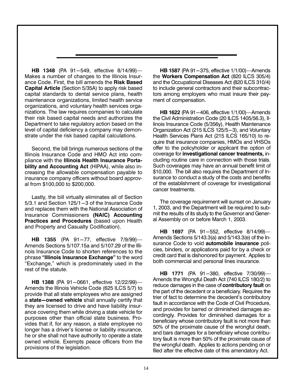HB 1348 (PA 91-549, effective 8/14/99)-Makes a number of changes to the Illinois Insurance Code. First, the bill amends the Risk Based **Capital Article** (Section 5/35A) to apply risk based capital standards to dental service plans, health maintenance organizations, limited health service organizations, and voluntary health services organizations. The law requires companies to calculate their risk based capital needs and authorizes the Department to take regulatory action based on the level of capital deficiency a company may demonstrate under the risk based capital calculations.

Second, the bill brings numerous sections of the Illinois Insurance Code and HMO Act into compliance with the Illinois Health Insurance Portability and Accounting Act (HIPAA), while also increasing the allowable compensation payable to insurance company officers without board approval from \$100,000 to \$200,000.

Lastly, the bill virtually eliminates all of Section 5/3.1 and Section 125/1-3 of the Insurance Code and replaces them with the National Association of Insurance Commissioners (NAIC) Accounting Practices and Procedures (based upon Health and Property and Casualty Codification).

HB 1355 (PA 91-77, effective 7/9/99)-Amends Sections 5/107.15a and 5/107.29 of the Illinois Insurance Code to shorten references to the phrase "Illinois Insurance Exchange" to the word "Exchange," which is predominately used in the rest of the statute.

HB 1388 (PA 91-0661, effective 12/22/99)-Amends the Illinois Vehicle Code (625 ILCS 5/7) to provide that all state employees who are assigned a state-owned vehicle shall annually certify that they are licensed to drive and have liability insurance covering them while driving a state vehicle for purposes other than official state business. Provides that if, for any reason, a state employee no longer has a driver's license or liability insurance, he or she shall not have authority to operate a state owned vehicle. Exempts peace officers from the provisions of the legislation.

**HB 1587** (PA 91-375, effective 1/1/00)-Amends the Workers Compensation Act (820 ILCS 305/4) and the Occupational Diseases Act (820 ILCS 310/4) to include general contractors and their subcontractors among employers who must insure their payment of compensation.

**HB 1622** (PA 91 $-406$ , effective  $1/1/00$ )—Amends the Civil Administration Code (20 ILCS 1405/56.3), IIlinois Insurance Code (5/356y), Health Maintenance Organization Act (215 ILCS 125/5-3), and Voluntary Health Services Plans Act (215 ILCS 165/10) to require that insurance companies, HMOs and VHSOs offer to the policyholder or applicant the option of coverage for investigational cancer treatments, including routine care in connection with those trials. Such coverages may have an annual benefit limit of \$10,000. The bill also requires the Department of Insurance to conduct a study of the costs and benefits of the establishment of coverage for investigational cancer treatments.

The coverage requirement will sunset on January 1, 2003, and the Department will be required to submit the results of its study to the Governor and General Assembly on or before March 1, 2003.

HB 1697 (PA 91-552, effective 8/14/99)-Amends Sections 5/143.3(a) and 5/143.3(e) of the Insurance Code to void **automobile insurance** policies, binders, or applications paid for by a check or credit card that is dishonored for payment. Applies to both commercial and personal lines insurance.

HB 1771 (PA 91-380, effective 7/30/99)-Amends the Wrongful Death Act (740 ILCS 180/2) to reduce damages in the case of contributory fault on the part of the decedent or a beneficiary. Requires the trier of fact to determine the decedent's contributory fault in accordance with the Code of Civil Procedure, and provides for barred or diminished damages accordingly. Provides for diminished damages for a beneficiary whose contributory fault is not more than 50% of the proximate cause of the wrongful death, and bars damages for a beneficiary whose contributory fault is more than 50% of the proximate cause of the wrongful death. Applies to actions pending on or filed after the effective date of this amendatory Act.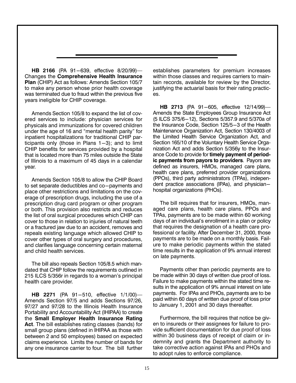HB 2166 (PA 91-639, effective 8/20/99)-Changes the Comprehensive Health Insurance Plan (CHIP) Act as follows: Amends Section 105/7 to make any person whose prior health coverage was terminated due to fraud within the previous five years ineligible for CHIP coverage.

Amends Section 105/8 to expand the list of covered services to include: physician services for physicals and immunizations for covered children under the age of 16 and "mental health parity" for inpatient hospitalizations for traditional CHIP participants only (those in Plans  $1-3$ ); and to limit CHIP benefits for services provided by a hospital that is located more than 75 miles outside the State of Illinois to a maximum of 45 days in a calendar vear.

Amends Section 105/8 to allow the CHIP Board to set separate deductibles and co-payments and place other restrictions and limitations on the coverage of prescription drugs, including the use of a prescription drug card program or other program or both. This provision also restricts and reduces the list of oral surgical procedures which CHIP can cover to those in relation to injuries of natural teeth or a fractured jaw due to an accident, removes and repeals existing language which allowed CHIP to cover other types of oral surgery and procedures, and clarifies language concerning certain maternal and child health services.

The bill also repeals Section 105/8.5 which mandated that CHIP follow the requirements outlined in 215 ILCS 5/356r in regards to a woman's principal health care provider.

HB 2271 (PA 91-510, effective 1/1/00)-Amends Section 97/5 and adds Sections 97/26, 97/27 and 97/28 to the Illinois Health Insurance Portability and Accountability Act (IHIPAA) to create the Small Employer Health Insurance Rating Act. The bill establishes rating classes (bands) for small group plans (defined in IHIPAA as those with between 2 and 50 employees) based on expected claims experience. Limits the number of bands for any one insurance carrier to four. The bill further

establishes parameters for premium increases within those classes and requires carriers to maintain records, available for review by the Director, justifying the actuarial basis for their rating practices.

HB 2713 (PA 91-605, effective 12/14/99)-Amends the State Employees Group Insurance Act (5 ILCS 375/6-12), Sections 5/357.9 and 5/370a of the Insurance Code, Section 125/5-3 of the Health Maintenance Organization Act, Section 130/4003 of the Limited Health Service Organization Act, and Section 165/10 of the Voluntary Health Service Organization Act and adds Section 5/356y to the Insurance Code to provide for timely payment of periodic payments from payors to providers. Payors are defined as insurers, HMOs, managed care plans, health care plans, preferred provider organizations (PPOs), third party administrators (TPAs), independent practice associations (IPAs), and physicianhospital organizations (PHOs).

The bill requires that for insurers, HMOs, managed care plans, health care plans, PPOs and TPAs, payments are to be made within 60 working days of an individual's enrollment in a plan or policy that requires the designation of a health care professional or facility. After December 31, 2000, those payments are to be made on a monthly basis. Failure to make periodic payments within the stated time results in the application of 9% annual interest on late payments.

Payments other than periodic payments are to be made within 30 days of written due proof of loss. Failure to make payments within the stated time results in the application of 9% annual interest on late payments. For IPAs and PHOs, payments are to be paid within 60 days of written due proof of loss prior to January 1, 2001 and 30 days thereafter.

Furthermore, the bill requires that notice be given to insureds or their assignees for failure to provide sufficient documentation for due proof of loss within 30 business days of receipt of claim or indemnity and grants the Department authority to take corrective action against IPAs and PHOs and to adopt rules to enforce compliance.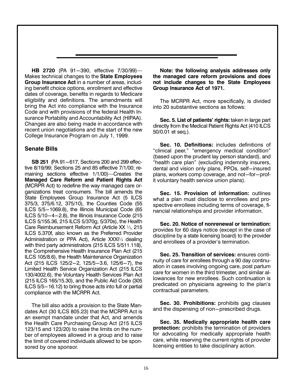HB 2720 (PA 91-390, effective 7/30/99)-Makes technical changes to the State Employees Group Insurance Act in a number of areas, including benefit choice options, enrollment and effective dates of coverage, benefits in regards to Medicare eligibility and definitions. The amendments will bring the Act into compliance with the Insurance Code and with provisions of the federal Health Insurance Portability and Accountability Act (HIPAA). Changes are also being made in accordance with recent union negotiations and the start of the new College Insurance Program on July 1, 1999.

#### **Senate Bills**

**SB 251** (PA 91-617, Sections 200 and 299 effective 8/19/99; Sections 25 and 85 effective 7/1/00; remaining sections effective 1/1/00)—Creates the **Managed Care Reform and Patient Rights Act** (MCRPR Act) to redefine the way managed care organizations treat consumers. The bill amends the State Employees Group Insurance Act (5 ILCS 375/3, 375/6.12, 375/10), the Counties Code (55 ILCS 5/5-1069.8), the Illinois Municipal Code (65 ILCS 5/10-4-2.8), the Illinois Insurance Code (215 ILCS 5/155.36, 215 ILCS 5/370g, 5/370s), the Health Care Reimbursement Reform Act (Article XX 1/2, 215 ILCS 5.370f, also known as the Preferred Provider Administration or PPA Act), Article XXXI1/4 dealing with third party administrators (215 ILCS 5/511.118), the Comprehensive Health Insurance Plan Act (215 ILCS 105/8.6), the Health Maintenance Organization Act (215 ILCS 125/2-2, 125/5-3.6, 125/6-7), the Limited Health Service Organization Act (215 ILCS 130/4002.6), the Voluntary Health Services Plan Act (215 ILCS 165/15.30), and the Public Aid Code (305 ILCS 5/5-16.12) to bring those acts into full or partial compliance with the MCRPR Act.

The bill also adds a provision to the State Mandates Act (30 ILCS 805.23) that the MCRPR Act is an exempt mandate under that Act, and amends the Health Care Purchasing Group Act (215 ILCS 123/15 and 123/20) to raise the limits on the number of employees allowed in a group and to raise the limit of covered individuals allowed to be sponsored by one sponsor.

Note: the following analysis addresses only the managed care reform provisions and does not include changes to the State Employees Group Insurance Act of 1971.

The MCRPR Act, more specifically, is divided into 20 substantive sections as follows:

Sec. 5. List of patients' rights: taken in large part directly from the Medical Patient Rights Act (410 ILCS 50/0.01 et seq.).

Sec. 10. Definitions: includes definitions of "clinical peer," "emergency medical condition" (based upon the prudent lay person standard), and "health care plan" (excluding indemnity insurers, dental and vision only plans, PPOs, self-insured plans, workers comp coverage, and not-for-profit voluntary health service union plans).

Sec. 15. Provision of information: outlines what a plan must disclose to enrollees and prospective enrollees including terms of coverage, financial relationships and provider information.

Sec. 20. Notice of nonrenewal or termination: provides for 60 days notice (except in the case of discipline by a state licensing board) to the provider and enrollees of a provider's termination.

Sec. 25. Transition of services: ensures continuity of care for enrollees through a 90 day continuation in cases involving ongoing care, post partum care for women in the third trimester, and similar allowances for new enrollees. Such continuation is predicated on physicians agreeing to the plan's contractual parameters.

Sec. 30. Prohibitions: prohibits gag clauses and the dispensing of non-prescribed drugs.

Sec. 35. Medically appropriate health care **protection:** prohibits the termination of providers for advocating for medically appropriate health care, while reserving the current rights of provider licensing entities to take disciplinary action.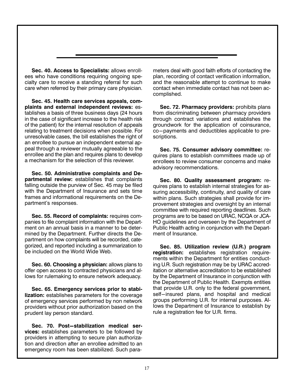Sec. 40. Access to Specialists: allows enrollees who have conditions requiring ongoing specialty care to receive a standing referral for such care when referred by their primary care physician.

Sec. 45. Health care services appeals, complaints and external independent reviews: establishes a basis of three business days (24 hours in the case of significant increase to the health risk of the patient) for the internal resolution of appeals relating to treatment decisions when possible. For unresolvable cases, the bill establishes the right of an enrollee to pursue an independent external appeal through a reviewer mutually agreeable to the enrollee and the plan and requires plans to develop a mechanism for the selection of this reviewer.

Sec. 50. Administrative complaints and Departmental review: establishes that complaints falling outside the purview of Sec. 45 may be filed with the Department of Insurance and sets time frames and informational requirements on the Department's responses.

Sec. 55. Record of complaints: requires companies to file complaint information with the Department on an annual basis in a manner to be determined by the Department. Further directs the Department on how complaints will be recorded, categorized, and reported including a summarization to be included on the World Wide Web.

Sec. 60. Choosing a physician: allows plans to offer open access to contracted physicians and allows for rulemaking to ensure network adequacy.

Sec. 65. Emergency services prior to stabilization: establishes parameters for the coverage of emergency services performed by non network providers without prior authorization based on the prudent lay person standard.

Sec. 70. Post-stabilization medical services: establishes parameters to be followed by providers in attempting to secure plan authorization and direction after an enrollee admitted to an emergency room has been stabilized. Such parameters deal with good faith efforts of contacting the plan, recording of contact verification information, and the reasonable attempt to continue to make contact when immediate contact has not been accomplished.

Sec. 72. Pharmacy providers: prohibits plans from discriminating between pharmacy providers through contract variations and establishes the groundwork for the application of coinsurance, co-payments and deductibles applicable to prescriptions.

Sec. 75. Consumer advisory committee: requires plans to establish committees made up of enrollees to review consumer concerns and make advisory recommendations.

Sec. 80. Quality assessment program: requires plans to establish internal strategies for assuring accessibility, continuity, and quality of care within plans. Such strategies shall provide for improvement strategies and oversight by an internal committee with required reporting deadlines. Such programs are to be based on URAC, NCQA or JCA-HO guidelines and overseen by the Department of Public Health acting in conjunction with the Department of Insurance.

Sec. 85. Utilization review (U.R.) program registration: establishes registration requirements within the Department for entities conducting U.R. Such registration may be by URAC accreditation or alternative accreditation to be established by the Department of Insurance in conjunction with the Department of Public Health. Exempts entities that provide U.R. only to the federal government, self-insured plans, and hospital and medical groups performing U.R. for internal purposes. Allows the Department of Insurance to establish by rule a registration fee for U.R. firms.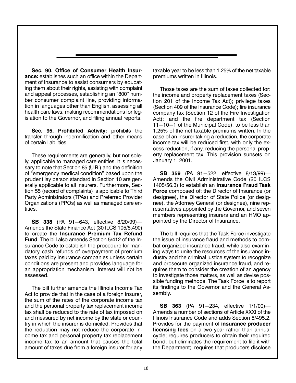Sec. 90. Office of Consumer Health Insurance: establishes such an office within the Department of Insurance to assist consumers by educating them about their rights, assisting with complaint and appeal processes, establishing an "800" number consumer complaint line, providing information in languages other than English, assessing all health care laws, making recommendations for legislation to the Governor, and filing annual reports.

Sec. 95. Prohibited Activity: prohibits the transfer through indemnification and other means of certain liabilities.

These requirements are generally, but not solely, applicable to managed care entities. It is necessary to note that Section 85 (U.R.) and the definition of "emergency medical condition" based upon the prudent lay person standard in Section 10 are generally applicable to all insurers. Furthermore, Section 55 (record of complaints) is applicable to Third Party Administrators (TPAs) and Preferred Provider Organizations (PPOs) as well as managed care entities.

SB 338 (PA 91-643, effective 8/20/99)-Amends the State Finance Act (30 ILCS 105/5.490) to create the Insurance Premium Tax Refund Fund. The bill also amends Section 5/412 of the Insurance Code to establish the procedure for mandatory cash refunds of overpayment of premium taxes paid by insurance companies unless certain conditions are present and provides language for an appropriation mechanism. Interest will not be assessed.

The bill further amends the Illinois Income Tax Act to provide that in the case of a foreign insurer, the sum of the rates of the corporate income tax and the personal property tax replacement income tax shall be reduced to the rate of tax imposed on and measured by net income by the state or country in which the insurer is domiciled. Provides that the reduction may not reduce the corporate income tax and personal property tax replacement income tax to an amount that causes the total amount of taxes due from a foreign insurer for any taxable year to be less than 1.25% of the net taxable premiums written in Illinois.

Those taxes are the sum of taxes collected for: the income and property replacement taxes (Section 201 of the Income Tax Act); privilege taxes (Section 409 of the Insurance Code); fire insurance company tax (Section 12 of the Fire Investigation Act); and the fire department tax (Section 11-10-1 of the Municipal Code), to be less than 1.25% of the net taxable premiums written. In the case of an insurer taking a reduction, the corporate income tax will be reduced first, with only the excess reduction, if any, reducing the personal property replacement tax. This provision sunsets on January 1, 2001.

**SB 359** (PA 91-522, effective 8/13/99)-Amends the Civil Administrative Code (20 ILCS 1405/56.3) to establish an **Insurance Fraud Task** Force composed of: the Director of Insurance (or designee), the Director of State Police (or designee), the Attorney General (or designee), nine representatives appointed by the Governor, and seven members representing insurers and an HMO appointed by the Director of Insurance.

The bill requires that the Task Force investigate the issue of insurance fraud and methods to combat organized insurance fraud, while also examining ways to unite the resources of the insurance industry and the criminal justice system to recognize and prosecute organized insurance fraud, and requires them to consider the creation of an agency to investigate those matters, as well as devise possible funding methods. The Task Force is to report its findings to the Governor and the General Assembly.

**SB 363** (PA 91-234, effective 1/1/00)-Amends a number of sections of Article XXXI of the Illinois Insurance Code and adds Section 5/495.2. Provides for the payment of **insurance producer** licensing fees on a two year rather than annual cycle; requires producers to obtain their required bond, but eliminates the requirement to file it with the Department; requires that producers disclose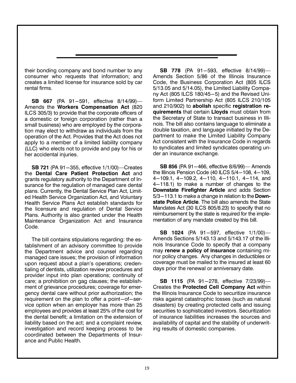their bonding company and bond number to any consumer who requests that information; and creates a limited license for insurance sold by car rental firms.

SB 667 (PA 91-591, effective 8/14/99)-Amends the Workers Compensation Act (820 ILCS 305/3) to provide that the corporate officers of a domestic or foreign corporation (rather than a small business) who are employed by the corporation may elect to withdraw as individuals from the operation of the Act. Provides that the Act does not apply to a member of a limited liability company (LLC) who elects not to provide and pay for his or her accidental injuries.

SB 721 (PA 91-355, effective 1/1/00)-Creates the Dental Care Patient Protection Act and grants regulatory authority to the Department of Insurance for the regulation of managed care dental plans. Currently, the Dental Service Plan Act, Limited Health Service Organization Act, and Voluntary Health Service Plans Act establish standards for the licensure and regulation of Dental Service Plans. Authority is also granted under the Health Maintenance Organization Act and Insurance Code.

The bill contains stipulations regarding: the establishment of an advisory committee to provide the Department advice and counsel regarding managed care issues; the provision of information upon request about a plan's operations; credentialing of dentists, utilization review procedures and provider input into plan operations; continuity of care; a prohibition on gag clauses; the establishment of grievance procedures; coverage for emergency dental care without prior authorization; the requirement on the plan to offer a point-of-service option when an employer has more than 25 employees and provides at least 25% of the cost for the dental benefit; a limitation on the extension of liability based on the act; and a complaint review, investigation and record keeping process to be coordinated between the Departments of Insurance and Public Health.

**SB 778** (PA 91-593, effective 8/14/99)-Amends Section 5/86 of the Illinois Insurance Code, the Business Corporation Act (805 ILCS 5/13.05 and 5/14.05), the Limited Liability Company Act (805 ILCS 180/45-5) and the Revised Uniform Limited Partnership Act (805 ILCS 210/105 and 210/902) to abolish specific registration requirements that certain Lloyds must obtain from the Secretary of State to transact business in Illinois. The bill also contains language to eliminate a double taxation, and language initiated by the Department to make the Limited Liability Company Act consistent with the Insurance Code in regards to syndicates and limited syndicates operating under an insurance exchange.

**SB 856** (PA 91-466, effective 8/6/99)- Amends the Illinois Pension Code (40 ILCS  $5/4 - 108$ ,  $4 - 109$ , 4-109.1, 4-109.2, 4-110, 4-110.1, 4-114, and 4-118.1) to make a number of changes to the **Downstate Firefighter Article and adds Section** 5/3-113.1 to make a change in relation to the Downstate Police Article. The bill also amends the State Mandates Act (30 ILCS 805/8.23) to specify that no reimbursement by the state is required for the implementation of any mandate created by this bill.

**SB 1024** (PA 91-597, effective  $1/1/00$ )-Amends Sections 5/143.13 and 5/143.17 of the Illinois Insurance Code to specify that a company may renew a policy of insurance containing minor policy changes. Any changes in deductibles or coverage must be mailed to the insured at least 60 days prior the renewal or anniversary date.

SB 1115 (PA 91-278, effective 7/23/99)-Creates the Protected Cell Company Act within the Illinois Insurance Code to securitize insurance risks against catastrophic losses (such as natural disasters) by creating protected cells and issuing securities to sophisticated investors. Securitization of insurance liabilities increases the sources and availability of capital and the stability of underwriting results of domestic companies.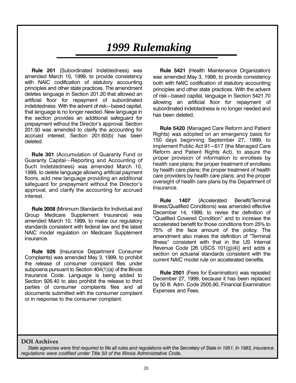## **1999 Rulemaking**

**Rule 201** (Subordinated Indebtedness) was amended March 10, 1999, to provide consistency with NAIC codification of statutory accounting principles and other state practices. The amendment deletes language in Section 201.20 that allowed an artificial floor for repayment of subordinated indebtedness. With the advent of risk-based capital, that language is no longer needed. New language in the section provides an additional safequard for prepayment without the Director's approval. Section 201.50 was amended to clarify the accounting for accrued interest; Section 201.60(b) has been deleted.

**Rule 301** (Accumulation of Guaranty Fund or Guaranty Capital-Reporting and Accounting of Such Indebtedness) was amended March 10, 1999, to delete language allowing artificial payment floors, add new language providing an additional safequard for prepayment without the Director's approval, and clarify the accounting for accrued interest.

**Rule 2008** (Minimum Standards for Individual and Group Medicare Supplement Insurance) was amended March 10, 1999, to make our regulatory standards consistent with federal law and the latest NAIC model regulation on Medicare Supplement insurance.

Rule 926 (Insurance Department Consumer Complaints) was amended May 3, 1999, to prohibit the release of consumer complaint files under subpoena pursuant to Section 404(1)(a) of the Illinois Insurance Code. Language is being added to Section 926.40 to also prohibit the release to third parties of consumer complaints files and all documents submitted with the consumer complaint or in response to the consumer complaint.

**Rule 5421** (Health Maintenance Organization) was amended May 3, 1999, to provide consistency both with NAIC codification of statutory accounting principles and other state practices. With the advent of risk-based capital, language in Section 5421.70 allowing an artificial floor for repayment of subordinated indebtedness is no longer needed and has been deleted.

Rule 5420 (Managed Care Reform and Patient Rights) was adopted on an emergency basis for 150 days beginning September 27, 1999, to implement Public Act 91-617 (the Managed Care Reform and Patient Rights Act), to assure the proper provision of information to enrollees by health care plans; the proper treatment of enrollees by health care plans; the proper treatment of health care providers by health care plans; and the proper oversight of health care plans by the Department of Insurance.

1407 **Rule** (Accelerated Benefit/Terminal Illness/Qualified Conditions) was amended effective December 14, 1999, to revise the definition of "Qualified Covered Condition" and to increase the accelerated benefit for those conditions from 25% to 75% of the face amount of the policy. The amendment also makes the definition of "Terminal Illness" consistent with that in the US Internal Revenue Code [26 USCS  $101(q)(4)$ ] and adds a section on actuarial standards consistent with the current NAIC model rule on accelerated benefits.

**Rule 2501** (Fees for Examination) was repealed December 27, 1999, because it has been replaced by 50 III. Adm. Code 2505.90, Financial Examination Expenses and Fees.

#### **DOI** Archives

State agencies were first required to file all rules and regulations with the Secretary of State in 1951. In 1983, insurance regulations were codified under Title 50 of the Illinois Administrative Code.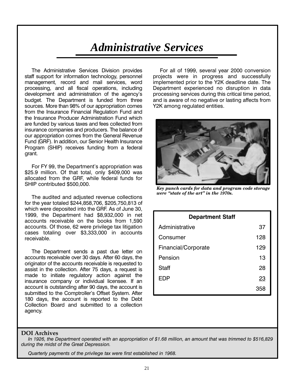## *Administrative Services*

The Administrative Services Division provides staff support for information technology, personnel management, record and mail services, word processing, and all fiscal operations, including development and administration of the agency's budget. The Department is funded from three sources. More than 98% of our appropriation comes from the Insurance Financial Regulation Fund and the Insurance Producer Administration Fund which are funded by various taxes and fees collected from insurance companies and producers. The balance of our appropriation comes from the General Revenue Fund (GRF). In addition, our Senior Health Insurance Program (SHIP) receives funding from a federal grant.

For FY 99, the Department's appropriation was \$25.9 million. Of that total, only \$409,000 was allocated from the GRF, while federal funds for SHIP contributed \$500,000.

The audited and adjusted revenue collections for the year totaled \$244.858.706, \$205.750.813 of which were deposited into the GRF. As of June 30, 1999, the Department had \$8,932,000 in net accounts receivable on the books from 1,590 accounts. Of those, 62 were privilege tax litigation cases totaling over \$3,333,000 in accounts receivable.

The Department sends a past due letter on accounts receivable over 30 days. After 60 days, the originator of the accounts receivable is requested to assist in the collection. After 75 days, a request is made to initiate regulatory action against the insurance company or individual licensee. If an account is outstanding after 90 days, the account is submitted to the Comptroller's Offset System. After 180 days, the account is reported to the Debt Collection Board and submitted to a collection agency.

For all of 1999, several year 2000 conversion projects were in progress and successfully implemented prior to the Y2K deadline date. The Department experienced no disruption in data processing services during this critical time period. and is aware of no negative or lasting affects from Y2K among regulated entities.



Key punch cards for data and program code storage were "state of the art" in the 1970s.

#### **Department Staff**

| Administrative      | 37  |
|---------------------|-----|
| Consumer            | 128 |
| Financial/Corporate | 129 |
| Pension             | 13  |
| <b>Staff</b>        | 28  |
| FDP                 | 23  |
|                     | 358 |

#### **DOI** Archives

In 1926, the Department operated with an appropriation of \$1.68 million, an amount that was trimmed to \$516,829 during the midst of the Great Depression.

Quarterly payments of the privilege tax were first established in 1968.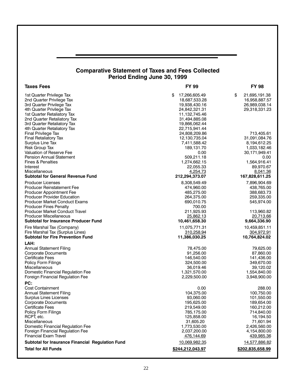# **Comparative Statement of Taxes and Fees Collected<br>Period Ending June 30, 1999**

| <b>Taxes Fees</b>                                                                                                                                                                                                                                                                                                                        | <b>FY 99</b>                                                                                                                                                   | <b>FY 98</b>                                                                                                                                         |
|------------------------------------------------------------------------------------------------------------------------------------------------------------------------------------------------------------------------------------------------------------------------------------------------------------------------------------------|----------------------------------------------------------------------------------------------------------------------------------------------------------------|------------------------------------------------------------------------------------------------------------------------------------------------------|
| 1st Quarter Privilege Tax<br>2nd Quarter Privilege Tax<br>3rd Quarter Privilege Tax<br>4th Quarter Privilege Tax<br>1st Quarter Retaliatory Tax<br>2nd Quarter Retaliatory Tax<br>3rd Quarter Retaliatory Tax                                                                                                                            | \$<br>17,266,605.49<br>18,687,533.28<br>19,938,430.16<br>24,842,321.31<br>11,132,745.46<br>31,494,885.08<br>19,866,062.44                                      | \$<br>21,695,191.38<br>16,958,887.57<br>26,989,038.14<br>29,318,331.23                                                                               |
| 4th Quarter Retaliatory Tax<br>Final Privilege Tax<br><b>Final Retaliatory Tax</b><br>Surplus Line Tax<br><b>Risk Group Tax</b><br>Valuation of Reserve Fee<br><b>Pension Annual Statement</b><br><b>Fines &amp; Penalties</b><br>Interest<br>Miscellaneous<br><b>Subtotal for General Revenue Fund</b>                                  | 22,715,941.44<br>24,808,209.86<br>12,130,735.04<br>7,411,588.42<br>189,131.70<br>0.00<br>509,211.18<br>1,274,662.15<br>22,055.33<br>4,254.73<br>212,294,373.07 | 713,405.61<br>31,091,084.76<br>8,194,612.25<br>1,033,182.46<br>30,171,949.41<br>0.00<br>1,564,916.41<br>89,970.67<br>8,041.36<br>167,828,611.25      |
| <b>Producer Licenses</b><br><b>Producer Reinstatement Fee</b><br><b>Producer Appointment Fee</b><br><b>Producer Provider Education</b><br><b>Producer Market Conduct Exams</b><br><b>Producer Fines Penalty</b><br><b>Producer Market Conduct Travel</b><br><b>Producer Miscellaneous</b><br><b>Subtotal for Insurance Producer Fund</b> | 8,308,549.49<br>474,960.00<br>485,275.00<br>264,375.00<br>690,010.75<br>700.00<br>211,925.93<br>25,862.13<br>10,461,658.30                                     | 7,896,904.69<br>438,765.00<br>388,683.73<br>259,335.00<br>545,974.00<br>113,960.82<br>20,713.66<br>9,664,336.90                                      |
| Fire Marshal Tax (Company)<br>Fire Marshal Tax (Surplus Lines)<br><b>Subtotal for Fire Prevention Fund</b>                                                                                                                                                                                                                               | 11,075,771.31<br>310,258.94<br>11,386,030.25                                                                                                                   | 10,459,851.11<br>304,972.91<br>10,764,824.02                                                                                                         |
| LAH:<br><b>Annual Statement Filing</b><br><b>Corporate Documents</b><br><b>Certificate Fees</b><br>Policy Form Filings<br>Miscellaneous<br>Domestic Financial Regulation Fee<br>Foreign Financial Regulation Fee                                                                                                                         | 78,475.00<br>91,256.00<br>146,540.00<br>324,500.00<br>36,019.46<br>1,321,570.00<br>2,229,500.00                                                                | 79,625.00<br>87,860.00<br>141,436.00<br>349,670.00<br>39,120.02<br>1,554,840.00<br>3,948,900.00                                                      |
| PC:<br><b>Cost Containment</b><br><b>Annual Statement Filing</b><br>Surplus Lines Licenses<br><b>Corporate Documents</b><br><b>Certificate Fees</b><br>Policy Form Filings<br>RCPT, etc.<br>Miscellaneous<br>Domestic Financial Regulation Fee<br>Foreign Financial Regulation Fee<br><b>Financial Exam Travel</b>                       | 0.00<br>104,375.00<br>93,060.00<br>195,625.00<br>219,549.00<br>785,175.00<br>125,858.00<br>31,605.20<br>1,773,530.00<br>2,037,200.00<br>476,144.69             | 288.00<br>100,750.00<br>101,550.00<br>189,654.00<br>160,212.00<br>714,840.00<br>16,194.50<br>71,601.94<br>2,426,560.00<br>4,154,800.00<br>439,985.36 |
| Subtotal for Insurance Financial Regulation Fund<br><b>Total for All Funds</b>                                                                                                                                                                                                                                                           | 10,069,982.35                                                                                                                                                  | 14,577,886.82                                                                                                                                        |
|                                                                                                                                                                                                                                                                                                                                          | <u>\$244,212,043.97</u>                                                                                                                                        | <u>\$202,835,658.99</u>                                                                                                                              |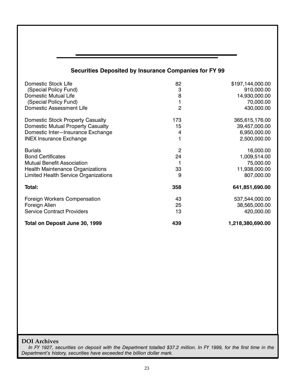### Securities Deposited by Insurance Companies for FY 99

| Total on Deposit June 30, 1999          | 439            | 1,218,380,690.00 |
|-----------------------------------------|----------------|------------------|
| <b>Service Contract Providers</b>       | 13             | 420,000.00       |
| Foreign Alien                           | 25             | 38,565,000.00    |
| Foreign Workers Compensation            | 43             | 537,544,000.00   |
| Total:                                  | 358            | 641,851,690.00   |
| Limited Health Service Organizations    | 9              | 807,000.00       |
| <b>Health Maintenance Organizations</b> | 33             | 11,938,000.00    |
| <b>Mutual Benefit Association</b>       |                | 75,000.00        |
| <b>Bond Certificates</b>                | 24             | 1,009,514.00     |
| <b>Burials</b>                          | $\overline{2}$ | 16,000.00        |
| <b>INEX Insurance Exchange</b>          |                | 2,500,000.00     |
| Domestic Inter-Insurance Exchange       | 4              | 6,950,000.00     |
| Domestic Mutual Property Casualty       | 15             | 39,457,000.00    |
| Domestic Stock Property Casualty        | 173            | 365,615,176.00   |
| Domestic Assessment Life                | 2              | 430,000.00       |
| (Special Policy Fund)                   |                | 70,000.00        |
| Domestic Mutual Life                    | 8              | 14,930,000.00    |
| (Special Policy Fund)                   | 3              | 910,000.00       |
| Domestic Stock Life                     | 82             | \$197,144,000.00 |

**DOI** Archives

In FY 1927, securities on deposit with the Department totalled \$37.2 million. In FY 1999, for the first time in the Department's history, securities have exceeded the billion dollar mark.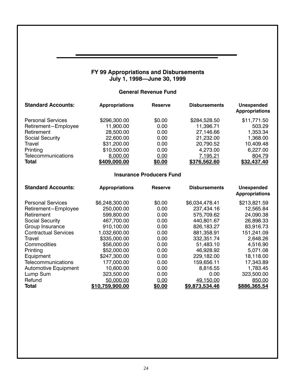# FY 99 Appropriations and Disbursements<br>July 1, 1998-June 30, 1999

#### **General Revenue Fund**

| <b>Standard Accounts:</b> | <b>Appropriations</b> | <b>Reserve</b> | <b>Disbursements</b> | <b>Unexpended</b><br><b>Appropriations</b> |
|---------------------------|-----------------------|----------------|----------------------|--------------------------------------------|
| <b>Personal Services</b>  | \$296,300.00          | \$0.00         | \$284,528.50         | \$11,771.50                                |
| Retirement-Employee       | 11,900.00             | 0.00           | 11,396.71            | 503.29                                     |
| Retirement                | 28,500.00             | 0.00           | 27,146.66            | 1,353.34                                   |
| <b>Social Security</b>    | 22,600.00             | 0.00           | 21,232.00            | 1,368.00                                   |
| Travel                    | \$31,200.00           | 0.00           | 20,790.52            | 10,409.48                                  |
| Printing                  | \$10,500.00           | 0.00           | 4,273.00             | 6,227.00                                   |
| Telecommunications        | 8,000.00              | 0.00           | 7,195.21             | 804.79                                     |
| <b>Total</b>              | \$409,000.00          | \$0.00         | \$376,562.60         | \$32,437.40                                |

#### **Insurance Producers Fund**

| <b>Standard Accounts:</b>   | <b>Appropriations</b> | <b>Reserve</b> | <b>Disbursements</b> | <b>Unexpended</b><br><b>Appropriations</b> |
|-----------------------------|-----------------------|----------------|----------------------|--------------------------------------------|
| <b>Personal Services</b>    | \$6,248,300.00        | \$0.00         | \$6,034,478.41       | \$213,821.59                               |
| Retirement-Employee         | 250,000.00            | 0.00           | 237,434.16           | 12,565.84                                  |
| Retirement                  | 599,800.00            | 0.00           | 575,709.62           | 24,090.38                                  |
| <b>Social Security</b>      | 467,700.00            | 0.00           | 440,801.67           | 26,898.33                                  |
| Group Insurance             | 910,100.00            | 0.00           | 826,183.27           | 83,916.73                                  |
| <b>Contractual Services</b> | 1,032,600.00          | 0.00           | 881,358.91           | 151,241.09                                 |
| Travel                      | \$335,000.00          | 0.00           | 332,351.74           | 2,648.26                                   |
| Commodities                 | \$56,000.00           | 0.00           | 51,483.10            | 4,516.90                                   |
| Printing                    | \$52,000.00           | 0.00           | 46,928.92            | 5,071.08                                   |
| Equipment                   | \$247,300.00          | 0.00           | 229,182.00           | 18,118.00                                  |
| Telecommunications          | 177,000.00            | 0.00           | 159,656.11           | 17,343.89                                  |
| <b>Automotive Equipment</b> | 10,600.00             | 0.00           | 8,816.55             | 1,783.45                                   |
| Lump Sum                    | 323,500.00            | 0.00           | 0.00                 | 323,500.00                                 |
| Refund                      | 50,000.00             | 0.00           | 49,150.00            | 850.00                                     |
| <b>Total</b>                | \$10,759,900.00       | \$0.00         | \$9,873,534.46       | \$886,365.54                               |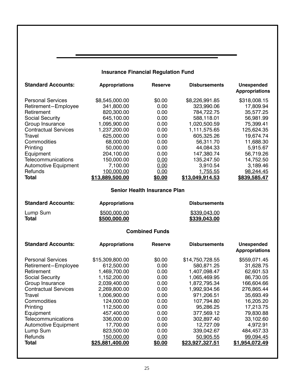### **Insurance Financial Regulation Fund**

▃

| <b>Standard Accounts:</b>   | <b>Appropriations</b> | <b>Reserve</b>               | <b>Disbursements</b> | <b>Unexpended</b><br><b>Appropriations</b> |
|-----------------------------|-----------------------|------------------------------|----------------------|--------------------------------------------|
| <b>Personal Services</b>    | \$8,545,000.00        | \$0.00                       | \$8,226,991.85       | \$318,008.15                               |
| Retirement-Employee         | 341,800.00            | 0.00                         | 323,990.06           | 17,809.94                                  |
| Retirement                  | 820,300.00            | 0.00                         | 784,722.75           | 35,577.25                                  |
| <b>Social Security</b>      | 645,100.00            | 0.00                         | 588,118.01           | 56,981.99                                  |
| Group Insurance             | 1,095,900.00          | 0.00                         | 1,020,500.59         | 75,399.41                                  |
| <b>Contractual Services</b> | 1,237,200.00          | 0.00                         | 1,111,575.65         | 125,624.35                                 |
| Travel                      | 625,000.00            | 0.00                         | 605,325.26           | 19,674.74                                  |
| Commodities                 | 68,000.00             | 0.00                         | 56,311.70            | 11,688.30                                  |
| Printing                    | 50,000.00             | 0.00                         | 44,084.33            | 5,915.67                                   |
| Equipment                   | 204,100.00            | 0.00                         | 147,380.74           | 56,719.26                                  |
| Telecommunications          | 150,000.00            | 0.00                         | 135,247.50           | 14,752.50                                  |
| <b>Automotive Equipment</b> | 7,100.00              | 0.00                         | 3,910.54             | 3,189.46                                   |
| Refunds                     | 100,000.00            | 0.00                         | 1,755.55             | 98,244.45                                  |
| <b>Total</b>                | \$13,889,500.00       | \$0.00                       | \$13,049,914.53      | \$839,585.47                               |
|                             |                       | Senior Health Insurance Plan |                      |                                            |

#### Senior Health Insurance Plan

| <b>Standard Accounts:</b> | <b>Appropriations</b> | <b>Disbursements</b> |
|---------------------------|-----------------------|----------------------|
| Lump Sum                  | \$500,000.00          | <u>\$339,043.00</u>  |
| Total                     | \$500,000.00          | \$339,043.00         |

#### **Combined Funds**

| <b>Standard Accounts:</b>   | <b>Appropriations</b> | <b>Reserve</b> | <b>Disbursements</b> | <b>Unexpended</b><br><b>Appropriations</b> |
|-----------------------------|-----------------------|----------------|----------------------|--------------------------------------------|
| <b>Personal Services</b>    | \$15,309,800.00       | \$0.00         | \$14,750,728.55      | \$559,071.45                               |
| Retirement-Employee         | 612,500.00            | 0.00           | 580,871.25           | 31,628.75                                  |
| Retirement                  | 1,469,700.00          | 0.00           | 1,407,098.47         | 62,601.53                                  |
| <b>Social Security</b>      | 1,152,200.00          | 0.00           | 1,065,469.95         | 86,730.05                                  |
| Group Insurance             | 2,039,400.00          | 0.00           | 1,872,795.34         | 166,604.66                                 |
| <b>Contractual Services</b> | 2,269,800.00          | 0.00           | 1,992,934.56         | 276,865.44                                 |
| Travel                      | 1,006,900.00          | 0.00           | 971,206.51           | 35,693.49                                  |
| Commodities                 | 124,000.00            | 0.00           | 107,794.80           | 16,205.20                                  |
| Printing                    | 112,500.00            | 0.00           | 95,286.25            | 17,213.75                                  |
| Equipment                   | 457,400.00            | 0.00           | 377,569.12           | 79,830.88                                  |
| Telecommunications          | 336,000.00            | 0.00           | 302,897.40           | 33,102.60                                  |
| <b>Automotive Equipment</b> | 17,700.00             | 0.00           | 12,727.09            | 4,972.91                                   |
| Lump Sum                    | 823,500.00            | 0.00           | 339,042.67           | 484,457.33                                 |
| Refunds                     | 150,000.00            | 0.00           | 50,905.55            | 99,094.45                                  |
| Total                       | \$25,881,400.00       | <u>\$0.00</u>  | \$23,927,327.51      | \$1,954,072.49                             |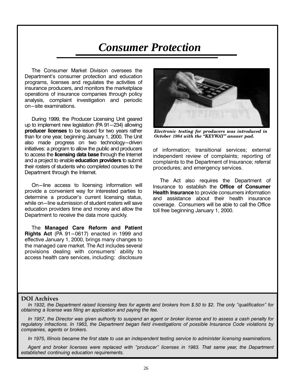### **Consumer Protection**

The Consumer Market Division oversees the Department's consumer protection and education programs, licenses and regulates the activities of insurance producers, and monitors the marketplace operations of insurance companies through policy analysis, complaint investigation and periodic on-site examinations.

During 1999, the Producer Licensing Unit geared up to implement new legislation (PA 91-234) allowing **producer licenses** to be issued for two vears rather than for one year, beginning January 1, 2000. The Unit also made progress on two technology-driven initiatives: a program to allow the public and producers to access the licensing data base through the Internet and a project to enable **education providers** to submit their rosters of students who completed courses to the Department through the Internet.

On-line access to licensing information will provide a convenient way for interested parties to determine a producer's current licensing status, while on-line submission of student rosters will save education providers time and money and allow the Department to receive the data more quickly.

The Managed Care Reform and Patient Rights Act (PA 91-0617) enacted in 1999 and effective January 1, 2000, brings many changes to the managed care market. The Act includes several provisions dealing with consumers' ability to access health care services, including: disclosure



Electronic testing for producers was introduced in October 1984 with the "KEYWAY" answer pad.

of information; transitional services; external independent review of complaints; reporting of complaints to the Department of Insurance; referral procedures; and emergency services.

The Act also requires the Department of Insurance to establish the Office of Consumer **Health Insurance to provide consumers information** and assistance about their health insurance coverage. Consumers will be able to call the Office toll free beginning January 1, 2000.

#### **DOI** Archives

In 1932, the Department raised licensing fees for agents and brokers from \$.50 to \$2. The only "qualification" for obtaining a license was filing an application and paying the fee.

In 1957, the Director was given authority to suspend an agent or broker license and to assess a cash penalty for regulatory infractions. In 1963, the Department began field investigations of possible Insurance Code violations by companies, agents or brokers.

In 1975, Illinois became the first state to use an independent testing service to administer licensing examinations.

Agent and broker licenses were replaced with "producer" licenses in 1983. That same year, the Department established continuing education requirements.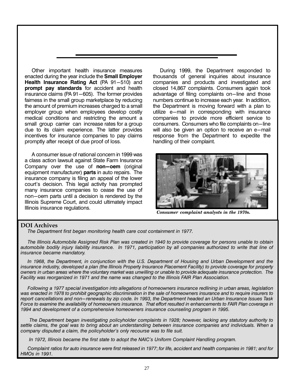Other important health insurance measures enacted during the year include the **Small Employer** Health Insurance Rating Act (PA 91-510) and prompt pay standards for accident and health insurance claims (PA 91-605). The former provides fairness in the small group marketplace by reducing the amount of premium increases charged to a small employer group when employees develop costly medical conditions and restricting the amount a small group carrier can increase rates for a group due to its claim experience. The latter provides incentives for insurance companies to pay claims promptly after receipt of due proof of loss.

A consumer issue of national concern in 1999 was a class action lawsuit against State Farm Insurance Company over the use of **non-oem** (original equipment manufacturer) parts in auto repairs. The insurance company is filing an appeal of the lower court's decision. This legal activity has prompted many insurance companies to cease the use of non-oem parts until a decision is rendered by the Illinois Supreme Court, and could ultimately impact Illinois insurance regulations.

During 1999, the Department responded to thousands of general inquiries about insurance companies and products and investigated and closed 14,867 complaints. Consumers again took advantage of filing complaints on-line and those numbers continue to increase each year. In addition, the Department is moving forward with a plan to utilize e-mail in corresponding with insurance companies to provide more efficient service to consumers. Consumers who file complaints on-line will also be given an option to receive an e-mail response from the Department to expedite the handling of their complaint.



Consumer complaint analysts in the 1970s.

#### **DOI** Archives

The Department first began monitoring health care cost containment in 1977.

The Illinois Automobile Assigned Risk Plan was created in 1940 to provide coverage for persons unable to obtain automobile bodily injury liability insurance. In 1971, participation by all companies authorized to write that line of insurance became mandatory.

In 1968, the Department, in conjunction with the U.S. Department of Housing and Urban Development and the insurance industry, developed a plan (the Illinois Property Insurance Placement Facility) to provide coverage for property owners in urban areas where the voluntary market was unwilling or unable to provide adequate insurance protection. The Facility was reorganized in 1971 and the name was changed to the Illinois FAIR Plan Association.

Following a 1977 special investigation into allegations of homeowners insurance redlining in urban areas, legislation was enacted in 1978 to prohibit geographic discrimination in the sale of homeowners insurance and to require insurers to report cancellations and non–renewals by zip code. In 1993, the Department headed an Urban Insurance Issues Task Force to examine the availability of homeowners insurance. That effort resulted in enhancements to FAIR Plan coverage in 1994 and development of a comprehensive homeowners insurance counseling program in 1995.

The Department began investigating policyholder complaints in 1928; however, lacking any statutory authority to settle claims, the goal was to bring about an understanding between insurance companies and individuals. When a company disputed a claim, the policyholder's only recourse was to file suit.

In 1972, Illinois became the first state to adopt the NAIC's Uniform Complaint Handling program.

Complaint ratios for auto insurance were first released in 1977; for life, accident and health companies in 1981; and for HMOs in 1991.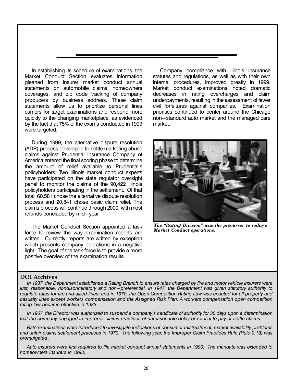In establishing its schedule of examinations, the Market Conduct Section evaluates information gleaned from insurer market conduct annual statements on automobile claims, homeowners coverages, and zip code tracking of company producers by business address. These claim statements allow us to prioritize personal lines carriers for target examinations and respond more quickly to the changing marketplace, as evidenced by the fact that 75% of the exams conducted in 1999 were targeted.

During 1999, the alternative dispute resolution (ADR) process developed to settle marketing abuse claims against Prudential Insurance Company of America entered the final scoring phase to determine the amount of relief available to Prudential's policyholders. Two Illinois market conduct experts have participated on the state regulator oversight panel to monitor the claims of the 90,422 Illinois policyholders participating in the settlement. Of that total, 60,581 chose the alternative dispute resolution process and 20,841 chose basic claim relief. The claims process will continue through 2000, with most refunds concluded by mid-year.

The Market Conduct Section appointed a task force to review the way examination reports are written. Currently, reports are written by exception which presents company operations in a negative light. The goal of the task force is to provide a more positive overview of the examination results.

Company compliance with Illinois insurance statutes and regulations, as well as with their own internal procedures, improved greatly in 1999. Market conduct examinations noted dramatic decreases in rating overcharges and claim underpayments, resulting in the assessment of fewer civil forfeitures against companies. Examination priorities continued to center around the Chicago non-standard auto market and the managed care market.



The "Rating Division" was the precursor to today's **Market Conduct operations.** 

#### **DOI** Archives

In 1937, the Department established a Rating Branch to ensure rates charged by fire and motor vehicle insurers were just, reasonable, nondiscriminatory and non-preferential. in 1947, the Department was given statutory authority to regulate rates for fire and allied lines; and in 1970, the Open Competition Rating Law was enacted for all property and casualty lines except workers compensation and the Assigned Risk Plan. A workers compensation open competition rating law became effective in 1983.

In 1967, the Director was authorized to suspend a company's certificate of authority for 30 days upon a determination that the company engaged in improper claims practices of unreasonable delay or refusal to pay or settle claims.

Rate examinations were introduced to investigate indications of consumer mistreatment, market availability problems and unfair claims settlement practices in 1970. The following year, the Improper Claim Practices Rule (Rule 9.19) was promulgated.

Auto insurers were first required to file market conduct annual statements in 1990. The mandate was extended to homeowners insurers in 1993.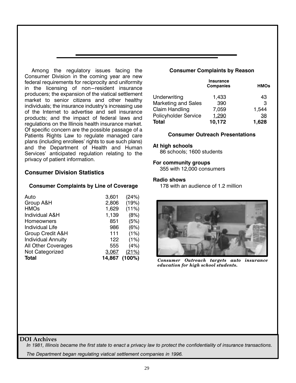Among the regulatory issues facing the Consumer Division in the coming year are new federal requirements for reciprocity and uniformity in the licensing of non-resident insurance producers; the expansion of the viatical settlement market to senior citizens and other healthy individuals; the insurance industry's increasing use of the Internet to advertise and sell insurance products; and the impact of federal laws and regulations on the Illinois health insurance market. Of specific concern are the possible passage of a Patients Rights Law to regulate managed care plans (including enrollees' rights to sue such plans) and the Department of Health and Human Services' anticipated regulation relating to the privacy of patient information.

#### **Consumer Division Statistics**

#### **Consumer Complaints by Line of Coverage**

| Auto                        | 3,601  | (24%)  |
|-----------------------------|--------|--------|
| Group A&H                   | 2,806  | (19%)  |
| <b>HMOs</b>                 | 1,629  | (11%)  |
| <b>Individual A&amp;H</b>   | 1,139  | (8%)   |
| Homeowners                  | 851    | (5%)   |
| Individual Life             | 986    | (6%)   |
| <b>Group Credit A&amp;H</b> | 111    | (1%)   |
| <b>Individual Annuity</b>   | 122    | (1%)   |
| All Other Coverages         | 555    | (4%)   |
| Not Categorized             | 3,067  | (21%)  |
| <b>Total</b>                | 14,867 | (100%) |

#### **Consumer Complaints by Reason**

|                             | <b>Insurance</b><br><b>Companies</b> | <b>HMOs</b> |
|-----------------------------|--------------------------------------|-------------|
| Underwriting                | 1,433                                | 43          |
| <b>Marketing and Sales</b>  | 390                                  | 3           |
| Claim Handling              | 7,059                                | 1,544       |
| <b>Policyholder Service</b> | 1,290                                | 38          |
| <b>Total</b>                | 10,172                               | 1,628       |

#### **Consumer Outreach Presentations**

#### At high schools

86 schools; 1600 students

#### For community groups

355 with 12,000 consumers

#### Radio shows

178 with an audience of 1.2 million



Consumer Outreach targets auto insurance education for high school students.

#### **DOI** Archives

In 1981, Illinois became the first state to enact a privacy law to protect the confidentiality of insurance transactions. The Department began regulating viatical settlement companies in 1996.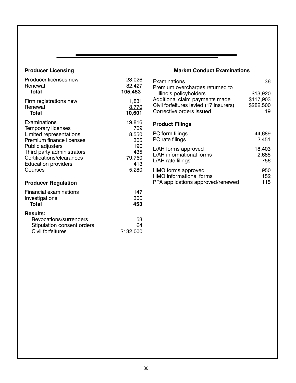### **Producer Licensing**

### **Market Conduct Examinations**

| Producer licenses new<br>Renewal<br><b>Total</b>                                                          | 23,026<br>82,427<br>105,453 | Examinations<br>Premium overcharges returned to<br>Illinois policyholders                            | 36<br>\$13,920               |
|-----------------------------------------------------------------------------------------------------------|-----------------------------|------------------------------------------------------------------------------------------------------|------------------------------|
| Firm registrations new<br>Renewal<br><b>Total</b>                                                         | 1,831<br>8,770<br>10,601    | Additional claim payments made<br>Civil forfeitures levied (17 insurers)<br>Corrective orders issued | \$117,903<br>\$282,500<br>19 |
| Examinations<br>Temporary licenses                                                                        | 19,816<br>709               | <b>Product Filings</b>                                                                               |                              |
| Limited representations<br>Premium finance licenses                                                       | 8,550<br>305                | PC form filings<br>PC rate filings                                                                   | 44,689<br>2,451              |
| Public adjusters<br>Third party administrators<br>Certifications/clearances<br><b>Education providers</b> | 190<br>435<br>79,760<br>413 | L/AH forms approved<br>L/AH informational forms<br>L/AH rate filings                                 | 18,403<br>2,685<br>756       |
| Courses                                                                                                   | 5,280                       | HMO forms approved<br>HMO informational forms                                                        | 950<br>152                   |
| <b>Producer Regulation</b>                                                                                |                             | PPA applications approved/renewed                                                                    | 115                          |
| Financial examinations<br>Investigations<br>Total                                                         | 147<br>306<br>453           |                                                                                                      |                              |
| <b>Results:</b><br>Revocations/surrenders<br>Stipulation consent orders<br>Civil forfeitures              | 53<br>64<br>\$132,000       |                                                                                                      |                              |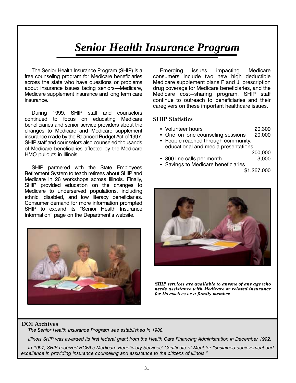## **Senior Health Insurance Program**

The Senior Health Insurance Program (SHIP) is a free counseling program for Medicare beneficiaries across the state who have questions or problems about insurance issues facing seniors-Medicare, Medicare supplement insurance and long term care insurance.

SHIP staff and counselors Durina 1999. continued to focus on educating Medicare beneficiaries and senior service providers about the changes to Medicare and Medicare supplement insurance made by the Balanced Budget Act of 1997. SHIP staff and counselors also counseled thousands of Medicare beneficiaries affected by the Medicare HMO pullouts in Illinois.

SHIP partnered with the State Employees Retirement System to teach retirees about SHIP and Medicare in 26 workshops across Illinois. Finally, SHIP provided education on the changes to Medicare to underserved populations, including ethnic, disabled, and low literacy beneficiaries. Consumer demand for more information prompted SHIP to expand its "Senior Health Insurance Information" page on the Department's website.



Emeraina *issues* impacting Medicare consumers include two new high deductible Medicare supplement plans F and J, prescription drug coverage for Medicare beneficiaries, and the Medicare cost-sharing program. SHIP staff<br>continue to outreach to beneficiaries and their caregivers on these important healthcare issues.

#### **SHIP Statistics**

- Volunteer hours 20,300
- One-on-one counseling sessions 20,000
- People reached through community, educational and media presentations 200.000 • 800 line calls per month 3.000
- Savings to Medicare beneficiaries

\$1,267,000



SHIP services are available to anyone of any age who needs assistance with Medicare or related insurance for themselves or a family member.

#### **DOI** Archives

The Senior Health Insurance Program was established in 1988.

Illinois SHIP was awarded its first federal grant from the Health Care Financing Administration in December 1992.

In 1997, SHIP received HCFA's Medicare Beneficiary Services' Certificate of Merit for "sustained achievement and excellence in providing insurance counseling and assistance to the citizens of Illinois."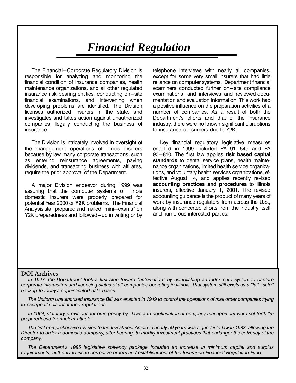## **Financial Regulation**

The Financial-Corporate Regulatory Division is responsible for analyzing and monitoring the financial condition of insurance companies, health maintenance organizations, and all other regulated insurance risk bearing entities, conducting on-site financial examinations, and intervening when developing problems are identified. The Division licenses authorized insurers in the state, and investigates and takes action against unauthorized companies illegally conducting the business of insurance.

The Division is intricately involved in oversight of the management operations of Illinois insurers because by law many corporate transactions, such entering reinsurance agreements, paying as dividends, and transacting business with affiliates, require the prior approval of the Department.

A major Division endeavor during 1999 was assuring that the computer systems of Illinois domestic insurers were properly prepared for potential Year 2000 or Y2K problems. The Financial Analysis staff prepared and mailed "mini-exams" on Y2K preparedness and followed-up in writing or by

telephone interviews with nearly all companies, except for some very small insurers that had little reliance on computer systems. Department financial examiners conducted further on-site compliance examinations and interviews and reviewed documentation and evaluation information. This work had a positive influence on the preparation activities of a number of companies. As a result of both the Department's efforts and that of the insurance industry, there were no known significant disruptions to insurance consumers due to Y2K.

Key financial regulatory legislative measures enacted in 1999 included PA 91-549 and PA 90-810. The first law applies risk based capital standards to dental service plans, health maintenance organizations, limited health service organizations, and voluntary health services organizations, effective August 14, and applies recently revised accounting practices and procedures to Illinois insurers, effective January 1, 2001. The revised accounting guidance is the product of many years of work by insurance regulators from across the U.S., along with concerted efforts from the industry itself and numerous interested parties.

#### **DOI** Archives

In 1927, the Department took a first step toward "automation" by establishing an index card system to capture corporate information and licensing status of all companies operating in Illinois. That system still exists as a "fail-safe" backup to today's sophisticated data bases.

The Uniform Unauthorized Insurance Bill was enacted in 1949 to control the operations of mail order companies trying to escape Illinois insurance requlations.

In 1964, statutory provisions for emergency by-laws and continuation of company management were set forth "in preparedness for nuclear attack."

The first comprehensive revision to the Investment Article in nearly 50 years was signed into law in 1983, allowing the Director to order a domestic company, after hearing, to modify investment practices that endanger the solvency of the company.

The Department's 1985 legislative solvency package included an increase in minimum capital and surplus requirements, authority to issue corrective orders and establishment of the Insurance Financial Regulation Fund.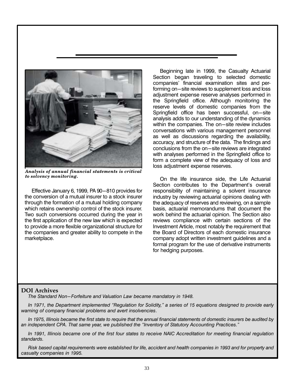

Analysis of annual financial statements is critical to solvency monitoring.

Effective January 6, 1999, PA 90-810 provides for the conversion of a mutual insurer to a stock insurer through the formation of a mutual holding company which retains ownership control of the stock insurer. Two such conversions occurred during the year in the first application of the new law which is expected to provide a more flexible organizational structure for the companies and greater ability to compete in the marketplace.

Beginning late in 1999, the Casualty Actuarial Section began traveling to selected domestic companies' financial examination sites and performing on-site reviews to supplement loss and loss adjustment expense reserve analyses performed in the Springfield office. Although monitoring the reserve levels of domestic companies from the Springfield office has been successful, on-site analysis adds to our understanding of the dynamics within the companies. The on-site review includes conversations with various management personnel as well as discussions regarding the availability, accuracy, and structure of the data. The findings and conclusions from the on-site reviews are integrated with analyses performed in the Springfield office to form a complete view of the adequacy of loss and loss adjustment expense reserves.

On the life insurance side, the Life Actuarial Section contributes to the Department's overall responsibility of maintaining a solvent insurance industry by reviewing actuarial opinions dealing with the adequacy of reserves and reviewing, on a sample basis, actuarial memorandums that document the work behind the actuarial opinion. The Section also reviews compliance with certain sections of the Investment Article, most notably the requirement that the Board of Directors of each domestic insurance company adopt written investment quidelines and a formal program for the use of derivative instruments for hedging purposes.

#### **DOI** Archives

The Standard Non-Forfeiture and Valuation Law became mandatory in 1948.

In 1971, the Department implemented "Regulation for Solidity," a series of 15 equations designed to provide early warning of company financial problems and avert insolvencies.

In 1975, Illinois became the first state to require that the annual financial statements of domestic insurers be audited by an independent CPA. That same year, we published the "Inventory of Statutory Accounting Practices."

In 1991, Illinois became one of the first four states to receive NAIC Accreditation for meeting financial regulation standards.

Risk based capital requirements were established for life, accident and health companies in 1993 and for property and casualty companies in 1995.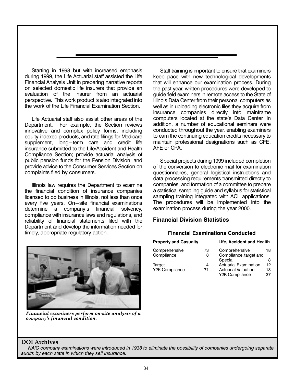Starting in 1998 but with increased emphasis during 1999, the Life Actuarial staff assisted the Life Financial Analysis Unit in preparing narrative reports on selected domestic life insurers that provide an evaluation of the insurer from an actuarial perspective. This work product is also integrated into the work of the Life Financial Examination Section.

Life Actuarial staff also assist other areas of the Department. For example, the Section reviews innovative and complex policy forms, including equity indexed products, and rate filings for Medicare supplement, long-term care and credit life insurance submitted to the Life/Accident and Health Compliance Section; provide actuarial analysis of public pension funds for the Pension Division; and provide advice to the Consumer Services Section on complaints filed by consumers.

Illinois law requires the Department to examine the financial condition of insurance companies licensed to do business in Illinois, not less than once every five vears. On-site financial examinations determine a company's financial solvency, compliance with insurance laws and regulations, and reliability of financial statements filed with the Department and develop the information needed for timely, appropriate regulatory action.



Financial examiners perform on-site analysis of a company's financial condition.

Staff training is important to ensure that examiners keep pace with new technological developments that will enhance our examination process. During the past year, written procedures were developed to quide field examiners in remote access to the State of Illinois Data Center from their personal computers as well as in uploading electronic files they acquire from insurance companies directly into mainframe computers located at the state's Data Center. In addition, a number of educational seminars were conducted throughout the year, enabling examiners to earn the continuing education credits necessary to maintain professional designations such as CFE, AFE or CPA.

Special projects during 1999 included completion of the conversion to electronic mail for examination questionnaires, general logistical instructions and data processing requirements transmitted directly to companies, and formation of a committee to prepare a statistical sampling guide and syllabus for statistical sampling training integrated with ACL applications. The procedures will be implemented into the examination process during the year 2000.

#### **Financial Division Statistics**

#### **Financial Examinations Conducted**

| <b>Property and Casualty</b> |    | <b>Life, Accident and Health</b> |    |  |
|------------------------------|----|----------------------------------|----|--|
| Comprehensive                | 73 | Comprehensive                    | 18 |  |
| Compliance                   | 8  | Compliance, target and           |    |  |
|                              |    | Special                          | 8  |  |
| Target                       | 4  | <b>Actuarial Examination</b>     | 12 |  |
| <b>Y2K Compliance</b>        | 71 | <b>Actuarial Valuation</b>       | 13 |  |
|                              |    | Y2K Compliance                   | 37 |  |

#### **DOI** Archives

NAIC company examinations were introduced in 1938 to eliminate the possibility of companies undergoing separate audits by each state in which they sell insurance.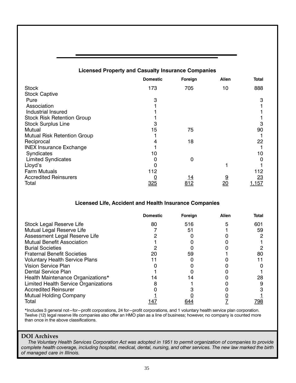#### **Licensed Property and Casualty Insurance Companies**

|                                    | <b>Domestic</b> | Foreign    | <b>Alien</b> | <b>Total</b> |
|------------------------------------|-----------------|------------|--------------|--------------|
| <b>Stock</b>                       | 173             | 705        | 10           | 888          |
| <b>Stock Captive</b>               |                 |            |              |              |
| Pure                               | 3               |            |              | 3            |
| Association                        |                 |            |              |              |
| Industrial Insured                 |                 |            |              |              |
| <b>Stock Risk Retention Group</b>  |                 |            |              |              |
| <b>Stock Surplus Line</b>          | 3               |            |              | 3            |
| Mutual                             | 15              | 75         |              | 90           |
| <b>Mutual Risk Retention Group</b> |                 |            |              |              |
| Reciprocal                         |                 | 18         |              | 22           |
| <b>INEX Insurance Exchange</b>     |                 |            |              |              |
| Syndicates                         | 10              |            |              | 10           |
| <b>Limited Syndicates</b>          |                 | 0          |              | 0            |
| Lloyd's                            |                 |            |              |              |
| <b>Farm Mutuals</b>                | 112             |            |              | 112          |
| <b>Accredited Reinsurers</b>       | <u>0</u>        | <u> 14</u> | <u>9</u>     | <u>23</u>    |
| Total                              | 325             | <u>812</u> | <u> 20</u>   | 1,157        |

#### Licensed Life, Accident and Health Insurance Companies

|                                             | <b>Domestic</b> | Foreign | <b>Alien</b> | Total |
|---------------------------------------------|-----------------|---------|--------------|-------|
| Stock Legal Reserve Life                    | 80              | 516     |              | 601   |
| Mutual Legal Reserve Life                   |                 | 51      |              | 59    |
| Assessment Legal Reserve Life               |                 |         |              |       |
| <b>Mutual Benefit Association</b>           |                 |         |              |       |
| <b>Burial Societies</b>                     |                 |         |              |       |
| <b>Fraternal Benefit Societies</b>          | 20              | 59      |              | 80    |
| <b>Voluntary Health Service Plans</b>       |                 |         |              |       |
| <b>Vision Service Plan</b>                  |                 |         |              |       |
| Dental Service Plan                         |                 |         |              |       |
| Health Maintenance Organizations*           | 14              |         |              | 28    |
| <b>Limited Health Service Organizations</b> |                 |         |              |       |
| <b>Accredited Reinsurer</b>                 |                 |         |              |       |
| <b>Mutual Holding Company</b>               |                 |         |              |       |
| Total                                       | l 47            | 644     |              | 798   |

\*Includes 3 general not-for-profit corporations, 24 for-profit corporations, and 1 voluntary health service plan corporation. Twelve (12) legal reserve life companies also offer an HMO plan as a line of business; however, no company is counted more than once in the above classifications.

#### **DOI** Archives

The Voluntary Health Services Corporation Act was adopted in 1951 to permit organization of companies to provide complete health coverage, including hospital, medical, dental, nursing, and other services. The new law marked the birth of managed care in Illinois.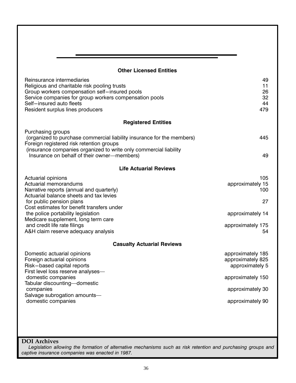| <b>Other Licensed Entities</b>                                                                                                                                                                                                                                                                                                                                   |                                                                                                                        |  |  |  |
|------------------------------------------------------------------------------------------------------------------------------------------------------------------------------------------------------------------------------------------------------------------------------------------------------------------------------------------------------------------|------------------------------------------------------------------------------------------------------------------------|--|--|--|
| Reinsurance intermediaries<br>Religious and charitable risk pooling trusts<br>Group workers compensation self-insured pools<br>Service companies for group workers compensation pools<br>Self-insured auto fleets<br>Resident surplus lines producers                                                                                                            | 49<br>11<br>26<br>32<br>44<br>479                                                                                      |  |  |  |
| <b>Registered Entities</b>                                                                                                                                                                                                                                                                                                                                       |                                                                                                                        |  |  |  |
| Purchasing groups<br>(organized to purchase commercial liability insurance for the members)<br>Foreign registered risk retention groups<br>(insurance companies organized to write only commercial liability<br>Insurance on behalf of their owner-members)                                                                                                      | 445<br>49                                                                                                              |  |  |  |
| <b>Life Actuarial Reviews</b>                                                                                                                                                                                                                                                                                                                                    |                                                                                                                        |  |  |  |
| Actuarial opinions<br>Actuarial memorandums<br>Narrative reports (annual and quarterly)<br>Actuarial balance sheets and tax levies<br>for public pension plans<br>Cost estimates for benefit transfers under<br>the police portability legislation<br>Medicare supplement, long term care<br>and credit life rate filings<br>A&H claim reserve adequacy analysis | 105<br>approximately 15<br>100<br>27<br>approximately 14<br>approximately 175<br>54                                    |  |  |  |
| <b>Casualty Actuarial Reviews</b>                                                                                                                                                                                                                                                                                                                                |                                                                                                                        |  |  |  |
| Domestic actuarial opinions<br>Foreign actuarial opinions<br>Risk-based capital reports<br>First level loss reserve analyses-<br>domestic companies<br>Tabular discounting-domestic<br>companies<br>Salvage subrogation amounts-<br>domestic companies                                                                                                           | approximately 185<br>approximately 825<br>approximately 5<br>approximately 150<br>approximately 30<br>approximately 90 |  |  |  |
|                                                                                                                                                                                                                                                                                                                                                                  |                                                                                                                        |  |  |  |

#### **DOI** Archives

Legislation allowing the formation of alternative mechanisms such as risk retention and purchasing groups and<br>captive insurance companies was enacted in 1987.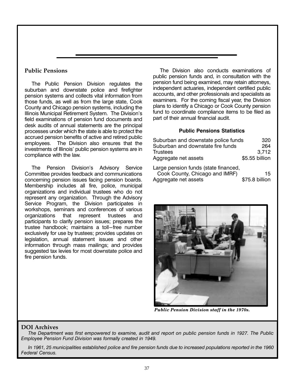# **Public Pensions**

The Public Pension Division regulates the suburban and downstate police and firefighter pension systems and collects vital information from those funds, as well as from the large state, Cook County and Chicago pension systems, including the Illinois Municipal Retirement System. The Division's field examinations of pension fund documents and desk audits of annual statements are the principal processes under which the state is able to protect the accrued pension benefits of active and retired public emplovees. The Division also ensures that the investments of Illinois' public pension systems are in compliance with the law.

The Pension Division's Advisory Service Committee provides feedback and communications concerning pension issues facing pension boards. Membership includes all fire, police, municipal organizations and individual trustees who do not represent any organization. Through the Advisory Service Program, the Division participates in workshops, seminars and conferences of various organizations that represent trustees and participants to clarify pension issues; prepares the trustee handbook; maintains a toll-free number exclusively for use by trustees; provides updates on legislation, annual statement issues and other information through mass mailings; and provides suggested tax levies for most downstate police and fire pension funds.

The Division also conducts examinations of public pension funds and, in consultation with the pension fund being examined, may retain attorneys, independent actuaries, independent certified public accounts, and other professionals and specialists as examiners. For the coming fiscal year, the Division plans to identify a Chicago or Cook County pension fund to coordinate compliance items to be filed as part of their annual financial audit.

# **Public Pensions Statistics**

| Suburban and downstate police funds  | 320            |
|--------------------------------------|----------------|
| Suburban and downstate fire funds    | 264            |
| <b>Trustees</b>                      | 3,712          |
| Aggregate net assets                 | \$5.55 billion |
| Large pension funds (state financed, |                |
| Cook County, Chicago and IMRF)       | 15             |
| Aggregate net assets                 | \$75.8 billion |



**Public Pension Division staff in the 1970s.** 

# **DOI** Archives

The Department was first empowered to examine, audit and report on public pension funds in 1927. The Public Employee Pension Fund Division was formally created in 1949.

In 1961, 25 municipalities established police and fire pension funds due to increased populations reported in the 1960 Federal Census.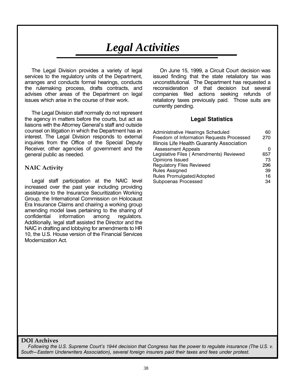# **Legal Activities**

The Legal Division provides a variety of legal services to the regulatory units of the Department, arranges and conducts formal hearings, conducts the rulemaking process, drafts contracts, and advises other areas of the Department on legal issues which arise in the course of their work.

The Legal Division staff normally do not represent the agency in matters before the courts, but act as liaisons with the Attorney General's staff and outside counsel on litigation in which the Department has an interest. The Legal Division responds to external inquiries from the Office of the Special Deputy Receiver, other agencies of government and the general public as needed.

# **NAIC Activity**

Legal staff participation at the NAIC level increased over the past year including providing assistance to the Insurance Securitization Working Group, the International Commission on Holocaust Era Insurance Claims and chairing a working group amending model laws pertaining to the sharing of confidential information among regulators. Additionally, legal staff assisted the Director and the NAIC in drafting and lobbying for amendments to HR 10, the U.S. House version of the Financial Services Modernization Act.

On June 15, 1999, a Circuit Court decision was issued finding that the state retaliatory tax was unconstitutional. The Department has requested a reconsideration of that decision but several companies filed actions seeking refunds of retaliatory taxes previously paid. Those suits are currently pending.

# **Legal Statistics**

| Administrative Hearings Scheduled         | 60  |
|-------------------------------------------|-----|
| Freedom of Information Requests Processed | 270 |
| Illinois Life Health Guaranty Association |     |
| <b>Assessment Appeals</b>                 |     |
| Legislative Files (Amendments) Reviewed   | 657 |
| Opinions Issued                           | 73  |
| <b>Regulatory Files Reviewed</b>          | 296 |
| <b>Rules Assigned</b>                     | 39  |
| Rules Promulgated/Adopted                 | 16  |
| Subpoenas Processed                       | 34  |

#### **DOI** Archives

Following the U.S. Supreme Court's 1944 decision that Congress has the power to regulate insurance (The U.S. v. South-Eastern Underwriters Association), several foreign insurers paid their taxes and fees under protest.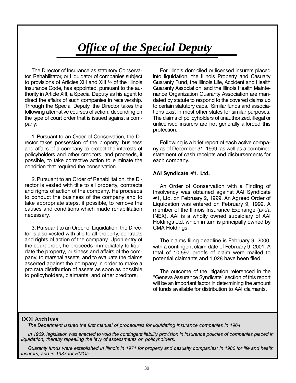# **Office of the Special Deputy**

The Director of Insurance as statutory Conservator, Rehabilitator, or Liquidator of companies subject to provisions of Articles XIII and XIII  $\frac{1}{2}$  of the Illinois Insurance Code, has appointed, pursuant to the authority in Article XIII, a Special Deputy as his agent to direct the affairs of such companies in receivership. Through the Special Deputy, the Director takes the following alternative courses of action, depending on the type of court order that is issued against a company:

1. Pursuant to an Order of Conservation, the Director takes possession of the property, business and affairs of a company to protect the interests of policyholders and other creditors, and proceeds, if possible, to take corrective action to eliminate the condition that required the conservation.

2. Pursuant to an Order of Rehabilitation, the Director is vested with title to all property, contracts and rights of action of the company. He proceeds to conduct the business of the company and to take appropriate steps, if possible, to remove the causes and conditions which made rehabilitation necessary.

3. Pursuant to an Order of Liquidation, the Director is also vested with title to all property, contracts and rights of action of the company. Upon entry of the court order, he proceeds immediately to liquidate the property, business and affairs of the company, to marshal assets, and to evaluate the claims asserted against the company in order to make a pro rata distribution of assets as soon as possible to policyholders, claimants, and other creditors.

For Illinois domiciled or licensed insurers placed into liquidation, the Illinois Property and Casualty Guaranty Fund, the Illinois Life, Accident and Health Guaranty Association, and the Illinois Health Maintenance Organization Guaranty Association are mandated by statute to respond to the covered claims up to certain statutory caps. Similar funds and associations exist in most other states for similar purposes. The claims of policyholders of unauthorized, illegal or unlicensed insurers are not generally afforded this protection.

Following is a brief report of each active company as of December 31, 1999, as well as a combined statement of cash receipts and disbursements for each company.

#### AAI Syndicate #1, Ltd.

An Order of Conservation with a Finding of Insolvency was obtained against AAI Syndicate #1, Ltd. on February 2, 1999. An Agreed Order of Liquidation was entered on February 9, 1999. A member of the Illinois Insurance Exchange (a/k/a INEX), AAI is a wholly owned subsidiary of AAI Holdings Ltd. which in turn is principally owned by **CMA Holdings.** 

The claims filing deadline is February 9, 2000, with a contingent claim date of February 9, 2001. A total of 10,597 proofs of claim were mailed to potential claimants and 1.028 have been filed.

The outcome of the litigation referenced in the "Geneva Assurance Syndicate" section of this report will be an important factor in determining the amount of funds available for distribution to AAI claimants.

#### **DOI** Archives

The Department issued the first manual of procedures for liquidating insurance companies in 1964.

In 1969, legislation was enacted to void the contingent liability provision in insurance policies of companies placed in liquidation, thereby repealing the levy of assessments on policyholders.

Guaranty funds were established in Illinois in 1971 for property and casualty companies; in 1980 for life and health insurers; and in 1987 for HMOs.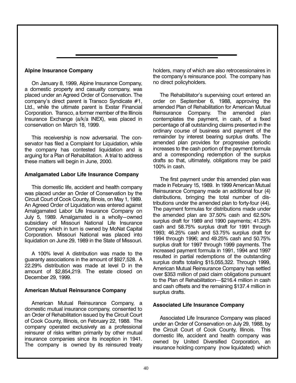# **Alpine Insurance Company**

On January 8, 1999, Alpine Insurance Company, a domestic property and casualty company, was placed under an Agreed Order of Conservation. The company's direct parent is Transco Syndicate #1, Ltd., while the ultimate parent is Exstar Financial Corporation. Transco, a former member of the Illinois Insurance Exchange (a/k/a INEX), was placed in conservation on March 18, 1999.

This receivership is now adversarial. The conservator has filed a Complaint for Liquidation, while the company has contested liquidation and is arguing for a Plan of Rehabilitation. A trial to address these matters will begin in June, 2000.

### **Amalgamated Labor Life Insurance Company**

This domestic life, accident and health company was placed under an Order of Conservation by the Circuit Court of Cook County, Illinois, on May 1, 1989. An Agreed Order of Liquidation was entered against Amalgamated Labor Life Insurance Company on July 5, 1989. Amalgamated is a wholly-owned subsidiary of Missouri National Life Insurance Company which in turn is owned by MoNat Capital Corporation. Missouri National was placed into liquidation on June 29, 1989 in the State of Missouri.

A 100% level A distribution was made to the quaranty associations in the amount of \$927,528. A 22.29% distribution was made at level D in the amount of \$2,854,219. The estate closed on December 29, 1999.

# **American Mutual Reinsurance Company**

American Mutual Reinsurance Company, a domestic mutual insurance company, consented to an Order of Rehabilitation issued by the Circuit Court of Cook County, Illinois, on February 22, 1988. The company operated exclusively as a professional reinsurer of risks written primarily by other mutual insurance companies since its inception in 1941. The company is owned by its reinsured treaty

holders, many of which are also retrocessionaires in the company's reinsurance pool. The company has no direct policyholders.

The Rehabilitator's supervising court entered an order on September 6, 1988, approving the amended Plan of Rehabilitation for American Mutual The amended plan Reinsurance Company. contemplates the payment, in cash, of a fixed percentage of all outstanding claims presented in the ordinary course of business and payment of the remainder by interest bearing surplus drafts. The amended plan provides for progressive periodic increases to the cash portion of the payment formula and a corresponding redemption of the surplus drafts so that, ultimately, obligations may be paid 100% in cash.

The first payment under this amended plan was made in February 15, 1989. In 1999 American Mutual Reinsurance Company made an additional four (4) distributions, bringing the total number of distributions under the amended plan to forty-four (44). The payment formulas for distributions made under the amended plan are 37.50% cash and 62.50% surplus draft for 1989 and 1990 payments; 41.25% cash and 58.75% surplus draft for 1991 through 1993; 46.25% cash and 53.75% surplus draft for 1994 through 1996; and 49.25% cash and 50.75% surplus draft for 1997 through 1999 payments. The increased payment formula in 1991, 1994 and 1997 resulted in partial redemptions of the outstanding surplus drafts totaling \$15,055,322. Through 1999, American Mutual Reinsurance Company has settled over \$353 million of paid claim obligations pursuant to the Plan of Rehabilitation-\$216.4 million in cash and cash offsets and the remaining \$137.4 million in surplus drafts.

#### **Associated Life Insurance Company**

Associated Life Insurance Company was placed under an Order of Conservation on July 29, 1988, by the Circuit Court of Cook County, Illinois. This domestic life, accident and health company was owned by United Diversified Corporation, an insurance holding company (now liquidated) which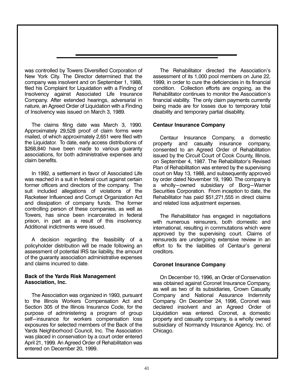was controlled by Towers Diversified Corporation of New York City. The Director determined that the company was insolvent and on September 1, 1988, filed his Complaint for Liquidation with a Finding of Insolvency against Associated Life Insurance Company. After extended hearings, adversarial in nature, an Agreed Order of Liquidation with a Finding of Insolvency was issued on March 3, 1989.

The claims filing date was March 3, 1990. Approximately 29,528 proof of claim forms were mailed, of which approximately 2,651 were filed with the Liquidator. To date, early access distributions of \$268,840 have been made to various guaranty associations, for both administrative expenses and claim benefits.

In 1992, a settlement in favor of Associated Life was reached in a suit in federal court against certain former officers and directors of the company. The suit included allegations of violations of the Racketeer Influenced and Corrupt Organization Act and dissipation of company funds. The former controlling person of these companies, as well as Towers, has since been incarcerated in federal prison, in part as a result of this insolvency. Additional indictments were issued.

A decision regarding the feasibility of a policyholder distribution will be made following an assessment of potential IRS tax liability, the amount of the quaranty association administrative expenses and claims incurred to date.

### **Back of the Yards Risk Management Association, Inc.**

The Association was organized in 1993, pursuant to the Illinois Workers Compensation Act and Section 305 of the Illinois Insurance Code, for the purpose of administering a program of group self-insurance for workers compensation loss exposures for selected members of the Back of the Yards Neighborhood Council, Inc. The Association was placed in conservation by a court order entered April 21, 1999. An Agreed Order of Rehabilitation was entered on December 20, 1999.

The Rehabilitator directed the Association's assessment of its 1,000 pool members on June 22, 1999, in order to cure the deficiencies in its financial condition. Collection efforts are ongoing, as the Rehabilitator continues to monitor the Association's financial viability. The only claim payments currently being made are for losses due to temporary total disability and temporary partial disability.

### **Centaur Insurance Company**

Centaur Insurance Company, a domestic property and casualty insurance company, consented to an Agreed Order of Rehabilitation issued by the Circuit Court of Cook County, Illinois, on September 4, 1987. The Rehabilitator's Revised Plan of Rehabilitation was entered by the supervising court on May 13, 1988, and subsequently approved by order dated November 19, 1990. The company is a wholly-owned subsidiary of Borg-Warner Securities Corporation. From inception to date, the Rehabilitator has paid \$51,271,555 in direct claims and related loss adjustment expenses.

The Rehabilitator has engaged in negotiations with numerous reinsurers, both domestic and international, resulting in commutations which were approved by the supervising court. Claims of reinsureds are undergoing extensive review in an effort to fix the liabilities of Centaur's general creditors.

#### **Coronet Insurance Company**

On December 10, 1996, an Order of Conservation was obtained against Coronet Insurance Company, as well as two of its subsidiaries, Crown Casualty Company and National Assurance Indemnity Company. On December 24, 1996, Coronet was declared insolvent and an Agreed Order of Liquidation was entered. Coronet, a domestic property and casualty company, is a wholly owned subsidiary of Normandy Insurance Agency, Inc. of Chicago.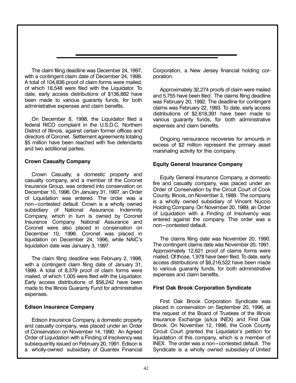The claim filing deadline was December 24, 1997, with a contingent claim date of December 24, 1998. A total of 104,836 proof of claim forms were mailed, of which 18,548 were filed with the Liquidator. To date, early access distributions of \$136,882 have been made to various guaranty funds, for both administrative expenses and claim benefits.

On December 8, 1998, the Liquidator filed a federal RICO complaint in the U.S.D.C. Northern District of Illinois, against certain former offices and directors of Coronet. Settlement agreements totaling \$5 million have been reached with five defendants and two additional parties.

# **Crown Casualty Company**

Crown Casualty, a domestic property and casualty company, and a member of the Coronet Insurance Group, was ordered into conservation on December 10, 1996. On January 31, 1997, an Order of Liquidation was entered. The order was a non-contested default. Crown is a wholly owned subsidiary of National Assurance Indemnity Company, which in turn is owned by Coronet Insurance Company. National Assurance and Coronet were also placed in conservation on December 10, 1996. Coronet was placed in liquidation on December 24, 1996, while NAIC's liquidation date was January 3, 1997.

The claim filing deadline was February 2, 1998, with a contingent claim filing date of January 31, 1999. A total of 8,379 proof of claim forms were mailed, of which 1,005 were filed with the Liquidator. Early access distributions of \$56,242 have been made to the Illinois Guaranty Fund for administrative expenses.

# **Edison Insurance Company**

Edison Insurance Company, a domestic property and casualty company, was placed under an Order of Conservation on November 14, 1990. An Agreed Order of Liquidation with a Finding of Insolvency was subsequently issued on February 20, 1991. Edison is a wholly-owned subsidiary of Quantex Financial Corporation, a New Jersey financial holding corporation.

Approximately 32,274 proofs of claim were mailed and 5,755 have been filed. The claims filing deadline was February 20, 1992. The deadline for contingent claims was February 22, 1993. To date, early access distributions of \$2,618,391 have been made to various guaranty funds, for both administrative expenses and claim benefits.

Ongoing reinsurance recoveries for amounts in excess of \$2 million represent the primary asset marshaling activity for this company.

# **Equity General Insurance Company**

Equity General Insurance Company, a domestic fire and casualty company, was placed under an Order of Conservation by the Circuit Court of Cook County, Illinois, on November 3, 1989. The company is a wholly owned subsidiary of Vincent Nuccio Holding Company. On November 20, 1989, an Order of Liquidation with a Finding of Insolvency was entered against the company. This order was a non-contested default.

The claims filing date was November 20, 1990. The contingent claims date was November 20, 1991. Approximately 12,621 proof of claims forms were mailed. Of those, 1,978 have been filed. To date, early access distributions of \$8,216,522 have been made to various quaranty funds, for both administrative expenses and claim benefits.

# **First Oak Brook Corporation Syndicate**

First Oak Brook Corporation Syndicate was placed in conservation on September 20, 1996, at the request of the Board of Trustees of the Illinois Insurance Exchange (a/k/a INEX) and First Oak Brook. On November 12, 1996, the Cook County Circuit Court granted the Liquidator's petition for liquidation of this company, which is a member of INEX. The order was a non-contested default. The Syndicate is a wholly owned subsidiary of United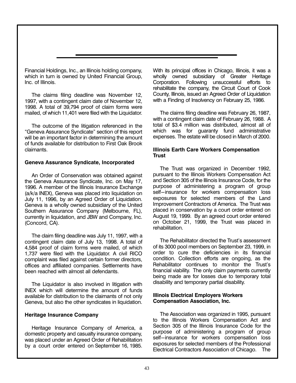Financial Holdings, Inc., an Illinois holding company, which in turn is owned by United Financial Group, Inc. of Illinois.

The claims filing deadline was November 12, 1997, with a contingent claim date of November 12, 1998. A total of 39,794 proof of claim forms were mailed, of which 11,401 were filed with the Liquidator.

The outcome of the litigation referenced in the "Geneva Assurance Syndicate" section of this report will be an important factor in determining the amount of funds available for distribution to First Oak Brook claimants.

#### **Geneva Assurance Syndicate, Incorporated**

An Order of Conservation was obtained against the Geneva Assurance Syndicate, Inc. on May 17, 1996. A member of the Illinois Insurance Exchange (a/k/a INEX), Geneva was placed into liquidation on July 11, 1996, by an Agreed Order of Liquidation. Geneva is a wholly owned subsidiary of the United Southern Assurance Company (Melbourne, FL), currently in liquidation, and JBW and Company, Inc. (Concord, CA).

The claim filing deadline was July 11, 1997, with a contingent claim date of July 13, 1998. A total of 4,584 proof of claim forms were mailed, of which 1,737 were filed with the Liquidator. A civil RICO complaint was filed against certain former directors, offices and affiliated companies. Settlements have been reached with almost all defendants.

The Liquidator is also involved in litigation with INEX which will determine the amount of funds available for distribution to the claimants of not only Geneva, but also the other syndicates in liquidation.

#### **Heritage Insurance Company**

Heritage Insurance Company of America, a domestic property and casualty insurance company, was placed under an Agreed Order of Rehabilitation by a court order entered on September 16, 1985.

With its principal offices in Chicago, Illinois, it was a wholly owned subsidiary of Greater Heritage Corporation. Following unsuccessful efforts to rehabilitate the company, the Circuit Court of Cook County, Illinois, issued an Agreed Order of Liquidation with a Finding of Insolvency on February 25, 1986.

The claims filing deadline was February 26, 1987, with a contingent claim date of February 26, 1988. A total of \$3.4 million was distributed, almost all of which was for guaranty fund administrative expenses. The estate will be closed in March of 2000.

#### **Illinois Earth Care Workers Compensation Trust**

The Trust was organized in December 1992, pursuant to the Illinois Workers Compensation Act and Section 305 of the Illinois Insurance Code, for the purpose of administering a program of group self-insurance for workers compensation loss exposures for selected members of the Land Improvement Contractors of America. The Trust was placed in conservation by a court order entered on August 19, 1999. By an agreed court order entered on October 21, 1999, the Trust was placed in rehabilitation

The Rehabilitator directed the Trust's assessment of its 3000 pool members on September 23, 1999, in order to cure the deficiencies in its financial condition. Collection efforts are ongoing, as the Rehabilitator continues to monitor the Trust's financial viability. The only claim payments currently being made are for losses due to temporary total disability and temporary partial disability.

#### **Illinois Electrical Employers Workers Compensation Association, Inc.**

The Association was organized in 1995, pursuant to the Illinois Workers Compensation Act and Section 305 of the Illinois Insurance Code for the purpose of administering a program of group self-insurance for workers compensation loss exposures for selected members of the Professional Electrical Contractors Association of Chicago. The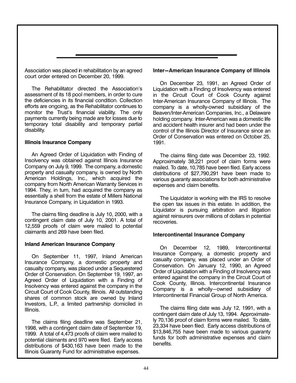Association was placed in rehabilitation by an agreed court order entered on December 20, 1999.

The Rehabilitator directed the Association's assessment of its 18 pool members, in order to cure the deficiencies in its financial condition. Collection efforts are ongoing, as the Rehabilitator continues to monitor the Trust's financial viability. The only payments currently being made are for losses due to temporary total disability and temporary partial disability.

#### **Illinois Insurance Company**

An Agreed Order of Liquidation with Finding of Insolvency was obtained against Illinois Insurance Company on July 9, 1999. The company, a domestic property and casualty company, is owned by North American Holdings, Inc., which acquired the company from North American Warranty Services in 1994. They, in turn, had acquired the company as essentially a shell from the estate of Millers National Insurance Company, in Liquidation in 1993.

The claims filing deadline is July 10, 2000, with a contingent claim date of July 10, 2001. A total of 12,559 proofs of claim were mailed to potential claimants and 269 have been filed.

#### **Inland American Insurance Company**

On September 11, 1997, Inland American Insurance Company, a domestic property and casualty company, was placed under a Sequestered Order of Conservation. On September 19, 1997, an Agreed Order of Liquidation with a Finding of Insolvency was entered against the company in the Circuit Court of Cook County, Illinois. All outstanding shares of common stock are owned by Inland Investors, L.P., a limited partnership domiciled in Illinois.

The claims filing deadline was September 21, 1998, with a contingent claim date of September 19, 1999. A total of 4,473 proofs of claim were mailed to potential claimants and 970 were filed. Early access distributions of \$430,163 have been made to the Illinois Guaranty Fund for administrative expenses.

# Inter-American Insurance Company of Illinois

On December 23, 1991, an Agreed Order of Liquidation with a Finding of Insolvency was entered in the Circuit Court of Cook County against Inter-American Insurance Company of Illinois. The company is a wholly-owned subsidiary of the Beaven/Inter-American Companies, Inc., a Delaware holding company. Inter-American was a domestic life and accident health insurer and had been under the control of the Illinois Director of Insurance since an Order of Conservation was entered on October 25. 1991

The claims filing date was December 23, 1992. Approximately 38,221 proof of claim forms were mailed. To date, 10,785 have been filed. Early access distributions of \$27,790,291 have been made to various quaranty associations for both administrative expenses and claim benefits.

The Liquidator is working with the IRS to resolve the open tax issues in this estate. In addition, the Liquidator is pursuing arbitration and litigation against reinsurers over millions of dollars in potential recoveries.

# **Intercontinental Insurance Company**

On December 12. 1989. Intercontinental Insurance Company, a domestic property and casualty company, was placed under an Order of Conservation. On January 12, 1990, an Agreed Order of Liquidation with a Finding of Insolvency was entered against the company in the Circuit Court of Cook County, Illinois. Intercontinental Insurance Company is a wholly-owned subsidiary of Intercontinental Financial Group of North America.

The claims filing date was July 12, 1991, with a contingent claim date of July 13, 1994. Approximate-Iv 70.136 proof of claim forms were mailed. To date, 23,334 have been filed. Early access distributions of \$13,846,755 have been made to various guaranty funds for both administrative expenses and claim benefits.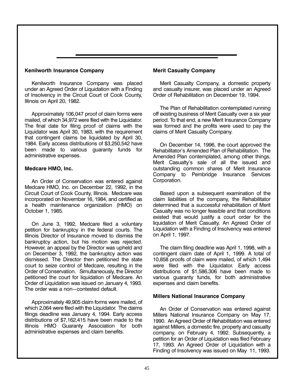### **Kenilworth Insurance Company**

Kenilworth Insurance Company was placed under an Agreed Order of Liquidation with a Finding of Insolvency in the Circuit Court of Cook County, Illinois on April 20, 1982.

Approximately 106,047 proof of claim forms were mailed, of which 34,972 were filed with the Liquidator. The final date for filing proof of claims with the Liquidator was April 30, 1983, with the requirement that contingent claims be liquidated by April 30, 1984. Early access distributions of \$3,250,542 have been made to various guaranty funds for administrative expenses.

### **Medcare HMO, Inc.**

An Order of Conservation was entered against Medcare HMO, Inc. on December 22, 1992, in the Circuit Court of Cook County, Illinois. Medcare was incorporated on November 16, 1984, and certified as a health maintenance organization (HMO) on October 1, 1985.

On June 3, 1992, Medcare filed a voluntary petition for bankruptcy in the federal courts. The Illinois Director of Insurance moved to dismiss the bankruptcy action, but his motion was rejected. However, an appeal by the Director was upheld and on December 3, 1992, the bankruptcy action was dismissed. The Director then petitioned the state court to seize control of Medcare, resulting in the Order of Conservation. Simultaneously, the Director petitioned the court for liquidation of Medcare. An Order of Liquidation was issued on January 4, 1993. The order was a non-contested default.

Approximately 49,905 claim forms were mailed, of which 2,064 were filed with the Liquidator. The claims filings deadline was January 4, 1994. Early access distributions of \$7,162,415 have been made to the Illinois HMO Guaranty Association for both administrative expenses and claim benefits.

# **Merit Casualty Company**

Merit Casualty Company, a domestic property and casualty insurer, was placed under an Agreed Order of Rehabilitation on December 19, 1994.

The Plan of Rehabilitation contemplated running off existing business of Merit Casualty over a six year period. To that end, a new Merit Insurance Company was formed and the profits were used to pay the claims of Merit Casualty Company.

On December 14, 1996, the court approved the Rehabilitator's Amended Plan of Rehabilitation. The Amended Plan contemplated, among other things, Merit Casualty's sale of all the issued and outstanding common shares of Merit Insurance Company to Pembridge Insurance Services Corporation.

Based upon a subsequent examination of the claim liabilities of the company, the Rehabilitator determined that a successful rehabilitation of Merit Casualty was no longer feasible and that conditions existed that would justify a court order for the liquidation of Merit Casualty. An Agreed Order of Liquidation with a Finding of Insolvency was entered on April 1, 1997.

The claim filing deadline was April 1, 1998, with a contingent claim date of April 1, 1999. A total of 10,858 proofs of claim were mailed, of which 1,494 were filed with the Liquidator. Early access distributions of \$1,586,306 have been made to various quaranty funds, for both administrative expenses and claim benefits.

# **Millers National Insurance Company**

An Order of Conservation was entered against Millers National Insurance Company on May 17, 1990. An Agreed Order of Rehabilitation was entered against Millers, a domestic fire, property and casualty company, on February 4, 1992. Subsequently, a petition for an Order of Liquidation was filed February 17, 1993. An Agreed Order of Liquidation with a Finding of Insolvency was issued on May 11, 1993.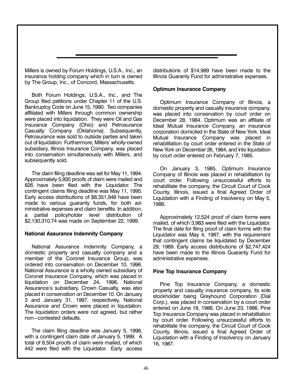Millers is owned by Forum Holdings, U.S.A., Inc., an insurance holding company which in turn is owned by The Group, Inc., of Concord, Massachusetts.

Both Forum Holdings, U.S.A., Inc., and The Group filed petitions under Chapter 11 of the U.S. Bankruptcy Code on June 15, 1990. Two companies affiliated with Millers through common ownership were placed into liquidation. They were Oil and Gas Insurance Company (Ohio) and Petrosurance Casualty Company (Oklahoma). Subsequently, Petrosurance was sold to outside parties and taken out of liquidation. Furthermore, Millers' wholly-owned subsidiary, Illinois Insurance Company, was placed into conservation simultaneously with Millers, and subsequently sold.

The claim filing deadline was set for May 11, 1994. Approximately 5,930 proofs of claim were mailed and 826 have been filed with the Liquidator. The contingent claims filing deadline was May 11, 1995. Early access distributions of \$8,351,948 have been made to various quaranty funds, for both administrative expenses and claim benefits. In addition, partial policyholder level distribution  $\sigma$ f a \$2,130,310.74 was made on September 22, 1999.

#### **National Assurance Indemnity Company**

National Assurance Indemnity Company, a domestic property and casualty company and a member of the Coronet Insurance Group, was ordered into conservation on December 10, 1996. National Assurance is a wholly owned subsidiary of Coronet Insurance Company, which was placed in liquidation on December 24, 1996. National Assurance's subsidiary, Crown Casualty, was also placed in conservation on December 10. On January 3 and January 31, 1997, respectively, National Assurance and Crown were placed in liquidation. The liquidation orders were not agreed, but rather non-contested defaults.

The claim filing deadline was January 5, 1998, with a contingent claim date of January 5, 1999. A total of 8,504 proofs of claim were mailed, of which 442 were filed with the Liquidator. Early access distributions of \$14,989 have been made to the Illinois Guaranty Fund for administrative expenses.

# **Optimum Insurance Company**

Optimum Insurance Company of Illinois, a domestic property and casualty insurance company, was placed into conservation by court order on December 28, 1984. Optimum was an affiliate of Ideal Mutual Insurance Company, an insurance corporation domiciled in the State of New York. Ideal Mutual Insurance Company was placed in rehabilitation by court order entered in the State of New York on December 26, 1984, and into liquidation by court order entered on February 7, 1985.

On January 3, 1985, Optimum Insurance Company of Illinois was placed in rehabilitation by court order. Following unsuccessful efforts to rehabilitate the company, the Circuit Court of Cook County, Illinois, issued a final Agreed Order of Liquidation with a Finding of Insolvency on May 5. 1986.

Approximately 12,524 proof of claim forms were mailed, of which 3,983 were filed with the Liquidator. The final date for filing proof of claim forms with the Liquidator was May 4, 1987, with the requirement that contingent claims be liquidated by December 29, 1989. Early access distributions of \$2,747,424 have been made to the Illinois Guaranty Fund for administrative expenses.

# **Pine Top Insurance Company**

Pine Top Insurance Company, a domestic property and casualty insurance company, its sole stockholder being Greyhound Corporation (Dial Corp.), was placed in conservation by a court order entered on June 18, 1986. On June 23, 1986, Pine Top Insurance Company was placed in rehabilitation by court order. Following unsuccessful efforts to rehabilitate the company, the Circuit Court of Cook County, Illinois, issued a final Agreed Order of Liquidation with a Finding of Insolvency on January 16, 1987.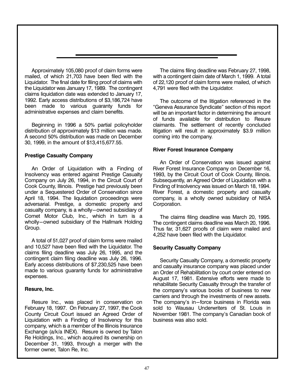Approximately 105,080 proof of claim forms were mailed, of which 21,703 have been filed with the Liquidator. The final date for filing proof of claims with the Liquidator was January 17, 1989. The contingent claims liquidation date was extended to January 17, 1992. Early access distributions of \$3,186,724 have been made to various guaranty funds for administrative expenses and claim benefits.

Beginning in 1996 a 50% partial policyholder distribution of approximately \$13 million was made. A second 50% distribution was made on December 30, 1999, in the amount of \$13,415,677.55.

# **Prestige Casualty Company**

An Order of Liquidation with a Finding of Insolvency was entered against Prestige Casualty Company on July 26, 1994, in the Circuit Court of Cook County, Illinois. Prestige had previously been under a Sequestered Order of Conservation since April 18, 1994. The liquidation proceedings were adversarial. Prestige, a domestic property and casualty company, is a wholly-owned subsidiary of Comet Motor Club, Inc., which in turn is a wholly-owned subsidiary of the Hallmark Holding Group.

A total of 51,027 proof of claim forms were mailed and 10,527 have been filed with the Liquidator. The claims filing deadline was July 26, 1995, and the contingent claim filing deadline was July 26, 1996. Early access distributions of \$7,230,525 have been made to various guaranty funds for administrative expenses.

#### Resure, Inc.

Resure Inc., was placed in conservation on February 18, 1997. On February 27, 1997, the Cook County Circuit Court issued an Agreed Order of Liquidation with a Finding of Insolvency for this company, which is a member of the Illinois Insurance Exchange (a/k/a INEX). Resure is owned by Talon Re Holdings, Inc., which acquired its ownership on December 31, 1993, through a merger with the former owner, Talon Re, Inc.

The claims filing deadline was February 27, 1998, with a contingent claim date of March 1, 1999. A total of 22,120 proof of claim forms were mailed, of which 4,791 were filed with the Liquidator.

The outcome of the litigation referenced in the "Geneva Assurance Syndicate" section of this report will be an important factor in determining the amount of funds available for distribution to Resure claimants. The settlement of recently concluded litigation will result in approximately \$3.9 million coming into the company.

### **River Forest Insurance Company**

An Order of Conservation was issued against River Forest Insurance Company on December 16, 1993, by the Circuit Court of Cook County, Illinois. Subsequently, an Agreed Order of Liquidation with a Finding of Insolvency was issued on March 18, 1994. River Forest, a domestic property and casualty company, is a wholly owned subsidiary of NISA Corporation.

The claims filing deadline was March 20, 1995. The contingent claims deadline was March 20, 1996. Thus far, 31,627 proofs of claim were mailed and 4,252 have been filed with the Liquidator.

# **Security Casualty Company**

Security Casualty Company, a domestic property and casualty insurance company was placed under an Order of Rehabilitation by court order entered on August 17, 1981. Extensive efforts were made to rehabilitate Security Casualty through the transfer of the company's various books of business to new carriers and through the investments of new assets. The company's in-force business in Florida was sold to Wausau Underwriters of St. Louis in November 1981. The company's Canadian book of business was also sold.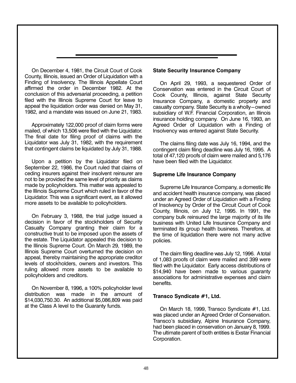On December 4, 1981, the Circuit Court of Cook County, Illinois, issued an Order of Liquidation with a Finding of Insolvency. The Illinois Appellate Court affirmed the order in December 1982. At the conclusion of this adversarial proceeding, a petition filed with the Illinois Supreme Court for leave to appeal the liquidation order was denied on May 31, 1982, and a mandate was issued on June 21, 1983.

Approximately 122,000 proof of claim forms were mailed, of which 13,506 were filed with the Liquidator. The final date for filing proof of claims with the Liquidator was July 31, 1982, with the requirement that contingent claims be liquidated by July 31, 1988.

Upon a petition by the Liquidator filed on September 22, 1986, the Court ruled that claims of ceding insurers against their insolvent reinsurer are not to be provided the same level of priority as claims made by policyholders. This matter was appealed to the Illinois Supreme Court which ruled in favor of the Liquidator. This was a significant event, as it allowed more assets to be available to policyholders.

On February 3, 1988, the trial judge issued a decision in favor of the stockholders of Securitv Casualty Company granting their claim for a constructive trust to be imposed upon the assets of the estate. The Liquidator appealed this decision to the Illinois Supreme Court. On March 29, 1989, the Illinois Supreme Court overturned the decision on appeal, thereby maintaining the appropriate creditor levels of stockholders, owners and investors. This ruling allowed more assets to be available to policyholders and creditors.

On November 8, 1996, a 100% policyholder level distribution was made in the amount of \$14,030,750.30. An additional \$5,086,809 was paid at the Class A level to the Guaranty funds.

### **State Security Insurance Company**

On April 29, 1993, a sequestered Order of Conservation was entered in the Circuit Court of Cook County, Illinois, against State Security Insurance Company, a domestic property and casualty company. State Security is a wholly-owned subsidiary of W.F. Financial Corporation, an Illinois insurance holding company. On June 16, 1993, an Agreed Order of Liquidation with a Finding of Insolvency was entered against State Security.

The claims filing date was July 16, 1994, and the contingent claim filing deadline was July 16, 1995. A total of 47,120 proofs of claim were mailed and 5,176 have been filed with the Liquidator.

# **Supreme Life Insurance Company**

Supreme Life Insurance Company, a domestic life and accident health insurance company, was placed under an Agreed Order of Liquidation with a Finding of Insolvency by Order of the Circuit Court of Cook County, Illinois, on July 12, 1995. In 1991, the company bulk reinsured the large majority of its life business with United Life Insurance Company and terminated its group health business. Therefore, at the time of liquidation there were not many active policies.

The claim filing deadline was July 12, 1996. A total of 1,083 proofs of claim were mailed and 399 were filed with the Liquidator. Early access distributions of \$14,940 have been made to various guaranty associations for administrative expenses and claim benefits.

# Transco Syndicate #1, Ltd.

On March 18, 1999, Transco Syndicate #1, Ltd. was placed under an Agreed Order of Conservation. Transco's subsidiary, Alpine Insurance Company, had been placed in conservation on January 8, 1999. The ultimate parent of both entities is Exstar Financial Corporation.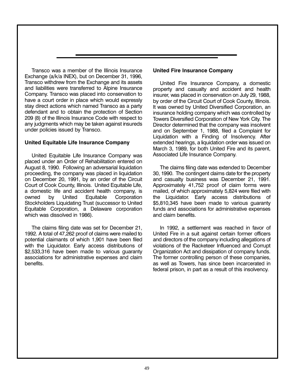Transco was a member of the Illinois Insurance Exchange (a/k/a INEX), but on December 31, 1996, Transco withdrew from the Exchange and its assets and liabilities were transferred to Alpine Insurance Company. Transco was placed into conservation to have a court order in place which would expressly stay direct actions which named Transco as a party defendant and to obtain the protection of Section 209 (8) of the Illinois Insurance Code with respect to any judgments which may be taken against insureds under policies issued by Transco.

### United Equitable Life Insurance Company

United Equitable Life Insurance Company was placed under an Order of Rehabilitation entered on August 8, 1990. Following an adversarial liquidation proceeding, the company was placed in liquidation on December 20, 1991, by an order of the Circuit Court of Cook County, Illinois. United Equitable Life, a domestic life and accident health company, is owned by United Equitable Corporation Stockholders Liquidating Trust (successor to United Equitable Corporation, a Delaware corporation which was dissolved in 1986).

The claims filing date was set for December 21, 1992. A total of 47,262 proof of claims were mailed to potential claimants of which 1,901 have been filed with the Liquidator. Early access distributions of \$2,533,316 have been made to various quaranty associations for administrative expenses and claim benefits.

#### **United Fire Insurance Company**

United Fire Insurance Company, a domestic property and casualty and accident and health insurer, was placed in conservation on July 29, 1988, by order of the Circuit Court of Cook County, Illinois. It was owned by United Diversified Corporation, an insurance holding company which was controlled by Towers Diversified Corporation of New York City. The Director determined that the company was insolvent and on September 1, 1988, filed a Complaint for Liquidation with a Finding of Insolvency. After extended hearings, a liquidation order was issued on March 3, 1989, for both United Fire and its parent, Associated Life Insurance Company.

The claims filing date was extended to December 30, 1990. The contingent claims date for the property and casualty business was December 21, 1991. Approximately 41,752 proof of claim forms were mailed, of which approximately 5,824 were filed with the Liquidator. Early access distributions of \$5,810,345 have been made to various guaranty funds and associations for administrative expenses and claim benefits.

In 1992, a settlement was reached in favor of United Fire in a suit against certain former officers and directors of the company including allegations of violations of the Racketeer Influenced and Corrupt Organization Act and dissipation of company funds. The former controlling person of these companies, as well as Towers, has since been incarcerated in federal prison, in part as a result of this insolvency.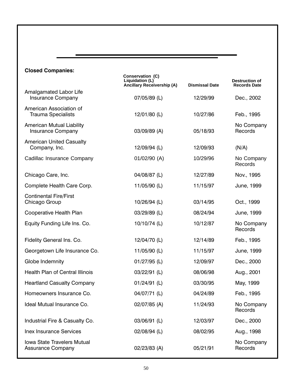# **Closed Companies:**

|                                                                | Conservation (C)<br>Liquidation (L)<br><b>Ancillary Receivership (A)</b> | <b>Dismissal Date</b> | <b>Destruction of</b><br><b>Records Date</b> |
|----------------------------------------------------------------|--------------------------------------------------------------------------|-----------------------|----------------------------------------------|
| Amalgamated Labor Life<br><b>Insurance Company</b>             | 07/05/89 (L)                                                             | 12/29/99              | Dec., 2002                                   |
| American Association of<br><b>Trauma Specialists</b>           | 12/01/80 (L)                                                             | 10/27/86              | Feb., 1995                                   |
| <b>American Mutual Liability</b><br><b>Insurance Company</b>   | 03/09/89 (A)                                                             | 05/18/93              | No Company<br>Records                        |
| <b>American United Casualty</b><br>Company, Inc.               | 12/09/94 (L)                                                             | 12/09/93              | (N/A)                                        |
| Cadillac Insurance Company                                     | 01/02/90 (A)                                                             | 10/29/96              | No Company<br>Records                        |
| Chicago Care, Inc.                                             | 04/08/87 (L)                                                             | 12/27/89              | Nov., 1995                                   |
| Complete Health Care Corp.                                     | 11/05/90 (L)                                                             | 11/15/97              | June, 1999                                   |
| <b>Continental Fire/First</b><br>Chicago Group                 | 10/26/94 (L)                                                             | 03/14/95              | Oct., 1999                                   |
| Cooperative Health Plan                                        | 03/29/89 (L)                                                             | 08/24/94              | June, 1999                                   |
| Equity Funding Life Ins. Co.                                   | 10/10/74 (L)                                                             | 10/12/87              | No Company<br>Records                        |
| Fidelity General Ins. Co.                                      | 12/04/70 (L)                                                             | 12/14/89              | Feb., 1995                                   |
| Georgetown Life Insurance Co.                                  | 11/05/90 (L)                                                             | 11/15/97              | June, 1999                                   |
| Globe Indemnity                                                | 01/27/95 (L)                                                             | 12/09/97              | Dec., 2000                                   |
| <b>Health Plan of Central Illinois</b>                         | 03/22/91 (L)                                                             | 08/06/98              | Aug., 2001                                   |
| <b>Heartland Casualty Company</b>                              | 01/24/91 (L)                                                             | 03/30/95              | May, 1999                                    |
| Homeowners Insurance Co.                                       | 04/07/71 (L)                                                             | 04/24/89              | Feb., 1995                                   |
| Ideal Mutual Insurance Co.                                     | 02/07/85 (A)                                                             | 11/24/93              | No Company<br>Records                        |
| Industrial Fire & Casualty Co.                                 | 03/06/91 (L)                                                             | 12/03/97              | Dec., 2000                                   |
| <b>Inex Insurance Services</b>                                 | 02/08/94 (L)                                                             | 08/02/95              | Aug., 1998                                   |
| <b>Iowa State Travelers Mutual</b><br><b>Assurance Company</b> | 02/23/83 (A)                                                             | 05/21/91              | No Company<br>Records                        |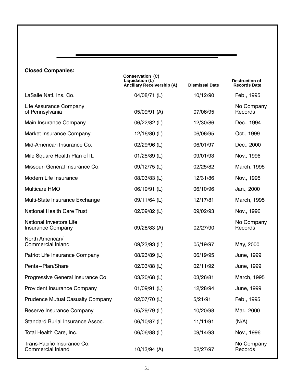# **Closed Companies:**

|                                                            | Conservation (C)<br>Liquidation (L)<br><b>Ancillary Receivership (A)</b> | <b>Dismissal Date</b> | <b>Destruction of</b><br><b>Records Date</b> |
|------------------------------------------------------------|--------------------------------------------------------------------------|-----------------------|----------------------------------------------|
| LaSalle Natl. Ins. Co.                                     | 04/08/71 (L)                                                             | 10/12/90              | Feb., 1995                                   |
| Life Assurance Company<br>of Pennsylvania                  | 05/09/91 (A)                                                             | 07/06/95              | No Company<br>Records                        |
| Main Insurance Company                                     | 06/22/82 (L)                                                             | 12/30/86              | Dec., 1994                                   |
| Market Insurance Company                                   | 12/16/80 (L)                                                             | 06/06/95              | Oct., 1999                                   |
| Mid-American Insurance Co.                                 | 02/29/96 (L)                                                             | 06/01/97              | Dec., 2000                                   |
| Mile Square Health Plan of IL                              | $01/25/89$ (L)                                                           | 09/01/93              | Nov., 1996                                   |
| Missouri General Insurance Co.                             | 09/12/75 (L)                                                             | 02/25/82              | March, 1995                                  |
| Modern Life Insurance                                      | 08/03/83 (L)                                                             | 12/31/86              | Nov., 1995                                   |
| <b>Multicare HMO</b>                                       | 06/19/91 (L)                                                             | 06/10/96              | Jan., 2000                                   |
| Multi-State Insurance Exchange                             | 09/11/64 (L)                                                             | 12/17/81              | March, 1995                                  |
| <b>National Health Care Trust</b>                          | 02/09/82 (L)                                                             | 09/02/93              | Nov., 1996                                   |
| <b>National Investors Life</b><br><b>Insurance Company</b> | 09/28/83 (A)                                                             | 02/27/90              | No Company<br>Records                        |
| North American/<br><b>Commercial Inland</b>                | 09/23/93 (L)                                                             | 05/19/97              | May, 2000                                    |
| Patriot Life Insurance Company                             | 08/23/89 (L)                                                             | 06/19/95              | June, 1999                                   |
| Penta-Plan/Share                                           | 02/03/88 (L)                                                             | 02/11/92              | June, 1999                                   |
| Progressive General Insurance Co.                          | 03/20/68 (L)                                                             | 03/26/81              | March, 1995                                  |
| <b>Provident Insurance Company</b>                         | 01/09/91 (L)                                                             | 12/28/94              | June, 1999                                   |
| <b>Prudence Mutual Casualty Company</b>                    | 02/07/70 (L)                                                             | 5/21/91               | Feb., 1995                                   |
| Reserve Insurance Company                                  | 05/29/79 (L)                                                             | 10/20/98              | Mar., 2000                                   |
| <b>Standard Burial Insurance Assoc.</b>                    | 06/10/87 (L)                                                             | 11/11/91              | (N/A)                                        |
| Total Health Care, Inc.                                    | 06/06/88 (L)                                                             | 09/14/93              | Nov., 1996                                   |
| Trans-Pacific Insurance Co.<br><b>Commercial Inland</b>    | $10/13/94$ (A)                                                           | 02/27/97              | No Company<br>Records                        |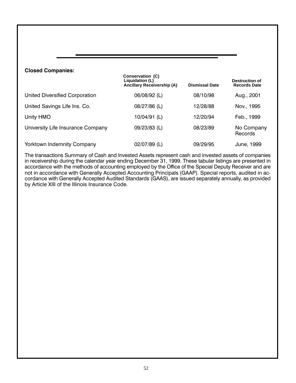# **Closed Companies:**

|                                   | Conservation (C)<br>Liquidation (L)<br><b>Ancillary Receivership (A)</b> | <b>Dismissal Date</b> | <b>Destruction of</b><br><b>Records Date</b> |
|-----------------------------------|--------------------------------------------------------------------------|-----------------------|----------------------------------------------|
| United Diversified Corporation    | 06/08/92 (L)                                                             | 08/10/98              | Aug., 2001                                   |
| United Savings Life Ins. Co.      | 08/27/86 (L)                                                             | 12/28/88              | Nov., 1995                                   |
| Unity HMO                         | 10/04/91 (L)                                                             | 12/20/94              | Feb., 1999                                   |
| University Life Insurance Company | 09/23/83 (L)                                                             | 08/23/89              | No Company<br><b>Records</b>                 |
| <b>Yorktown Indemnity Company</b> | 02/07/89 (L)                                                             | 09/29/95              | June, 1999                                   |

The transactions Summary of Cash and Invested Assets represent cash and invested assets of companies in receivership during the calendar year ending December 31, 1999. These tabular listings are presented in accordance with the methods of accounting employed by the Office of the Special Deputy Receiver and are not in accordance with Generally Accepted Accounting Principals (GAAP). Special reports, audited in accordance with Generally Accepted Audited Standards (GAAS), are issued separately annually, as provided by Article XIII of the Illinois Insurance Code.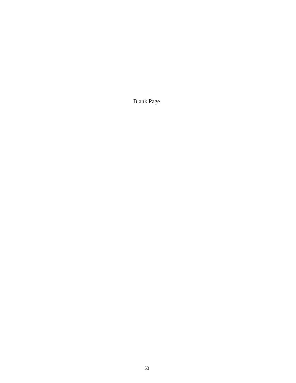Blank Page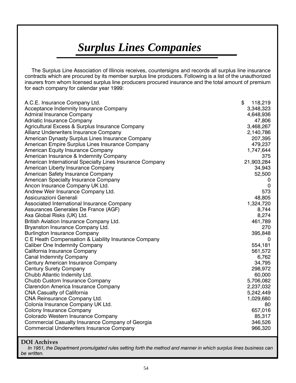# **Surplus Lines Companies**

The Surplus Line Association of Illinois receives, countersigns and records all surplus line insurance contracts which are procured by its member surplus line producers. Following is a list of the unauthorized insurers from whom licensed surplus line producers procured insurance and the total amount of premium for each company for calendar year 1999:

| A.C.E. Insurance Company Ltd.                            | \$<br>118,219 |
|----------------------------------------------------------|---------------|
| Acceptance Indemnity Insurance Company                   | 3,348,323     |
| <b>Admiral Insurance Company</b>                         | 4,648,936     |
| <b>Adriatic Insurance Company</b>                        | 47,806        |
| Agricultural Excess & Surplus Insurance Company          | 3,468,267     |
| Allianz Underwriters Insurance Company                   | 2,140,786     |
| American Dynasty Surplus Lines Insurance Company         | 207,395       |
| American Empire Surplus Lines Insurance Company          | 479,237       |
| American Equity Insurance Company                        | 1,747,644     |
| American Insurance & Indemnity Company                   | 375           |
| American International Specialty Lines Insurance Company | 21,903,284    |
| American Liberty Insurance Company                       | 34,943        |
| American Safety Insurance Company                        | 52,500        |
| American Specialty Insurance Company                     | U             |
| Ancon Insurance Company UK Ltd.                          | 0             |
| Andrew Weir Insurance Company Ltd.                       | 573           |
| Assicurazioni Generali                                   | 48,805        |
| Associated International Insurance Company               | 1,324,720     |
| Assurances Generales De France (AGF)                     | 8,744         |
| Axa Global Risks (UK) Ltd.                               | 8,274         |
| British Aviation Insurance Company Ltd.                  | 461,789       |
| Bryanston Insurance Company Ltd.                         | 270           |
| <b>Burlington Insurance Company</b>                      | 395,848       |
| C E Heath Compensation & Liability Insurance Company     | 0             |
| <b>Caliber One Indemnity Company</b>                     | 554,181       |
| California Insurance Company                             | 561,572       |
| <b>Canal Indemnity Company</b>                           | 6,762         |
| Century American Insurance Company                       | 34,795        |
| <b>Century Surety Company</b>                            | 298,972       |
| Chubb Atlantic Indemity Ltd.                             | 60,000        |
| Chubb Custom Insurance Company                           | 5,706,082     |
| Clarendon America Insurance Company                      | 2,237,032     |
| <b>CNA Casualty of California</b>                        | 5,242,449     |
| CNA Reinsurance Company Ltd.                             | 1,029,680     |
| Colonia Insurance Company UK Ltd.                        | 80            |
| Colony Insurance Company                                 | 657,016       |
| Colorado Western Insurance Company                       | 85,317        |
| Commercial Casualty Insurance Company of Georgia         | 346,526       |
| <b>Commercial Underwriters Insurance Company</b>         | 966,320       |
|                                                          |               |

**DOI** Archives

In 1951, the Department promulgated rules setting forth the method and manner in which surplus lines business can be written.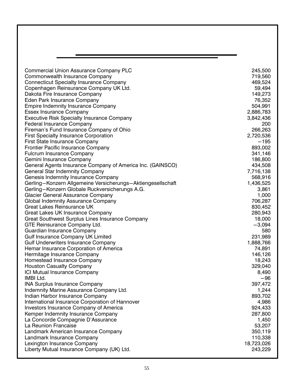| <b>Commercial Union Assurance Company PLC</b>               | 245,500    |
|-------------------------------------------------------------|------------|
| Commonwealth Insurance Company                              | 719,560    |
| <b>Connecticut Specialty Insurance Company</b>              | 469,524    |
| Copenhagen Reinsurance Company UK Ltd.                      | 59,494     |
| Dakota Fire Insurance Company                               | 149,273    |
|                                                             |            |
| Eden Park Insurance Company                                 | 76,352     |
| <b>Empire Indemnity Insurance Company</b>                   | 504,991    |
| <b>Essex Insurance Company</b>                              | 2,886,783  |
| <b>Executive Risk Specialty Insurance Company</b>           | 3,842,436  |
| <b>Federal Insurance Company</b>                            | 200        |
| Fireman's Fund Insurance Company of Ohio                    | 266,263    |
| <b>First Specialty Insurance Corporation</b>                | 2,720,536  |
| <b>First State Insurance Company</b>                        | $-195$     |
| Frontier Pacific Insurance Company                          | 893,002    |
| <b>Fulcrum Insurance Company</b>                            | 341,146    |
| Gemini Insurance Company                                    | 186,800    |
| General Agents Insurance Company of America Inc. (GAINSCO)  | 434,508    |
| <b>General Star Indemnity Company</b>                       | 7,716,138  |
|                                                             |            |
| Genesis Indemnity Insurance Company                         | 568,916    |
| Gerling-Konzern Allgemeine Versicherungs-Aktiengesellschaft | 1,436,525  |
| Gerling-Konzern Globale Ruckversicherungs A.G.              | 3,861      |
| Glacier General Assurance Company                           | 1,000      |
| Global Indemnity Assurance Company                          | 706,287    |
| <b>Great Lakes Reinsurance UK</b>                           | 830,452    |
| Great Lakes UK Insurance Company                            | 280,943    |
| Great Southwest Surplus Lines Insurance Company             | 18,000     |
| GTE Reinsurance Company Ltd.                                | $-3,094$   |
| Guardian Insurance Company                                  | 580        |
| Gulf Insurance Company UK Limited                           | 231,989    |
| <b>Gulf Underwriters Insurance Company</b>                  | 1,888,766  |
| Hemar Insurance Corporation of America                      | 74,891     |
|                                                             | 146,126    |
| Hermitage Insurance Company                                 |            |
| Homestead Insurance Company                                 | 18,243     |
| <b>Houston Casualty Company</b>                             | 329,040    |
| ICI Mutual Insurance Company                                | 8,490      |
| IMBI Ltd.                                                   | $-96$      |
| <b>INA Surplus Insurance Company</b>                        | 397,472    |
| Indemnity Marine Assurance Company Ltd.                     | 1,244      |
| Indian Harbor Insurance Company                             | 893,702    |
| International Insurance Corporation of Hannover             | 4,986      |
| <b>Investors Insurance Company of America</b>               | 924,433    |
| Kemper Indemnity Insurance Company                          | 287,800    |
| La Concorde Compagnie D'Assurance                           | 1,450      |
| La Reunion Francaise                                        | 53,207     |
| Landmark American Insurance Company                         | 350,119    |
| Landmark Insurance Company                                  | 110,338    |
|                                                             |            |
| Lexington Insurance Company                                 | 18,723,026 |
| Liberty Mutual Insurance Company (UK) Ltd.                  | 243,229    |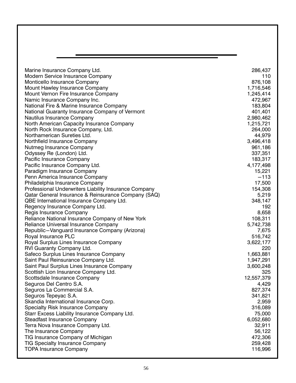Marine Insurance Company Ltd. 286.437 Modern Service Insurance Company 110 Monticello Insurance Company 876.108 Mount Hawley Insurance Company 1,716,546 Mount Vernon Fire Insurance Company 1.245.414 Namic Insurance Company Inc. 472,967 National Fire & Marine Insurance Company 183.804 National Guaranty Insurance Company of Vermont 401,401 Nautilus Insurance Company 2,980,462 North American Capacity Insurance Company 1,215,721 North Rock Insurance Company, Ltd. 264,000 Northamerican Sureties Ltd. 44,979 Northfield Insurance Company 3,496,418 Nutmeg Insurance Company 961,186 Odyssey Re (London) Ltd. 337,351 Pacific Insurance Company 183,317 Pacific Insurance Company Ltd. 4,177,498 Paradigm Insurance Company 15.221 Penn America Insurance Company  $-113$ Philadelphia Insurance Company 17,500 Professional Underwriters Liability Insurance Company 154.308 Qatar General Insurance & Reinsurance Company (SAQ) 5.219 QBE International Insurance Company Ltd. 348,147 Regency Insurance Company Ltd. 192 **Regis Insurance Company** 8,658 Reliance National Insurance Company of New York 108,311 Reliance Universal Insurance Company 5.742.738 Republic-Vanguard Insurance Company (Arizona) 7,675 516,742 Royal Insurance PLC Royal Surplus Lines Insurance Company 3,622,177 RVI Guaranty Company Ltd. 220 Safeco Surplus Lines Insurance Company 1.663.881 Saint Paul Reinsurance Company Ltd. 1,947,291 Saint Paul Surplus Lines Insurance Company 3,600,248 Scottish Lion Insurance Company Ltd. 325 Scottsdale Insurance Company 12,557,379 Seguros Del Centro S.A. 4,429 Seguros La Commercial S.A. 827.374 Seguros Tepevac S.A. 341,821 Skandia International Insurance Corp. 2.959 **Specialty Risk Insurance Company** 316,089 Starr Excess Liability Insurance Company Ltd. 75,000 Steadfast Insurance Company 6,052,680 Terra Nova Insurance Company Ltd. 32.911 The Insurance Company 56,122 TIG Insurance Company of Michigan 472,306 **TIG Specialty Insurance Company** 259,428 **TOPA Insurance Company** 116,996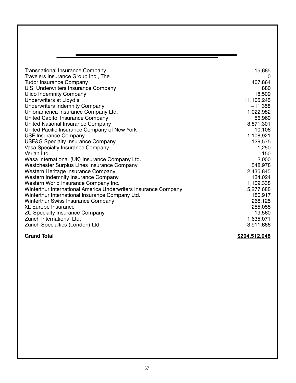**Transnational Insurance Company** 15.685 Travelers Insurance Group Inc., The  $\Omega$ **Tudor Insurance Company** 407,864 U.S. Underwriters Insurance Company 880 **Ulico Indemnity Company** 18,509 Underwriters at Lloyd's 11,105,245 **Underwriters Indemnity Company**  $-11,358$ Unionamerica Insurance Company Ltd. 1,022,982 United Capitol Insurance Company 56,960 United National Insurance Company 8,871,301 United Pacific Insurance Company of New York 10,106 **USF Insurance Company** 1,108,921 **USF&G Specialty Insurance Company** 129,575 Vasa Specialty Insurance Company 1.250 Verlan I td. 150 Wasa International (UK) Insurance Company Ltd. 2.000 Westchester Surplus Lines Insurance Company 548,978 Western Heritage Insurance Company 2,435,845 Western Indemnity Insurance Company 134,024 Western World Insurance Company Inc. 1,109,338 Winterthur International America Underwriters Insurance Company 5,277,688 Winterthur International Insurance Company Ltd. 180.917 Winterthur Swiss Insurance Company 268,125 **XL Europe Insurance** 255,055 **ZC Specialty Insurance Company** 19,560 Zurich International Ltd. 1,635,071 Zurich Specialties (London) Ltd. 3,911,666

# **Grand Total**

\$204,512,048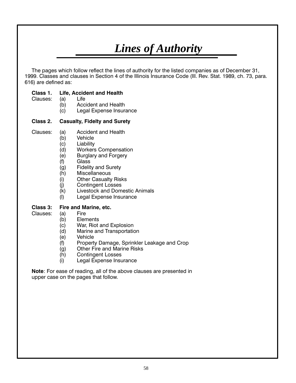# **Lines of Authority**

The pages which follow reflect the lines of authority for the listed companies as of December 31, 1999. Classes and clauses in Section 4 of the Illinois Insurance Code (III. Rev. Stat. 1989, ch. 73, para. 616) are defined as:

- Class 1. **Life, Accident and Health**
- Clauses: I ife  $(a)$ 
	- **Accident and Health**  $(b)$
	- $(c)$ Legal Expense Insurance

#### Class 2. **Casualty, Fidelty and Surety**

- **Accident and Health** Clauses:  $(a)$ 
	- Vehicle  $(b)$
	- $(c)$ Liability
	- $(d)$ **Workers Compensation**
	- **Burglary and Forgery**  $(e)$
	- Glass  $(f)$
	- **Fidelity and Surety**  $(g)$
	- Miscellaneous  $(h)$
	- **Other Casualty Risks**  $(i)$
	- **Contingent Losses**  $(j)$
	- $(k)$ **Livestock and Domestic Animals**
	- Legal Expense Insurance  $(1)$

#### Class 3: Fire and Marine, etc. **Fire**

Clauses:

- $(a)$  $(b)$ Elements
- War, Riot and Explosion  $(c)$
- Marine and Transportation  $(d)$
- Vehicle (e)
- $(f)$ Property Damage, Sprinkler Leakage and Crop
- **Other Fire and Marine Risks**  $(g)$
- $(h)$ **Contingent Losses**
- Legal Expense Insurance  $(i)$

Note: For ease of reading, all of the above clauses are presented in upper case on the pages that follow.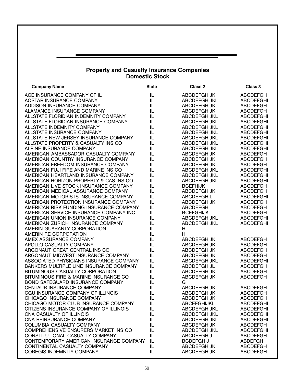| <b>Company Name</b>                     | <b>State</b> | Class 2             | Class 3          |
|-----------------------------------------|--------------|---------------------|------------------|
| ACE INSURANCE COMPANY OF IL             | IL           | <b>ABCDEFGHIJK</b>  | <b>ABCDEFGH</b>  |
| <b>ACSTAR INSURANCE COMPANY</b>         | IL           | ABCDEFGHIJKL        | <b>ABCDEFGHI</b> |
| ADDISON INSURANCE COMPANY               | IL           | <b>ABCDEFGHIJK</b>  | <b>ABCDEFGH</b>  |
| ALAMANCE INSURANCE COMPANY              | IL           | <b>ABCDEFGHIJK</b>  | <b>ABCDEFGH</b>  |
| ALLSTATE FLORIDIAN INDEMNITY COMPANY    | IL           | <b>ABCDEFGHIJKL</b> | <b>ABCDEFGHI</b> |
| ALLSTATE FLORIDIAN INSURANCE COMPANY    | IL           | <b>ABCDEFGHIJKL</b> | <b>ABCDEFGHI</b> |
| ALLSTATE INDEMNITY COMPANY              | IL           | <b>ABCDEFGHIJKL</b> | <b>ABCDEFGHI</b> |
| ALLSTATE INSURANCE COMPANY              | IL           | <b>ABCDEFGHIJKL</b> | <b>ABCDEFGHI</b> |
| ALLSTATE NEW JERSEY INSURANCE COMPANY   | IL           | <b>ABCDEFGHIJKL</b> | <b>ABCDEFGHI</b> |
| ALLSTATE PROPERTY & CASUALTY INS CO     | IL           | <b>ABCDEFGHIJKL</b> | <b>ABCDEFGHI</b> |
| ALPINE INSURANCE COMPANY                | IL           | <b>ABCDEFGHIJKL</b> | <b>ABCDEFGHI</b> |
| AMERICAN AMBASSADOR CASUALTY COMPANY    | IL           | <b>ABCDEFGHIJK</b>  | <b>ABCDEFGH</b>  |
| AMERICAN COUNTRY INSURANCE COMPANY      | IL           | <b>ABCDEFGHIJK</b>  | <b>ABCDEFGH</b>  |
| AMERICAN FREEDOM INSURANCE COMPANY      | IL           |                     | <b>ABCDEFGH</b>  |
|                                         |              | <b>ABCDEFGHIJK</b>  |                  |
| AMERICAN FUJI FIRE AND MARINE INS CO    | IL           | <b>ABCDEFGHIJKL</b> | <b>ABCDEFGHI</b> |
| AMERICAN HEARTLAND INSURANCE COMPANY    | IL           | <b>ABCDEFGHIJKL</b> | <b>ABCDEFGHI</b> |
| AMERICAN HORIZON PROPERTY & CAS INS CO  | IL           | <b>ABCDEFGHIJKL</b> | <b>ABCDEFGHI</b> |
| AMERICAN LIVE STOCK INSURANCE COMPANY   | IL           | <b>BCEFHIJK</b>     | <b>ABCDEFGH</b>  |
| AMERICAN MEDICAL ASSURANCE COMPANY      | IL           | <b>ABCDEFGHIJK</b>  | <b>ABCDEFGH</b>  |
| AMERICAN MOTORISTS INSURANCE COMPANY    | IL           | <b>ABCDEFGHIL</b>   | <b>ABCDEFGHI</b> |
| AMERICAN PROTECTION INSURANCE COMPANY   | IL           | <b>ABCDEFGHIJK</b>  | <b>ABCDEFGH</b>  |
| AMERICAN RISK FUNDING INSURANCE COMPANY | IL           | <b>ABCDEFGHI</b>    | <b>ABCDEFGH</b>  |
| AMERICAN SERVICE INSURANCE COMPANY INC  | IL           | <b>BCEFGHIJK</b>    | <b>ABCDEFGH</b>  |
| AMERICAN UNION INSURANCE COMPANY        | IL           | <b>ABCDEFGHIJKL</b> | <b>ABCDEFGHI</b> |
| AMERICAN ZURICH INSURANCE COMPANY       | IL           | <b>ABCDEFGHIJKL</b> | <b>ABCDEFGHI</b> |
| AMERIN GUARANTY CORPORATION             | IL           | н                   |                  |
| AMERIN RE CORPORATION                   | IL           | Н                   |                  |
| AMEX ASSURANCE COMPANY                  | IL           | <b>ABCDEFGHIJK</b>  | <b>ABCDEFGH</b>  |
| APOLLO CASUALTY COMPANY                 | IL           | <b>ABCDEFGHIJK</b>  | <b>ABCDEFGH</b>  |
| ARGONAUT GREAT CENTRAL INS CO           | IL           | <b>ABCDEFGHIJK</b>  | <b>ABCDEFGH</b>  |
| ARGONAUT MIDWEST INSURANCE COMPANY      | IL           | <b>ABCDEFGHIJK</b>  | <b>ABCDEFGH</b>  |
| ASSOCIATED PHYSICIANS INSURANCE COMPANY | IL           | <b>ABCDEFGHIJKL</b> | <b>ABCDEFGHI</b> |
| BANKERS MULTIPLE LINE INSURANCE COMPANY | IL           | <b>ABCDEFGHIJL</b>  | <b>ABCDEFGH</b>  |
| BITUMINOUS CASUALTY CORPORATION         | IL           | <b>ABCDEFGHIJK</b>  | <b>ABCDEFGH</b>  |
| BITUMINOUS FIRE & MARINE INSURANCE CO   | IL           | <b>ABCDEFGHIJK</b>  | <b>ABCDEFGH</b>  |
| <b>BOND SAFEGUARD INSURANCE COMPANY</b> | IL           | G                   |                  |
| CENTAUR INSURANCE COMPANY               | IL           | <b>ABCDEFGHIJK</b>  | <b>ABCDEFGH</b>  |
| CGU INSURANCE COMPANY OF ILLINOIS       | IL           | <b>ABCDEFGHIJK</b>  | <b>ABCDEFGH</b>  |
| CHICAGO INSURANCE COMPANY               | IL           | <b>ABCDEFGHIJK</b>  | <b>ABCDEFGH</b>  |
| CHICAGO MOTOR CLUB INSURANCE COMPANY    | IL           | <b>ABCEFGHIJKL</b>  | <b>ABCDEFGHI</b> |
| CITIZENS INSURANCE COMPANY OF ILLINOIS  | IL           | ABCDEFGHIJKL        | <b>ABCDEFGHI</b> |
| CNA CASUALTY OF ILLINOIS                | IL           | <b>ABCDEFGHIJKL</b> | <b>ABCDEFGHI</b> |
| CNA REINSURANCE COMPANY                 | IL           | <b>ABCDEFGHIJKL</b> | <b>ABCDEFGHI</b> |
| COLUMBIA CASUALTY COMPANY               | IL           | <b>ABCDEFGHIJK</b>  | <b>ABCDEFGH</b>  |
| COMPREHENSIVE ENSURERS MARKET INS CO    | IL           | <b>ABCDEFGHIJKL</b> | <b>ABCDEFGHI</b> |
| CONSTITUTIONAL CASUALTY COMPANY         | IL           | <b>ABCDEFGHIJ</b>   | <b>ABCDEFGH</b>  |
| CONTEMPORARY AMERICAN INSURANCE COMPANY | IL           | <b>BCDEFGHIJ</b>    | <b>ABDEFGH</b>   |
| CONTINENTAL CASUALTY COMPANY            | IL           | <b>ABCDEFGHIJK</b>  | <b>ABCDEFGH</b>  |
| <b>COREGIS INDEMNITY COMPANY</b>        | IL           | <b>ABCDEFGHIJK</b>  | <b>ABCDEFGH</b>  |
|                                         |              |                     |                  |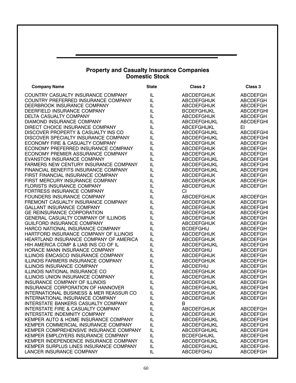| <b>Company Name</b>                                | <b>State</b> | Class 2             | Class 3                            |
|----------------------------------------------------|--------------|---------------------|------------------------------------|
| COUNTRY CASUALTY INSURANCE COMPANY                 | IL           | <b>ABCDEFGHIJK</b>  | <b>ABCDEFGH</b>                    |
| COUNTRY PREFERRED INSURANCE COMPANY                | IL           | <b>ABCDEFGHIJK</b>  | <b>ABCDEFGH</b>                    |
| DEERBROOK INSURANCE COMPANY                        | IL           | <b>ABCDEFGHIJK</b>  | <b>ABCDEFGH</b>                    |
| DEERFIELD INSURANCE COMPANY                        | IL           | <b>BCDEFGHIJKL</b>  | <b>ABCDEFGHI</b>                   |
| <b>DELTA CASUALTY COMPANY</b>                      | IL           | <b>ABCDEFGHIJK</b>  | <b>ABCDEFGH</b>                    |
| <b>DIAMOND INSURANCE COMPANY</b>                   | IL           | <b>ABCDEFGHIJKL</b> | <b>ABCDEFGHI</b>                   |
| DIRECT CHOICE INSURANCE COMPANY                    | IL           | <b>ABCEFGHIJKL</b>  | EI.                                |
| DISCOVER PROPERTY & CASUALTY INS CO                | IL           | <b>ABCDEFGHIJKL</b> | <b>ABCDEFGHI</b>                   |
| DISCOVER SPECIALTY INSURANCE COMPANY               | IL           | <b>ABCDEFGHIJKL</b> | <b>ABCDEFGHI</b>                   |
| ECONOMY FIRE & CASUALTY COMPANY                    | IL           | <b>ABCDEFGHIJK</b>  | <b>ABCDEFGH</b>                    |
| ECONOMY PREFERRED INSURANCE COMPANY                | IL           | <b>ABCDEFGHIJK</b>  | <b>ABCDEFGH</b>                    |
| ECONOMY PREMIER ASSURANCE COMPANY                  | IL           | <b>ABCDEFGHIJK</b>  | <b>ABCDEFGH</b>                    |
| <b>EVANSTON INSURANCE COMPANY</b>                  | IL           | ABCDEFGHIJKL        | <b>ABCDEFGHI</b>                   |
| <b>FARMERS NEW CENTURY INSURANCE COMPANY</b>       | IL           | <b>ABCDEFGHIJKL</b> | <b>ABCDEFGHI</b>                   |
| FINANCIAL BENEFITS INSURANCE COMPANY               | IL           | <b>ABCDEFGHIJKL</b> | <b>ABCDEFGHI</b>                   |
| FIRST FINANCIAL INSURANCE COMPANY                  | IL           | <b>ABCDEFGHIJK</b>  | <b>ABCDEFGH</b>                    |
| FIRST MERCURY INSURANCE COMPANY                    | IL           | <b>ABCDEFGHIJK</b>  | <b>ABCDEFGH</b>                    |
| <b>FLORISTS INSURANCE COMPANY</b>                  | IL           | <b>ABCDEFGHIJK</b>  | <b>ABCDEFGH</b>                    |
| FORTRESS INSURANCE COMPANY                         | IL           | CI                  |                                    |
| <b>FOUNDERS INSURANCE COMPANY</b>                  | IL           |                     |                                    |
|                                                    |              | <b>ABCDEFGHIJK</b>  | <b>ABCDEFGH</b><br><b>ABCDEFGH</b> |
| FREMONT CASUALTY INSURANCE COMPANY                 | IL           | <b>ABCDEFGHIJK</b>  |                                    |
| <b>GALLANT INSURANCE COMPANY</b>                   | IL           | <b>ABCDEFGHIJK</b>  | <b>ABCDEFGHI</b>                   |
| <b>GE REINSURANCE CORPORATION</b>                  | IL           | <b>ABCDEFGHIJK</b>  | <b>ABCDEFGHI</b>                   |
| <b>GENERAL CASUALTY COMPANY OF ILLINOIS</b>        | IL           | <b>ABCDEFGHIJK</b>  | <b>ABCDEFGH</b>                    |
| <b>GUILFORD INSURANCE COMPANY</b>                  | IL           | <b>ABCDEFGHIJK</b>  | <b>ABCDEFGH</b>                    |
| HARCO NATIONAL INSURANCE COMPANY                   | IL           | <b>BCDEFGHIJ</b>    | <b>ABCDEFGH</b>                    |
| HARTFORD INSURANCE COMPANY OF ILLINOIS             | IL           | <b>ABCDEFGHIJK</b>  | <b>ABCDEFGH</b>                    |
| HEARTLAND INSURANCE COMPANY OF AMERICA             | IL           | <b>ABCDEFGHIJK</b>  | <b>ABCDEFGH</b>                    |
| HIH AMERICA COMP & LIAB INS CO OF IL               | IL           | <b>ABCDEFGHIJKL</b> | <b>ABCDEFGHI</b>                   |
| HORACE MANN INSURANCE COMPANY                      | IL           | <b>ABCDEFGHIJ</b>   | <b>ABCDEFGH</b>                    |
| ILLINOIS EMCASCO INSURANCE COMPANY                 | IL           | <b>ABCDEFGHIJK</b>  | <b>ABCDEFGH</b>                    |
| ILLINOIS FARMERS INSURANCE COMPANY                 | IL           | <b>ABCDEFGHIJK</b>  | <b>ABCDEFGH</b>                    |
| <b>ILLINOIS INSURANCE COMPANY</b>                  | IL           | <b>ABCDEFHIJ</b>    | <b>ABCDEFGH</b>                    |
| <b>ILLINOIS NATIONAL INSURANCE CO</b>              | IL           | <b>ABCDEFGHIJK</b>  | <b>ABCDEFGH</b>                    |
| <b>ILLINOIS UNION INSURANCE COMPANY</b>            | IL           | <b>ABCDEFGHIJK</b>  | <b>ABCDEFGH</b>                    |
| <b>INSURANCE COMPANY OF ILLINOIS</b>               | IL           | <b>ABCDEFGHIJK</b>  | <b>ABCDEFGH</b>                    |
| INSURANCE CORPORATION OF HANNOVER                  | IL           | <b>ABCDEFGHIJKL</b> | <b>ABCDEFGHI</b>                   |
| <b>INTERNATIONAL BUSINESS &amp; MER REASSUR CO</b> | IL           | <b>ABCDEFGHIJK</b>  | <b>ABCDEFGH</b>                    |
| INTERNATIONAL INSURANCE COMPANY                    | IL           | <b>ABCDEFGHIJK</b>  | <b>ABCDEFGH</b>                    |
| <b>INTERSTATE BANKERS CASUALTY COMPANY</b>         | IL           | В                   |                                    |
| INTERSTATE FIRE & CASUALTY COMPANY                 | IL           | <b>ABCDEFGHIJK</b>  | <b>ABCDEFGH</b>                    |
| INTERSTATE INDEMNITY COMPANY                       | IL           | <b>ABCDEFGHIJK</b>  | <b>ABCDEFGH</b>                    |
| KEMPER AUTO & HOME INSURANCE COMPANY               | IL           | ABCDEFGHIJKL        | <b>ABCDEFGHI</b>                   |
| KEMPER COMMERCIAL INSURANCE COMPANY                | IL           | ABCDEFGHIJKL        | <b>ABCDEFGHI</b>                   |
| KEMPER COMPREHENSIVE INSURANCE COMPANY             | IL           | ABCDEFGHIJKL        | <b>ABCDEFGHI</b>                   |
| KEMPER EMPLOYERS INSURANCE COMPANY                 | IL           | <b>BCDEFGHIJKL</b>  | <b>ABCDEFGHI</b>                   |
| KEMPER INDEPENDENCE INSURANCE COMPANY              | IL           | ABCDEFGHIJKL        | <b>ABCDEFGHI</b>                   |
| KEMPER SURPLUS LINES INSURANCE COMPANY             | IL           | ABCDEFGHIJKL        | ABCDEFGHI-                         |
| LANCER INSURANCE COMPANY                           | IL           | <b>ABCDEFGHIJ</b>   | <b>ABCDEFGH</b>                    |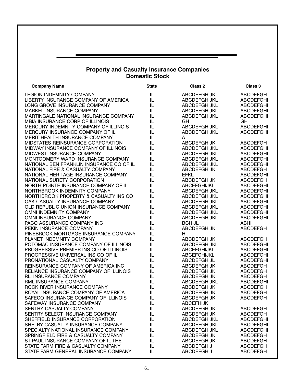| <b>Company Name</b>                      | <b>State</b> | Class <sub>2</sub>  | Class 3          |
|------------------------------------------|--------------|---------------------|------------------|
| <b>LEGION INDEMNITY COMPANY</b>          | IL           | <b>ABCDEFGHIJK</b>  | <b>ABCDEFGH</b>  |
| LIBERTY INSURANCE COMPANY OF AMERICA     | IL           | ABCDEFGHIJKL        | <b>ABCDEFGHI</b> |
| LONG GROVE INSURANCE COMPANY             | IL           | <b>ABCDEFGHIJKL</b> | <b>ABCDEFGHI</b> |
| MARKEL INSURANCE COMPANY                 | IL           | ABCDEFGHIJKL        | <b>ABCDEFGHI</b> |
| MARTINGALE NATIONAL INSURANCE COMPANY    | IL           | <b>ABCDEFGHIJKL</b> | <b>ABCDEFGHI</b> |
| <b>MBIA INSURANCE CORP OF ILLINOIS</b>   | IL           | GH.                 | <b>GH</b>        |
| MERCURY INDEMNITY COMPANY OF ILLINOIS    | IL           | <b>ABCDEFGHIJKL</b> | <b>ABCDEFGHI</b> |
| MERCURY INSURANCE COMPANY OF IL          | IL           | <b>ABCDEFGHIJKL</b> | <b>ABCDEFGHI</b> |
| <b>MERIT HEALTH INSURANCE COMPANY</b>    | IL           | A                   |                  |
| MIDSTATES REINSURANCE CORPORATION        | IL           | <b>ABCDEFGHIJK</b>  | <b>ABCDEFGH</b>  |
| MIDWAY INSURANCE COMPANY OF ILLINOIS     | IL           | <b>ABCDEFGHIJKL</b> | <b>ABCDEFGHI</b> |
| MIDWEST INSURANCE COMPANY                | IL           | ABCDEFGHIJKL        | <b>ABCDEFGHI</b> |
| MONTGOMERY WARD INSURANCE COMPANY        | IL           | ABCDEFGHIJKL        | <b>ABCDEFGHI</b> |
| NATIONAL BEN FRANKLIN INSURANCE CO OF IL | IL           | ABCDEFGHIJKL        | <b>ABCDEFGHI</b> |
| NATIONAL FIRE & CASUALTY COMPANY         | IL           | <b>ABCDEFGHIJK</b>  | <b>ABCDEFGH</b>  |
| NATIONAL HERITAGE INSURANCE COMPANY      | IL           | <b>EFKL</b>         | <b>ABCDEFGHI</b> |
| NATIONAL SURETY CORPORATION              | IL           | <b>ABCDEFGHIJK</b>  | <b>ABCDEFGH</b>  |
| NORTH POINTE INSURANCE COMPANY OF IL     | IL           | <b>ABCEFGHIJKL</b>  | <b>ABCDEFGHI</b> |
| NORTHBROOK INDEMNITY COMPANY             | IL           | ABCDEFGHIJKL        | <b>ABCDEFGHI</b> |
| NORTHBROOK PROPERTY & CASUALTY INS CO    | IL           | <b>ABCDEFGHIJKL</b> | <b>ABCDEFGHI</b> |
| OAK CASUALTY INSURANCE COMPANY           | IL           | ABCDEFGHIJKL        | <b>ABCDEFGHI</b> |
| OLD REPUBLIC UNION INSURANCE COMPANY     | IL           | <b>ABCDEFGHIJKL</b> | <b>ABCDEFGHI</b> |
| OMNI INDEMNITY COMPANY                   | IL           | <b>ABCDEFGHIJKL</b> | <b>ABCDEFGHI</b> |
| OMNI INSURANCE COMPANY                   | IL           | <b>ABCDEFGHIJKL</b> | <b>ABCDEFGHI</b> |
| PACO ASSURANCE COMPANY INC               | IL           | <b>BCHIJL</b>       | <b>ABHI</b>      |
| PEKIN INSURANCE COMPANY                  | IL           | <b>ABCDEFGHIJK</b>  | <b>ABCDEFGH</b>  |
| PINEBROOK MORTGAGE INSURANCE COMPANY     | IL           | H                   |                  |
| PLANET INDEMNITY COMPANY                 | IL           | <b>ABCDEFGHIJK</b>  | <b>ABCDEFGH</b>  |
| POTOMAC INSURANCE COMPANY OF ILLINOIS    | IL           | ABCDEFGHIJKL        | <b>ABCDEFGHI</b> |
| PROGRESSIVE PREMIER INS CO OF ILLINOIS   | IL           | <b>ABCEFGHIJKL</b>  | <b>ABCDEFGHI</b> |
| PROGRESSIVE UNIVERSAL INS CO OF IL       | IL           | ABCEFGHIJKL         | <b>ABCDEFGHI</b> |
| PRONATIONAL CASUALTY COMPANY             | IL           | ABCDEFGHIJL         | <b>ABCDEFGHI</b> |
| REINSURANCE COMPANY OF AMERICA INC       | IL           | <b>ABCDEFGHIJK</b>  | <b>ABCDEFGH</b>  |
| RELIANCE INSURANCE COMPANY OF ILLINOIS   | IL           | <b>ABCDEFGHIJK</b>  | <b>ABCDEFGH</b>  |
| <b>RLI INSURANCE COMPANY</b>             | IL.          | <b>ABCDEFGHIJK</b>  | <b>ABCDEFGH</b>  |
| RML INSURANCE COMPANY                    | IL.          | <b>ABCDEFGHIJKL</b> | <b>ABCDEFGHI</b> |
| ROCK RIVER INSURANCE COMPANY             | IL           | <b>ABCDEFGHIJK</b>  | <b>ABCDEFGH</b>  |
| ROYAL INSURANCE COMPANY OF AMERICA       | IL           | <b>ABCDEFGHIJK</b>  | <b>ABCDEFGH</b>  |
| SAFECO INSURANCE COMPANY OF ILLINOIS     | IL           | <b>ABCDEFGHIJK</b>  | <b>ABCDEFGH</b>  |
| SAFEWAY INSURANCE COMPANY                | IL           | <b>ABCEFHIJK</b>    |                  |
| SENTRY CASUALTY COMPANY                  | IL           | <b>ABCDEFGHIJK</b>  | <b>ABCDEFGH</b>  |
| SENTRY SELECT INSURANCE COMPANY          | IL           | <b>ABCDEFGHIJK</b>  | <b>ABCDEFGH</b>  |
| SHEFFIELD INSURANCE CORPORATION          | IL           | <b>ABCDEFGHIJKL</b> | <b>ABCDEFGHI</b> |
| SHELBY CASUALTY INSURANCE COMPANY        | IL           | <b>ABCDEFGHIJKL</b> | <b>ABCDEFGHI</b> |
| SPECIALTY NATIONAL INSURANCE COMPANY     | IL           | ABCDEFGHIJKL        | <b>ABCDEFGHI</b> |
| SPRINGFIELD FIRE & CASUALTY COMPANY      | IL           | <b>ABCDEFGHIJK</b>  | <b>ABCDEFGH</b>  |
| ST PAUL INSURANCE COMPANY OF IL THE      | IL           | <b>ABCDEFGHIJK</b>  | <b>ABCDEFGH</b>  |
| STATE FARM FIRE & CASUALTY COMPANY       | IL           | <b>ABCDEFGHIJ</b>   | <b>ABCDEFGH</b>  |
| STATE FARM GENERAL INSURANCE COMPANY     | IL           | <b>ABCDEFGHIJ</b>   | <b>ABCDEFGH</b>  |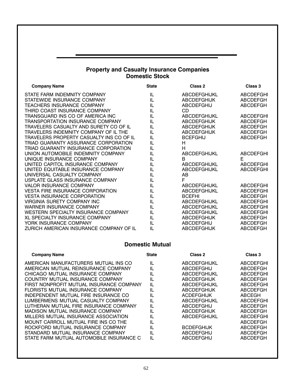| <b>Company Name</b>                                                                                                                                                                                                                                                                                                                                                                                                                                                                                                                                                                                           | <b>State</b>                                                                           | Class <sub>2</sub>                                                                                                                                                                                                                                                                                | <b>Class 3</b>                                                                                                                                                                                                                                                                               |
|---------------------------------------------------------------------------------------------------------------------------------------------------------------------------------------------------------------------------------------------------------------------------------------------------------------------------------------------------------------------------------------------------------------------------------------------------------------------------------------------------------------------------------------------------------------------------------------------------------------|----------------------------------------------------------------------------------------|---------------------------------------------------------------------------------------------------------------------------------------------------------------------------------------------------------------------------------------------------------------------------------------------------|----------------------------------------------------------------------------------------------------------------------------------------------------------------------------------------------------------------------------------------------------------------------------------------------|
| STATE FARM INDEMNITY COMPANY<br>STATEWIDE INSURANCE COMPANY<br><b>TEACHERS INSURANCE COMPANY</b><br>THIRD COAST INSURANCE COMPANY                                                                                                                                                                                                                                                                                                                                                                                                                                                                             | IL<br>IL<br>IL<br>IL                                                                   | ABCDEFGHIJKL<br><b>ABCDEFGHIJK</b><br><b>ABCDEFGHIJ</b><br>CD                                                                                                                                                                                                                                     | <b>ABCDEFGHI</b><br><b>ABCDEFGH</b><br><b>ABCDEFGH</b>                                                                                                                                                                                                                                       |
| TRANSGUARD INS CO OF AMERICA INC<br>TRANSPORTATION INSURANCE COMPANY<br>TRAVELERS CASUALTY AND SURETY CO OF IL<br>TRAVELERS INDEMNITY COMPANY OF IL THE<br>TRAVELERS PROPERTY CASUALTY INS CO OF IL                                                                                                                                                                                                                                                                                                                                                                                                           | IL<br>IL<br>IL<br>IL<br>IL                                                             | <b>ABCDEFGHIJKL</b><br><b>ABCDEFGHIJK</b><br><b>ABCDEFGHIJK</b><br><b>ABCDEFGHIJK</b><br><b>BCEFGHIJ</b>                                                                                                                                                                                          | <b>ABCDEFGHI</b><br><b>ABCDEFGH</b><br><b>ABCDEFGH</b><br><b>ABCDEFGH</b><br><b>ABCDEFGH</b>                                                                                                                                                                                                 |
| TRIAD GUARANTY ASSURANCE CORPORATION<br>TRIAD GUARANTY INSURANCE CORPORATION<br>UNION AUTOMOBILE INDEMNITY COMPANY                                                                                                                                                                                                                                                                                                                                                                                                                                                                                            | IL<br>IL<br>IL                                                                         | H<br>H<br><b>ABCDEFGHIJKL</b>                                                                                                                                                                                                                                                                     | <b>ABCDEFGHI</b>                                                                                                                                                                                                                                                                             |
| UNIQUE INSURANCE COMPANY<br>UNITED CAPITOL INSURANCE COMPANY<br>UNITED EQUITABLE INSURANCE COMPANY<br>UNIVERSAL CASUALTY COMPANY                                                                                                                                                                                                                                                                                                                                                                                                                                                                              | IL<br>IL<br>IL<br>IL                                                                   | B<br>ABCDEFGHIJKL<br><b>ABCDEFGHIJKL</b><br>AB                                                                                                                                                                                                                                                    | Е<br><b>ABCDEFGHI</b><br><b>ABCDEFGHI</b>                                                                                                                                                                                                                                                    |
| USPLATE GLASS INSURANCE COMPANY<br><b>VALOR INSURANCE COMPANY</b><br><b>VESTA FIRE INSURANCE CORPORATION</b><br><b>VESTA INSURANCE CORPORATION</b>                                                                                                                                                                                                                                                                                                                                                                                                                                                            | IL<br>IL<br>IL<br>IL                                                                   | F<br>ABCDEFGHIJKL<br><b>ABCDEFGHIJKL</b><br><b>BCEFHI</b>                                                                                                                                                                                                                                         | <b>ABCDEFGHI</b><br><b>ABCDEFGHI</b><br><b>ABCDEFGH</b>                                                                                                                                                                                                                                      |
| <b>VIRGINIA SURETY COMPANY INC</b><br><b>WARNER INSURANCE COMPANY</b><br>WESTERN SPECIALTY INSURANCE COMPANY<br>XL SPECIALTY INSURANCE COMPANY                                                                                                                                                                                                                                                                                                                                                                                                                                                                | IL<br>IL<br>IL<br>IL                                                                   | ABCDEFGHIJKL<br><b>ABCDEFGHIJKL</b><br><b>ABCDEFGHIJKL</b><br><b>ABCDEFGHIJK</b>                                                                                                                                                                                                                  | <b>ABCDEFGHI</b><br><b>ABCDEFGHI</b><br><b>ABCDEFGHI</b><br><b>ABCDEFGH</b>                                                                                                                                                                                                                  |
| YORK INSURANCE COMPANY<br>ZURICH AMERICAN INSURANCE COMPANY OF IL                                                                                                                                                                                                                                                                                                                                                                                                                                                                                                                                             | IL<br>IL                                                                               | <b>ABCDEFGHIJ</b><br><b>ABCDEFGHIJK</b>                                                                                                                                                                                                                                                           | <b>ABCDEFGH</b><br><b>ABCDEFGH</b>                                                                                                                                                                                                                                                           |
|                                                                                                                                                                                                                                                                                                                                                                                                                                                                                                                                                                                                               | <b>Domestic Mutual</b>                                                                 |                                                                                                                                                                                                                                                                                                   |                                                                                                                                                                                                                                                                                              |
| <b>Company Name</b>                                                                                                                                                                                                                                                                                                                                                                                                                                                                                                                                                                                           | <b>State</b>                                                                           | Class 2                                                                                                                                                                                                                                                                                           | <b>Class 3</b>                                                                                                                                                                                                                                                                               |
| AMERICAN MANUFACTURERS MUTUAL INS CO<br>AMERICAN MUTUAL REINSURANCE COMPANY<br>CHICAGO MUTUAL INSURANCE COMPANY<br>COUNTRY MUTUAL INSURANCE COMPANY<br>FIRST NONPROFIT MUTUAL INSURANCE COMPANY<br>FLORISTS MUTUAL INSURANCE COMPANY<br>INDEPENDENT MUTUAL FIRE INSURANCE CO<br>LUMBERMENS MUTUAL CASUALTY COMPANY<br>LUTHERAN MUTUAL FIRE INSURANCE COMPANY<br><b>MADISON MUTUAL INSURANCE COMPANY</b><br>MILLERS MUTUAL INSURANCE ASSOCIATION<br>MOUNT CARROLL MUTUAL FIRE INS CO THE<br>ROCKFORD MUTUAL INSURANCE COMPANY<br>STANDARD MUTUAL INSURANCE COMPANY<br>STATE FARM MUTUAL AUTOMOBILE INSURANCE C | IL<br>IL<br>IL<br>IL<br>IL<br>IL<br>IL<br>IL<br>IL<br>IL<br>IL<br>IL<br>IL<br>IL<br>IL | <b>ABCDEFGHIJKL</b><br><b>ABCDEFGHIJ</b><br>ABCDEFGHIJKL<br><b>ABCDEFGHIJK</b><br><b>ABCDEFGHIJKL</b><br><b>ABCDEFGHIJK</b><br><b>ACDEFGHIJK</b><br><b>ABCDEFGHIJKL</b><br><b>ABCDEFGHIJ</b><br><b>ABCDEFGHIJK</b><br>ABCDEFGHIJKL<br><b>BCDEFGHIJK</b><br><b>ABCDEFGHIJ</b><br><b>ABCDEFGHIJ</b> | <b>ABCDEFGHI</b><br><b>ABCDEFGH</b><br><b>ABCDEFGHI</b><br><b>ABCDEFGH</b><br><b>ABCDEFGHI</b><br><b>ABCDEFGH</b><br><b>ABCEGH</b><br><b>ABCDEFGHI</b><br><b>ABCDEFGH</b><br><b>ABCDEFGH</b><br><b>ABCDEFGHI</b><br><b>ABCDEFGH</b><br><b>ABCDEFGH</b><br><b>ABCDEFGH</b><br><b>ABCDEFGH</b> |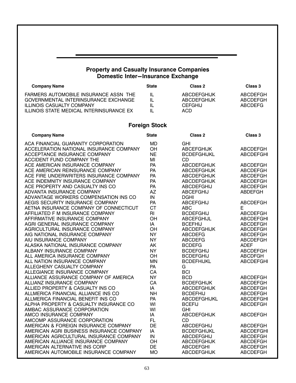### **Property and Casualty Insurance Companies** Domestic Inter-Insurance Exchange

| <b>Company Name</b>                      | <b>State</b> | Class 2            | Class 3  |
|------------------------------------------|--------------|--------------------|----------|
| FARMERS AUTOMOBILE INSURANCE ASSN THE    |              | <b>ABCDEFGHIJK</b> | ABCDEFGH |
| GOVERNMENTAL INTERINSURANCE EXCHANGE     |              | ABCDEFGHIJK        | ABCDEFGH |
| ILLINOIS CASUALTY COMPANY                |              | <b>CEFGHIJ</b>     | ABCDEEG  |
| ILLINOIS STATE MEDICAL INTERINSURANCE EX |              | ACD                |          |

#### Foreign Stock

| <b>Company Name</b>                      | <b>State</b> | Class 2             | Class 3          |
|------------------------------------------|--------------|---------------------|------------------|
| ACA FINANCIAL GUARANTY CORPORATION       | <b>MD</b>    | <b>GHI</b>          |                  |
| ACCELERATION NATIONAL INSURANCE COMPANY  | OH           | <b>ABCEFGHIJK</b>   | <b>ABCDEFGH</b>  |
| ACCEPTANCE INSURANCE COMPANY             | <b>NE</b>    | <b>BCDEFGHIJKL</b>  | <b>ABCDEFGHI</b> |
| ACCIDENT FUND COMPANY THE                | MI           | <b>CD</b>           |                  |
| ACE AMERICAN INSURANCE COMPANY           | PA           | <b>ABCDEFGHIJK</b>  | <b>ABCDEFGH</b>  |
| ACE AMERICAN REINSURANCE COMPANY         | PA           | <b>ABCDEFGHIJK</b>  | <b>ABCDEFGH</b>  |
| ACE FIRE UNDERWRITERS INSURANCE COMPANY  | PA           | <b>ABCDEFGHIJK</b>  | <b>ABCDEFGH</b>  |
| ACE INDEMNITY INSURANCE COMPANY          | PA           | <b>ABCDEFGHIJK</b>  | <b>ABCDEFGH</b>  |
| ACE PROPERTY AND CASUALTY INS CO         | PA           | <b>ABCDEFGHIJ</b>   | <b>ABCDEFGH</b>  |
| ADVANTA INSURANCE COMPANY                | <b>AZ</b>    | <b>ABCEFGHIJ</b>    | <b>ABDEFGH</b>   |
| ADVANTAGE WORKERS COMPENSATION INS CO    | IN           | <b>DGHI</b>         |                  |
| AEGIS SECURITY INSURANCE COMPANY         | PA           | <b>ABCEFGHIJ</b>    | <b>ABCDEFGH</b>  |
| AETNA INSURANCE COMPANY OF CONNECTICUT   | <b>CT</b>    | <b>ABC</b>          | Е                |
| AFFILIATED F M INSURANCE COMPANY         | RI           | <b>BCDEFGHIJ</b>    | <b>ABCDEFGH</b>  |
| AFFIRMATIVE INSURANCE COMPANY            | OH           | <b>ABCEFGHIJL</b>   | <b>ABCDEFGHI</b> |
| AGRI GENERAL INSURANCE COMPANY           | IA           | <b>BCEFHIJ</b>      | <b>ABCDEFGH</b>  |
| AGRICULTURAL INSURANCE COMPANY           | OH           | <b>ABCDEFGHIJK</b>  | <b>ABCDEFGH</b>  |
| AIG NATIONAL INSURANCE COMPANY           | <b>NY</b>    | <b>ABCDEFG</b>      | <b>ABCDEFGH</b>  |
| AIU INSURANCE COMPANY                    | <b>NY</b>    | <b>ABCDEFG</b>      | <b>ABCDEFGH</b>  |
| ALASKA NATIONAL INSURANCE COMPANY        | AK           | <b>BCDEFG</b>       | <b>ADEF</b>      |
| ALBANY INSURANCE COMPANY                 | <b>NY</b>    | <b>BCDEFGHIJ</b>    | <b>ABCDEFGH</b>  |
| ALL AMERICA INSURANCE COMPANY            | OH           | <b>BCDEFGHIJ</b>    | <b>ABCDFGH</b>   |
| ALL NATION INSURANCE COMPANY             | <b>MN</b>    | <b>BCDEFHIJKL</b>   | <b>ABCDEFGHI</b> |
| ALLEGHENY CASUALTY COMPANY               | PA           | G                   |                  |
| ALLEGIANCE INSURANCE COMPANY             | CA           | <b>BCI</b>          |                  |
| ALLIANCE ASSURANCE COMPANY OF AMERICA    | <b>NY</b>    | <b>BCD</b>          | <b>ABCDEFGH</b>  |
| ALLIANZ INSURANCE COMPANY                | CA           | <b>BCDEFGHIJK</b>   | <b>ABCDEFGH</b>  |
| ALLIED PROPERTY & CASUALTY INS CO        | IA           | <b>ABCDEFGHIJK</b>  | <b>ABCDEFGH</b>  |
| ALLMERICA FINANCIAL ALLIANCE INS CO      | <b>NH</b>    | <b>BCDEFHIJ</b>     | <b>ABCDEFGH</b>  |
| ALLMERICA FINANCIAL BENEFIT INS CO       | PA           | <b>ABCDEFGHIJKL</b> | <b>ABCDEFGHI</b> |
| ALPHA PROPERTY & CASUALTY INSURANCE CO   | WI           | <b>BCEFIJ</b>       | <b>ABCDEFGH</b>  |
| AMBAC ASSURANCE CORPORATION              | WI           | <b>GHI</b>          |                  |
| AMCO INSURANCE COMPANY                   | IA           | <b>ABCDEFGHIJK</b>  | <b>ABCDEFGH</b>  |
| AMCOMP ASSURANCE CORPORATION             | <b>FL</b>    | <b>CD</b>           |                  |
| AMERICAN & FOREIGN INSURANCE COMPANY     | DE           | <b>ABCDEFGHIJ</b>   | <b>ABCDEFGH</b>  |
| AMERICAN AGRI BUSINESS INSURANCE COMPANY | IA           | <b>BCDEFGHIJKL</b>  | <b>ABCDEFGHI</b> |
| AMERICAN AGRICULTURAL INSURANCE COMPANY  | IN           | <b>ABCDEFGHIJ</b>   | <b>ABCDEFGH</b>  |
| AMERICAN ALLIANCE INSURANCE COMPANY      | OH           | <b>ABCDEFGHIJK</b>  | <b>ABCDEFGH</b>  |
| AMERICAN ALTERNATIVE INS CORP            | <b>DE</b>    | <b>ABCDEFGHI</b>    | <b>ABCDEFGH</b>  |
| AMERICAN AUTOMOBILE INSURANCE COMPANY    | <b>MO</b>    | <b>ABCDEFGHIJK</b>  | <b>ABCDEFGH</b>  |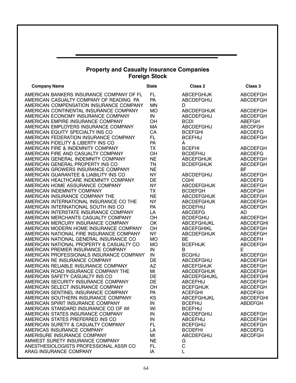| <b>Company Name</b>                      | <b>State</b> | Class 2             | Class 3          |
|------------------------------------------|--------------|---------------------|------------------|
| AMERICAN BANKERS INSURANCE COMPANY OF FL | <b>FL</b>    | <b>ABCEFGHIJK</b>   | <b>ABCDEFGH</b>  |
| AMERICAN CASUALTY COMPANY OF READING PA  | PA           | <b>ABCDEFGHIJ</b>   | <b>ABCDEFGH</b>  |
| AMERICAN COMPENSATION INSURANCE COMPANY  | MN           | D                   |                  |
| AMERICAN CONTINENTAL INSURANCE COMPANY   | <b>MO</b>    | <b>ABCDEFGHIJK</b>  | <b>ABCDEFGH</b>  |
| AMERICAN ECONOMY INSURANCE COMPANY       | IN           | <b>ABCDEFGHIJ</b>   | <b>ABCDEFGH</b>  |
| AMERICAN EMPIRE INSURANCE COMPANY        | OH           | <b>BCDI</b>         | <b>ABEFGH</b>    |
| AMERICAN EMPLOYERS INSURANCE COMPANY     | MA           | <b>ABCDEFGHIJ</b>   | <b>ABCDFGH</b>   |
| AMERICAN EQUITY SPECIALTY INS CO         | CA           | <b>BCEFGHI</b>      | <b>ABCDEFG</b>   |
| AMERICAN FEDERATION INSURANCE COMPANY    | FL           | <b>BCEFHIJ</b>      | <b>ABCDEFGH</b>  |
| AMERICAN FIDELITY & LIBERTY INS CO       | PA           | A                   |                  |
| AMERICAN FIRE & INDEMNITY COMPANY        | <b>TX</b>    | <b>BCEFHI</b>       | <b>ABCDEFGH</b>  |
| AMERICAN FIRE AND CASUALTY COMPANY       | OH           | <b>BCDEFHIJ</b>     | <b>ABCDEFG</b>   |
| AMERICAN GENERAL INDEMNITY COMPANY       | <b>NE</b>    | <b>ABCEFGHIJK</b>   | <b>ABCDEFGH</b>  |
| AMERICAN GENERAL PROPERTY INS CO         | <b>TN</b>    | <b>BCDEFGHIJK</b>   | <b>ABCDEFGH</b>  |
| AMERICAN GROWERS INSURANCE COMPANY       | <b>NE</b>    |                     | <b>BF</b>        |
| AMERICAN GUARANTEE & LIABILITY INS CO    | <b>NY</b>    | <b>ABCDEFGHIJ</b>   | <b>ABCDEFGH</b>  |
| AMERICAN HEALTHCARE INDEMNITY COMPANY    | DE           | <b>CGHI</b>         | <b>ABCDEFG</b>   |
| AMERICAN HOME ASSURANCE COMPANY          | NY           | <b>ABCDEFGHIJK</b>  | <b>ABCDEFGH</b>  |
| AMERICAN INDEMNITY COMPANY               | <b>TX</b>    | <b>BCDEFGH</b>      | <b>ABCDFGH</b>   |
| AMERICAN INSURANCE COMPANY THE           | <b>NE</b>    | <b>ABCDEFGHIJK</b>  | <b>ABCDEFGH</b>  |
| AMERICAN INTERNATIONAL INSURANCE CO THE  | <b>NY</b>    | <b>ABCDEFGHIJK</b>  | <b>ABCDEFGH</b>  |
| AMERICAN INTERNATIONAL SOUTH INS CO      | PA           | <b>BCDEFHIJ</b>     | <b>ABCDEFGH</b>  |
| AMERICAN INTERSTATE INSURANCE COMPANY    | LA           | <b>ABCDEFG</b>      | <b>AD</b>        |
| AMERICAN MERCHANTS CASUALTY COMPANY      | OН           | <b>BCDEFGHIJ</b>    | <b>ABCDEFGH</b>  |
| AMERICAN MERCURY INSURANCE COMPANY       | OK           | <b>ABCEFGHIJKL</b>  | <b>ABCDEFGHI</b> |
| AMERICAN MODERN HOME INSURANCE COMPANY   | OH           | <b>ABCEFGHIKL</b>   | <b>ABCDEFGH</b>  |
| AMERICAN NATIONAL FIRE INSURANCE COMPANY | <b>NY</b>    | <b>ABCDEFGHIJK</b>  | <b>ABCDEFGH</b>  |
| AMERICAN NATIONAL GENERAL INSURANCE CO   | <b>MO</b>    | <b>BE</b>           | <b>ABCDEFH</b>   |
| AMERICAN NATIONAL PROPERTY & CASUALTY CO | <b>MO</b>    | <b>BCEFHIJK</b>     | <b>ABCDEFGH</b>  |
| AMERICAN PREMIER INSURANCE COMPANY       | IN           | B                   | Е                |
| AMERICAN PROFESSIONALS INSURANCE COMPANY | IN           | <b>BCGHIJ</b>       | <b>ABCDEFGH</b>  |
| AMERICAN RE INSURANCE COMPANY            | DE           | ABCDEFGHIJ          | <b>ABCDEFGH</b>  |
| AMERICAN RELIABLE INSURANCE COMPANY      | <b>AZ</b>    | <b>ABCEFGHIJK</b>   | <b>ABCDEFGH</b>  |
| AMERICAN ROAD INSURANCE COMPANY THE      | MI           | <b>ABCDEFGHIJK</b>  | <b>ABCDEFGH</b>  |
| AMERICAN SAFETY CASUALTY INS CO          | DE           | <b>ABCDEFGHIJKL</b> | <b>ABCDEFGHI</b> |
| AMERICAN SECURITY INSURANCE COMPANY      | DE           | <b>ABCEFHIJ</b>     | <b>ABCDEFGH</b>  |
| AMERICAN SELECT INSURANCE COMPANY        | OH           | <b>BCEFGHIJK</b>    | <b>ABCDEFGH</b>  |
| AMERICAN SENTINEL INSURANCE COMPANY      | PA           | <b>ACEFGHI</b>      | <b>ABCDFGH</b>   |
| AMERICAN SOUTHERN INSURANCE COMPANY      | KS           | <b>ABCEFGHIJKL</b>  | <b>ABCDEFGHI</b> |
| AMERICAN SPIRIT INSURANCE COMPANY        | IN           | <b>BCEFHIJ</b>      | <b>ABDEFGH</b>   |
| AMERICAN STANDARD INSURANCE CO OF WI     | WI           | <b>BCEFHIJ</b>      |                  |
| AMERICAN STATES INSURANCE COMPANY        | IN           | <b>ABCDEFGHIJ</b>   | <b>ABCDEFGH</b>  |
| AMERICAN STATES PREFERRED INS CO         | IN           | <b>ABCEFHIJ</b>     | <b>ABCDEFGH</b>  |
| AMERICAN SURETY & CASUALTY COMPANY       | FL           | <b>BCEFGHIJ</b>     | <b>ABCDEFGH</b>  |
| AMERICAS INSURANCE COMPANY               | LA           | <b>BCDEFHI</b>      | <b>ABCDEFG</b>   |
| AMERISURE INSURANCE COMPANY              | MI           | <b>ABCDEFGHIJ</b>   | <b>ABCDFGH</b>   |
| AMWEST SURETY INSURANCE COMPANY          | <b>NE</b>    | G                   |                  |
| ANESTHESIOLOGISTS PROFESSIONAL ASSR CO   | FL           | $\mathsf C$         |                  |
| ARAG INSURANCE COMPANY                   | IA           | L                   |                  |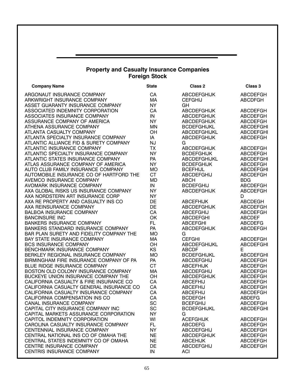| <b>Company Name</b>                       | <b>State</b> | Class 2             | Class 3          |
|-------------------------------------------|--------------|---------------------|------------------|
| ARGONAUT INSURANCE COMPANY                | CA           | <b>ABCDEFGHIJK</b>  | <b>ABCDEFGH</b>  |
| ARKWRIGHT INSURANCE COMPANY               | MA           | <b>CEFGHIJ</b>      | <b>ABCDFGH</b>   |
| ASSET GUARANTY INSURANCE COMPANY          | <b>NY</b>    | GH                  |                  |
| ASSOCIATED INDEMNITY CORPORATION          | CA           | <b>ABCDEFGHIJK</b>  | <b>ABCDEFGH</b>  |
| ASSOCIATES INSURANCE COMPANY              | IN           | <b>ABCDEFGHIJK</b>  | <b>ABCDEFGH</b>  |
| ASSURANCE COMPANY OF AMERICA              | <b>NY</b>    | <b>ABCDEFGHIJK</b>  | <b>ABCDEFGH</b>  |
| ATHENA ASSURANCE COMPANY                  | <b>MN</b>    | <b>BCDEFGHIJKL</b>  | <b>ABCDEFGHI</b> |
| ATLANTA CASUALTY COMPANY                  | OH           | <b>ABCDEFGHIJKL</b> | <b>ABCDEFGHI</b> |
| ATLANTA SPECIALTY INSURANCE COMPANY       | IA           | <b>ABCDEFGHIJK</b>  | <b>ABCDEFGH</b>  |
| ATLANTIC ALLIANCE FID & SURETY COMPANY    | <b>NJ</b>    | G                   |                  |
| ATLANTIC INSURANCE COMPANY                | <b>TX</b>    | <b>ABCDEFGHIJK</b>  | <b>ABCDEFGH</b>  |
| ATLANTIC SPECIALTY INSURANCE COMPANY      | <b>NY</b>    | <b>BCDEFGHIJK</b>   | <b>ABCDEFGH</b>  |
| ATLANTIC STATES INSURANCE COMPANY         | PA           | <b>ABCDEFGHIJKL</b> | <b>ABCDEFGHI</b> |
| ATLAS ASSURANCE COMPANY OF AMERICA        | <b>NY</b>    | <b>BCDEFGHIJK</b>   | <b>ABCDEFGH</b>  |
| AUTO CLUB FAMILY INSURANCE COMPANY        | <b>MO</b>    | <b>BCEFHIJL</b>     | <b>ABCDEFGHI</b> |
| AUTOMOBILE INSURANCE CO OF HARTFORD THE   | <b>CT</b>    | <b>ABCDEFGHIJ</b>   | <b>ABCDEFGH</b>  |
| AVEMCO INSURANCE COMPANY                  | <b>MD</b>    | <b>ABCH</b>         | <b>BDG</b>       |
| AVOMARK INSURANCE COMPANY                 | IN           | <b>BCDEFGHIJ</b>    | <b>ABCDEFGH</b>  |
| AXA GLOBAL RISKS US INSURANCE COMPANY     | <b>NY</b>    | <b>ABCDEFGHIJK</b>  | <b>ABCDEFGH</b>  |
| AXA NORDSTERN ART INSURANCE CORP          |              |                     | D                |
|                                           | <b>NY</b>    |                     |                  |
| AXA RE PROPERTY AND CASUALTY INS CO       | DE           | <b>ABCEFHIJK</b>    | <b>ABCDEGH</b>   |
| AXA REINSURANCE COMPANY                   | DE           | <b>ABCDEFGHIJK</b>  | <b>ABCDEFGH</b>  |
| <b>BALBOA INSURANCE COMPANY</b>           | CA           | <b>ABCEFGHIJ</b>    | <b>ABCDEFGH</b>  |
| <b>BANCINSURE INC</b>                     | OK           | <b>ABCDEFGHI</b>    | <b>ABCDEF</b>    |
| <b>BANKERS INSURANCE COMPANY</b>          | FL           | <b>ABCEFGHI</b>     | <b>ABCDEFG</b>   |
| <b>BANKERS STANDARD INSURANCE COMPANY</b> | PA           | <b>ABCDEFGHIJK</b>  | <b>ABCDEFGH</b>  |
| BAR PLAN SURETY AND FIDELITY COMPANY THE  | <b>MO</b>    | G                   |                  |
| <b>BAY STATE INSURANCE COMPANY</b>        | MA           | <b>CEFGHI</b>       | <b>ABCDEFGH</b>  |
| <b>BCS INSURANCE COMPANY</b>              | OН           | <b>ABCDEFGHIJKL</b> | <b>ABCDEFGHI</b> |
| <b>BENCHMARK INSURANCE COMPANY</b>        | <b>KS</b>    | <b>ABCDF</b>        | E                |
| BERKLEY REGIONAL INSURANCE COMPANY        | <b>MO</b>    | <b>BCDEFGHIJKL</b>  | <b>ABCDEFGHI</b> |
| BIRMINGHAM FIRE INSURANCE COMPANY OF PA   | PA           | <b>ABCDEFGHIJ</b>   | <b>ABCDEFGH</b>  |
| BLUE RIDGE INSURANCE COMPANY              | <b>CT</b>    | <b>ABCEFHIJK</b>    | <b>ABCDEFGH</b>  |
| BOSTON OLD COLONY INSURANCE COMPANY       | MA           | <b>ABCDEFGHIJ</b>   | <b>ABCDEFGH</b>  |
| BUCKEYE UNION INSURANCE COMPANY THE       | OH           | <b>ABCDEFGHIJK</b>  | <b>ABCDEFGH</b>  |
| CALIFORNIA CASUALTY & FIRE INSURANCE CO   | CA           | <b>ABCEFHIJ</b>     | <b>ABCDEFGH</b>  |
| CALIFORNIA CASUALTY GENERAL INSURANCE CO  | CA           | <b>ABCEFHIJ</b>     | <b>ABCDEFGH</b>  |
| CALIFORNIA CASUALTY INSURANCE COMPANY     | CA           | <b>ABCEFHIJ</b>     | <b>ABCDEFGH</b>  |
| CALIFORNIA COMPENSATION INS CO            | CA           | <b>BCDEFGH</b>      | <b>ABDEFG</b>    |
| CANAL INSURANCE COMPANY                   | SC           | <b>BCEFGHIJ</b>     | ABCDEFGH         |
| CAPITAL CITY INSURANCE COMPANY INC        | SC           | <b>BCDEFGHIJKL</b>  | <b>ABCDEFGHI</b> |
| CAPITAL MARKETS ASSURANCE CORPORATION     | <b>NY</b>    | G                   |                  |
| CAPITOL INDEMNITY CORPORATION             | WI           | <b>ACEFGHIJK</b>    | <b>ABCDEFGH</b>  |
| CAROLINA CASUALTY INSURANCE COMPANY       | <b>FL</b>    | <b>ABCDEFG</b>      | <b>ABCDEFGH</b>  |
| CENTENNIAL INSURANCE COMPANY              | <b>NY</b>    | <b>ABCDEFGHIJ</b>   | <b>ABCDEFGH</b>  |
| CENTRAL NATIONAL INS CO OF OMAHA THE      | <b>NE</b>    | <b>ABCDEFGHIJK</b>  | <b>ABCDEFGH</b>  |
| CENTRAL STATES INDEMNITY CO OF OMAHA      | <b>NE</b>    | <b>ABCEHIJK</b>     | <b>ABCDEFGH</b>  |
| CENTRE INSURANCE COMPANY                  | DE           | <b>ABCDEFGHIJ</b>   | <b>ABCDEFGH</b>  |
| <b>CENTRIS INSURANCE COMPANY</b>          | IN           | <b>ACI</b>          |                  |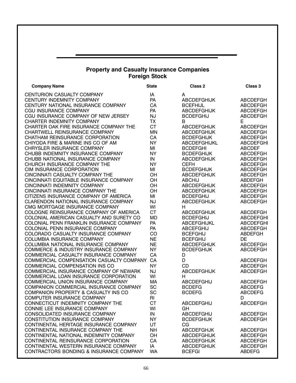| <b>Company Name</b>                                                    | <b>State</b>    | Class 2                 | Class 3          |
|------------------------------------------------------------------------|-----------------|-------------------------|------------------|
| <b>CENTURION CASUALTY COMPANY</b>                                      | IA              | A                       |                  |
| CENTURY INDEMNITY COMPANY                                              | PA              | <b>ABCDEFGHIJK</b>      | <b>ABCDEFGH</b>  |
| CENTURY NATIONAL INSURANCE COMPANY                                     | CA              | <b>BCEFHIJL</b>         | <b>ABCDEFGH</b>  |
| <b>CGU INSURANCE COMPANY</b>                                           | PA              | <b>ABCDEFGHIJK</b>      | <b>ABCDEFGH</b>  |
| CGU INSURANCE COMPANY OF NEW JERSEY                                    | <b>NJ</b>       | <b>BCDEFGHIJ</b>        | <b>ABCDEFGH</b>  |
| <b>CHARTER INDEMNITY COMPANY</b>                                       | <b>TX</b>       | B                       | Е                |
| CHARTER OAK FIRE INSURANCE COMPANY THE                                 | <b>CT</b>       | <b>ABCDEFGHIJK</b>      | <b>ABCDEFGH</b>  |
| CHARTWELL REINSURANCE COMPANY                                          | <b>MN</b>       | <b>ABCDEFGHIJK</b>      | <b>ABCDEFGH</b>  |
| CHATHAM REINSURANCE CORPORATION                                        | CA              | <b>BCDEFGHIJK</b>       | <b>ABCDEFGH</b>  |
| CHIYODA FIRE & MARINE INS CO OF AM                                     | <b>NY</b>       | <b>ABCDEFGHIJKL</b>     | <b>ABCDEFGHI</b> |
| CHRYSLER INSURANCE COMPANY                                             | MI              | <b>BCDEFGHI</b>         | <b>ABCDEF</b>    |
| CHUBB INDEMNITY INSURANCE COMPANY                                      | <b>NY</b>       | <b>BCDEFGHIJK</b>       | <b>ABCDEFGH</b>  |
| CHUBB NATIONAL INSURANCE COMPANY                                       | IN              | <b>ABCDEFGHIJK</b>      | <b>ABCDEFGH</b>  |
| CHURCH INSURANCE COMPANY THE                                           | <b>NY</b>       | <b>CEFH</b>             | <b>ABCDEFGH</b>  |
| CIM INSURANCE CORPORATION                                              | MI              | <b>BCDEFGHIJK</b>       | <b>ABCDEFGH</b>  |
| CINCINNATI CASUALTY COMPANY THE                                        | OH              | <b>ABCDEFGHIJK</b>      | <b>ABCDEFGH</b>  |
| CINCINNATI EQUITABLE INSURANCE COMPANY                                 | OH              | <b>ABCHIJ</b>           | <b>ABDEFGH</b>   |
| <b>CINCINNATI INDEMNITY COMPANY</b>                                    | OH              | <b>ABCDEFGHIJK</b>      | <b>ABCDEFGH</b>  |
| CINCINNATI INSURANCE COMPANY THE                                       | OH              | <b>ABCDEFGHIJK</b>      | <b>ABCDEFGH</b>  |
| CITIZENS INSURANCE COMPANY OF AMERICA                                  | MI              | <b>BCDEFGHIJ</b>        | <b>ABCDEFGH</b>  |
|                                                                        |                 |                         |                  |
| CLARENDON NATIONAL INSURANCE COMPANY<br>CMG MORTGAGE INSURANCE COMPANY | <b>NJ</b><br>WI | <b>ABCDEFGHIJK</b><br>н | <b>ABCDEFGH</b>  |
|                                                                        |                 |                         |                  |
| COLOGNE REINSURANCE COMPANY OF AMERICA                                 | <b>CT</b>       | <b>ABCDEFGHIJK</b>      | <b>ABCDEFGH</b>  |
| COLONIAL AMERICAN CASUALTY AND SURETY CO                               | <b>MD</b>       | <b>BCDEFGHIJ</b>        | <b>ABCDEFGHI</b> |
| COLONIAL PENN FRANKLIN INSURANCE COMPANY                               | PA              | <b>ABCEFGHIJKL</b>      | <b>ABCDEFGHI</b> |
| COLONIAL PENN INSURANCE COMPANY                                        | <b>PA</b>       | <b>ABCEFGHIJ</b>        | ABCDEFGH         |
| COLORADO CASUALTY INSURANCE COMPANY                                    | CO              | <b>BCEFGHIJ</b>         | <b>ABDEFGH</b>   |
| COLUMBIA INSURANCE COMPANY                                             | <b>NE</b>       | <b>BCEFGHIJ</b>         | DE               |
| COLUMBIA NATIONAL INSURANCE COMPANY                                    | <b>NE</b>       | <b>ABCDEFGHIJK</b>      | <b>ABCDEFGH</b>  |
| <b>COMMERCE &amp; INDUSTRY INSURANCE COMPANY</b>                       | <b>NY</b>       | <b>BCDEFGHIJK</b>       | <b>ABCDEFGH</b>  |
| COMMERCIAL CASUALTY INSURANCE COMPANY                                  | CA              | D                       |                  |
| COMMERCIAL COMPENSATION CASUALTY COMPANY                               | CA              | D                       | <b>ABCDEFGH</b>  |
| <b>COMMERCIAL COMPENSATION INS CO</b>                                  | <b>NY</b>       | <b>CD</b>               | <b>ABCDEFGH</b>  |
| COMMERCIAL INSURANCE COMPANY OF NEWARK                                 | <b>NJ</b>       | <b>ABCDEFGHIJK</b>      | <b>ABCDEFGH</b>  |
| COMMERCIAL LOAN INSURANCE CORPORATION                                  | WI              | H                       |                  |
| COMMERCIAL UNION INSURANCE COMPANY                                     | МA              | <b>ABCDEFGHIJ</b>       | <b>ABCDEFGH</b>  |
| COMPANION COMMERCIAL INSURANCE COMPANY                                 | SC              | <b>BCDEFG</b>           | <b>ABCDEFG</b>   |
| <b>COMPANION PROPERTY &amp; CASUALTY INS CO</b>                        | SC              | <b>BCDEFG</b>           | <b>ABCDEFG</b>   |
| COMPUTER INSURANCE COMPANY                                             | RI              |                         | D                |
| CONNECTICUT INDEMNITY COMPANY THE                                      | СT              | <b>ABCDEFGHIJ</b>       | <b>ABCDEFGH</b>  |
| CONNIE LEE INSURANCE COMPANY                                           | WI              | GH                      |                  |
| CONSOLIDATED INSURANCE COMPANY                                         | IN              | <b>ABCDEFGHIJ</b>       | <b>ABCDEFGH</b>  |
| <b>CONSTITUTION INSURANCE COMPANY</b>                                  | <b>NY</b>       | <b>BCDEFGHIJK</b>       | <b>ABCDEFGH</b>  |
| CONTINENTAL HERITAGE INSURANCE COMPANY                                 | UT              | CG                      |                  |
| CONTINENTAL INSURANCE COMPANY THE                                      | <b>NH</b>       | <b>ABCDEFGHJK</b>       | <b>ABCDEFGH</b>  |
| CONTINENTAL NATIONAL INDEMNITY COMPANY                                 | OH              | <b>ABCDEFGHIJK</b>      | <b>ABCDEFGH</b>  |
| CONTINENTAL REINSURANCE CORPORATION                                    | CA              | <b>ABCDEFGHIJK</b>      | <b>ABCDEFGH</b>  |
| CONTINENTAL WESTERN INSURANCE COMPANY                                  | IA              | <b>ABCDEFGHIJK</b>      | <b>ABCDEFGH</b>  |
| CONTRACTORS BONDING & INSURANCE COMPANY                                | WA              | <b>BCEFGI</b>           | <b>ABDEFG</b>    |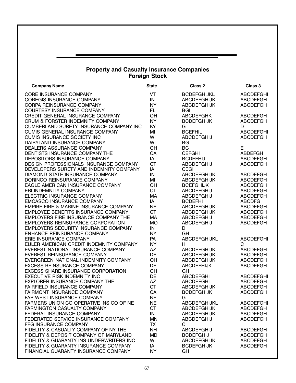| <b>Company Name</b>                                                                | <b>State</b> | Class 2                                 | Class 3                            |
|------------------------------------------------------------------------------------|--------------|-----------------------------------------|------------------------------------|
| CORE INSURANCE COMPANY                                                             | VT           | <b>BCDEFGHIJKL</b>                      | <b>ABCDEFGHI</b>                   |
| <b>COREGIS INSURANCE COMPANY</b>                                                   | IN           | <b>ABCDEFGHIJK</b>                      | <b>ABCDEFGH</b>                    |
| <b>CORPA REINSURANCE COMPANY</b>                                                   | <b>NY</b>    | <b>ABCDEFGHIJK</b>                      | <b>ABCDEFGH</b>                    |
| <b>COURTESY INSURANCE COMPANY</b>                                                  | FL.          | <b>BGI</b>                              |                                    |
| CREDIT GENERAL INSURANCE COMPANY                                                   | OH           | <b>ABCDEFGHK</b>                        | <b>ABCDEFGH</b>                    |
| CRUM & FORSTER INDEMNITY COMPANY                                                   | <b>NY</b>    | <b>BCDEFGHIJK</b>                       | <b>ABCDEFGH</b>                    |
| CUMBERLAND SURETY INSURANCE COMPANY INC                                            | KY           | G                                       | D                                  |
| <b>CUMIS GENERAL INSURANCE COMPANY</b>                                             | ΜI           | <b>BCEFHIL</b>                          | <b>ABCDEFGHI</b>                   |
| <b>CUMIS INSURANCE SOCIETY INC</b>                                                 | WI           | <b>ABCDEFGHIJ</b>                       | <b>ABCDEFGH</b>                    |
| DAIRYLAND INSURANCE COMPANY                                                        | WI           | BG                                      |                                    |
| DEALERS ASSURANCE COMPANY                                                          | OH           | <b>BC</b>                               | Е                                  |
| DENTISTS INSURANCE COMPANY THE                                                     | CA           | <b>CEFGHI</b>                           | <b>ABDEFGH</b>                     |
| DEPOSITORS INSURANCE COMPANY                                                       | IA           | <b>BCDEFHIJ</b>                         | <b>ABCDEFGH</b>                    |
| DESIGN PROFESSIONALS INSURANCE COMPANY                                             | <b>CT</b>    | <b>ABCDEFGHIJ</b>                       | <b>ABCDEFGH</b>                    |
| DEVELOPERS SURETY AND INDEMNITY COMPANY                                            | IA           | <b>CEGI</b>                             |                                    |
| DIAMOND STATE INSURANCE COMPANY                                                    | IN           | <b>ABCDEFGHIJK</b>                      | <b>ABCDEFGH</b>                    |
| DORINCO REINSURANCE COMPANY                                                        | ΜI           | <b>ABCDEFGHIJK</b>                      | <b>ABCDEFGH</b>                    |
| EAGLE AMERICAN INSURANCE COMPANY                                                   | OH           | <b>BCEFGHIJK</b>                        | <b>ABCDEFGH</b>                    |
| EBI INDEMNITY COMPANY                                                              | <b>CT</b>    | <b>ABCDEFGHIJ</b>                       | <b>ABCDEFGH</b>                    |
| ELECTRIC INSURANCE COMPANY                                                         | МA           | <b>ABCDEFGHIJ</b>                       | <b>ABCDEFGH</b>                    |
| <b>EMCASCO INSURANCE COMPANY</b>                                                   | IA           | <b>BCDEFHI</b>                          | <b>ABCDFG</b>                      |
| EMPIRE FIRE & MARINE INSURANCE COMPANY                                             | <b>NE</b>    | <b>ABCDEFGHIJK</b>                      | <b>ABCDEFGH</b>                    |
|                                                                                    |              |                                         |                                    |
| EMPLOYEE BENEFITS INSURANCE COMPANY<br><b>EMPLOYERS FIRE INSURANCE COMPANY THE</b> | <b>CT</b>    | <b>ABCDEFGHIJK</b><br><b>ABCDEFGHIJ</b> | <b>ABCDEFGH</b><br><b>ABCDEFGH</b> |
|                                                                                    | MA           |                                         |                                    |
| EMPLOYERS REINSURANCE CORPORATION                                                  | МO           | <b>ABCDEFGHIJ</b>                       | <b>ABCDEFGH</b>                    |
| EMPLOYERS SECURITY INSURANCE COMPANY                                               | IN           | D                                       |                                    |
| ENHANCE REINSURANCE COMPANY                                                        | <b>NY</b>    | GH                                      |                                    |
| ERIE INSURANCE COMPANY                                                             | PA           | <b>ABCDEFGHIJKL</b>                     | <b>ABCDEFGHI</b>                   |
| EULER AMERICAN CREDIT INDEMNITY COMPANY                                            | <b>NY</b>    | Н                                       | C                                  |
| EVEREST NATIONAL INSURANCE COMPANY                                                 | <b>AZ</b>    | <b>ABCDEFGHIJK</b>                      | <b>ABCDEFGH</b>                    |
| EVEREST REINSURANCE COMPANY                                                        | DE           | <b>ABCDEFGHIJK</b>                      | <b>ABCDEFGH</b>                    |
| EVERGREEN NATIONAL INDEMNITY COMPANY                                               | OH           | <b>ABCDEFGHIJK</b>                      | <b>ABCDEFGH</b>                    |
| <b>EXCESS REINSURANCE COMPANY</b>                                                  | DE           | <b>ABCDEFHIJK</b>                       | <b>ABCDEFGH</b>                    |
| <b>EXCESS SHARE INSURANCE CORPORATION</b>                                          | OH           | GH                                      |                                    |
| EXECUTIVE RISK INDEMNITY INC                                                       | DE           | <b>ABCDEFGHI</b>                        | <b>ABCDEFGHI</b>                   |
| EXPLORER INSURANCE COMPANY THE                                                     | AZ           | <b>ABCDEFGHI</b>                        | <b>ABCDEFGH</b>                    |
| FAIRFIELD INSURANCE COMPANY                                                        | <b>CT</b>    | <b>ABCDEFGHIJK</b>                      | <b>ABCDEFGH</b>                    |
| <b>FAIRMONT INSURANCE COMPANY</b>                                                  | CA           | <b>BCDEFGHIJK</b>                       | <b>ABCDEFGH</b>                    |
| FAR WEST INSURANCE COMPANY                                                         | <b>NE</b>    | G                                       |                                    |
| FARMERS UNION CO OPERATIVE INS CO OF NE                                            | NE           | ABCDEFGHIJKL                            | <b>ABCDEFGHI</b>                   |
| FARMINGTON CASUALTY COMPANY                                                        | <b>CT</b>    | <b>ABCDEFGHIJK</b>                      | <b>ABCDEFGH</b>                    |
| FEDERAL INSURANCE COMPANY                                                          | IN           | <b>ABCDEFGHIJK</b>                      | <b>ABCDEFGH</b>                    |
| FEDERATED SERVICE INSURANCE COMPANY                                                | MN           | <b>ABCDEFGHIJ</b>                       | <b>ABCDEFGH</b>                    |
| FFG INSURANCE COMPANY                                                              | <b>TX</b>    | C                                       |                                    |
| FIDELITY & CASUALTY COMPANY OF NY THE                                              | <b>NH</b>    | <b>ABCDEFGHIJ</b>                       | <b>ABCDEFGH</b>                    |
| FIDELITY & DEPOSIT COMPANY OF MARYLAND                                             | MD           | <b>BCDEFGHIJ</b>                        | <b>ABCDEFGH</b>                    |
| FIDELITY & GUARANTY INS UNDERWRITERS INC                                           | WI           | <b>ABCDEFGHIJK</b>                      | <b>ABCDEFGH</b>                    |
| FIDELITY & GUARANTY INSURANCE COMPANY                                              | IA           | <b>BCDEFGHIJK</b>                       | <b>ABCDEFGH</b>                    |
| FINANCIAL GUARANTY INSURANCE COMPANY                                               | NY.          | GH                                      |                                    |
|                                                                                    |              |                                         |                                    |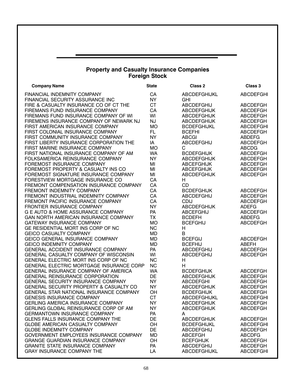| <b>Company Name</b>                                               | <b>State</b> | <b>Class 2</b>                         | Class 3                         |
|-------------------------------------------------------------------|--------------|----------------------------------------|---------------------------------|
| FINANCIAL INDEMNITY COMPANY                                       | CA           | <b>ABCDEFGHIJKL</b>                    | <b>ABCDEFGHI</b>                |
| FINANCIAL SECURITY ASSURANCE INC                                  | <b>NY</b>    | <b>GHI</b>                             |                                 |
| FIRE & CASUALTY INSURANCE CO OF CT THE                            | <b>CT</b>    | <b>ABCDEFGHIJ</b>                      | <b>ABCDEFGH</b>                 |
| FIREMANS FUND INSURANCE COMPANY                                   | CA           | <b>ABCDEFGHIJK</b>                     | <b>ABCDEFGH</b>                 |
| FIREMANS FUND INSURANCE COMPANY OF WI                             | WI           | <b>ABCDEFGHIJK</b>                     | <b>ABCDEFGH</b>                 |
| FIREMENS INSURANCE COMPANY OF NEWARK NJ                           | <b>NJ</b>    | <b>ABCDEFGHIJK</b>                     | <b>ABCDEFGH</b>                 |
| FIRST AMERICAN INSURANCE COMPANY                                  | <b>MO</b>    | <b>BCDEFGHIJKL</b>                     | <b>ABCDEFGHI</b>                |
| FIRST COLONIAL INSURANCE COMPANY                                  | FL.          | <b>BCEFHI</b>                          | <b>ABCDEFGH</b>                 |
| FIRST COMMUNITY INSURANCE COMPANY                                 | <b>NY</b>    | <b>ABCGI</b>                           | <b>ABDEFG</b>                   |
| FIRST LIBERTY INSURANCE CORPORATION THE                           | IA           | <b>ABCDEFGHIJ</b>                      | <b>ABCDEFGH</b>                 |
| FIRST MARINE INSURANCE COMPANY                                    | <b>MO</b>    | C                                      | <b>ABCDG</b>                    |
| FIRST NATIONAL INSURANCE COMPANY OF AM                            | WA           | <b>BCDEFGHIJK</b>                      | <b>ABCDEFGH</b>                 |
| FOLKSAMERICA REINSURANCE COMPANY                                  | <b>NY</b>    | <b>ABCDEFGHIJK</b>                     | <b>ABCDEFGH</b>                 |
| FOREMOST INSURANCE COMPANY                                        | ΜI           | <b>ABCEFGHIJK</b>                      | <b>ABCDEFGH</b>                 |
| FOREMOST PROPERTY & CASUALTY INS CO                               | ΜI           | <b>ABCEFGHIJK</b>                      | <b>ABCDEFGH</b>                 |
| FOREMOST SIGNATURE INSURANCE COMPANY                              | MI           | <b>ABCDEFGHIJK</b>                     | <b>ABCDEFGH</b>                 |
| FORESTVIEW MORTGAGE INSURANCE CO                                  | CA           | H                                      |                                 |
| FREMONT COMPENSATION INSURANCE COMPANY                            | CA           | <b>CD</b>                              |                                 |
| FREMONT INDEMNITY COMPANY<br>FREMONT INDUSTRIAL INDEMNITY COMPANY | CA<br>CA     | <b>BCDEFGHIJK</b><br><b>ABCDEFGHIJ</b> | <b>ABCDEFGH</b>                 |
| <b>FREMONT PACIFIC INSURANCE COMPANY</b>                          | CA           | <b>CDIJ</b>                            | <b>ABCDEFGH</b>                 |
| FRONTIER INSURANCE COMPANY                                        | <b>NY</b>    | <b>ABCDEFGHIJK</b>                     | <b>ABCDEFGH</b><br><b>ADEFG</b> |
| <b>G E AUTO &amp; HOME ASSURANCE COMPANY</b>                      | PA           | <b>ABCEFGHIJ</b>                       | <b>ABCDEFGH</b>                 |
| GAN NORTH AMERICAN INSURANCE COMPANY                              | <b>TX</b>    | <b>BCDEFH</b>                          | <b>ABDEFG</b>                   |
| <b>GATEWAY INSURANCE COMPANY</b>                                  | МO           | <b>BCEFGHIJ</b>                        | <b>ABCDEFGH</b>                 |
| GE RESIDENTIAL MORT INS CORP OF NC                                | <b>NC</b>    | Н                                      |                                 |
| <b>GEICO CASUALTY COMPANY</b>                                     | MD           | B                                      |                                 |
| <b>GEICO GENERAL INSURANCE COMPANY</b>                            | <b>MD</b>    | <b>BCEFGIJ</b>                         | <b>ABCDEFGH</b>                 |
| <b>GEICO INDEMNITY COMPANY</b>                                    | <b>MD</b>    | <b>BCEFHIJ</b>                         | <b>ABEFH</b>                    |
| <b>GENERAL ACCIDENT INSURANCE COMPANY</b>                         | PA           | <b>ABCDEFGHIJ</b>                      | <b>ABCDEFGH</b>                 |
| GENERAL CASUALTY COMPANY OF WISCONSIN                             | WI           | <b>ABCDEFGHIJ</b>                      | <b>ABCDEFGH</b>                 |
| GENERAL ELECTRIC MORT INS CORP OF NC                              | <b>NC</b>    | н                                      |                                 |
| GENERAL ELECTRIC MORTGAGE INSURANCE CORP                          | <b>NC</b>    | Н                                      |                                 |
| GENERAL INSURANCE COMPANY OF AMERICA                              | WA           | <b>BCDEFGHIJK</b>                      | <b>ABCDEFGH</b>                 |
| <b>GENERAL REINSURANCE CORPORATION</b>                            | <b>DE</b>    | <b>ABCDEFGHIJK</b>                     | <b>ABCDEFGH</b>                 |
| <b>GENERAL SECURITY INSURANCE COMPANY</b>                         | <b>NY</b>    | <b>ABCDEFGHI</b>                       | <b>ABCDEFGH</b>                 |
| GENERAL SECURITY PROPERTY & CASUALTY CO                           | <b>NY</b>    | <b>ABCDEFGHIJK</b>                     | <b>ABCDEFGH</b>                 |
| GENERAL STAR NATIONAL INSURANCE COMPANY                           | OH           | <b>BCDEFGHIJK</b>                      | <b>ABCDEFGH</b>                 |
| <b>GENESIS INSURANCE COMPANY</b>                                  | <b>CT</b>    | <b>ABCDEFGHIJKL</b>                    | <b>ABCDEFGHI</b>                |
| <b>GERLING AMERICA INSURANCE COMPANY</b>                          | NY           | <b>ABCDEFGHIJK</b>                     | <b>ABCDEFGH</b>                 |
| GERLING GLOBAL REINSURANCE CORP OF AM                             | <b>NY</b>    | <b>ABCDEFGHIJK</b>                     | <b>ABCDEFGH</b>                 |
| <b>GERMANTOWN INSURANCE COMPANY</b>                               | PA           | A                                      |                                 |
| GLENS FALLS INSURANCE COMPANY THE                                 | DE           | <b>ABCDEFGHIJK</b>                     | <b>ABCDEFGH</b>                 |
| <b>GLOBE AMERICAN CASUALTY COMPANY</b>                            | OH           | <b>BCDEFGHIJKL</b>                     | <b>ABCDEFGHI</b>                |
| <b>GLOBE INDEMNITY COMPANY</b>                                    | <b>DE</b>    | <b>ABCDEFGHIJ</b>                      | <b>ABCDEFGH</b>                 |
| GOVERNMENT EMPLOYEES INSURANCE COMPANY                            | <b>MD</b>    | <b>ABCEFGH</b>                         | <b>ABCDFG</b>                   |
| <b>GRANGE GUARDIAN INSURANCE COMPANY</b>                          | <b>OH</b>    | <b>BCEFGHIJK</b>                       | <b>ABCDEFGH</b>                 |
| <b>GRANITE STATE INSURANCE COMPANY</b>                            | <b>PA</b>    | <b>ABCDEFGHIJ</b>                      | <b>ABCDEFGH</b>                 |
| <b>GRAY INSURANCE COMPANY THE</b>                                 | LA           | ABCDEFGHIJKL                           | <b>ABCDEFGHI</b>                |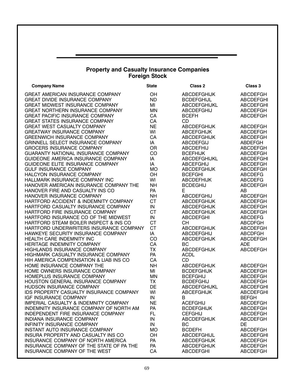| <b>Company Name</b>                                                          | <b>State</b> | <b>Class 2</b>      | Class 3          |
|------------------------------------------------------------------------------|--------------|---------------------|------------------|
| <b>GREAT AMERICAN INSURANCE COMPANY</b>                                      | OH           | <b>ABCDEFGHIJK</b>  | <b>ABCDEFGH</b>  |
| <b>GREAT DIVIDE INSURANCE COMPANY</b>                                        | <b>ND</b>    | <b>BCDEFGHIJL</b>   | <b>ABCDEFGHI</b> |
| <b>GREAT MIDWEST INSURANCE COMPANY</b>                                       | MI           | <b>ABCDEFGHIJKL</b> | <b>ABCDEFGHI</b> |
| <b>GREAT NORTHERN INSURANCE COMPANY</b>                                      | <b>MN</b>    | <b>ABCDEFGHIJ</b>   | <b>ABCDEFGH</b>  |
| <b>GREAT PACIFIC INSURANCE COMPANY</b>                                       | CA           | <b>BCEFH</b>        | <b>ABCDEFGH</b>  |
| <b>GREAT STATES INSURANCE COMPANY</b>                                        | CA           | <b>CD</b>           |                  |
| <b>GREAT WEST CASUALTY COMPANY</b>                                           | <b>NE</b>    | <b>ABCDEFGHIJK</b>  | <b>ABCDEFGH</b>  |
| <b>GREATWAY INSURANCE COMPANY</b>                                            | WI           | <b>ABCEFGHIJK</b>   | <b>ABCDEFGH</b>  |
| <b>GREENWICH INSURANCE COMPANY</b>                                           | CA           | <b>ABCDEFGHIJK</b>  | <b>ABCDEFGH</b>  |
| GRINNELL SELECT INSURANCE COMPANY                                            | IA           | <b>ABCDEFGIJ</b>    | <b>ABDEFGH</b>   |
| <b>GROCERS INSURANCE COMPANY</b>                                             | <b>OR</b>    | <b>ABCDEFHIJ</b>    | <b>ABCDEFGH</b>  |
| <b>GUARANTY NATIONAL INSURANCE COMPANY</b>                                   | CO           | <b>BCEFHIJK</b>     | <b>ABCDEFGH</b>  |
| GUIDEONE AMERICA INSURANCE COMPANY                                           | IA           | ABCDEFGHIJKL        | <b>ABCDEFGHI</b> |
| <b>GUIDEONE ELITE INSURANCE COMPANY</b>                                      | IA           | <b>ABCEFGHIJ</b>    | <b>ABCDEFGH</b>  |
| <b>GULF INSURANCE COMPANY</b>                                                | <b>MO</b>    | <b>ABCDEFGHIJK</b>  | <b>ABCDEFGH</b>  |
| HALCYON INSURANCE COMPANY                                                    | OH           | <b>BCEFGHI</b>      | <b>ABCDEFG</b>   |
| HALLMARK INSURANCE COMPANY INC                                               | WI           | <b>ABCDEFHIJK</b>   | <b>ABCDEFG</b>   |
| HANOVER AMERICAN INSURANCE COMPANY THE                                       | <b>NH</b>    | <b>BCDEGHIJ</b>     | <b>ABCDEFGH</b>  |
| HANOVER FIRE AND CASUALTY INS CO                                             | <b>PA</b>    | Е                   | AB               |
| HANOVER INSURANCE COMPANY                                                    | <b>NH</b>    | <b>ABCDEFGHIJ</b>   | <b>ABCDEFGH</b>  |
|                                                                              | <b>CT</b>    |                     |                  |
| HARTFORD ACCIDENT & INDEMNITY COMPANY<br>HARTFORD CASUALTY INSURANCE COMPANY |              | <b>ABCDEFGHIJK</b>  | <b>ABCDEFGH</b>  |
|                                                                              | IN           | <b>ABCDEFGHIJK</b>  | <b>ABCDEFGH</b>  |
| HARTFORD FIRE INSURANCE COMPANY                                              | <b>CT</b>    | <b>ABCDEFGHIJK</b>  | <b>ABCDEFGH</b>  |
| HARTFORD INSURANCE CO OF THE MIDWEST                                         | IN           | <b>ABCDEFGHI</b>    | <b>ABCDEFG</b>   |
| HARTFORD STEAM BOILER INSPECT & INS CO                                       | <b>CT</b>    | <b>CH</b>           | <b>ABCDFGH</b>   |
| HARTFORD UNDERWRITERS INSURANCE COMPANY                                      | <b>CT</b>    | <b>ABCDEFGHIJK</b>  | <b>ABCDEFGH</b>  |
| HAWKEYE SECURITY INSURANCE COMPANY                                           | IA           | <b>ABCDEFGHIJ</b>   | <b>ABCDFGH</b>   |
| HEALTH CARE INDEMNITY INC                                                    | CO           | <b>ABCDEFGHIJK</b>  | <b>ABCDEFGH</b>  |
| <b>HERITAGE INDEMNITY COMPANY</b>                                            | CA           | BC                  | <b>ADE</b>       |
| <b>HIGHLANDS INSURANCE COMPANY</b>                                           | TX           | <b>ABCDEFGHIJK</b>  | <b>ABCDEFGH</b>  |
| HIGHMARK CASUALTY INSURANCE COMPANY                                          | PA           | <b>ACDL</b>         |                  |
| HIH AMERICA COMPENSATION & LIAB INS CO                                       | CA           | <b>CD</b>           |                  |
| HOME INSURANCE COMPANY THE                                                   | <b>NH</b>    | <b>ABCDEFGHIJK</b>  | <b>ABCDEFGH</b>  |
| HOME OWNERS INSURANCE COMPANY                                                | MI           | <b>BCDEFGHIJK</b>   | <b>ABCDEFGH</b>  |
| HOMEPLUS INSURANCE COMPANY                                                   | MN           | <b>BCEFGHIJ</b>     | <b>ABCDEFGH</b>  |
| HOUSTON GENERAL INSURANCE COMPANY                                            | <b>TX</b>    | <b>BCDEFGHIJ</b>    | <b>ABCDEFGH</b>  |
| HUDSON INSURANCE COMPANY                                                     | DE           | <b>ABCDEFGHIJKL</b> | <b>ABCDEFGHI</b> |
| <b>IDS PROPERTY CASUALTY INSURANCE COMPANY</b>                               | WI           | <b>ABCEFGHIJK</b>   | <b>ABCDEFGHI</b> |
| IGF INSURANCE COMPANY                                                        | IN           | в                   | <b>BEFGH</b>     |
| <b>IMPERIAL CASUALTY &amp; INDEMNITY COMPANY</b>                             | <b>NE</b>    | <b>ACEFGHIJ</b>     | <b>ABCDEFGH</b>  |
| INDEMNITY INSURANCE COMPANY OF NORTH AM                                      | PA           | <b>BCDEFGHIJK</b>   | <b>ABCDEFGH</b>  |
| INDEPENDENT FIRE INSURANCE COMPANY                                           | <b>FL</b>    | <b>CEFGHIJ</b>      | <b>ABCDEFGH</b>  |
| <b>INDIANA INSURANCE COMPANY</b>                                             | IN           | <b>ABCDEFGHIJK</b>  | <b>ABCDEFGH</b>  |
| <b>INFINITY INSURANCE COMPANY</b>                                            | IN           | BС                  | DE               |
| <b>INSTANT AUTO INSURANCE COMPANY</b>                                        | <b>MO</b>    | <b>BCDEFH</b>       | <b>ABCDEFGH</b>  |
| INSURA PROPERTY AND CASUALTY INS CO                                          | OH           | ABCDEFGHIJL         | <b>ABCDEFGHI</b> |
| INSURANCE COMPANY OF NORTH AMERICA                                           | PA           | <b>ABCDEFGHIJK</b>  | <b>ABCDEFGH</b>  |
| INSURANCE COMPANY OF THE STATE OF PA THE                                     | <b>PA</b>    | <b>ABCDEFGHIJK</b>  | <b>ABCDEFGH</b>  |
| INSURANCE COMPANY OF THE WEST                                                | CA           | <b>ABCDEFGHI</b>    | <b>ABCDEFGH</b>  |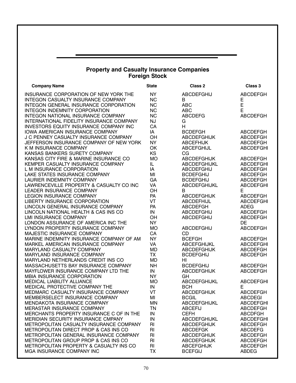| INSURANCE CORPORATION OF NEW YORK THE<br><b>NY</b><br><b>ABCDEFGHIJ</b><br><b>ABCDEFGH</b><br><b>NC</b><br><b>INTEGON CASUALTY INSURANCE COMPANY</b><br>B<br>Е<br>E<br>INTEGON GENERAL INSURANCE CORPORATION<br><b>NC</b><br><b>ABC</b><br>E<br><b>NC</b><br>INTEGON INDEMNITY CORPORATION<br><b>ABC</b><br>INTEGON NATIONAL INSURANCE COMPANY<br><b>NC</b><br><b>ABCDEFG</b><br><b>ABCDEFGH</b><br>INTERNATIONAL FIDELITY INSURANCE COMPANY<br><b>NJ</b><br>G<br>H<br><b>INVESTORS EQUITY INSURANCE COMPANY INC</b><br>CA<br>IA<br><b>IOWA AMERICAN INSURANCE COMPANY</b><br><b>BCDEFGH</b><br><b>ABCDEFGH</b><br>OH<br>J C PENNEY CASUALTY INSURANCE COMPANY<br><b>ABCDEFGHIJK</b><br><b>ABCDEFGH</b><br>JEFFERSON INSURANCE COMPANY OF NEW YORK<br><b>NY</b><br><b>ABCEFHIJK</b><br>ABCDEFGH<br>K M INSURANCE COMPANY<br>OK<br><b>ABCEFGHIJL</b><br><b>ABCDEFGHI</b><br>KANSAS BANKERS SURETY COMPANY<br><b>KS</b><br>CG<br>KANSAS CITY FIRE & MARINE INSURANCE CO<br>МO<br><b>ABCDEFGHIJK</b><br><b>ABCDEFGH</b><br>KEMPER CASUALTY INSURANCE COMPANY<br><b>ABCDEFGHIJKL</b><br><b>ABCDEFGHI</b><br>IL.<br>L M INSURANCE CORPORATION<br>IA<br><b>ABCDEFGHIJ</b><br><b>ABCDEFGH</b><br>LAKE STATES INSURANCE COMPANY<br>MI<br><b>BCDEFGHIJ</b><br><b>ABCDEFGH</b><br>LAURIER INDEMNITY COMPANY<br>GA<br><b>BCDEFGHIJ</b><br><b>ABCDEFGH</b><br>LAWRENCEVILLE PROPERTY & CASUALTY CO INC<br>VA<br><b>ABCDEFGHIJKL</b><br><b>ABCDEFGHI</b><br><b>LEADER INSURANCE COMPANY</b><br>OH<br>Е<br>B<br><b>LEGION INSURANCE COMPANY</b><br>PA<br><b>ABCDEFGHIJK</b><br><b>ABCDEFGH</b><br>VT<br><b>LIBERTY INSURANCE CORPORATION</b><br><b>ABCDEFHIJL</b><br><b>ABCDEFGHI</b><br>PA<br><b>ABCDEFGH</b><br><b>ADEG</b><br>LINCOLN GENERAL INSURANCE COMPANY<br>LINCOLN NATIONAL HEALTH & CAS INS CO<br>IN<br><b>ABCDEFGHIJ</b><br><b>ABCDEFGH</b><br><b>LMI INSURANCE COMPANY</b><br>OH<br><b>ABCDEFGHIJ</b><br><b>ABCDEFGH</b><br>LONDON ASSURANCE OF AMERICA INC THE<br><b>NY</b><br>DE<br>LYNDON PROPERTY INSURANCE COMPANY<br><b>ABCDEFGH</b><br>МO<br><b>ABCDEFGHIJ</b><br>MAJESTIC INSURANCE COMPANY<br>CA<br><b>CD</b><br>MARINE INDEMNITY INSURANCE COMPANY OF AM<br><b>NY</b><br><b>BCEFGH</b><br><b>ABCDEFGH</b> | <b>Company Name</b>               | <b>State</b> | Class <sub>2</sub> | Class 3          |
|---------------------------------------------------------------------------------------------------------------------------------------------------------------------------------------------------------------------------------------------------------------------------------------------------------------------------------------------------------------------------------------------------------------------------------------------------------------------------------------------------------------------------------------------------------------------------------------------------------------------------------------------------------------------------------------------------------------------------------------------------------------------------------------------------------------------------------------------------------------------------------------------------------------------------------------------------------------------------------------------------------------------------------------------------------------------------------------------------------------------------------------------------------------------------------------------------------------------------------------------------------------------------------------------------------------------------------------------------------------------------------------------------------------------------------------------------------------------------------------------------------------------------------------------------------------------------------------------------------------------------------------------------------------------------------------------------------------------------------------------------------------------------------------------------------------------------------------------------------------------------------------------------------------------------------------------------------------------------------------------------------------------------------------------------------------------------------------------------------------------------------------------------------------------------------------------------------------------|-----------------------------------|--------------|--------------------|------------------|
|                                                                                                                                                                                                                                                                                                                                                                                                                                                                                                                                                                                                                                                                                                                                                                                                                                                                                                                                                                                                                                                                                                                                                                                                                                                                                                                                                                                                                                                                                                                                                                                                                                                                                                                                                                                                                                                                                                                                                                                                                                                                                                                                                                                                                     |                                   |              |                    |                  |
|                                                                                                                                                                                                                                                                                                                                                                                                                                                                                                                                                                                                                                                                                                                                                                                                                                                                                                                                                                                                                                                                                                                                                                                                                                                                                                                                                                                                                                                                                                                                                                                                                                                                                                                                                                                                                                                                                                                                                                                                                                                                                                                                                                                                                     |                                   |              |                    |                  |
|                                                                                                                                                                                                                                                                                                                                                                                                                                                                                                                                                                                                                                                                                                                                                                                                                                                                                                                                                                                                                                                                                                                                                                                                                                                                                                                                                                                                                                                                                                                                                                                                                                                                                                                                                                                                                                                                                                                                                                                                                                                                                                                                                                                                                     |                                   |              |                    |                  |
|                                                                                                                                                                                                                                                                                                                                                                                                                                                                                                                                                                                                                                                                                                                                                                                                                                                                                                                                                                                                                                                                                                                                                                                                                                                                                                                                                                                                                                                                                                                                                                                                                                                                                                                                                                                                                                                                                                                                                                                                                                                                                                                                                                                                                     |                                   |              |                    |                  |
|                                                                                                                                                                                                                                                                                                                                                                                                                                                                                                                                                                                                                                                                                                                                                                                                                                                                                                                                                                                                                                                                                                                                                                                                                                                                                                                                                                                                                                                                                                                                                                                                                                                                                                                                                                                                                                                                                                                                                                                                                                                                                                                                                                                                                     |                                   |              |                    |                  |
|                                                                                                                                                                                                                                                                                                                                                                                                                                                                                                                                                                                                                                                                                                                                                                                                                                                                                                                                                                                                                                                                                                                                                                                                                                                                                                                                                                                                                                                                                                                                                                                                                                                                                                                                                                                                                                                                                                                                                                                                                                                                                                                                                                                                                     |                                   |              |                    |                  |
|                                                                                                                                                                                                                                                                                                                                                                                                                                                                                                                                                                                                                                                                                                                                                                                                                                                                                                                                                                                                                                                                                                                                                                                                                                                                                                                                                                                                                                                                                                                                                                                                                                                                                                                                                                                                                                                                                                                                                                                                                                                                                                                                                                                                                     |                                   |              |                    |                  |
|                                                                                                                                                                                                                                                                                                                                                                                                                                                                                                                                                                                                                                                                                                                                                                                                                                                                                                                                                                                                                                                                                                                                                                                                                                                                                                                                                                                                                                                                                                                                                                                                                                                                                                                                                                                                                                                                                                                                                                                                                                                                                                                                                                                                                     |                                   |              |                    |                  |
|                                                                                                                                                                                                                                                                                                                                                                                                                                                                                                                                                                                                                                                                                                                                                                                                                                                                                                                                                                                                                                                                                                                                                                                                                                                                                                                                                                                                                                                                                                                                                                                                                                                                                                                                                                                                                                                                                                                                                                                                                                                                                                                                                                                                                     |                                   |              |                    |                  |
|                                                                                                                                                                                                                                                                                                                                                                                                                                                                                                                                                                                                                                                                                                                                                                                                                                                                                                                                                                                                                                                                                                                                                                                                                                                                                                                                                                                                                                                                                                                                                                                                                                                                                                                                                                                                                                                                                                                                                                                                                                                                                                                                                                                                                     |                                   |              |                    |                  |
|                                                                                                                                                                                                                                                                                                                                                                                                                                                                                                                                                                                                                                                                                                                                                                                                                                                                                                                                                                                                                                                                                                                                                                                                                                                                                                                                                                                                                                                                                                                                                                                                                                                                                                                                                                                                                                                                                                                                                                                                                                                                                                                                                                                                                     |                                   |              |                    |                  |
|                                                                                                                                                                                                                                                                                                                                                                                                                                                                                                                                                                                                                                                                                                                                                                                                                                                                                                                                                                                                                                                                                                                                                                                                                                                                                                                                                                                                                                                                                                                                                                                                                                                                                                                                                                                                                                                                                                                                                                                                                                                                                                                                                                                                                     |                                   |              |                    |                  |
|                                                                                                                                                                                                                                                                                                                                                                                                                                                                                                                                                                                                                                                                                                                                                                                                                                                                                                                                                                                                                                                                                                                                                                                                                                                                                                                                                                                                                                                                                                                                                                                                                                                                                                                                                                                                                                                                                                                                                                                                                                                                                                                                                                                                                     |                                   |              |                    |                  |
|                                                                                                                                                                                                                                                                                                                                                                                                                                                                                                                                                                                                                                                                                                                                                                                                                                                                                                                                                                                                                                                                                                                                                                                                                                                                                                                                                                                                                                                                                                                                                                                                                                                                                                                                                                                                                                                                                                                                                                                                                                                                                                                                                                                                                     |                                   |              |                    |                  |
|                                                                                                                                                                                                                                                                                                                                                                                                                                                                                                                                                                                                                                                                                                                                                                                                                                                                                                                                                                                                                                                                                                                                                                                                                                                                                                                                                                                                                                                                                                                                                                                                                                                                                                                                                                                                                                                                                                                                                                                                                                                                                                                                                                                                                     |                                   |              |                    |                  |
|                                                                                                                                                                                                                                                                                                                                                                                                                                                                                                                                                                                                                                                                                                                                                                                                                                                                                                                                                                                                                                                                                                                                                                                                                                                                                                                                                                                                                                                                                                                                                                                                                                                                                                                                                                                                                                                                                                                                                                                                                                                                                                                                                                                                                     |                                   |              |                    |                  |
|                                                                                                                                                                                                                                                                                                                                                                                                                                                                                                                                                                                                                                                                                                                                                                                                                                                                                                                                                                                                                                                                                                                                                                                                                                                                                                                                                                                                                                                                                                                                                                                                                                                                                                                                                                                                                                                                                                                                                                                                                                                                                                                                                                                                                     |                                   |              |                    |                  |
|                                                                                                                                                                                                                                                                                                                                                                                                                                                                                                                                                                                                                                                                                                                                                                                                                                                                                                                                                                                                                                                                                                                                                                                                                                                                                                                                                                                                                                                                                                                                                                                                                                                                                                                                                                                                                                                                                                                                                                                                                                                                                                                                                                                                                     |                                   |              |                    |                  |
|                                                                                                                                                                                                                                                                                                                                                                                                                                                                                                                                                                                                                                                                                                                                                                                                                                                                                                                                                                                                                                                                                                                                                                                                                                                                                                                                                                                                                                                                                                                                                                                                                                                                                                                                                                                                                                                                                                                                                                                                                                                                                                                                                                                                                     |                                   |              |                    |                  |
|                                                                                                                                                                                                                                                                                                                                                                                                                                                                                                                                                                                                                                                                                                                                                                                                                                                                                                                                                                                                                                                                                                                                                                                                                                                                                                                                                                                                                                                                                                                                                                                                                                                                                                                                                                                                                                                                                                                                                                                                                                                                                                                                                                                                                     |                                   |              |                    |                  |
|                                                                                                                                                                                                                                                                                                                                                                                                                                                                                                                                                                                                                                                                                                                                                                                                                                                                                                                                                                                                                                                                                                                                                                                                                                                                                                                                                                                                                                                                                                                                                                                                                                                                                                                                                                                                                                                                                                                                                                                                                                                                                                                                                                                                                     |                                   |              |                    |                  |
|                                                                                                                                                                                                                                                                                                                                                                                                                                                                                                                                                                                                                                                                                                                                                                                                                                                                                                                                                                                                                                                                                                                                                                                                                                                                                                                                                                                                                                                                                                                                                                                                                                                                                                                                                                                                                                                                                                                                                                                                                                                                                                                                                                                                                     |                                   |              |                    |                  |
|                                                                                                                                                                                                                                                                                                                                                                                                                                                                                                                                                                                                                                                                                                                                                                                                                                                                                                                                                                                                                                                                                                                                                                                                                                                                                                                                                                                                                                                                                                                                                                                                                                                                                                                                                                                                                                                                                                                                                                                                                                                                                                                                                                                                                     |                                   |              |                    |                  |
|                                                                                                                                                                                                                                                                                                                                                                                                                                                                                                                                                                                                                                                                                                                                                                                                                                                                                                                                                                                                                                                                                                                                                                                                                                                                                                                                                                                                                                                                                                                                                                                                                                                                                                                                                                                                                                                                                                                                                                                                                                                                                                                                                                                                                     |                                   |              |                    |                  |
|                                                                                                                                                                                                                                                                                                                                                                                                                                                                                                                                                                                                                                                                                                                                                                                                                                                                                                                                                                                                                                                                                                                                                                                                                                                                                                                                                                                                                                                                                                                                                                                                                                                                                                                                                                                                                                                                                                                                                                                                                                                                                                                                                                                                                     |                                   |              |                    |                  |
|                                                                                                                                                                                                                                                                                                                                                                                                                                                                                                                                                                                                                                                                                                                                                                                                                                                                                                                                                                                                                                                                                                                                                                                                                                                                                                                                                                                                                                                                                                                                                                                                                                                                                                                                                                                                                                                                                                                                                                                                                                                                                                                                                                                                                     |                                   |              |                    |                  |
|                                                                                                                                                                                                                                                                                                                                                                                                                                                                                                                                                                                                                                                                                                                                                                                                                                                                                                                                                                                                                                                                                                                                                                                                                                                                                                                                                                                                                                                                                                                                                                                                                                                                                                                                                                                                                                                                                                                                                                                                                                                                                                                                                                                                                     |                                   |              |                    |                  |
|                                                                                                                                                                                                                                                                                                                                                                                                                                                                                                                                                                                                                                                                                                                                                                                                                                                                                                                                                                                                                                                                                                                                                                                                                                                                                                                                                                                                                                                                                                                                                                                                                                                                                                                                                                                                                                                                                                                                                                                                                                                                                                                                                                                                                     |                                   |              |                    |                  |
|                                                                                                                                                                                                                                                                                                                                                                                                                                                                                                                                                                                                                                                                                                                                                                                                                                                                                                                                                                                                                                                                                                                                                                                                                                                                                                                                                                                                                                                                                                                                                                                                                                                                                                                                                                                                                                                                                                                                                                                                                                                                                                                                                                                                                     | MARKEL AMERICAN INSURANCE COMPANY | VA           | ABCEFGHIJKL        | <b>ABCDEFGHI</b> |
| MARYLAND CASUALTY COMPANY<br><b>MD</b><br><b>ABCDEFGHIJK</b><br><b>ABCDEFGH</b>                                                                                                                                                                                                                                                                                                                                                                                                                                                                                                                                                                                                                                                                                                                                                                                                                                                                                                                                                                                                                                                                                                                                                                                                                                                                                                                                                                                                                                                                                                                                                                                                                                                                                                                                                                                                                                                                                                                                                                                                                                                                                                                                     |                                   |              |                    |                  |
| MARYLAND INSURANCE COMPANY<br><b>BCDEFGHIJ</b><br>TX<br><b>ABCDEFGH</b>                                                                                                                                                                                                                                                                                                                                                                                                                                                                                                                                                                                                                                                                                                                                                                                                                                                                                                                                                                                                                                                                                                                                                                                                                                                                                                                                                                                                                                                                                                                                                                                                                                                                                                                                                                                                                                                                                                                                                                                                                                                                                                                                             |                                   |              |                    |                  |
| MARYLAND NETHERLANDS CREDIT INS CO<br>MD<br>HI                                                                                                                                                                                                                                                                                                                                                                                                                                                                                                                                                                                                                                                                                                                                                                                                                                                                                                                                                                                                                                                                                                                                                                                                                                                                                                                                                                                                                                                                                                                                                                                                                                                                                                                                                                                                                                                                                                                                                                                                                                                                                                                                                                      |                                   |              |                    |                  |
| MASSACHUSETTS BAY INSURANCE COMPANY<br><b>NH</b><br><b>BCDEFGHIJ</b><br><b>ABCDEFGH</b>                                                                                                                                                                                                                                                                                                                                                                                                                                                                                                                                                                                                                                                                                                                                                                                                                                                                                                                                                                                                                                                                                                                                                                                                                                                                                                                                                                                                                                                                                                                                                                                                                                                                                                                                                                                                                                                                                                                                                                                                                                                                                                                             |                                   |              |                    |                  |
| MAYFLOWER INSURANCE COMPANY LTD THE<br>IN<br><b>ABCDEFGHIJK</b><br><b>ABCDEFGH</b>                                                                                                                                                                                                                                                                                                                                                                                                                                                                                                                                                                                                                                                                                                                                                                                                                                                                                                                                                                                                                                                                                                                                                                                                                                                                                                                                                                                                                                                                                                                                                                                                                                                                                                                                                                                                                                                                                                                                                                                                                                                                                                                                  |                                   |              |                    |                  |
| MBIA INSURANCE CORPORATION<br>NY<br>GH                                                                                                                                                                                                                                                                                                                                                                                                                                                                                                                                                                                                                                                                                                                                                                                                                                                                                                                                                                                                                                                                                                                                                                                                                                                                                                                                                                                                                                                                                                                                                                                                                                                                                                                                                                                                                                                                                                                                                                                                                                                                                                                                                                              |                                   |              |                    |                  |
| MEDICAL LIABILITY ALLIANCE<br><b>MO</b><br><b>ABCDEFGHIJKL</b><br><b>ABCDEFGHI</b>                                                                                                                                                                                                                                                                                                                                                                                                                                                                                                                                                                                                                                                                                                                                                                                                                                                                                                                                                                                                                                                                                                                                                                                                                                                                                                                                                                                                                                                                                                                                                                                                                                                                                                                                                                                                                                                                                                                                                                                                                                                                                                                                  |                                   |              |                    |                  |
| MEDICAL PROTECTIVE COMPANY THE<br>IN<br><b>BCH</b><br>Е                                                                                                                                                                                                                                                                                                                                                                                                                                                                                                                                                                                                                                                                                                                                                                                                                                                                                                                                                                                                                                                                                                                                                                                                                                                                                                                                                                                                                                                                                                                                                                                                                                                                                                                                                                                                                                                                                                                                                                                                                                                                                                                                                             |                                   |              |                    |                  |
| MEDMARC CASUALTY INSURANCE COMPANY<br>VT<br><b>ABCDEFGHIJK</b><br><b>ABCDEFGH</b>                                                                                                                                                                                                                                                                                                                                                                                                                                                                                                                                                                                                                                                                                                                                                                                                                                                                                                                                                                                                                                                                                                                                                                                                                                                                                                                                                                                                                                                                                                                                                                                                                                                                                                                                                                                                                                                                                                                                                                                                                                                                                                                                   |                                   |              |                    |                  |
| MI<br><b>ABCDEGI</b><br>MEMBERSELECT INSURANCE COMPANY<br><b>BCGIL</b>                                                                                                                                                                                                                                                                                                                                                                                                                                                                                                                                                                                                                                                                                                                                                                                                                                                                                                                                                                                                                                                                                                                                                                                                                                                                                                                                                                                                                                                                                                                                                                                                                                                                                                                                                                                                                                                                                                                                                                                                                                                                                                                                              |                                   |              |                    |                  |
| MENDAKOTA INSURANCE COMPANY<br>MN<br>ABCDEFGHIJKL<br><b>ABCDEFGHI</b>                                                                                                                                                                                                                                                                                                                                                                                                                                                                                                                                                                                                                                                                                                                                                                                                                                                                                                                                                                                                                                                                                                                                                                                                                                                                                                                                                                                                                                                                                                                                                                                                                                                                                                                                                                                                                                                                                                                                                                                                                                                                                                                                               |                                   |              |                    |                  |
| <b>TN</b><br><b>MERASTAR INSURANCE COMPANY</b><br><b>ABCEFIJ</b><br><b>ABCDEFGH</b>                                                                                                                                                                                                                                                                                                                                                                                                                                                                                                                                                                                                                                                                                                                                                                                                                                                                                                                                                                                                                                                                                                                                                                                                                                                                                                                                                                                                                                                                                                                                                                                                                                                                                                                                                                                                                                                                                                                                                                                                                                                                                                                                 |                                   |              |                    |                  |
| MERCHANTS PROPERTY INSURANCE C OF IN THE<br>IN<br><b>CEFH</b><br><b>ABCDFGH</b>                                                                                                                                                                                                                                                                                                                                                                                                                                                                                                                                                                                                                                                                                                                                                                                                                                                                                                                                                                                                                                                                                                                                                                                                                                                                                                                                                                                                                                                                                                                                                                                                                                                                                                                                                                                                                                                                                                                                                                                                                                                                                                                                     |                                   |              |                    |                  |
| MERIDIAN SECURITY INSURANCE CMPANY<br><b>ABCDEFGHIJKL</b><br>IN<br><b>ABCDEFGHI</b>                                                                                                                                                                                                                                                                                                                                                                                                                                                                                                                                                                                                                                                                                                                                                                                                                                                                                                                                                                                                                                                                                                                                                                                                                                                                                                                                                                                                                                                                                                                                                                                                                                                                                                                                                                                                                                                                                                                                                                                                                                                                                                                                 |                                   |              |                    |                  |
| METROPOLITAN CASUALTY INSURANCE COMPANY<br>RI<br><b>ABCDEFGHIJK</b><br><b>ABCDEFGH</b>                                                                                                                                                                                                                                                                                                                                                                                                                                                                                                                                                                                                                                                                                                                                                                                                                                                                                                                                                                                                                                                                                                                                                                                                                                                                                                                                                                                                                                                                                                                                                                                                                                                                                                                                                                                                                                                                                                                                                                                                                                                                                                                              |                                   |              |                    |                  |
| METROPOLITAN DIRECT PROP & CAS INS CO<br><b>ABCDEFGK</b><br>RI<br><b>ABCDEFG</b>                                                                                                                                                                                                                                                                                                                                                                                                                                                                                                                                                                                                                                                                                                                                                                                                                                                                                                                                                                                                                                                                                                                                                                                                                                                                                                                                                                                                                                                                                                                                                                                                                                                                                                                                                                                                                                                                                                                                                                                                                                                                                                                                    |                                   |              |                    |                  |
| METROPOLITAN GENERAL INSURANCE COMPANY<br>RI<br><b>ABCDEFGHIJK</b><br><b>ABCDEFGH</b>                                                                                                                                                                                                                                                                                                                                                                                                                                                                                                                                                                                                                                                                                                                                                                                                                                                                                                                                                                                                                                                                                                                                                                                                                                                                                                                                                                                                                                                                                                                                                                                                                                                                                                                                                                                                                                                                                                                                                                                                                                                                                                                               |                                   |              |                    |                  |
| METROPOLITAN GROUP PROP & CAS INS CO<br>RI<br><b>ABCDEFGHIJK</b><br><b>ABCDEFGH</b>                                                                                                                                                                                                                                                                                                                                                                                                                                                                                                                                                                                                                                                                                                                                                                                                                                                                                                                                                                                                                                                                                                                                                                                                                                                                                                                                                                                                                                                                                                                                                                                                                                                                                                                                                                                                                                                                                                                                                                                                                                                                                                                                 |                                   |              |                    |                  |
| METROPOLITAN PROPERTY & CASUALTY INS CO<br><b>ABCEFGHIJK</b><br><b>ABCDEFGH</b><br>R <sub>l</sub>                                                                                                                                                                                                                                                                                                                                                                                                                                                                                                                                                                                                                                                                                                                                                                                                                                                                                                                                                                                                                                                                                                                                                                                                                                                                                                                                                                                                                                                                                                                                                                                                                                                                                                                                                                                                                                                                                                                                                                                                                                                                                                                   |                                   |              |                    |                  |
| <b>BCEFGIJ</b><br>MGA INSURANCE COMPANY INC<br>TX<br><b>ABDEG</b>                                                                                                                                                                                                                                                                                                                                                                                                                                                                                                                                                                                                                                                                                                                                                                                                                                                                                                                                                                                                                                                                                                                                                                                                                                                                                                                                                                                                                                                                                                                                                                                                                                                                                                                                                                                                                                                                                                                                                                                                                                                                                                                                                   |                                   |              |                    |                  |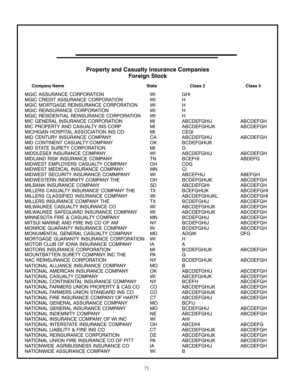| <b>Company Name</b>                      | <b>State</b> | Class 2             | Class 3          |
|------------------------------------------|--------------|---------------------|------------------|
| MGIC ASSURANCE CORPORATION               | WI           | <b>GHI</b>          |                  |
| MGIC CREDIT ASSURANCE CORPORATION        | WI           | н                   |                  |
| MGIC MORTGAGE REINSURANCE CORPORATION    | WI           | Н                   |                  |
| <b>MGIC REINSURANCE CORPORATION</b>      | WI           | Н                   |                  |
| MGIC RESIDENTIAL REINSURANCE CORPORATION | WI           | н                   |                  |
| MIC GENERAL INSURANCE CORPORATION        | ΜI           | ABCDEFGHIJ          | <b>ABCDEFGH</b>  |
| MIC PROPERTY AND CASUALTY INS CORP       | ΜI           | <b>ABCDEFGHIJK</b>  | <b>ABCDEFGH</b>  |
| MICHIGAN HOSPITAL ASSOCIATION INS CO     | MI           | <b>CEGI</b>         |                  |
| MID CENTURY INSURANCE COMPANY            | CA           | ABCDEFGHIJ          | <b>ABCDEFGH</b>  |
| MID CONTINENT CASUALTY COMPANY           | OK           | <b>BCDEFGHIJK</b>   |                  |
| MID STATE SURETY CORPORATION             | MI           | G                   |                  |
| MIDDLESEX INSURANCE COMPANY              | WI           | <b>ABCDEFGHIJ</b>   | <b>ABCDEFGH</b>  |
| MIDLAND RISK INSURANCE COMPANY           | <b>TN</b>    | <b>BCEFHI</b>       | <b>ABDEFG</b>    |
| MIDWEST EMPLOYERS CASUALTY COMPANY       | OH           | <b>CDG</b>          |                  |
| MIDWEST MEDICAL INSURANCE COMPANY        | <b>MN</b>    | CI                  |                  |
| MIDWEST SECURITY INSURANCE COMMPANY      | WI           | <b>ABCEFHIJ</b>     | <b>ABEFGH</b>    |
| MIDWESTERN INDEMNITY COMPANY THE         | OH           | <b>BCDEFGHIJK</b>   | <b>ABCDEFGH</b>  |
| MILBANK INSURANCE COMPANY                | <b>SD</b>    | <b>ABCDEFGHI</b>    | <b>ABCDEFGH</b>  |
| MILLERS CASUALTY INSURANCE COMPANY THE   | TX           | <b>BCEFGHIJK</b>    | <b>ABCDEFGHI</b> |
| MILLERS CLASSIFIED INSURANCE COMPANY     | WI           | <b>ABCDEFGHIJKL</b> | <b>ABCDEFGHI</b> |
| MILLERS INSURANCE COMPANY THE            | <b>TX</b>    | <b>BCDEFGHIJ</b>    | <b>ABCDEFGH</b>  |
| MILWAUKEE CASUALTY INSURANCE CO          | WI           | <b>ABCDEFGHIJK</b>  | <b>ABCDEFGH</b>  |
| MILWAUKEE SAFEGUARD INSURANCE COMPANY    | WI           | <b>ABCDEFGHIJK</b>  | <b>ABCDEFGH</b>  |
| MINNESOTA FIRE & CASUALTY COMPANY        | <b>MN</b>    | <b>BCDEFGHIJ</b>    | <b>ABCDEFGH</b>  |
| MITSUI MARINE AND FIRE INS CO OF AM      | NY           | <b>BCDEFGHIJ</b>    | <b>ABCDEFGH</b>  |
| MONROE GUARANTY INSURANCE COMPANY        | IN           | <b>BCDEFGHIJ</b>    | <b>ABCDEFGH</b>  |
| MONUMENTAL GENERAL CASUALTY COMPANY      | MD           | <b>ADGIK</b>        | <b>DFG</b>       |
| MORTGAGE GUARANTY INSURANCE CORPORATION  | WI           | н                   |                  |
| MOTOR CLUB OF IOWA INSURANCE COMPANY     | ΙA           | Α                   |                  |
| MOTORS INSURANCE CORPORATION             | ΜI           | <b>BCDEFGHIJK</b>   | <b>ABCDEFGH</b>  |
| MOUNTBATTEN SURETY COMPANY INC THE       | <b>PA</b>    | G                   |                  |
| NAC REINSURANCE CORPORATION              | <b>NY</b>    | <b>BCDEFGHIJK</b>   | <b>ABCDEFGH</b>  |
| NATIONAL ALLIANCE INSURANCE COMPANY      | <b>MO</b>    | B                   |                  |
| NATIONAL AMERICAN INSURANCE COMPANY      | OK           | <b>ABCDEFGHIJ</b>   | ABCDEFGH         |
| NATIONAL CASUALTY COMPANY                | WI           | <b>ABCEFGHIJK</b>   | <b>ABCDEFGH</b>  |
| NATIONAL CONTINENTAL INSURANCE COMPANY   | <b>NY</b>    | <b>BCEFH</b>        | <b>ABCDEFGH</b>  |
| NATIONAL FARMERS UNION PROPERTY & CAS CO | CO           | <b>ABCDEFGHIJK</b>  | <b>ABCDEFGH</b>  |
| NATIONAL FARMERS UNION STANDARD INS CO   | CO           | <b>ABCDEFGHIJK</b>  | <b>ABCDEFGH</b>  |
| NATIONAL FIRE INSURANCE COMPANY OF HARTF | <b>CT</b>    | <b>ABCDEFGHIJ</b>   | <b>ABCDEFGH</b>  |
| NATIONAL GENERAL ASSURANCE COMPANY       | МO           | <b>BCFIJ</b>        |                  |
| NATIONAL GENERAL INSURANCE COMPANY       | МO           | <b>BCDEFGHIJ</b>    | <b>ABCDEFGH</b>  |
| NATIONAL INDEMNITY COMPANY               | <b>NE</b>    | <b>ABCDEFGHIJ</b>   | <b>ABCDEFGH</b>  |
| NATIONAL INSURANCE COMPANY OF WI INC     | WI           | AHI                 |                  |
| NATIONAL INTERSTATE INSURANCE COMPANY    | OН           | <b>ABCDHI</b>       | <b>ABCDEFG</b>   |
| NATIONAL LIABILITY & FIRE INS CO         | <b>CT</b>    | <b>ABCDEFGHIJK</b>  | <b>ABCDEFGH</b>  |
| NATIONAL REINSURANCE CORPORATION         | DE           | <b>ABCDEFGHIJK</b>  | <b>ABCDEFGH</b>  |
| NATIONAL UNION FIRE INSURANCE CO OF PITT | <b>PA</b>    | <b>ABCDEFGHIJK</b>  | <b>ABCDEFGH</b>  |
| NATIONWIDE AGRIBUSINESS INSURANCE CO     | ΙA           | ABCDEFGHIJ          | <b>ABCDEFGH</b>  |
| NATIONWIDE ASSURANCE COMPANY             | WI           | В                   |                  |
|                                          |              |                     |                  |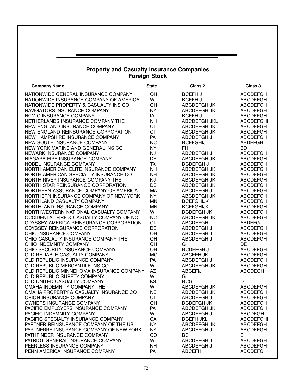| <b>Company Name</b>                                                     | <b>State</b>    | Class 2                                 | Class 3                            |
|-------------------------------------------------------------------------|-----------------|-----------------------------------------|------------------------------------|
| NATIONWIDE GENERAL INSURANCE COMPANY                                    | OH              | <b>BCEFHIJ</b>                          | <b>ABCDEFGH</b>                    |
| NATIONWIDE INSURANCE COMPANY OF AMERICA                                 | WI              | <b>BCEFHIJ</b>                          | <b>ABCDEFGH</b>                    |
| NATIONWIDE PROPERTY & CASUALTY INS CO                                   | OH              | <b>ABCDEFGHIJK</b>                      | <b>ABCDEFGH</b>                    |
| NAVIGATORS INSURANCE COMPANY                                            | <b>NY</b>       | <b>ABCDEFGHIJK</b>                      | <b>ABCDEFGH</b>                    |
| <b>NCMIC INSURANCE COMPANY</b>                                          | ΙA              | <b>BCEFHIJ</b>                          | <b>ABCDEFGH</b>                    |
| NETHERLANDS INSURANCE COMPANY THE                                       | <b>NH</b>       | <b>ABCDEFGHIJKL</b>                     | <b>ABCDEFGHI</b>                   |
| NEW ENGLAND INSURANCE COMPANY                                           | <b>CT</b>       | <b>ABCDEFGHIJK</b>                      | <b>ABCDEFGH</b>                    |
| NEW ENGLAND REINSURANCE CORPORATION                                     | <b>CT</b>       | <b>ABCDEFGHIJK</b>                      | <b>ABCDEFGH</b>                    |
| <b>NEW HAMPSHIRE INSURANCE COMPANY</b>                                  | PA              | <b>ABCDEFGHIJ</b>                       | <b>ABCDEFGH</b>                    |
| NEW SOUTH INSURANCE COMPANY                                             | <b>NC</b>       | <b>BCEFGHIJ</b>                         | <b>ABDEFGH</b>                     |
| NEW YORK MARINE AND GENERAL INS CO                                      | <b>NY</b>       | <b>FHI</b>                              | <b>BD</b>                          |
| NEWARK INSURANCE COMPANY                                                | NJ              | <b>ABCDEFGHIJ</b>                       | <b>ABCDEFGH</b>                    |
| NIAGARA FIRE INSURANCE COMPANY                                          | DE              | <b>ABCDEFGHIJK</b>                      | <b>ABCDEFGH</b>                    |
| NOBEL INSURANCE COMPANY                                                 | <b>TX</b>       | <b>BCDEFGHIJ</b>                        | <b>ABCDEFGH</b>                    |
| NORTH AMERICAN ELITE INSURANCE COMPANY                                  | <b>NH</b>       | <b>ABCDEFGHIJK</b>                      | <b>ABCDEFGH</b>                    |
| NORTH AMERICAN SPECIALTY INSURANCE CO                                   | <b>NH</b>       | <b>ABCDEFGHIJK</b>                      | <b>ABCDEFGH</b>                    |
| NORTH RIVER INSURANCE COMPANY THE                                       | <b>NJ</b>       | <b>ABCDEFGHIJK</b>                      | <b>ABCDEFGH</b>                    |
| NORTH STAR REINSURANCE CORPORATION                                      | DE              | <b>ABCDEFGHIJK</b>                      | <b>ABCDEFGH</b>                    |
| NORTHERN ASSURANCE COMPANY OF AMERICA                                   | МA              | <b>ABCDEFGHIJ</b>                       | <b>ABCDEFGH</b>                    |
| NORTHERN INSURANCE COMPANY OF NEW YORK                                  | NY              | <b>ABCDEFGHIJK</b>                      | <b>ABCDEFGH</b>                    |
| NORTHLAND CASUALTY COMPANY                                              | <b>MN</b>       | <b>BCEFGHIJK</b>                        | <b>ABCDEFGH</b>                    |
| NORTHLAND INSURANCE COMPANY                                             | MN              | <b>BCEFGHIJKL</b>                       | <b>ABCDEFGH</b>                    |
| NORTHWESTERN NATIONAL CASUALTY COMPANY                                  | WI              | <b>BCDEFGHIJK</b>                       | <b>ABCDEFGH</b>                    |
| OCCIDENTAL FIRE & CASUALTY COMPANY OF NC                                | <b>NC</b>       | <b>ABCDEFGHIJK</b>                      | <b>ABCDEFGH</b>                    |
| ODYSSEY AMERICA REINSURANCE CORPORATION                                 | <b>CT</b>       | <b>ABCDEFGH</b>                         | <b>ABDEFG</b>                      |
| ODYSSEY REINSURANCE CORPORATION                                         | DE              | <b>ABCDEFGHIJ</b>                       | <b>ABCDEFGH</b>                    |
| OHIC INSURANCE COMPANY                                                  | OH              | <b>ABCDEFGHIJ</b>                       | <b>ABCDEFGH</b>                    |
| OHIO CASUALTY INSURANCE COMPANY THE                                     | OH              | <b>ABCDEFGHIJ</b>                       | <b>ABCDEFGH</b>                    |
| OHIO INDEMNITY COMPANY                                                  | OH              | G                                       | DE                                 |
| OHIO SECURITY INSURANCE COMPANY                                         | OH              |                                         |                                    |
| OLD RELIABLE CASUALTY COMPANY                                           | <b>MO</b>       | <b>BCDEFGHIJ</b>                        | <b>ABCDEFGH</b>                    |
| OLD REPUBLIC INSURANCE COMPANY                                          | PA              | <b>ABCEFHIJK</b><br><b>ABCDEFGHIJ</b>   | <b>ABCDEFGH</b><br><b>ABCDEFGH</b> |
|                                                                         |                 |                                         |                                    |
| OLD REPUBLIC MERCANTILE INS CO                                          | WI<br><b>AZ</b> | <b>ABCDEFGHIJK</b><br><b>ABCEFIJ</b>    | <b>ABCDEFGH</b>                    |
| OLD REPUBLIC MINNEHOMA INSURANCE COMPANY<br>OLD REPUBLIC SURETY COMPANY | WI              |                                         | <b>ABCDEGH</b>                     |
| OLD UNITED CASUALTY COMPANY                                             | KS              | G<br><b>BCG</b>                         | D                                  |
| OMAHA INDEMNITY COMPANY THE                                             |                 |                                         | <b>ABCDEFGH</b>                    |
|                                                                         | WI<br><b>NE</b> | <b>ABCDEFGHIJK</b>                      | <b>ABCDEFGH</b>                    |
| OMAHA PROPERTY & CASUALTY INSURANCE CO                                  | <b>CT</b>       | <b>ABCDEFGHIJK</b>                      |                                    |
| ORION INSURANCE COMPANY                                                 |                 | ABCDEFGHIJ                              | <b>ABCDEFGH</b>                    |
| OWNERS INSURANCE COMPANY                                                | OН              | <b>BCDEFGHIJK</b>                       | <b>ABCDEFGH</b>                    |
| PACIFIC EMPLOYERS INSURANCE COMPANY<br>PACIFIC INDEMNITY COMPANY        | <b>PA</b>       | <b>ABCDEFGHIJK</b><br><b>ABCDEFGHIJ</b> | <b>ABCDEFGH</b>                    |
| PACIFIC SPECIALTY INSURANCE COMPANY                                     | WI              |                                         | <b>ABCDEGH</b>                     |
|                                                                         | CA              | <b>BCEFHIJKL</b>                        | <b>ABCDEFGHI</b>                   |
| PARTNER REINSURANCE COMPANY OF THE US                                   | <b>NY</b>       | <b>ABCDEFGHIJK</b>                      | <b>ABCDEFGH</b>                    |
| PARTNERRE INSURANCE COMPANY OF NEW YORK                                 | NY.             | <b>ABCDEFGHIJ</b>                       | <b>ABCDEFGH</b>                    |
| PATHFINDER INSURANCE COMPANY                                            | CO              | BC                                      | E                                  |
| PATRIOT GENERAL INSURANCE COMPANY                                       | WI              | <b>ABCDEFGHIJ</b>                       | <b>ABCDEFGH</b>                    |
| PEERLESS INSURANCE COMPANY                                              | <b>NH</b>       | <b>ABCDEFGHIJ</b>                       | <b>ABCDEFGH</b>                    |
| PENN AMERICA INSURANCE COMPANY                                          | <b>PA</b>       | <b>ABCEFHI</b>                          | <b>ABCDEFG</b>                     |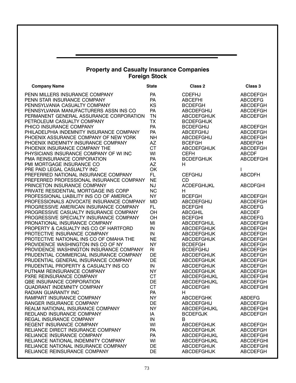| <b>Company Name</b>                                                        | <b>State</b> | Class 2             | Class 3          |
|----------------------------------------------------------------------------|--------------|---------------------|------------------|
| PENN MILLERS INSURANCE COMPANY                                             | <b>PA</b>    | <b>CDEFHJ</b>       | <b>ABCDEFGH</b>  |
| PENN STAR INSURANCE COMPANY                                                | PA           | <b>ABCEFHI</b>      | <b>ABCDEFG</b>   |
| PENNSYLVANIA CASUALTY COMPANY                                              | KS           | <b>BCDEFGH</b>      | <b>ABCDEFGH</b>  |
| PENNSYLVANIA MANUFACTURERS ASSN INS CO                                     | PA           | <b>ABCDEFGHIJ</b>   | <b>ABCDEFGH</b>  |
| PERMANENT GENERAL ASSURANCE CORPORATION                                    | <b>TN</b>    | <b>ABCDEFGHIJK</b>  | <b>ABCDEFGH</b>  |
| PETROLEUM CASUALTY COMPANY                                                 | <b>TX</b>    | <b>BCDEFGHIJK</b>   |                  |
| PHICO INSURANCE COMPANY                                                    | PA           | <b>BCDEFGHIJ</b>    | <b>ABCDEFGH</b>  |
| PHILADELPHIA INDEMNITY INSURANCE COMPANY                                   | PA           | <b>ABCEFGHIJ</b>    | <b>ABCDEFGH</b>  |
| PHOENIX ASSURANCE COMPANY OF NEW YORK                                      | <b>NH</b>    | <b>ABCDEFGHIJ</b>   | <b>ABCDEFGH</b>  |
| PHOENIX INDEMNITY INSURANCE COMPANY                                        | <b>AZ</b>    | <b>BCEFGH</b>       | <b>ABDEFGH</b>   |
| PHOENIX INSURANCE COMPANY THE                                              | <b>CT</b>    | <b>ABCDEFGHIJK</b>  | <b>ABCDEFGH</b>  |
| PHYSICIANS INSURANCE COMPANY OF WI INC                                     | WI           | <b>CEFH</b>         | <b>ABCDF</b>     |
| PMA REINSURANCE CORPORATION                                                | <b>PA</b>    | <b>BCDEFGHIJK</b>   | <b>ABCDEFGHI</b> |
| PMI MORTGAGE INSURANCE CO                                                  | <b>AZ</b>    | н                   |                  |
| PRE PAID LEGAL CASUALTY INC                                                | OK           |                     |                  |
| PREFERRED NATIONAL INSURANCE COMPANY                                       | FL.          | <b>CEFGHIJ</b>      | <b>ABCDFH</b>    |
| PREFERRED PROFESSIONAL INSURANCE COMPANY                                   | <b>NE</b>    | CD                  |                  |
| PRINCETON INSURANCE COMPANY                                                | <b>NJ</b>    | <b>ACDEFGHIJKL</b>  | <b>ABCDFGHI</b>  |
| PRIVATE RESIDENTIAL MORTGAGE INS CORP                                      | <b>NC</b>    | н                   |                  |
| PROFESSIONAL LIABILITY INS CO OF AMERICA                                   | <b>NY</b>    | <b>BCEFGH</b>       | <b>ABCDEFGH</b>  |
| PROFESSIONALS ADVOCATE INSURANCE COMPANY                                   | <b>MD</b>    | <b>ABCDEFGHIJ</b>   | <b>ABCDEFGH</b>  |
| PROGRESSIVE AMERICAN INSURANCE COMPANY                                     | FL.          | <b>BCEFGHI</b>      | <b>ABCDEFG</b>   |
| PROGRESSIVE CASUALTY INSURANCE COMPANY                                     | OH           | <b>ABCGHIL</b>      | <b>ABCDEF</b>    |
| PROGRESSIVE SPECIALTY INSURANCE COMPANY                                    | OH           | <b>BCEFGHI</b>      | <b>ABCDEFG</b>   |
| PRONATIONAL INSURANCE COMPANY                                              | MI           | <b>ABCDEFGHIJL</b>  | <b>ABCDEFGHI</b> |
| PROPERTY & CASUALTY INS CO OF HARTFORD                                     | IN           | <b>ABCDEFGHIJK</b>  | <b>ABCDEFGH</b>  |
| PROTECTIVE INSURANCE COMPANY                                               | IN           | <b>ABCDEFGHIJK</b>  | <b>ABCDEFGH</b>  |
| PROTECTIVE NATIONAL INS CO OF OMAHA THE                                    | <b>NE</b>    | <b>ABCDEFGHIJK</b>  | <b>ABCDEFGH</b>  |
| PROVIDENCE WASHINGTON INS CO OF NY                                         | <b>NY</b>    | <b>BCDEFGH</b>      | <b>ABCDEFGH</b>  |
| PROVIDENCE WASHINGTON INSURANCE COMPANY                                    | <b>RI</b>    | <b>BCDEFGHIJ</b>    | <b>ABCDEFGH</b>  |
| PRUDENTIAL COMMERCIAL INSURANCE COMPANY                                    | <b>DE</b>    | <b>ABCDEFGHIJK</b>  | <b>ABCDEFGH</b>  |
| PRUDENTIAL GENERAL INSURANCE COMPANY                                       | DE           | <b>ABCDEFGHIJK</b>  | <b>ABCDEFGH</b>  |
| PRUDENTIAL PROPERTY & CASUALTY INS CO                                      | IN           | <b>ABCDEFGHIJK</b>  | <b>ABCDEFGH</b>  |
| PUTNAM REINSURANCE COMPANY                                                 | <b>NY</b>    | <b>ABCDEFGHIJK</b>  | <b>ABCDEFGH</b>  |
| PXRE REINSURANCE COMPANY                                                   | <b>CT</b>    | <b>ABCDEFGHIJKL</b> | <b>ABCDEFGHI</b> |
| QBE INSURANCE CORPORATION                                                  | DE           | <b>ABCDEFGHIJKL</b> | <b>ABCDEFGH</b>  |
| <b>QUADRANT INDEMNITY COMPANY</b>                                          | <b>CT</b>    | <b>ABCDEFGHI</b>    | <b>ABCDEFGHI</b> |
| RADIAN GUARANTY INC                                                        | PA           | н                   |                  |
| <b>RAMPART INSURANCE COMPANY</b>                                           | NY           | <b>ABCDEFGHK</b>    | <b>ABDEFG</b>    |
| RANGER INSURANCE COMPANY                                                   | DE           | <b>ABCDEFGHIJ</b>   | ABCDEFGH         |
| REALM NATIONAL INSURANCE COMPANY                                           | <b>NY</b>    | ABCDEFGHIJKL        | <b>ABCDEFGHI</b> |
| REDLAND INSURANCE COMPANY                                                  | IA           | <b>BCDEFGJK</b>     | ABCDEFGH         |
| REGAL INSURANCE COMPANY                                                    | IN           | B                   |                  |
| REGENT INSURANCE COMPANY                                                   | WI           | <b>ABCDEFGHIJK</b>  | ABCDEFGH         |
| RELIANCE DIRECT INSURANCE COMPANY                                          | <b>PA</b>    | <b>ABCDEFGHIJK</b>  | <b>ABCDEFGH</b>  |
| RELIANCE INSURANCE COMPANY                                                 |              | ABCDEFGHIJKL        | <b>ABCDEFGHI</b> |
|                                                                            | <b>PA</b>    | <b>ABCDEFGHIJKL</b> | <b>ABCDEFGHI</b> |
| RELIANCE NATIONAL INDEMNITY COMPANY<br>RELIANCE NATIONAL INSURANCE COMPANY | WI<br>DE     | <b>ABCDEFGHIJK</b>  |                  |
|                                                                            |              |                     | <b>ABCDEFGHI</b> |
| RELIANCE REINSURANCE COMPANY                                               | DE           | <b>ABCDEFGHIJK</b>  | <b>ABCDEFGH</b>  |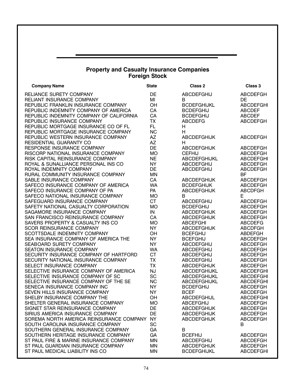| RELIANCE SURETY COMPANY<br>DE<br><b>ABCDEFGHIJ</b><br><b>ABCDEFGH</b><br>RELIANT INSURANCE COMPANY<br>MI<br><b>DE</b><br>в<br>OH<br>REPUBLIC FRANKLIN INSURANCE COMPANY<br><b>BCDEFGHIJKL</b><br><b>ABCDEFGHI</b><br>REPUBLIC INDEMNITY COMPANY OF AMERICA<br>CA<br><b>ABCDEF</b><br><b>BCDEFGHIJ</b><br>REPUBLIC INDEMNITY COMPANY OF CALIFORNIA<br>CA<br><b>BCDEFGHIJ</b><br><b>ABCDEF</b><br>REPUBLIC INSURANCE COMPANY<br>TX<br><b>ABCDEFG</b><br><b>ABCDEFGH</b><br>REPUBLIC MORTGAGE INSURANCE CO OF FL<br>FL.<br>H<br>H<br>REPUBLIC MORTGAGE INSURANCE COMPANY<br><b>NC</b><br>REPUBLIC WESTERN INSURANCE COMPANY<br>AZ<br><b>ABCDEFGHIJK</b><br><b>ABCDEFGH</b><br><b>AZ</b><br>RESIDENTIAL GUARANTY CO<br>H<br>RESPONSE INSURANCE COMPANY<br><b>DE</b><br><b>ABCDEFGHIJK</b><br><b>ABCDEFGH</b><br>RISCORP NATIONAL INSURANCE COMPANY<br><b>MO</b><br><b>CEFHIJ</b><br><b>ABCDEFGH</b><br>RISK CAPITAL REINSURANCE COMPANY<br><b>NE</b><br>ABCDEFGHIJKL<br><b>ABCDEFGHI</b><br><b>NY</b><br>ROYAL & SUNALLIANCE PERSONAL INS CO<br><b>ABCDEFGHIJ</b><br><b>ABCDEFGH</b><br><b>DE</b><br>ROYAL INDEMNITY COMPANY<br><b>ABCDEFGHIJ</b><br><b>ABCDEFGH</b><br><b>BF</b><br>RURAL COMMUNITY INSURANCE COMPANY<br><b>MN</b><br>SABLE INSURANCE COMPANY<br>CA<br><b>ABCDEFGH</b><br><b>ABCDEFGHIJK</b><br>SAFECO INSURANCE COMPANY OF AMERICA<br><b>WA</b><br><b>BCDEFGHIJK</b><br><b>ABCDEFGH</b><br>SAFECO INSURANCE COMPANY OF PA<br><b>PA</b><br><b>ABCDEFGHIJK</b><br><b>ABCDFGH</b><br>SAFECO NATIONAL INSURANCE COMPANY<br><b>MO</b><br>Е<br>B<br><b>CT</b><br>SAFEGUARD INSURANCE COMPANY<br><b>ABCDEFGHIJ</b><br><b>ABCDEFGH</b><br>SAFETY NATIONAL CASUALTY CORPORATION<br><b>MO</b><br><b>BCDEFGHIJ</b><br><b>ABCDEFGH</b><br>SAGAMORE INSURANCE COMPANY<br>IN<br><b>ABCDEFGHIJK</b><br><b>ABCDEFGH</b><br>SAN FRANCISCO REINSURANCE COMPANY<br>CA<br><b>ABCDEFGH</b><br><b>ABCDEFGHIJK</b><br>SAVERS PROPERTY & CASUALTY INS CO<br><b>MO</b><br><b>ABCEFGHI</b><br><b>ABCDEFG</b><br><b>SCOR REINSURANCE COMPANY</b><br><b>NY</b><br><b>ABCDEFGHIJK</b><br><b>ABCDFGH</b><br>SCOTTSDALE INDEMNITY COMPANY<br>OH<br><b>BCEFGHIJ</b><br><b>ABDEFGH</b><br>SEA INSURANCE COMPANY OF AMERICA THE<br><b>NY</b><br><b>BCEFGHIJ</b><br><b>ABCDEFGH</b><br>SEABOARD SURETY COMPANY<br><b>NY</b><br><b>ABCDEFGHIJ</b><br><b>ABCDEFGH</b><br>SEATON INSURANCE COMPANY<br><b>WA</b><br><b>ABCDEFGHIJ</b><br><b>ABCDEFGH</b><br>SECURITY INSURANCE COMPANY OF HARTFORD<br><b>CT</b><br><b>ABCDEFGHIJ</b><br><b>ABCDEFGH</b><br>SECURITY NATIONAL INSURANCE COMPANY<br><b>ABCDEFGHIJ</b><br><b>TX</b><br><b>ABCDEFGH</b><br>SELECT INSURANCE COMPANY<br><b>TX</b><br><b>ABCDEFGHIJK</b><br><b>ABCDEFGH</b><br>SELECTIVE INSURANCE COMPANY OF AMERICA<br><b>NJ</b><br><b>ABCDEFGHI</b><br>ABCDEFGHIJKL<br><b>SC</b><br>SELECTIVE INSURANCE COMPANY OF SC<br>ABCDEFGHIJKL<br><b>ABCDEFGHI</b><br>SELECTIVE INSURANCE COMPANY OF THE SE<br><b>NC</b><br><b>ABCDEFGHIJKL</b><br><b>ABCDEFGHI</b><br>SENECA INSURANCE COMPANY INC<br><b>NY</b><br><b>BCDEFGHIJ</b><br><b>ABCDEFGH</b><br>SEVEN HILLS INSURANCE COMPANY<br><b>NY</b><br><b>BCEF</b><br><b>ABCDEFGH</b> | <b>Company Name</b> | <b>State</b> | Class 2 | Class 3 |
|--------------------------------------------------------------------------------------------------------------------------------------------------------------------------------------------------------------------------------------------------------------------------------------------------------------------------------------------------------------------------------------------------------------------------------------------------------------------------------------------------------------------------------------------------------------------------------------------------------------------------------------------------------------------------------------------------------------------------------------------------------------------------------------------------------------------------------------------------------------------------------------------------------------------------------------------------------------------------------------------------------------------------------------------------------------------------------------------------------------------------------------------------------------------------------------------------------------------------------------------------------------------------------------------------------------------------------------------------------------------------------------------------------------------------------------------------------------------------------------------------------------------------------------------------------------------------------------------------------------------------------------------------------------------------------------------------------------------------------------------------------------------------------------------------------------------------------------------------------------------------------------------------------------------------------------------------------------------------------------------------------------------------------------------------------------------------------------------------------------------------------------------------------------------------------------------------------------------------------------------------------------------------------------------------------------------------------------------------------------------------------------------------------------------------------------------------------------------------------------------------------------------------------------------------------------------------------------------------------------------------------------------------------------------------------------------------------------------------------------------------------------------------------------------------------------------------------------------------------------------------------------------------------------------------------------------------------------------------------------------------------------------------------------------------------------------------------------------------------------------------------------------------------------------|---------------------|--------------|---------|---------|
|                                                                                                                                                                                                                                                                                                                                                                                                                                                                                                                                                                                                                                                                                                                                                                                                                                                                                                                                                                                                                                                                                                                                                                                                                                                                                                                                                                                                                                                                                                                                                                                                                                                                                                                                                                                                                                                                                                                                                                                                                                                                                                                                                                                                                                                                                                                                                                                                                                                                                                                                                                                                                                                                                                                                                                                                                                                                                                                                                                                                                                                                                                                                                                    |                     |              |         |         |
|                                                                                                                                                                                                                                                                                                                                                                                                                                                                                                                                                                                                                                                                                                                                                                                                                                                                                                                                                                                                                                                                                                                                                                                                                                                                                                                                                                                                                                                                                                                                                                                                                                                                                                                                                                                                                                                                                                                                                                                                                                                                                                                                                                                                                                                                                                                                                                                                                                                                                                                                                                                                                                                                                                                                                                                                                                                                                                                                                                                                                                                                                                                                                                    |                     |              |         |         |
|                                                                                                                                                                                                                                                                                                                                                                                                                                                                                                                                                                                                                                                                                                                                                                                                                                                                                                                                                                                                                                                                                                                                                                                                                                                                                                                                                                                                                                                                                                                                                                                                                                                                                                                                                                                                                                                                                                                                                                                                                                                                                                                                                                                                                                                                                                                                                                                                                                                                                                                                                                                                                                                                                                                                                                                                                                                                                                                                                                                                                                                                                                                                                                    |                     |              |         |         |
|                                                                                                                                                                                                                                                                                                                                                                                                                                                                                                                                                                                                                                                                                                                                                                                                                                                                                                                                                                                                                                                                                                                                                                                                                                                                                                                                                                                                                                                                                                                                                                                                                                                                                                                                                                                                                                                                                                                                                                                                                                                                                                                                                                                                                                                                                                                                                                                                                                                                                                                                                                                                                                                                                                                                                                                                                                                                                                                                                                                                                                                                                                                                                                    |                     |              |         |         |
|                                                                                                                                                                                                                                                                                                                                                                                                                                                                                                                                                                                                                                                                                                                                                                                                                                                                                                                                                                                                                                                                                                                                                                                                                                                                                                                                                                                                                                                                                                                                                                                                                                                                                                                                                                                                                                                                                                                                                                                                                                                                                                                                                                                                                                                                                                                                                                                                                                                                                                                                                                                                                                                                                                                                                                                                                                                                                                                                                                                                                                                                                                                                                                    |                     |              |         |         |
|                                                                                                                                                                                                                                                                                                                                                                                                                                                                                                                                                                                                                                                                                                                                                                                                                                                                                                                                                                                                                                                                                                                                                                                                                                                                                                                                                                                                                                                                                                                                                                                                                                                                                                                                                                                                                                                                                                                                                                                                                                                                                                                                                                                                                                                                                                                                                                                                                                                                                                                                                                                                                                                                                                                                                                                                                                                                                                                                                                                                                                                                                                                                                                    |                     |              |         |         |
|                                                                                                                                                                                                                                                                                                                                                                                                                                                                                                                                                                                                                                                                                                                                                                                                                                                                                                                                                                                                                                                                                                                                                                                                                                                                                                                                                                                                                                                                                                                                                                                                                                                                                                                                                                                                                                                                                                                                                                                                                                                                                                                                                                                                                                                                                                                                                                                                                                                                                                                                                                                                                                                                                                                                                                                                                                                                                                                                                                                                                                                                                                                                                                    |                     |              |         |         |
|                                                                                                                                                                                                                                                                                                                                                                                                                                                                                                                                                                                                                                                                                                                                                                                                                                                                                                                                                                                                                                                                                                                                                                                                                                                                                                                                                                                                                                                                                                                                                                                                                                                                                                                                                                                                                                                                                                                                                                                                                                                                                                                                                                                                                                                                                                                                                                                                                                                                                                                                                                                                                                                                                                                                                                                                                                                                                                                                                                                                                                                                                                                                                                    |                     |              |         |         |
|                                                                                                                                                                                                                                                                                                                                                                                                                                                                                                                                                                                                                                                                                                                                                                                                                                                                                                                                                                                                                                                                                                                                                                                                                                                                                                                                                                                                                                                                                                                                                                                                                                                                                                                                                                                                                                                                                                                                                                                                                                                                                                                                                                                                                                                                                                                                                                                                                                                                                                                                                                                                                                                                                                                                                                                                                                                                                                                                                                                                                                                                                                                                                                    |                     |              |         |         |
|                                                                                                                                                                                                                                                                                                                                                                                                                                                                                                                                                                                                                                                                                                                                                                                                                                                                                                                                                                                                                                                                                                                                                                                                                                                                                                                                                                                                                                                                                                                                                                                                                                                                                                                                                                                                                                                                                                                                                                                                                                                                                                                                                                                                                                                                                                                                                                                                                                                                                                                                                                                                                                                                                                                                                                                                                                                                                                                                                                                                                                                                                                                                                                    |                     |              |         |         |
|                                                                                                                                                                                                                                                                                                                                                                                                                                                                                                                                                                                                                                                                                                                                                                                                                                                                                                                                                                                                                                                                                                                                                                                                                                                                                                                                                                                                                                                                                                                                                                                                                                                                                                                                                                                                                                                                                                                                                                                                                                                                                                                                                                                                                                                                                                                                                                                                                                                                                                                                                                                                                                                                                                                                                                                                                                                                                                                                                                                                                                                                                                                                                                    |                     |              |         |         |
|                                                                                                                                                                                                                                                                                                                                                                                                                                                                                                                                                                                                                                                                                                                                                                                                                                                                                                                                                                                                                                                                                                                                                                                                                                                                                                                                                                                                                                                                                                                                                                                                                                                                                                                                                                                                                                                                                                                                                                                                                                                                                                                                                                                                                                                                                                                                                                                                                                                                                                                                                                                                                                                                                                                                                                                                                                                                                                                                                                                                                                                                                                                                                                    |                     |              |         |         |
|                                                                                                                                                                                                                                                                                                                                                                                                                                                                                                                                                                                                                                                                                                                                                                                                                                                                                                                                                                                                                                                                                                                                                                                                                                                                                                                                                                                                                                                                                                                                                                                                                                                                                                                                                                                                                                                                                                                                                                                                                                                                                                                                                                                                                                                                                                                                                                                                                                                                                                                                                                                                                                                                                                                                                                                                                                                                                                                                                                                                                                                                                                                                                                    |                     |              |         |         |
|                                                                                                                                                                                                                                                                                                                                                                                                                                                                                                                                                                                                                                                                                                                                                                                                                                                                                                                                                                                                                                                                                                                                                                                                                                                                                                                                                                                                                                                                                                                                                                                                                                                                                                                                                                                                                                                                                                                                                                                                                                                                                                                                                                                                                                                                                                                                                                                                                                                                                                                                                                                                                                                                                                                                                                                                                                                                                                                                                                                                                                                                                                                                                                    |                     |              |         |         |
|                                                                                                                                                                                                                                                                                                                                                                                                                                                                                                                                                                                                                                                                                                                                                                                                                                                                                                                                                                                                                                                                                                                                                                                                                                                                                                                                                                                                                                                                                                                                                                                                                                                                                                                                                                                                                                                                                                                                                                                                                                                                                                                                                                                                                                                                                                                                                                                                                                                                                                                                                                                                                                                                                                                                                                                                                                                                                                                                                                                                                                                                                                                                                                    |                     |              |         |         |
|                                                                                                                                                                                                                                                                                                                                                                                                                                                                                                                                                                                                                                                                                                                                                                                                                                                                                                                                                                                                                                                                                                                                                                                                                                                                                                                                                                                                                                                                                                                                                                                                                                                                                                                                                                                                                                                                                                                                                                                                                                                                                                                                                                                                                                                                                                                                                                                                                                                                                                                                                                                                                                                                                                                                                                                                                                                                                                                                                                                                                                                                                                                                                                    |                     |              |         |         |
|                                                                                                                                                                                                                                                                                                                                                                                                                                                                                                                                                                                                                                                                                                                                                                                                                                                                                                                                                                                                                                                                                                                                                                                                                                                                                                                                                                                                                                                                                                                                                                                                                                                                                                                                                                                                                                                                                                                                                                                                                                                                                                                                                                                                                                                                                                                                                                                                                                                                                                                                                                                                                                                                                                                                                                                                                                                                                                                                                                                                                                                                                                                                                                    |                     |              |         |         |
|                                                                                                                                                                                                                                                                                                                                                                                                                                                                                                                                                                                                                                                                                                                                                                                                                                                                                                                                                                                                                                                                                                                                                                                                                                                                                                                                                                                                                                                                                                                                                                                                                                                                                                                                                                                                                                                                                                                                                                                                                                                                                                                                                                                                                                                                                                                                                                                                                                                                                                                                                                                                                                                                                                                                                                                                                                                                                                                                                                                                                                                                                                                                                                    |                     |              |         |         |
|                                                                                                                                                                                                                                                                                                                                                                                                                                                                                                                                                                                                                                                                                                                                                                                                                                                                                                                                                                                                                                                                                                                                                                                                                                                                                                                                                                                                                                                                                                                                                                                                                                                                                                                                                                                                                                                                                                                                                                                                                                                                                                                                                                                                                                                                                                                                                                                                                                                                                                                                                                                                                                                                                                                                                                                                                                                                                                                                                                                                                                                                                                                                                                    |                     |              |         |         |
|                                                                                                                                                                                                                                                                                                                                                                                                                                                                                                                                                                                                                                                                                                                                                                                                                                                                                                                                                                                                                                                                                                                                                                                                                                                                                                                                                                                                                                                                                                                                                                                                                                                                                                                                                                                                                                                                                                                                                                                                                                                                                                                                                                                                                                                                                                                                                                                                                                                                                                                                                                                                                                                                                                                                                                                                                                                                                                                                                                                                                                                                                                                                                                    |                     |              |         |         |
|                                                                                                                                                                                                                                                                                                                                                                                                                                                                                                                                                                                                                                                                                                                                                                                                                                                                                                                                                                                                                                                                                                                                                                                                                                                                                                                                                                                                                                                                                                                                                                                                                                                                                                                                                                                                                                                                                                                                                                                                                                                                                                                                                                                                                                                                                                                                                                                                                                                                                                                                                                                                                                                                                                                                                                                                                                                                                                                                                                                                                                                                                                                                                                    |                     |              |         |         |
|                                                                                                                                                                                                                                                                                                                                                                                                                                                                                                                                                                                                                                                                                                                                                                                                                                                                                                                                                                                                                                                                                                                                                                                                                                                                                                                                                                                                                                                                                                                                                                                                                                                                                                                                                                                                                                                                                                                                                                                                                                                                                                                                                                                                                                                                                                                                                                                                                                                                                                                                                                                                                                                                                                                                                                                                                                                                                                                                                                                                                                                                                                                                                                    |                     |              |         |         |
|                                                                                                                                                                                                                                                                                                                                                                                                                                                                                                                                                                                                                                                                                                                                                                                                                                                                                                                                                                                                                                                                                                                                                                                                                                                                                                                                                                                                                                                                                                                                                                                                                                                                                                                                                                                                                                                                                                                                                                                                                                                                                                                                                                                                                                                                                                                                                                                                                                                                                                                                                                                                                                                                                                                                                                                                                                                                                                                                                                                                                                                                                                                                                                    |                     |              |         |         |
|                                                                                                                                                                                                                                                                                                                                                                                                                                                                                                                                                                                                                                                                                                                                                                                                                                                                                                                                                                                                                                                                                                                                                                                                                                                                                                                                                                                                                                                                                                                                                                                                                                                                                                                                                                                                                                                                                                                                                                                                                                                                                                                                                                                                                                                                                                                                                                                                                                                                                                                                                                                                                                                                                                                                                                                                                                                                                                                                                                                                                                                                                                                                                                    |                     |              |         |         |
|                                                                                                                                                                                                                                                                                                                                                                                                                                                                                                                                                                                                                                                                                                                                                                                                                                                                                                                                                                                                                                                                                                                                                                                                                                                                                                                                                                                                                                                                                                                                                                                                                                                                                                                                                                                                                                                                                                                                                                                                                                                                                                                                                                                                                                                                                                                                                                                                                                                                                                                                                                                                                                                                                                                                                                                                                                                                                                                                                                                                                                                                                                                                                                    |                     |              |         |         |
|                                                                                                                                                                                                                                                                                                                                                                                                                                                                                                                                                                                                                                                                                                                                                                                                                                                                                                                                                                                                                                                                                                                                                                                                                                                                                                                                                                                                                                                                                                                                                                                                                                                                                                                                                                                                                                                                                                                                                                                                                                                                                                                                                                                                                                                                                                                                                                                                                                                                                                                                                                                                                                                                                                                                                                                                                                                                                                                                                                                                                                                                                                                                                                    |                     |              |         |         |
|                                                                                                                                                                                                                                                                                                                                                                                                                                                                                                                                                                                                                                                                                                                                                                                                                                                                                                                                                                                                                                                                                                                                                                                                                                                                                                                                                                                                                                                                                                                                                                                                                                                                                                                                                                                                                                                                                                                                                                                                                                                                                                                                                                                                                                                                                                                                                                                                                                                                                                                                                                                                                                                                                                                                                                                                                                                                                                                                                                                                                                                                                                                                                                    |                     |              |         |         |
|                                                                                                                                                                                                                                                                                                                                                                                                                                                                                                                                                                                                                                                                                                                                                                                                                                                                                                                                                                                                                                                                                                                                                                                                                                                                                                                                                                                                                                                                                                                                                                                                                                                                                                                                                                                                                                                                                                                                                                                                                                                                                                                                                                                                                                                                                                                                                                                                                                                                                                                                                                                                                                                                                                                                                                                                                                                                                                                                                                                                                                                                                                                                                                    |                     |              |         |         |
|                                                                                                                                                                                                                                                                                                                                                                                                                                                                                                                                                                                                                                                                                                                                                                                                                                                                                                                                                                                                                                                                                                                                                                                                                                                                                                                                                                                                                                                                                                                                                                                                                                                                                                                                                                                                                                                                                                                                                                                                                                                                                                                                                                                                                                                                                                                                                                                                                                                                                                                                                                                                                                                                                                                                                                                                                                                                                                                                                                                                                                                                                                                                                                    |                     |              |         |         |
|                                                                                                                                                                                                                                                                                                                                                                                                                                                                                                                                                                                                                                                                                                                                                                                                                                                                                                                                                                                                                                                                                                                                                                                                                                                                                                                                                                                                                                                                                                                                                                                                                                                                                                                                                                                                                                                                                                                                                                                                                                                                                                                                                                                                                                                                                                                                                                                                                                                                                                                                                                                                                                                                                                                                                                                                                                                                                                                                                                                                                                                                                                                                                                    |                     |              |         |         |
|                                                                                                                                                                                                                                                                                                                                                                                                                                                                                                                                                                                                                                                                                                                                                                                                                                                                                                                                                                                                                                                                                                                                                                                                                                                                                                                                                                                                                                                                                                                                                                                                                                                                                                                                                                                                                                                                                                                                                                                                                                                                                                                                                                                                                                                                                                                                                                                                                                                                                                                                                                                                                                                                                                                                                                                                                                                                                                                                                                                                                                                                                                                                                                    |                     |              |         |         |
|                                                                                                                                                                                                                                                                                                                                                                                                                                                                                                                                                                                                                                                                                                                                                                                                                                                                                                                                                                                                                                                                                                                                                                                                                                                                                                                                                                                                                                                                                                                                                                                                                                                                                                                                                                                                                                                                                                                                                                                                                                                                                                                                                                                                                                                                                                                                                                                                                                                                                                                                                                                                                                                                                                                                                                                                                                                                                                                                                                                                                                                                                                                                                                    |                     |              |         |         |
|                                                                                                                                                                                                                                                                                                                                                                                                                                                                                                                                                                                                                                                                                                                                                                                                                                                                                                                                                                                                                                                                                                                                                                                                                                                                                                                                                                                                                                                                                                                                                                                                                                                                                                                                                                                                                                                                                                                                                                                                                                                                                                                                                                                                                                                                                                                                                                                                                                                                                                                                                                                                                                                                                                                                                                                                                                                                                                                                                                                                                                                                                                                                                                    |                     |              |         |         |
|                                                                                                                                                                                                                                                                                                                                                                                                                                                                                                                                                                                                                                                                                                                                                                                                                                                                                                                                                                                                                                                                                                                                                                                                                                                                                                                                                                                                                                                                                                                                                                                                                                                                                                                                                                                                                                                                                                                                                                                                                                                                                                                                                                                                                                                                                                                                                                                                                                                                                                                                                                                                                                                                                                                                                                                                                                                                                                                                                                                                                                                                                                                                                                    |                     |              |         |         |
|                                                                                                                                                                                                                                                                                                                                                                                                                                                                                                                                                                                                                                                                                                                                                                                                                                                                                                                                                                                                                                                                                                                                                                                                                                                                                                                                                                                                                                                                                                                                                                                                                                                                                                                                                                                                                                                                                                                                                                                                                                                                                                                                                                                                                                                                                                                                                                                                                                                                                                                                                                                                                                                                                                                                                                                                                                                                                                                                                                                                                                                                                                                                                                    |                     |              |         |         |
|                                                                                                                                                                                                                                                                                                                                                                                                                                                                                                                                                                                                                                                                                                                                                                                                                                                                                                                                                                                                                                                                                                                                                                                                                                                                                                                                                                                                                                                                                                                                                                                                                                                                                                                                                                                                                                                                                                                                                                                                                                                                                                                                                                                                                                                                                                                                                                                                                                                                                                                                                                                                                                                                                                                                                                                                                                                                                                                                                                                                                                                                                                                                                                    |                     |              |         |         |
|                                                                                                                                                                                                                                                                                                                                                                                                                                                                                                                                                                                                                                                                                                                                                                                                                                                                                                                                                                                                                                                                                                                                                                                                                                                                                                                                                                                                                                                                                                                                                                                                                                                                                                                                                                                                                                                                                                                                                                                                                                                                                                                                                                                                                                                                                                                                                                                                                                                                                                                                                                                                                                                                                                                                                                                                                                                                                                                                                                                                                                                                                                                                                                    |                     |              |         |         |
|                                                                                                                                                                                                                                                                                                                                                                                                                                                                                                                                                                                                                                                                                                                                                                                                                                                                                                                                                                                                                                                                                                                                                                                                                                                                                                                                                                                                                                                                                                                                                                                                                                                                                                                                                                                                                                                                                                                                                                                                                                                                                                                                                                                                                                                                                                                                                                                                                                                                                                                                                                                                                                                                                                                                                                                                                                                                                                                                                                                                                                                                                                                                                                    |                     |              |         |         |
|                                                                                                                                                                                                                                                                                                                                                                                                                                                                                                                                                                                                                                                                                                                                                                                                                                                                                                                                                                                                                                                                                                                                                                                                                                                                                                                                                                                                                                                                                                                                                                                                                                                                                                                                                                                                                                                                                                                                                                                                                                                                                                                                                                                                                                                                                                                                                                                                                                                                                                                                                                                                                                                                                                                                                                                                                                                                                                                                                                                                                                                                                                                                                                    |                     |              |         |         |
| SHELBY INSURANCE COMPANY THE<br>OH<br>ABCDEFGHIJL<br><b>ABCDEFGHI</b>                                                                                                                                                                                                                                                                                                                                                                                                                                                                                                                                                                                                                                                                                                                                                                                                                                                                                                                                                                                                                                                                                                                                                                                                                                                                                                                                                                                                                                                                                                                                                                                                                                                                                                                                                                                                                                                                                                                                                                                                                                                                                                                                                                                                                                                                                                                                                                                                                                                                                                                                                                                                                                                                                                                                                                                                                                                                                                                                                                                                                                                                                              |                     |              |         |         |
| SHELTER GENERAL INSURANCE COMPANY<br><b>MO</b><br><b>ABCEFGHIJ</b><br><b>ABCDEFGH</b>                                                                                                                                                                                                                                                                                                                                                                                                                                                                                                                                                                                                                                                                                                                                                                                                                                                                                                                                                                                                                                                                                                                                                                                                                                                                                                                                                                                                                                                                                                                                                                                                                                                                                                                                                                                                                                                                                                                                                                                                                                                                                                                                                                                                                                                                                                                                                                                                                                                                                                                                                                                                                                                                                                                                                                                                                                                                                                                                                                                                                                                                              |                     |              |         |         |
| <b>DE</b><br>SIGNET STAR REINSURANCE COMPANY<br><b>ABCDEFGHIJK</b><br><b>ABCDEFGH</b>                                                                                                                                                                                                                                                                                                                                                                                                                                                                                                                                                                                                                                                                                                                                                                                                                                                                                                                                                                                                                                                                                                                                                                                                                                                                                                                                                                                                                                                                                                                                                                                                                                                                                                                                                                                                                                                                                                                                                                                                                                                                                                                                                                                                                                                                                                                                                                                                                                                                                                                                                                                                                                                                                                                                                                                                                                                                                                                                                                                                                                                                              |                     |              |         |         |
| <b>DE</b><br>SIRIUS AMERICA INSURANCE COMPANY<br><b>ABCDEFGHIJK</b><br><b>ABCDEFGH</b>                                                                                                                                                                                                                                                                                                                                                                                                                                                                                                                                                                                                                                                                                                                                                                                                                                                                                                                                                                                                                                                                                                                                                                                                                                                                                                                                                                                                                                                                                                                                                                                                                                                                                                                                                                                                                                                                                                                                                                                                                                                                                                                                                                                                                                                                                                                                                                                                                                                                                                                                                                                                                                                                                                                                                                                                                                                                                                                                                                                                                                                                             |                     |              |         |         |
| SOREMA NORTH AMERICA REINSURANCE COMPANY<br><b>NY</b><br><b>ABCDEFGHIJK</b><br><b>ABCDEFGH</b>                                                                                                                                                                                                                                                                                                                                                                                                                                                                                                                                                                                                                                                                                                                                                                                                                                                                                                                                                                                                                                                                                                                                                                                                                                                                                                                                                                                                                                                                                                                                                                                                                                                                                                                                                                                                                                                                                                                                                                                                                                                                                                                                                                                                                                                                                                                                                                                                                                                                                                                                                                                                                                                                                                                                                                                                                                                                                                                                                                                                                                                                     |                     |              |         |         |
| SC<br>SOUTH CAROLINA INSURANCE COMPANY<br>B                                                                                                                                                                                                                                                                                                                                                                                                                                                                                                                                                                                                                                                                                                                                                                                                                                                                                                                                                                                                                                                                                                                                                                                                                                                                                                                                                                                                                                                                                                                                                                                                                                                                                                                                                                                                                                                                                                                                                                                                                                                                                                                                                                                                                                                                                                                                                                                                                                                                                                                                                                                                                                                                                                                                                                                                                                                                                                                                                                                                                                                                                                                        |                     |              |         |         |
| SOUTHERN GENERAL INSURANCE COMPANY<br>GA<br>В                                                                                                                                                                                                                                                                                                                                                                                                                                                                                                                                                                                                                                                                                                                                                                                                                                                                                                                                                                                                                                                                                                                                                                                                                                                                                                                                                                                                                                                                                                                                                                                                                                                                                                                                                                                                                                                                                                                                                                                                                                                                                                                                                                                                                                                                                                                                                                                                                                                                                                                                                                                                                                                                                                                                                                                                                                                                                                                                                                                                                                                                                                                      |                     |              |         |         |
| SOUTHERN HERITAGE INSURANCE COMPANY<br>GA<br><b>BCEFHIJ</b><br><b>ABCDEFGH</b>                                                                                                                                                                                                                                                                                                                                                                                                                                                                                                                                                                                                                                                                                                                                                                                                                                                                                                                                                                                                                                                                                                                                                                                                                                                                                                                                                                                                                                                                                                                                                                                                                                                                                                                                                                                                                                                                                                                                                                                                                                                                                                                                                                                                                                                                                                                                                                                                                                                                                                                                                                                                                                                                                                                                                                                                                                                                                                                                                                                                                                                                                     |                     |              |         |         |
| ST PAUL FIRE & MARINE INSURANCE COMPANY<br>MN<br><b>ABCDEFGHIJ</b><br><b>ABCDEFGH</b>                                                                                                                                                                                                                                                                                                                                                                                                                                                                                                                                                                                                                                                                                                                                                                                                                                                                                                                                                                                                                                                                                                                                                                                                                                                                                                                                                                                                                                                                                                                                                                                                                                                                                                                                                                                                                                                                                                                                                                                                                                                                                                                                                                                                                                                                                                                                                                                                                                                                                                                                                                                                                                                                                                                                                                                                                                                                                                                                                                                                                                                                              |                     |              |         |         |
| ST PAUL GUARDIAN INSURANCE COMPANY<br><b>ABCDEFGHIJK</b><br><b>MN</b><br><b>ABCDEFGH</b>                                                                                                                                                                                                                                                                                                                                                                                                                                                                                                                                                                                                                                                                                                                                                                                                                                                                                                                                                                                                                                                                                                                                                                                                                                                                                                                                                                                                                                                                                                                                                                                                                                                                                                                                                                                                                                                                                                                                                                                                                                                                                                                                                                                                                                                                                                                                                                                                                                                                                                                                                                                                                                                                                                                                                                                                                                                                                                                                                                                                                                                                           |                     |              |         |         |
| ST PAUL MEDICAL LIABILITY INS CO<br><b>ABCDEFGHI</b><br><b>MN</b><br><b>BCDEFGHIJKL</b>                                                                                                                                                                                                                                                                                                                                                                                                                                                                                                                                                                                                                                                                                                                                                                                                                                                                                                                                                                                                                                                                                                                                                                                                                                                                                                                                                                                                                                                                                                                                                                                                                                                                                                                                                                                                                                                                                                                                                                                                                                                                                                                                                                                                                                                                                                                                                                                                                                                                                                                                                                                                                                                                                                                                                                                                                                                                                                                                                                                                                                                                            |                     |              |         |         |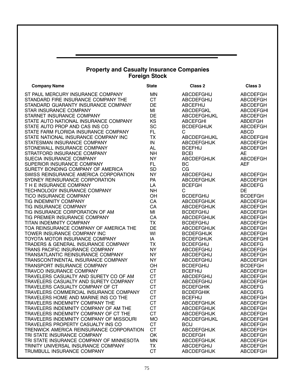| <b>Company Name</b>                      | <b>State</b> | Class 2             | Class 3          |
|------------------------------------------|--------------|---------------------|------------------|
| ST PAUL MERCURY INSURANCE COMPANY        | <b>MN</b>    | <b>ABCDEFGHIJ</b>   | <b>ABCDEFGH</b>  |
| STANDARD FIRE INSURANCE COMPANY THE      | <b>CT</b>    | <b>ABCDEFGHIJ</b>   | <b>ABCDEFGH</b>  |
| STANDARD GUARANTY INSURANCE COMPANY      | DE           | <b>ABCEFHIJ</b>     | <b>ABCDEFGH</b>  |
| STAR INSURANCE COMPANY                   | МI           | <b>ABCDEFGKL</b>    | <b>ABCDEFGHI</b> |
| STARNET INSURANCE COMPANY                | DE           | <b>ABCDEFGHIJKL</b> | <b>ABCDEFGH</b>  |
| STATE AUTO NATIONAL INSURANCE COMPANY    | KS           | <b>ABCEFGHI</b>     | <b>ABDEFGH</b>   |
| STATE AUTO PROP AND CAS INS CO           | SC           | <b>BCDEFGHIJK</b>   | <b>ABCDEFGH</b>  |
| STATE FARM FLORIDA INSURANCE COMPANY     | FL.          | C                   | <b>ABCD</b>      |
| STATE NATIONAL INSURANCE COMPANY INC     | <b>TX</b>    | ABCDEFGHIJKL        | <b>ABCDEFGHI</b> |
| STATESMAN INSURANCE COMPANY              | IN           | <b>ABCDEFGHIJK</b>  | <b>ABCDEFGH</b>  |
| STONEWALL INSURANCE COMPANY              | <b>AL</b>    | <b>BCEFHIJ</b>      | <b>ABCDEFGH</b>  |
| STRATFORD INSURANCE COMPANY              | <b>NH</b>    | <b>BCEI</b>         | AE               |
| SUECIA INSURANCE COMPANY                 | <b>NY</b>    | <b>ABCDEFGHIJK</b>  | <b>ABCDEFGH</b>  |
| SUPERIOR INSURANCE COMPANY               | FL.          | BC                  | <b>AEF</b>       |
| SURETY BONDING COMPANY OF AMERICA        | <b>SD</b>    | CG                  |                  |
| SWISS REINSURANCE AMERICA CORPORATION    | <b>NY</b>    | <b>ABCDEFGHIJ</b>   | <b>ABCDEFGH</b>  |
| SYDNEY REINSURANCE CORPORATION           | PA           | <b>ABCDEFGHIJK</b>  | <b>ABCDEFGH</b>  |
| THE INSURANCE COMPANY                    | LA           | <b>BCEFGH</b>       | <b>ABCDEFG</b>   |
| <b>TECHNOLOGY INSURANCE COMPANY</b>      | <b>NH</b>    | С                   | <b>DE</b>        |
| <b>TICO INSURANCE COMPANY</b>            | OH           | <b>BCDEFGHIJ</b>    | <b>BCDEFGH</b>   |
| TIG INDEMNITY COMPANY                    | CA           | <b>ABCDEFGHIJK</b>  | <b>ABCDEFGH</b>  |
| TIG INSURANCE COMPANY                    | CA           | <b>ABCDEFGHIJK</b>  | <b>ABCDEFGH</b>  |
| TIG INSURANCE CORPORATION OF AM          | MI           | <b>BCDEFGHIJ</b>    | <b>ABCDEFGH</b>  |
| TIG PREMIER INSURANCE COMPANY            | CA           | <b>ABCDEFGHIJK</b>  | <b>ABCDEFGH</b>  |
| TITAN INDEMNITY COMPANY                  | TX           | <b>BCDEFGHIJ</b>    | <b>ABCDEFGH</b>  |
| TOA REINSURANCE COMPANY OF AMERICA THE   | DE           | <b>ABCDEFGHIJK</b>  | <b>ABCDEFGH</b>  |
| TOWER INSURANCE COMPANY INC              | WI           | <b>BCDEFGHIJK</b>   | <b>ABCDEFGH</b>  |
| TOYOTA MOTOR INSURANCE COMPANY           | IA           | <b>BCDEFGHIJK</b>   | <b>ABCDEFGHI</b> |
| TRADERS & GENERAL INSURANCE COMPANY      | <b>TX</b>    | <b>BCDEFGHIJ</b>    | <b>ABCDEFG</b>   |
| TRANS PACIFIC INSURANCE COMPANY          | <b>NY</b>    | <b>ABCDEFGHIJ</b>   | <b>ABCDEFGH</b>  |
| TRANSATLANTIC REINSURANCE COMPANY        | <b>NY</b>    | <b>ABCDEFGHIJ</b>   | <b>ABCDEFGH</b>  |
| TRANSCONTINENTAL INSURANCE COMPANY       | <b>NY</b>    | <b>ABCDEFGHIJ</b>   | <b>ABCDEFGH</b>  |
| TRANSPORT INSURANCE COMPANY              | OH           | <b>BCDEFGHIJ</b>    | <b>BCDEFGH</b>   |
| TRAVCO INSURANCE COMPANY                 | <b>CT</b>    | <b>BCEFHIJ</b>      | <b>ABCDEFGH</b>  |
| TRAVELERS CASUALTY AND SURETY CO OF AM   | <b>CT</b>    | <b>ABCDEFGHIJ</b>   | <b>ABCDEFGH</b>  |
| TRAVELERS CASUALTY AND SURETY COMPANY    | <b>CT</b>    | <b>ABCDEFGHIJ</b>   | <b>ABCDEFGH</b>  |
| TRAVELERS CASUALTY COMPANY OF CT         | <b>CT</b>    | <b>BCDEFGHIK</b>    | <b>ABCDEFG</b>   |
| TRAVELERS COMMERCIAL INSURANCE COMPANY   | <b>CT</b>    | <b>BCDEFGHIK</b>    | <b>ABCDEFG</b>   |
| TRAVELERS HOME AND MARINE INS CO THE     | <b>CT</b>    | <b>BCEFHIJ</b>      | ABCDEFGH         |
| TRAVELERS INDEMNITY COMPANY THE          | <b>CT</b>    | <b>ABCDEFGHIJK</b>  | <b>ABCDEFGH</b>  |
| TRAVELERS INDEMNITY COMPANY OF AM THE    | <b>CT</b>    | <b>ABCDEFGHIJK</b>  | <b>ABCDEFGH</b>  |
| TRAVELERS INDEMNITY COMPANY OF CT THE    | <b>CT</b>    | <b>ABCDEFGHIJK</b>  | <b>ABCDEFGH</b>  |
| TRAVELERS INDEMNITY COMPANY OF MISSOURI  | <b>MO</b>    | <b>ABCDEFGHIJKL</b> | <b>ABCDEFGHI</b> |
| TRAVELERS PROPERTY CASUALTY INS CO       | <b>CT</b>    | <b>BCIJ</b>         | <b>ABCDEFGH</b>  |
| TRENWICK AMERICA REINSURANCE CORPORATION | <b>CT</b>    | <b>ABCDEFGHIJK</b>  | <b>ABCDEFGH</b>  |
| TRI STATE INSURANCE COMPANY              | OK           | <b>BCDEFGH</b>      | <b>ABCDEFGH</b>  |
| TRI STATE INSURANCE COMPANY OF MINNESOTA | <b>MN</b>    | <b>ABCDEFGHIJK</b>  | <b>ABCDEFGH</b>  |
| TRINITY UNIVERSAL INSURANCE COMPANY      | <b>TX</b>    | <b>ABCDEFGHIJ</b>   | <b>ABCDEFGH</b>  |
| TRUMBULL INSURANCE COMPANY               | <b>CT</b>    | <b>ABCDEFGHIJK</b>  | <b>ABCDEFGH</b>  |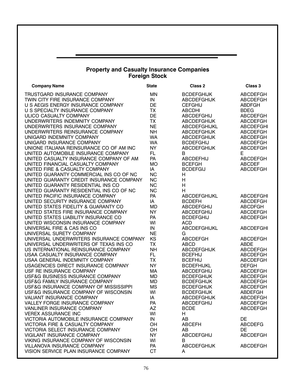| <b>Company Name</b>                      | <b>State</b> | Class 2             | Class 3          |
|------------------------------------------|--------------|---------------------|------------------|
| TRUSTGARD INSURANCE COMPANY              | <b>MN</b>    | <b>BCDEFGHIJK</b>   | <b>ABCDEFGH</b>  |
| TWIN CITY FIRE INSURANCE COMPANY         | IN           | <b>ABCDEFGHIJK</b>  | <b>ABCDEFGH</b>  |
| U S AEGIS ENERGY INSURANCE COMPANY       | <b>DE</b>    | <b>CEFGHIJ</b>      | <b>ABDFGH</b>    |
| U S SPECIALTY INSURANCE COMPANY          | <b>TX</b>    | <b>ABCDHI</b>       | <b>BDEG</b>      |
| ULICO CASUALTY COMPANY                   | DE           | <b>ABCDEFGHIJ</b>   | <b>ABCDEFGH</b>  |
| UNDERWRITERS INDEMNITY COMPANY           | <b>TX</b>    | <b>ABCDEFGHIJK</b>  | <b>ABCDEFGH</b>  |
| UNDERWRITERS INSURANCE COMPANY           | <b>NE</b>    | <b>ABCDEFGHIJKL</b> | <b>ABCDEFGHI</b> |
| UNDERWRITERS REINSURANCE COMPANY         | <b>NH</b>    | <b>ABCDEFGHIJK</b>  | <b>ABCDEFGH</b>  |
| UNIGARD INDEMNITY COMPANY                | <b>WA</b>    | <b>ABCDEFGHIJK</b>  | <b>ABCDEFGH</b>  |
| UNIGARD INSURANCE COMPANY                | <b>WA</b>    | <b>BCDEFGHIJ</b>    | <b>ABCDEFGH</b>  |
| UNIONE ITALIANA REINSURANCE CO OF AM INC | <b>NY</b>    | <b>ABCDEFGHIJK</b>  | <b>ABCDEFGH</b>  |
| UNITED AUTOMOBILE INSURANCE COMPANY      | <b>FL</b>    | B                   | E                |
| UNITED CASUALTY INSURANCE COMPANY OF AM  | <b>PA</b>    | <b>ABCDEFHIJ</b>    | <b>ABCDEFGH</b>  |
| UNITED FINANCIAL CASUALTY COMPANY        | <b>MO</b>    | <b>BCEFGH</b>       | <b>ABCDEF</b>    |
| UNITED FIRE & CASUALTY COMPANY           | IA           | <b>BCDEFGIJ</b>     | <b>ABCDEFGH</b>  |
| UNITED GUARANTY COMMERCIAL INS CO OF NC  | <b>NC</b>    | н                   |                  |
| UNITED GUARANTY CREDIT INSURANCE COMPANY | <b>NC</b>    | н                   |                  |
| UNITED GUARANTY RESIDENTIAL INS CO       | <b>NC</b>    |                     |                  |
|                                          |              | Н                   |                  |
| UNITED GUARANTY RESIDENTIAL INS CO OF NC | <b>NC</b>    | H                   |                  |
| UNITED PACIFIC INSURANCE COMPANY         | PA           | ABCDEFGHIJKL        | <b>ABCDEFGHI</b> |
| UNITED SECURITY INSURANCE COMPANY        | IA           | <b>BCDEFH</b>       | <b>ABCDEFGH</b>  |
| UNITED STATES FIDELITY & GUARANTY CO     | MD           | <b>ABCDEFGHIJ</b>   | <b>ABCDFGH</b>   |
| UNITED STATES FIRE INSURANCE COMPANY     | <b>NY</b>    | <b>ABCDEFGHIJ</b>   | <b>ABCDEFGH</b>  |
| UNITED STATES LIABILITY INSURANCE CO     | <b>PA</b>    | <b>BCDEFGHIJ</b>    | <b>ABCDEFGH</b>  |
| UNITED WISCONSIN INSURANCE COMPANY       | WI           | <b>ACD</b>          |                  |
| UNIVERSAL FIRE & CAS INS CO              | IN           | <b>ABCDEFGHIJKL</b> | <b>ABCDEFGHI</b> |
| UNIVERSAL SURETY COMPANY                 | <b>NE</b>    | G                   |                  |
| UNIVERSAL UNDERWRITERS INSURANCE COMPANY | <b>KS</b>    | <b>ABCDEFGH</b>     | <b>ABCDEFGH</b>  |
| UNIVERSAL UNDERWRITERS OF TEXAS INS CO   | <b>TX</b>    | <b>ABCD</b>         | <b>ABDE</b>      |
| US INTERNATIONAL REINSURANCE COMPANY     | NΗ           | <b>ABCDEFGHIJK</b>  | <b>ABCDEFGH</b>  |
| USAA CASUALTY INSURANCE COMPANY          | FL.          | <b>BCEFHIJ</b>      | <b>ABCDEFGH</b>  |
| USAA GENERAL INDEMNITY COMPANY           | TX           | <b>BCEFHIJ</b>      | <b>ABCDEFGH</b>  |
| USAGENCIES DIRECT INSURANCE COMPANY      | NY           | <b>BCDEFHIJKL</b>   | <b>DEFGH</b>     |
| USF RE INSURANCE COMPANY                 | MA           | <b>ABCDEFGHIJ</b>   | <b>ABCDEFGH</b>  |
| USF&G BUSINESS INSURANCE COMPANY         | MD           | <b>BCDEFGHIJK</b>   | <b>ABCDEFGH</b>  |
| USF&G FAMILY INSURANCE COMPANY           | <b>MD</b>    | <b>BCDEFGHIJK</b>   | <b>ABCDEFGH</b>  |
| USF&G INSURANCE COMPANY OF MISSISSIPPI   | <b>MS</b>    | <b>BCDEFGHIJK</b>   | <b>ABCDEFGH</b>  |
| USF&G INSURANCE COMPANY OF WISCONSIN     | WI           | <b>BCDEFGHIJK</b>   | <b>ABDEFGH</b>   |
| VALIANT INSURANCE COMPANY                | IA           | <b>ABCDEFGHIJK</b>  | <b>ABCDEFGH</b>  |
| VALLEY FORGE INSURANCE COMPANY           | <b>PA</b>    | <b>ABCDEFGHIJ</b>   | <b>ABCDEFGH</b>  |
| <b>VANLINER INSURANCE COMPANY</b>        | AZ           | <b>BCDE</b>         | <b>ABCDEFGH</b>  |
| <b>VEREX ASSURANCE INC</b>               | WI           | H                   |                  |
| VICTORIA AUTOMOBILE INSURANCE COMPANY    | IN           | AB                  | DE.              |
| VICTORIA FIRE & CASUALTY COMPANY         | <b>OH</b>    | <b>ABCEFH</b>       | <b>ABCDEFG</b>   |
| VICTORIA SELECT INSURANCE COMPANY        | OH           | AB                  | <b>DE</b>        |
| VIGILANT INSURANCE COMPANY               | <b>NY</b>    | <b>ABCDEFGHIJ</b>   | <b>ABCDEFGH</b>  |
| VIKING INSURANCE COMPANY OF WISCONSIN    | WI           | В                   |                  |
| VILLANOVA INSURANCE COMPANY              | <b>PA</b>    | <b>ABCDEFGHIJK</b>  | <b>ABCDEFGH</b>  |
| VISION SERVICE PLAN INSURANCE COMPANY    | <b>CT</b>    | A                   |                  |
|                                          |              |                     |                  |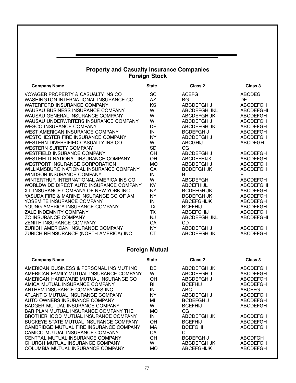| <b>Company Name</b>                           | <b>State</b>          | Class <sub>2</sub>  | Class 3          |
|-----------------------------------------------|-----------------------|---------------------|------------------|
| VOYAGER PROPERTY & CASUALTY INS CO            | SC                    | <b>ACEFG</b>        | <b>ABCDEG</b>    |
| WASHINGTON INTERNATIONAL INSURANCE CO         | AZ                    | BG                  | <b>DE</b>        |
| WATERFORD INSURANCE COMPANY                   | KS                    | <b>ABCDEFGHIJ</b>   | <b>ABCDEFGH</b>  |
| WAUSAU BUSINESS INSURANCE COMPANY             | WI                    | <b>ABCDEFGHIJKL</b> | <b>ABCDEFGHI</b> |
| WAUSAU GENERAL INSURANCE COMPANY              | WI                    | <b>ABCDEFGHIJK</b>  | <b>ABCDEFGH</b>  |
| WAUSAU UNDERWRITERS INSURANCE COMPANY         | WI                    | <b>ABCDEFGHIJ</b>   | <b>ABCDEFGH</b>  |
| <b>WESCO INSURANCE COMPANY</b>                | <b>DE</b>             | <b>ABCDEFGHIJK</b>  | <b>ABCDEFGH</b>  |
| WEST AMERICAN INSURANCE COMPANY               | IN                    | <b>BCDEFGHIJ</b>    | <b>ABCDEFGH</b>  |
| WESTCHESTER FIRE INSURANCE COMPANY            | <b>NY</b>             | <b>ABCDEFGHIJ</b>   | <b>ABCDEFGH</b>  |
| WESTERN DIVERSIFIED CASUALTY INS CO           | WI                    | <b>ABCGHIJ</b>      | ABCDEGH          |
| <b>WESTERN SURETY COMPANY</b>                 | <b>SD</b>             | CG.                 |                  |
| <b>WESTFIELD INSURANCE COMPANY</b>            | OН                    | <b>ABCDEFGHIJ</b>   | <b>ABCDEFGH</b>  |
|                                               | OH                    |                     |                  |
| WESTFIELD NATIONAL INSURANCE COMPANY          |                       | <b>ABCDEFHIJK</b>   | <b>ABCDEFGH</b>  |
| WESTPORT INSURANCE CORPORATION                | <b>MO</b>             | <b>ABCDEFGHIJ</b>   | <b>ABCDEFGH</b>  |
| WILLIAMSBURG NATIONAL INSURANCE COMPANY       | СA                    | <b>BCDEFGHIJK</b>   | <b>ABCDEFGH</b>  |
| WINDSOR INSURANCE COMPANY                     | IN                    | B                   | E                |
| WINTERTHUR INTERNATIONAL AMERICA INS CO       | WI                    | <b>ABCDEFGH</b>     | <b>ABCDEFGH</b>  |
| WORLDWIDE DIRECT AUTO INSURANCE COMPANY       | KY                    | <b>ABCEFHIJL</b>    | <b>ABCDEFGHI</b> |
| X L INSURANCE COMPANY OF NEW YORK INC         | NY                    | <b>BCDEFGHIJK</b>   | <b>ABCDEFGH</b>  |
| YASUDA FIRE & MARINE INSURANCE CO OF AM       | <b>NY</b>             | <b>BCDEFGHIJK</b>   | <b>ABCDEFGH</b>  |
| YOSEMITE INSURANCE COMPANY                    | IN                    | <b>ABCEFGHIJK</b>   | <b>ABCDEFGH</b>  |
| YOUNG AMERICA INSURANCE COMPANY               | <b>TX</b>             | <b>BCEFHIJ</b>      | <b>ABCDEFGH</b>  |
| ZALE INDEMNITY COMPANY                        | <b>TX</b>             | <b>ABCEFGHIJ</b>    | <b>ABCDEFGH</b>  |
| <b>ZC INSURANCE COMPANY</b>                   | <b>NJ</b>             | <b>ABCDEFGHIJKL</b> | <b>ABCDEFGHI</b> |
| ZENITH INSURANCE COMPANY                      | CA                    | CD.                 |                  |
| ZURICH AMERICAN INSURANCE COMPANY             | NY.                   | <b>ABCDEFGHIJ</b>   | <b>ABCDEFGH</b>  |
| ZURICH REINSURANCE (NORTH AMERICA) INC        | <b>CT</b>             | <b>ABCDEFGHIJK</b>  | <b>ABCDEFGH</b>  |
|                                               | <b>Foreign Mutual</b> |                     |                  |
|                                               |                       |                     |                  |
| <b>Company Name</b>                           | <b>State</b>          | <b>Class 2</b>      | Class 3          |
| AMERICAN BUSINESS & PERSONAL INS MUT INC      | DE                    | <b>ABCDEFGHIJK</b>  | <b>ABCDEFGH</b>  |
| AMERICAN FAMILY MUTUAL INSURANCE COMPANY      | WI                    | <b>ABCDEFGHIJ</b>   | <b>ABCDEFGH</b>  |
| AMERICAN HARDWARE MUTUAL INSURANCE CO         | OН                    | <b>ABCDEFGHIJ</b>   | <b>ABCDEFGH</b>  |
| AMICA MUTUAL INSURANCE COMPANY                | RI                    | <b>BCEFHIJ</b>      | <b>ABCDEFGH</b>  |
| ANTHEM INSURANCE COMPANIES INC                | IN                    | <b>ABC</b>          | <b>ABCEFG</b>    |
| ATLANTIC MUTUAL INSURANCE COMPANY             | NY                    | <b>ABCDEFGHIJ</b>   | <b>ABCDEFGH</b>  |
| AUTO OWNERS INSURANCE COMPANY                 | MI                    | <b>BCDEFGHIJ</b>    | <b>ABCDEFGH</b>  |
| BADGER MUTUAL INSURANCE COMPANY               | WI                    | <b>BCEFHIJ</b>      | <b>ABCDEFGH</b>  |
| BAR PLAN MUTUAL INSURANCE COMPANY THE         | <b>MO</b>             | CG                  |                  |
| BROTHERHOOD MUTUAL INSURANCE COMPANY          | IN                    | <b>ABCDEFGHIJK</b>  | <b>ABCDEFGH</b>  |
| <b>BUCKEYE STATE MUTUAL INSURANCE COMPANY</b> | OН                    | <b>BCEFHIJ</b>      | <b>ABCDEFGH</b>  |
| CAMBRIDGE MUTUAL FIRE INSURANCE COMPANY       | МA                    | <b>BCEFGHI</b>      | <b>ABCDEFGH</b>  |
| CAMICO MUTUAL INSURANCE COMPANY               | CA                    | C                   |                  |
| CENTRAL MUTUAL INSURANCE COMPANY              | OH                    | <b>BCDEFGHIJ</b>    | <b>ABCDFGH</b>   |
| CHURCH MUTUAL INSURANCE COMPANY               | WI                    | <b>ABCDEFGHIJK</b>  | <b>ABCDEFGH</b>  |
| COLUMBIA MUTUAL INSURANCE COMPANY             | <b>MO</b>             | <b>ABCEFGHIJK</b>   | <b>ABCDEFGH</b>  |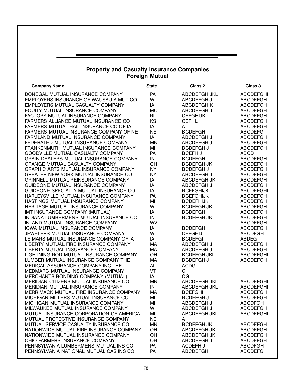| <b>Company Name</b>                                                                   | <b>State</b>    | Class <sub>2</sub>                    | Class 3                             |
|---------------------------------------------------------------------------------------|-----------------|---------------------------------------|-------------------------------------|
| DONEGAL MUTUAL INSURANCE COMPANY                                                      | PA              | <b>ABCDEFGHIJKL</b>                   | <b>ABCDEFGHI</b>                    |
| EMPLOYERS INSURANCE OF WAUSAU A MUT CO                                                | WI              | <b>ABCDEFGHIJ</b>                     | <b>ABCDEFGH</b>                     |
| EMPLOYERS MUTUAL CASUALTY COMPANY                                                     | IA              | <b>ABCDEFGHIK</b>                     | <b>ABCDEFGH</b>                     |
| EQUITY MUTUAL INSURANCE COMPANY                                                       | <b>MO</b>       | <b>ABCDEFGHIJ</b>                     | <b>ABCDEFGH</b>                     |
| FACTORY MUTUAL INSURANCE COMPANY                                                      | <b>RI</b>       | <b>CEFGHIJK</b>                       | <b>ABCDEFGH</b>                     |
| FARMERS ALLIANCE MUTUAL INSURANCE CO                                                  | KS              | <b>CEFHIJ</b>                         | <b>ABCDEFGH</b>                     |
| FARMERS MUTUAL HAIL INSURANCE CO OF IA                                                | IA              | A                                     | <b>ABCDEFGH</b>                     |
| FARMERS MUTUAL INSURANCE COMPANY OF NE                                                | <b>NE</b>       | <b>BCDEFGHI</b>                       | <b>ABCDEFG</b>                      |
| FARMLAND MUTUAL INSURANCE COMPANY                                                     | IA              | <b>ABCDEFGHIJ</b>                     | <b>ABCDEFGH</b>                     |
| FEDERATED MUTUAL INSURANCE COMPANY                                                    | <b>MN</b>       | <b>ABCDEFGHIJ</b>                     | <b>ABCDEFGH</b>                     |
| FRANKENMUTH MUTUAL INSURANCE COMPANY                                                  | MI              | <b>BCDEFGHIJ</b>                      | <b>ABCDEFGH</b>                     |
| GOODVILLE MUTUAL CASUALTY COMPANY                                                     | PA              | <b>BCEFHIJ</b>                        | <b>ABCD</b>                         |
| GRAIN DEALERS MUTUAL INSURANCE COMPANY                                                | IN              | <b>BCDEFGH</b>                        | <b>ABCDEFGH</b>                     |
| <b>GRANGE MUTUAL CASUALTY COMPANY</b><br><b>GRAPHIC ARTS MUTUAL INSURANCE COMPANY</b> | OH<br><b>NY</b> | <b>BCDEFGHIJK</b><br><b>BCDEFGHIJ</b> | <b>ABCDEFGH</b><br><b>ABCDEFGH</b>  |
| GREATER NEW YORK MUTUAL INSURANCE CO                                                  | <b>NY</b>       | <b>ABCDEFGHIJ</b>                     | <b>ABCDEFGH</b>                     |
| GRINNELL MUTUAL REINSURANCE COMPANY                                                   | IA              | <b>ABCDEFGHIJK</b>                    | <b>ABCDEFGH</b>                     |
| GUIDEONE MUTUAL INSURANCE COMPANY                                                     | IA              | <b>ABCDEFGHIJ</b>                     | <b>ABCDEFGH</b>                     |
| GUIDEONE SPECIALTY MUTUAL INSURANCE CO                                                | IA              | <b>BCEFGHIJKL</b>                     | <b>ABCDEFGHI</b>                    |
| HARLEYSVILLE MUTUAL INSURANCE COMPANY                                                 | <b>PA</b>       | <b>BCEFGHIJK</b>                      | <b>ABCDEFGH</b>                     |
| HASTINGS MUTUAL INSURANCE COMPANY                                                     | MI              | <b>BCDEFHIJK</b>                      | <b>ABCDEFGH</b>                     |
| HERITAGE MUTUAL INSURANCE COMPANY                                                     | WI              | <b>BCDEFGHIJK</b>                     | <b>ABCDEFGH</b>                     |
| IMT INSURANCE COMPANY (MUTUAL)                                                        | IA              | <b>BCDEFGHI</b>                       | <b>ABCDEFGH</b>                     |
| INDIANA LUMBERMENS MUTUAL INSURANCE CO                                                | IN              | <b>BCDEFGHIJK</b>                     | <b>ABCDEFGH</b>                     |
| INLAND MUTUAL INSURANCE COMPANY                                                       | WV              |                                       | <b>ABCDEFGH</b>                     |
| <b>IOWA MUTUAL INSURANCE COMPANY</b>                                                  | IA              | <b>BCDEFGH</b>                        | <b>ABCDEFGH</b>                     |
| JEWELERS MUTUAL INSURANCE COMPANY                                                     | WI              | <b>CEFGHIJ</b>                        | <b>ABCDFGH</b>                      |
| LE MARS MUTUAL INSURANCE COMPANY OF IA                                                | IA              | <b>BCDEFGI</b>                        | <b>ABDEG</b>                        |
| LIBERTY MUTUAL FIRE INSURANCE COMPANY                                                 | MA              | <b>ABCDEFGHIJ</b>                     | <b>ABCDEFGH</b>                     |
| LIBERTY MUTUAL INSURANCE COMPANY                                                      | MA              | <b>ABCDEFGHIJ</b>                     | <b>ABCDEFGH</b>                     |
| LIGHTNING ROD MUTUAL INSURANCE COMPANY                                                | OH              | <b>BCDEFGHIJKL</b>                    | <b>ABCDEFGHI</b>                    |
| LUMBER MUTUAL INSURANCE COMPANY THE                                                   | МA              | <b>BCDEFGHIJ</b>                      | <b>ABCDEFGH</b>                     |
| MEDICAL ASSURANCE COMPANY INC THE                                                     | <b>AL</b>       | <b>ACDG</b>                           |                                     |
| MEDMARC MUTUAL INSURANCE COMPANY                                                      | VT              | C                                     |                                     |
| MERCHANTS BONDING COMPANY (MUTUAL)                                                    | IA              | CG                                    |                                     |
| MERIDIAN CITIZENS MUTUAL INSURANCE CO                                                 | <b>MN</b>       | ABCDEFGHIJKL                          | <b>ABCDEFGHI</b>                    |
| MERIDIAN MUTUAL INSURANCE COMPANY                                                     | IN              | <b>ABCDEFGHIJKL</b>                   | <b>ABCDEFGHI</b>                    |
| MERRIMACK MUTUAL FIRE INSURANCE COMPANY                                               | MA              | <b>BCEFGHI</b>                        | <b>ABCDEFGH</b>                     |
| MICHIGAN MILLERS MUTUAL INSURANCE CO                                                  | MI              | <b>BCDEFGHIJ</b>                      | <b>ABCDEFGH</b>                     |
| MICHIGAN MUTUAL INSURANCE COMPANY<br>MILWAUKEE MUTUAL INSURANCE COMPANY               | МI              | <b>ABCDEFGHIJ</b>                     | <b>ABCDFGH</b>                      |
| MUTUAL INSURANCE CORPORATION OF AMERICA                                               | WI<br>MI        | <b>ABCDEFGHIJ</b><br>ABCDEFGHIJKL     | <b>ABCDEFGH</b><br><b>ABCDEFGHI</b> |
| MUTUAL PROTECTIVE INSURANCE COMPANY                                                   | <b>NE</b>       | A                                     |                                     |
| MUTUAL SERVICE CASUALTY INSURANCE CO                                                  | <b>MN</b>       | <b>BCDEFGHIJK</b>                     | <b>ABCDEFGH</b>                     |
| NATIONWIDE MUTUAL FIRE INSURANCE COMPANY                                              | OH              | <b>ABCDEFGHIJK</b>                    | <b>ABCDEFGH</b>                     |
| NATIONWIDE MUTUAL INSURANCE COMPANY                                                   | OH              | <b>ABCDEFGHIJK</b>                    | <b>ABCDEFGH</b>                     |
| OHIO FARMERS INSURANCE COMPANY                                                        | OH              | <b>ABCDEFGHIJ</b>                     | <b>ABCDEFGH</b>                     |
| PENNSYLVANIA LUMBERMENS MUTUAL INS CO                                                 | <b>PA</b>       | <b>ACDEFHIJ</b>                       | <b>ABCDFGH</b>                      |
| PENNSYLVANIA NATIONAL MUTUAL CAS INS CO                                               | PA              | <b>ABCDEFGHI</b>                      | <b>ABCDEFG</b>                      |
|                                                                                       |                 |                                       |                                     |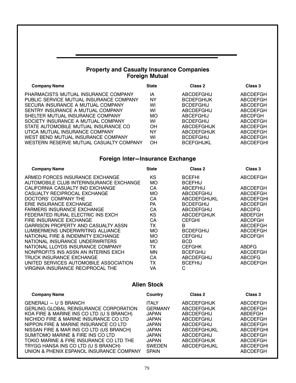| <b>State</b>                                  | Class 2            | Class 3          |
|-----------------------------------------------|--------------------|------------------|
| ΙA                                            | <b>ABCDEFGHIJ</b>  | ABCDEFGH         |
| NΥ                                            | <b>BCDEFGHIJK</b>  | ABCDEFGH         |
| WI                                            | <b>BCDEFGHIJ</b>   | ABCDEFGH         |
| WI                                            | <b>ABCDEFGHIJ</b>  | <b>ABCDEFGH</b>  |
| МO                                            | <b>ABCEFGHIJ</b>   | ABCDFGH          |
| WI                                            | <b>BCDEFGHIJ</b>   | ABCDEFGH         |
| OΗ                                            | <b>ABCDEFGHIJK</b> | ABCDEFGH         |
| NΥ                                            | <b>ABCDEFGHIJK</b> | ABCDEFGH         |
| WI                                            | <b>BCDEFGHIJ</b>   | ABCDEFGH         |
| WESTERN RESERVE MUTUAL CASUALTY COMPANY<br>OΗ | <b>BCEFGHIJKL</b>  | <b>ABCDEFGHI</b> |
|                                               |                    |                  |

#### Foreign Inter-Insurance Exchange

| <b>Company Name</b>                                                    | <b>State</b>       | Class 2                                 | Class 3                         |
|------------------------------------------------------------------------|--------------------|-----------------------------------------|---------------------------------|
| ARMED FORCES INSURANCE EXCHANGE                                        | KS                 | <b>BCEFHI</b>                           | <b>ABCDEFGH</b>                 |
| AUTOMOBILE CLUB INTERINSURANCE EXCHANGE                                | <b>MO</b>          | <b>BCEFHIJ</b>                          |                                 |
| CALIFORNIA CASUALTY IND EXCHANGE                                       | CA                 | <b>ABCEFHIJ</b>                         | <b>ABCDEFGH</b>                 |
| CASUALTY RECIPROCAL EXCHANGE                                           | <b>MO</b>          | <b>ABCDEFGHIJ</b>                       | <b>ABCDEFGH</b>                 |
| DOCTORS' COMPANY THE                                                   | CA                 | <b>ABCDEFGHIJKL</b>                     | <b>ABCDEFGHI</b>                |
| ERIE INSURANCE EXCHANGE                                                | PA                 | <b>BCDEFGHIJ</b>                        | <b>ABCDEFGH</b>                 |
| <b>FARMERS INSURANCE EXCHANGE</b><br>FEDERATED RURAL ELECTRIC INS EXCH | CA<br><b>KS</b>    | <b>ABCDEFGHIJ</b><br><b>ABCDEFGHIJK</b> | <b>ABCDFG</b><br><b>ABDEFGH</b> |
| <b>FIRE INSURANCE EXCHANGE</b>                                         | CA                 | <b>CEFGHI</b>                           | <b>ABCDFGH</b>                  |
| <b>GARRISON PROPERTY AND CASUALTY ASSN</b>                             | <b>TX</b>          | B                                       | <b>ABCDEFGH</b>                 |
| LUMBERMENS UNDERWRITING ALLIANCE                                       | <b>MO</b>          | <b>BCDEFGHIJ</b>                        | <b>ABCDEFGH</b>                 |
| NATIONAL FIRE & INDEMNITY EXCHANGE                                     | <b>MO</b>          | <b>CEFGHIJ</b>                          | <b>ABCDFGH</b>                  |
| NATIONAL INSURANCE UNDERWRITERS                                        | <b>MO</b>          | <b>BCD</b>                              |                                 |
| NATIONAL LLOYDS INSURANCE COMPANY                                      | <b>TX</b>          | <b>CEFGHK</b>                           | <b>ABDFG</b>                    |
| NONPROFITS INS ASSN AN INTERINS EXCH                                   | <b>MN</b>          | <b>BCEFGHIJ</b>                         | <b>ABCDEFGH</b>                 |
| TRUCK INSURANCE EXCHANGE                                               | CA                 | <b>ABCDEFGHIJ</b>                       | <b>ABCDFG</b>                   |
| UNITED SERVICES AUTOMOBILE ASSOCIATION                                 | <b>TX</b>          | <b>BCEFHIJ</b>                          | <b>ABCDEFGH</b>                 |
| VIRGINIA INSURANCE RECIPROCAL THE                                      | <b>VA</b>          | C                                       |                                 |
|                                                                        | <b>Alien Stock</b> |                                         |                                 |
| <b>Company Name</b>                                                    | <b>Country</b>     | Class 2                                 | Class 3                         |
| <b>GENERALI - U S BRANCH</b>                                           | <b>ITALY</b>       | <b>ABCDEFGHIJK</b>                      | <b>ABCDEFGH</b>                 |
| GERLING GLOBAL REINSURANCE CORPORATION                                 | <b>GERMANY</b>     | <b>ABCDEFGHIJK</b>                      | <b>ABCDEFGH</b>                 |
| KOA FIRE & MARINE INS CO LTD (U S BRANCH)                              | <b>JAPAN</b>       | <b>ABCDEFGHIJ</b>                       | <b>ABDEFGH</b>                  |
| NICHIDO FIRE & MARINE INSURANCE CO LTD                                 | <b>JAPAN</b>       | <b>ABCDEFGHIJ</b>                       | <b>ABCDEFGH</b>                 |
| NIPPON FIRE & MARINE INSURANCE CO LTD                                  | <b>JAPAN</b>       | <b>ABCDEFGHIJ</b>                       | <b>ABCDEFGH</b>                 |
| NISSAN FIRE & MAR INS CO LTD (US BRANCH)                               | <b>JAPAN</b>       | <b>ABCDEFGHIJKL</b>                     | <b>ABCDEFGHI</b>                |
| SUMITOMO MARINE & FIRE INS CO LTD                                      | <b>JAPAN</b>       | <b>ABCDEFGHIJ</b>                       | <b>ABCDEFGH</b>                 |
| TOKIO MARINE & FIRE INSURANCE CO LTD THE                               | <b>JAPAN</b>       | <b>ABCDEFGHIJK</b>                      | <b>ABCDEFGH</b>                 |

@O2 3%B5

ABCDEFGH

TRYGG HANSA INS CO LTD (U S BRANCH) SWEDEN ABCDEFG

UNION & PHENIX ESPANOL INSURANCE COMPANY SPAIN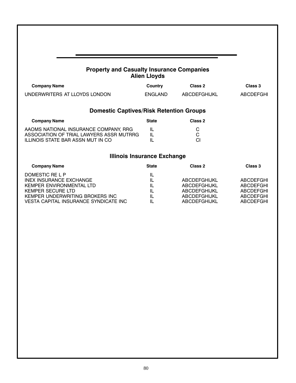| <b>Property and Casualty Insurance Companies</b><br><b>Alien Lloyds</b>                                                                                                                           |                                    |                                                                                                                 |                                                                                                  |
|---------------------------------------------------------------------------------------------------------------------------------------------------------------------------------------------------|------------------------------------|-----------------------------------------------------------------------------------------------------------------|--------------------------------------------------------------------------------------------------|
| <b>Company Name</b>                                                                                                                                                                               | <b>Country</b>                     | Class <sub>2</sub>                                                                                              | Class <sub>3</sub>                                                                               |
| UNDERWRITERS AT LLOYDS LONDON                                                                                                                                                                     | ENGLAND                            | <b>ABCDEFGHIJKL</b>                                                                                             | <b>ABCDEFGHI</b>                                                                                 |
| <b>Domestic Captives/Risk Retention Groups</b><br><b>Company Name</b><br>AAOMS NATIONAL INSURANCE COMPANY, RRG<br>ASSOCIATION OF TRIAL LAWYERS ASSR MUTRRG<br>ILLINOIS STATE BAR ASSN MUT IN CO   | <b>State</b><br>IL<br>IL<br>IL     | Class <sub>2</sub><br>С<br>C<br>CI                                                                              |                                                                                                  |
|                                                                                                                                                                                                   | <b>Illinois Insurance Exchange</b> |                                                                                                                 |                                                                                                  |
| <b>Company Name</b>                                                                                                                                                                               | <b>State</b>                       | Class <sub>2</sub>                                                                                              | Class <sub>3</sub>                                                                               |
| DOMESTIC RELP<br><b>INEX INSURANCE EXCHANGE</b><br><b>KEMPER ENVIRONMENTAL LTD</b><br><b>KEMPER SECURE LTD</b><br>KEMPER UNDERWRITING BROKERS INC<br><b>VESTA CAPITAL INSURANCE SYNDICATE INC</b> | IL<br>IL<br>IL<br>IL<br>IL<br>IL   | <b>ABCDEFGHIJKL</b><br><b>ABCDEFGHIJKL</b><br><b>ABCDEFGHIJKL</b><br><b>ABCDEFGHIJKL</b><br><b>ABCDEFGHIJKL</b> | <b>ABCDEFGHI</b><br><b>ABCDEFGHI</b><br><b>ABCDEFGHI</b><br><b>ABCDEFGHI</b><br><b>ABCDEFGHI</b> |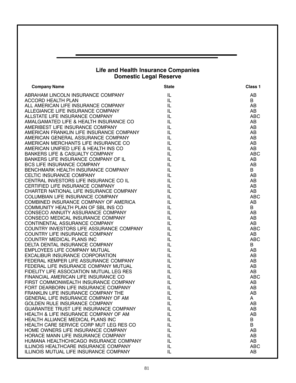| Company Name<br>ABRAHAM LINCOLN INSURANCE COMPANY                                                                                                                                                                                      | <b>State</b> | Class 1    |
|----------------------------------------------------------------------------------------------------------------------------------------------------------------------------------------------------------------------------------------|--------------|------------|
|                                                                                                                                                                                                                                        | IL           | AB         |
| ACCORD HEALTH PLAN<br>ALL AMERICAN LIFE INSURANCE COMPANY                                                                                                                                                                              | IL           | B          |
|                                                                                                                                                                                                                                        | IL           | AB         |
| ALLEGIANCE LIFE INSURANCE COMPANY                                                                                                                                                                                                      | IL           | AB         |
| ALLSTATE LIFE INSURANCE COMPANY                                                                                                                                                                                                        | IL.          | <b>ABC</b> |
| AMALGAMATED LIFE & HEALTH INSURANCE CO                                                                                                                                                                                                 | IL           | AB         |
| AMERIBEST LIFE INSURANCE COMPANY                                                                                                                                                                                                       | IL.          | AB         |
| AMERICAN FRANKLIN LIFE INSURANCE COMPANY                                                                                                                                                                                               | IL           | AB         |
| AMERICAN GENERAL ASSURANCE COMPANY                                                                                                                                                                                                     | IL.          | AB         |
| AMERICAN MERCHANTS LIFE INSURANCE CO                                                                                                                                                                                                   | IL.          | AB         |
| BANKERS LIFE & CASUALTY COMPANY<br>BANKERS LIFE & CASUALTY COMPANY<br>BANKERS LIFE INSURANCE COMPANY OF IL<br>BCS LIFE INSURANCE COMPANY<br>BENCHMARK HEALTH INSURANCE COMPANY<br>CELTIC INSURANCE COMPANY<br>CELTIC INSURANCE COMPANY | IL.          | AB         |
|                                                                                                                                                                                                                                        | IL.          | <b>ABC</b> |
|                                                                                                                                                                                                                                        | IL.          | AB         |
|                                                                                                                                                                                                                                        | IL           | AB         |
|                                                                                                                                                                                                                                        | IL           | B          |
|                                                                                                                                                                                                                                        | IL           | AB         |
| CENTRAL INVESTORS LIFE INSURANCE CO IL                                                                                                                                                                                                 | IL           | AB         |
| CERTIFIED LIFE INSURANCE COMPANY                                                                                                                                                                                                       | IL           | AB         |
| CHARTER NATIONAL LIFE INSURANCE COMPANY                                                                                                                                                                                                | IL.          | AB         |
| <b>COLUMBIAN LIFE INSURANCE COMPANY</b>                                                                                                                                                                                                | IL.          | <b>ABC</b> |
| COMBINED INSURANCE COMPANY OF AMERICA                                                                                                                                                                                                  | IL           | AB         |
| COMMUNITY HEALTH PLAN OF SBL INS CO                                                                                                                                                                                                    | IL.          | B          |
| CONSECO ANNUITY ASSURANCE COMPANY                                                                                                                                                                                                      | IL.<br>IL.   | AB<br>AB   |
| CONSECO MEDICAL INSURANCE COMPANY<br>CONTINENTAL ASSURANCE COMPANY                                                                                                                                                                     | IL           | AB         |
| COUNTRY INVESTORS LIFE ASSURANCE COMPANY<br>COUNTRY LIFE INSURANCE COMPANY<br>COUNTRY MEDICAL PLANS INC<br>DELTA DENTAL INSURANCE COMPANY<br>EMPLOYEES LIFE COMPANY MUTUAL<br>EXCALIBUR INSURANCE CORPORATION                          | IL.          | <b>ABC</b> |
|                                                                                                                                                                                                                                        | IL.          | AB         |
|                                                                                                                                                                                                                                        | IL           | <b>ABC</b> |
|                                                                                                                                                                                                                                        | IL           | B          |
|                                                                                                                                                                                                                                        | IL.          | AB         |
| EXCALIBUR INSURANCE CORPORATION                                                                                                                                                                                                        | IL           | AB         |
| FEDERAL KEMPER LIFE ASSURANCE COMPANY<br>FEDERAL LIFE INSURANCE COMPANY MUTUAL                                                                                                                                                         | IL.          | AB         |
|                                                                                                                                                                                                                                        | IL.          | AB         |
| FIDELITY LIFE ASSOCIATION MUTUAL LEG RES                                                                                                                                                                                               | IL.          | AB         |
| FINANCIAL AMERICAN LIFE INSURANCE CO                                                                                                                                                                                                   | IL.          | <b>ABC</b> |
| FIRST COMMONWEALTH INSURANCE COMPANY                                                                                                                                                                                                   | IL           | AB         |
| FORT DEARBORN LIFE INSURANCE COMPANY                                                                                                                                                                                                   | IL           | AB         |
| FRANKLIN LIFE INSURANCE COMPANY THE                                                                                                                                                                                                    | IL           | AB         |
| GENERAL LIFE INSURANCE COMPANY OF AM                                                                                                                                                                                                   | IL           | A          |
| GOLDEN RULE INSURANCE COMPANY                                                                                                                                                                                                          | IL           | AB         |
| <b>GUARANTEE TRUST LIFE INSURANCE COMPANY</b>                                                                                                                                                                                          | IL           | AB         |
| HEALTH & LIFE INSURANCE COMPANY OF AM                                                                                                                                                                                                  | IL           | AB         |
| HEALTH ALLIANCE MEDICAL PLANS INC                                                                                                                                                                                                      | IL           | B          |
| HEALTH CARE SERVICE CORP MUT LEG RES CO                                                                                                                                                                                                | IL           | B          |
| HOME OWNERS LIFE INSURANCE COMPANY                                                                                                                                                                                                     | IL           | AB         |
| HORACE MANN LIFE INSURANCE COMPANY                                                                                                                                                                                                     | IL           | AB         |
| HUMANA HEALTHCHICAGO INSURANCE COMPANY                                                                                                                                                                                                 | IL           | AB         |
| ILLINOIS HEALTHCARE INSURANCE COMPANY                                                                                                                                                                                                  | IL           | <b>ABC</b> |
| ILLINOIS MUTUAL LIFE INSURANCE COMPANY                                                                                                                                                                                                 | IL           | AB         |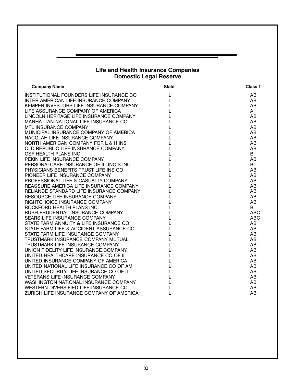| <b>Company Name</b>                                                                                                                                                                                                                        | <b>State</b> | Class <sub>1</sub> |
|--------------------------------------------------------------------------------------------------------------------------------------------------------------------------------------------------------------------------------------------|--------------|--------------------|
| INSTITUTIONAL FOUNDERS LIFE INSURANCE CO                                                                                                                                                                                                   | IL           | AB                 |
|                                                                                                                                                                                                                                            |              | AB                 |
| INTER AMERICAN LIFE INSURANCE COMPANY ILL<br>KEMPER INVESTORS LIFE INSURANCE COMPANY                                                                                                                                                       |              | AB                 |
| KEMPER INVESTORS LIFE INSURANCE COMPANY<br>LIFE ASSURANCE COMPANY OF AMERICA ULL<br>LINCOLN HERITAGE LIFE INSURANCE COMPANY ULL<br>MANHATTAN NATIONAL LIFE INSURANCE COMPANY ULL<br>MTL INSURANCE COMPANY OF AMERICA ULL<br>MUNICIPAL IN   |              | A                  |
|                                                                                                                                                                                                                                            |              | <b>AB</b>          |
|                                                                                                                                                                                                                                            |              | AB                 |
|                                                                                                                                                                                                                                            |              | AB                 |
|                                                                                                                                                                                                                                            |              | AB                 |
|                                                                                                                                                                                                                                            |              | AB                 |
|                                                                                                                                                                                                                                            |              | AB                 |
|                                                                                                                                                                                                                                            |              | AB                 |
|                                                                                                                                                                                                                                            |              | B.                 |
|                                                                                                                                                                                                                                            |              | AB                 |
|                                                                                                                                                                                                                                            |              | B                  |
|                                                                                                                                                                                                                                            |              | AB                 |
|                                                                                                                                                                                                                                            |              | AB                 |
| PROFESSIONAL LIFE & CASUALTY COMPANY IL                                                                                                                                                                                                    |              | AB                 |
| REASSURE AMERICA LIFE INSURANCE COMPANY                                                                                                                                                                                                    | IL           | AB                 |
| RELIANCE STANDARD LIFE INSURANCE COMPANY                                                                                                                                                                                                   | IL.          | AB                 |
| RESOURCE LIFE INSURANCE COMPANY<br>RESOURCE LIFE INSURANCE COMPANY<br>RIGHTCHOICE INSURANCE COMPANY<br>ROCKFORD HEALTH PLANS INC<br>RUSH PRUDENTIAL INSURANCE COMPANY<br>SEARS LIFE INSURANCE COMPANY<br>STATE FARM ANNUITY & LIFE INSURAN |              | AB                 |
|                                                                                                                                                                                                                                            |              | AB                 |
|                                                                                                                                                                                                                                            |              | B                  |
|                                                                                                                                                                                                                                            |              | <b>ABC</b>         |
|                                                                                                                                                                                                                                            |              | <b>ABC</b>         |
|                                                                                                                                                                                                                                            |              | AB                 |
|                                                                                                                                                                                                                                            |              | AB                 |
|                                                                                                                                                                                                                                            |              | AB                 |
| STATE FARM ANNUITY & LIFE INSURANCE CO<br>STATE FARM LIFE & ACCIDENT ASSURANCE CO<br>STATE FARM LIFE INSURANCE COMPANY ULL<br>TRUSTMARK INSURANCE COMPANY MUTUAL IL<br>TRUSTMARK LIFE INSURANCE COMPANY IL<br>UNION FIDELITY LIFE INSURA   |              | AB                 |
|                                                                                                                                                                                                                                            |              | AB                 |
|                                                                                                                                                                                                                                            |              | AB                 |
|                                                                                                                                                                                                                                            |              | AB                 |
|                                                                                                                                                                                                                                            |              | AB                 |
|                                                                                                                                                                                                                                            |              | AB                 |
| UNITED SECURITY LIFE INSURANCE CO OF IL                                                                                                                                                                                                    | IL           | AB                 |
| <b>VETERANS LIFE INSURANCE COMPANY</b>                                                                                                                                                                                                     | IL           | AB                 |
| WASHINGTON NATIONAL INSURANCE COMPANY                                                                                                                                                                                                      |              | AB                 |
| WESTERN DIVERSIFIED LIFE INSURANCE CO<br>WESTERN DIVERSIFIED LIFE INSURANCE CO<br>ZURICH LIFE INSURANCE COMPANY OF AMERICA                                                                                                                 | IL.          | AB                 |
|                                                                                                                                                                                                                                            | IL           | AB                 |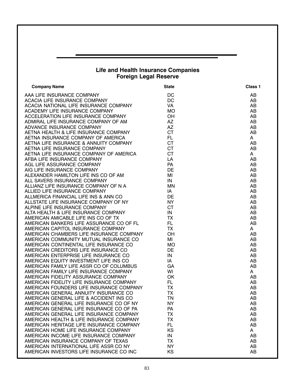| Company Name<br>AAA LIFE INSURANCE COMPANY<br>ACACIA LIFE INSURANCE COMPANY<br>ACACIA NATIONAL LIFE INSURANCE COMPANY<br>ACACIA NATIONAL LIFE INSURANCE COMPANY                                                                              | <b>State</b> | Class <sub>1</sub> |
|----------------------------------------------------------------------------------------------------------------------------------------------------------------------------------------------------------------------------------------------|--------------|--------------------|
|                                                                                                                                                                                                                                              | DC           | AB                 |
|                                                                                                                                                                                                                                              | DC           | AB                 |
|                                                                                                                                                                                                                                              | VA           | AB                 |
|                                                                                                                                                                                                                                              | <b>MO</b>    | AB                 |
| ACADEMY LIFE INSURANCE COMPANY<br>ACCELERATION LIFE INSURANCE COMPANY<br>ADMIRAL LIFE INSURANCE COMPANY OF AM<br>ADVANCE INSURANCE COMPANY                                                                                                   | OH           | AB                 |
|                                                                                                                                                                                                                                              | AZ           | AB                 |
| ADVANCE INSURANCE COMPANY AZ<br>ADVANCE INSURANCE COMPANY AZ<br>AETNA HEALTH & LIFE INSURANCE COMPANY CT<br>AETNA LIFE INSURANCE & ANNUITY COMPANY CT<br>AETNA LIFE INSURANCE & ANNUITY COMPANY<br>CT<br>AETNA LIFE INSURANCE COMPANY<br>AFB | AZ           | AB                 |
|                                                                                                                                                                                                                                              |              | AB                 |
|                                                                                                                                                                                                                                              |              | A                  |
|                                                                                                                                                                                                                                              |              | AB                 |
|                                                                                                                                                                                                                                              |              | AB                 |
|                                                                                                                                                                                                                                              |              | A                  |
|                                                                                                                                                                                                                                              |              | AB                 |
|                                                                                                                                                                                                                                              |              | AB                 |
|                                                                                                                                                                                                                                              |              | AB                 |
|                                                                                                                                                                                                                                              |              | AB                 |
|                                                                                                                                                                                                                                              |              | AB                 |
|                                                                                                                                                                                                                                              |              | AB                 |
|                                                                                                                                                                                                                                              |              | AB                 |
|                                                                                                                                                                                                                                              |              | AB                 |
|                                                                                                                                                                                                                                              |              | AB                 |
|                                                                                                                                                                                                                                              |              | AB                 |
| ALTA HEALTH & LIFE INSURANCE COMPANY                                                                                                                                                                                                         | IN           | AB                 |
|                                                                                                                                                                                                                                              | <b>TX</b>    | AB                 |
| ALIATILI ILITTORIALE LIFE INS CO OF TX<br>AMERICAN BANKERS LIFE ASSURANCE CO OF FL                                                                                                                                                           | FL.          | AB                 |
| AMERICAN CAPITOL INSURANCE COMPANY                                                                                                                                                                                                           | <b>TX</b>    | A                  |
| AMERICAN CHAMBERS LIFE INSURANCE COMPANY<br>AMERICAN COMMUNITY MUTUAL INSURANCE CO                                                                                                                                                           | OH           | AB                 |
|                                                                                                                                                                                                                                              | MI           | AB                 |
| AMERICAN CONTINENTAL LIFE INSURANCE CO                                                                                                                                                                                                       | MO           | AB                 |
| AMERICAN CREDITORS LIFE INSURANCE CO                                                                                                                                                                                                         | <b>DE</b>    | AB                 |
| AMERICAN ENTERPRISE LIFE INSURANCE CO<br>AMERICAN EQUITY INVESTMENT LIFE INS CO<br>AMERICAN EQUITY INVESTMENT LIFE INS CO<br>AMERICAN FAMILY LIFE ASSR CO OF COLUMBUS<br>AMERICAN FAMILY LIFE INSLIDANCE COLLUMBUS                           | IN           | AB                 |
|                                                                                                                                                                                                                                              | IA           | AB                 |
|                                                                                                                                                                                                                                              | GA           | AB                 |
| AMERICAN FAMILY LIFE INSURANCE COMPANY                                                                                                                                                                                                       | WI           | A                  |
| AMERICAN FIDELITY ASSURANCE COMPANY                                                                                                                                                                                                          | OK           | AB                 |
| AMERICAN FIDELITY LIFE INSURANCE COMPANY                                                                                                                                                                                                     | <b>FL</b>    | AB                 |
| AMERICAN FOUNDERS LIFE INSURANCE COMPANY                                                                                                                                                                                                     | <b>TX</b>    | AB                 |
| AMERICAN GENERAL ANNUITY INSURANCE CO                                                                                                                                                                                                        | <b>TX</b>    | AB                 |
| AMERICAN GENERAL LIFE & ACCIDENT INS CO                                                                                                                                                                                                      | TN           | AB                 |
| AMERICAN GENERAL LIFE INSURANCE CO OF NY                                                                                                                                                                                                     | NY           | AB                 |
| AMERICAN GENERAL LIFE INSURANCE CO OF PA                                                                                                                                                                                                     | <b>PA</b>    | AB                 |
| AMERICAN GENERAL LIFE INSURANCE COMPANY                                                                                                                                                                                                      | <b>TX</b>    | AB                 |
| AMERICAN HEALTH & LIFE INSURANCE COMPANY                                                                                                                                                                                                     | <b>TX</b>    | AB                 |
| AMERICAN HERITAGE LIFE INSURANCE COMPANY                                                                                                                                                                                                     | FL.          | AB                 |
| AMERICAN HOME LIFE INSURANCE COMPANY                                                                                                                                                                                                         | KS           | A                  |
| AMERICAN INCOME LIFE INSURANCE COMPANY                                                                                                                                                                                                       | IN           | AB                 |
| AMERICAN INSURANCE COMPANY OF TEXAS                                                                                                                                                                                                          | TX           | AB                 |
| AMERICAN INTERNATIONAL LIFE ASSR CO NY                                                                                                                                                                                                       | NY.          | AB                 |
| AMERICAN INVESTORS LIFE INSURANCE CO INC                                                                                                                                                                                                     | KS           | AB                 |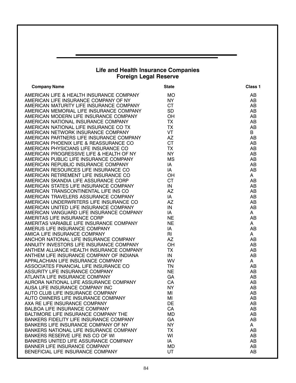| <b>Company Name</b>                                                                                                                                                                | <b>State</b>     | Class 1 |
|------------------------------------------------------------------------------------------------------------------------------------------------------------------------------------|------------------|---------|
| AMERICAN LIFE & HEALTH INSURANCE COMPANY MO                                                                                                                                        |                  | AB      |
|                                                                                                                                                                                    |                  | AB      |
| AMERICAN MATURITY LIFE INSURANCE COMPANY CT                                                                                                                                        |                  | AB      |
| AMERICAN MEMORIAL LIFE INSURANCE COMPANY SD                                                                                                                                        |                  | AB      |
| AMERICAN MODERN LIFE INSURANCE COMPANY OH<br>AMERICAN NATIONAL INSURANCE COMPANY TX<br>AMERICAN NATIONAL LIFE INSURANCE CO TX TX<br>AMERICAN NETWORK INSURANCE COMPANY VT          |                  | AB      |
|                                                                                                                                                                                    |                  | AB      |
|                                                                                                                                                                                    |                  | AB      |
|                                                                                                                                                                                    |                  | B       |
| AMERICAN PARTNERS LIFE INSURANCE COMPANY AZ                                                                                                                                        |                  | AB      |
| AMERICAN PHOENIX LIFE & REASSURANCE CO                                                                                                                                             | <b>Example 2</b> | AB      |
| AMERICAN PHYSICIANS LIFE INSURANCE CO                                                                                                                                              | <b>TX</b>        | AB      |
| AMERICAN PROGRESSIVE LIFE & HEALTH OF NY NY<br>AMERICAN PUBLIC LIFE INSURANCE COMPANY MS<br>AMERICAN REPUBLIC INSURANCE COMPANY IA<br>AMERICAN RESOURCES LIFE INSURANCE CO         |                  | AB      |
|                                                                                                                                                                                    |                  | AB      |
|                                                                                                                                                                                    |                  | AB      |
|                                                                                                                                                                                    |                  | AB      |
| AMERICAN RETIREMENT LIFE INSURANCE CO OH                                                                                                                                           |                  | A       |
| AMERICAN SKANDIA LIFE ASSURANCE CORP<br>AMERICAN STATES LIFE INSURANCE COMPANY IN<br>AMERICAN TRANSCONTINENTAL LIFE INS CO<br>AMERICAN TRAVELERS ASSURANCE COMPANY IA              |                  | AB      |
|                                                                                                                                                                                    |                  | AB      |
|                                                                                                                                                                                    |                  | AB      |
|                                                                                                                                                                                    |                  | AB      |
| AMERICAN UNDERWRITERS LIFE INSURANCE CO AZ                                                                                                                                         |                  | AB      |
| AMERICAN UNITED LIFE INSURANCE COMPANY                                                                                                                                             | IN               | AB      |
| AMERICAN VANGUARD LIFE INSURANCE COMPANY<br>AMERITAS LIFE INSURANCE CORP                                                                                                           | IA               | A       |
| AMERITAS LIFE INSURANCE CORP<br>AMERITAS LIFE INSURANCE CORP<br>AMERITAS VARIABLE LIFE INSURANCE COMPANY ME<br>AMERUS LIFE INSURANCE COMPANY IA<br>AMICA LIFE INSURANCE COMPANY RI | <b>NE</b>        | AB      |
|                                                                                                                                                                                    |                  | A       |
|                                                                                                                                                                                    |                  | AB      |
| AMICA LIFE INSURANCE COMPANY                                                                                                                                                       | RI               | A       |
| ANCHOR NATIONAL LIFE INSURANCE COMPANY AZ                                                                                                                                          |                  | AB      |
| ANNUITY INVESTORS LIFE INSURANCE COMPANY                                                                                                                                           | OH               | AB      |
| ANTHEM ALLIANCE HEALTH INSULATIVE VOID AND ANTHEM LIFE INSURANCE COMPANY OF INDIANA                                                                                                | <b>TX</b>        | AB      |
|                                                                                                                                                                                    | IN               | AB      |
| APPALACHIAN LIFE INSURANCE COMPANY                                                                                                                                                 | <b>WV</b>        | A       |
| APPARACTION CIPE INSURANCE COMPANY<br>ASSOCIATES FINANCIAL LIFE INSURANCE CO<br>ASSURITY LIFE INSURANCE COMPANY ME<br>ATLANTA LIFE INSURANCE COMPANY GA                            |                  | AB      |
|                                                                                                                                                                                    |                  | AB      |
|                                                                                                                                                                                    |                  | AB      |
| ATLANTA LIFE INSURANCE COMPANY<br>AURORA NATIONAL LIFE ASSURANCE COMPANY<br>AUSA LIFE INSURANCE COMPANY INC<br>AUSA LIFE INSURANCE COMPANY                                         | CA               | AB      |
|                                                                                                                                                                                    | <b>NY</b>        | AB      |
|                                                                                                                                                                                    | MI               | AB      |
| AUTO OWNERS LIFE INSURANCE COMPANY                                                                                                                                                 | MI               | AB      |
| AXA RE LIFE INSURANCE COMPANY                                                                                                                                                      | DE               | AB      |
| <b>BALBOA LIFE INSURANCE COMPANY</b>                                                                                                                                               | CA               | AB      |
| <b>BALTIMORE LIFE INSURANCE COMPANY THE</b>                                                                                                                                        | MD               | AB      |
| BANKERS FIDELITY LIFE INSURANCE COMPANY                                                                                                                                            | GA               | AB      |
| BANKERS LIFE INSURANCE COMPANY OF NY                                                                                                                                               | <b>NY</b>        | A       |
| BANKERS NATIONAL LIFE INSURANCE COMPANY                                                                                                                                            | <b>TX</b>        | AB      |
| BANKERS RESERVE LIFE INS CO OF WI                                                                                                                                                  | WI               | AB      |
| BANKERS UNITED LIFE ASSURANCE COMPANY                                                                                                                                              | IA               | AB      |
| <b>BANNER LIFE INSURANCE COMPANY</b>                                                                                                                                               | MD               | AB      |
| BENEFICIAL LIFE INSURANCE COMPANY                                                                                                                                                  | UT               | AB      |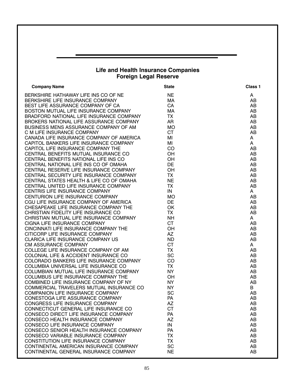| Company Name<br>BERKSHIRE HATHAWAY LIFE INS CO OF NE<br>ALTA VEHIRE LIFE INSURANCE COMPANY<br>COMPANY OF CA                                   | <b>State</b>           | Class 1   |
|-----------------------------------------------------------------------------------------------------------------------------------------------|------------------------|-----------|
|                                                                                                                                               | <b>NE</b>              | A         |
|                                                                                                                                               | MA                     | AB        |
|                                                                                                                                               | CA                     | AB        |
| BOSTON MUTUAL LIFE INSURANCE COMPANY                                                                                                          | MA                     | AB        |
| BRADFORD NATIONAL LIFE INSURANCE COMPANY                                                                                                      | <b>TX</b>              | AB        |
| BROKERS NATIONAL LIFE ASSURANCE COMPANY                                                                                                       | AR                     | AB        |
| BUSINESS MENS ASSURANCE COMPANY OF AM                                                                                                         | <b>MO</b>              | <b>AB</b> |
| C M LIFE INSURANCE COMPANY                                                                                                                    | <b>CT</b>              | AB        |
| CANADA LIFE INSURANCE COMPANY OF AMERICA<br>CAPITOL BANKERS LIFE INSURANCE COMPANY<br>CAPITOL LIFE INSURANCE COMPANY THE                      | MI<br>MI               | A<br>A    |
|                                                                                                                                               | CO                     | AB        |
| CENTRAL BENEFITS MUTUAL INSURANCE CO                                                                                                          | OH                     | AB        |
|                                                                                                                                               |                        | AB        |
|                                                                                                                                               |                        | AB        |
|                                                                                                                                               |                        | AB        |
| CENTRAL NATIONAL LIFE INS CO<br>CENTRAL RESERVE LIFE INS CO OF OMAHA DE<br>CENTRAL RESERVE LIFE INSURANCE COMPANY OH                          |                        | AB        |
| CENTRAL STATES HEALTH & LIFE CO OF OMAHA                                                                                                      | <b>NE</b>              | AB        |
| CENTRAL UNITED LIFE INSURANCE COMPANY                                                                                                         | <b>TX</b>              | AB        |
| CENTRIS LIFE INSURANCE COMPANY                                                                                                                | IN                     | A         |
| CENTURION LIFE INSURANCE COMPANY                                                                                                              | <b>MO</b>              | AB        |
| CENTURION LIFE INSURANCE COMPANY<br>CGU LIFE INSURANCE COMPANY OF AMERICA                                                                     | <b>DE</b>              | AB        |
| CHESAPEAKE LIFE INSURANCE COMPANY THE                                                                                                         | OK                     | AB        |
| CHRISTIAN FIDELITY LIFE INSURANCE CO                                                                                                          | <b>TX</b>              | <b>AB</b> |
| CHRISTIAN MUTUAL LIFE INSURANCE COMPANY                                                                                                       | <b>NH</b>              | A         |
| CIGNA LIFE INSURANCE COMPANY<br>CINCINNATI LIFE INSURANCE COMPANY THE<br>CITICORP LIFE INSURANCE COMPANY<br>CLARICA LIFE INSURANCE COMPANY US | <b>CT</b>              | AB        |
|                                                                                                                                               | OH                     | <b>AB</b> |
|                                                                                                                                               | AZ                     | AB        |
|                                                                                                                                               | <b>ND</b>              | AB        |
| COLLEGE LIFE INSURANCE COMPANY OF AM                                                                                                          | <b>CT</b><br><b>TX</b> | A         |
| COLONIAL LIFE & ACCIDENT INSURANCE CO                                                                                                         | SC                     | AB<br>AB  |
| COLORADO BANKERS LIFE INSURANCE COMPANY CO                                                                                                    |                        | AB        |
| COLUMBIA UNIVERSAL LIFE INSURANCE CO                                                                                                          |                        | AB        |
|                                                                                                                                               | TX<br>NY               | AB        |
| COLUMBIAN MUTUAL LIFE INSURANCE COMPANY<br>COLUMBUS LIFE INSURANCE COMPANY THE                                                                | OH                     | AB        |
| COMBINED LIFE INSURANCE COMPANY OF NY                                                                                                         | N <sub>Y</sub>         | AB        |
|                                                                                                                                               | <b>NY</b>              | B         |
| COMMERCIAL TRAVELERS MUTUAL INSURANCE CO<br>COMPANION LIFE INSURANCE COMPANY                                                                  | <b>SC</b>              | AB        |
| CONESTOGA LIFE ASSURANCE COMPANY                                                                                                              | PA                     | AB        |
| <b>CONGRESS LIFE INSURANCE COMPANY</b>                                                                                                        | AZ                     | AB        |
| CONNECTICUT GENERAL LIFE INSURANCE CO                                                                                                         | <b>CT</b>              | AB        |
| CONSECO DIRECT LIFE INSURANCE COMPANY                                                                                                         | PA                     | <b>AB</b> |
| CONSECO HEALTH INSURANCE COMPANY                                                                                                              | AΖ                     | AB        |
| <b>CONSECO LIFE INSURANCE COMPANY</b>                                                                                                         | IN                     | AB        |
| CONSECO SENIOR HEALTH INSURANCE COMPANY                                                                                                       | PA                     | <b>AB</b> |
| CONSECO VARIABLE INSURANCE COMPANY                                                                                                            | <b>TX</b>              | AB        |
| CONSTITUTION LIFE INSURANCE COMPANY<br>CONTINENTAL AMERICAN INSURANCE COMPANY                                                                 | <b>TX</b><br><b>SC</b> | AB<br>AB  |
| CONTINENTAL GENERAL INSURANCE COMPANY                                                                                                         | NE                     | AB        |
|                                                                                                                                               |                        |           |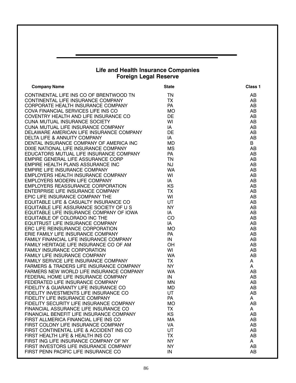| <b>Company Name</b>                                                                                                                                                                                                                        | <b>State</b> | Class <sub>1</sub> |
|--------------------------------------------------------------------------------------------------------------------------------------------------------------------------------------------------------------------------------------------|--------------|--------------------|
| CONTINENTAL LIFE INS CO OF BRENTWOOD TN<br>CONTINENTAL LIFE INSURANCE COMPANY TX<br>CORPORATE HEALTH INSURANCE COMPANY PA                                                                                                                  |              | AB                 |
|                                                                                                                                                                                                                                            |              | AB                 |
|                                                                                                                                                                                                                                            |              | AB                 |
|                                                                                                                                                                                                                                            |              | AB                 |
| COVA FINANCIAL SERVICES LIFE INS CONTRANT MONO COVENTRY HEALTH AND LIFE INSURANCE CONTRANT DUNA MUTUAL LIFE INSURANCE COMPANY THAT AND MUTUAL LIFE INSURANCE COMPANY THAT A                                                                |              | AB                 |
|                                                                                                                                                                                                                                            |              | AB                 |
|                                                                                                                                                                                                                                            |              | AB                 |
| DELAWARE AMERICAN LIFE INSURANCE COMPANY DE<br>DELAWARE AMERICAN LIFE INSURANCE COMPANY                                                                                                                                                    |              | AB                 |
| <b>DELTA LIFE &amp; ANNUITY COMPANY</b>                                                                                                                                                                                                    | IA           | AB                 |
| DENTAL INSURANCE COMPANY OF AMERICA INC                                                                                                                                                                                                    | MD           | B                  |
|                                                                                                                                                                                                                                            |              | AB                 |
|                                                                                                                                                                                                                                            |              | AB                 |
|                                                                                                                                                                                                                                            |              | AB                 |
|                                                                                                                                                                                                                                            |              | AB                 |
|                                                                                                                                                                                                                                            |              | AB                 |
| DENTAL INSURANCE COMPANY OF AMERICA INC<br>DIXIE NATIONAL LIFE INSURANCE COMPANY MS<br>EDUCATORS MUTUAL LIFE INSURANCE COMPANY PA<br>EMPIRE GENERAL LIFE ASSURANCE CORP<br>TN<br>EMPIRE LIFE INSURANCE COMPANY WA<br>EMPIRE LIFE INSURANCE |              | AB                 |
|                                                                                                                                                                                                                                            |              | AB                 |
|                                                                                                                                                                                                                                            |              | AB                 |
|                                                                                                                                                                                                                                            |              | AB                 |
|                                                                                                                                                                                                                                            |              | AB                 |
|                                                                                                                                                                                                                                            |              | AB                 |
| EQUITABLE LIFE ASSURANCE SOCIETY OF U S NY                                                                                                                                                                                                 |              | AB                 |
|                                                                                                                                                                                                                                            |              | AB                 |
| EQUITABLE LIFE ASSURANCE SOCIETY OF US<br>EQUITABLE LIFE INSURANCE COMPANY OF IOWA<br>EQUITABLE OF COLORADO INC THE CO<br>EQUITRUST LIFE INSURANCE COMPANY IN<br>ERIC LIFE REINSURANCE CORPORATION MO<br>ERIE FAMILY LIFE INSURANCE COMP   |              | AB                 |
|                                                                                                                                                                                                                                            |              | <b>AB</b>          |
|                                                                                                                                                                                                                                            |              | AB                 |
|                                                                                                                                                                                                                                            |              | AB                 |
|                                                                                                                                                                                                                                            |              | AB                 |
|                                                                                                                                                                                                                                            |              | AB                 |
|                                                                                                                                                                                                                                            |              | AB                 |
|                                                                                                                                                                                                                                            |              | AB                 |
|                                                                                                                                                                                                                                            |              | A                  |
|                                                                                                                                                                                                                                            |              | A                  |
|                                                                                                                                                                                                                                            |              | AB                 |
|                                                                                                                                                                                                                                            |              | AB                 |
| FARMERS NEW WORLD LIFE INSURANCE COMPANY<br>FEDERAL HOME LIFE INSURANCE COMPANY MA<br>FEDERATED LIFE INSURANCE COMPANY MN<br>FIDELITY & GUARANTY LIFE INSURANCE CO<br>FIDELITY INVESTMENTS LIFE INSURANCE CO<br>FIDELITY INVESTMENTS LIF   |              | AB                 |
|                                                                                                                                                                                                                                            |              | AB                 |
|                                                                                                                                                                                                                                            |              | AB                 |
| FIDELITY LIFE INSURANCE COMPANY<br>FIDELITY SECURITY LIFE INSURANCE COMPANY                                                                                                                                                                | PA           | A                  |
|                                                                                                                                                                                                                                            | <b>MO</b>    | AB                 |
| FINANCIAL ASSURANCE LIFE INSURANCE CO                                                                                                                                                                                                      | <b>TX</b>    | A                  |
| FINANCIAL BENEFIT LIFE INSURANCE COMPANY                                                                                                                                                                                                   | <b>KS</b>    | AB                 |
| FIRST ALLMERICA FINANCIAL LIFE INS CO                                                                                                                                                                                                      | MA           | AB                 |
| FIRST COLONY LIFE INSURANCE COMPANY                                                                                                                                                                                                        | VA           | AB                 |
| FIRST CONTINENTAL LIFE & ACCIDENT INS CO<br>FIRST HEALTH LIFE & HEALTH INS CO                                                                                                                                                              | UT           | AB                 |
|                                                                                                                                                                                                                                            | <b>TX</b>    | AB                 |
| FIRST ING LIFE INSURANCE COMPANY OF NY                                                                                                                                                                                                     | <b>NY</b>    | A                  |
| FIRST INVESTORS LIFE INSURANCE COMPANY                                                                                                                                                                                                     | <b>NY</b>    | AB                 |
| FIRST PENN PACIFIC LIFE INSURANCE CO                                                                                                                                                                                                       | IN           | AB                 |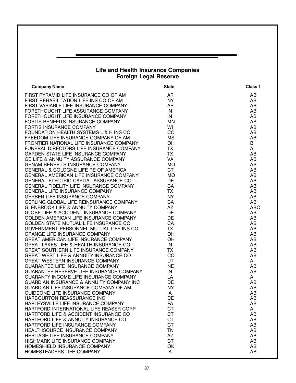| FIRST PYRAMID LIFE INSURANCE CO OF AM<br>FIRST REHABILITATION LIFE INS CO OF AM<br>FIRST VARIABLE LIFE INSURANCE COMPANY<br><b>AR</b><br>AB<br><b>NY</b><br>AB<br>AR<br>AB<br>FORETHOUGHT LIFE ASSURANCE COMPANY<br>IN<br>AB<br>FORETHOUGHT LIFE INSURANCE COMPANY<br>IN<br>AB<br><b>MN</b><br>FORTIS BENEFITS INSURANCE COMPANY<br>AB<br>FORTIS INSURANCE COMPANY<br>WI<br>AB<br>FOUNDATION HEALTH SYSTEMS L & H INS CO<br>CO<br>AB<br>FREEDOM LIFE INSURANCE COMPANY OF AM<br><b>MS</b><br>AB<br>FRONTIER NATIONAL LIFE INSURANCE COMPANY<br>OH<br>B<br>FUNERAL DIRECTORS LIFE INSURANCE COMPANY<br>GARDEN STATE LIFE INSURANCE COMPANY<br><b>TX</b><br>A<br>GARDEN STATE LIFE INSURANCE COMPANY<br><b>TX</b><br>AB<br>VA<br>GE LIFE & ANNUITY ASSURANCE COMPANY<br>AB<br><b>GENAM BENEFITS INSURANCE COMPANY</b><br><b>MO</b><br>AB<br>GENERAL & COLOGNE LIFE RE OF AMERICA<br><b>CT</b><br>AB<br>GENERAL AMERICAN LIFE INSURANCE COMPANY<br><b>MO</b><br>AB<br>GENERAL ELECTRIC CAPITAL ASSURANCE CO<br>DE<br>AB<br>GENERAL FIDELITY LIFE INSURANCE COMPANY<br>CA<br>AB<br><b>TX</b><br>AB<br>GENERAL LIFE INSURANCE COMPANY<br><b>GERBER LIFE INSURANCE COMPANY</b><br><b>NY</b><br>AB<br>GERLING GLOBAL LIFE REINSURANCE COMPANY<br>CA<br>AB<br><b>GLENBROOK LIFE &amp; ANNUITY COMPANY</b><br>AZ<br><b>ABC</b><br>DE<br>GLOBE LIFE & ACCIDENT INSURANCE COMPANY<br>AB<br>GOLDEN AMERICAN LIFE INSURANCE COMPANY<br><b>DE</b><br>AB<br>GOLDEN STATE MUTUAL LIFE INSURANCE CO<br>CA<br>AB<br><b>TX</b><br>GOVERNMENT PERSONNEL MUTUAL LIFE INS CO<br>AB<br><b>GRANGE LIFE INSURANCE COMPANY</b><br>OH<br>AB<br>GREAT AMERICAN LIFE INSURANCE COMPANY<br>OH<br>AB<br>GREAT LAKES LIFE & HEALTH INSURANCE CO<br>IN<br>AB<br>GREAT SOUTHERN LIFE INSURANCE COMPANY<br><b>TX</b><br>AB<br>GREAT WEST LIFE & ANNUITY INSURANCE CO<br>CO<br>AB<br>UT<br><b>GREAT WESTERN INSURANCE COMPANY</b><br>A<br><b>NE</b><br><b>GUARANTEE LIFE INSURANCE COMPANY</b><br>AB |
|------------------------------------------------------------------------------------------------------------------------------------------------------------------------------------------------------------------------------------------------------------------------------------------------------------------------------------------------------------------------------------------------------------------------------------------------------------------------------------------------------------------------------------------------------------------------------------------------------------------------------------------------------------------------------------------------------------------------------------------------------------------------------------------------------------------------------------------------------------------------------------------------------------------------------------------------------------------------------------------------------------------------------------------------------------------------------------------------------------------------------------------------------------------------------------------------------------------------------------------------------------------------------------------------------------------------------------------------------------------------------------------------------------------------------------------------------------------------------------------------------------------------------------------------------------------------------------------------------------------------------------------------------------------------------------------------------------------------------------------------------------------------------------------------------------------------------------------------------------------------------------------------------------------------------------------------------------------|
|                                                                                                                                                                                                                                                                                                                                                                                                                                                                                                                                                                                                                                                                                                                                                                                                                                                                                                                                                                                                                                                                                                                                                                                                                                                                                                                                                                                                                                                                                                                                                                                                                                                                                                                                                                                                                                                                                                                                                                  |
|                                                                                                                                                                                                                                                                                                                                                                                                                                                                                                                                                                                                                                                                                                                                                                                                                                                                                                                                                                                                                                                                                                                                                                                                                                                                                                                                                                                                                                                                                                                                                                                                                                                                                                                                                                                                                                                                                                                                                                  |
|                                                                                                                                                                                                                                                                                                                                                                                                                                                                                                                                                                                                                                                                                                                                                                                                                                                                                                                                                                                                                                                                                                                                                                                                                                                                                                                                                                                                                                                                                                                                                                                                                                                                                                                                                                                                                                                                                                                                                                  |
|                                                                                                                                                                                                                                                                                                                                                                                                                                                                                                                                                                                                                                                                                                                                                                                                                                                                                                                                                                                                                                                                                                                                                                                                                                                                                                                                                                                                                                                                                                                                                                                                                                                                                                                                                                                                                                                                                                                                                                  |
|                                                                                                                                                                                                                                                                                                                                                                                                                                                                                                                                                                                                                                                                                                                                                                                                                                                                                                                                                                                                                                                                                                                                                                                                                                                                                                                                                                                                                                                                                                                                                                                                                                                                                                                                                                                                                                                                                                                                                                  |
|                                                                                                                                                                                                                                                                                                                                                                                                                                                                                                                                                                                                                                                                                                                                                                                                                                                                                                                                                                                                                                                                                                                                                                                                                                                                                                                                                                                                                                                                                                                                                                                                                                                                                                                                                                                                                                                                                                                                                                  |
|                                                                                                                                                                                                                                                                                                                                                                                                                                                                                                                                                                                                                                                                                                                                                                                                                                                                                                                                                                                                                                                                                                                                                                                                                                                                                                                                                                                                                                                                                                                                                                                                                                                                                                                                                                                                                                                                                                                                                                  |
|                                                                                                                                                                                                                                                                                                                                                                                                                                                                                                                                                                                                                                                                                                                                                                                                                                                                                                                                                                                                                                                                                                                                                                                                                                                                                                                                                                                                                                                                                                                                                                                                                                                                                                                                                                                                                                                                                                                                                                  |
|                                                                                                                                                                                                                                                                                                                                                                                                                                                                                                                                                                                                                                                                                                                                                                                                                                                                                                                                                                                                                                                                                                                                                                                                                                                                                                                                                                                                                                                                                                                                                                                                                                                                                                                                                                                                                                                                                                                                                                  |
|                                                                                                                                                                                                                                                                                                                                                                                                                                                                                                                                                                                                                                                                                                                                                                                                                                                                                                                                                                                                                                                                                                                                                                                                                                                                                                                                                                                                                                                                                                                                                                                                                                                                                                                                                                                                                                                                                                                                                                  |
|                                                                                                                                                                                                                                                                                                                                                                                                                                                                                                                                                                                                                                                                                                                                                                                                                                                                                                                                                                                                                                                                                                                                                                                                                                                                                                                                                                                                                                                                                                                                                                                                                                                                                                                                                                                                                                                                                                                                                                  |
|                                                                                                                                                                                                                                                                                                                                                                                                                                                                                                                                                                                                                                                                                                                                                                                                                                                                                                                                                                                                                                                                                                                                                                                                                                                                                                                                                                                                                                                                                                                                                                                                                                                                                                                                                                                                                                                                                                                                                                  |
|                                                                                                                                                                                                                                                                                                                                                                                                                                                                                                                                                                                                                                                                                                                                                                                                                                                                                                                                                                                                                                                                                                                                                                                                                                                                                                                                                                                                                                                                                                                                                                                                                                                                                                                                                                                                                                                                                                                                                                  |
|                                                                                                                                                                                                                                                                                                                                                                                                                                                                                                                                                                                                                                                                                                                                                                                                                                                                                                                                                                                                                                                                                                                                                                                                                                                                                                                                                                                                                                                                                                                                                                                                                                                                                                                                                                                                                                                                                                                                                                  |
|                                                                                                                                                                                                                                                                                                                                                                                                                                                                                                                                                                                                                                                                                                                                                                                                                                                                                                                                                                                                                                                                                                                                                                                                                                                                                                                                                                                                                                                                                                                                                                                                                                                                                                                                                                                                                                                                                                                                                                  |
|                                                                                                                                                                                                                                                                                                                                                                                                                                                                                                                                                                                                                                                                                                                                                                                                                                                                                                                                                                                                                                                                                                                                                                                                                                                                                                                                                                                                                                                                                                                                                                                                                                                                                                                                                                                                                                                                                                                                                                  |
|                                                                                                                                                                                                                                                                                                                                                                                                                                                                                                                                                                                                                                                                                                                                                                                                                                                                                                                                                                                                                                                                                                                                                                                                                                                                                                                                                                                                                                                                                                                                                                                                                                                                                                                                                                                                                                                                                                                                                                  |
|                                                                                                                                                                                                                                                                                                                                                                                                                                                                                                                                                                                                                                                                                                                                                                                                                                                                                                                                                                                                                                                                                                                                                                                                                                                                                                                                                                                                                                                                                                                                                                                                                                                                                                                                                                                                                                                                                                                                                                  |
|                                                                                                                                                                                                                                                                                                                                                                                                                                                                                                                                                                                                                                                                                                                                                                                                                                                                                                                                                                                                                                                                                                                                                                                                                                                                                                                                                                                                                                                                                                                                                                                                                                                                                                                                                                                                                                                                                                                                                                  |
|                                                                                                                                                                                                                                                                                                                                                                                                                                                                                                                                                                                                                                                                                                                                                                                                                                                                                                                                                                                                                                                                                                                                                                                                                                                                                                                                                                                                                                                                                                                                                                                                                                                                                                                                                                                                                                                                                                                                                                  |
|                                                                                                                                                                                                                                                                                                                                                                                                                                                                                                                                                                                                                                                                                                                                                                                                                                                                                                                                                                                                                                                                                                                                                                                                                                                                                                                                                                                                                                                                                                                                                                                                                                                                                                                                                                                                                                                                                                                                                                  |
|                                                                                                                                                                                                                                                                                                                                                                                                                                                                                                                                                                                                                                                                                                                                                                                                                                                                                                                                                                                                                                                                                                                                                                                                                                                                                                                                                                                                                                                                                                                                                                                                                                                                                                                                                                                                                                                                                                                                                                  |
|                                                                                                                                                                                                                                                                                                                                                                                                                                                                                                                                                                                                                                                                                                                                                                                                                                                                                                                                                                                                                                                                                                                                                                                                                                                                                                                                                                                                                                                                                                                                                                                                                                                                                                                                                                                                                                                                                                                                                                  |
|                                                                                                                                                                                                                                                                                                                                                                                                                                                                                                                                                                                                                                                                                                                                                                                                                                                                                                                                                                                                                                                                                                                                                                                                                                                                                                                                                                                                                                                                                                                                                                                                                                                                                                                                                                                                                                                                                                                                                                  |
|                                                                                                                                                                                                                                                                                                                                                                                                                                                                                                                                                                                                                                                                                                                                                                                                                                                                                                                                                                                                                                                                                                                                                                                                                                                                                                                                                                                                                                                                                                                                                                                                                                                                                                                                                                                                                                                                                                                                                                  |
|                                                                                                                                                                                                                                                                                                                                                                                                                                                                                                                                                                                                                                                                                                                                                                                                                                                                                                                                                                                                                                                                                                                                                                                                                                                                                                                                                                                                                                                                                                                                                                                                                                                                                                                                                                                                                                                                                                                                                                  |
|                                                                                                                                                                                                                                                                                                                                                                                                                                                                                                                                                                                                                                                                                                                                                                                                                                                                                                                                                                                                                                                                                                                                                                                                                                                                                                                                                                                                                                                                                                                                                                                                                                                                                                                                                                                                                                                                                                                                                                  |
|                                                                                                                                                                                                                                                                                                                                                                                                                                                                                                                                                                                                                                                                                                                                                                                                                                                                                                                                                                                                                                                                                                                                                                                                                                                                                                                                                                                                                                                                                                                                                                                                                                                                                                                                                                                                                                                                                                                                                                  |
|                                                                                                                                                                                                                                                                                                                                                                                                                                                                                                                                                                                                                                                                                                                                                                                                                                                                                                                                                                                                                                                                                                                                                                                                                                                                                                                                                                                                                                                                                                                                                                                                                                                                                                                                                                                                                                                                                                                                                                  |
|                                                                                                                                                                                                                                                                                                                                                                                                                                                                                                                                                                                                                                                                                                                                                                                                                                                                                                                                                                                                                                                                                                                                                                                                                                                                                                                                                                                                                                                                                                                                                                                                                                                                                                                                                                                                                                                                                                                                                                  |
|                                                                                                                                                                                                                                                                                                                                                                                                                                                                                                                                                                                                                                                                                                                                                                                                                                                                                                                                                                                                                                                                                                                                                                                                                                                                                                                                                                                                                                                                                                                                                                                                                                                                                                                                                                                                                                                                                                                                                                  |
|                                                                                                                                                                                                                                                                                                                                                                                                                                                                                                                                                                                                                                                                                                                                                                                                                                                                                                                                                                                                                                                                                                                                                                                                                                                                                                                                                                                                                                                                                                                                                                                                                                                                                                                                                                                                                                                                                                                                                                  |
| IN<br>AB                                                                                                                                                                                                                                                                                                                                                                                                                                                                                                                                                                                                                                                                                                                                                                                                                                                                                                                                                                                                                                                                                                                                                                                                                                                                                                                                                                                                                                                                                                                                                                                                                                                                                                                                                                                                                                                                                                                                                         |
| GUARANTEE RESERVE LIFE INSURANCE COMPANY<br>GUARANTY INCOME LIFE INSURANCE COMPANY<br>LA<br>A                                                                                                                                                                                                                                                                                                                                                                                                                                                                                                                                                                                                                                                                                                                                                                                                                                                                                                                                                                                                                                                                                                                                                                                                                                                                                                                                                                                                                                                                                                                                                                                                                                                                                                                                                                                                                                                                    |
| GUARDIAN INSURANCE & ANNUITY COMPANY INC<br>DE<br>AB                                                                                                                                                                                                                                                                                                                                                                                                                                                                                                                                                                                                                                                                                                                                                                                                                                                                                                                                                                                                                                                                                                                                                                                                                                                                                                                                                                                                                                                                                                                                                                                                                                                                                                                                                                                                                                                                                                             |
| GUARDIAN LIFE INSURANCE COMPANY OF AM<br><b>NY</b><br>AB                                                                                                                                                                                                                                                                                                                                                                                                                                                                                                                                                                                                                                                                                                                                                                                                                                                                                                                                                                                                                                                                                                                                                                                                                                                                                                                                                                                                                                                                                                                                                                                                                                                                                                                                                                                                                                                                                                         |
| GUIDEONE LIFE INSURANCE COMPANY<br>IA<br>AB                                                                                                                                                                                                                                                                                                                                                                                                                                                                                                                                                                                                                                                                                                                                                                                                                                                                                                                                                                                                                                                                                                                                                                                                                                                                                                                                                                                                                                                                                                                                                                                                                                                                                                                                                                                                                                                                                                                      |
| DE<br>AB<br>HARBOURTON REASSURANCE INC                                                                                                                                                                                                                                                                                                                                                                                                                                                                                                                                                                                                                                                                                                                                                                                                                                                                                                                                                                                                                                                                                                                                                                                                                                                                                                                                                                                                                                                                                                                                                                                                                                                                                                                                                                                                                                                                                                                           |
| HARLEYSVILLE LIFE INSURANCE COMPANY<br><b>PA</b><br>AB                                                                                                                                                                                                                                                                                                                                                                                                                                                                                                                                                                                                                                                                                                                                                                                                                                                                                                                                                                                                                                                                                                                                                                                                                                                                                                                                                                                                                                                                                                                                                                                                                                                                                                                                                                                                                                                                                                           |
| <b>CT</b><br>HARTFORD INTERNATIONAL LIFE REASSR CORP<br>A                                                                                                                                                                                                                                                                                                                                                                                                                                                                                                                                                                                                                                                                                                                                                                                                                                                                                                                                                                                                                                                                                                                                                                                                                                                                                                                                                                                                                                                                                                                                                                                                                                                                                                                                                                                                                                                                                                        |
| HARTFORD LIFE & ACCIDENT INSURANCE CO<br><b>CT</b><br>AB                                                                                                                                                                                                                                                                                                                                                                                                                                                                                                                                                                                                                                                                                                                                                                                                                                                                                                                                                                                                                                                                                                                                                                                                                                                                                                                                                                                                                                                                                                                                                                                                                                                                                                                                                                                                                                                                                                         |
| <b>CT</b><br>HARTFORD LIFE & ANNUITY INSURANCE CO<br>AB                                                                                                                                                                                                                                                                                                                                                                                                                                                                                                                                                                                                                                                                                                                                                                                                                                                                                                                                                                                                                                                                                                                                                                                                                                                                                                                                                                                                                                                                                                                                                                                                                                                                                                                                                                                                                                                                                                          |
| <b>CT</b><br>HARTFORD LIFE INSURANCE COMPANY<br>AB                                                                                                                                                                                                                                                                                                                                                                                                                                                                                                                                                                                                                                                                                                                                                                                                                                                                                                                                                                                                                                                                                                                                                                                                                                                                                                                                                                                                                                                                                                                                                                                                                                                                                                                                                                                                                                                                                                               |
| <b>TN</b><br>HEALTHSOURCE INSURANCE COMPANY<br>AB                                                                                                                                                                                                                                                                                                                                                                                                                                                                                                                                                                                                                                                                                                                                                                                                                                                                                                                                                                                                                                                                                                                                                                                                                                                                                                                                                                                                                                                                                                                                                                                                                                                                                                                                                                                                                                                                                                                |
| HERITAGE LIFE INSURANCE COMPANY<br><b>AZ</b><br>AB                                                                                                                                                                                                                                                                                                                                                                                                                                                                                                                                                                                                                                                                                                                                                                                                                                                                                                                                                                                                                                                                                                                                                                                                                                                                                                                                                                                                                                                                                                                                                                                                                                                                                                                                                                                                                                                                                                               |
| <b>CT</b><br>HIGHMARK LIFE INSURANCE COMPANY<br>AB                                                                                                                                                                                                                                                                                                                                                                                                                                                                                                                                                                                                                                                                                                                                                                                                                                                                                                                                                                                                                                                                                                                                                                                                                                                                                                                                                                                                                                                                                                                                                                                                                                                                                                                                                                                                                                                                                                               |
| OK<br>HOMESHIELD INSURANCE COMPANY<br>AB                                                                                                                                                                                                                                                                                                                                                                                                                                                                                                                                                                                                                                                                                                                                                                                                                                                                                                                                                                                                                                                                                                                                                                                                                                                                                                                                                                                                                                                                                                                                                                                                                                                                                                                                                                                                                                                                                                                         |
| HOMESTEADERS LIFE COMPANY<br>IA<br>AB                                                                                                                                                                                                                                                                                                                                                                                                                                                                                                                                                                                                                                                                                                                                                                                                                                                                                                                                                                                                                                                                                                                                                                                                                                                                                                                                                                                                                                                                                                                                                                                                                                                                                                                                                                                                                                                                                                                            |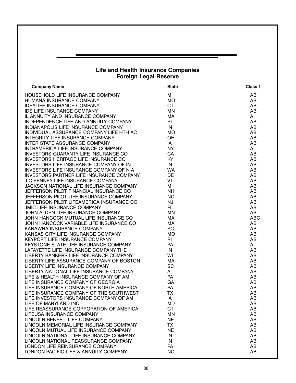| Company Name<br>HOUSEHOLD LIFE INSURANCE COMPANY<br>WAANA INSURANCE COMPANY | <b>State</b> | Class 1    |
|-----------------------------------------------------------------------------|--------------|------------|
|                                                                             | ΜI           | AB         |
|                                                                             | <b>MO</b>    | AB         |
|                                                                             | <b>CT</b>    | AB         |
|                                                                             | <b>MN</b>    | AB         |
| IL ANNUITY AND INSURANCE COMPANY                                            | MA           | A          |
| INDEPENDENCE LIFE AND ANNUITY COMPANY                                       | RI           | AB         |
| INDIANAPOLIS LIFE INSURANCE COMPANY                                         | IN           | AB         |
| INDIVIDUAL ASSURANCE COMPANY LIFE HTH AC                                    | <b>MO</b>    | AB         |
| <b>INTEGRITY LIFE INSURANCE COMPANY</b>                                     | OH           | AB         |
| <b>INTER STATE ASSURANCE COMPANY</b>                                        | IA           | AB         |
| INTRAMERICA LIFE INSURANCE COMPANY                                          | <b>NY</b>    | A          |
| INVESTORS GUARANTY LIFE INSURANCE CO                                        | CA           | AB         |
| INVESTORS HERITAGE LIFE INSURANCE CO                                        | KY           | AB         |
| INVESTORS LIFE INSURANCE COMPANY OF IN                                      | IN           | AB         |
| INVESTORS LIFE INSURANCE COMPANY OF N A                                     | <b>WA</b>    | AB         |
| INVESTORS PARTNER LIFE INSURANCE COMPANY                                    | <b>DE</b>    | AB         |
| J C PENNEY LIFE INSURANCE COMPANY                                           | VT           | AB         |
| JACKSON NATIONAL LIFE INSURANCE COMPANY                                     | MI           | AB         |
| JEFFERSON PILOT FINANCIAL INSURANCE CO                                      | <b>NH</b>    | AB         |
| JEFFERSON PILOT LIFE INSURANCE COMPANY                                      | <b>NC</b>    | AB         |
| JEFFERSON PILOT LIFEAMERICA INSURANCE CO                                    | <b>NJ</b>    | AB         |
| <b>JMIC LIFE INSURANCE COMPANY</b>                                          | FL.          | AB         |
| JOHN ALDEN LIFE INSURANCE COMPANY                                           | <b>MN</b>    | AB         |
| JOHN HANCOCK MUTUAL LIFE INSURANCE CO                                       | МA           | <b>ABC</b> |
|                                                                             | MA           | AB         |
| JOHN HANCOCK VARIABLE LIFE INSURANCE CO<br>KANAWHA INSURANCE COMPANY        | <b>SC</b>    | AB         |
| KANSAS CITY LIFE INSURANCE COMPANY                                          | <b>MO</b>    | AB         |
| KEYPORT LIFE INSURANCE COMPANY                                              | RI           | AB         |
| KEYSTONE STATE LIFE INSURANCE COMPANY                                       | PA           | A          |
| LAFAYETTE LIFE INSURANCE COMPANY THE                                        | IN           | AB         |
| LIBERTY BANKERS LIFE INSURANCE COMPANY                                      | WI           | AB         |
| LIBERTY LIFE ASSURANCE COMPANY OF BOSTON                                    | MA           | AB         |
| LIBERTY LIFE INSURANCE COMPANY                                              | SC           | AB         |
| LIBERTY NATIONAL LIFE INSURANCE COMPANY                                     | <b>AL</b>    | AB         |
| LIFE & HEALTH INSURANCE COMPANY OF AM                                       | <b>PA</b>    | AB         |
| LIFE INSURANCE COMPANY OF GEORGIA                                           | GA           | AB         |
| LIFE INSURANCE COMPANY OF NORTH AMERICA                                     | PA           | AB         |
| LIFE INSURANCE COMPANY OF THE SOUTHWEST                                     | <b>TX</b>    | AB         |
| LIFE INVESTORS INSURANCE COMPANY OF AM                                      | IA           | AB         |
| LIFE OF MARYLAND INC                                                        | MD           | AB         |
| LIFE REASSURANCE CORPORATION OF AMERICA                                     | <b>CT</b>    | AB         |
| LIFEUSA INSURANCE COMPANY                                                   | MN           | AB         |
| LINCOLN BENEFIT LIFE COMPANY                                                | <b>NE</b>    | AB         |
| LINCOLN MEMORIAL LIFE INSURANCE COMPANY                                     | <b>TX</b>    | AB         |
| LINCOLN MUTUAL LIFE INSURANCE COMPANY                                       | <b>NE</b>    | AB         |
| LINCOLN NATIONAL LIFE INSURANCE COMPANY                                     | $\sf IN$     | AB         |
| LINCOLN NATIONAL REASSURANCE COMPANY                                        | IN           | AB         |
| LONDON LIFE REINSURANCE COMPANY                                             | PA           | AB         |
| LONDON PACIFIC LIFE & ANNUITY COMPANY                                       | <b>NC</b>    | AB         |
|                                                                             |              |            |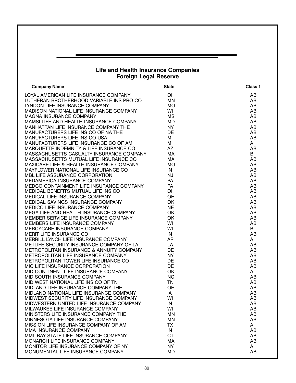| <b>Company Name</b>                                                                                                                                                                                                                        | <b>State</b> | Class 1 |
|--------------------------------------------------------------------------------------------------------------------------------------------------------------------------------------------------------------------------------------------|--------------|---------|
| LOYAL AMERICAN LIFE INSURANCE COMPANY                                                                                                                                                                                                      | OH           | AB      |
| LUTHERAN BROTHERHOOD VARIABLE INS PRO CO                                                                                                                                                                                                   | <b>MN</b>    | AB      |
| LOTTER IN BROWNER COMPANY<br>MADISON NATIONAL LIFE INSURANCE COMPANY                                                                                                                                                                       | <b>MO</b>    | AB      |
|                                                                                                                                                                                                                                            | WI           | AB      |
| <b>MAGNA INSURANCE COMPANY</b>                                                                                                                                                                                                             | <b>MS</b>    | AB      |
| MAMSI LIFE AND HEALTH INSURANCE COMPANY<br>MANHATTAN LIFE INSURANCE COMPANY THE                                                                                                                                                            | MD           | AB      |
|                                                                                                                                                                                                                                            | NY           | AB      |
| MANUFACTURERS LIFE INS CO OF NA THE<br>MANUFACTURERS LIFE INS CO USA MI<br>MANUFACTURERS LIFE INSURANCE CO OF AM MI<br>MARQUETTE INDEMNITY & LIFE INSURANCE CO AZ<br>MASSACHUSETTS CASUALTY INSURANCE COMPANY MA<br>MASSACHUSETTS MUTUAL   |              | AB      |
|                                                                                                                                                                                                                                            |              | AB      |
|                                                                                                                                                                                                                                            |              | A       |
|                                                                                                                                                                                                                                            |              | AB      |
|                                                                                                                                                                                                                                            |              | B       |
|                                                                                                                                                                                                                                            |              | AB      |
| MAXICARE LIFE & HEALTH INSURANCE COMPANY MO                                                                                                                                                                                                |              | AB      |
|                                                                                                                                                                                                                                            |              | AB      |
|                                                                                                                                                                                                                                            |              | AB      |
|                                                                                                                                                                                                                                            |              | AB      |
|                                                                                                                                                                                                                                            |              | AB      |
|                                                                                                                                                                                                                                            |              | AB      |
|                                                                                                                                                                                                                                            |              | AB      |
|                                                                                                                                                                                                                                            |              | AB      |
|                                                                                                                                                                                                                                            |              | AB      |
|                                                                                                                                                                                                                                            |              | AB      |
|                                                                                                                                                                                                                                            |              | AB      |
|                                                                                                                                                                                                                                            |              | AB      |
|                                                                                                                                                                                                                                            |              | B       |
| MAXICARE LIFE & HEALTH INSURANCE COMPANY<br>MBL LIFE ASSURANCE CORPORATION MBL LIFE ASSURANCE CORPORATION<br>MBL LIFE ASSURANCE CORPORATION NJ<br>MEDICAL BENEFITS MUTUAL LIFE INSURANCE COMPANY<br>MEDICAL BENEFITS MUTUAL LIFE INS C     |              | AB      |
| MERIT LIFE INSURANCE CO<br>MERRILL LYNCH LIFE INSURANCE COMPANY OF LA AR<br>METLIFE SECURITY INSURANCE COMPANY OF LA LA<br>METROPOLITAN INSURANCE & ANNUITY COMPANY DE<br>METROPOLITAN I IFF INSURANCE COMPANY NY                          |              | A       |
|                                                                                                                                                                                                                                            |              | AB      |
|                                                                                                                                                                                                                                            |              | AB      |
|                                                                                                                                                                                                                                            |              | AB      |
| METROPOLITAN LIFE INSURANCE COMPANY<br>METROPOLITAN TOWER LIFE INSURANCE CO<br>MID CONTINENT LIFE INSURANCE COMPANY<br>MID SOUTH INSURANCE COMPANY<br>MID SOUTH INSURANCE COMPANY<br>MID WEST NATIONAL LIFE INS CO OF TN<br>MIDLAND LIFE I |              | AB      |
|                                                                                                                                                                                                                                            |              | AB      |
|                                                                                                                                                                                                                                            |              | A       |
|                                                                                                                                                                                                                                            |              | AB      |
|                                                                                                                                                                                                                                            |              | AB      |
|                                                                                                                                                                                                                                            |              | AB      |
|                                                                                                                                                                                                                                            |              | AB      |
| MIDWEST SECURITY LIFE INSURANCE COMPANY                                                                                                                                                                                                    | WI           | AB      |
| MIDWESTERN UNITED LIFE INSURANCE COMPANY                                                                                                                                                                                                   | IN           | AB      |
| MILWAUKEE LIFE INSURANCE COMPANY                                                                                                                                                                                                           | WI           | AB      |
| MINISTERS LIFE INSURANCE COMPANY THE                                                                                                                                                                                                       | <b>MN</b>    | AB      |
| MINNESOTA LIFE INSURANCE COMPANY                                                                                                                                                                                                           | <b>MN</b>    | AB      |
| MISSION LIFE INSURANCE COMPANY OF AM                                                                                                                                                                                                       | <b>TX</b>    | A       |
| MMA INSURANCE COMPANY                                                                                                                                                                                                                      | IN           | AB      |
| MML BAY STATE LIFE INSURANCE COMPANY                                                                                                                                                                                                       | <b>CT</b>    | AB      |
| MONARCH LIFE INSURANCE COMPANY                                                                                                                                                                                                             | МA           | AB      |
| MONITOR LIFE INSURANCE COMPANY OF NY                                                                                                                                                                                                       | <b>NY</b>    | A       |
| MONUMENTAL LIFE INSURANCE COMPANY                                                                                                                                                                                                          | MD           | AB      |
|                                                                                                                                                                                                                                            |              |         |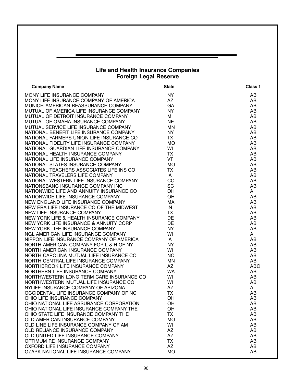| Company Name<br>MONY LIFE INSURANCE COMPANY<br>MONY LIFE INSURANCE COMPANY OF AMERICA<br>MONY LIFE INSURANCE COMPANY                                                                                                                   | <b>State</b>   | Class <sub>1</sub> |
|----------------------------------------------------------------------------------------------------------------------------------------------------------------------------------------------------------------------------------------|----------------|--------------------|
|                                                                                                                                                                                                                                        | <b>NY</b>      | AB                 |
|                                                                                                                                                                                                                                        |                | AB                 |
|                                                                                                                                                                                                                                        |                | AB                 |
|                                                                                                                                                                                                                                        |                | AB                 |
| MONY LIFE INSURANCE COMPANY<br>MONY LIFE INSURANCE COMPANY OF AMERICA AZ<br>MUNICH AMERICAN REASSURANCE COMPANY GA<br>MUTUAL OF AMERICA LIFE INSURANCE COMPANY MY<br>MUTUAL OF DETROIT INSURANCE COMPANY MITUAL OF DETROIT INSURANCE C |                | AB                 |
| MUTUAL OF OMAHA INSURANCE COMPANY                                                                                                                                                                                                      | <b>NE</b>      | AB                 |
| MUTUAL SERVICE LIFE INSURANCE COMPANY MATIONAL BENEFIT LIFE INSURANCE COMPANY NY NATIONAL FARMERS UNION LIFE INSURANCE CO<br>NATIONAL FARMERS UNION LIFE INSURANCE CO TX<br>NATIONAL FIDELITY LIFE INSURANCE COMPANY MO                |                | AB                 |
|                                                                                                                                                                                                                                        |                | AB                 |
|                                                                                                                                                                                                                                        |                | AB                 |
|                                                                                                                                                                                                                                        |                | AB                 |
| NATIONAL GUARDIAN LIFE INSURANCE COMPANY                                                                                                                                                                                               | WI             | AB                 |
|                                                                                                                                                                                                                                        | <b>TX</b>      | AB                 |
|                                                                                                                                                                                                                                        | VT             | AB                 |
|                                                                                                                                                                                                                                        | <b>MO</b>      | AB                 |
|                                                                                                                                                                                                                                        | <b>TX</b>      | AB                 |
| NATIONAL GUARDIAN LIFE INSURANCE COMP<br>NATIONAL HEALTH INSURANCE COMPANY<br>NATIONAL LIFE INSURANCE COMPANY<br>NATIONAL STATES INSURANCE COMPANY<br>NATIONAL TEACHERS ASSOCIATES LIFE INS CO<br>NATIONAL TRAVELERS LIFE COMPANY      | IA             | AB                 |
| NATIONAL WESTERN LIFE INSURANCE COMPANY CO                                                                                                                                                                                             |                | AB                 |
| NATIONSBANC INSURANCE COMPANY INC                                                                                                                                                                                                      | SC             | AB                 |
| NATIONWIDE LIFE AND ANNUITY INSURANCE CO                                                                                                                                                                                               | OH             | A                  |
|                                                                                                                                                                                                                                        | OH             | AB                 |
|                                                                                                                                                                                                                                        | MA             | AB                 |
|                                                                                                                                                                                                                                        | IN             | AB                 |
|                                                                                                                                                                                                                                        | <b>TX</b>      | AB                 |
| MEW ENGLAND LIFE INSURANCE COMPANY<br>NEW ENGLAND LIFE INSURANCE COMPANY<br>NEW ERA LIFE INSURANCE CO OF THE MIDWEST<br>NEW LIFE INSURANCE COMPANY<br>NEW YORK LIFE & HEALTH INCURATION<br>NEW YORK LIFE & HEALTH INSURANCE COMPANY DE |                | AB                 |
| NEW YORK LIFE INSURANCE & ANNUITY CORP DE                                                                                                                                                                                              |                | AB                 |
| NEW YORK LIFE INSURANCE COMPANY                                                                                                                                                                                                        |                | AB                 |
| NGL AMERICAN LIFE INSURANCE COMPANY                                                                                                                                                                                                    | NY<br>WI<br>IA | A                  |
| NIPPON LIFE INSURANCE COMPANY OF AMERICA<br>NORTH AMERICAN COMPANY FOR L & H OF NY NY                                                                                                                                                  |                | AB                 |
|                                                                                                                                                                                                                                        |                | AB                 |
| NORTH AMERICAN INSURANCE COMPANY                                                                                                                                                                                                       | WI             | AB                 |
| NORTH CAROLINA MUTUAL LIFE INSURANCE CO NC                                                                                                                                                                                             |                | AB                 |
|                                                                                                                                                                                                                                        |                | AB                 |
|                                                                                                                                                                                                                                        |                | <b>ABC</b>         |
|                                                                                                                                                                                                                                        |                | AB                 |
|                                                                                                                                                                                                                                        | WI             | AB                 |
| NORTHERN LIFE INSURANCE COMPANY<br>NORTHWESTERN LONG TERM CARE INSURANCE CO<br>NORTHWESTERN MUTUAL LIFE INSURANCE CO<br>NORTHWESTERN MUTUAL LIFE INSURANCE CO                                                                          | WI             | AB                 |
| NYLIFE INSURANCE COMPANY OF ARIZONA                                                                                                                                                                                                    | <b>AZ</b>      | A                  |
| OCCIDENTAL LIFE INSURANCE COMPANY OF NC                                                                                                                                                                                                | <b>TX</b>      | AB                 |
| OHIO LIFE INSURANCE COMPANY                                                                                                                                                                                                            | OH             | AB                 |
| OHIO NATIONAL LIFE ASSURANCE CORPORATION                                                                                                                                                                                               | <b>OH</b>      | AB                 |
| OHIO NATIONAL LIFE INSURANCE COMPANY THE                                                                                                                                                                                               | OH             | AB                 |
| OHIO STATE LIFE INSURANCE COMPANY THE                                                                                                                                                                                                  | <b>TX</b>      | AB                 |
| OLD AMERICAN INSURANCE COMPANY                                                                                                                                                                                                         | <b>MO</b>      | AB                 |
| OLD LINE LIFE INSURANCE COMPANY OF AM                                                                                                                                                                                                  | WI             | AB                 |
| OLD RELIANCE INSURANCE COMPANY                                                                                                                                                                                                         | <b>AZ</b>      | AB                 |
| OLD UNITED LIFE INSURANCE COMPANY                                                                                                                                                                                                      | <b>AZ</b>      | AB                 |
| OPTIMUM RE INSURANCE COMPANY                                                                                                                                                                                                           | <b>TX</b>      | AB                 |
| OXFORD LIFE INSURANCE COMPANY                                                                                                                                                                                                          | AZ             | AB                 |
| OZARK NATIONAL LIFE INSURANCE COMPANY                                                                                                                                                                                                  | <b>MO</b>      | AB                 |
|                                                                                                                                                                                                                                        |                |                    |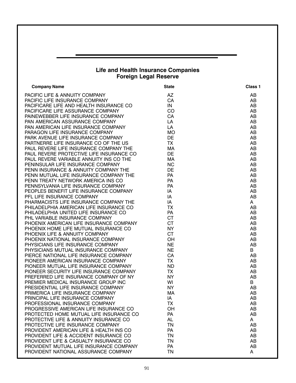| Company Name<br>PACIFIC LIFE & ANNUITY COMPANY<br>ALLIMATION IN THE INICI IRANCE COMPANY | <b>State</b>    | Class <sub>1</sub> |
|------------------------------------------------------------------------------------------|-----------------|--------------------|
|                                                                                          | <b>AZ</b>       | AB                 |
|                                                                                          | CA              | AB                 |
| PACIFICARE LIFE AND HEALTH INSURANCE CO                                                  | IN              | AB                 |
| PACIFICARE LIFE ASSURANCE COMPANY                                                        | CO              | AB                 |
| PAINEWEBBER LIFE INSURANCE COMPANY                                                       | CA              | AB                 |
| PAN AMERICAN ASSURANCE COMPANY                                                           | LA              | AB                 |
| PAN AMERICAN LIFE INSURANCE COMPANY                                                      | LA              | AB                 |
| PARAGON LIFE INSURANCE COMPANY                                                           | <b>MO</b>       | AB                 |
| PARK AVENUE LIFE INSURANCE COMPANY<br>PARTNERRE LIFE INSURANCE CO OF THE US              | DE<br><b>TX</b> | AB<br>AB           |
| PAUL REVERE LIFE INSURANCE COMPANY THE                                                   | МA              | AB                 |
| PAUL REVERE PROTECTIVE LIFE INSURANCE CO                                                 | DE              | AB                 |
| PAUL REVERE VARIABLE ANNUITY INS CO THE                                                  | МA              | AB                 |
| PENINSULAR LIFE INSURANCE COMPANY                                                        | <b>NC</b>       | AB                 |
| PENN INSURANCE & ANNUITY COMPANY THE                                                     | DE              | <b>AB</b>          |
| PENN MUTUAL LIFE INSURANCE COMPANY THE                                                   | PA              | AB                 |
| PENN TREATY NETWORK AMERICA INS CO                                                       | PA              | AB                 |
| PENNSYLVANIA LIFE INSURANCE COMPANY                                                      | PA              | AB                 |
| PEOPLES BENEFIT LIFE INSURANCE COMPANY                                                   | IA              | AB                 |
| PFL LIFE INSURANCE COMPANY                                                               | IA              | <b>AB</b>          |
| PHARMACISTS LIFE INSURANCE COMPANY THE                                                   | IA              | A                  |
| PHILADELPHIA AMERICAN LIFE INSURANCE CO                                                  | <b>TX</b>       | AB                 |
| PHILADELPHIA UNITED LIFE INSURANCE CO                                                    | PA              | AB                 |
| PHL VARIABLE INSURANCE COMPANY                                                           | <b>CT</b>       | AB                 |
| PHOENIX AMERICAN LIFE INSURANCE COMPANY                                                  | <b>CT</b>       | AB                 |
| PHOENIX HOME LIFE MUTUAL INSURANCE CO                                                    | <b>NY</b>       | AB                 |
| PHOENIX LIFE & ANNUITY COMPANY                                                           | <b>CT</b>       | AB                 |
| PHOENIX NATIONAL INSURANCE COMPANY                                                       | OH              | <b>AB</b>          |
| PHYSICIANS LIFE INSURANCE COMPANY                                                        | <b>NE</b>       | AB                 |
| PHYSICIANS MUTUAL INSURANCE COMPANY<br>PIERCE NATIONAL LIFE INSURANCE COMPANY            | <b>NE</b>       | B                  |
| PIONEER AMERICAN INSURANCE COMPANY                                                       | CA<br><b>TX</b> | AB                 |
| PIONEER MUTUAL LIFE INSURANCE COMPANY                                                    | <b>ND</b>       | AB<br>AB           |
| PIONEER SECURITY LIFE INSURANCE COMPANY                                                  | <b>TX</b>       | <b>AB</b>          |
| PREFERRED LIFE INSURANCE COMPANY OF NY                                                   | <b>NY</b>       | AB                 |
| PREMIER MEDICAL INSURANCE GROUP INC                                                      | WI              | B                  |
| PRESIDENTIAL LIFE INSURANCE COMPANY                                                      | <b>NY</b>       | AB                 |
| PRIMERICA LIFE INSURANCE COMPANY                                                         | МA              | AB                 |
| PRINCIPAL LIFE INSURANCE COMPANY                                                         | IA.             | AB.                |
| PROFESSIONAL INSURANCE COMPANY                                                           | <b>TX</b>       | AB                 |
| PROGRESSIVE AMERICAN LIFE INSURANCE CO                                                   | OH              | AB                 |
| PROTECTED HOME MUTUAL LIFE INSURANCE CO                                                  | PA              | AB                 |
| PROTECTIVE LIFE & ANNUITY INSURANCE CO                                                   | <b>AL</b>       | A                  |
| PROTECTIVE LIFE INSURANCE COMPANY                                                        | <b>TN</b>       | AB                 |
| PROVIDENT AMERICAN LIFE & HEALTH INS CO                                                  | <b>PA</b>       | AB                 |
| PROVIDENT LIFE & ACCIDENT INSURANCE CO.                                                  | <b>TN</b>       | AB                 |
| PROVIDENT LIFE & CASUALTY INSURANCE CO                                                   | <b>TN</b>       | AB                 |
| PROVIDENT MUTUAL LIFE INSURANCE COMPANY                                                  | PA              | AB                 |
| PROVIDENT NATIONAL ASSURANCE COMPANY                                                     | <b>TN</b>       | A                  |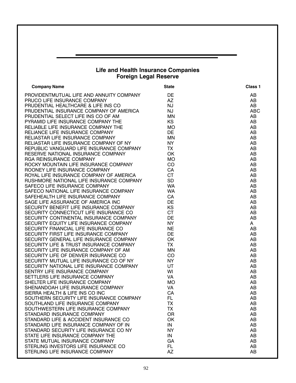| <b>Company Name</b>                                                                                                                                                                                                                              | <b>State</b>           | Class 1    |
|--------------------------------------------------------------------------------------------------------------------------------------------------------------------------------------------------------------------------------------------------|------------------------|------------|
| COMPANY DE PROVIDENTMUTUAL LIFE AND ANNUITY COMPANY DE<br>PROVIDENTIAL HEALTHCARE & LIFE INS CO<br>PRUDENTIAL HEALTHCARE & LIFE INS CO<br>PRUDENTIAL INSURANCE COMPANY OF AMERICA<br>PRUDENTIAL SELECT LIFE INS CO OF AM<br>PRIUDENTIAL          |                        | AB         |
|                                                                                                                                                                                                                                                  |                        | AB         |
|                                                                                                                                                                                                                                                  |                        | AB         |
|                                                                                                                                                                                                                                                  |                        | <b>ABC</b> |
|                                                                                                                                                                                                                                                  |                        | AB         |
|                                                                                                                                                                                                                                                  |                        | AB         |
|                                                                                                                                                                                                                                                  |                        | AB         |
|                                                                                                                                                                                                                                                  |                        | AB         |
|                                                                                                                                                                                                                                                  |                        | AB         |
|                                                                                                                                                                                                                                                  |                        | AB         |
|                                                                                                                                                                                                                                                  |                        | AB         |
|                                                                                                                                                                                                                                                  |                        | AB         |
|                                                                                                                                                                                                                                                  |                        | AB         |
|                                                                                                                                                                                                                                                  |                        | AB         |
| ROONEY LIFE INSURANCE COMPANY                                                                                                                                                                                                                    | CA                     | AB         |
|                                                                                                                                                                                                                                                  |                        | AB         |
| ROYAL LIFE INSURANCE COMPANY OF AMERICA<br>RUSHMORE NATIONAL LIFE INSURANCE COMPANY SD<br>SAFECO LIFE INSURANCE COMPANY WA                                                                                                                       |                        | AB         |
| SAFECO LIFE INSURANCE COMPANY                                                                                                                                                                                                                    | <b>WA</b>              | AB         |
| SAFECO NATIONAL LIFE INSURANCE COMPANY<br>SAFEHEALTH LIFE INSURANCE COMPANY<br>SAGE LIFE ASSURANCE OF AMERICA INC                                                                                                                                | <b>WA</b>              | AB         |
|                                                                                                                                                                                                                                                  | CA                     | AB         |
|                                                                                                                                                                                                                                                  | DE                     | AB         |
|                                                                                                                                                                                                                                                  |                        | AB         |
|                                                                                                                                                                                                                                                  |                        | AB         |
|                                                                                                                                                                                                                                                  |                        | AB         |
| SAGE LIFE ASSURANCE OF AMERICA INC.<br>SECURITY BENEFIT LIFE INSURANCE COMPANY WAS<br>SECURITY CONNECTICUT LIFE INSURANCE CONTANY DE<br>SECURITY CONTINENTAL INSURANCE COMPANY DE<br>SECURITY EQUITY LIFE INSURANCE COMPANY NY<br>SECURI         |                        | A          |
|                                                                                                                                                                                                                                                  |                        | AB         |
| SECURITY FIRST LIFE INSURANCE COMPANY                                                                                                                                                                                                            | DE                     | AB         |
|                                                                                                                                                                                                                                                  |                        | AB         |
|                                                                                                                                                                                                                                                  |                        | AB         |
| SECURITY GENERAL LIFE INSURANCE COMPANY<br>SECURITY LIFE & TRUST INSURANCE COMPANY<br>SECURITY LIFE INSURANCE COMPANY OF AM<br>SECURITY LIFE OF DENVER INSURANCE CO<br>SECURITY MUTUAL LIFE INSURANCE CO OF NY<br>NY                             |                        | AB         |
|                                                                                                                                                                                                                                                  |                        | AB         |
|                                                                                                                                                                                                                                                  |                        | AB         |
|                                                                                                                                                                                                                                                  | UT                     | AB         |
|                                                                                                                                                                                                                                                  | WI                     | AB         |
|                                                                                                                                                                                                                                                  | <b>VA</b><br><b>MO</b> | AB<br>AB   |
| SECURITY MUTUAL LIFE INSURANCE CO OF INT<br>SECURITY NATIONAL LIFE INSURANCE COMPANY<br>SENTRY LIFE INSURANCE COMPANY<br>SETTLERS LIFE INSURANCE COMPANY<br>SHELTER LIFE INSURANCE COMPANY<br>SHENANDOAH LIFE INSURANCE COMPANY<br>SIERRA HEALTH |                        |            |
|                                                                                                                                                                                                                                                  | VA                     | AB<br>AB   |
| SOUTHERN SECURITY LIFE INSURANCE COMPANY                                                                                                                                                                                                         | CA                     | AB         |
| SOUTHLAND LIFE INSURANCE COMPANY                                                                                                                                                                                                                 | FL                     |            |
| SOUTHWESTERN LIFE INSURANCE COMPANY                                                                                                                                                                                                              | ТX<br><b>TX</b>        | AB<br>AB   |
| STANDARD INSURANCE COMPANY                                                                                                                                                                                                                       | <b>OR</b>              | AB         |
| STANDARD LIFE & ACCIDENT INSURANCE CO                                                                                                                                                                                                            | OK                     | AB         |
| STANDARD LIFE INSURANCE COMPANY OF IN                                                                                                                                                                                                            | IN                     | AB         |
| STANDARD SECURITY LIFE INSURANCE CO NY                                                                                                                                                                                                           | <b>NY</b>              | AB         |
| STATE LIFE INSURANCE COMPANY THE                                                                                                                                                                                                                 | IN                     | AB         |
| STATE MUTUAL INSURANCE COMPANY                                                                                                                                                                                                                   | GA                     | AB         |
| STERLING INVESTORS LIFE INSURANCE CO                                                                                                                                                                                                             | FL.                    | AB         |
| STERLING LIFE INSURANCE COMPANY                                                                                                                                                                                                                  | AZ                     | AB         |
|                                                                                                                                                                                                                                                  |                        |            |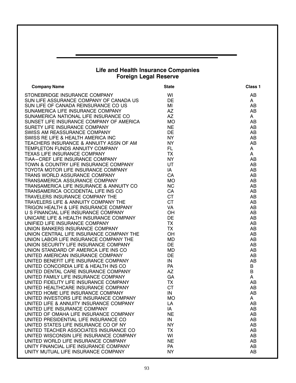| Company Name<br>STONEBRIDGE INSURANCE COMPANY<br>SUN LIFE ASSURANCE COMPANY OF CANADA US                                                                                                                                                 | <b>State</b> | Class <sub>1</sub> |
|------------------------------------------------------------------------------------------------------------------------------------------------------------------------------------------------------------------------------------------|--------------|--------------------|
|                                                                                                                                                                                                                                          | WI           | AB                 |
|                                                                                                                                                                                                                                          | DE           | A                  |
| SUN LIFE OF CANADA REINSURANCE CO US                                                                                                                                                                                                     | MI           | AB                 |
| SUNAMERICA LIFE INSURANCE COMPANY                                                                                                                                                                                                        | AZ           | AB                 |
| SUNAMERICA LIFE INSURANCE COMPANY AZ<br>SUNAMERICA NATIONAL LIFE INSURANCE CO<br>SUNSET LIFE INSURANCE COMPANY OF AMERICA MO<br>SURETY LIFE INSURANCE COMPANY NE<br>SWISS AM REASSURANCE COMPANY DE<br>SWISS RE LIFE & HEALTH AMERICA IN |              | A                  |
|                                                                                                                                                                                                                                          |              | AB                 |
|                                                                                                                                                                                                                                          |              | AB                 |
|                                                                                                                                                                                                                                          |              | AB                 |
|                                                                                                                                                                                                                                          |              | AB                 |
|                                                                                                                                                                                                                                          |              | AB                 |
|                                                                                                                                                                                                                                          |              | $\mathsf{A}$       |
|                                                                                                                                                                                                                                          |              | A                  |
|                                                                                                                                                                                                                                          |              | AB                 |
|                                                                                                                                                                                                                                          |              | AB                 |
|                                                                                                                                                                                                                                          |              | AB                 |
| TRANS WORLD ASSURANCE COMPANY                                                                                                                                                                                                            | CA           | AB                 |
| TRANSAMERICA ASSURANCE COMPANY                                                                                                                                                                                                           | <b>MO</b>    | AB                 |
| TRANSAMERICA ASSURANCE COMPANY<br>TRANSAMERICA LIFE INSURANCE & ANNUITY CO<br>TRANSAMERICA OCCIDENTAL LIFE INS CO<br>TRAVELERS INSURANCE COMPANY THE                                                                                     | <b>NC</b>    | AB                 |
|                                                                                                                                                                                                                                          | CA           | AB                 |
|                                                                                                                                                                                                                                          | <b>CT</b>    | AB                 |
| TRAVELERS LIFE & ANNUITY COMPANY THE                                                                                                                                                                                                     | <b>CT</b>    | AB                 |
| TRIGON HEALTH & LIFE INSURANCE COMPANY                                                                                                                                                                                                   | VA           | AB                 |
|                                                                                                                                                                                                                                          | OH           | AB                 |
| UNIGON THE THE INSURANCE COMPANY<br>UNICARE LIFE & HEALTH INSURANCE COMPANY<br>THE THE REALTH INSURANCE COMPANY                                                                                                                          | DE           | AB                 |
|                                                                                                                                                                                                                                          | <b>TX</b>    | AB                 |
| UNION BANKERS INSURANCE COMPANY                                                                                                                                                                                                          | <b>TX</b>    | AB                 |
| UNION CENTRAL LIFE INSURANCE COMPANY THE                                                                                                                                                                                                 | OH           | AB                 |
| UNION LABOR LIFE INSURANCE COMPANY THE                                                                                                                                                                                                   | MD           | AB                 |
| UNION SECURITY LIFE INSURANCE COMPANY                                                                                                                                                                                                    | DE           | AB                 |
|                                                                                                                                                                                                                                          |              | AB                 |
| UNION STANDARD OF AMERICA LIFE INS CONNITED AMERICAN INSURANCE COMPANY DE<br>UNITED BENEFIT LIFE INSURANCE COMPANY DE<br>UNITED CONCORDIA LIFE & HEALTH INS CONNITED CONCORDIA LIFE & HEALTH INS CO                                      |              | AB                 |
|                                                                                                                                                                                                                                          |              | AB                 |
|                                                                                                                                                                                                                                          |              | B                  |
| UNITED DENTAL CARE INSURANCE COMPANY                                                                                                                                                                                                     | AZ           | B                  |
| UNITED FAMILY LIFE INSURANCE COMPANY                                                                                                                                                                                                     | GA           | A                  |
| UNITED FAINILE LIE INSULTATOR COMPANY<br>UNITED HEALTHCARE INSURANCE COMPANY<br>UNITED HEALTHCARE INSURANCE COMPANY                                                                                                                      | TX           | AB                 |
|                                                                                                                                                                                                                                          | <b>CT</b>    | AB                 |
| UNITED HOME LIFE INSURANCE COMPANY                                                                                                                                                                                                       | IN           | AB                 |
| UNITED INVESTORS LIFE INSURANCE COMPANY                                                                                                                                                                                                  | <b>MO</b>    | A                  |
| UNITED LIFE & ANNUITY INSURANCE COMPANY                                                                                                                                                                                                  | LA           | AB                 |
| UNITED LIFE INSURANCE COMPANY                                                                                                                                                                                                            | IA           | AB                 |
| UNITED OF OMAHA LIFE INSURANCE COMPANY                                                                                                                                                                                                   | <b>NE</b>    | AB                 |
| UNITED PRESIDENTIAL LIFE INSURANCE CO                                                                                                                                                                                                    | IN           | AB                 |
| UNITED STATES LIFE INSURANCE CO OF NY                                                                                                                                                                                                    | NY           | AB                 |
| UNITED TEACHER ASSOCIATES INSURANCE CO                                                                                                                                                                                                   | <b>TX</b>    | AB                 |
| UNITED WISCONSIN LIFE INSURANCE COMPANY                                                                                                                                                                                                  | WI           | AB                 |
| UNITED WORLD LIFE INSURANCE COMPANY                                                                                                                                                                                                      | <b>NE</b>    | AB                 |
| UNITY FINANCIAL LIFE INSURANCE COMPANY                                                                                                                                                                                                   | <b>PA</b>    | AB                 |
| UNITY MUTUAL LIFE INSURANCE COMPANY                                                                                                                                                                                                      | NY           | AB                 |
|                                                                                                                                                                                                                                          |              |                    |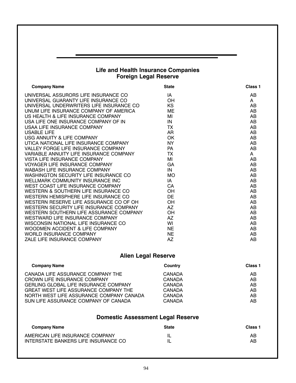| <b>Company Name</b>                                                 | <b>State</b>           | Class 1         |
|---------------------------------------------------------------------|------------------------|-----------------|
| UNIVERSAL ASSURORS LIFE INSURANCE CO                                | IA                     | AB              |
| UNIVERSAL GUARANTY LIFE INSURANCE CO                                | <b>OH</b>              | A               |
| UNIVERSAL UNDERWRITERS LIFE INSURANCE CO                            | <b>KS</b>              | AB              |
| UNUM LIFE INSURANCE COMPANY OF AMERICA                              | <b>ME</b>              | AB              |
| US HEALTH & LIFE INSURANCE COMPANY                                  | МI                     | AB              |
| USA LIFE ONE INSURANCE COMPANY OF IN                                | IN                     | AB              |
| USAA LIFE INSURANCE COMPANY                                         | <b>TX</b>              | AB              |
| <b>USABLE LIFE</b>                                                  | <b>AR</b><br>OK        | AB<br><b>AB</b> |
| USG ANNUITY & LIFE COMPANY<br>UTICA NATIONAL LIFE INSURANCE COMPANY | <b>NY</b>              | AB              |
| VALLEY FORGE LIFE INSURANCE COMPANY                                 | PA                     | AB              |
| VARIABLE ANNUITY LIFE INSURANCE COMPANY                             | TX                     | A               |
| VISTA LIFE INSURANCE COMPANY                                        | MI                     | AB              |
| <b>VOYAGER LIFE INSURANCE COMPANY</b>                               | GA                     | AB              |
| WABASH LIFE INSURANCE COMPANY                                       | IN                     | AB              |
| WASHINGTON SECURITY LIFE INSURANCE CO                               | <b>MO</b>              | AB              |
| WELLMARK COMMUNITY INSURANCE INC                                    | IA                     | <b>AB</b>       |
| WEST COAST LIFE INSURANCE COMPANY                                   | CA                     | <b>AB</b>       |
| WESTERN & SOUTHERN LIFE INSURANCE CO                                | <b>OH</b>              | AB              |
| WESTERN HEMISPHERE LIFE INSURANCE CO                                | <b>DE</b>              | AB              |
| WESTERN RESERVE LIFE ASSURANCE CO OF OH                             | OH                     | <b>AB</b>       |
| WESTERN SECURITY LIFE INSURANCE COMPANY                             | AZ                     | <b>AB</b>       |
| WESTERN SOUTHERN LIFE ASSURANCE COMPANY                             | OH                     | AB              |
| WESTWARD LIFE INSURANCE COMPANY                                     | <b>AZ</b>              | AB              |
| WISCONSIN NATIONAL LIFE INSURANCE CO                                | WI                     | <b>AB</b>       |
| WOODMEN ACCIDENT & LIFE COMPANY<br><b>WORLD INSURANCE COMPANY</b>   | <b>NE</b><br><b>NE</b> | AB<br>AB        |
| ZALE LIFE INSURANCE COMPANY                                         | <b>AZ</b>              | AB              |
|                                                                     |                        |                 |
| <b>Alien Legal Reserve</b>                                          |                        |                 |
| <b>Company Name</b>                                                 | Country                | Class 1         |
| CANADA LIFE ASSURANCE COMPANY THE                                   | <b>CANADA</b>          | AB              |
| CROWN LIFE INSURANCE COMPANY                                        | <b>CANADA</b>          | AB              |
| GERLING GLOBAL LIFE INSURANCE COMPANY                               | <b>CANADA</b>          | AB              |
| GREAT WEST LIFE ASSURANCE COMPANY THE                               | <b>CANADA</b>          | AB              |
| NORTH WEST LIFE ASSURANCE COMPANY CANADA                            | <b>CANADA</b>          | AB              |
| SUN LIFE ASSURANCE COMPANY OF CANADA                                | <b>CANADA</b>          | AB              |
|                                                                     |                        |                 |

#### **Domestic Assessment Legal Reserve**

| <b>Company Name</b>                                                     | <b>State</b> | Class    |
|-------------------------------------------------------------------------|--------------|----------|
| AMERICAN LIFE INSURANCE COMPANY<br>INTERSTATE BANKERS LIFE INSURANCE CO |              | AВ<br>AВ |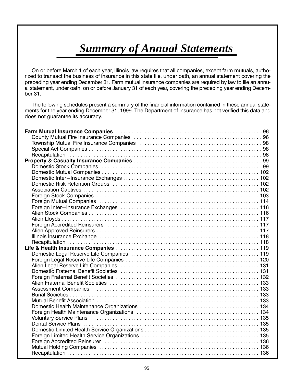## **Summary of Annual Statements**

On or before March 1 of each year, Illinois law requires that all companies, except farm mutuals, authorized to transact the business of insurance in this state file, under oath, an annual statement covering the preceding year ending December 31. Farm mutual insurance companies are required by law to file an annual statement, under oath, on or before January 31 of each year, covering the preceding year ending December 31.

The following schedules present a summary of the financial information contained in these annual statements for the year ending December 31, 1999. The Department of Insurance has not verified this data and does not guarantee its accuracy.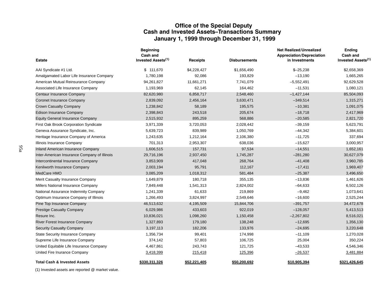#### Office of the Special Deputy **Cash and Invested Assets-Transactions Summary** January 1, 1999 through December 31, 1999

| <b>Estate</b>                                | <b>Beginning</b><br>Cash and<br>Invested Assets <sup>(1)</sup> | <b>Receipts</b> | <b>Disbursements</b> | <b>Net Realized/Unrealized</b><br><b>Appreciation/Depreciation</b><br>in Investments | Ending<br>Cash and<br>Invested Assets <sup>(1)</sup> |
|----------------------------------------------|----------------------------------------------------------------|-----------------|----------------------|--------------------------------------------------------------------------------------|------------------------------------------------------|
| AAI Syndicate #1 Ltd.                        | \$111,670                                                      | \$4,228,427     | \$1,656,490          | $$ -25,238$                                                                          | \$2,658,369                                          |
| Amalgamated Labor Life Insurance Company     | 1,780,198                                                      | 92,086          | 193,829              | $-13,190$                                                                            | 1,665,265                                            |
| American Mutual Reinsurance Company          | 94,261,827                                                     | 11,661,271      | 7,741,079            | $-5,552,491$                                                                         | 92,629,528                                           |
| Associated Life Insurance Company            | 1,193,969                                                      | 62,145          | 164,462              | $-11,531$                                                                            | 1,080,121                                            |
| Centaur Insurance Company                    | 82,620,980                                                     | 6,858,717       | 2,548,460            | $-1,427,144$                                                                         | 85,504,093                                           |
| <b>Coronet Insurance Company</b>             | 2,839,092                                                      | 2,456,164       | 3,630,471            | $-349,514$                                                                           | 1,315,271                                            |
| Crown Casualty Company                       | 1,238,842                                                      | 58,189          | 195,575              | $-10,381$                                                                            | 1,091,075                                            |
| <b>Edison Insurance Company</b>              | 2,398,843                                                      | 243,518         | 205,674              | $-18,718$                                                                            | 2,417,969                                            |
| <b>Equity General Insurance Company</b>      | 2,515,932                                                      | 895,259         | 568,886              | $-20,585$                                                                            | 2,821,720                                            |
| First Oak Brook Corporation Syndicate        | 3,971,339                                                      | 3,720,053       | 2,028,442            | $-39,159$                                                                            | 5,623,791                                            |
| Geneva Assurance Syndicate, Inc.             | 5,639,723                                                      | 839,989         | 1,050,769            | $-44,342$                                                                            | 5,384,601                                            |
| Heritage Insurance Company of America        | 1,243,635                                                      | 1,212,164       | 2,106,380            | $-11,725$                                                                            | 337,694                                              |
| Illinois Insurance Company                   | 701,313                                                        | 2,953,307       | 638,036              | $-15,627$                                                                            | 3,000,957                                            |
| Inland American Insurance Company            | 1,606,515                                                      | 157,731         | 97,534               | $-14,551$                                                                            | 1,652,161                                            |
| Inter-American Insurance Company of Illinois | 29,716,196                                                     | 2,937,450       | 1,745,287            | $-281,280$                                                                           | 30,627,079                                           |
| Intercontinental Insurance Company           | 3,853,909                                                      | 417,048         | 268,764              | $-41,408$                                                                            | 3,960,785                                            |
| Kenilworth Insurance Company                 | 2,003,194                                                      | 95,791          | 112,167              | $-17,411$                                                                            | 1,969,407                                            |
| MedCare HMO                                  | 3,085,209                                                      | 1,018,312       | 581,484              | $-25,387$                                                                            | 3,496,650                                            |
| Merit Casualty Insurance Company             | 1,649,879                                                      | 180,718         | 355,135              | $-13,836$                                                                            | 1,461,626                                            |
| Millers National Insurance Company           | 7,849,448                                                      | 1,541,313       | 2,824,002            | $-64,633$                                                                            | 6,502,126                                            |
| National Assurance Indemnity Company         | 1,241,339                                                      | 61,633          | 219,869              | $-9,462$                                                                             | 1,073,641                                            |
| Optimum Insurance Company of Illinois        | 1,266,493                                                      | 3,824,997       | 2,549,646            | $-16,600$                                                                            | 2,525,244                                            |
| Pine Top Insurance Company                   | 46,513,632                                                     | 4,195,509       | 15,844,706           | $-391,757$                                                                           | 34,472,678                                           |
| Prestige Casualty Company                    | 6,029,986                                                      | 433,603         | 922,019              | $-128,057$                                                                           | 5,413,513                                            |
| Resure Inc.                                  | 10,836,021                                                     | 1,098,260       | 1,150,458            | $-2,267,802$                                                                         | 8,516,021                                            |
| <b>River Forest Insurance Company</b>        | 1,327,893                                                      | 179,180         | 138,248              | $-12,695$                                                                            | 1,356,130                                            |
| <b>Security Casualty Company</b>             | 3,197,113                                                      | 182,206         | 133,976              | $-24,695$                                                                            | 3,220,648                                            |
| State Security Insurance Company             | 1,356,734                                                      | 99,401          | 174,998              | $-11,109$                                                                            | 1,270,028                                            |
| Supreme Life Insurance Company               | 374,142                                                        | 57,803          | 106,725              | 25,004                                                                               | 350,224                                              |
| United Equitable Life Insurance Company      | 4,467,861                                                      | 243,743         | 121,725              | $-43,533$                                                                            | 4,546,346                                            |
| United Fire Inurance Company                 | 3,418,399                                                      | 215,418         | 125,396              | $-26,537$                                                                            | 3,481,884                                            |
| <b>Total Cash &amp; Invested Assets</b>      | \$330,311,326                                                  | \$52,221,405    | \$50,200,692         | \$10,905,394                                                                         | \$321,426,645                                        |

(1) Invested assets are reported @ market value.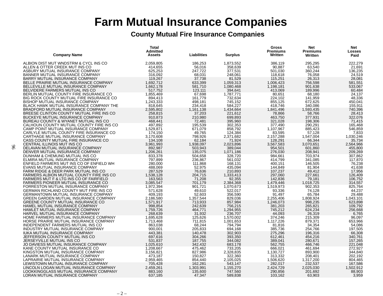## **Farm Mutual Insurance Companies**

### **County Mutual Fire Insurance Companies**

|                                                                             | <b>Total</b><br><b>Admitted</b> |                    |                      | Gross<br><b>Premiums</b> | <b>Net</b><br><b>Premiums</b> | <b>Net</b><br>Losses                              |
|-----------------------------------------------------------------------------|---------------------------------|--------------------|----------------------|--------------------------|-------------------------------|---------------------------------------------------|
| <b>Company Name</b>                                                         | <b>Assets</b>                   | Liabilities        | <b>Surplus</b>       | Written                  | Written                       | Paid                                              |
| ALBION DIST MUT WNDSTRM & CYCL INS CO                                       | 2,059,805                       | 186,253            | 1,873,552            | 386,119                  | 295,295                       | 222,279                                           |
| ALLEN & OTTER CREEK MUT INS CO                                              | 414,655                         | 56,016             | 358,639              | 90,887                   | 63,540                        | 21,691                                            |
| ASBURY MUTUAL INSURANCE COMPANY                                             | 625,253                         | 247,722            | 377,531              | 501,030                  | 360,244                       | 136,235                                           |
| BANNER MUTUAL INSURANCE COMPANY                                             | 316,092                         | 68,031             | 248,061              | 118,618                  | 76,058                        | 24,519                                            |
| BARRY MUTUAL INSURANCE COMPANY                                              | 119,267                         | 37,738             | 81,529               | 115,251                  | 26,313                        | 28,081                                            |
| BELLE PRAIRIE MUTUAL INSURANCE COMPANY                                      | 1,692,712                       | 633,399            | 1,059,313            | 1,006,423                | 756,598                       | 581,551                                           |
| BELLEVILLE MUTUAL INSURANCE COMPANY                                         | 1,662,178                       | 581,710            | 1,080,468            | 1,198,181                | 901,638                       | 533,067                                           |
| BELVIDERE FARMERS MUTUAL INS CO                                             | 517,752                         | 123,111            | 394,641              | 413,069                  | 189,996                       | 60,484                                            |
| BERLIN MUTUAL COUNTY FIRE INSURANCE CO                                      | 1,855,469                       | 67,698             | 1,787,771            | 80,651                   | 68,180                        | 24,137                                            |
| BIG ROCK COUNTY MUTUAL FIRE INSURANCE CO<br>BISHOP MUTUAL INSURANCE COMPANY | 894,413                         | 161,779<br>498.181 | 732,634<br>745.152   | 224,102                  | 141,959                       | 48,336<br>450,041                                 |
| BLACK HAWK MUTUAL INSURANCE COMPANY THE                                     | 1,243,333<br>818,645            | 234,418            | 584,227              | 855,125<br>418,746       | 672,625<br>340,086            | 155,911                                           |
| BRADFORD MUTUAL INSURANCE COMPANY                                           | 2,595,802                       | 1,161,138          | 1,434,664            | 1,841,496                | 1,593,435                     | 740,396                                           |
| BREESE CLINTON COUNTY MUTUAL FIRE INS CO                                    | 258,815                         | 37,203             | 221,612              | 78,866                   | 58,766                        | 28,413                                            |
| BUCKEYE MUTUAL INSURANCE COMPANY                                            | 910,873                         | 210,980            | 699,893              | 463,750                  | 377,931                       | 322,076                                           |
| BUREAU COUNTY & WYANET MUTUAL INS CO                                        | 468,441                         | 72,481             | 395,960              | 321,028                  | 198,306                       | 71,415                                            |
| CALHOUN COUNTY MUTUAL COUNTY FIRE INS CO                                    | 497,892                         | 195,539            | 302,353              | 377,490                  | 290,291                       | 165,468                                           |
| CAMP POINT MUTUAL INSURANCE COMPANY                                         | 1,529,871                       | 671,079            | 858,792              | 1,107,967                | 885,423                       | 546,859                                           |
| CARLYLE MUTUAL COUNTY FIRE INSURANCE CO                                     | 174,150                         | 49,765             | 124,384              | 83,595                   | 57,128                        | 7,833                                             |
| CARTHAGE MUTUAL INSURANCE COMPANY                                           | 3,170,608                       | 798,926            | 2,371,682            | 2,157,288                | 1,547,004                     | 1,030,246                                         |
| CASS COUNTY MUTUAL FIRE INSURANCE CO                                        | 134,108                         | 62,184             | 71,924               | 128,291                  | 66,344                        | 35,734                                            |
| CENTRAL ILLINOIS MUT INS CO                                                 | 3,961,993                       | 1,938,097          | 2,023,896            | 3,567,583                | 3,070,651                     | 2,564,966<br>455,800                              |
| DELAVAN MUTUAL INSURANCE COMPANY                                            | 892,987                         | 503,943            | 389,044              | 954,501                  | 601,860                       |                                                   |
| DENVER MUTUAL INSURANCE COMPANY                                             | 1,206,261                       | 135,075            | 1,071,186            | 276,030                  | 208,941                       | 209,269                                           |
| DUNHAM & CHEMUNG MUTUAL INS CO                                              | 833,378                         | 504,658            | 328,720              | 984,661                  | 703,974                       | 307,862                                           |
| ELMIRA MUTUAL INSURANCE COMPANY                                             | 797,899                         | 236,867<br>111,868 | 561,032<br>168.131   | 414,799<br>400,151       | 341,085                       | 117,870<br>76,238                                 |
| ENFIELD FARMERS MUT INS CO OF ENFIELD WH<br>EVANS MUTUAL INSURANCE COMPANY  | 280,000<br>488,069              | 52,975             | 435,094              | 144,849                  | 146,505<br>81,904             | 41,638                                            |
| FARM RIDGE & DEER PARK MUTUAL INS CO                                        | 287,529                         | 76,636             | 210,893              | 107,237                  | 49,412                        | 17,956                                            |
| FARMERS ALBION MUTUAL COUNTY FIRE INS CO                                    | 1,538,128                       | 204,715            | 1,333,413            | 297,060                  | 227,661                       | 126,409                                           |
| FARMERS MUT F & LTG INS CO OF FAIRFIELD                                     | 163,563                         | 71,208             | 92,355               | 142,836                  | 79,181                        | 106,752                                           |
| FARMERS PIONEER MUTUAL INSURANCE CO                                         | 3,085,547                       | 701,179            | 2,384,368            | 1,479,446                | 1,018,725                     | 314,557                                           |
| FORRESTON MUTUAL INSURANCE COMPANY                                          | 1,972,394                       | 901,721            | 1,070,673            | 1,519,973                | 902,353                       | 825,764                                           |
| GERMAN RICHLAND COUNTY MUT FIRE INS CO                                      | 571,628                         | 49,610             | 522,017              | 93,336                   | 74,128                        | 44,237                                            |
| <b>GERMANTOWN MUTUAL INSURANCE COMPANY</b>                                  | 409,193                         | 52,603             | 356.590              | 91,497                   | 65,784                        | 29,488                                            |
| GREEN GARDEN MUTUAL INSURANCE COMPANY                                       | 2,186,580                       | 1,357,544          | 829,036              | 2,255,406                | 1,808,924                     | 1,043,101                                         |
| GREENE COUNTY MUTUAL INSURANCE CO                                           | 1,571,917                       | 713,933            | 857,984              | 1,246,073                | 998,235                       | 623,898                                           |
| HAMEL MUTUAL INSURANCE COMPANY                                              | 998,854                         | 242,639            | 756,215              | 381,203                  | 265,821                       | 109,792<br>256,668                                |
| HAMLET MUTUAL INSURANCE COMPANY                                             | 1,759,726                       | 464,771            | 1,294,955            | 745,212                  | 624,234                       |                                                   |
| HARVEL MUTUAL INSURANCE COMPANY                                             | 268,639                         | 31,932             | 236,707              | 44,093                   | 26,319                        | 6,765                                             |
| HOME FARMERS MUTUAL INSURANCE COMPANY                                       | 1,695,628                       | 125,626            | 1,570,002            | 374,246                  | 215,309                       | 96,097<br>653,966<br>653,966<br>54,086<br>197,505 |
| HORSE PRAIRIE MUTUAL INSURANCE COMPANY<br>INDEPENDENT FARMERS MUTUAL INS CO | 1,713,468<br>863,038            | 711,815<br>68,244  | 1,001,653<br>794,794 | 1,117,226<br>81,816      | 879,371<br>34,354             |                                                   |
| INDUSTRY MUTUAL INSURANCE COMPANY                                           | 900,001                         | 205,833            | 694,168              | 385,736                  | 254,766                       |                                                   |
| IUKA MUTUAL INSURANCE COMPANY                                               | 443,381                         | 140,478            | 302,903              | 275,296                  | 196,316                       |                                                   |
| JEFFERSON COUNTY MUTUAL INS CO                                              | 697,616                         | 304,266            | 393,350              | 612,461                  | 454,216                       | 66,308<br>340,761                                 |
| JERSEYVILLE MUTUAL INS CO                                                   | 531,837                         | 187,755            | 344,082              | 389,041                  | 280,671                       | 157,265                                           |
| JO DAVIESS MUTUAL INSURANCE COMPANY                                         | 1,025,610                       | 342,432            | 683,178              | 562,755                  | 466,746                       | 221,048                                           |
| KANE COUNTY MUTUAL INSURANCE CO                                             | 1,208,667                       | 475,462            | 733,205              | 666,021                  | 461,694                       | 272,927                                           |
| KINGSTON MUTUAL INSURANCE COMPANY                                           | 3,156,821                       | 827,986            | 2,328,835            | 1,130,727                | 893,900                       | 344,840                                           |
| LANARK MUTUAL INSURANCE COMPANY                                             | 473,187                         | 150,827            | 322,360              | 313,332                  | 208,401                       | 202,192                                           |
| LAPRAIRIE MUTUAL INSURANCE COMPANY                                          | 2,959,465                       | 854,440            | 2.105.025            | 1,506,620                | 1,317,200                     | 804,465                                           |
| LEWISTOWN MUTUAL INSURANCE COMPANY                                          | 705,428                         | 162,281            | 543,147              | 282,017                  | 232,537                       | 167,586                                           |
| LINCOLN LOGAN MUTUAL INSURANCE COMPANY                                      | 2,459,261                       | 1,303,991          | 1,155,270            | 2,424,729                | 2,025,030                     | 1,502,912                                         |
| LOOKKINGGLASS MUTUAL INSURANCE COMPANY                                      | 883,160                         | 135,600            | 747,560              | 290,856                  | 201,692                       | 88,903                                            |
| LORAN MUTUAL INSURANCE COMPANY                                              | 637,185                         | 47,347             | 589.838              | 103,162                  | 63,903                        | 3,959                                             |

96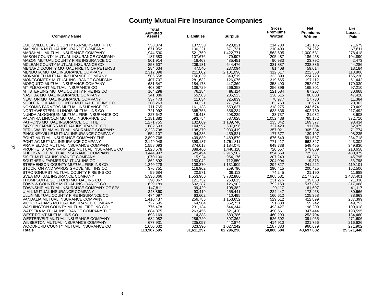## **County Mutual Fire Insurance Companies**

|                                                                                 | <b>Total</b>              |                    |                      | <b>Gross</b><br><b>Premiums</b> | <b>Net</b><br><b>Premiums</b> | <b>Net</b><br>Losses |
|---------------------------------------------------------------------------------|---------------------------|--------------------|----------------------|---------------------------------|-------------------------------|----------------------|
| <b>Company Name</b>                                                             | <b>Admitted</b><br>Assets | <b>Liabilities</b> | <b>Surplus</b>       | Written                         | Written                       | Paid                 |
| LOUISVILLE CLAY COUNTY FARMERS MUT F I C                                        | 558,374                   | 137,553            | 420.821              | 214,730                         | 142,185                       | 71.679               |
| MAGNOLIA MUTUAL INSURANCE COMPANY                                               | 671,952                   | 100,221            | 571,731              | 210,400                         | 174,262                       | 67,611               |
| MARSHALL MUTUAL INSURANCE COMPANY                                               | 1,944,530                 | 521,759            | 1,422,771            | 1,568,695                       | 1,000,631                     | 278,418              |
| MASON COUNTY MUTUAL INSURANCE COMPANY                                           | 187,583                   | 107,676            | 79,907               | 205,487                         | 186,458                       | 104,890              |
| MAZON MUTUAL COUNTY FIRE INSURANCE CO                                           | 501,914                   | 16,463             | 485.451              | 90,983                          | 23,792                        | 2,473                |
| MCLEAN COUNTY MUTUAL INSURANCE CO                                               | 853,607                   | 209,131            | 644,476              | 331,887                         | 238,386                       | 44,286               |
| MENARD COUNTY MUTUAL FIRE I C OF PETERSB                                        | 284,634                   | 47,540             | 237,094              | 81,408                          | 59,014                        | 18,184               |
| MENDOTA MUTUAL INSURANCE COMPANY                                                | 2,312,098                 | 211,002            | 2,101,096            | 312,617                         | 222,563                       | 113,806              |
| MONMOUTH MUTUAL INSURANCE COMPANY                                               | 505,558                   | 156,039            | 349,519              | 333,899                         | 224,723                       | 155,230              |
| MONTGOMERY MUTUAL INSURANCE COMPANY                                             | 407,707                   | 281,632            | 126.075              | 319,665                         | 197,112                       | 51,442               |
| MOSQUITO MUTUAL INSURANCE COMPANY                                               | 631,547                   | 184,178            | 447,369              | 358,490                         | 252,057                       | 179,030              |
| MT PLEASANT MUTUAL INSURANCE CO                                                 | 403,087                   | 136,729            | 266,358              | 256,396                         | 165,801                       | 97,210               |
| MT STERLING MUTUAL COUNTY FIRE INS CO                                           | 164,298                   | 76,184             | 88,114               | 121,584                         | 87,207                        | 30,668               |
| NASHUA MUTUAL INSURANCE COMPANY                                                 | 341,086                   | 55,563             | 285.523              | 138,515                         | 86,808                        | 47,420               |
| NEWTON MUTUAL INSURANCE COMPANY                                                 | 337,473                   | 11,634             | 325,839              | 78,977                          | 17,730                        | 11,384               |
|                                                                                 | 306,263                   | 34,321             | 271,942              | 83,763                          | 16,978                        | 20,362               |
| NOBLE RICHLAND COUNTY MUTUAL FIRE INS CO<br>NOKOMIS FARMERS MUTUAL INSURANCE CO | 711,765                   | 161,138            | 550,627              | 318,275                         | 243,674                       | 70,409               |
| NORTHWESTERN ILLINOIS MUTUAL INS CO                                             | 721,992                   | 365,758            | 356,234              |                                 | 402,750                       | 217,492              |
|                                                                                 | 227.642                   |                    | 208.229              | 633,836<br>33,737               | 21,032                        | 8,608                |
| NUNDA ALGONQUIN MUTUAL FIRE INSURANCE CO                                        |                           | 19,413             | 587,628              |                                 | 765,182                       |                      |
| PALMYRA LINCOLN MUTUAL INSURANCE CO<br>PATRONS MUTUAL INSURANCE CO THE          | 1,181,382                 | 593,754            |                      | 1,052,438                       |                               | 372,710              |
|                                                                                 | 1,271,755                 | 132,009            | 1,139,746            | 235,842                         | 169,377                       | 93,434               |
| PAYSON FARMERS MUTUAL INSURANCE CO                                              | 682,693                   | 144,997            | 537,696              | 327,420                         | 191,004                       | 52,079               |
| PERU WALTHAM MUTUAL INSURANCE COMPANY                                           | 2,228,798                 | 198,379            | 2,030,419<br>459,821 | 357,021                         | 305,284                       | 71,774               |
| PINCKNEYVILLE MUTUAL INSURANCE COMPANY                                          | 554,107                   | 94,286             |                      | 177,677                         | 139,197                       | 98,235               |
| POINT MUTUAL INSURANCE COMPANY THE                                              | 2,899,768                 | 409,889            | 2,489,879            | 676,649                         | 591,587                       | 234,718              |
| PONTIAC MUTUAL INSURANCE COMPANY                                                | 2,149,948                 | 398,137            | 1,751,811            | 771,417                         | 662,327                       | 443,302              |
| PRAIRIELAND MUTUAL INSURANCE COMPANY                                            | 1,558,093                 | 374,018            | 1,184,075            | 649,738                         | 548,455                       | 349,830              |
| PROPHETSTOWN FARMERS MUTUAL INSURANCE CO                                        | 1,828,578                 | 388,460            | 1,440,118            | 720,557                         | 579,009                       | 210,658              |
| SHELBYVILLE MUTUAL INSURANCE COMPANY                                            | 3,444,997                 | 529,494            | 2,915,502            | 854,569                         | 725,681                       | 480,979              |
| SIGEL MUTUAL INSURANCE COMPANY                                                  | 1,070,100                 | 115,924            | 954,176              | 207,243                         | 164,278                       | 45,795               |
| SOUTHERN FARMERS MUTUAL INS CO                                                  | 862,892                   | 150,042            | 712,850              | 204,004                         | 19,376                        | 33,798               |
| STEPHENSON COUNTY MUTUAL FIRE INS CO                                            | 1,240,278                 | 108,370            | 1,131,909            | 294,827                         | 241,222                       | 119,101              |
| STOCKTON AND WARDS GROVE MUT INS CO                                             | 376,751                   | 116,962            | 259,790              | 290,415                         | 200,425                       | 162,506              |
| STRONGHURST MUTUAL COUNTY FIRE INS CO                                           | 59,684                    | 20,571             | 39,113               | 74,245                          | 21,190                        | 11,688               |
| SVEA MUTUAL INSURANCE COMPANY                                                   | 5,336,866                 | 1,553,986          | 3,782,880            | 2,968,531                       | 2,177,231                     | 1,487,401            |
| THOMPSON & GUILFORD MUTUAL INS CO                                               | 390,367                   | 121,752            | 268,615              | 231,276                         | 139,863                       | 21,336               |
| TOWN & COUNTRY MUTUAL INSURANCE CO                                              | 629,189                   | 502,287            | 126.902              | 792,159                         | 537,857                       | 317,068              |
| TOWNSHIP MUTUAL INSURANCE COMPANY OF SPA                                        | 147,811                   | 39,429             | 108,382              | 99,117                          | 61,607                        | 41,117               |
| U M L MUTUAL INSURANCE COMPANY                                                  | 348,860                   | 93,419             | 255,441              | 224,447                         | 173,468                       | 80,666               |
| ULLIN MUTUAL COUNTY FIRE INSURANCE CO                                           | 474,097                   | 63,602             | 410,495              | 160,612                         | 125,358                       | 38,663               |
| VANDALIA MUTUAL INSURANCE COMPANY                                               | 1,410,437                 | 256,785            | 1,153,652            | 529,512                         | 412,899                       | 287,399              |
| VICTOR ADAMS MUTUAL INSURANCE COMPANY                                           | 727,695                   | 64,964             | 662,731              | 91,888                          | 59.242                        | 49,752               |
| WASHINGTON COUNTY MUTUAL FIRE INS CO                                            | 775,478                   | 231,134            | 544,344              | 493,427                         | 198,209                       | 100,018              |
| WATSEKA MUTUAL INSURANCE COMPANY THE                                            | 884,875                   | 263,455            | 621,420              | 490,661                         | 347,444                       | 193,595              |
| WEST POINT MUTUAL INS CO                                                        | 698,169                   | 114,383            | 583,786              | 460,293                         | 253,704                       | 134,460              |
| WESTERVELT MUTUAL INSURANCE COMPANY                                             | 684,082                   | 286,720            | 397,362              | 526,502                         | 391,965                       | 271,606              |
| WILBERTON MUTUAL INSURANCE COMPANY                                              | 677,931                   | 235,057            | 442.874              | 414,910                         | 321,756                       | 216,626              |
| WOODFORD COUNTY MUTUAL INSURANCE CO                                             | 1,650,632                 | 623,390            | 1,027,242            | 1.187.883                       | 960.679                       | 271,902              |
| <b>Totals</b>                                                                   | 113,907,595               | 31,611,297         | 82,296,296           | 58,888,584                      | 43,697,002                    | 25,571,440           |

97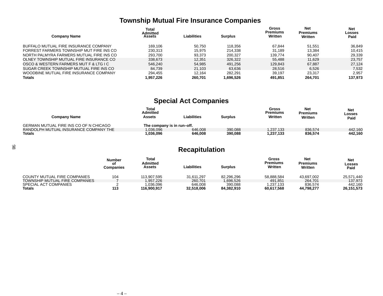### **Township Mutual Fire Insurance Companies**

|                                          | Total                            |             |                | Gross<br><b>Premiums</b> | <b>Net</b>          | <b>Net</b>     |
|------------------------------------------|----------------------------------|-------------|----------------|--------------------------|---------------------|----------------|
| Company Name                             | <b>Admitted</b><br><b>Assets</b> | Liabilities | <b>Surplus</b> | Written                  | Premiums<br>Written | Losses<br>Paid |
| BUFFALO MUTUAL FIRE INSURANCE COMPANY    | 169.106                          | 50.750      | 118.356        | 67.844                   | 51.551              | 36,849         |
| FORREST FARMERS TOWNSHIP MUT FIRE INS CO | 230,313                          | 15.975      | 214.338        | 31.189                   | 13.384              | 10.415         |
| NORTH PALMYRA FARMERS MUTUAL FIRE INS CO | 293.700                          | 93.373      | 200.327        | 139.774                  | 90.407              | 29,339         |
| OLNEY TOWNSHIP MUTUAL FIRE INSURANCE CO  | 338,673                          | 12.351      | 326.322        | 55.488                   | 11.629              | 23.757         |
| OSCO & WESTERN FARMERS MUT F & LTG I C   | 546.240                          | 54.985      | 491.256        | 129.843                  | 67.887              | 27.124         |
| SUGAR CREEK TOWNSHIP MUTUAL FIRE INS CO  | 84.739                           | 21.103      | 63.636         | 28.516                   | 6.526               | 7.532          |
| WOODBINE MUTUAL FIRE INSURANCE COMPANY   | 294.455                          | 12.164      | 282.291        | 39.197                   | 23.317              | 2,957          |
| <b>Totals</b>                            | 1,957,226                        | 260.701     | 1,696,526      | 491.851                  | 264.701             | 137.973        |

### **Special Act Companies**

|                                        | Total<br>Admitted          |             | Gross<br>Premiums | <b>Net</b><br>Premiums | <b>Net</b><br>Losses |         |
|----------------------------------------|----------------------------|-------------|-------------------|------------------------|----------------------|---------|
| <b>Company Name</b>                    | Assets                     | Liabilities | Surplus           | Written                | Written              | Paid    |
| GERMAN MUTUAL FIRE INS CO OF N CHICAGO | The company is in run-off. |             |                   |                        |                      |         |
| RANDOLPH MUTUAL INSURANCE COMPANY THE  | .036.096                   | 646,008     | 390.088           | 1.237.133              | 836.574              | 442.160 |
| Totals                                 | 0.036.096                  | 646.008     | 390.088           | 1.237.133              | 836,574              | 442.160 |

98

### **Recapitulation**

|                                | Number<br>Ωt<br>Companies | Total<br>Admitted<br>Assets | Liabilities | Surplus    | Gross<br>Premiums<br>Written | <b>Net</b><br>Premiums<br>Written | <b>Net</b><br>Losses<br>Paid |
|--------------------------------|---------------------------|-----------------------------|-------------|------------|------------------------------|-----------------------------------|------------------------------|
| COUNTY MUTUAL FIRE COMPANIES   | 104                       | 113.907.595                 | 31.611.297  | 82.296.296 | 58.888.584                   | 43.697.002                        | 25.571.440                   |
| TOWNSHIP MUTUAL FIRE COMPANIES |                           | 1.957.226                   | 260.701     | 1.696.526  | 491.851                      | 264.701                           | 137.973                      |
| SPECIAL ACT COMPANIES          |                           | .036.096                    | 646,008     | 390.088    | 1.237.133                    | 836.574                           | 442.160                      |
| <b>Totals</b>                  | 113                       | 116.900.917                 | 32.518.006  | 84.382.910 | 60.617.568                   | 44.798.277                        | 26.151.573                   |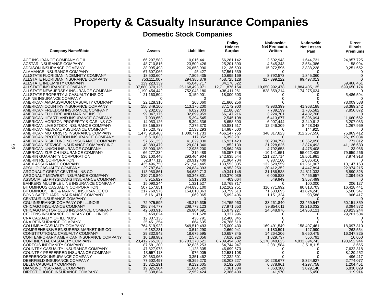## **Property & Casualty Insurance Companies**

### **Domestic Stock Companies**

| <b>Company Name/State</b>                                                      | Assets                                | <b>Liabilities</b>        |                          | <b>Nationwide</b><br><b>Net Premiums</b><br>Written | <b>Nationwide</b><br><b>Net Losses</b><br>Paid | <b>Direct</b><br>Illinois<br>Premiums |
|--------------------------------------------------------------------------------|---------------------------------------|---------------------------|--------------------------|-----------------------------------------------------|------------------------------------------------|---------------------------------------|
| ACE INSURANCE COMPANY OF IL                                                    | IL<br>66.297.583                      | 10.016.441                | 56,281,142               | 2.502.943                                           | 1,644,731                                      | 24,957,725                            |
| <b>ACSTAR INSURANCE COMPANY</b>                                                | IL<br>48,710,816                      | 23,509,426                | 25,201,390               | 4,645,343                                           | 2,554,386                                      | 58,994                                |
| ADDISON INSURANCE COMPANY                                                      | 38.995.493<br>IL                      | 26.858.990                | 12,136,503               | 15,972,595                                          | 2,838,228                                      | 9,251,652                             |
| ALAMANCE INSURANCE COMPANY                                                     | 67,607,066<br>IL.                     | 45,427                    | 67,561,639               | O                                                   |                                                |                                       |
| ALLSTATE FLORIDIAN INDEMNITY COMPANY                                           | IL<br>18,500,604                      | 7.805.435                 | 10,695,169               | 8,792,573                                           | 1,845,360                                      |                                       |
| ALLSTATE FLORIDIAN INSURANCE COMPANY                                           | IL<br>753,111,007                     | 294,385,879               | 458,725,128              | 317,399,222                                         | 99,497,013                                     |                                       |
| ALLSTATE INDEMNITY COMPANY                                                     | 129,223,339<br>IL                     | 45,046,717                | 84,176,622               | O                                                   |                                                | 69.468.461                            |
| ALLSTATE INSURANCE COMPANY                                                     | IL<br>37,880,370,125                  | 25,168,493,971            | 12,711,876,154           | 19,650,992,478                                      | 11,884,405,135                                 | 699,650,174                           |
| ALLSTATE NEW JERSEY INSURANCE COMPANY                                          | 1,190,454,442<br>IL                   | 752,043,180               | 438,411,261              | 828,859,214                                         | 174,275,024                                    |                                       |
| ALLSTATE PROPERTY & CASUALTY INS CO                                            | IL<br>21,160,504                      | 3,159,901                 | 18,000,603               |                                                     |                                                | 5,486,594                             |
| ALPINE INSURANCE COMPANY                                                       | IL                                    |                           |                          | 0<br>U                                              |                                                |                                       |
| AMERICAN AMBASSADOR CASUALTY COMPANY                                           | IL<br>22,128,316<br>150,349,100<br>IL | 268,060                   | 21,860,256<br>37,172,900 |                                                     |                                                | 78,009,538                            |
| AMERICAN COUNTRY INSURANCE COMPANY<br>AMERICAN FREEDOM INSURANCE COMPANY       | IL<br>8.202.030                       | 113,176,200<br>6.022.003  | 2,180,027                | 73,983,399<br>7,789,199                             | 41,968,188<br>1,705,582                        | 58,389,242<br>7,856,872               |
| AMERICAN FUJI FIRE AND MARINE INS CO                                           | IL<br>99,047,175                      | 32,899,959                | 66,147,216               | 3,224,701                                           | 4,482,766                                      |                                       |
| AMERICAN HEARTLAND INSURANCE COMPANY                                           | IL<br>7,939,653                       | 5,394,545                 | 2,545,108                | 6,413,677                                           | 5,396,094                                      | 11,660,662                            |
| AMERICAN HORIZON PROPERTY & CAS INS CO                                         | 14,053,126<br>IL.                     | 5,394,536                 | 8,658,590                | 6,907,444                                           | 3,240,612                                      | 3,207,033                             |
| AMERICAN LIVE STOCK INSURANCE COMPANY                                          | IL<br>58,156,887                      | 7,275,370                 | 50,881,517               | 12,246,309                                          | 8,428,348                                      | 1,267,969                             |
| AMERICAN MEDICAL ASSURANCE COMPANY                                             | 17,520,793<br>IL.                     | 2,533,293                 | 14,987,500               |                                                     | 144,925                                        |                                       |
| AMERICAN MOTORISTS INSURANCE COMPANY                                           | IL<br>1,475,919,488                   | 1,009,771,733             | 466,147,755              | 348,817,823                                         | 312,257,556                                    | 75,869,412                            |
| AMERICAN PROTECTION INSURANCE COMPANY                                          | 6,510,633<br>IL                       | 117,352                   | 6,393,281                |                                                     |                                                | 26,189,034                            |
| AMERICAN RISK FUNDING INSURANCE COMPANY                                        | IL<br>57.551.253                      | 41.629.830                | 15.921.423               | 30,204,798                                          | 10,562,056                                     | 771,812                               |
| AMERICAN SERVICE INSURANCE COMPANY INC                                         | IL<br>40,883,479                      | 29,031,340                | 11,852,139               | 21,228,625                                          | 12,874,493                                     | 41,136,683                            |
| AMERICAN UNION INSURANCE COMPANY                                               | 38,900,180<br>IL                      | 12,935,200                | 25,964,980               | 4,792,658                                           | 4,475,408                                      | 23,966                                |
| AMERICAN ZURICH INSURANCE COMPANY                                              | IL<br>66,277,234                      | 219,488                   | 66,057,746               | $-10, 141, 651$                                     | 55,022,405                                     | 79,659,266                            |
| AMERIN GUARANTY CORPORATION                                                    | IL<br>536,100,448                     | 293.464.904               | 242,635,544              | 121,227,714                                         | 18,501,981                                     | 7,974,918                             |
| AMERIN RE CORPORATION                                                          | IL<br>52,877,113                      | 20,912,409                | 31,964,704               | 6,987,160                                           | 1,036,416                                      |                                       |
| AMEX ASSURANCE COMPANY                                                         | 435,496,750<br>IL                     | 251,943,445               | 183,553,305              | 132,520,559                                         | 61,251,907                                     | 10,147,153                            |
| APOLLO CASUALTY COMPANY                                                        | IL<br>29,787,643                      | 24,834,393                | 4,953,250                | 20,412,352                                          | 4,447,894                                      | 22,974,215                            |
| ARGONAUT GREAT CENTRAL INS CO                                                  | 113,980,861<br>IL                     | 64,639,713                | 49,341,148               | 31,186,538                                          | 24,811,033                                     | 5,890,328                             |
| ARGONAUT MIDWEST INSURANCE COMPANY                                             | IL<br>210,718,840                     | 50,348,801                | 160,370,039              | 6,006,823                                           | 7,466,657                                      | 2,094,930                             |
| ASSOCIATED PHYSICIANS INSURANCE COMPANY                                        | IL<br>5,915,827                       | 5,512,763                 | 403,064                  | 549,949                                             | 3,857,499                                      |                                       |
| BANKERS MULTIPLE LINE INSURANCE COMPANY                                        | IL<br>15,090,244                      | 1,321,527                 | 13,768,717               | ŋ                                                   | 100,000                                        | 206,127                               |
| BITUMINOUS CASUALTY CORPORATION                                                | 507,157,851<br>IL.                    | 344,895,100               | 162,262,751              | 116,771,992                                         | 80,813,703                                     | 16,428,441                            |
| BITUMINOUS FIRE & MARINE INSURANCE CO                                          | IL<br>217,769,976                     | 154,010,363               | 63,759,613               | 71,633,695                                          | 41,824,243                                     | 5,580,547                             |
| BOND SAFEGUARD INSURANCE COMPANY                                               | IL<br>6,161,471                       | 1,069,065                 | 5,092,406                | 1,151,324                                           | 93,588                                         | 966,417                               |
| CENTAUR INSURANCE COMPANY                                                      | IL                                    |                           |                          | O                                                   |                                                |                                       |
| CGU INSURANCE COMPANY OF ILLINOIS                                              | IL<br>72,975,595                      | 48,219,635                | 24,755,960               | 33,261,840                                          | 23,459,547                                     | 50, 151, 359                          |
| CHICAGO INSURANCE COMPANY                                                      | IL<br>286.744.777<br>42,683,916       | 208.773.123<br>26,804,691 | 77,971,653               | 39,854,011                                          | 33,216,032                                     | 8,094,872<br>20,923,244               |
| CHICAGO MOTOR CLUB INSURANCE COMPANY<br>CITIZENS INSURANCE COMPANY OF ILLINOIS | IL<br>IL<br>3,459,624                 | 121,628                   | 15,879,227<br>3,337,996  | 24,548,976<br>0                                     | 14,958,121<br>∩                                |                                       |
| CNA CASUALTY OF ILLINOIS                                                       | 12,837,136<br>IL                      | 436,791                   | 12,400,345               | O                                                   | n                                              | 29,201,504<br>C                       |
| CNA REINSURANCE COMPANY                                                        | IL<br>25,451,254                      | 664,635                   | 24,786,619               | U                                                   |                                                | r                                     |
| COLUMBIA CASUALTY COMPANY                                                      | IL<br>764,519,923                     | 549,519,493               | 215,000,430              | 169,491,549                                         | 158,407,461                                    | 18,097,810                            |
| <b>COMPREHENSIVE ENSURERS MARKET INS CO</b>                                    | 6,182,231<br>IL                       | 3,512,290                 | 2,669,941                | 1,180,591                                           | 127,990                                        | 262,554                               |
| CONSTITUTIONAL CASUALTY COMPANY                                                | 29,332,942<br>IL.                     | 18,675,595                | 10,657,345               | 14,264,206                                          | 8,650,475                                      | 16,047,825                            |
| CONTEMPORARY AMERICAN INSURANCE COMPANY                                        | 10,188,982<br>IL                      | 2,578,056                 | 7,610,926                | 1,029,737                                           | 556,791                                        | 16,050                                |
| CONTINENTAL CASUALTY COMPANY                                                   | 23,412,765,203<br>IL                  | 16,703,270,521            | 6,709,494,682            | 5,170,848,625                                       | 4,832,694,743                                  | 190.652.944                           |
| <b>COREGIS INDEMNITY COMPANY</b>                                               | 87,581,200<br>IL.                     | 32,836,253                | 54,744,947               | 2,081,584                                           | 3,518,115                                      | 3,665                                 |
| COUNTRY CASUALTY INSURANCE COMPANY                                             | IL<br>47,827,978                      | 1,128,305                 | 46,699,673               | 0                                                   |                                                | 7,622,318                             |
| COUNTRY PREFERRED INSURANCE COMPANY                                            | 13,557,113<br>IL                      | 976,005                   | 12,581,108               | O                                                   |                                                | 8,129,252                             |
| DEERBROOK INSURANCE COMPANY                                                    | IL<br>30,683,963                      | 3,351,462                 | 27,332,501               |                                                     |                                                | 496,417                               |
| DEERFIELD INSURANCE COMPANY                                                    | 77,602,497<br>IL                      | 49,399,270                | 28,203,227               | 10,228,677                                          | 8,324,927                                      | 2,774,077                             |
| DELTA CASUALTY COMPANY                                                         | 15,325,291                            | 9,132,605                 | 6,192,686                | 6,878,961                                           | 4,297,758                                      | 1,204,451                             |
| DIAMOND INSURANCE COMPANY                                                      | 19,025,904<br>IL                      | 11,664,520                | 7,361,384                | 7,863,300                                           | 3,029,140                                      | 6,830,029                             |
| DIRECT CHOICE INSURANCE COMPANY                                                | IL<br>5,338,824                       | 2,952,424                 | 2,386,400                | 41.970                                              | 5,450                                          | 119,914                               |

99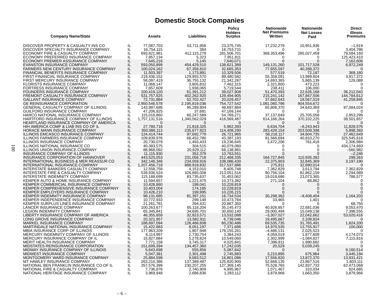### **Domestic Stock Companies**

| <b>Company Name/State</b>                                                | Assets                                  | Liabilities               | <b>Policy</b><br><b>Holders</b><br><b>Surplus</b> | <b>Nationwide</b><br>Net Premiums<br>Written | Nationwide<br><b>Net Losses</b><br>Paid | Direct<br><b>Illinois</b><br><b>Premiums</b> |
|--------------------------------------------------------------------------|-----------------------------------------|---------------------------|---------------------------------------------------|----------------------------------------------|-----------------------------------------|----------------------------------------------|
| DISCOVER PROPERTY & CASUALTY INS CO                                      | 77,087,703<br>IL                        | 53,711,958                | 23,375,745                                        | 17,232,279                                   | 10,951,936                              | –1,919                                       |
| DISCOVER SPECIALTY INSURANCE COMPANY                                     | 16,754,115<br>IL                        | 384                       | 16,753,731                                        | ŋ                                            | n                                       | 3,404,786                                    |
| ECONOMY FIRE & CASUALTY COMPANY                                          | 693,621,981<br>IL<br>IL                 | 412,115,279               | 281,506,701                                       | 369,353,496<br>$\Omega$                      | 285,027,459                             | 79,584,160                                   |
| ECONOMY PREFERRED INSURANCE COMPANY<br>ECONOMY PREMIER ASSURANCE COMPANY | 7,857,134<br>7,645,216<br>IL            | 5,323<br>5,145            | 7,851,811<br>7,640,071                            | O                                            |                                         | 125,423,410<br>7,162,606                     |
| EVANSTON INSURANCE COMPANY                                               | IL<br>593,050,899                       | 454,429,510               | 138,621,389                                       | 149, 131, 260                                | 101,717,528                             | 6,972,249                                    |
| FARMERS NEW CENTURY INSURANCE COMPANY                                    | IL.<br>100,024,162                      | 67,358,810                | 32,665,353                                        | 77,655,597                                   | 40,288,372                              | $\Omega$                                     |
| FINANCIAL BENEFITS INSURANCE COMPANY                                     | IL.<br>11,503,397                       | 1,173,891                 | 10,329,506                                        | 577,519                                      | 72,187                                  | 369,180                                      |
| FIRST FINANCIAL INSURANCE COMPANY                                        | IL<br>219,436,152                       | 129,955,570               | 89,480,582                                        | 55,358,091                                   | 13,989,604                              | 3,917,372                                    |
| FIRST MERCURY INSURANCE COMPANY                                          | 58,097,419<br>IL                        | 36,755,132                | 21,342,287                                        | 14,693,365                                   | 5,865,139                               | 126,088                                      |
| FLORISTS INSURANCE COMPANY                                               | 11,068,147<br>IL<br>IL                  | 3,605,832                 | 7,462,315                                         | 2,321,800                                    | 473,223                                 |                                              |
| FORTRESS INSURANCE COMPANY<br>FOUNDERS INSURANCE COMPANY                 | 7,657,609<br>100,419,120                | 1,938,065<br>61,391,212   | 5,719,544<br>39,027,908                           | 238,411<br>51,470,393                        | 106,000<br>22,626,168                   | 36,212,043                                   |
| FREMONT CASUALTY INSURANCE COMPANY                                       | 531,757,825<br>IL                       | 402,262,920               | 129,494,905                                       | 215,241,142                                  | 167,847,506                             | 144,784,612                                  |
| GALLANT INSURANCE COMPANY                                                | 72,731,884<br>IL                        | 52,702,427                | 20,029,457                                        | 37,662,643                                   | 18,567,019                              | 41,259,845                                   |
| GE REINSURANCE CORPORATION                                               | 2,950,546,578                           | 2,195,819,036             | 754,727,542                                       | 1,081,060,796                                | 904,554,672                             |                                              |
| GENERAL CASUALTY COMPANY OF ILLINOIS                                     | 143,987,688<br>IL                       | 95,289,804                | 48,697,884                                        | 65,806,370                                   | 34,643,369                              | 97,084,024                                   |
| GUILFORD INSURANCE COMPANY                                               | 47,206,825<br>IL                        | 37,681                    | 47,169,144                                        | O                                            |                                         |                                              |
| HARCO NATIONAL INSURANCE COMPANY                                         | 115,016,860<br>IL                       | 60,247,589                | 54,769,271                                        | 37,137,649                                   | 25,705,058                              | 2,853,299                                    |
| HARTFORD INSURANCE COMPANY OF ILLINOIS                                   | IL<br>1,757,131,516                     | 1,340,562,029             | 416,569,487                                       | 614,166,264                                  | 370,332,225                             | 38,501,657                                   |
| HEARTLAND INSURANCE COMPANY OF AMERICA                                   | IL<br>n<br>IL<br>27,780,718             | ∩                         | ∩                                                 | n<br>6,634,704                               | $-6,243,943$                            | 11,828,576                                   |
| HIH AMERICA COMP & LIAB INS CO OF IL<br>HORACE MANN INSURANCE COMPANY    | 350,086,113<br>IL                       | 21,818,325<br>235,677,823 | 5,962,393<br>114,408,290                          | 283,428,154                                  | 203,509,398                             | 5,898,383                                    |
| ILLINOIS EMCASCO INSURANCE COMPANY                                       | 124,414,744                             | 97,692,779                | 26,721,965                                        | 58,218,117                                   | 34,604,735                              | 27,462,649                                   |
| ILLINOIS FARMERS INSURANCE COMPANY                                       | IL<br>109,839,976                       | 66,452,780                | 43,387,193                                        | 81,566,694                                   | 40,810,270                              | 325,545,616                                  |
| <b>ILLINOIS INSURANCE COMPANY</b>                                        | 20,730,078<br>IL                        | 1,493,433                 | 19,236,645                                        | 3,472,206                                    | 761,418                                 | 2,306,984                                    |
| ILLINOIS NATIONAL INSURANCE CO                                           | 40,383,575                              | 304,515                   | 40,079,060                                        | U                                            | ∩                                       | 434,174,693                                  |
| ILLINOIS UNION INSURANCE COMPANY                                         | 88,968,092                              | 20,829,112                | 68,138,981                                        | U                                            | 0                                       | $-560,982$                                   |
| INSURANCE COMPANY OF ILLINOIS                                            | 11,115,930                              | 352,379                   | 10,763,551                                        |                                              |                                         | –2,246                                       |
| INSURANCE CORPORATION OF HANNOVER                                        | 443,525,053<br>IL                       | 231,056,718               | 212,468,335                                       | 164,727,845                                  | 110,935,382                             | 299,263                                      |
| <b>INTERNATIONAL BUSINESS &amp; MER REASSUR CO</b>                       | IL<br>342,146,346                       | 234,059,916               | 108,086,430                                       | 22,375,903                                   | 32,845,369                              | 3,197,190                                    |
| INTERNATIONAL INSURANCE COMPANY<br>INTERSTATE BANKERS CASUALTY COMPANY   | 1,207,456,718<br>IL<br>12,558,758<br>IL | 889,918,832<br>4,153,010  | 317,537,886<br>8,405,748                          | 275,811<br>7,362,829                         | 32,890,014<br>3,613,794                 | 7,362,829                                    |
| INTERSTATE FIRE & CASUALTY COMPANY                                       | 539,936,524<br>IL                       | 326,885,008               | 213,051,516                                       | 90,756,104                                   | 82,862,159                              | 2,294,989                                    |
| INTERSTATE INDEMNITY COMPANY                                             | 115,188,699<br>IL                       | 83,735,637                | 31,453,062                                        | 19,018,686                                   | 23,073,365                              | 786,577                                      |
| KEMPER AUTO & HOME INSURANCE COMPANY                                     | 11,594,857<br>IL                        | 1,221,475                 | 10,373,382                                        | 271,104                                      | 88,862                                  |                                              |
| KEMPER COMMERCIAL INSURANCE COMPANY                                      | 10,426,860<br>IL.                       | 198,041                   | 10,228,819                                        | ∩                                            |                                         |                                              |
| KEMPER COMPREHENSIVE INSURANCE COMPANY                                   | IL<br>10,403,004                        | 174,185                   | 10,228,819                                        | O                                            | $\Omega$                                |                                              |
| KEMPER EMPLOYERS INSURANCE COMPANY<br>KEMPER INDEMNITY INSURANCE COMPANY | 10,426,210<br>IL                        | 199,995                   | 10,226,215                                        |                                              |                                         |                                              |
|                                                                          | IL<br>98,131,685                        | 81,397,151                | 16,734,534                                        | 30,298,362                                   | $-9,408,404$                            | 1,164,203                                    |
| KEMPER INDEPENDENCE INSURANCE COMPANY                                    | IL.<br>10,772,933                       | 299,149                   | 10,473,784                                        | 33,465                                       | 1,401                                   |                                              |
| KEMPER SURPLUS LINES INSURANCE COMPANY<br>LANCER INSURANCE COMPANY       | IL<br>21,261,781<br>100,263,677<br>IL   | 394,431<br>65,118,204     | 20,867,350<br>35,145,473                          | 40,926,957                                   | 22,681,036                              | 68,750<br>9,053,470                          |
| LEGION INDEMNITY COMPANY                                                 | IL<br>65,345,841                        | 34,695,701                | 30,650,140                                        | 29.000.494                                   | 15,049,138                              | 7,398,555                                    |
| LIBERTY INSURANCE COMPANY OF AMERICA                                     | IL<br>46,355,659                        | 32,823,571                | 13,532,088                                        | $-3,307,027$                                 | 22,042,662                              | 53,020,416                                   |
| LONG GROVE INSURANCE COMPANY                                             | 20,321,957<br>IL                        | 13,582,911                | 6,739,046                                         | 19,495,667                                   | 2,339,824                               |                                              |
| MARKEL INSURANCE COMPANY                                                 | IL<br>188,697,094                       | 128,466,608               | 60,230,486                                        | 69,535,735                                   | 31,765,491                              | 1,824,200                                    |
| MARTINGALE NATIONAL INSURANCE COMPANY                                    | Ш.<br>15,422,883                        | 8,051,197                 | 7,371,686                                         | 14,970,535                                   | 13,755,917                              | 100,000                                      |
| MBIA INSURANCE CORP OF ILLINOIS                                          | IL<br>177,963,209                       | 1,807,948                 | 176, 155, 261                                     | –4,486,131                                   | 2,025,523                               |                                              |
| MERCURY INDEMNITY COMPANY OF ILLINOIS                                    | IL<br>6,114,997                         | 2,730,754                 | 3,384,243                                         | 4,059,019                                    | 1,877,609                               | 4,174,073                                    |
| MERCURY INSURANCE COMPANY OF IL<br>MERIT HEALTH INSURANCE COMPANY        | IL<br>15,827,884<br>7,771,158<br>IL     | 5,278,824<br>3,745,317    | 10,549,060<br>4,025,841                           | 2,302,999<br>7,396,811                       | $-1,084,827$<br>1.990.682               | 7,115,816                                    |
| MIDSTATES REINSURANCE CORPORATION                                        | 151,699,394<br>IL                       | 134,457,360               | 17,242,035                                        | 20,529                                       | 5,039,245                               |                                              |
| MIDWAY INSURANCE COMPANY OF ILLINOIS                                     | IL<br>5.643.698                         | 555,856                   | 5,087,842                                         |                                              |                                         | 9,160,514                                    |
| MIDWEST INSURANCE COMPANY                                                | 5,047,381                               | 2,301,498                 | 2,745,883                                         | 3,210,895                                    | 675,964                                 | 3,445,194                                    |
| MONTGOMERY WARD INSURANCE COMPANY                                        | 25,884,598<br>IL                        | 9,083,512                 | 16,801,086                                        | 17,556,820                                   | 13,872,370                              | 13,931,421                                   |
| MT HAWLEY INSURANCE COMPANY                                              | 263,210,386<br>IL                       | 137,389,487               | 125,820,900                                       | 52,668,135                                   | 23,867,516                              | 1,603,111                                    |
| NATIONAL BEN FRANKLIN INSURANCE CO OF IL                                 | IL<br>357,576,399                       | 230, 207, 255             | 127,369,145                                       | 75,528,765                                   | 142,837,733                             | 62,473,068                                   |
| NATIONAL FIRE & CASUALTY COMPANY                                         | IL<br>7,736,876                         | 2,740,909                 | 4,995,967                                         | 1,071,467                                    | 310,034                                 | 824,685                                      |
| NATIONAL HERITAGE INSURANCE COMPANY                                      | IL<br>3,969,948                         | 2,686,836                 | 1,283,112                                         | 3,879,966                                    | 1,663,350                               | 3,879,966                                    |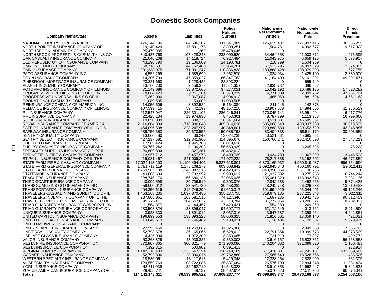### **Domestic Stock Companies**

| <b>Company Name/State</b>                                                         | <b>Assets</b>                            | Liabilities                     | <b>Policy</b><br><b>Holders</b><br><b>Surplus</b> | <b>Nationwide</b><br><b>Net Premiums</b><br>Written | Nationwide<br><b>Net Losses</b><br>Paid | <b>Direct</b><br><b>Illinois</b><br><b>Premiums</b> |
|-----------------------------------------------------------------------------------|------------------------------------------|---------------------------------|---------------------------------------------------|-----------------------------------------------------|-----------------------------------------|-----------------------------------------------------|
| NATIONAL SURETY CORPORATION                                                       | 476,144,196<br>IL.                       | 364,596,207                     | 111,547,989                                       | 126,625,487                                         | 127,997,416                             | 36,855,255                                          |
| NORTH POINTE INSURANCE COMPANY OF IL                                              | IL.<br>19,140,429                        | 15,831,178                      | 3,309,251                                         | 1,504,761                                           | 4,992,577                               | 9,517,923                                           |
| NORTHBROOK INDEMNITY COMPANY                                                      | 25,479,905<br>IL.                        | 1,260                           | 25,478,645                                        | $\Omega$                                            |                                         | 14                                                  |
| NORTHBROOK PROPERTY & CASUALTY INS CO                                             | 340,437,768<br>IL                        | 107,428,248                     | 233,009,520                                       | 34,464,558                                          | 21,903,872                              | 1,675,595                                           |
| OAK CASUALTY INSURANCE COMPANY<br>OLD REPUBLIC UNION INSURANCE COMPANY            | IL<br>21,046,208<br>43,296,790<br>IL     | 14,118,724<br>19,106,009        | 6,927,484<br>24,190,781                           | 11,043,975<br>210,799                               | 6,659,125<br>1,604,269                  | 5,573,917                                           |
| OMNI INDEMNITY COMPANY                                                            | 68,716,681<br>IL.                        | 44,762,480                      | 23,954,201                                        | 67,513,796                                          | 34,897,029                              | 2,374,025                                           |
| OMNI INSURANCE COMPANY                                                            | IL<br>281.338.075                        | 171,001,247                     | 110,336,828                                       | 189,868,428                                         | 108,379,893                             | 1,577,759                                           |
| PACO ASSURANCE COMPANY INC                                                        | 4,552,269<br>IL.                         | 1,589,699                       | 2,962,570                                         | 1,024,034                                           | 1,425,100                               | 2,330,900                                           |
| PEKIN INSURANCE COMPANY                                                           | IL.<br>114,206,790                       | 47,359,027                      | 66,847,763                                        | 41,164,403                                          | 26,101,991                              | 69,991,471                                          |
| PINEBROOK MORTGAGE INSURANCE COMPANY                                              | IL<br>23,821,660                         | 1,228,436                       | 22,593,224                                        |                                                     | 655,749                                 |                                                     |
| PLANET INDEMNITY COMPANY                                                          | 13,700,730<br>IL.                        | 2,159,372                       | 11,541,357                                        | 2,938,732                                           | 386,662                                 |                                                     |
| POTOMAC INSURANCE COMPANY OF ILLINOIS                                             | IL<br>71,149,686<br>IL.                  | 33,872,665<br>9,711,184         | 37,277,021                                        | 15,042,192                                          | 16,488,135<br>2,399,752                 | 17,528,282                                          |
| PROGRESSIVE PREMIER INS CO OF ILLINOIS<br>PROGRESSIVE UNIVERSAL INS CO OF IL      | 18,084,423<br>IL.<br>7,362,000           | 2,367,087                       | 8,373,239<br>4,994,913                            | 4,771,309<br>1,465,053                              | 881,604                                 | 47,961,701<br>14,651,168                            |
| PRONATIONAL CASUALTY COMPANY                                                      | 11,089,505<br>IL                         | 50,000                          | 11,039,505                                        |                                                     |                                         |                                                     |
| REINSURANCE COMPANY OF AMERICA INC                                                | 14,056,606<br>IL.                        | 8,892,522                       | 5,164,084                                         | $-311,245$                                          | 4,142,878                               |                                                     |
| RELIANCE INSURANCE COMPANY OF ILLINOIS                                            | 107,599,415<br>IL                        | 59,442,197                      | 48, 157, 218                                      | 23,907,678                                          | 14.894.656                              | 11,280,519                                          |
| RLI INSURANCE COMPANY                                                             | 612,547,947<br>IL                        | 326,301,106                     | 286,246,841                                       | 170,045,141                                         | 33,951,994                              | 6,917,776                                           |
| RML INSURANCE COMPANY                                                             | 22,428,134<br>IL.                        | 13,974,835                      | 8,453,301                                         | 8,787,799                                           | 1,113,968                               | 16,799,660                                          |
| ROCK RIVER INSURANCE COMPANY                                                      | IL<br>19,650,039                         | 3,308,375                       | 16,341,664                                        | 10,521,881                                          | 45,685,851                              | 22,700                                              |
| ROYAL INSURANCE COMPANY OF AMERICA                                                | IL<br>2,116,804,884                      | 1,710,990,848                   | 405,814,036                                       | 635,068,648                                         | 408,837,968                             | 36,013,525                                          |
| SAFECO INSURANCE COMPANY OF ILLINOIS<br>SAFEWAY INSURANCE COMPANY                 | 464,096,508<br>IL.<br>239,756,353<br>IL  | 323,247,907<br>89,670,555       | 140,848,601<br>150,085,798                        | 223,888,580<br>83,404,338                           | 139,653,629<br>58,511,170               | 43,945,886<br>30,603,559                            |
| SENTRY CASUALTY COMPANY                                                           | IL.<br>13,060,480                        | 36,242                          | 13,024,238                                        | 10,521,881                                          | 45,685,831                              |                                                     |
| SENTRY SELECT INSURANCE COMPANY                                                   | IL<br>427,237,581                        | 312,341,905                     | 114,895,676                                       | 150,766,241                                         | 202,410,598                             | 27,647,219                                          |
| SHEFFIELD INSURANCE CORPORATION                                                   | 17,965,424<br>IL                         | 1,945,788                       | 16,019,636                                        | $\Omega$                                            |                                         |                                                     |
| SHELBY CASUALTY INSURANCE COMPANY                                                 | IL<br>59,757,242                         | 3,106,303                       | 56,650,939                                        | 0                                                   | 3,205,586                               | 76,223                                              |
| SPECIALTY SURPLUS INSURANCE CO OF IL                                              | IL<br>20,809,894                         | 327,281                         | 20,482,613                                        | O                                                   |                                         |                                                     |
| SPRINGFIELD FIRE & CASUALTY COMPANY                                               | 13,957,712<br>IL.                        | 5,457,973                       | 8,499,739                                         | 3,034,780                                           | 1,067,299                               | 3,446,503                                           |
| ST PAUL INSURANCE COMPANY OF IL THE                                               | IL.<br>415,081,467                       | 241,009,245                     | 174,072,222                                       | 78,217,358                                          | 53,152,502                              | 46,671,859                                          |
| STATE FARM FIRE & CASUALTY COMPANY<br>STATE FARM GENERAL INSURANCE COMPANY        | IL.<br>17,024,113,203<br>1,781,717,119   | 11,196,494,401<br>1,178,108,277 | 5,827,618,801<br>603,608,842                      | 6,870,165,932<br>1,092,948,843                      | 4,950,819,987<br>400,160,791            | 596,754,690                                         |
| STATE FARM INDEMNITY COMPANY                                                      | IL.<br>IL.<br>1,759,505,738              | 1,345,082,316                   | 414,423,422                                       | 843,990,854                                         | 561,136,735                             | 29,012,411                                          |
| STATEWIDE INSURANCE COMPANY                                                       | IL<br>43,606,604                         | 33,702,992                      | 9,903,612                                         | 21,032,802                                          | 8,275,953                               | 16,744,244                                          |
| TEACHERS INSURANCE COMPANY                                                        | IL<br>228,745,170                        | 156,680,135                     | 72,065,035                                        | 185,081,320                                         | 116,992,643                             | 7,931,136                                           |
| THIRD COAST INSURANCE COMPANY                                                     | 40,009,598<br>IL                         | 30,706,510                      | 9,303,076                                         | 2,842,688                                           | 2,452,666                               | 9,374,433                                           |
| TRANSGUARD INS CO OF AMERICA INC                                                  | 59,000,012<br>IL                         | 28,541,730                      | 30,458,282                                        | 18,242,748                                          | 6,326,633                               | 13,610,438                                          |
| TRANSPORTATION INSURANCE COMPANY                                                  | IL<br>404,356,616                        | 312,746,299                     | 91,610,317                                        | 101,694,929                                         | 95,044,491                              | 49,125,246                                          |
| TRAVELERS CASUALTY AND SURETY CO OF IL                                            | 1,453,108,235<br>IL.                     | 1,097,870,480                   | 355,237,755                                       | 319,679,185                                         | 237,225,343                             | 3,022,311                                           |
| TRAVELERS INDEMNITY COMPANY OF IL THE<br>TRAVELERS PROPERTY CASUALTY INS CO OF IL | 237,808,861<br>IL.<br>IL.<br>149,776,611 | 163,681,515<br>104,657,827      | 74,127,346<br>45,118,784                          | 41,697,285<br>31,272,964                            | 30,942,436<br>23,206,827                | 90,812,459<br>18,202,887                            |
| TRIAD GUARANTY ASSURANCE CORPORATION                                              | IL.<br>11,564,877                        | 4,144,457                       | 7,420,421                                         | 1,554,280                                           | 269,269                                 |                                                     |
| TRIAD GUARANTY INSURANCE CORPORATION                                              | IL<br>233,503,824                        | 138,896,047                     | 94,607,777                                        | 62,172,549                                          | 4,013,752                               | 8,214,590                                           |
| UNIQUE INSURANCE COMPANY                                                          | IL<br>3,928,330                          | 1,891,012                       | 2,037,316                                         | 3,947,587                                           | 1,358,264                               | 4,642,861                                           |
| UNITED CAPITOL INSURANCE COMPANY                                                  | IL.<br>196,899,553                       | 138,893,228                     | 58,006,325                                        | 71,816,601                                          | 13,059,140                              | 421,021                                             |
| UNITED EQUITABLE INSURANCE COMPANY                                                | IL<br>13,849,513                         | 8,746,482                       | 5.103.031                                         | 11,126,404                                          | 6,120,387                               | 5,879,419                                           |
| UNITED MIDWEST INSURANCE COMPANY                                                  | IL<br>$\Omega$                           | O                               | $\cap$                                            | $\Omega$                                            |                                         |                                                     |
| UNITRIN DIRECT INSURANCE COMPANY                                                  | 22,595,450<br>IL                         | 11,269,082                      | 11,326,368                                        | 0                                                   | 2,049,550                               | 7,855,703                                           |
| UNIVERSAL CASUALTY COMPANY<br>USPLATE GLASS INSURANCE COMPANY                     | 52,793,678<br>IL.<br>4,425,994<br>IL     | 36,165,066<br>1,072,309         | 16,628,612<br>3,353,685                           | 22,791,854<br>1,721,919                             | 10,999,573<br>177,807                   | 44,073,539<br>409,772                               |
| VALOR INSURANCE COMPANY                                                           | IL<br>53,268,829                         | 43,938,826                      | 9,330,003                                         | 43,616,157                                          | 16,532,361                              | 56,768,558                                          |
| VESTA FIRE INSURANCE CORPORATION                                                  | 572,807,865<br>IL.                       | 300,821,779                     | 271,986,086                                       | 240,204,682                                         | 371,099,320                             | 1,156,483                                           |
| VESTA INSURANCE CORPORATION                                                       | 7,392,315<br>IL.                         | 500,902                         | 6,891,413                                         | $\Omega$                                            |                                         | 232,914                                             |
| VIRGINIA SURETY COMPANY INC                                                       | IL<br>1,442,316,483                      | 1,123,567,294                   | 318,749,189                                       | 517,420,331                                         | 397,242,151                             | 533,559,589                                         |
| WARNER INSURANCE COMPANY                                                          | IL<br>52,792,896                         | 23,030,016                      | 29,762,880                                        | 27,565,649                                          | 16,528,566                              | 488,525                                             |
| WESTERN SPECIALTY INSURANCE COMPANY                                               | IL.<br>18,536,961                        | 13,117,613                      | 5,419,348                                         | 12,328,264                                          | 2,828,090                               | 352,305                                             |
| XL SPECIALTY INSURANCE COMPANY                                                    | IL.<br>129,559,769                       | 103,722,085                     | 25,837,684                                        | 26,576,100                                          | $-22,894,948$                           | 11,881,434                                          |
| YORK INSURANCE COMPANY<br>ZURICH AMERICAN INSURANCE COMPANY OF IL                 | IL.<br>43,711,039<br>28,455,741<br>IL.   | 32,162,710<br>48.127            | 11,548,328<br>28,407,614                          | 18,919,858<br>$-5,070,823$                          | 12,652,447<br>27,511,206                | 5,842,533<br>90,878,341                             |
| <b>Totals</b>                                                                     | 114, 142, 143, 311                       | 76,533,905,522                  | 37,608,237,774                                    | 43,696,863,747                                      | 29,476,108,877                          | 5,254,003,106                                       |
|                                                                                   |                                          |                                 |                                                   |                                                     |                                         |                                                     |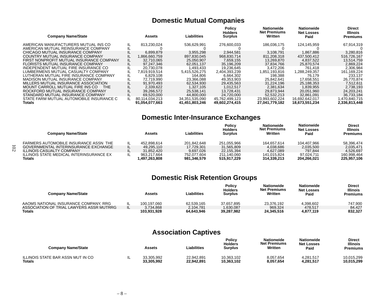### **Domestic Mutual Companies**

| <b>Company Name/State</b>                                                                                          |          | Assets                           | Liabilities                      | <b>Policy</b><br><b>Holders</b><br><b>Surplus</b> | Nationwide<br><b>Net Premiums</b><br>Written | <b>Nationwide</b><br><b>Net Losses</b><br>Paid | <b>Direct</b><br><b>Illinois</b><br>Premiums |
|--------------------------------------------------------------------------------------------------------------------|----------|----------------------------------|----------------------------------|---------------------------------------------------|----------------------------------------------|------------------------------------------------|----------------------------------------------|
| AMERICAN MANUFACTURERS MUTUAL INS CO<br>AMERICAN MUTUAL REINSURANCE COMPANY                                        |          | 813.230.024                      | 536.629.991                      | 276.600.033                                       | 186.036.175                                  | 124.145.959                                    | 67,914,319                                   |
| CHICAGO MUTUAL INSURANCE COMPANY<br>COUNTRY MUTUAL INSURANCE COMPANY                                               |          | 6.899.879<br>.866.660.759        | 3,955,298<br>897.830.045         | 2,944,581<br>968.830.714                          | 3.108.791<br>811.208.318                     | 1,867,886<br>437.500.412                       | 3,280,816<br>516.726.167                     |
| FIRST NONPROFIT MUTUAL INSURANCE COMPANY<br>FLORISTS MUTUAL INSURANCE COMPANY                                      | IL<br>IL | 32.710.065<br>97.247.346         | 25.050.907<br>62.051.137         | 7.659.155<br>35,196,209                           | 13.269.870<br>37.834.766                     | 4.837.522<br>25.870.574                        | 13.514.759<br>2,869,224                      |
| INDEPENDENT MUTUAL FIRE INSURANCE CO<br>LUMBERMENS MUTUAL CASUALTY COMPANY                                         |          | 20.730.078<br>7.819.919.514      | 1.493.433<br>5,415,526,275       | 19.236.645<br>2,404,393,239                       | 3.472.206<br>1.851.193.816                   | 761.418<br>1,288,249,357                       | 2.306.984<br>161,169,224                     |
| I UTHERAN MUTUAL FIRE INSURANCE COMPANY<br>MADISON MUTUAL INSURANCE COMPANY                                        | IL       | 6.829.108<br>72.719.990          | 164.806<br>23.366.088            | 6.664.302<br>49.353.903                           | 198.388<br>25.842.641                        | 76.179<br>17.658.551                           | 233.137<br>26.770.874                        |
| MILLERS MUTUAL INSURANCE ASSOCIATION<br>MOUNT CARROLL MUTUAL FIRE INS CO<br>THF.                                   |          | 91.970.493<br>2.339.622          | 62.534.930<br>1.327.105          | 29.435.563<br>1.012.517                           | 31.224.196<br>2.381.634                      | 25.188.353<br>1.839.955                        | 7.512.611<br>2,738,193                       |
| ROCKFORD MUTUAL INSURANCE COMPANY<br>STANDARD MUTUAL INSURANCE COMPANY<br>STATE FARM MUTUAL AUTOMOBILE INSURANCE C |          | 39.266.572<br>69.520.000         | 25.538.141<br>44,800,000         | 13.728.431<br>24.720.000                          | 29.873.944<br>52.532.213<br>23.993.602.224   | 20.051.960<br>32.861.091                       | 24.203.241<br>36,733,184                     |
| Totals                                                                                                             | IL.      | 80.114.034.213<br>91.054.077.663 | 34.351.535.090<br>41.451.803.246 | 45.762.499.123<br>49.602.274.415                  | 27.041.779.182                               | 16.692.642.017<br>18.673.551.234               | 1,470,840,715<br>2.336.813.448               |

### **Domestic Inter-Insurance Exchanges**

|                               | <b>Company Name/State</b>                | Assets        | <b>Liabilities</b> | Policy<br><b>Holders</b><br><b>Surplus</b> | <b>Nationwide</b><br><b>Net Premiums</b><br>Written | <b>Nationwide</b><br><b>Net Losses</b><br>Paid | <b>Direct</b><br><b>Illinois</b><br><b>Premiums</b> |
|-------------------------------|------------------------------------------|---------------|--------------------|--------------------------------------------|-----------------------------------------------------|------------------------------------------------|-----------------------------------------------------|
|                               | FARMERS AUTOMOBILE INSURANCE ASSN THE    | 452.898.614   | 201.842.648        | 251.055.966                                | 164.657.614                                         | 104.407.966                                    | 58.396.474                                          |
| $\overline{\phantom{0}}$<br>○ | GOVERNMENTAL INTERINSURANCE EXCHANGE     | 49.295.110    | 17.729.301         | 31.565.809                                 | 4.038.686                                           | 2.035.500                                      | 2.035.471                                           |
| N                             | ILLINOIS CASUALTY COMPANY                | 31.852.420    | 9.697.026          | 22.155.394                                 | 4.627.089                                           | 797.844                                        | 4.526.697                                           |
|                               | ILLINOIS STATE MEDICAL INTERINSURANCE EX | 963.217.664   | 752.077.604        | 211.140.060                                | 141.015.824                                         | 97.024.711                                     | 160.998.464                                         |
|                               | Totals                                   | 1.497.263.808 | 981.346.579        | 515.917.229                                | 314.339.213                                         | 204.266.021                                    | 225.957.106                                         |

### **Domestic Risk Retention Groups**

| <b>Company Name/State</b>                |    | Assets      | <b>Liabilities</b> | Policv<br>Holders<br>Surplus | <b>Nationwide</b><br><b>Net Premiums</b><br>Written | <b>Nationwide</b><br><b>Net Losses</b><br>Paid | Direct<br><b>Illinois</b><br>Premiums |
|------------------------------------------|----|-------------|--------------------|------------------------------|-----------------------------------------------------|------------------------------------------------|---------------------------------------|
| AAOMS NATIONAL INSURANCE COMPANY, RRG    | IL | 100.197.060 | 62.539.165         | 37.657.895                   | 23.376.192                                          | 4.398.602                                      | 747.900                               |
| ASSOCIATION OF TRIAL LAWYERS ASSR MUTRRG |    | 3.734.868   | 2.104.781          | 1.630.087                    | 969.324                                             | 478.517                                        | 84.427                                |
| Totals                                   |    | 103,931,928 | 64.643.946         | 39.287.982                   | 24.345.516                                          | 4,877,119                                      | 832.327                               |

### **Association Captives**

| <b>Company Name/State</b>         |     | Assets     | .iabilities | <b>Policy</b><br><b>Holders</b><br>Surplus | <b>Nationwide</b><br><b>Net Premiums</b><br>Written | <b>Nationwide</b><br><b>Net Losses</b><br>Paid | <b>Direct</b><br><b>Illinois</b><br><b>Premiums</b> |
|-----------------------------------|-----|------------|-------------|--------------------------------------------|-----------------------------------------------------|------------------------------------------------|-----------------------------------------------------|
| ILLINOIS STATE BAR ASSN MUT IN CO | . . | 33.305.992 | 22.942.891  | 10.363.102                                 | 8.057.654                                           | 4.281.517                                      | 10.015.299                                          |
| <b>Totals</b>                     |     | 33.305.992 | 22.942.891  | 10.363.102                                 | 8,057,654                                           | 4,281,517                                      | 10,015,299                                          |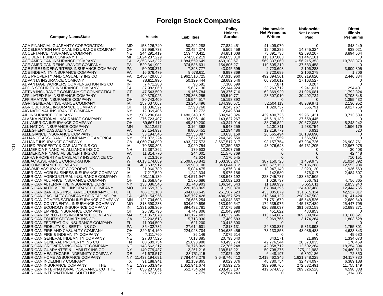| <b>Company Name/State</b>                                                    |                        | Assets                       | Liabilities                | <b>Policy</b><br><b>Holders</b><br>Surplus | <b>Nationwide</b><br><b>Net Premiums</b><br>Written | Nationwide<br><b>Net Losses</b><br>Paid | <b>Direct</b><br><b>Illinois</b><br><b>Premiums</b> |
|------------------------------------------------------------------------------|------------------------|------------------------------|----------------------------|--------------------------------------------|-----------------------------------------------------|-----------------------------------------|-----------------------------------------------------|
| ACA FINANCIAL GUARANTY CORPORATION                                           | MD                     | 158,126,740                  | 80,292,288                 | 77,834,451                                 | 41,409,070                                          |                                         | 848,249                                             |
| ACCELERATION NATIONAL INSURANCE COMPANY                                      | OН                     | 27,959,733                   | 22,454,274                 | 5,505,459                                  | 12,408,285                                          | 14,745,324                              | 638,021                                             |
| ACCEPTANCE INSURANCE COMPANY                                                 | <b>NE</b>              | 244,291,419                  | 159,440,411                | 84,851,008                                 | 75,891,738                                          | 62,893,207                              | 8,894,564                                           |
| ACCIDENT FUND COMPANY THE                                                    | MI                     | 1,024,237,229                | 674,582,219                | 349,655,010                                | 115,107,088                                         | 91,447,101                              | n                                                   |
| ACE AMERICAN INSURANCE COMPANY                                               | PA                     | 2,353,663,322                | 1,884,559,649              | 469,103,671                                | 569,337,060                                         | $-156, 215, 353$                        | 19,733,870                                          |
| ACE AMERICAN REINSURANCE COMPANY                                             | PA                     | 529,341,902                  | 374,535,631                | 154,806,271                                | –119,605,219                                        | 37,683,458                              |                                                     |
| ACE FIRE UNDERWRITERS INSURANCE COMPANY                                      | PA<br>PA               | 50,939,371                   | 7,893,777                  | 43,045,595                                 | 2,720,693                                           | 2,106,283                               | 3,909,305                                           |
| ACE INDEMNITY INSURANCE COMPANY<br>ACE PROPERTY AND CASUALTY INS CO          | PA                     | 16,676,479<br>2,450,429,688  | 9,678,611<br>1,962,510,725 | 6,997,869<br>487,918,960                   | 2,720,689<br>492,894,561                            | 2,106,278<br>206,219,620                | 1,806<br>2,446,334                                  |
| ADVANTA INSURANCE COMPANY                                                    | AZ                     | 78,811,990                   | 50,129,444                 | 28,682,546                                 | 60,750,612                                          | 17,163,527                              |                                                     |
| ADVANTAGE WORKERS COMPENSATION INS CO                                        | IN                     | 7,471,280                    | 90,581                     | 7,380,699                                  | 7,871                                               | 3,207                                   |                                                     |
| AEGIS SECURITY INSURANCE COMPANY                                             | PA                     | 37,982,060                   | 15,637,136                 | 22,344,924                                 | 23.263.712                                          | 9.941.631                               | 294.401                                             |
| AETNA INSURANCE COMPANY OF CONNECTICUT                                       | <b>CT</b>              | 47,543,500                   | 9,166,784                  | 38,376,716                                 | 62,869,920                                          | 31,026,081                              | 1,792,324                                           |
| AFFILIATED F M INSURANCE COMPANY                                             | R <sub>l</sub>         | 199,379,026                  | 129,868,255                | 69,510,771                                 | 23,507,010                                          | 30,402,734                              | 3,703,348                                           |
| AFFIRMATIVE INSURANCE COMPANY                                                | OH                     | 30,743,409                   | 15,544,517                 | 15,198,892                                 |                                                     | C                                       | 1,355,432                                           |
| AGRI GENERAL INSURANCE COMPANY                                               | IA                     | 157,637,067                  | 23,246,496                 | 134,390,571                                | 82,504,113                                          | 48,989,971                              | 2,136,952                                           |
| AGRICULTURAL INSURANCE COMPANY                                               | OΗ                     | 11,836,527                   | 2,590,760                  | 9,245,767                                  | 1,029,737                                           | 556,791                                 | 9,027,759                                           |
| AIG NATIONAL INSURANCE COMPANY<br>AIU INSURANCE COMPANY                      | <b>NY</b><br><b>NY</b> | 12,069,406                   | 19,772<br>1,480,343,315    | 12,049,634<br>504,943,326                  | 439,400,726                                         | C<br>192,951,421                        |                                                     |
| ALASKA NATIONAL INSURANCE COMPANY                                            | AK                     | 1,985,286,641<br>276,723,407 | 133,096,140                | 143,627,267                                | 45,619,139                                          | 27,658,445                              | 3,713,589                                           |
| ALL AMERICA INSURANCE COMPANY                                                | OH                     | 89,667,115                   | 49,319,200                 | 40,347,914                                 | 38,706,822                                          | 20,672,083                              | 5,243,242                                           |
| ALL NATION INSURANCE COMPANY                                                 | <b>MN</b>              | 9,112,627                    | 3,164,368                  | 5,948,259                                  | 1,130,311                                           | 1,988,754                               | 1,596,179                                           |
| ALLEGHENY CASUALTY COMPANY                                                   | PA                     | 23,154,937                   | 9,860,451                  | 13,294,486                                 | 12,219,779                                          | 6,631                                   | 520                                                 |
| ALLEGIANCE INSURANCE COMPANY                                                 | CA                     | 33,194,546                   | 22,556,387                 | 10,638,159                                 | 26,565,494                                          | 16,189,690                              | $\cup$                                              |
| ALLIANCE ASSURANCE COMPANY OF AMERICA                                        | <b>NY</b>              | 251,872,224                  | 7,622,674                  | 244,249,550                                | 111,559                                             | 1,666,508                               |                                                     |
| ALLIANZ INSURANCE COMPANY                                                    | CA                     | 4,060,794,890                | 493,277,573                | 3,567,517,317                              | 93, 157, 754                                        | 67,934,726                              | 26,903,761                                          |
| ALLIED PROPERTY & CASUALTY INS CO                                            | IA                     | 70,380,305                   | 3,020,754                  | 67,359,552                                 | -43,976,648                                         | 46,731,205                              | 12,967,975                                          |
| ALLMERICA FINANCIAL ALLIANCE INS CO                                          | <b>NH</b>              | 12,387,362                   | 179.603                    | 12,207,759                                 | $\Omega$                                            | $\Omega$                                | 30,408                                              |
| ALLMERICA FINANCIAL BENEFIT INS CO                                           | PA                     | 11.814.770                   | 244.001                    | 11,570,769                                 | $\Omega$<br>$\Omega$                                | $\Omega$                                | 42,448                                              |
| ALPHA PROPERTY & CASUALTY INSURANCE CO<br>AMBAC ASSURANCE CORPORATION        | WI<br>WI               | 7,213,169<br>4,013,174,089   | 42,624<br>2,509,870,842    | 7,170,545<br>1,503,303,247                 | 387, 150, 726                                       | 1.459.973                               | 710,151<br>31,014,892                               |
| AMCO INSURANCE COMPANY                                                       | IA                     | 403,632,912                  | 59,988,100                 | 343,644,812                                | $-168,577,150$                                      | 179,136,288                             | 12,553,984                                          |
| AMCOMP ASSURANCE CORPORATION                                                 | FL                     | 21,960,789                   | 15,084,475                 | 6,876,314                                  | 18,947,140                                          | 2,020,120                               | 1,936,563                                           |
| AMERICAN AGRI BUSINESS INSURANCE COMPANY                                     | IA                     | 7,217,520                    | 1,242,334                  | 5,975,186                                  | 142,580                                             | 676,017                                 | 2,484,607                                           |
| AMERICAN AGRICULTURAL INSURANCE COMPANY                                      | IN                     | 603,115,139                  | 314,571,947                | 288,543,192                                | 223,745,737                                         | 183,857,505                             | $\Omega$                                            |
| AMERICAN ALLIANCE INSURANCE COMPANY                                          | OΗ                     | 12,658,849                   | 2,576,686                  | 10,082,163                                 | 1,029,737                                           | 556,791                                 | 4,756,865                                           |
| AMERICAN ALTERNATIVE INSURANCE CORP                                          | <b>NY</b>              | 138,086,546                  | 31,740,903                 | 106,345,643                                | 11,189,939                                          | 5,655,011                               | 2,853,940                                           |
| AMERICAN AUTOMOBILE INSURANCE COMPANY                                        | <b>MO</b>              | 311,559,735                  | 220,168,865                | 91,390,870                                 | 67,044,396                                          | 124,407,468                             | 12,444,765                                          |
| AMERICAN BANKERS INSURANCE COMPANY OF FL                                     | FL                     | 766,171,168                  | 504,603,645                | 261,567,523                                | 433,805,879                                         | 131,515,114                             | 42,527,317                                          |
| AMERICAN CASUALTY COMPANY OF READING PA                                      | PA                     | 1,450,154,956                | 965,797,428                | 484, 357, 529                              | 318,644,129                                         | 298,247,503                             | 14, 141, 424                                        |
| AMERICAN COMPENSATION INSURANCE COMPANY                                      | <b>MN</b><br><b>MO</b> | 122,734,608<br>818,590,233   | 76,686,254<br>634,649,686  | 46,048,357                                 | 71,751,679                                          | 45,548,526                              | 2,689,849                                           |
| AMERICAN CONTINENTAL INSURANCE COMPANY<br>AMERICAN ECONOMY INSURANCE COMPANY | IN                     | 1,331,508,369                | 894,432,781                | 183,940,547<br>437,075,588                 | 174,535,975<br>626,888,037                          | 145,787,489<br>391,030,159              | 25,447,795<br>52,698,271                            |
| AMERICAN EMPIRE INSURANCE COMPANY                                            | OH                     | 25,791,796                   | 4,747,806                  | 21,043,990                                 | 451,622                                             | 480,853                                 |                                                     |
| AMERICAN EMPLOYERS INSURANCE COMPANY                                         | <b>MA</b>              | 531, 367, 078                | 341,127,481                | 190,239,596                                | 113,164,687                                         | 369,389,964                             | 13,160,521                                          |
| AMERICAN EQUITY SPECIALTY INS CO                                             | CA                     | 23,202,613                   | 15,713,030                 | 7,489,583                                  | 9,969,765                                           | 3,174,264                               | 1,803,628                                           |
| AMERICAN FEDERATION INSURANCE COMPANY                                        | FL                     | 11,034,500                   | 621,200                    | 10,413,300                                 |                                                     |                                         |                                                     |
| AMERICAN FIDELITY & LIBERTY INS CO                                           | PA                     | 35,432,732                   | 27.614.601                 | 7,818,131                                  | 24.300.837                                          | 5,813,993                               | 1,755,801                                           |
| AMERICAN FIRE AND CASUALTY COMPANY                                           | OΗ                     | 329,614,160                  | 224,928,704                | 104,685,456                                | 73,133,853                                          | 48,086,483                              | 4,633,843                                           |
| AMERICAN FIRE & INDEMNITY COMPANY                                            | ТX                     | 7,111,760                    | 36,146                     | 7,075,614                                  |                                                     |                                         | 49,680                                              |
| AMERICAN GENERAL INDEMNITY COMPANY                                           | <b>NE</b>              | 27,807,525                   | 7,013,885                  | 20,793,640                                 | 843,171                                             | 21,893                                  | 1,334,073                                           |
| AMERICAN GENERAL PROPERTY INS CO                                             | <b>TN</b><br><b>NE</b> | 68,589,754                   | 25,093,980                 | 43,495,774                                 | 42,776,544                                          | 20,570,035                              | 170,469                                             |
| AMERICAN GROWERS INSURANCE COMPANY<br>AMERICAN GUARANTEE & LIABILITY INS CO  | <b>NY</b>              | 143,562,217<br>140.779.437   | 70,776,969<br>2,261,216    | 72,785,248<br>138,518,221                  | 42,058,712<br>–50,708,275                           | 12,502,264<br>275,111,983               | 18,254,894<br>24,460,513                            |
| AMERICAN HEALTHCARE INDEMNITY COMPANY                                        | DE                     | 61,678,517                   | 33,751,115                 | 27,927,402                                 | 6,448,197                                           | 6,892,186                               | 72,350                                              |
| AMERICAN HOME ASSURANCE COMPANY                                              | <b>NY</b>              | 11,433,194,691               | 7,784,448,279              | 3,648,746,412                              | 2,418,462,346                                       | 1,621,348,228                           | 34, 117, 730                                        |
| AMERICAN INDEMNITY COMPANY                                                   | <b>TX</b>              | 91,188,941                   | 82,159,865                 | 9,029,076                                  | 48,780,754                                          | 32,474,097                              | 6,389,188                                           |
| AMERICAN INSURANCE COMPANY<br>THE                                            | <b>NE</b>              | 1,399,533,949                | 1,052,941,674              | 346,592,275                                | 389,969,765                                         | 272,832,491                             | 11,755,149                                          |
| AMERICAN INTERNATIONAL INSURANCE CO THE                                      | NY                     | 856,207,641                  | 652,754,534                | 203,453,107                                | 419,674,655                                         | 289,326,528                             | 4,598,888                                           |
| AMERICAN INTERNATIONAL SOUTH INS CO                                          | PA                     | 25,572,022                   | 7,779                      | 25,564,243                                 | ∩                                                   | $\Omega$                                | 1,314,335                                           |

103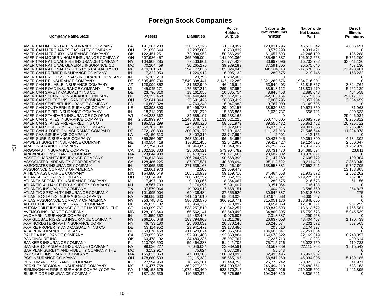| <b>Company Name/State</b>                                                      |                        | <b>Assets</b>              | Liabilities                | <b>Policy</b><br><b>Holders</b><br><b>Surplus</b> | <b>Nationwide</b><br><b>Net Premiums</b><br>Written | <b>Nationwide</b><br><b>Net Losses</b><br>Paid | <b>Direct</b><br><b>Illinois</b><br><b>Premiums</b> |
|--------------------------------------------------------------------------------|------------------------|----------------------------|----------------------------|---------------------------------------------------|-----------------------------------------------------|------------------------------------------------|-----------------------------------------------------|
| AMERICAN INTERSTATE INSURANCE COMPANY                                          | LA                     | 191,287,283                | 120, 167, 325              | 71,119,957                                        | 120,831,796                                         | 46,512,342                                     | 4,006,491                                           |
| AMERICAN MERCHANTS CASUALTY COMPANY                                            | OH                     | 21,056,644                 | 12,287,805                 | 8,768,839                                         | 8,579,998                                           | 4,931,421                                      |                                                     |
| AMERICAN MERCURY INSURANCE COMPANY<br>AMERICAN MODERN HOME INSURANCE COMPANY   | OK<br>OH               | 122,451,251<br>507,986,457 | 72,094,953<br>365,995,094  | 50,356,299<br>141,991,360                         | 61,057,593<br>285,459,387                           | 42,246,109<br>106,912,563                      | 135,288                                             |
| AMERICAN NATIONAL FIRE INSURANCE COMPANY                                       | <b>NY</b>              | 104,908,285                | 77,133,861                 | 27,774,423                                        | 30,892,096                                          | 16,703,732                                     | 5,752,290<br>33,041,120                             |
| AMERICAN NATIONAL GENERAL INSURANCE CO                                         | <b>MO</b>              | 70,204,459                 | 30,265,270                 | 39,939,189                                        | 37,591,805                                          | 25,575,646                                     | 457,136                                             |
| AMERICAN NATIONAL PROPERTY & CASUALTY CO                                       | <b>MO</b>              | 479,201,681                | 294,177,635                | 185,024,046                                       | 348,204,113                                         | 217,678,586                                    | 22,493,481                                          |
| AMERICAN PREMIER INSURANCE COMPANY                                             | IN                     | 7,322,050                  | 1,226,918                  | 6,095,132                                         | 280,575                                             | 219,746                                        | 158,232                                             |
| AMERICAN PROFESSIONALS INSURANCE COMPANY                                       | IN                     | 6.303,219                  | 20,756                     | 6,282,463                                         | $\Omega$                                            | ∩                                              |                                                     |
| AMERICAN RE INSURANCE COMPANY                                                  | DE                     | 9,695,450,730              | 7,549,338,441              | 2,146,112,289                                     | 2,821,260,576                                       | 1,984,716,001                                  |                                                     |
| AMERICAN RELIABLE INSURANCE COMPANY                                            | AZ                     | 128,099,852                | 81,682,940                 | 46,416,912                                        | 53,940,403                                          | 31,815,867                                     | 3,324,764                                           |
| AMERICAN ROAD INSURANCE COMPANY<br><b>THE</b>                                  | MI                     | 445,045,171                | 175,587,212                | 269,457,959                                       | 88,518,122                                          | 113,831,279                                    | 5,262,139                                           |
| AMERICAN SAFETY CASUALTY INS CO<br>AMERICAN SECURITY INSURANCE COMPANY         | DE<br>DE               | 23,796,810<br>520,252,458  | 13,161,056<br>318,440,441  | 10,635,754<br>201,812,017                         | 8,848,458<br>342, 163, 164                          | 2,880,048                                      | 454,558                                             |
| AMERICAN SELECT INSURANCE COMPANY                                              | OH                     | 52,041,844                 | 23,691,425                 | 28,350,419                                        | 17,060,796                                          | 56,615,055<br>11,057,954                       | 29,017,133<br>3,564,459                             |
| AMERICAN SENTINEL INSURANCE COMPANY                                            | PA                     | 10,808,328                 | 4,760,340                  | 6,047,988                                         | 9,767,000                                           | 3,149,695                                      |                                                     |
| AMERICAN SOUTHERN INSURANCE COMPANY                                            | KS                     | 83,898,890                 | 54,496,733                 | 29,402,157                                        | 38,530,332                                          | 19,521,350                                     | 31,968                                              |
| AMERICAN SPIRIT INSURANCE COMPANY                                              | IN                     | 18,218,235                 | 2,581,370                  | 15,636,865                                        | 1,029,737                                           | 556,791                                        | 399,533                                             |
| AMERICAN STANDARD INSURANCE CO OF WI                                           | WI                     | 244,223,362                | 84,585,197                 | 159,638,165                                       |                                                     |                                                | 29,046,034                                          |
| AMERICAN STATES INSURANCE COMPANY                                              | IN                     | 2,381,999,977              | 1,248,378,751              | 1,133,621,226                                     | 850,776,605                                         | 530,683,789                                    | 78,285,812                                          |
| AMERICAN STATES PREFERRED INS CO                                               | IN                     | 186,552,299                | 127,980,320                | 58,571,979                                        | 89,555,432                                          | 55,861,452                                     | 26,725,722                                          |
| AMERICAN SURETY & CASUALTY COMPANY                                             | <b>FL</b>              | 59,787,180                 | 42,714,578                 | 17,072,602                                        | 35,073,816                                          | 29,801,365                                     | 2,256,969                                           |
| AMERICAN & FOREIGN INSURANCE COMPANY                                           | DE<br>LA               | 372,180,800                | 300,079,172                | 72,101,628                                        | 111, 137, 013                                       | 71,546,644                                     | 11,024,078                                          |
| AMERICAS INSURANCE COMPANY<br>AMERISURE INSURANCE COMPANY                      | MI                     | 42,150,313<br>359,856,067  | 8,402,319<br>263,391,414   | 33,747,994<br>96,464,652                          | –2,901<br>80,437,945                                | 412,156<br>59,351,800                          | 4,734,302                                           |
| AMWEST SURETY INSURANCE COMPANY                                                | <b>NE</b>              | 140,554,418                | 107,911,456                | 32,642,962                                        | 79,412,427                                          | 19,124,825                                     | 2,560,047                                           |
| ARAG INSURANCE COMPANY                                                         | IA                     | 27,794,359                 | 10,944,652                 | 16,849,707                                        | 24,258,665                                          | 16,814,625                                     | 1,782,976                                           |
| ARGONAUT INSURANCE COMPANY                                                     | CA                     | 1,302,510,303              | 728,605,521                | 573,904,782                                       | 83,731,470                                          | 104,080,674                                    | 23,611                                              |
| ARKWRIGHT INSURANCE COMPANY                                                    | MA                     | 323,644,980                | 33,473,377                 | 290,171,603                                       | 28,687,002                                          | 10,978,091                                     |                                                     |
| ASSET GUARANTY INSURANCE COMPANY                                               | <b>NY</b>              | 296,813,366                | 206,244,976                | 90,568,390                                        | 71,147,260                                          | 7,608,772                                      | 109,904                                             |
| ASSOCIATED INDEMNITY CORPORATION                                               | CA                     | 128,486,225                | 87,977,531                 | 40,508,694                                        | 35, 112, 522                                        | 19,311,438                                     | 2,853,940                                           |
| ASSOCIATES INSURANCE COMPANY                                                   | IN                     | 492,965,358                | 271,539,168                | 221,426,190                                       | 158,553,881                                         | 57,652,541                                     | 6,727,705                                           |
| ASSURANCE COMPANY OF AMERICA                                                   | <b>NY</b>              | 23,661,973                 | 2,500                      | 23,659,473                                        | ∩                                                   | $\Omega$                                       | 13,188,805                                          |
| ATHENA ASSURANCE COMPANY<br>ATLANTA CASUALTY COMPANY                           | <b>MN</b><br>OH        | 164,880,649<br>379,634,991 | 105,710,939<br>280,582,252 | 59,169,710<br>99,052,739                          | 34,464,558<br>279,619,827                           | 21,903,872<br>219,225,310                      | 2,502,202<br>237,805                                |
| ATLANTA SPECIALTY INSURANCE COMPANY                                            | IA                     | 17,497,133                 | 9,133,066                  | 8,364,067                                         | 280,575                                             | 216,678                                        | 61,156                                              |
| ATLANTIC ALLIANCE FID & SURETY COMPANY                                         | <b>NJ</b>              | 8,567,703                  | 3,176,096                  | 5,391,607                                         | 3,351,064                                           | 706,188                                        |                                                     |
| ATLANTIC INSURANCE COMPANY                                                     | <b>TX</b>              | 37,579,064                 | 19,920,913                 | 17,658,151                                        | 11,004,926                                          | 3,588,560                                      | 254,827                                             |
| ATLANTIC SPECIALTY INSURANCE COMPANY                                           | <b>NY</b>              | 101,995,004                | 64,439,484                 | 37,555,520                                        | 30,946,887                                          | $-19,818,580$                                  | 275                                                 |
| ATLANTIC STATES INSURANCE COMPANY                                              | PA                     | 209,685,630                | 141, 167, 610              | 68,518,020                                        | 102,676,688                                         | 53,060,887                                     |                                                     |
| ATLAS ASSURANCE COMPANY OF AMERICA                                             | <b>NY</b>              | 953,748,341                | 586,829,570                | 366,918,771                                       | 315,051,186                                         | 188,848,005                                    |                                                     |
| AUTO CLUB FAMILY INSURANCE COMPANY                                             | <b>MO</b>              | 26,635,132                 | 13,964,235                 | 12,670,897                                        | 19,654,059                                          | 12,136,691                                     | 931,295                                             |
| AUTOMOBILE INSURANCE CO OF HARTFORD THE<br>AVEMCO INSURANCE COMPANY            | <b>CT</b><br><b>MD</b> | 749,099,767                | 538,257,510<br>65,562,141  | 210,842,257<br>62,540,499                         | 159,839,593                                         | 118,612,672                                    | 1,766,581                                           |
| AVOMARK INSURANCE COMPANY                                                      | IN                     | 128,102,640<br>21,559,352  | 12,482,448                 | 9,076,907                                         | 34,860,305<br>7,313,387                             | 15,759,678<br>4,299,268                        | 5,045,539                                           |
| AXA GLOBAL RISKS US INSURANCE COMPANY                                          | <b>NY</b>              | 266,106,048                | 183,794,963                | 82,311,085                                        | 26,637,058                                          | 48,404,457                                     | 1,170,433                                           |
| AXA NORDSTERN ART INSURANCE CORP                                               | <b>NY</b>              | 46,733,180                 | 25,863,032                 | 20,870,148                                        | 20,246,074                                          | 5,201,572                                      | 857,565                                             |
| AXA RE PROPERTY AND CASUALTY INS CO                                            | DE                     | 53,114,952                 | 29,941,472                 | 23,173,480                                        | 203,510                                             | 2,174,327                                      |                                                     |
| AXA REINSURANCE COMPANY                                                        | DE                     | 660,676,458                | 411,620,874                | 249,055,584                                       | 134,686,347                                         | 97,251,054                                     |                                                     |
| <b>BALBOA INSURANCE COMPANY</b>                                                | CA                     | 350,852,352                | 157,991,468                | 192,860,884                                       | 164,678,522                                         | 92,169,019                                     | 6,743,097                                           |
| <b>BANCINSURE INC</b>                                                          | OK                     | 60,478,102                 | 34,480,335                 | 25,997,767                                        | 17,226,713                                          | 7,110,298                                      | 409,614                                             |
| BANKERS INSURANCE COMPANY                                                      | <b>FL</b>              | 110,706,593                | 59.464.888                 | 51.241.705                                        | 75,715,726                                          | 25,023,750                                     | 110,733                                             |
| BANKERS STANDARD INSURANCE COMPANY<br>BAR PLAN SURETY AND FIDELITY COMPANY THE | PA<br><b>MO</b>        | 99,036,227<br>3,152,917    | 76,046,634<br>75,624       | 22,989,591                                        | 28,567,339                                          | 22,115,983<br>$\Omega$                         | 1,515,549                                           |
| BAY STATE INSURANCE COMPANY                                                    | MA                     | 155,023,363                | 47,000,268                 | 3,077,293<br>108,023,095                          | 55,643<br>32,493,495                                | 16,967,987                                     |                                                     |
| BCS INSURANCE COMPANY                                                          | OH                     | 178,680,533                | 82,115,338                 | 96,565,195                                        | 58,847,260                                          | 45,034,005                                     | 5,139,185                                           |
| BENCHMARK INSURANCE COMPANY                                                    | KS                     | 27,994,959                 | 16,545,201                 | 11,449,758                                        | 26,775,242                                          | 20,823,805                                     | 41,971                                              |
| BERKLEY REGIONAL INSURANCE COMPANY                                             | <b>MO</b>              | 616,477,758                | 362,277,229                | 254,200,529                                       | 246,494,219                                         | 205,480,551                                    | 688,163                                             |
| BIRMINGHAM FIRE INSURANCE COMPANY OF PA                                        | PA                     | 1,596,153,675              | 1,072,483,460              | 523,670,215                                       | 318,304,016                                         | 219,035,592                                    | 1,421,895                                           |
| BLUE RIDGE INSURANCE COMPANY                                                   | CT                     | 187, 129, 539              | 110,552,874                | 76,576,665                                        | 104,340,810                                         | 48,806,621                                     | ∩                                                   |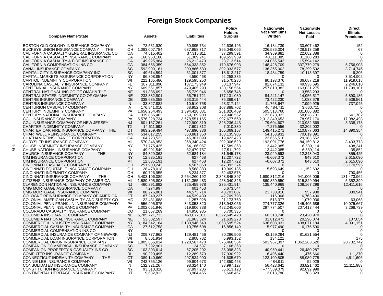| 30,607,462<br>BOSTON OLD COLONY INSURANCE COMPANY<br>МA<br>73.531.930<br>50,895,734<br>152<br>22,636,196<br>16,184,739<br>BUCKEYE UNION INSURANCE COMPANY<br>OH<br>1,083,007,784<br>687,958,717<br>395,049,066<br>226,586,304<br>428,513,259<br>67<br><b>THE</b><br>CALIFORNIA CASUALTY GENERAL INSURANCE CO<br>CA<br>74,615,402<br>37,315,811<br>37,299,591<br>34,989,881<br>22,682,388<br>CALIFORNIA CASUALTY INSURANCE COMPANY<br>51,309,241<br>CA<br>160,963,180<br>109.653.939<br>31.188.283<br>48,111,085<br>CALIFORNIA CASUALTY & FIRE INSURANCE CO<br>49,925,984<br>CA<br>15,594,142<br>26,212,470<br>23,713,514<br>24,055,542<br>CALIFORNIA COMPENSATION INS CO<br>CA<br>384,656,359<br>564,333,352<br>148,428,709<br>337,779,279<br>5,756,908<br>-179,676,993<br><b>SC</b><br>CANAL INSURANCE COMPANY<br>592,900,161<br>200,866,583<br>392,033,577<br>136,365,002<br>78,299,502<br>3,714,746<br>SC<br>CAPITAL CITY INSURANCE COMPANY INC<br>6,306<br>49,614,594<br>31,001,377<br>18,613,217<br>18,484,759<br>10,113,397<br>CAPITAL MARKETS ASSURANCE CORPORATION<br>CAPITOL INDEMNITY CORPORATION<br><b>NY</b><br>96.808.854<br>4.550.468<br>92,258,386<br>3,514,902<br>$\Omega$<br>∩<br>WI<br>221,165,486<br>129,595,250<br>91,570,236<br>80,193,376<br>36,687,218<br>11,919,018<br>CAROLINA CASUALTY INSURANCE COMPANY<br>FL<br>187,311,896<br>82,674,132<br>49,936,695<br>2,246,610<br>137, 173, 949<br>50,137,947<br>CENTENNIAL INSURANCE COMPANY<br><b>NY</b><br>11,799,101<br>609,561,857<br>479,405,293<br>257,810,382<br>163,031,275<br>130,156,564<br>CENTRAL NATIONAL INS CO OF OMAHA THE<br><b>NE</b><br>91,386,692<br>85,729,946<br>5,656,746<br>3,558,293<br>CENTRAL STATES INDEMNITY CO OF OMAHA<br>233,882,801<br><b>NE</b><br>56,751,721<br>177,131,080<br>14,956,517<br>5,890,186<br>84.241.147<br>CENTRE INSURANCE COMPANY<br>DE<br>338,685,058<br>263,315,444<br>75,369,614<br>73,422,230<br>1,088,679<br>5,536,561<br><b>CENTRIS INSURANCE COMPANY</b><br>IN<br>10,510,758<br>23,317,124<br>11,763,647<br>7,999,925<br>33,827,882<br>737,045<br>CENTURION CASUALTY COMPANY<br>68,952,308<br>IA<br>176,841,010<br>107,888,702<br>40,484,711<br>3,660,711<br>CENTURY INDEMNITY COMPANY<br>PA<br>1,656,254,493<br>1,394,428,031<br>261,826,469<br>331,086,882<br>505,513,760<br>CENTURY NATIONAL INSURANCE COMPANY<br>CA<br>339.056.462<br>58.628.731<br>259,109,900<br>79.946.562<br>122,673,322<br>641,702<br><b>CGU INSURANCE COMPANY</b><br>5,576,228,734<br>3,578,551,165<br>2,312,849,653<br>78,967,170<br>17,982,498<br>PA<br>1,997,677,569<br>CGU INSURANCE COMPANY OF NEW JERSEY<br><b>NJ</b><br>601,137,261<br>272,900,819<br>328,236,443<br>79,604,607<br>210,982,569<br>3,338,178<br>7,601,312<br>CHARTER INDEMNITY COMPANY<br>ТX<br>14,611,692<br>7,010,380<br>$-7,276,556$<br>32,202,002<br>CHARTER OAK FIRE INSURANCE COMPANY THE<br><b>CT</b><br>497,890,336<br>663,259,494<br>165,369,157<br>149,415,271<br>110,877,063<br>14,890,354<br>CHARTWELL REINSURANCE COMPANY<br><b>MN</b><br>534,017,255<br>350,881,350<br>183,135,905<br>54,153,932<br>70.619.891<br>CHATHAM REINSURANCE CORPORATION<br>CA<br>64,723,522<br>45,301,099<br>19,422,423<br>22,666,510<br>29,183,552<br>CHRYSLER INSURANCE COMPANY<br>MI<br>570,346,953<br>368,340,424<br>8,433,773<br>202,006,529<br>192,091,776<br>84,159,812<br>CHUBB INDEMNITY INSURANCE COMPANY<br><b>NY</b><br>54,186,057<br>17,589,368<br>71,775,425<br>13,442,085<br>6,589,114<br>438,241<br>CHUBB NATIONAL INSURANCE COMPANY<br>IN<br>49,991,549<br>32,479,757<br>13,442,085<br>6,589,114<br>17,511,792<br>35,852<br><b>NY</b><br>CHURCH INSURANCE COMPANY<br>52,684,184<br>855,425<br><b>THE</b><br>84,329,362<br>31,645,178<br>23,949,593<br>12,343,943<br>CIM INSURANCE CORPORATION<br>2,615,090<br><b>NY</b><br>12,835,191<br>627,468<br>12,207,722<br>$-6,607,372$<br>843,610<br>CIM INSURANCE CORPORATION<br>MI<br>627,468<br>12,835,191<br>12,207,722<br>$-6,607,372$<br>843,610<br>2,615,090<br>CINCINNATI CASUALTY COMPANY THE<br>OH<br>4,507,868<br>251,900,242<br>247,392,374<br>33,170,595<br>CINCINNATI EQUITABLE INSURANCE COMPANY<br>OH<br>28,478,018<br>8,568,883<br>19,909,135<br>15,693,649<br>11,152,602<br>CINCINNATI INDEMNITY COMPANY<br>OH<br>8,234,377<br>60,726,955<br>52,492,578<br>790,456<br>CINCINNATI INSURANCE COMPANY<br>OH<br>2,554,260,192<br>131,473,962<br>5,403,106,089<br>2,848,845,897<br>1,680,812,216<br>941,005,006<br>THE<br>CITIZENS INSURANCE COMPANY OF AMERICA<br>MI<br>1,589,395,808<br>1,131,355,483<br>458,040,325<br>860,859,550<br>615,829,994<br>5,352,399<br>CLARENDON NATIONAL INSURANCE COMPANY<br>460,891,892<br>225,459,978<br>235,431,914<br><b>NJ</b><br>135,440,969<br>109,167,298<br>12,411,616<br>CMG MORTGAGE ASSURANCE COMPANY<br>CA<br>7,274,997<br>601,453<br>6,673,544<br>173<br>CMG MORTGAGE INSURANCE COMPANY<br>WI<br>889,941<br>88,276,801<br>44,573,714<br>43,703,087<br>23,730,916<br>957,988<br>COLOGNE REINSURANCE COMPANY OF AMERICA<br><b>CT</b><br>87,249,237<br>44.539.439<br>42,709,798<br>116,066<br>6.763.400<br>COLONIAL AMERICAN CASUALTY AND SURETY CO<br>MD<br>22,431,688<br>1,257,928<br>21,173,760<br>1,079,936<br>63,068<br>–513,377<br>COLONIAL PENN FRANKLIN INSURANCE COMPANY<br>PA<br>343,053,820<br>213,942,056<br>274,777,326<br>145,405,686<br>10,075,667<br>556,995,875<br>COLONIAL PENN INSURANCE COMPANY<br>PA<br>3,268,739<br>1,002,051,946<br>519,806,338<br>482,245,606<br>297,774,507<br>207,413,444<br>COLORADO CASUALTY INSURANCE COMPANY<br>CÒ<br>14,956,935<br>21,657,269<br>6,700,335<br>COLUMBIA INSURANCE COMPANY<br><b>NE</b><br>6,785,721,733<br>463,072,311<br>60,313,748<br>23.420.970<br>6,322,649,423<br>COLUMBIA NATIONAL INSURANCE COMPANY<br><b>NE</b><br>53,602,597<br>20,296,074<br>31,963,324<br>21,639,273<br>31,812,471<br>107,054<br>COMMERCE & INDUSTRY INSURANCE COMPANY<br><b>NY</b><br>3,184,542,164<br>2,130,946,640<br>1,053,595,524<br>636,608,031<br>438,071,184<br>4,091,151<br>COMMERCIAL CASUALTY INSURANCE COMPANY<br>CA<br>27,612,758<br>10,756,608<br>16,856,149<br>5,977,490<br>6,175,590<br><b>COMMERCIAL COMPENSATION INS CO</b><br><b>NY</b><br>0<br>C<br>COMMERCIAL INSURANCE COMPANY OF NEWARK<br>209,777,962<br>80,296,506<br>43,159,294<br>NJ.<br>129,481,456<br>81,621,554<br>COMMERCIAL LOAN INSURANCE CORPORATION<br>WI<br>8,801,934<br>5,993,152<br>2,808,782<br>134,121<br>175<br>COMMERCIAL UNION INSURANCE COMPANY<br>МA<br>1,805,056,034<br>1,228,587,470<br>576,468,564<br>503,967,397<br>20,732,742<br>1,062,263,520<br>COMPANION COMMERICAL INSURANCE COMPANY<br>SC<br>7,292,901<br>124,537<br>7,168,368<br>C<br>sc<br>COMPANION PROPERTY & CASUALTY INS CO<br>103,303,614<br>67,205,292<br>36,098,323<br>40,950,441<br>26,480,287<br>R <sub>l</sub><br>COMPUTER INSURANCE COMPANY<br>90,220,495<br>12,289,573<br>77,930,922<br>16,496,440<br>1,476,666<br>111,370<br>CONNECTICUT INDEMNITY COMPANY<br><b>CT</b><br>389,140,669<br>297,534,990<br>91,605,679<br>123,109,805<br>88,989,775<br>4,911,606<br><b>THE</b><br>CONNIE LEE INSURANCE COMPANY<br>WI<br>242,755,126<br>99,904,673<br>142,850,453<br>$-484,911$<br>52,029<br>CONSOLIDATED INSURANCE COMPANY<br>IN<br>11,111,983<br>132,321,267<br>98,324,140<br>33,997,127<br>33,821,462<br>56,423,641<br>CONSTITUTION INSURANCE COMPANY<br>92,692,998<br>NY<br>93,510,326<br>37,897,206<br>55,613,120<br>$-77,589,079$<br>0<br>UT<br>CONTINENTAL HERITAGE INSURANCE COMPANY<br>783,329<br>9,632,912<br>3,964,455<br>5,668,457<br>2,013,780<br>0 | <b>Company Name/State</b> | <b>Assets</b> | Liabilities | <b>Policy</b><br><b>Holders</b><br><b>Surplus</b> | <b>Nationwide</b><br><b>Net Premiums</b><br>Written | <b>Nationwide</b><br><b>Net Losses</b><br>Paid | <b>Direct</b><br><b>Illinois</b><br><b>Premiums</b> |
|------------------------------------------------------------------------------------------------------------------------------------------------------------------------------------------------------------------------------------------------------------------------------------------------------------------------------------------------------------------------------------------------------------------------------------------------------------------------------------------------------------------------------------------------------------------------------------------------------------------------------------------------------------------------------------------------------------------------------------------------------------------------------------------------------------------------------------------------------------------------------------------------------------------------------------------------------------------------------------------------------------------------------------------------------------------------------------------------------------------------------------------------------------------------------------------------------------------------------------------------------------------------------------------------------------------------------------------------------------------------------------------------------------------------------------------------------------------------------------------------------------------------------------------------------------------------------------------------------------------------------------------------------------------------------------------------------------------------------------------------------------------------------------------------------------------------------------------------------------------------------------------------------------------------------------------------------------------------------------------------------------------------------------------------------------------------------------------------------------------------------------------------------------------------------------------------------------------------------------------------------------------------------------------------------------------------------------------------------------------------------------------------------------------------------------------------------------------------------------------------------------------------------------------------------------------------------------------------------------------------------------------------------------------------------------------------------------------------------------------------------------------------------------------------------------------------------------------------------------------------------------------------------------------------------------------------------------------------------------------------------------------------------------------------------------------------------------------------------------------------------------------------------------------------------------------------------------------------------------------------------------------------------------------------------------------------------------------------------------------------------------------------------------------------------------------------------------------------------------------------------------------------------------------------------------------------------------------------------------------------------------------------------------------------------------------------------------------------------------------------------------------------------------------------------------------------------------------------------------------------------------------------------------------------------------------------------------------------------------------------------------------------------------------------------------------------------------------------------------------------------------------------------------------------------------------------------------------------------------------------------------------------------------------------------------------------------------------------------------------------------------------------------------------------------------------------------------------------------------------------------------------------------------------------------------------------------------------------------------------------------------------------------------------------------------------------------------------------------------------------------------------------------------------------------------------------------------------------------------------------------------------------------------------------------------------------------------------------------------------------------------------------------------------------------------------------------------------------------------------------------------------------------------------------------------------------------------------------------------------------------------------------------------------------------------------------------------------------------------------------------------------------------------------------------------------------------------------------------------------------------------------------------------------------------------------------------------------------------------------------------------------------------------------------------------------------------------------------------------------------------------------------------------------------------------------------------------------------------------------------------------------------------------------------------------------------------------------------------------------------------------------------------------------------------------------------------------------------------------------------------------------------------------------------------------------------------------------------------------------------------------------------------------------------------------------------------------------------------------------------------------------------------------------------------------------------------------------------------------------------------------------------------------------------------------------------------------------------------------------------------------------------------------------------------------------------------------------------------------------------------------------------------------------------------------------------------------------------------------------------------------------------------------------------------------------------------------------------------------------------------------------------------------------------------------------------------------------------------------------------------------------------------------------------------------------------------------------------------------------------------------------------------------------------------------------------------------------------------------------------------------------------------------------------------------------------------------------------------------------------------------------------------------------------------------------|---------------------------|---------------|-------------|---------------------------------------------------|-----------------------------------------------------|------------------------------------------------|-----------------------------------------------------|
|                                                                                                                                                                                                                                                                                                                                                                                                                                                                                                                                                                                                                                                                                                                                                                                                                                                                                                                                                                                                                                                                                                                                                                                                                                                                                                                                                                                                                                                                                                                                                                                                                                                                                                                                                                                                                                                                                                                                                                                                                                                                                                                                                                                                                                                                                                                                                                                                                                                                                                                                                                                                                                                                                                                                                                                                                                                                                                                                                                                                                                                                                                                                                                                                                                                                                                                                                                                                                                                                                                                                                                                                                                                                                                                                                                                                                                                                                                                                                                                                                                                                                                                                                                                                                                                                                                                                                                                                                                                                                                                                                                                                                                                                                                                                                                                                                                                                                                                                                                                                                                                                                                                                                                                                                                                                                                                                                                                                                                                                                                                                                                                                                                                                                                                                                                                                                                                                                                                                                                                                                                                                                                                                                                                                                                                                                                                                                                                                                                                                                                                                                                                                                                                                                                                                                                                                                                                                                                                                                                                                                                                                                                                                                                                                                                                                                                                                                                                                                                                                                                                                                                  |                           |               |             |                                                   |                                                     |                                                |                                                     |
|                                                                                                                                                                                                                                                                                                                                                                                                                                                                                                                                                                                                                                                                                                                                                                                                                                                                                                                                                                                                                                                                                                                                                                                                                                                                                                                                                                                                                                                                                                                                                                                                                                                                                                                                                                                                                                                                                                                                                                                                                                                                                                                                                                                                                                                                                                                                                                                                                                                                                                                                                                                                                                                                                                                                                                                                                                                                                                                                                                                                                                                                                                                                                                                                                                                                                                                                                                                                                                                                                                                                                                                                                                                                                                                                                                                                                                                                                                                                                                                                                                                                                                                                                                                                                                                                                                                                                                                                                                                                                                                                                                                                                                                                                                                                                                                                                                                                                                                                                                                                                                                                                                                                                                                                                                                                                                                                                                                                                                                                                                                                                                                                                                                                                                                                                                                                                                                                                                                                                                                                                                                                                                                                                                                                                                                                                                                                                                                                                                                                                                                                                                                                                                                                                                                                                                                                                                                                                                                                                                                                                                                                                                                                                                                                                                                                                                                                                                                                                                                                                                                                                                  |                           |               |             |                                                   |                                                     |                                                |                                                     |
|                                                                                                                                                                                                                                                                                                                                                                                                                                                                                                                                                                                                                                                                                                                                                                                                                                                                                                                                                                                                                                                                                                                                                                                                                                                                                                                                                                                                                                                                                                                                                                                                                                                                                                                                                                                                                                                                                                                                                                                                                                                                                                                                                                                                                                                                                                                                                                                                                                                                                                                                                                                                                                                                                                                                                                                                                                                                                                                                                                                                                                                                                                                                                                                                                                                                                                                                                                                                                                                                                                                                                                                                                                                                                                                                                                                                                                                                                                                                                                                                                                                                                                                                                                                                                                                                                                                                                                                                                                                                                                                                                                                                                                                                                                                                                                                                                                                                                                                                                                                                                                                                                                                                                                                                                                                                                                                                                                                                                                                                                                                                                                                                                                                                                                                                                                                                                                                                                                                                                                                                                                                                                                                                                                                                                                                                                                                                                                                                                                                                                                                                                                                                                                                                                                                                                                                                                                                                                                                                                                                                                                                                                                                                                                                                                                                                                                                                                                                                                                                                                                                                                                  |                           |               |             |                                                   |                                                     |                                                |                                                     |
|                                                                                                                                                                                                                                                                                                                                                                                                                                                                                                                                                                                                                                                                                                                                                                                                                                                                                                                                                                                                                                                                                                                                                                                                                                                                                                                                                                                                                                                                                                                                                                                                                                                                                                                                                                                                                                                                                                                                                                                                                                                                                                                                                                                                                                                                                                                                                                                                                                                                                                                                                                                                                                                                                                                                                                                                                                                                                                                                                                                                                                                                                                                                                                                                                                                                                                                                                                                                                                                                                                                                                                                                                                                                                                                                                                                                                                                                                                                                                                                                                                                                                                                                                                                                                                                                                                                                                                                                                                                                                                                                                                                                                                                                                                                                                                                                                                                                                                                                                                                                                                                                                                                                                                                                                                                                                                                                                                                                                                                                                                                                                                                                                                                                                                                                                                                                                                                                                                                                                                                                                                                                                                                                                                                                                                                                                                                                                                                                                                                                                                                                                                                                                                                                                                                                                                                                                                                                                                                                                                                                                                                                                                                                                                                                                                                                                                                                                                                                                                                                                                                                                                  |                           |               |             |                                                   |                                                     |                                                |                                                     |
|                                                                                                                                                                                                                                                                                                                                                                                                                                                                                                                                                                                                                                                                                                                                                                                                                                                                                                                                                                                                                                                                                                                                                                                                                                                                                                                                                                                                                                                                                                                                                                                                                                                                                                                                                                                                                                                                                                                                                                                                                                                                                                                                                                                                                                                                                                                                                                                                                                                                                                                                                                                                                                                                                                                                                                                                                                                                                                                                                                                                                                                                                                                                                                                                                                                                                                                                                                                                                                                                                                                                                                                                                                                                                                                                                                                                                                                                                                                                                                                                                                                                                                                                                                                                                                                                                                                                                                                                                                                                                                                                                                                                                                                                                                                                                                                                                                                                                                                                                                                                                                                                                                                                                                                                                                                                                                                                                                                                                                                                                                                                                                                                                                                                                                                                                                                                                                                                                                                                                                                                                                                                                                                                                                                                                                                                                                                                                                                                                                                                                                                                                                                                                                                                                                                                                                                                                                                                                                                                                                                                                                                                                                                                                                                                                                                                                                                                                                                                                                                                                                                                                                  |                           |               |             |                                                   |                                                     |                                                |                                                     |
|                                                                                                                                                                                                                                                                                                                                                                                                                                                                                                                                                                                                                                                                                                                                                                                                                                                                                                                                                                                                                                                                                                                                                                                                                                                                                                                                                                                                                                                                                                                                                                                                                                                                                                                                                                                                                                                                                                                                                                                                                                                                                                                                                                                                                                                                                                                                                                                                                                                                                                                                                                                                                                                                                                                                                                                                                                                                                                                                                                                                                                                                                                                                                                                                                                                                                                                                                                                                                                                                                                                                                                                                                                                                                                                                                                                                                                                                                                                                                                                                                                                                                                                                                                                                                                                                                                                                                                                                                                                                                                                                                                                                                                                                                                                                                                                                                                                                                                                                                                                                                                                                                                                                                                                                                                                                                                                                                                                                                                                                                                                                                                                                                                                                                                                                                                                                                                                                                                                                                                                                                                                                                                                                                                                                                                                                                                                                                                                                                                                                                                                                                                                                                                                                                                                                                                                                                                                                                                                                                                                                                                                                                                                                                                                                                                                                                                                                                                                                                                                                                                                                                                  |                           |               |             |                                                   |                                                     |                                                |                                                     |
|                                                                                                                                                                                                                                                                                                                                                                                                                                                                                                                                                                                                                                                                                                                                                                                                                                                                                                                                                                                                                                                                                                                                                                                                                                                                                                                                                                                                                                                                                                                                                                                                                                                                                                                                                                                                                                                                                                                                                                                                                                                                                                                                                                                                                                                                                                                                                                                                                                                                                                                                                                                                                                                                                                                                                                                                                                                                                                                                                                                                                                                                                                                                                                                                                                                                                                                                                                                                                                                                                                                                                                                                                                                                                                                                                                                                                                                                                                                                                                                                                                                                                                                                                                                                                                                                                                                                                                                                                                                                                                                                                                                                                                                                                                                                                                                                                                                                                                                                                                                                                                                                                                                                                                                                                                                                                                                                                                                                                                                                                                                                                                                                                                                                                                                                                                                                                                                                                                                                                                                                                                                                                                                                                                                                                                                                                                                                                                                                                                                                                                                                                                                                                                                                                                                                                                                                                                                                                                                                                                                                                                                                                                                                                                                                                                                                                                                                                                                                                                                                                                                                                                  |                           |               |             |                                                   |                                                     |                                                |                                                     |
|                                                                                                                                                                                                                                                                                                                                                                                                                                                                                                                                                                                                                                                                                                                                                                                                                                                                                                                                                                                                                                                                                                                                                                                                                                                                                                                                                                                                                                                                                                                                                                                                                                                                                                                                                                                                                                                                                                                                                                                                                                                                                                                                                                                                                                                                                                                                                                                                                                                                                                                                                                                                                                                                                                                                                                                                                                                                                                                                                                                                                                                                                                                                                                                                                                                                                                                                                                                                                                                                                                                                                                                                                                                                                                                                                                                                                                                                                                                                                                                                                                                                                                                                                                                                                                                                                                                                                                                                                                                                                                                                                                                                                                                                                                                                                                                                                                                                                                                                                                                                                                                                                                                                                                                                                                                                                                                                                                                                                                                                                                                                                                                                                                                                                                                                                                                                                                                                                                                                                                                                                                                                                                                                                                                                                                                                                                                                                                                                                                                                                                                                                                                                                                                                                                                                                                                                                                                                                                                                                                                                                                                                                                                                                                                                                                                                                                                                                                                                                                                                                                                                                                  |                           |               |             |                                                   |                                                     |                                                |                                                     |
|                                                                                                                                                                                                                                                                                                                                                                                                                                                                                                                                                                                                                                                                                                                                                                                                                                                                                                                                                                                                                                                                                                                                                                                                                                                                                                                                                                                                                                                                                                                                                                                                                                                                                                                                                                                                                                                                                                                                                                                                                                                                                                                                                                                                                                                                                                                                                                                                                                                                                                                                                                                                                                                                                                                                                                                                                                                                                                                                                                                                                                                                                                                                                                                                                                                                                                                                                                                                                                                                                                                                                                                                                                                                                                                                                                                                                                                                                                                                                                                                                                                                                                                                                                                                                                                                                                                                                                                                                                                                                                                                                                                                                                                                                                                                                                                                                                                                                                                                                                                                                                                                                                                                                                                                                                                                                                                                                                                                                                                                                                                                                                                                                                                                                                                                                                                                                                                                                                                                                                                                                                                                                                                                                                                                                                                                                                                                                                                                                                                                                                                                                                                                                                                                                                                                                                                                                                                                                                                                                                                                                                                                                                                                                                                                                                                                                                                                                                                                                                                                                                                                                                  |                           |               |             |                                                   |                                                     |                                                |                                                     |
|                                                                                                                                                                                                                                                                                                                                                                                                                                                                                                                                                                                                                                                                                                                                                                                                                                                                                                                                                                                                                                                                                                                                                                                                                                                                                                                                                                                                                                                                                                                                                                                                                                                                                                                                                                                                                                                                                                                                                                                                                                                                                                                                                                                                                                                                                                                                                                                                                                                                                                                                                                                                                                                                                                                                                                                                                                                                                                                                                                                                                                                                                                                                                                                                                                                                                                                                                                                                                                                                                                                                                                                                                                                                                                                                                                                                                                                                                                                                                                                                                                                                                                                                                                                                                                                                                                                                                                                                                                                                                                                                                                                                                                                                                                                                                                                                                                                                                                                                                                                                                                                                                                                                                                                                                                                                                                                                                                                                                                                                                                                                                                                                                                                                                                                                                                                                                                                                                                                                                                                                                                                                                                                                                                                                                                                                                                                                                                                                                                                                                                                                                                                                                                                                                                                                                                                                                                                                                                                                                                                                                                                                                                                                                                                                                                                                                                                                                                                                                                                                                                                                                                  |                           |               |             |                                                   |                                                     |                                                |                                                     |
|                                                                                                                                                                                                                                                                                                                                                                                                                                                                                                                                                                                                                                                                                                                                                                                                                                                                                                                                                                                                                                                                                                                                                                                                                                                                                                                                                                                                                                                                                                                                                                                                                                                                                                                                                                                                                                                                                                                                                                                                                                                                                                                                                                                                                                                                                                                                                                                                                                                                                                                                                                                                                                                                                                                                                                                                                                                                                                                                                                                                                                                                                                                                                                                                                                                                                                                                                                                                                                                                                                                                                                                                                                                                                                                                                                                                                                                                                                                                                                                                                                                                                                                                                                                                                                                                                                                                                                                                                                                                                                                                                                                                                                                                                                                                                                                                                                                                                                                                                                                                                                                                                                                                                                                                                                                                                                                                                                                                                                                                                                                                                                                                                                                                                                                                                                                                                                                                                                                                                                                                                                                                                                                                                                                                                                                                                                                                                                                                                                                                                                                                                                                                                                                                                                                                                                                                                                                                                                                                                                                                                                                                                                                                                                                                                                                                                                                                                                                                                                                                                                                                                                  |                           |               |             |                                                   |                                                     |                                                |                                                     |
|                                                                                                                                                                                                                                                                                                                                                                                                                                                                                                                                                                                                                                                                                                                                                                                                                                                                                                                                                                                                                                                                                                                                                                                                                                                                                                                                                                                                                                                                                                                                                                                                                                                                                                                                                                                                                                                                                                                                                                                                                                                                                                                                                                                                                                                                                                                                                                                                                                                                                                                                                                                                                                                                                                                                                                                                                                                                                                                                                                                                                                                                                                                                                                                                                                                                                                                                                                                                                                                                                                                                                                                                                                                                                                                                                                                                                                                                                                                                                                                                                                                                                                                                                                                                                                                                                                                                                                                                                                                                                                                                                                                                                                                                                                                                                                                                                                                                                                                                                                                                                                                                                                                                                                                                                                                                                                                                                                                                                                                                                                                                                                                                                                                                                                                                                                                                                                                                                                                                                                                                                                                                                                                                                                                                                                                                                                                                                                                                                                                                                                                                                                                                                                                                                                                                                                                                                                                                                                                                                                                                                                                                                                                                                                                                                                                                                                                                                                                                                                                                                                                                                                  |                           |               |             |                                                   |                                                     |                                                |                                                     |
|                                                                                                                                                                                                                                                                                                                                                                                                                                                                                                                                                                                                                                                                                                                                                                                                                                                                                                                                                                                                                                                                                                                                                                                                                                                                                                                                                                                                                                                                                                                                                                                                                                                                                                                                                                                                                                                                                                                                                                                                                                                                                                                                                                                                                                                                                                                                                                                                                                                                                                                                                                                                                                                                                                                                                                                                                                                                                                                                                                                                                                                                                                                                                                                                                                                                                                                                                                                                                                                                                                                                                                                                                                                                                                                                                                                                                                                                                                                                                                                                                                                                                                                                                                                                                                                                                                                                                                                                                                                                                                                                                                                                                                                                                                                                                                                                                                                                                                                                                                                                                                                                                                                                                                                                                                                                                                                                                                                                                                                                                                                                                                                                                                                                                                                                                                                                                                                                                                                                                                                                                                                                                                                                                                                                                                                                                                                                                                                                                                                                                                                                                                                                                                                                                                                                                                                                                                                                                                                                                                                                                                                                                                                                                                                                                                                                                                                                                                                                                                                                                                                                                                  |                           |               |             |                                                   |                                                     |                                                |                                                     |
|                                                                                                                                                                                                                                                                                                                                                                                                                                                                                                                                                                                                                                                                                                                                                                                                                                                                                                                                                                                                                                                                                                                                                                                                                                                                                                                                                                                                                                                                                                                                                                                                                                                                                                                                                                                                                                                                                                                                                                                                                                                                                                                                                                                                                                                                                                                                                                                                                                                                                                                                                                                                                                                                                                                                                                                                                                                                                                                                                                                                                                                                                                                                                                                                                                                                                                                                                                                                                                                                                                                                                                                                                                                                                                                                                                                                                                                                                                                                                                                                                                                                                                                                                                                                                                                                                                                                                                                                                                                                                                                                                                                                                                                                                                                                                                                                                                                                                                                                                                                                                                                                                                                                                                                                                                                                                                                                                                                                                                                                                                                                                                                                                                                                                                                                                                                                                                                                                                                                                                                                                                                                                                                                                                                                                                                                                                                                                                                                                                                                                                                                                                                                                                                                                                                                                                                                                                                                                                                                                                                                                                                                                                                                                                                                                                                                                                                                                                                                                                                                                                                                                                  |                           |               |             |                                                   |                                                     |                                                |                                                     |
|                                                                                                                                                                                                                                                                                                                                                                                                                                                                                                                                                                                                                                                                                                                                                                                                                                                                                                                                                                                                                                                                                                                                                                                                                                                                                                                                                                                                                                                                                                                                                                                                                                                                                                                                                                                                                                                                                                                                                                                                                                                                                                                                                                                                                                                                                                                                                                                                                                                                                                                                                                                                                                                                                                                                                                                                                                                                                                                                                                                                                                                                                                                                                                                                                                                                                                                                                                                                                                                                                                                                                                                                                                                                                                                                                                                                                                                                                                                                                                                                                                                                                                                                                                                                                                                                                                                                                                                                                                                                                                                                                                                                                                                                                                                                                                                                                                                                                                                                                                                                                                                                                                                                                                                                                                                                                                                                                                                                                                                                                                                                                                                                                                                                                                                                                                                                                                                                                                                                                                                                                                                                                                                                                                                                                                                                                                                                                                                                                                                                                                                                                                                                                                                                                                                                                                                                                                                                                                                                                                                                                                                                                                                                                                                                                                                                                                                                                                                                                                                                                                                                                                  |                           |               |             |                                                   |                                                     |                                                |                                                     |
|                                                                                                                                                                                                                                                                                                                                                                                                                                                                                                                                                                                                                                                                                                                                                                                                                                                                                                                                                                                                                                                                                                                                                                                                                                                                                                                                                                                                                                                                                                                                                                                                                                                                                                                                                                                                                                                                                                                                                                                                                                                                                                                                                                                                                                                                                                                                                                                                                                                                                                                                                                                                                                                                                                                                                                                                                                                                                                                                                                                                                                                                                                                                                                                                                                                                                                                                                                                                                                                                                                                                                                                                                                                                                                                                                                                                                                                                                                                                                                                                                                                                                                                                                                                                                                                                                                                                                                                                                                                                                                                                                                                                                                                                                                                                                                                                                                                                                                                                                                                                                                                                                                                                                                                                                                                                                                                                                                                                                                                                                                                                                                                                                                                                                                                                                                                                                                                                                                                                                                                                                                                                                                                                                                                                                                                                                                                                                                                                                                                                                                                                                                                                                                                                                                                                                                                                                                                                                                                                                                                                                                                                                                                                                                                                                                                                                                                                                                                                                                                                                                                                                                  |                           |               |             |                                                   |                                                     |                                                |                                                     |
|                                                                                                                                                                                                                                                                                                                                                                                                                                                                                                                                                                                                                                                                                                                                                                                                                                                                                                                                                                                                                                                                                                                                                                                                                                                                                                                                                                                                                                                                                                                                                                                                                                                                                                                                                                                                                                                                                                                                                                                                                                                                                                                                                                                                                                                                                                                                                                                                                                                                                                                                                                                                                                                                                                                                                                                                                                                                                                                                                                                                                                                                                                                                                                                                                                                                                                                                                                                                                                                                                                                                                                                                                                                                                                                                                                                                                                                                                                                                                                                                                                                                                                                                                                                                                                                                                                                                                                                                                                                                                                                                                                                                                                                                                                                                                                                                                                                                                                                                                                                                                                                                                                                                                                                                                                                                                                                                                                                                                                                                                                                                                                                                                                                                                                                                                                                                                                                                                                                                                                                                                                                                                                                                                                                                                                                                                                                                                                                                                                                                                                                                                                                                                                                                                                                                                                                                                                                                                                                                                                                                                                                                                                                                                                                                                                                                                                                                                                                                                                                                                                                                                                  |                           |               |             |                                                   |                                                     |                                                |                                                     |
|                                                                                                                                                                                                                                                                                                                                                                                                                                                                                                                                                                                                                                                                                                                                                                                                                                                                                                                                                                                                                                                                                                                                                                                                                                                                                                                                                                                                                                                                                                                                                                                                                                                                                                                                                                                                                                                                                                                                                                                                                                                                                                                                                                                                                                                                                                                                                                                                                                                                                                                                                                                                                                                                                                                                                                                                                                                                                                                                                                                                                                                                                                                                                                                                                                                                                                                                                                                                                                                                                                                                                                                                                                                                                                                                                                                                                                                                                                                                                                                                                                                                                                                                                                                                                                                                                                                                                                                                                                                                                                                                                                                                                                                                                                                                                                                                                                                                                                                                                                                                                                                                                                                                                                                                                                                                                                                                                                                                                                                                                                                                                                                                                                                                                                                                                                                                                                                                                                                                                                                                                                                                                                                                                                                                                                                                                                                                                                                                                                                                                                                                                                                                                                                                                                                                                                                                                                                                                                                                                                                                                                                                                                                                                                                                                                                                                                                                                                                                                                                                                                                                                                  |                           |               |             |                                                   |                                                     |                                                |                                                     |
|                                                                                                                                                                                                                                                                                                                                                                                                                                                                                                                                                                                                                                                                                                                                                                                                                                                                                                                                                                                                                                                                                                                                                                                                                                                                                                                                                                                                                                                                                                                                                                                                                                                                                                                                                                                                                                                                                                                                                                                                                                                                                                                                                                                                                                                                                                                                                                                                                                                                                                                                                                                                                                                                                                                                                                                                                                                                                                                                                                                                                                                                                                                                                                                                                                                                                                                                                                                                                                                                                                                                                                                                                                                                                                                                                                                                                                                                                                                                                                                                                                                                                                                                                                                                                                                                                                                                                                                                                                                                                                                                                                                                                                                                                                                                                                                                                                                                                                                                                                                                                                                                                                                                                                                                                                                                                                                                                                                                                                                                                                                                                                                                                                                                                                                                                                                                                                                                                                                                                                                                                                                                                                                                                                                                                                                                                                                                                                                                                                                                                                                                                                                                                                                                                                                                                                                                                                                                                                                                                                                                                                                                                                                                                                                                                                                                                                                                                                                                                                                                                                                                                                  |                           |               |             |                                                   |                                                     |                                                |                                                     |
|                                                                                                                                                                                                                                                                                                                                                                                                                                                                                                                                                                                                                                                                                                                                                                                                                                                                                                                                                                                                                                                                                                                                                                                                                                                                                                                                                                                                                                                                                                                                                                                                                                                                                                                                                                                                                                                                                                                                                                                                                                                                                                                                                                                                                                                                                                                                                                                                                                                                                                                                                                                                                                                                                                                                                                                                                                                                                                                                                                                                                                                                                                                                                                                                                                                                                                                                                                                                                                                                                                                                                                                                                                                                                                                                                                                                                                                                                                                                                                                                                                                                                                                                                                                                                                                                                                                                                                                                                                                                                                                                                                                                                                                                                                                                                                                                                                                                                                                                                                                                                                                                                                                                                                                                                                                                                                                                                                                                                                                                                                                                                                                                                                                                                                                                                                                                                                                                                                                                                                                                                                                                                                                                                                                                                                                                                                                                                                                                                                                                                                                                                                                                                                                                                                                                                                                                                                                                                                                                                                                                                                                                                                                                                                                                                                                                                                                                                                                                                                                                                                                                                                  |                           |               |             |                                                   |                                                     |                                                |                                                     |
|                                                                                                                                                                                                                                                                                                                                                                                                                                                                                                                                                                                                                                                                                                                                                                                                                                                                                                                                                                                                                                                                                                                                                                                                                                                                                                                                                                                                                                                                                                                                                                                                                                                                                                                                                                                                                                                                                                                                                                                                                                                                                                                                                                                                                                                                                                                                                                                                                                                                                                                                                                                                                                                                                                                                                                                                                                                                                                                                                                                                                                                                                                                                                                                                                                                                                                                                                                                                                                                                                                                                                                                                                                                                                                                                                                                                                                                                                                                                                                                                                                                                                                                                                                                                                                                                                                                                                                                                                                                                                                                                                                                                                                                                                                                                                                                                                                                                                                                                                                                                                                                                                                                                                                                                                                                                                                                                                                                                                                                                                                                                                                                                                                                                                                                                                                                                                                                                                                                                                                                                                                                                                                                                                                                                                                                                                                                                                                                                                                                                                                                                                                                                                                                                                                                                                                                                                                                                                                                                                                                                                                                                                                                                                                                                                                                                                                                                                                                                                                                                                                                                                                  |                           |               |             |                                                   |                                                     |                                                |                                                     |
|                                                                                                                                                                                                                                                                                                                                                                                                                                                                                                                                                                                                                                                                                                                                                                                                                                                                                                                                                                                                                                                                                                                                                                                                                                                                                                                                                                                                                                                                                                                                                                                                                                                                                                                                                                                                                                                                                                                                                                                                                                                                                                                                                                                                                                                                                                                                                                                                                                                                                                                                                                                                                                                                                                                                                                                                                                                                                                                                                                                                                                                                                                                                                                                                                                                                                                                                                                                                                                                                                                                                                                                                                                                                                                                                                                                                                                                                                                                                                                                                                                                                                                                                                                                                                                                                                                                                                                                                                                                                                                                                                                                                                                                                                                                                                                                                                                                                                                                                                                                                                                                                                                                                                                                                                                                                                                                                                                                                                                                                                                                                                                                                                                                                                                                                                                                                                                                                                                                                                                                                                                                                                                                                                                                                                                                                                                                                                                                                                                                                                                                                                                                                                                                                                                                                                                                                                                                                                                                                                                                                                                                                                                                                                                                                                                                                                                                                                                                                                                                                                                                                                                  |                           |               |             |                                                   |                                                     |                                                |                                                     |
|                                                                                                                                                                                                                                                                                                                                                                                                                                                                                                                                                                                                                                                                                                                                                                                                                                                                                                                                                                                                                                                                                                                                                                                                                                                                                                                                                                                                                                                                                                                                                                                                                                                                                                                                                                                                                                                                                                                                                                                                                                                                                                                                                                                                                                                                                                                                                                                                                                                                                                                                                                                                                                                                                                                                                                                                                                                                                                                                                                                                                                                                                                                                                                                                                                                                                                                                                                                                                                                                                                                                                                                                                                                                                                                                                                                                                                                                                                                                                                                                                                                                                                                                                                                                                                                                                                                                                                                                                                                                                                                                                                                                                                                                                                                                                                                                                                                                                                                                                                                                                                                                                                                                                                                                                                                                                                                                                                                                                                                                                                                                                                                                                                                                                                                                                                                                                                                                                                                                                                                                                                                                                                                                                                                                                                                                                                                                                                                                                                                                                                                                                                                                                                                                                                                                                                                                                                                                                                                                                                                                                                                                                                                                                                                                                                                                                                                                                                                                                                                                                                                                                                  |                           |               |             |                                                   |                                                     |                                                |                                                     |
|                                                                                                                                                                                                                                                                                                                                                                                                                                                                                                                                                                                                                                                                                                                                                                                                                                                                                                                                                                                                                                                                                                                                                                                                                                                                                                                                                                                                                                                                                                                                                                                                                                                                                                                                                                                                                                                                                                                                                                                                                                                                                                                                                                                                                                                                                                                                                                                                                                                                                                                                                                                                                                                                                                                                                                                                                                                                                                                                                                                                                                                                                                                                                                                                                                                                                                                                                                                                                                                                                                                                                                                                                                                                                                                                                                                                                                                                                                                                                                                                                                                                                                                                                                                                                                                                                                                                                                                                                                                                                                                                                                                                                                                                                                                                                                                                                                                                                                                                                                                                                                                                                                                                                                                                                                                                                                                                                                                                                                                                                                                                                                                                                                                                                                                                                                                                                                                                                                                                                                                                                                                                                                                                                                                                                                                                                                                                                                                                                                                                                                                                                                                                                                                                                                                                                                                                                                                                                                                                                                                                                                                                                                                                                                                                                                                                                                                                                                                                                                                                                                                                                                  |                           |               |             |                                                   |                                                     |                                                |                                                     |
|                                                                                                                                                                                                                                                                                                                                                                                                                                                                                                                                                                                                                                                                                                                                                                                                                                                                                                                                                                                                                                                                                                                                                                                                                                                                                                                                                                                                                                                                                                                                                                                                                                                                                                                                                                                                                                                                                                                                                                                                                                                                                                                                                                                                                                                                                                                                                                                                                                                                                                                                                                                                                                                                                                                                                                                                                                                                                                                                                                                                                                                                                                                                                                                                                                                                                                                                                                                                                                                                                                                                                                                                                                                                                                                                                                                                                                                                                                                                                                                                                                                                                                                                                                                                                                                                                                                                                                                                                                                                                                                                                                                                                                                                                                                                                                                                                                                                                                                                                                                                                                                                                                                                                                                                                                                                                                                                                                                                                                                                                                                                                                                                                                                                                                                                                                                                                                                                                                                                                                                                                                                                                                                                                                                                                                                                                                                                                                                                                                                                                                                                                                                                                                                                                                                                                                                                                                                                                                                                                                                                                                                                                                                                                                                                                                                                                                                                                                                                                                                                                                                                                                  |                           |               |             |                                                   |                                                     |                                                |                                                     |
|                                                                                                                                                                                                                                                                                                                                                                                                                                                                                                                                                                                                                                                                                                                                                                                                                                                                                                                                                                                                                                                                                                                                                                                                                                                                                                                                                                                                                                                                                                                                                                                                                                                                                                                                                                                                                                                                                                                                                                                                                                                                                                                                                                                                                                                                                                                                                                                                                                                                                                                                                                                                                                                                                                                                                                                                                                                                                                                                                                                                                                                                                                                                                                                                                                                                                                                                                                                                                                                                                                                                                                                                                                                                                                                                                                                                                                                                                                                                                                                                                                                                                                                                                                                                                                                                                                                                                                                                                                                                                                                                                                                                                                                                                                                                                                                                                                                                                                                                                                                                                                                                                                                                                                                                                                                                                                                                                                                                                                                                                                                                                                                                                                                                                                                                                                                                                                                                                                                                                                                                                                                                                                                                                                                                                                                                                                                                                                                                                                                                                                                                                                                                                                                                                                                                                                                                                                                                                                                                                                                                                                                                                                                                                                                                                                                                                                                                                                                                                                                                                                                                                                  |                           |               |             |                                                   |                                                     |                                                |                                                     |
|                                                                                                                                                                                                                                                                                                                                                                                                                                                                                                                                                                                                                                                                                                                                                                                                                                                                                                                                                                                                                                                                                                                                                                                                                                                                                                                                                                                                                                                                                                                                                                                                                                                                                                                                                                                                                                                                                                                                                                                                                                                                                                                                                                                                                                                                                                                                                                                                                                                                                                                                                                                                                                                                                                                                                                                                                                                                                                                                                                                                                                                                                                                                                                                                                                                                                                                                                                                                                                                                                                                                                                                                                                                                                                                                                                                                                                                                                                                                                                                                                                                                                                                                                                                                                                                                                                                                                                                                                                                                                                                                                                                                                                                                                                                                                                                                                                                                                                                                                                                                                                                                                                                                                                                                                                                                                                                                                                                                                                                                                                                                                                                                                                                                                                                                                                                                                                                                                                                                                                                                                                                                                                                                                                                                                                                                                                                                                                                                                                                                                                                                                                                                                                                                                                                                                                                                                                                                                                                                                                                                                                                                                                                                                                                                                                                                                                                                                                                                                                                                                                                                                                  |                           |               |             |                                                   |                                                     |                                                |                                                     |
|                                                                                                                                                                                                                                                                                                                                                                                                                                                                                                                                                                                                                                                                                                                                                                                                                                                                                                                                                                                                                                                                                                                                                                                                                                                                                                                                                                                                                                                                                                                                                                                                                                                                                                                                                                                                                                                                                                                                                                                                                                                                                                                                                                                                                                                                                                                                                                                                                                                                                                                                                                                                                                                                                                                                                                                                                                                                                                                                                                                                                                                                                                                                                                                                                                                                                                                                                                                                                                                                                                                                                                                                                                                                                                                                                                                                                                                                                                                                                                                                                                                                                                                                                                                                                                                                                                                                                                                                                                                                                                                                                                                                                                                                                                                                                                                                                                                                                                                                                                                                                                                                                                                                                                                                                                                                                                                                                                                                                                                                                                                                                                                                                                                                                                                                                                                                                                                                                                                                                                                                                                                                                                                                                                                                                                                                                                                                                                                                                                                                                                                                                                                                                                                                                                                                                                                                                                                                                                                                                                                                                                                                                                                                                                                                                                                                                                                                                                                                                                                                                                                                                                  |                           |               |             |                                                   |                                                     |                                                |                                                     |
|                                                                                                                                                                                                                                                                                                                                                                                                                                                                                                                                                                                                                                                                                                                                                                                                                                                                                                                                                                                                                                                                                                                                                                                                                                                                                                                                                                                                                                                                                                                                                                                                                                                                                                                                                                                                                                                                                                                                                                                                                                                                                                                                                                                                                                                                                                                                                                                                                                                                                                                                                                                                                                                                                                                                                                                                                                                                                                                                                                                                                                                                                                                                                                                                                                                                                                                                                                                                                                                                                                                                                                                                                                                                                                                                                                                                                                                                                                                                                                                                                                                                                                                                                                                                                                                                                                                                                                                                                                                                                                                                                                                                                                                                                                                                                                                                                                                                                                                                                                                                                                                                                                                                                                                                                                                                                                                                                                                                                                                                                                                                                                                                                                                                                                                                                                                                                                                                                                                                                                                                                                                                                                                                                                                                                                                                                                                                                                                                                                                                                                                                                                                                                                                                                                                                                                                                                                                                                                                                                                                                                                                                                                                                                                                                                                                                                                                                                                                                                                                                                                                                                                  |                           |               |             |                                                   |                                                     |                                                |                                                     |
|                                                                                                                                                                                                                                                                                                                                                                                                                                                                                                                                                                                                                                                                                                                                                                                                                                                                                                                                                                                                                                                                                                                                                                                                                                                                                                                                                                                                                                                                                                                                                                                                                                                                                                                                                                                                                                                                                                                                                                                                                                                                                                                                                                                                                                                                                                                                                                                                                                                                                                                                                                                                                                                                                                                                                                                                                                                                                                                                                                                                                                                                                                                                                                                                                                                                                                                                                                                                                                                                                                                                                                                                                                                                                                                                                                                                                                                                                                                                                                                                                                                                                                                                                                                                                                                                                                                                                                                                                                                                                                                                                                                                                                                                                                                                                                                                                                                                                                                                                                                                                                                                                                                                                                                                                                                                                                                                                                                                                                                                                                                                                                                                                                                                                                                                                                                                                                                                                                                                                                                                                                                                                                                                                                                                                                                                                                                                                                                                                                                                                                                                                                                                                                                                                                                                                                                                                                                                                                                                                                                                                                                                                                                                                                                                                                                                                                                                                                                                                                                                                                                                                                  |                           |               |             |                                                   |                                                     |                                                |                                                     |
|                                                                                                                                                                                                                                                                                                                                                                                                                                                                                                                                                                                                                                                                                                                                                                                                                                                                                                                                                                                                                                                                                                                                                                                                                                                                                                                                                                                                                                                                                                                                                                                                                                                                                                                                                                                                                                                                                                                                                                                                                                                                                                                                                                                                                                                                                                                                                                                                                                                                                                                                                                                                                                                                                                                                                                                                                                                                                                                                                                                                                                                                                                                                                                                                                                                                                                                                                                                                                                                                                                                                                                                                                                                                                                                                                                                                                                                                                                                                                                                                                                                                                                                                                                                                                                                                                                                                                                                                                                                                                                                                                                                                                                                                                                                                                                                                                                                                                                                                                                                                                                                                                                                                                                                                                                                                                                                                                                                                                                                                                                                                                                                                                                                                                                                                                                                                                                                                                                                                                                                                                                                                                                                                                                                                                                                                                                                                                                                                                                                                                                                                                                                                                                                                                                                                                                                                                                                                                                                                                                                                                                                                                                                                                                                                                                                                                                                                                                                                                                                                                                                                                                  |                           |               |             |                                                   |                                                     |                                                |                                                     |
|                                                                                                                                                                                                                                                                                                                                                                                                                                                                                                                                                                                                                                                                                                                                                                                                                                                                                                                                                                                                                                                                                                                                                                                                                                                                                                                                                                                                                                                                                                                                                                                                                                                                                                                                                                                                                                                                                                                                                                                                                                                                                                                                                                                                                                                                                                                                                                                                                                                                                                                                                                                                                                                                                                                                                                                                                                                                                                                                                                                                                                                                                                                                                                                                                                                                                                                                                                                                                                                                                                                                                                                                                                                                                                                                                                                                                                                                                                                                                                                                                                                                                                                                                                                                                                                                                                                                                                                                                                                                                                                                                                                                                                                                                                                                                                                                                                                                                                                                                                                                                                                                                                                                                                                                                                                                                                                                                                                                                                                                                                                                                                                                                                                                                                                                                                                                                                                                                                                                                                                                                                                                                                                                                                                                                                                                                                                                                                                                                                                                                                                                                                                                                                                                                                                                                                                                                                                                                                                                                                                                                                                                                                                                                                                                                                                                                                                                                                                                                                                                                                                                                                  |                           |               |             |                                                   |                                                     |                                                |                                                     |
|                                                                                                                                                                                                                                                                                                                                                                                                                                                                                                                                                                                                                                                                                                                                                                                                                                                                                                                                                                                                                                                                                                                                                                                                                                                                                                                                                                                                                                                                                                                                                                                                                                                                                                                                                                                                                                                                                                                                                                                                                                                                                                                                                                                                                                                                                                                                                                                                                                                                                                                                                                                                                                                                                                                                                                                                                                                                                                                                                                                                                                                                                                                                                                                                                                                                                                                                                                                                                                                                                                                                                                                                                                                                                                                                                                                                                                                                                                                                                                                                                                                                                                                                                                                                                                                                                                                                                                                                                                                                                                                                                                                                                                                                                                                                                                                                                                                                                                                                                                                                                                                                                                                                                                                                                                                                                                                                                                                                                                                                                                                                                                                                                                                                                                                                                                                                                                                                                                                                                                                                                                                                                                                                                                                                                                                                                                                                                                                                                                                                                                                                                                                                                                                                                                                                                                                                                                                                                                                                                                                                                                                                                                                                                                                                                                                                                                                                                                                                                                                                                                                                                                  |                           |               |             |                                                   |                                                     |                                                |                                                     |
|                                                                                                                                                                                                                                                                                                                                                                                                                                                                                                                                                                                                                                                                                                                                                                                                                                                                                                                                                                                                                                                                                                                                                                                                                                                                                                                                                                                                                                                                                                                                                                                                                                                                                                                                                                                                                                                                                                                                                                                                                                                                                                                                                                                                                                                                                                                                                                                                                                                                                                                                                                                                                                                                                                                                                                                                                                                                                                                                                                                                                                                                                                                                                                                                                                                                                                                                                                                                                                                                                                                                                                                                                                                                                                                                                                                                                                                                                                                                                                                                                                                                                                                                                                                                                                                                                                                                                                                                                                                                                                                                                                                                                                                                                                                                                                                                                                                                                                                                                                                                                                                                                                                                                                                                                                                                                                                                                                                                                                                                                                                                                                                                                                                                                                                                                                                                                                                                                                                                                                                                                                                                                                                                                                                                                                                                                                                                                                                                                                                                                                                                                                                                                                                                                                                                                                                                                                                                                                                                                                                                                                                                                                                                                                                                                                                                                                                                                                                                                                                                                                                                                                  |                           |               |             |                                                   |                                                     |                                                |                                                     |
|                                                                                                                                                                                                                                                                                                                                                                                                                                                                                                                                                                                                                                                                                                                                                                                                                                                                                                                                                                                                                                                                                                                                                                                                                                                                                                                                                                                                                                                                                                                                                                                                                                                                                                                                                                                                                                                                                                                                                                                                                                                                                                                                                                                                                                                                                                                                                                                                                                                                                                                                                                                                                                                                                                                                                                                                                                                                                                                                                                                                                                                                                                                                                                                                                                                                                                                                                                                                                                                                                                                                                                                                                                                                                                                                                                                                                                                                                                                                                                                                                                                                                                                                                                                                                                                                                                                                                                                                                                                                                                                                                                                                                                                                                                                                                                                                                                                                                                                                                                                                                                                                                                                                                                                                                                                                                                                                                                                                                                                                                                                                                                                                                                                                                                                                                                                                                                                                                                                                                                                                                                                                                                                                                                                                                                                                                                                                                                                                                                                                                                                                                                                                                                                                                                                                                                                                                                                                                                                                                                                                                                                                                                                                                                                                                                                                                                                                                                                                                                                                                                                                                                  |                           |               |             |                                                   |                                                     |                                                |                                                     |
|                                                                                                                                                                                                                                                                                                                                                                                                                                                                                                                                                                                                                                                                                                                                                                                                                                                                                                                                                                                                                                                                                                                                                                                                                                                                                                                                                                                                                                                                                                                                                                                                                                                                                                                                                                                                                                                                                                                                                                                                                                                                                                                                                                                                                                                                                                                                                                                                                                                                                                                                                                                                                                                                                                                                                                                                                                                                                                                                                                                                                                                                                                                                                                                                                                                                                                                                                                                                                                                                                                                                                                                                                                                                                                                                                                                                                                                                                                                                                                                                                                                                                                                                                                                                                                                                                                                                                                                                                                                                                                                                                                                                                                                                                                                                                                                                                                                                                                                                                                                                                                                                                                                                                                                                                                                                                                                                                                                                                                                                                                                                                                                                                                                                                                                                                                                                                                                                                                                                                                                                                                                                                                                                                                                                                                                                                                                                                                                                                                                                                                                                                                                                                                                                                                                                                                                                                                                                                                                                                                                                                                                                                                                                                                                                                                                                                                                                                                                                                                                                                                                                                                  |                           |               |             |                                                   |                                                     |                                                |                                                     |
|                                                                                                                                                                                                                                                                                                                                                                                                                                                                                                                                                                                                                                                                                                                                                                                                                                                                                                                                                                                                                                                                                                                                                                                                                                                                                                                                                                                                                                                                                                                                                                                                                                                                                                                                                                                                                                                                                                                                                                                                                                                                                                                                                                                                                                                                                                                                                                                                                                                                                                                                                                                                                                                                                                                                                                                                                                                                                                                                                                                                                                                                                                                                                                                                                                                                                                                                                                                                                                                                                                                                                                                                                                                                                                                                                                                                                                                                                                                                                                                                                                                                                                                                                                                                                                                                                                                                                                                                                                                                                                                                                                                                                                                                                                                                                                                                                                                                                                                                                                                                                                                                                                                                                                                                                                                                                                                                                                                                                                                                                                                                                                                                                                                                                                                                                                                                                                                                                                                                                                                                                                                                                                                                                                                                                                                                                                                                                                                                                                                                                                                                                                                                                                                                                                                                                                                                                                                                                                                                                                                                                                                                                                                                                                                                                                                                                                                                                                                                                                                                                                                                                                  |                           |               |             |                                                   |                                                     |                                                |                                                     |
|                                                                                                                                                                                                                                                                                                                                                                                                                                                                                                                                                                                                                                                                                                                                                                                                                                                                                                                                                                                                                                                                                                                                                                                                                                                                                                                                                                                                                                                                                                                                                                                                                                                                                                                                                                                                                                                                                                                                                                                                                                                                                                                                                                                                                                                                                                                                                                                                                                                                                                                                                                                                                                                                                                                                                                                                                                                                                                                                                                                                                                                                                                                                                                                                                                                                                                                                                                                                                                                                                                                                                                                                                                                                                                                                                                                                                                                                                                                                                                                                                                                                                                                                                                                                                                                                                                                                                                                                                                                                                                                                                                                                                                                                                                                                                                                                                                                                                                                                                                                                                                                                                                                                                                                                                                                                                                                                                                                                                                                                                                                                                                                                                                                                                                                                                                                                                                                                                                                                                                                                                                                                                                                                                                                                                                                                                                                                                                                                                                                                                                                                                                                                                                                                                                                                                                                                                                                                                                                                                                                                                                                                                                                                                                                                                                                                                                                                                                                                                                                                                                                                                                  |                           |               |             |                                                   |                                                     |                                                |                                                     |
|                                                                                                                                                                                                                                                                                                                                                                                                                                                                                                                                                                                                                                                                                                                                                                                                                                                                                                                                                                                                                                                                                                                                                                                                                                                                                                                                                                                                                                                                                                                                                                                                                                                                                                                                                                                                                                                                                                                                                                                                                                                                                                                                                                                                                                                                                                                                                                                                                                                                                                                                                                                                                                                                                                                                                                                                                                                                                                                                                                                                                                                                                                                                                                                                                                                                                                                                                                                                                                                                                                                                                                                                                                                                                                                                                                                                                                                                                                                                                                                                                                                                                                                                                                                                                                                                                                                                                                                                                                                                                                                                                                                                                                                                                                                                                                                                                                                                                                                                                                                                                                                                                                                                                                                                                                                                                                                                                                                                                                                                                                                                                                                                                                                                                                                                                                                                                                                                                                                                                                                                                                                                                                                                                                                                                                                                                                                                                                                                                                                                                                                                                                                                                                                                                                                                                                                                                                                                                                                                                                                                                                                                                                                                                                                                                                                                                                                                                                                                                                                                                                                                                                  |                           |               |             |                                                   |                                                     |                                                |                                                     |
|                                                                                                                                                                                                                                                                                                                                                                                                                                                                                                                                                                                                                                                                                                                                                                                                                                                                                                                                                                                                                                                                                                                                                                                                                                                                                                                                                                                                                                                                                                                                                                                                                                                                                                                                                                                                                                                                                                                                                                                                                                                                                                                                                                                                                                                                                                                                                                                                                                                                                                                                                                                                                                                                                                                                                                                                                                                                                                                                                                                                                                                                                                                                                                                                                                                                                                                                                                                                                                                                                                                                                                                                                                                                                                                                                                                                                                                                                                                                                                                                                                                                                                                                                                                                                                                                                                                                                                                                                                                                                                                                                                                                                                                                                                                                                                                                                                                                                                                                                                                                                                                                                                                                                                                                                                                                                                                                                                                                                                                                                                                                                                                                                                                                                                                                                                                                                                                                                                                                                                                                                                                                                                                                                                                                                                                                                                                                                                                                                                                                                                                                                                                                                                                                                                                                                                                                                                                                                                                                                                                                                                                                                                                                                                                                                                                                                                                                                                                                                                                                                                                                                                  |                           |               |             |                                                   |                                                     |                                                |                                                     |
|                                                                                                                                                                                                                                                                                                                                                                                                                                                                                                                                                                                                                                                                                                                                                                                                                                                                                                                                                                                                                                                                                                                                                                                                                                                                                                                                                                                                                                                                                                                                                                                                                                                                                                                                                                                                                                                                                                                                                                                                                                                                                                                                                                                                                                                                                                                                                                                                                                                                                                                                                                                                                                                                                                                                                                                                                                                                                                                                                                                                                                                                                                                                                                                                                                                                                                                                                                                                                                                                                                                                                                                                                                                                                                                                                                                                                                                                                                                                                                                                                                                                                                                                                                                                                                                                                                                                                                                                                                                                                                                                                                                                                                                                                                                                                                                                                                                                                                                                                                                                                                                                                                                                                                                                                                                                                                                                                                                                                                                                                                                                                                                                                                                                                                                                                                                                                                                                                                                                                                                                                                                                                                                                                                                                                                                                                                                                                                                                                                                                                                                                                                                                                                                                                                                                                                                                                                                                                                                                                                                                                                                                                                                                                                                                                                                                                                                                                                                                                                                                                                                                                                  |                           |               |             |                                                   |                                                     |                                                |                                                     |
|                                                                                                                                                                                                                                                                                                                                                                                                                                                                                                                                                                                                                                                                                                                                                                                                                                                                                                                                                                                                                                                                                                                                                                                                                                                                                                                                                                                                                                                                                                                                                                                                                                                                                                                                                                                                                                                                                                                                                                                                                                                                                                                                                                                                                                                                                                                                                                                                                                                                                                                                                                                                                                                                                                                                                                                                                                                                                                                                                                                                                                                                                                                                                                                                                                                                                                                                                                                                                                                                                                                                                                                                                                                                                                                                                                                                                                                                                                                                                                                                                                                                                                                                                                                                                                                                                                                                                                                                                                                                                                                                                                                                                                                                                                                                                                                                                                                                                                                                                                                                                                                                                                                                                                                                                                                                                                                                                                                                                                                                                                                                                                                                                                                                                                                                                                                                                                                                                                                                                                                                                                                                                                                                                                                                                                                                                                                                                                                                                                                                                                                                                                                                                                                                                                                                                                                                                                                                                                                                                                                                                                                                                                                                                                                                                                                                                                                                                                                                                                                                                                                                                                  |                           |               |             |                                                   |                                                     |                                                |                                                     |
|                                                                                                                                                                                                                                                                                                                                                                                                                                                                                                                                                                                                                                                                                                                                                                                                                                                                                                                                                                                                                                                                                                                                                                                                                                                                                                                                                                                                                                                                                                                                                                                                                                                                                                                                                                                                                                                                                                                                                                                                                                                                                                                                                                                                                                                                                                                                                                                                                                                                                                                                                                                                                                                                                                                                                                                                                                                                                                                                                                                                                                                                                                                                                                                                                                                                                                                                                                                                                                                                                                                                                                                                                                                                                                                                                                                                                                                                                                                                                                                                                                                                                                                                                                                                                                                                                                                                                                                                                                                                                                                                                                                                                                                                                                                                                                                                                                                                                                                                                                                                                                                                                                                                                                                                                                                                                                                                                                                                                                                                                                                                                                                                                                                                                                                                                                                                                                                                                                                                                                                                                                                                                                                                                                                                                                                                                                                                                                                                                                                                                                                                                                                                                                                                                                                                                                                                                                                                                                                                                                                                                                                                                                                                                                                                                                                                                                                                                                                                                                                                                                                                                                  |                           |               |             |                                                   |                                                     |                                                |                                                     |
|                                                                                                                                                                                                                                                                                                                                                                                                                                                                                                                                                                                                                                                                                                                                                                                                                                                                                                                                                                                                                                                                                                                                                                                                                                                                                                                                                                                                                                                                                                                                                                                                                                                                                                                                                                                                                                                                                                                                                                                                                                                                                                                                                                                                                                                                                                                                                                                                                                                                                                                                                                                                                                                                                                                                                                                                                                                                                                                                                                                                                                                                                                                                                                                                                                                                                                                                                                                                                                                                                                                                                                                                                                                                                                                                                                                                                                                                                                                                                                                                                                                                                                                                                                                                                                                                                                                                                                                                                                                                                                                                                                                                                                                                                                                                                                                                                                                                                                                                                                                                                                                                                                                                                                                                                                                                                                                                                                                                                                                                                                                                                                                                                                                                                                                                                                                                                                                                                                                                                                                                                                                                                                                                                                                                                                                                                                                                                                                                                                                                                                                                                                                                                                                                                                                                                                                                                                                                                                                                                                                                                                                                                                                                                                                                                                                                                                                                                                                                                                                                                                                                                                  |                           |               |             |                                                   |                                                     |                                                |                                                     |
|                                                                                                                                                                                                                                                                                                                                                                                                                                                                                                                                                                                                                                                                                                                                                                                                                                                                                                                                                                                                                                                                                                                                                                                                                                                                                                                                                                                                                                                                                                                                                                                                                                                                                                                                                                                                                                                                                                                                                                                                                                                                                                                                                                                                                                                                                                                                                                                                                                                                                                                                                                                                                                                                                                                                                                                                                                                                                                                                                                                                                                                                                                                                                                                                                                                                                                                                                                                                                                                                                                                                                                                                                                                                                                                                                                                                                                                                                                                                                                                                                                                                                                                                                                                                                                                                                                                                                                                                                                                                                                                                                                                                                                                                                                                                                                                                                                                                                                                                                                                                                                                                                                                                                                                                                                                                                                                                                                                                                                                                                                                                                                                                                                                                                                                                                                                                                                                                                                                                                                                                                                                                                                                                                                                                                                                                                                                                                                                                                                                                                                                                                                                                                                                                                                                                                                                                                                                                                                                                                                                                                                                                                                                                                                                                                                                                                                                                                                                                                                                                                                                                                                  |                           |               |             |                                                   |                                                     |                                                |                                                     |
|                                                                                                                                                                                                                                                                                                                                                                                                                                                                                                                                                                                                                                                                                                                                                                                                                                                                                                                                                                                                                                                                                                                                                                                                                                                                                                                                                                                                                                                                                                                                                                                                                                                                                                                                                                                                                                                                                                                                                                                                                                                                                                                                                                                                                                                                                                                                                                                                                                                                                                                                                                                                                                                                                                                                                                                                                                                                                                                                                                                                                                                                                                                                                                                                                                                                                                                                                                                                                                                                                                                                                                                                                                                                                                                                                                                                                                                                                                                                                                                                                                                                                                                                                                                                                                                                                                                                                                                                                                                                                                                                                                                                                                                                                                                                                                                                                                                                                                                                                                                                                                                                                                                                                                                                                                                                                                                                                                                                                                                                                                                                                                                                                                                                                                                                                                                                                                                                                                                                                                                                                                                                                                                                                                                                                                                                                                                                                                                                                                                                                                                                                                                                                                                                                                                                                                                                                                                                                                                                                                                                                                                                                                                                                                                                                                                                                                                                                                                                                                                                                                                                                                  |                           |               |             |                                                   |                                                     |                                                |                                                     |
|                                                                                                                                                                                                                                                                                                                                                                                                                                                                                                                                                                                                                                                                                                                                                                                                                                                                                                                                                                                                                                                                                                                                                                                                                                                                                                                                                                                                                                                                                                                                                                                                                                                                                                                                                                                                                                                                                                                                                                                                                                                                                                                                                                                                                                                                                                                                                                                                                                                                                                                                                                                                                                                                                                                                                                                                                                                                                                                                                                                                                                                                                                                                                                                                                                                                                                                                                                                                                                                                                                                                                                                                                                                                                                                                                                                                                                                                                                                                                                                                                                                                                                                                                                                                                                                                                                                                                                                                                                                                                                                                                                                                                                                                                                                                                                                                                                                                                                                                                                                                                                                                                                                                                                                                                                                                                                                                                                                                                                                                                                                                                                                                                                                                                                                                                                                                                                                                                                                                                                                                                                                                                                                                                                                                                                                                                                                                                                                                                                                                                                                                                                                                                                                                                                                                                                                                                                                                                                                                                                                                                                                                                                                                                                                                                                                                                                                                                                                                                                                                                                                                                                  |                           |               |             |                                                   |                                                     |                                                |                                                     |
|                                                                                                                                                                                                                                                                                                                                                                                                                                                                                                                                                                                                                                                                                                                                                                                                                                                                                                                                                                                                                                                                                                                                                                                                                                                                                                                                                                                                                                                                                                                                                                                                                                                                                                                                                                                                                                                                                                                                                                                                                                                                                                                                                                                                                                                                                                                                                                                                                                                                                                                                                                                                                                                                                                                                                                                                                                                                                                                                                                                                                                                                                                                                                                                                                                                                                                                                                                                                                                                                                                                                                                                                                                                                                                                                                                                                                                                                                                                                                                                                                                                                                                                                                                                                                                                                                                                                                                                                                                                                                                                                                                                                                                                                                                                                                                                                                                                                                                                                                                                                                                                                                                                                                                                                                                                                                                                                                                                                                                                                                                                                                                                                                                                                                                                                                                                                                                                                                                                                                                                                                                                                                                                                                                                                                                                                                                                                                                                                                                                                                                                                                                                                                                                                                                                                                                                                                                                                                                                                                                                                                                                                                                                                                                                                                                                                                                                                                                                                                                                                                                                                                                  |                           |               |             |                                                   |                                                     |                                                |                                                     |
|                                                                                                                                                                                                                                                                                                                                                                                                                                                                                                                                                                                                                                                                                                                                                                                                                                                                                                                                                                                                                                                                                                                                                                                                                                                                                                                                                                                                                                                                                                                                                                                                                                                                                                                                                                                                                                                                                                                                                                                                                                                                                                                                                                                                                                                                                                                                                                                                                                                                                                                                                                                                                                                                                                                                                                                                                                                                                                                                                                                                                                                                                                                                                                                                                                                                                                                                                                                                                                                                                                                                                                                                                                                                                                                                                                                                                                                                                                                                                                                                                                                                                                                                                                                                                                                                                                                                                                                                                                                                                                                                                                                                                                                                                                                                                                                                                                                                                                                                                                                                                                                                                                                                                                                                                                                                                                                                                                                                                                                                                                                                                                                                                                                                                                                                                                                                                                                                                                                                                                                                                                                                                                                                                                                                                                                                                                                                                                                                                                                                                                                                                                                                                                                                                                                                                                                                                                                                                                                                                                                                                                                                                                                                                                                                                                                                                                                                                                                                                                                                                                                                                                  |                           |               |             |                                                   |                                                     |                                                |                                                     |
|                                                                                                                                                                                                                                                                                                                                                                                                                                                                                                                                                                                                                                                                                                                                                                                                                                                                                                                                                                                                                                                                                                                                                                                                                                                                                                                                                                                                                                                                                                                                                                                                                                                                                                                                                                                                                                                                                                                                                                                                                                                                                                                                                                                                                                                                                                                                                                                                                                                                                                                                                                                                                                                                                                                                                                                                                                                                                                                                                                                                                                                                                                                                                                                                                                                                                                                                                                                                                                                                                                                                                                                                                                                                                                                                                                                                                                                                                                                                                                                                                                                                                                                                                                                                                                                                                                                                                                                                                                                                                                                                                                                                                                                                                                                                                                                                                                                                                                                                                                                                                                                                                                                                                                                                                                                                                                                                                                                                                                                                                                                                                                                                                                                                                                                                                                                                                                                                                                                                                                                                                                                                                                                                                                                                                                                                                                                                                                                                                                                                                                                                                                                                                                                                                                                                                                                                                                                                                                                                                                                                                                                                                                                                                                                                                                                                                                                                                                                                                                                                                                                                                                  |                           |               |             |                                                   |                                                     |                                                |                                                     |
|                                                                                                                                                                                                                                                                                                                                                                                                                                                                                                                                                                                                                                                                                                                                                                                                                                                                                                                                                                                                                                                                                                                                                                                                                                                                                                                                                                                                                                                                                                                                                                                                                                                                                                                                                                                                                                                                                                                                                                                                                                                                                                                                                                                                                                                                                                                                                                                                                                                                                                                                                                                                                                                                                                                                                                                                                                                                                                                                                                                                                                                                                                                                                                                                                                                                                                                                                                                                                                                                                                                                                                                                                                                                                                                                                                                                                                                                                                                                                                                                                                                                                                                                                                                                                                                                                                                                                                                                                                                                                                                                                                                                                                                                                                                                                                                                                                                                                                                                                                                                                                                                                                                                                                                                                                                                                                                                                                                                                                                                                                                                                                                                                                                                                                                                                                                                                                                                                                                                                                                                                                                                                                                                                                                                                                                                                                                                                                                                                                                                                                                                                                                                                                                                                                                                                                                                                                                                                                                                                                                                                                                                                                                                                                                                                                                                                                                                                                                                                                                                                                                                                                  |                           |               |             |                                                   |                                                     |                                                |                                                     |
|                                                                                                                                                                                                                                                                                                                                                                                                                                                                                                                                                                                                                                                                                                                                                                                                                                                                                                                                                                                                                                                                                                                                                                                                                                                                                                                                                                                                                                                                                                                                                                                                                                                                                                                                                                                                                                                                                                                                                                                                                                                                                                                                                                                                                                                                                                                                                                                                                                                                                                                                                                                                                                                                                                                                                                                                                                                                                                                                                                                                                                                                                                                                                                                                                                                                                                                                                                                                                                                                                                                                                                                                                                                                                                                                                                                                                                                                                                                                                                                                                                                                                                                                                                                                                                                                                                                                                                                                                                                                                                                                                                                                                                                                                                                                                                                                                                                                                                                                                                                                                                                                                                                                                                                                                                                                                                                                                                                                                                                                                                                                                                                                                                                                                                                                                                                                                                                                                                                                                                                                                                                                                                                                                                                                                                                                                                                                                                                                                                                                                                                                                                                                                                                                                                                                                                                                                                                                                                                                                                                                                                                                                                                                                                                                                                                                                                                                                                                                                                                                                                                                                                  |                           |               |             |                                                   |                                                     |                                                |                                                     |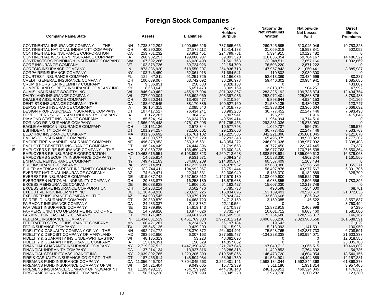| <b>Company Name/State</b>                                        | <b>Assets</b>                                      | Liabilities               | <b>Policy</b><br><b>Holders</b><br><b>Surplus</b> | <b>Nationwide</b><br><b>Net Premiums</b><br>Written | <b>Nationwide</b><br><b>Net Losses</b><br>Paid | <b>Direct</b><br><b>Illinois</b><br>Premiums |
|------------------------------------------------------------------|----------------------------------------------------|---------------------------|---------------------------------------------------|-----------------------------------------------------|------------------------------------------------|----------------------------------------------|
| <b>THE</b><br>CONTINENTAL INSURANCE COMPANY                      | <b>NH</b><br>1.738.322.292                         | 1,000,656,626             | 737,665,666                                       | 269,745,595                                         | 510,045,046                                    | 19,753,323                                   |
| CONTINENTAL NATIONAL INDEMNITY COMPANY                           | 40,290,300<br>OH                                   | 27,876,112                | 12,414,188                                        | 21,069,018                                          | 16,893,841                                     | 502,052                                      |
| CONTINENTAL REINSURANCE CORPORATION                              | CA<br>253,701,232                                  | 28,901,451                | 224,799,781                                       | 5,394,915                                           | 10,123,482                                     |                                              |
| CONTINENTAL WESTERN INSURANCE COMPANY                            | IA<br>268.982.257                                  | 199.088.937               | 69,893,320                                        | 118,035,054                                         | 59,704,167                                     | 14,486,522                                   |
| CONTRACTORS BONDING & INSURANCE COMPANY                          | <b>WA</b><br>67,592,266                            | 46,030,498                | 21,561,768                                        | 38,048,511                                          | 7,657,166                                      | 1,092,869                                    |
| CORE INSURANCE COMPANY                                           | VT<br>102,878,726                                  | 80,724,026                | 22,154,700                                        | 76,508,220                                          | 2,871,222                                      |                                              |
| <b>COREGIS INSURANCE COMPANY</b>                                 | IN<br>873,386,920                                  | 618,550,207               | 254,836,713                                       | 147,957,843                                         | 211,050,441                                    | 8,885,987                                    |
| CORPA REINSURANCE COMPANY                                        | <b>NY</b><br>103,746,459                           | 52,061,918                | 51,684,541                                        | 110,802                                             | 2,939,300                                      |                                              |
| COURTESY INSURANCE COMPANY                                       | <b>FL</b><br>122,447,811                           | 91,251,725                | 31,196,086                                        | 53,613,369                                          | 20,434,696                                     | $-80,287$                                    |
| CREDIT GENERAL INSURANCE COMPANY                                 | OH<br>100,039,067                                  | 63,742,092                | 36,296,978                                        | 59,446,302                                          | 20,984,941                                     | 1,685,685                                    |
| CRUM & FORSTER INDEMNITY COMPANY                                 | <b>NY</b><br>9,586,851                             | 258,688                   | 9,328,163                                         |                                                     |                                                | 433,807                                      |
| CUMBERLAND SURETY INSURANCE COMPANY INC                          | KY<br>8,660,642                                    | 5,651,473                 | 3,009,169                                         | 3,818,971                                           | 904,251                                        | 47,992                                       |
| <b>CUMIS INSURANCE SOCIETY INC</b>                               | WI<br>846,940,462<br>WI                            | 455,917,094               | 391,023,367                                       | 283,325,192                                         | 139,735,874                                    | 12,434,754                                   |
| DAIRYLAND INSURANCE COMPANY<br>DEALERS ASSURANCE COMPANY         | 737,000,004<br>OH<br>22,620,341                    | 533,602,069<br>13,409,477 | 203,397,936<br>9,210,864                          | 252,972,401<br>5,893,644                            | 225,868,876<br>4,924,153                       | 8,780,488                                    |
| DENTISTS INSURANCE COMPANY THE                                   | CA<br>188,697,545                                  | 88,170,385                |                                                   |                                                     |                                                | 241,165                                      |
| DEPOSITORS INSURANCE COMPANY                                     | ΙA                                                 | 2,085,540                 | 100,527,160                                       | 21,589,135                                          | 8,480,182                                      | 123,747                                      |
| DESIGN PROFESSIONALS INSURANCE COMPANY                           | 36,104,315<br><b>CT</b><br>107,417,527             | 76,434,241                | 34,018,775<br>30,983,286                          | –21,988,324<br>30,777,452                           | 23,365,604<br>22,247,446                       | 5,666,632<br>7,693,498                       |
| DEVELOPERS SURETY AND INDEMNITY COMPANY                          | IA<br>6,172,207                                    | 364,267                   | 5,807,941                                         | 196,273                                             | 21,916                                         | 415,846                                      |
| DIAMOND STATE INSURANCE COMPANY                                  | IN<br>85,624,194                                   | 36,024,780                | 49,599,414                                        | 11,954,994                                          | 10,714,516                                     |                                              |
| DORINCO REINSURANCE COMPANY                                      | MI<br>1,566,903,448                                | 975,107,995               | 591,795,453                                       | 293,381,036                                         | 115,873,083                                    |                                              |
| EAGLE AMERICAN INSURANCE COMPANY                                 | OH<br>13,151,136                                   | 2,573,344                 | 10,577,793                                        | 1,029,737                                           | 556,791                                        | 269,576                                      |
| EBI INDEMNITY COMPANY                                            | <b>CT</b><br>101,294,257                           | 72,160,601                | 29,133,656                                        | 30,777,451                                          | 22,247,446                                     | 7,533,763                                    |
| ELECTRIC INSURANCE COMPANY                                       | 831,986,692<br>MA                                  | 616,761,102               | 215,225,585                                       | 341,221,398                                         | 205,801,045                                    | 9,121,678                                    |
| <b>EMCASCO INSURANCE COMPANY</b>                                 | 141,008,577<br>ΙA                                  | 108,715,229               | 32,293,348                                        | 65,495,379                                          | 38,930,323                                     | 1,777,302                                    |
| <b>EMPIRE FIRE &amp; MARINE INSURANCE COMPANY</b>                | <b>NE</b><br>496,370,953                           | 353,316,681               | 143,054,272                                       | 246,091,036                                         | 198,957,032                                    | 7,398,408                                    |
| EMPLOYEE BENEFITS INSURANCE COMPANY                              | <b>CT</b><br>106,244,049                           | 74,444,396                | 31,799,653                                        | 30,777,450                                          | 22,247,445                                     | 79,337                                       |
| EMPLOYERS FIRE INSURANCE COMPANY<br><b>THE</b>                   | 210,050,725<br>МA                                  | 136,450,479               | 73,600,246                                        | 36,977,763                                          | 170,716,538                                    | 25,550,364                                   |
| EMPLOYERS REINSURANCE CORPORATION                                | <b>MO</b><br>10,463,615,951                        | 6,193,902,323             | 4,269,713,628                                     | 1,888,578,681                                       | 1,365,060,613                                  | 16,379,068                                   |
| EMPLOYERS SECURITY INSURANCE COMPANY                             | IN<br>14,625,814                                   | 9,531,571                 | 5,094,243                                         | 10,588,330                                          | 4,902,244                                      | 1,161,566                                    |
| ENHANCE REINSURANCE COMPANY                                      | <b>NY</b><br>749,471,163                           | 534,665,289               | 214,805,874                                       | 60,567,409                                          | 1,203,484                                      |                                              |
| ERIE INSURANCE COMPANY                                           | PA<br>222,214,890                                  | 147,235,938               | 74,978,952                                        | 107,660,080                                         | 67,256,650                                     | 1,055,271                                    |
| EULER AMERICAN CREDIT INDEMNITY COMPANY                          | <b>NY</b><br>183,744,411                           | 104,992,967               | 78,751,444                                        | 58,497,878                                          | 43,977,567                                     | 5,331,706                                    |
| EVEREST NATIONAL INSURANCE COMPANY                               | AZ<br>74,649,471                                   | 22,342,531                | 52,306,940                                        | 8,186,370                                           | 6,182,889                                      | 328,709                                      |
| EVEREST REINSURANCE COMPANY                                      | DE<br>4,815,087,742                                | 3,667,508,612             | 1,147,579,130                                     | 1,108,069,900                                       | 659,522,786                                    |                                              |
| EVERGREEN NATIONAL INDEMNITY COMPANY                             | OH<br>29,833,877                                   | 16,258,189                | 13,575,688                                        | 6,083,855                                           | 2,596,556                                      | 1,783,896                                    |
| EXCESS REINSURANCE COMPANY                                       | DE<br>96,088,928                                   | 41,906,501                | 54, 182, 427                                      | 15,607,030                                          | 12,218,748                                     |                                              |
| EXCESS SHARE INSURANCE CORPORATION                               | OH<br>14,288,214                                   | 8,502,476                 | 5,785,738                                         | 490,598                                             | $-254,000$                                     | 68,761                                       |
| EXECUTIVE RISK INDEMNITY INC                                     | DE<br>1,136,459,920                                | 820,625,225               | 315,834,695                                       | 153,139,491                                         | 79,520,510                                     | 21,072,635                                   |
| EXPLORER INSURANCE COMPANY<br>THE                                | AZ<br>84,903,545                                   | 59,079,198                | 25,824,347                                        | 33,633,608                                          | 11,636,962                                     |                                              |
| FAIRFIELD INSURANCE COMPANY                                      | CT<br>39,380,879                                   | 14,668,720                | 24,712,159                                        | 3,159,085                                           | 46,522                                         | 3,557,837                                    |
| FAIRMONT INSURANCE COMPANY                                       | CA<br>24,233,337                                   | 2,113,782                 | 22,119,554                                        |                                                     |                                                | 3,760,494                                    |
| FAR WEST INSURANCE COMPANY                                       | <b>NE</b><br>21,789,980                            | 14,619,143                | 7,170,837                                         | 12,872,918                                          | 2,408,998                                      | $57,290$<br>1,581,000                        |
| FARMERS UNION CO OPERATIVE INS CO OF NE                          | <b>NE</b><br>14,709,820                            | 10,977,026                | 3,732,794                                         | 10,001,712                                          | 6,803,460                                      |                                              |
| <b>FARMINGTON CASUALTY COMPANY</b>                               | <b>CT</b><br>791,171,489                           | 599,661,958               | 191,509,531                                       | 173,754,688                                         | 128,926,817                                    | 146,162                                      |
| FEDERAL INSURANCE COMPANY<br>FEDERATED SERVICE INSURANCE COMPANY | IN<br>11,434,081,519                               | 8,461,769,300             | 2,972,312,219                                     | 3,496,856,236                                       | 2,323,988,558                                  | 161,588,591<br>71,029                        |
| FFG INSURANCE COMPANY                                            | 60,421,261<br><b>MN</b><br><b>TX</b><br>25,545,126 | 4,224,078<br>9,429,200    | 56,197,184                                        | 19,642<br>5,213,393                                 |                                                | 130,950                                      |
| FIDELITY & CASUALTY COMPANY OF NY THE                            | <b>NH</b><br>492,974,772                           | 228,370,372               | 16,115,926<br>264,604,401                         | 75,528,765                                          | 1,141,501<br>142,837,733                       | 6,708,591                                    |
| FIDELITY & DEPOSIT COMPANY OF MARYLAND                           | <b>MD</b><br>293,592,650                           | 6,007,163                 | 287,585,487                                       | $-134,228,338$                                      | 190,994,071                                    | 21,603,333                                   |
| FIDELITY & GUARANTY INS UNDERWRITERS INC                         | WI<br>48,135,319                                   | 53,223                    | 48,082,096                                        |                                                     |                                                | 12,018,588                                   |
| FIDELITY & GUARANTY INSURANCE COMPANY                            | IA<br>15,014,391                                   | 156,529                   | 14,857,862                                        |                                                     |                                                | 23,005,788                                   |
| FINANCIAL GUARANTY INSURANCE COMPANY                             | <b>NY</b><br>2,719,097,512                         | 1,447,390,467             | 1,271,707,045                                     | 97,040,712                                          | 3,065,515                                      | 10,469,802                                   |
| FINANCIAL INDEMNITY COMPANY                                      | CA<br>37,214,134                                   | 13,927,816                | 23,286,318                                        | 11,429,853                                          | 7,764,632                                      | 54,736                                       |
| FINANCIAL SECURITY ASSURANCE INC                                 | <b>NY</b><br>2,039,802,765                         | 1,220,206,899             | 819,595,866                                       | 146,473,720                                         | –4,604,054                                     | 18,540,155                                   |
| FIRE & CASUALTY INSURANCE CO OF CT THE                           | <b>CT</b><br>187,465,814                           | 148,504,084               | 38,961,730                                        | 61,554,901                                          | 44,494,889                                     | 12,157,38                                    |
| FIREMANS FUND INSURANCE COMPANY                                  | CA<br>11,056,446,704                               | 7,804,045,563             | 3,252,401,141                                     | 2,598,134,044                                       | 1,562,844,368                                  | 61,868,378                                   |
| FIREMANS FUND INSURANCE COMPANY OF WI                            | WI<br>24,821,404                                   | 9,049,065                 | 15,772,339                                        | 3,511,186                                           | 1,931,314                                      | 3,957,405                                    |
| FIREMENS INSURANCE COMPANY OF NEWARK NJ                          | <b>NJ</b><br>1,199,498,135                         | 754,759,992               | 444,738,143                                       | 248,165,951                                         | 469,324,045                                    | 1,476,337                                    |
| FIRST AMERICAN INSURANCE COMPANY                                 | MO<br>50,616,220                                   | 17,570,999                | 33,045,220                                        | 13,973,736                                          | 13,200,282                                     | 123,380                                      |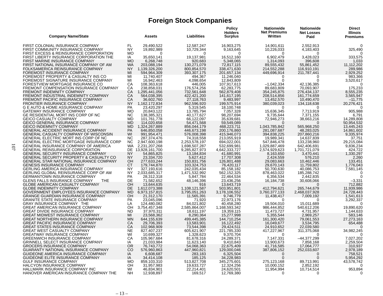| <b>Company Name/State</b>                                                     |                        | <b>Assets</b>                | Liabilities                | <b>Policy</b><br><b>Holders</b><br><b>Surplus</b> | <b>Nationwide</b><br><b>Net Premiums</b><br>Written | <b>Nationwide</b><br><b>Net Losses</b><br>Paid | <b>Direct</b><br><b>Illinois</b><br><b>Premiums</b> |
|-------------------------------------------------------------------------------|------------------------|------------------------------|----------------------------|---------------------------------------------------|-----------------------------------------------------|------------------------------------------------|-----------------------------------------------------|
| FIRST COLONIAL INSURANCE COMPANY<br>FIRST COMMUNITY INSURANCE COMPANY         | <b>FL</b>              | 29.490.522                   | 12.587.247                 | 16,903,275                                        | 14,901,611                                          | 2,552,913                                      | 0                                                   |
| FIRST EXCESS & REINSURANCE CORPORATION                                        | <b>NY</b><br><b>MO</b> | 19,892,989                   | 10,729,344                 | 9,163,645<br>∩                                    | 10,226,033<br>O                                     | 4,183,403                                      | 325,490                                             |
| FIRST LIBERTY INSURANCE CORPORATION THE                                       | IA                     | 35,650,141                   | 19,137,981                 | 16,512,160                                        | 6,902,479                                           | 3,428,023                                      | 333,575                                             |
| FIRST MARINE INSURANCE COMPANY                                                | <b>MO</b>              | 6,268,748                    | 920,683                    | 5,348,065                                         | 1,314,093                                           | 396,608                                        | 1,033                                               |
| FIRST NATIONAL INSURANCE COMPANY OF AM                                        | <b>WA</b>              | 203,088,194                  | 130,271,079                | 72,817,115                                        | 89,555,432                                          | 55,861,452                                     | 11,112,202                                          |
| FOLKSAMERICA REINSURANCE COMPANY                                              | NY                     | 1,139,326,200                | 800,854,570                | 338,471,630                                       | 214,552,288                                         | 116,910,191                                    | 289,986                                             |
| FOREMOST INSURANCE COMPANY                                                    | MI                     | 594,964,309                  | 393,307,175                | 201,657,134                                       | 449,696,914                                         | 211,787,441                                    | 2,929,252                                           |
| FOREMOST PROPERTY & CASUALTY INS CO                                           | MI                     | 11,740,407                   | 494,367                    | 11,246,040                                        | 0                                                   | $\Omega$                                       | 983,366                                             |
| FOREMOST SIGNATURE INSURANCE COMPANY                                          | MI                     | 16,942,463                   | 4,098,654                  | 12,843,809                                        | $\Omega$                                            |                                                | 3,520,617                                           |
| FORESTVIEW MORTGAGE INSURANCE CO                                              | CA                     | 108,363,618                  | 446,005                    | 107,917,613                                       | $-1,042,334$                                        | 42,136,385                                     |                                                     |
| FREMONT COMPENSATION INSURANCE COMPANY                                        | CA                     | 238,858,031                  | 176,574,256                | 62,283,775                                        | 89,683,809                                          | 70,093,907                                     | 175,233                                             |
| FREMONT INDEMNITY COMPANY<br>FREMONT INDUSTRIAL INDEMNITY COMPANY             | CA<br>CA               | 1,295,441,056<br>564,038,395 | 732,561,648<br>422,421,200 | 562,879,408<br>141,617,195                        | 354,245,875<br>208,514,856                          | 276,434,137<br>161,774,659                     | 8,555,235<br>3,565,947                              |
| FREMONT PACIFIC INSURANCE COMPANY                                             | СA                     | 36,602,760                   | 27,118,763                 | 9,483,997                                         | 13,452,570                                          | 10,490,470                                     | $-11,775$                                           |
| FRONTIER INSURANCE COMPANY                                                    | <b>NY</b>              | 1,162,172,834                | 962.596.920                | 199.575.914                                       | 380,039,023                                         | 134,118,638                                    | 20,276,421                                          |
| <b>G E AUTO &amp; HOME ASSURANCE COMPANY</b>                                  | <b>PA</b>              | 23,420,297                   | 5,319,545                  | 18,100,748                                        | 0                                                   |                                                |                                                     |
| GATEWAY INSURANCE COMPANY                                                     | <b>MO</b>              | 20,843,122                   | 13,785,794                 | 7,057,328                                         | 15,636,345                                          | 7,713,919                                      | 905,988                                             |
| GE RESIDENTIAL MORT INS CORP OF NC                                            | <b>NC</b>              | 138,385,321                  | 40,177,627                 | 98,207,694                                        | 9,735,644                                           | 7,371,155                                      | 6,791                                               |
| <b>GEICO CASUALTY COMPANY</b>                                                 | <b>MD</b>              | 101,761,778                  | 66,122,097                 | 35,639,681                                        | 72,946,273                                          | 38,663,216                                     | 14,289,808                                          |
| GEICO GENERAL INSURANCE COMPANY                                               | <b>MD</b>              | 114,020,658                  | 54,471,568                 | 59,549,089                                        |                                                     |                                                | 50,954,532                                          |
| <b>GEICO INDEMNITY COMPANY</b>                                                | <b>MD</b>              | 1,324,267,889                | 856,044,179                | 468,223,711                                       | 1,043,785,842                                       | 565,968,250                                    | 13,445,243                                          |
| GENERAL ACCIDENT INSURANCE COMPANY                                            | PA<br>WI               | 646,850,058                  | 446,673,198                | 200,176,860                                       | 281,087,687                                         | 48,283,025                                     | 14,861,602                                          |
| GENERAL CASUALTY COMPANY OF WISCONSIN<br>GENERAL ELECTRIC MORT INS CORP OF NC | <b>NC</b>              | 991,954,471<br>287,374,476   | 576,008,398<br>74,318,558  | 415,946,073<br>213,055,919                        | 394,838,225<br>19,989,341                           | 207,860,216<br>14,637,839                      | 9,335,974<br>37,751                                 |
| GENERAL ELECTRIC MORTGAGE INSURANCE CORP                                      | <b>NC</b>              | 2,947,600,198                | 2,253,578,197              | 694,022,001                                       | 547,846,478                                         | 133,238,960                                    | 29,215,084                                          |
| GENERAL INSURANCE COMPANY OF AMERICA                                          | <b>WA</b>              | 2,231,207,268                | 1,698,507,287              | 532,699,981                                       | 1,029,887,469                                       | 642,406,691                                    | 9,836,234                                           |
| GENERAL REINSURANCE CORPORATION                                               | DE                     | 13,928,161,700               | 9,285,827,973              | 4,642,333,727                                     | 2,574,929,623                                       | 1,701,721,079                                  | 424,722                                             |
| GENERAL SECURITY INSURANCE COMPANY                                            | <b>NY</b>              | 54,865,825                   | 13,184,834                 | 41,680,991                                        | 8,163,650                                           | 3,470,441                                      | 1,330,297                                           |
| GENERAL SECURITY PROPERTY & CASUALTY CO                                       | <b>NY</b>              | 23,334,720                   | 5,627,412                  | 17,707,308                                        | 2,424,559                                           | 576,210                                        | 2,260                                               |
| GENERAL STAR NATIONAL INSURANCE COMPANY                                       | OH                     | 277,633,244                  | 150,831,756                | 126,801,488                                       | 29,083,663                                          | 10,462,446                                     | 133,451                                             |
| GENESIS INSURANCE COMPANY                                                     | <b>CT</b>              | 179,744,870                  | 103,324,753                | 76,420,117                                        | 29,670,143                                          | 11,759,802                                     | 1,776,043                                           |
| GERLING AMERICA INSURANCE COMPANY                                             | NY                     | 327,193,616                  | 242,035,434                | 85,158,182                                        | 50,700,630                                          | 40,086,753                                     | 7,581,145                                           |
| GERLING GLOBAL REINSURANCE CORP OF AM<br>GERMANTOWN INSURANCE COMPANY         | <b>NY</b><br>PA        | 2,033,685,317<br>28,312,318  | 1,471,532,992<br>5,847,784 | 562,152,325<br>22,464,534                         | 878,463,022                                         | 185,288,742<br>2,442,835                       |                                                     |
| THE                                                                           | DE                     | 71,582,652                   | 48,146,396                 | 23,436,256                                        | 6,356,534<br>16,184,738                             | 30,608,066                                     | $-3,331$                                            |
| GLENS FALLS INSURANCE COMPANY<br>GLOBE AMERICAN CASUALTY COMPANY              | OH                     | 13,644,635                   | 916                        | 13,643,719                                        |                                                     |                                                | 712,882                                             |
| <b>GLOBE INDEMNITY COMPANY</b>                                                | DE                     | 1,612,073,388                | 1,108,121,587              | 503,951,801                                       | 412,794,621                                         | 265,744,679                                    | 11,939,986                                          |
| GOVERNMENT EMPLOYEES INSURANCE COMPANY                                        | <b>MD</b>              | 6,973,157,815                | 3,795,051,263              | 3,178,106,552                                     | 3,760,377,133                                       | 2,468,037,928                                  | 24,728,443                                          |
| <b>GRANGE GUARDIAN INSURANCE COMPANY</b>                                      | OH                     | 21,312,170                   | 11,565,391                 | 9,746,779                                         | 11,438,417                                          | 7,009,192                                      | 1,541,613                                           |
| <b>GRANITE STATE INSURANCE COMPANY</b>                                        | PA                     | 23,045,096                   | 71,920                     | 22,973,176                                        | 0                                                   | $\Omega$                                       | 3,292,337                                           |
| GRAY INSURANCE COMPANY THE                                                    | LA                     | 124,480,082                  | 84,021,802                 | 40,458,280                                        | 19,504,010                                          | 15,011,689                                     |                                                     |
| GREAT AMERICAN INSURANCE COMPANY                                              | OH                     | 3,754,457,348                | 2,585,864,007              | 1,168,593,342                                     | 986,444,852                                         | 540,612,206                                    | 19,890,620                                          |
| GREAT DIVIDE INSURANCE COMPANY                                                | <b>ND</b><br>MI        | 37,970,311<br>23,568,362     | 18,611,197                 | 19,359,115                                        | 11,473,727                                          | 4,731,957                                      | 1,144,633                                           |
| GREAT MIDWEST INSURANCE COMPANY                                               | <b>MN</b>              | 644,155,639                  | 8,290,364<br>499,445,385   | 15,277,998<br>144,710,254                         | 5,355,544<br>161,300,420                            | 2,969,257<br>79,061,553                        | 583,146<br>27,273,163                               |
| GREAT NORTHERN INSURANCE COMPANY<br>GREAT PACIFIC INSURANCE COMPANY           | CA                     | 29,706,393                   | 13,583,901                 | 16,122,492                                        | 16,049,677                                          | 3,534,795                                      | 654,488                                             |
| GREAT STATES INSURANCE COMPANY                                                | CA                     | 102,968,909                  | 73,544,398                 | 29,424,511                                        | 24,910,652                                          | 22,039,580                                     |                                                     |
| GREAT WEST CASUALTY COMPANY                                                   | <b>NE</b>              | 827,407,237                  | 605,621,907                | 221,785,330                                       | 417,227,967                                         | 311,375,068                                    | 34,982,245                                          |
| GREATWAY INSURANCE COMPANY                                                    | WI                     | 10,699,327                   | 1,328,623                  | 9,370,704                                         | O                                                   |                                                |                                                     |
| GREENWICH INSURANCE COMPANY                                                   | CA                     | 105,967,684                  | 81,678,316                 | 24,289,371                                        | 7,147,331                                           | -44,377,299                                    | 7,027,202                                           |
| GRINNELL SELECT INSURANCE COMPANY                                             | IA                     | 21,033,984                   | 11,623,140                 | 9,410,843                                         | 13,900,673                                          | 7,858,168                                      | 2,259,504                                           |
| GROCERS INSURANCE COMPANY                                                     | <b>OR</b>              | 76,743,772                   | 54,068,363                 | 22,675,409                                        | 41,716,585                                          | 17,064,777                                     | 310,937                                             |
| GUARANTY NATIONAL INSURANCE COMPANY<br>GUIDEONE AMERICA INSURANCE COMPANY     | CO<br>IA               | 576.960.863<br>6,608,687     | 447,960,821<br>283,183     | 129,000,046<br>6,325,504                          | 387,806,152<br>∩                                    | 252,033,607<br>$\Omega$                        | 2,978,189<br>758,521                                |
| GUIDEONE ELITE INSURANCE COMPANY                                              | IA                     | 34,414,108                   | 185,125                    | 34,228,983                                        |                                                     |                                                | 5,954,292                                           |
| GULF INSURANCE COMPANY                                                        | <b>MO</b>              | 859,103,310                  | 513,827,708                | 345,275,601                                       | 275,123,168                                         | 89,713,991                                     | 43,578,742                                          |
| HALCYON INSURANCE COMPANY                                                     | OH                     | 31,957,983                   | 19,633,727                 | 12,324,256                                        | 10,000,152                                          | 2,852,192                                      |                                                     |
| HALLMARK INSURANCE COMPANY INC                                                | WI                     | 46,834,901                   | 22,214,401                 | 24,620,501                                        | 11,954,994                                          | 10,714,514                                     | 953,894                                             |
| HANOVER AMERICAN INSURANCE COMPANY THE                                        | <b>NH</b>              | 12,938,897                   | 169,517                    | 12,769,380                                        | $\Omega$                                            | ∩                                              | ∩                                                   |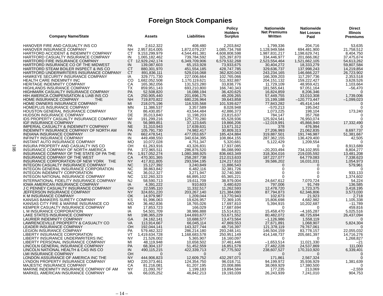| <b>Company Name/State</b>                                                   |                        | <b>Assets</b>              | <b>Liabilities</b>         | <b>Policy</b><br><b>Holders</b><br><b>Surplus</b> | Nationwide<br><b>Net Premiums</b><br>Written | <b>Nationwide</b><br><b>Net Losses</b><br>Paid | <b>Direct</b><br><b>Illinois</b><br><b>Premiums</b> |
|-----------------------------------------------------------------------------|------------------------|----------------------------|----------------------------|---------------------------------------------------|----------------------------------------------|------------------------------------------------|-----------------------------------------------------|
| HANOVER FIRE AND CASUALTY INS CO                                            | PA                     | 2,612,322                  | 408,480                    | 2,203,842                                         | 1,799,336                                    | 204,716                                        | 53,635                                              |
| HANOVER INSURANCE COMPANY                                                   | <b>NH</b>              | 2,957,814,005              | 1,872,079,237              | 1,085,734,768                                     | 1,128,949,584                                | 694,481,900                                    | 21,758,512                                          |
| HARTFORD ACCIDENT & INDEMNITY COMPANY                                       | <b>CT</b>              | 9,153,299,979              | 4,544,491,381              | 4,608,808,598                                     | 1,987,831,217                                | 1,198,629,741                                  | 8,404,750                                           |
| HARTFORD CASUALTY INSURANCE COMPANY                                         | IN                     | 1,065,182,462              | 739,784,592                | 325,397,870                                       | 334,446,977                                  | 201,666,062                                    | 37,475,674                                          |
| HARTFORD FIRE INSURANCE COMPANY                                             | СT                     | 12,929,242,174             | 6,349,709,906              | 6,579,532,268                                     | 2,523,554,464                                | 1,521,662,105                                  | 54,613,262                                          |
| HARTFORD INSURANCE CO OF THE MIDWEST                                        | IN                     | 139,087,603                | 65,153,928                 | 73,933,675                                        | 30,404,272                                   | 18,333,279                                     | 59,807,584                                          |
| HARTFORD STEAM BOILER INSPECT & INS CO                                      | <b>CT</b>              | 880,301,970                | 451,554,185                | 428,747,785                                       | 329,636,737                                  | 137,998,243                                    | 14,219,854                                          |
| HARTFORD UNDERWRITERS INSURANCE COMPANY                                     | <b>CT</b>              | 891,836,111                | 529,016,068                | 362,820,043                                       | 243,234,165                                  | 146,666,227                                    | 26,723,902                                          |
| HAWKEYE SECURITY INSURANCE COMPANY                                          | IA                     | 329,771,730                | 227,006,664                | 102,765,066                                       | 166,309,203                                  | 117,297,736                                    | 2,353,518                                           |
| HEALTH CARE INDEMNITY INC<br>HERITAGE INDEMNITY COMPANY                     | CO<br>CA               | 1,682,052,508              | 1,170,119,621              | 511,932,887                                       | 204, 151, 132                                | 159,222,427                                    | 3,628,526                                           |
| <b>HIGHLANDS INSURANCE COMPANY</b>                                          | <b>TX</b>              | 165,362,056<br>859,951,143 | 131,523,280<br>693,210,800 | 33,838,776<br>166,740,343                         | 11,729,109<br>181,565,641                    | 48,959,421<br>97,051,164                       | 1,103,664<br>$-56,470$                              |
| HIGHMARK CASUALTY INSURANCE COMPANY                                         | PA                     | 52,508,820                 | 16,088,194                 | 36,420,625                                        | 16,824,859                                   | 8,206,346                                      |                                                     |
| HIH AMERICA COMPENSATION & LIAB INS CO                                      | CA                     | 250,905,440                | 201,696,175                | 49,209,265                                        | 57,449,755                                   | 33,010,308                                     | 1,739,006                                           |
| HOME INSURANCE COMPANY<br>THE                                               | <b>NH</b>              | 719,870,822                | 680,226,964                | 39,643,858                                        | 15,199,188                                   | $-120,773,447$                                 | $-1,099,023$                                        |
| HOME OWNERS INSURANCE COMPANY                                               | MI                     | 218,075,196                | 116,535,568                | 101,539,627                                       | 77,843,282                                   | 45,414,144                                     |                                                     |
| HOMEPLUS INSURANCE COMPANY                                                  | MN                     | 11,386,537                 | 3,357,589                  | 8,028,948                                         | $-570,213$                                   | 195,042                                        |                                                     |
| HOUSTON GENERAL INSURANCE COMPANY                                           | <b>TX</b>              | 86,430,857                 | 43,544,484                 | 42,886,373                                        | 1,073,225                                    | 198,104                                        | 173,240                                             |
| HUDSON INSURANCE COMPANY                                                    | DE                     | 35,013,840                 | 11,198,203                 | 23,815,637                                        | 784,147                                      | 357,768                                        |                                                     |
| IDS PROPERTY CASUALTY INSURANCE COMPANY                                     | WI                     | 191,299,216                | 125,770,280                | 65,528,936                                        | 125,924,541                                  | 76,950,074                                     |                                                     |
| IGF INSURANCE COMPANY                                                       | IN                     | 56,989,851                 | 37,123,645                 | 19,866,206                                        | $-12,019,991$                                | 45,866,940                                     | 17,332,490                                          |
| IMPERIAL CASUALTY & INDEMNITY COMPANY                                       | <b>NE</b>              | 31,310,943                 | 17,639,631                 | 13,671,312                                        | 378                                          | 476,994                                        |                                                     |
| INDEMNITY INSURANCE COMPANY OF NORTH AM                                     | PA                     | 105,791,730                | 74,982,417                 | 30,809,313                                        | 27,206,993                                   | 21,062,835                                     | 8,697,737                                           |
| INDIANA INSURANCE COMPANY                                                   | IN                     | 662,478,541                | 477,053,657                | 185,424,884                                       | 319,887,501                                  | 191,746,987                                    | 51,381,667                                          |
| <b>INFINITY INSURANCE COMPANY</b>                                           | IN                     | 449,498,550                | 340,634,395                | 108,864,155                                       | 287,362,155                                  | 136,429,400                                    | 42,505                                              |
| INSTANT AUTO INSURANCE COMPANY                                              | МO                     | 10,072,028                 | 4,751,347                  | 5,320,681                                         | 5,122,429                                    | 1,209,554                                      |                                                     |
| INSURA PROPERTY AND CASUALTY INS CO                                         | OH                     | 61,263,916                 | 43,326,831                 | 17,937,085                                        | O                                            | C                                              | 8,913,689                                           |
| INSURANCE COMPANY OF NORTH AMERICA                                          | PA                     | 372,965,511                | 286,876,520                | 86,088,990                                        | $-20,203,494$                                | 734,102,955                                    | 8,804,277                                           |
| INSURANCE COMPANY OF THE STATE OF PA THE                                    | PA                     | 1,917,052,274              | 1,080,388,925              | 836,663,349                                       | 318,304,016                                  | 219,035,592                                    | 13,481,208                                          |
| INSURANCE COMPANY OF THE WEST                                               | CA                     | 470,301,365                | 258,287,738                | 212,013,633                                       | 187,227,077                                  | 64,779,083                                     | 7,338,623                                           |
| INSURANCE CORPORATION OF NEW YORK THE                                       | <b>NY</b>              | 417,811,805                | 293,594,195                | 124,217,610                                       | 39,586,202                                   | 16,031,031                                     | 1,054,973                                           |
| <b>INTEGON CASUALTY INSURANCE COMPANY</b>                                   | <b>NC</b>              | 15,127,392                 | 3,240,849                  | 11,886,543                                        | 0                                            | C                                              | 579,961                                             |
| INTEGON GENERAL INSURANCE CORPORATION                                       | <b>NC</b>              | 38,863,842                 | 6,482,116                  | 32,381,726                                        | 0                                            | C                                              |                                                     |
| INTEGON INDEMNITY CORPORATION                                               | <b>NC</b>              | 36,012,327                 | 3,271,947                  | 32,740,380                                        | O                                            | C                                              | 933,133                                             |
| INTEGON NATIONAL INSURANCE COMPANY                                          | <b>NC</b><br><b>NJ</b> | 132,260,323<br>58.590.713  | 66,895,102                 | 65,365,221                                        |                                              |                                                | 1,374,602                                           |
| INTERNATIONAL FIDELITY INSURANCE COMPANY<br>IOWA AMERICAN INSURANCE COMPANY | IA                     | 4,391,222                  | 19,611,709<br>910,603      | 38,979,004                                        | 24,647,612<br>797,006                        | 7.070.724<br>91,749                            | 54,224<br>136,585                                   |
| J C PENNEY CASUALTY INSURANCE COMPANY                                       | OH                     | 22,595,110                 | 11,332,517                 | 3,480,620<br>11,262,593                           | 12,478,720                                   | 1,723,375                                      | 3,418,195                                           |
| JEFFERSON INSURANCE COMPANY                                                 | <b>NY</b>              | 324,651,220                | 203,267,140                | 121,384,080                                       | 87,794,873                                   | 62,346,806                                     |                                                     |
| K M INSURANCE COMPANY                                                       | OK                     | 14,979,987                 | 1,209,044                  | 13,770,943                                        | 102,673                                      | 21,923                                         | 3,573,030<br>2,718                                  |
| KANSAS BANKERS SURETY COMPANY                                               | KS                     | 91,996,063                 | 19,626,957                 | 72,369,105                                        | 15,806,698                                   | 4,682,982                                      | 1,105,338                                           |
| KANSAS CITY FIRE & MARINE INSURANCE CO                                      | <b>MO</b>              | 36,462,836                 | 18,765,026                 | 17,697,810                                        | 5,394,915                                    | 10,202,687                                     | –11,789                                             |
| KEMPER CASUALTY INSURANCE COMPANY                                           | MI                     | 17,853,723                 | 166,029                    | 17,687,694                                        | U                                            | C                                              | 459,816                                             |
| L M INSURANCE CORPORATION                                                   | IA                     | 54,501,709                 | 38,986,888                 | 15,514,821                                        | 15,458,470                                   | $-4, 165, 287$                                 | 5,025,516                                           |
| LAKE STATES INSURANCE COMPANY                                               | MI                     | 198,365,229                | 144,693,677                | 53,671,552                                        | 80,482,072                                   | 48,725,694                                     | 26,437,094                                          |
| LAURIER INDEMNITY COMPANY                                                   | GA                     | 24, 162, 141               | 10,688,577                 | 13,473,564                                        | $-1,126,986$                                 | 1,558,119                                      |                                                     |
| LAWRENCEVILLE PROPERTY & CASUALTY CO                                        | VA                     | 113,914,667                | 66,045,114                 | 47,869,553                                        | 27,671,891                                   | 1,068,907                                      | 5,824,304                                           |
| LEADER INSURANCE COMPANY                                                    | OH                     | 192,044,141                | 143,327,744                | 48,716,397                                        | 121,378,119                                  | 79,767,061                                     |                                                     |
| <b>LEGION INSURANCE COMPANY</b>                                             | PA                     | 579,462,322                | 286,214,180                | 293,248,141                                       | 146,504,159                                  | 83,778,157                                     | 22,055,032                                          |
| LIBERTY INSURANCE CORPORATION                                               | VT                     | 1,419,634,728              | 1,168,683,578              | 250,951,149                                       | 414,148,737                                  | 205,681,397                                    | 14,716,276                                          |
| LIBERTY INSURANCE UNDERWRITERS INC                                          | NY                     | 21,526,002                 | 5,365,907                  | 16,160,097                                        | U                                            |                                                | 1,268,827                                           |
| LIBERTY PERSONAL INSURANCE COMPANY                                          | MI                     | 48,119,948                 | 10,658,502                 | 37,461,446                                        | $-1,653,514$                                 | 11,021,330                                     | $-21$<br>111,000                                    |
| LINCOLN GENERAL INSURANCE COMPANY                                           | PA                     | 68,304,137                 | 51,452,559                 | 16,851,578                                        | 27,482,228                                   | 24,537,869                                     |                                                     |
| LINCOLN NATIONAL HEALTH & CAS INS CO                                        | IN                     | 490,115,215                | 422,339,713                | 67,775,502                                        | 238,607,527                                  | 170,310,920                                    | 6,339,401                                           |
| LMI INSURANCE COMPANY<br>LONDON ASSURANCE OF AMERICA INC THE                | OH                     |                            |                            |                                                   | O                                            |                                                |                                                     |
|                                                                             | <b>NY</b>              | 444,906,823                | 12,609,752                 | 432,297,071                                       | 171,861                                      | 2,567,324                                      |                                                     |
| LYNDON PROPERTY INSURANCE COMPANY<br>MAJESTIC INSURANCE COMPANY             | <b>MO</b>              | 220,373,461                | 124,354,750<br>61,207,195  | 96,018,711                                        | 94,199,972                                   | 35,936,929<br>17,380,500                       | 1,381,639                                           |
| MARINE INDEMNITY INSURANCE COMPANY OF AM                                    | СA<br>NY               | 81,216,081<br>21,093,767   | 1,199,183                  | 20,008,886<br>19,894,584                          | 38,069,929<br>177,235                        | 213,069                                        | $-2,559$                                            |
| MARKEL AMERICAN INSURANCE COMPANY                                           | VA                     | 66,035,252                 | 46,842,213                 | 19,193,039                                        | 26,243,939                                   | 7,241,010                                      | 904,753                                             |
|                                                                             |                        |                            |                            |                                                   |                                              |                                                |                                                     |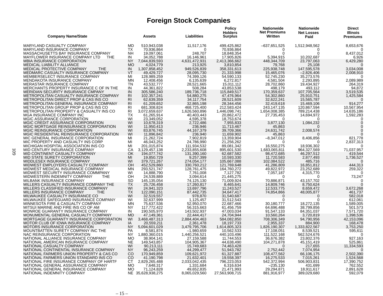| <b>Company Name/State</b>                                                          |                 | <b>Assets</b>               | <b>Liabilities</b>         | <b>Policy</b><br><b>Holders</b><br><b>Surplus</b> | <b>Nationwide</b><br><b>Net Premiums</b><br>Written | <b>Nationwide</b><br><b>Net Losses</b><br>Paid | Direct<br><b>Illinois</b><br>Premiums |
|------------------------------------------------------------------------------------|-----------------|-----------------------------|----------------------------|---------------------------------------------------|-----------------------------------------------------|------------------------------------------------|---------------------------------------|
| MARYLAND CASUALTY COMPANY                                                          | MD              | 510,943,038                 | 11,517,176                 | 499,425,862                                       | –637,651,525                                        | 1,512,948,562                                  | 8,653,676                             |
| MARYLAND INSURANCE COMPANY                                                         | ТX              | 70,936,864                  | ∩                          | 70,936,864                                        | $\Omega$                                            | ∩                                              |                                       |
| MASSACHUSETTS BAY INSURANCE COMPANY                                                | <b>NH</b>       | 19,097,061                  | 248.707                    | 18,848,354                                        | $\Omega$                                            | U                                              | 8,437,012                             |
| MAYFLOWER INSURANCE COMPANY LTD<br><b>THE</b>                                      | IN              | 34,052,788                  | 16,146,961                 | 17,905,826                                        | 5,394,915                                           | 10,202,687                                     | 6,926                                 |
| MBIA INSURANCE CORPORATION                                                         | <b>NY</b>       | 7,044,839,593               | 4,631,472,931              | 2,413,366,662                                     | 448,344,709                                         | 23,797,063                                     | 6,429,280                             |
| <b>MEDICAL LIABILITY ALLIANCE</b>                                                  | <b>MO</b>       | 4,024,779                   | 213,925                    | 3,810,854                                         | 79,768                                              | 25,108                                         |                                       |
| <b>MEDICAL PROTECTIVE COMPANY</b><br>THE<br>MEDMARC CASUALTY INSURANCE COMPANY     | IN<br>VT        | 1,307,858,452<br>49,429,727 | 949,526,839<br>28,095,730  | 358,331,613<br>21,333,998                         | 225,938,748                                         | 147,595,578<br>$-2,826,406$                    | 3,034,008                             |
| MEMBERSELECT INSURANCE COMPANY                                                     | MI              | 128,989,259                 | 74,399,126                 | 54,590,133                                        | 15,465,076                                          | 35,273,576                                     | 2,008,910                             |
| MENDAKOTA INSURANCE COMPANY                                                        | <b>MN</b>       | 12,408,456                  | 6,135,639                  | 6,272,817                                         | 52,745,230<br>4,581,504                             | 2,293,895                                      | 2,089,989                             |
| <b>MERASTAR INSURANCE COMPANY</b>                                                  | TN              | 43,532,777                  | 28,521,665                 | 15,011,112                                        | 28,702,860                                          | 19,434,927                                     | 264,319                               |
| MERCHANTS PROPERTY INSURANCE C OF IN THE                                           | IN              | 44,361,822                  | 508,284                    | 43,853,538                                        | 498,179                                             | 493,112                                        | 94,872                                |
| <b>MERIDIAN SECURITY INSURANCE CMPANY</b>                                          | IN              | 305,586,240                 | 189,736,718                | 115,849,517                                       | 170.359.637                                         | 107,705,564                                    | 3,519,535                             |
| METROPOLITAN CASUALTY INSURANCE COMPANY                                            | R <sub>1</sub>  | 102,357,241                 | 54,880,275                 | 47,476,964                                        | 54,302,860                                          | 25,910,751                                     | 1,425,584                             |
| METROPOLITAN DIRECT PROP & CAS INS CO                                              | R <sub>l</sub>  | 62,639,359                  | 34, 117, 754               | 28,521,609                                        | 32,622,241                                          | 15,565,787                                     |                                       |
| METROPOLITAN GENERAL INSURANCE COMPANY                                             | R <sub>l</sub>  | 61,209,652                  | 32,865,198                 | 28,344,456                                        | 32,419,618                                          | 15,469,106                                     | 914,277                               |
| METROPOLITAN GROUP PROP & CAS INS CO                                               | R <sub>l</sub>  | 681,308,824                 | 468,725,400                | 212,583,424                                       | 243,147,135                                         | 120,867,594                                    | 10,567,954                            |
| METROPOLITAN PROPERTY & CASUALTY INS CO                                            | R <sub>1</sub>  | 3,072,659,637               | 1,626,560,896              | 1,446,098,741                                     | 1,654,008,385                                       | 789,214,438                                    | 14,635,186                            |
| MGA INSURANCE COMPANY INC                                                          | <b>TX</b>       | 61,265,914                  | 40.403.443                 | 20,862,472                                        | 27,735,453                                          | 14,694,972                                     | 1,592,283                             |
| MGIC ASSURANCE CORPORATION                                                         | WI              | 23,349,052                  | 4,595,378                  | 18,753,674                                        |                                                     |                                                |                                       |
| MGIC CREDIT ASSURANCE CORPORATION                                                  | WI              | 10,678,319                  | 2,722,486                  | 7,955,833                                         | 3,877,130                                           | 1,084,232                                      |                                       |
| MGIC MORTGAGE REINSURANCE CORPORATION                                              | WI              | 11,950,413                  | 236,946                    | 11,713,467                                        | 45,863                                              |                                                |                                       |
| MGIC REINSURANCE CORPORATION                                                       | WI              | 83,876,745                  | 44, 167, 379               | 39,709,366                                        | 24.631.742                                          | 2,008,574                                      |                                       |
| MGIC RESIDENTIAL REINSURANCE CORPORATION                                           | WI              | 11,896,842                  | 236,940                    | 11,659,902                                        | 45.863                                              |                                                |                                       |
| MIC GENERAL INSURANCE CORPORATION                                                  | MI              | 21,262,724                  | 7,902,819                  | 13,359,904                                        | $-8,347,012$                                        | 8,406,856                                      | 821,778                               |
| MIC PROPERTY AND CASUALTY INS CORP                                                 | MI              | 46,043,252                  | 24,786,990                 | 21,256,262                                        | $\Omega$                                            |                                                | 2,837,313                             |
| MICHIGAN HOSPITAL ASSOCIATION INS CO                                               | MI              | 201,015,874                 | 111,934,532                | 89,081,342                                        | 16,550,275                                          | 18,936,302                                     |                                       |
| MID CENTURY INSURANCE COMPANY                                                      | CA              | 3,129,457,138               | 2,233,855,608              | 895,601,530                                       | 1,683,065,811                                       | 964,327,569                                    | 71,037,957                            |
| MID CONTINENT CASUALTY COMPANY                                                     | OK              | 194,077,742                 | 131,390,160                | 62,687,582                                        | 98,472,685                                          | 46,297,512                                     | 419,544                               |
| MID STATE SURETY CORPORATION                                                       | MI              | 19,850,729                  | 9,257,399                  | 10,593,330                                        | 11,720,583                                          | 2,877,493                                      | 1,736,527                             |
| MIDDLESEX INSURANCE COMPANY                                                        | WI              | 379,721,267                 | 274,054,177                | 105,667,088                                       | 102,084,522                                         | 485,716                                        |                                       |
| MIDWEST EMPLOYERS CASUALTY COMPANY                                                 | OH<br><b>MN</b> | 452,529,860                 | 330,760,212                | 121,769,648                                       | 41,286,809                                          | 16,851,812                                     | 444,313                               |
| MIDWEST MEDICAL INSURANCE COMPANY<br>MIDWEST SECURITY INSURANCE COMMPANY           | WI              | 293,521,747<br>14,888,790   | 128,761,475<br>7,761,008   | 164,760,272                                       | 49,822,972                                          | 23,252,689<br>4,315,770                        | 259,322                               |
| MIDWESTERN INDEMNITY COMPANY<br>THE                                                | OH              | 24,539,889                  | 3,094,614                  | 7,127,782<br>21,445,275                           | 7,057,187<br>$\Omega$                               | ∩                                              | 73,247                                |
| MILBANK INSURANCE COMPANY                                                          | <b>SD</b>       | 145,135,054                 | 74,125,130                 | 71,009,924                                        | 70,886,871                                          | 43,157,702                                     |                                       |
| MILLERS CASUALTY INSURANCE COMPANY THE                                             | <b>TX</b>       | 25,726,458                  | 17,260,817                 | 8,465,641                                         | 14,809,746                                          | 8,750,624                                      |                                       |
| MILLERS CLASSIFIED INSURANCE COMPANY                                               | WI              | 24,941,323                  | 13,697,796                 | 11,243,527                                        | 12,533,775                                          | 8,659,472                                      | 3,672,268                             |
| MILLERS INSURANCE COMPANY<br><b>THE</b>                                            | <b>TX</b>       | 122,090,151                 | 87,442,735                 | 34,647,417                                        | 74,854,866                                          | 48,005,877                                     | 461,737                               |
| MILWAUKEE CASUALTY INSURANCE CO                                                    | WI              | 32,519,557                  | 978,870                    | 31,540,687                                        | O                                                   | 0                                              | 582,018                               |
| MILWAUKEE SAFEGUARD INSURANCE COMPANY                                              | WI              | 32,637,999                  | 1,125,457                  | 31,512,543                                        | $\Omega$                                            |                                                | 612,061                               |
| MINNESOTA FIRE & CASUALTY COMPANY                                                  | <b>MN</b>       | 75,637,536                  | 52,950,070                 | 22,687,466                                        | 30,180,777                                          | 18,272,135                                     | 1,589,005                             |
| MITSUI MARINE AND FIRE INS CO OF AM                                                | <b>NY</b>       | 117,772,422                 | 56,315,663                 | 61,456,759                                        | 64,696,488                                          | 38,799,856                                     | 501,573                               |
| MONROE GUARANTY INSURANCE COMPANY                                                  | IN              | 190,505,970                 | 143,502,937                | 47,003,034                                        | 91,547,133                                          | 84,351,037                                     | 7,571,720                             |
| MONUMENTAL GENERAL CASUALTY COMPANY                                                | <b>MD</b>       | 47,149,361                  | 22,444,417                 | 24,704,944                                        | 10,560,264                                          | 3,720,819                                      | 1,398,536                             |
| MORTGAGE GUARANTY INSURANCE CORPORATION                                            | WI              | 3,468,487,313               | 2,884,404,463              | 584,082,850                                       | 708,306,349                                         | 94,790,956                                     | 42,153,096                            |
| MOTOR CLUB OF IOWA INSURANCE COMPANY                                               | IA              | 20,559,211                  | 2,361,478                  | 18, 197, 733                                      | 2,955,337                                           | 884,900                                        | 168,478                               |
| MOTORS INSURANCE CORPORATION                                                       | <b>NY</b>       | 5,094,601,029               | 3,479,795,706              | 1,614,805,323                                     | 1,826,190,307                                       | 1,333,822,567                                  | 3,753,250                             |
| MOUNTBATTEN SURETY COMPANY INC THE                                                 | <b>PA</b>       | 8,581,874                   | $-1,980,659$               | 10,562,533                                        | 17,108,051                                          | 8,539,521                                      | 595,611                               |
| NAC REINSURANCE CORPORATION                                                        | <b>NY</b>       | 1,880,360,015               | 1,440,256,521              | 440,103,496                                       | 111,522,168                                         | 562,524,676                                    |                                       |
| NATIONAL ALLIANCE INSURANCE COMPANY                                                | <b>MO</b>       | 38,904,141                  | 27,159,588                 | 11,744,553                                        | 36,676,382                                          | 23,802,376                                     | 927,163                               |
| NATIONAL AMERICAN INSURANCE COMPANY                                                | <b>NE</b>       | 149,543,857                 | 104,905,367                | 44,638,490                                        | 104,271,878                                         | 45,151,419                                     | 525,861                               |
| NATIONAL CASUALTY COMPANY                                                          | WI              | 90,213,111                  | 15,749,683                 | 74,463,428                                        |                                                     | 217,655                                        | 11,334,593                            |
| NATIONAL CONTINENTAL INSURANCE COMPANY                                             | <b>NY</b>       | 96,243,259                  | 44,299,477                 | 51,943,782                                        | 2,752,442                                           | 7,074,954                                      |                                       |
| NATIONAL FARMERS UNION PROPERTY & CAS CO                                           | CO<br>CO        | 170,949,859                 | 109,621,972                | 61,327,887                                        | 108,477,562                                         | 66,106,175                                     | 2,502,390                             |
| NATIONAL FARMERS UNION STANDARD INS CO<br>NATIONAL FIRE INSURANCE COMPANY OF HARTF | <b>CT</b>       | 41,190,798                  | 21,632,401                 | 19,558,397                                        | 16,275,533                                          | 7,015,261                                      | 1,524,568                             |
| NATIONAL GENERAL ASSURANCE COMPANY                                                 | <b>MO</b>       | 2,829,265,488<br>7,648,317  | 2,033,042,435<br>1,331,684 | 796,223,053<br>6,316,634                          | 542,372,994<br>-235,130                             | 506,903,831<br>431,699                         | 17,390,752<br>762,552                 |
| NATIONAL GENERAL INSURANCE COMPANY                                                 | <b>MO</b>       | 71,124,828                  | 49,652,835                 | 21,471,993                                        | 29,294,871                                          | 18,911,617                                     | 2,891,628                             |
| NATIONAL INDEMNITY COMPANY                                                         | <b>NE</b>       | 35,628,938,275              | 8,065,029,560              | 27,563,908,715                                    | 881,916,977                                         | 389,029,680                                    | 592,079                               |
|                                                                                    |                 |                             |                            |                                                   |                                                     |                                                |                                       |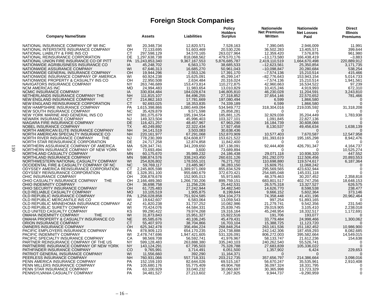| <b>Company Name/State</b>                                                           |                        | Assets                          | Liabilities                  | <b>Policy</b><br><b>Holders</b><br><b>Surplus</b> | Nationwide<br><b>Net Premiums</b><br>Written | <b>Nationwide</b><br><b>Net Losses</b><br>Paid | <b>Direct</b><br><b>Illinois</b><br><b>Premiums</b> |
|-------------------------------------------------------------------------------------|------------------------|---------------------------------|------------------------------|---------------------------------------------------|----------------------------------------------|------------------------------------------------|-----------------------------------------------------|
| NATIONAL INSURANCE COMPANY OF WI INC                                                | WI                     | 20,348,734                      | 12,820,571                   | 7,528,163                                         | 7,390,045                                    | 2,946,009                                      | 11,991                                              |
| NATIONAL INTERSTATE INSURANCE COMPANY                                               | OН                     | 72,133,695                      | 51,603,469                   | 20,530,226                                        | 36,502,283                                   | 13,405,571                                     | 399,644                                             |
| NATIONAL LIABILITY & FIRE INS CO                                                    | <b>CT</b>              | 297,598,129                     | 34,570,165                   | 263,027,964                                       | 12,359,420                                   | 7,576,876                                      | 961,980                                             |
| NATIONAL REINSURANCE CORPORATION<br>NATIONAL UNION FIRE INSURANCE CO OF PITT        | DE<br>PA               | 1,297,638,738<br>15,243,853,340 | 818,068,562<br>9,367,167,553 | 479,570,176<br>5,876,685,787                      | $-13,173,580$<br>2,419,110,519               | 166.438.419<br>1,664,670,498                   | $-3,883$<br>220,889,912                             |
| NATIONWIDE AGRIBUSINESS INSURANCE CO                                                | IA                     | 45,248,702                      | 6,563,170                    | 38,685,533                                        | $-12,623,561$                                | 25,350,854                                     | 3,171,735                                           |
| NATIONWIDE ASSURANCE COMPANY                                                        | WI                     | 67,646,313                      | 16,685,270                   | 50,961,043                                        | $-10,098,847$                                | 20,280,684                                     | 538,254                                             |
| NATIONWIDE GENERAL INSURANCE COMPANY                                                | OH                     | 19,944,296                      | 2,553,126                    | 17,391,170                                        | $-7,574,136$                                 | 15,210,514                                     | 415,466                                             |
| NATIONWIDE INSURANCE COMPANY OF AMERICA                                             | WI                     | 60,924,238                      | 15,625,091                   | 45,299,147                                        | –82,776,643                                  | 153,943,154                                    | 5,014,733                                           |
| NATIONWIDE PROPERTY & CASUALTY INS CO                                               | OН                     | 22,950,508                      | 2,634,484                    | 20,316,024                                        | $-7,574,136$                                 | 15,210,514                                     | 1,941,561                                           |
| NAVIGATORS INSURANCE COMPANY                                                        | <b>NY</b>              | 263,746,689                     | 153,473,814                  | 110,272,875                                       | 42,960,663                                   | 16,534,522                                     | 97,239                                              |
| <b>NCM AMERICAS INC</b><br>NCMIC INSURANCE COMPANY                                  | <b>MD</b><br>IA        | 24,994,483                      | 11,983,654                   | 13,010,829                                        | 10,415,246                                   | 4,919,993                                      | 672,310                                             |
| NETHERLANDS INSURANCE COMPANY THE                                                   | <b>NH</b>              | 330,834,484<br>111,815,107      | 184,028,674<br>84,496,255    | 146,805,810<br>27,318,852                         | 46,230,028<br>37,654,146                     | 11,204,591<br>22,570,652                       | 3,243,810<br>781,466                                |
| NEW ENGLAND INSURANCE COMPANY                                                       | <b>CT</b>              | 214,862,163                     | 17,781,669                   | 197,080,494                                       | 6,599                                        | 1,866,580                                      | O                                                   |
| NEW ENGLAND REINSURANCE CORPORATION                                                 | <b>CT</b>              | 92,693,025                      | 18,353,835                   | 74,339,189                                        | 6,599                                        | 1,866,580                                      |                                                     |
| NEW HAMPSHIRE INSURANCE COMPANY                                                     | PA                     | 1,615,398,866                   | 1,080,449,094                | 534,949,772                                       | 318,304,016                                  | 219,035,592                                    | 31,318,208                                          |
| NEW SOUTH INSURANCE COMPANY                                                         | <b>NC</b>              | 35,429,879                      | 9,571,598                    | 25,858,281                                        |                                              |                                                |                                                     |
| NEW YORK MARINE AND GENERAL INS CO                                                  | <b>NY</b>              | 381,075,679                     | 195, 194, 554                | 185,881,125                                       | 32,929,038                                   | 35,204,449                                     | 1,783,938                                           |
| NEWARK INSURANCE COMPANY<br>NIAGARA FIRE INSURANCE COMPANY                          | <b>NJ</b>              | 149,323,504                     | 45,996,403                   | 103,327,101                                       | 1,091,845                                    | 22,827,136                                     |                                                     |
|                                                                                     | DE                     | 116,421,257                     | 48,457,967                   | 67,963,290                                        | 16,184,739                                   | 30,608,066                                     |                                                     |
| NOBEL INSURANCE COMPANY<br>NORTH AMERICAN ELITE INSURANCE COMPANY                   | <b>TX</b><br><b>NH</b> | 40,249,892<br>34,141,519        | 22,322,434<br>3,503,083      | 17,927,458<br>30,638,436                          | 8,130,537                                    | 49,456,634                                     | 1,638,139                                           |
| NORTH AMERICAN SPECIALTY INSURANCE CO                                               | <b>NH</b>              | 220, 161, 977                   | 67,291,068                   | 152,870,909                                       | 10,577,403                                   | 7,670,587                                      | 12,547,958                                          |
| NORTH RIVER INSURANCE COMPANY<br>THE                                                | <b>NJ</b>              | 778,230,399                     | 624,608,877                  | 153,621,522                                       | 181,393,619                                  | 195, 165, 298                                  | 8,942,476                                           |
| NORTH STAR REINSURANCE CORPORATION                                                  | DE                     | 24,717,258                      | 12,874,858                   | 11,842,400                                        |                                              |                                                |                                                     |
| NORTHERN ASSURANCE COMPANY OF AMERICA                                               | MA                     | 528,347,741                     | 341,209,650                  | 187,138,091                                       | 92,444,408                                   | 426,791,347                                    | 4,164,737                                           |
| NORTHERN INSURANCE COMPANY OF NEW YORK                                              | <b>NY</b>              | 73,693,494                      | 3,600                        | 73,689,894                                        | n                                            | ∩                                              | 10,525,274                                          |
| NORTHLAND CASUALTY COMPANY                                                          | <b>MN</b>              | 60,175,670                      | 35,989,232                   | 24,186,438                                        | 29,071,118                                   | 10,936,320                                     | 447,552                                             |
| NORTHLAND INSURANCE COMPANY                                                         | <b>MN</b>              | 598,874,576                     | 338,243,450                  | 260,631,126                                       | 261,292,070                                  | 112,506,456                                    | 20,893,553                                          |
| NORTHWESTERN NATIONAL CASUALTY COMPANY                                              | WI                     | 254,826,802                     | 178,555,101                  | 76,271,702                                        | 110,698,880                                  | 119,574,617                                    | 6,187,364                                           |
| OCCIDENTAL FIRE & CASUALTY COMPANY OF NC<br>ODYSSEY AMERICA REINSURANCE CORPORATION | <b>NC</b><br><b>CT</b> | 59,769,117<br>2,245,805,598     | 23,485,967<br>1,389,971,069  | 36,283,150<br>855,834,529                         | 15,609,751<br>295,569,565                    | 11,068,242<br>423,632,944                      | O                                                   |
| ODYSSEY REINSURANCE CORPORATION                                                     | DE                     | 1,328,351,100                   | 955,680,679                  | 372,670,421                                       | 254,685,048                                  | 145,031,118                                    |                                                     |
| OHIC INSURANCE COMPANY                                                              | OH                     | 208,878,678                     | 152,905,013                  | 55,973,665                                        | 48,379,463                                   | 30,207,452                                     | 2,358,818                                           |
| <b>THE</b>                                                                          | OΗ                     | 2,166,489,360                   | 1,266,730,206                | 899,759,151                                       | 683.801.517                                  | 402,747,256                                    | 18,648,153                                          |
| OHIO CASUALTY INSURANCE COMPANY<br>OHIO INDEMNITY COMPANY                           | OH                     | 36,698,758                      | 11,256,226                   | 25,442,531                                        | 26,575,318                                   | 13,327,527                                     | 626,575                                             |
| OHIO SECURITY INSURANCE COMPANY                                                     | OH                     | 61,725,483                      | 27,242,944                   | 34,482,540                                        | 14,626,770                                   | 8,598,538                                      | 238,477                                             |
| OLD RELIABLE CASUALTY COMPANY                                                       | <b>MO</b>              | 10,105,519                      | 1,905,875                    | 8,199,644                                         | 9,666,152                                    | 5,602,364                                      | 373,146                                             |
| OLD REPUBLIC INSURANCE COMPANY                                                      | PA                     | 1,256,028,858                   | 751,924,585                  | 504,104,273                                       | 74,358,448                                   | 41,431,196                                     | 20,962,464                                          |
| OLD REPUBLIC MERCANTILE INS CO<br>OLD REPUBLIC MINNEHOMA INSURANCE COMPANY          | WI<br>AZ               | 19,642,607<br>41,820,238        | 6,583,064<br>31,737,252      | 13,059,543<br>10,082,986                          | 997,254<br>21,279,741                        | 51,893,165<br>9,542,356                        | 231,540                                             |
| OLD REPUBLIC SURETY COMPANY                                                         | $\overline{W}$         | 70,424,076                      | 44,584,331                   | 25,839,745                                        | 29,019,905                                   | 3,105,410                                      | 2,238,018                                           |
| OLD UNITED CASUALTY COMPANY                                                         | KS                     | 99.290.422                      | 79,974,268                   | 19,316,164                                        | 45,248,954                                   | 18,332,517                                     | 1,172,691                                           |
| OMAHA INDEMNITY COMPANY<br><b>THE</b>                                               | $\overline{W}$         | 31,873,843                      | 15,951,327                   | 15,922,516                                        | 191,706                                      | 193,077                                        | 0                                                   |
| OMAHA PROPERTY & CASUALTY INSURANCE CO                                              | <b>NE</b>              | 85,585,676                      | 40,106,245                   | 45,479,431                                        | 33,779,484                                   | 24,998,466                                     | 1,300,062                                           |
| ORION INSURANCE COMPANY                                                             | CT                     | 55,407,970                      | 38,704,866                   | 16,703,104                                        | 15,388,725                                   | 11,123,720                                     | O                                                   |
| OWNERS INSURANCE COMPANY                                                            | OH                     | 625,342,478                     | 356,494,224                  | 268,848,254                                       | 263,161,536                                  | 151, 182, 452                                  | 10,986,900                                          |
| PACIFIC EMPLOYERS INSURANCE COMPANY                                                 | PA                     | 878,909,123                     | 654,170,235                  | 224,738,888                                       | 242,142,306                                  | 187,459,293                                    | 8,082,685                                           |
| PACIFIC INDEMNITY COMPANY                                                           | WI                     | 2,478,747,696                   | 1,947,421,605                | 531,326,091                                       | 806,272,003                                  | 395,582,664                                    | 14,549,015                                          |
| PACIFIC SPECIALTY INSURANCE COMPANY                                                 | CA<br><b>NY</b>        | 98,569,708<br>599,128,483       | 56,592,741<br>263,888,380    | 41,976,967<br>335,240,103                         | 58, 133, 747<br>240,262,540                  | 21,612,236<br>55,526,741                       | 154,638<br>0                                        |
| PARTNER REINSURANCE COMPANY OF THE US<br>PARTNERRE INSURANCE COMPANY OF NEW YORK    | <b>NY</b>              | 143,124,291                     | 67,795,503                   | 75,328,788                                        | 27,683,839                                   | 105,336,022                                    |                                                     |
| PATHFINDER INSURANCE COMPANY                                                        | CO                     | 9,765,991                       | 3,714,491                    | 6,051,500                                         | 1,357,902                                    | 6,424                                          | 229,653                                             |
| PATRIOT GENERAL INSURANCE COMPANY                                                   | WI                     | 11,556,660                      | 392,290                      | 11,164,371                                        | 0                                            | $\Omega$                                       |                                                     |
| PEERLESS INSURANCE COMPANY                                                          | <b>NH</b>              | 760,931,066                     | 557,718,331                  | 203,212,735                                       | 357,656,797                                  | 214,386,664                                    | 3,098,016                                           |
| PENN AMERICA INSURANCE COMPANY                                                      | PA                     | 152, 159, 193                   | 82,644,026                   | 69,515,167                                        | 56,670,247                                   | 35,535,961                                     | 2,910,408                                           |
| PENN MILLERS INSURANCE COMPANY                                                      | PA                     | 105,680,176                     | 55,775,409                   | 49,904,768                                        | 36,097,324                                   | 18,331,795                                     |                                                     |
| PENN STAR INSURANCE COMPANY                                                         | <b>PA</b>              | 63,100,929                      | 33,040,232                   | 30,060,697                                        | 30,365,998                                   | 13,723,329                                     |                                                     |
| PENNSYLVANIA CASUALTY COMPANY                                                       | PA                     | 34,481,527                      | 27,213,602                   | 7,267,925                                         | 9,944,737                                    | $-9,290,959$                                   | 0                                                   |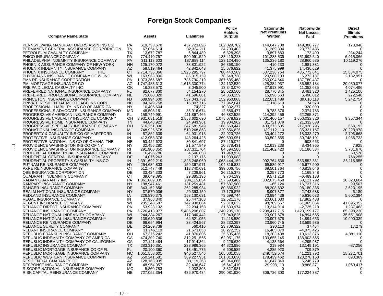| <b>Company Name/State</b>                                                          |                  | Assets                      | Liabilities                  | <b>Policy</b><br><b>Holders</b><br><b>Surplus</b> | <b>Nationwide</b><br><b>Net Premiums</b><br>Written | <b>Nationwide</b><br><b>Net Losses</b><br>Paid | Direct<br><b>Illinois</b><br>Premiums |
|------------------------------------------------------------------------------------|------------------|-----------------------------|------------------------------|---------------------------------------------------|-----------------------------------------------------|------------------------------------------------|---------------------------------------|
| PENNSYLVANIA MANUFACTURERS ASSN INS CO                                             | <b>PA</b>        | 619,753,678                 | 457,723,896                  | 162,029,782                                       | 144,647,708                                         | 149,386,777                                    | 173,946                               |
| PERMANENT GENERAL ASSURANCE CORPORATION                                            | TN               | 67,054,614                  | 32,324,211                   | 34,730,403                                        | 31,389,304                                          | 23,772,436                                     |                                       |
| PETROLEUM CASUALTY COMPANY                                                         | ТX               | 13,672,787                  | 6,844,489                    | 6,828,298                                         | 3,897,683                                           | 172,400                                        | 234,244                               |
| PHICO INSURANCE COMPANY                                                            | PA               | 774,410,757                 | 590,991,529                  | 183.419.228                                       | 191.283.539                                         | 151.992.540                                    | 6,915,066                             |
| PHILADELPHIA INDEMNITY INSURANCE COMPANY<br>PHOENIX ASSURANCE COMPANY OF NEW YORK  | PA<br><b>NH</b>  | 311,113,603<br>125,170,072  | 187,989,114<br>38,801,922    | 123,124,490<br>86,368,150                         | 135,236,180<br>–410,233                             | 28,960,535<br>1,981,381                        | 10,119,276                            |
| PHOENIX INDEMNITY INSURANCE COMPANY                                                | <b>AZ</b>        | 58,519,464                  | 42,842,643                   | 15,676,822                                        | 41,375,999                                          | 14.436.629                                     |                                       |
| PHOENIX INSURANCE COMPANY<br>THE.                                                  | <b>CT</b>        | 2,714,736,366               | 1,926,295,797                | 788,440,569                                       | 587,236,764                                         | 435,772,641                                    | 15,834,075                            |
| PHYSICIANS INSURANCE COMPANY OF WI INC                                             | WI               | 163,963,890                 | 85,315,159                   | 78,648,730                                        | 20,980,103                                          | 6,273,187                                      | 2,182,951                             |
| PMA REINSURANCE CORPORATION                                                        | PA               | 1,073,365,687               | 785,730,219                  | 287,635,468                                       | 260,094,646                                         | 137,780,437                                    |                                       |
| PMI MORTGAGE INSURANCE CO                                                          | AZ               | 1,747,433,313               | 1,613,300,774                | 134, 132, 539                                     | 428,384,937                                         | 36,552,184                                     | 20,930,077                            |
| PRE PAID LEGAL CASUALTY INC                                                        | OK               | 16,388,570                  | 3,045,500                    | 13,343,070                                        | 37,913,991                                          | 11,352,635                                     | 4,074,496                             |
| PREFERRED NATIONAL INSURANCE COMPANY                                               | FL.              | 82,677,830                  | 54,154,270                   | 28,523,560                                        | 28,770,345                                          | 8,481,320                                      | 1,425,106                             |
| PREFERRED PROFESSIONAL INSURANCE COMPANY                                           | <b>NE</b>        | 75,660,020                  | 41,596,861                   | 34,063,159                                        | 15,096,563                                          | 6,490,012                                      | 272,548                               |
| PRINCETON INSURANCE COMPANY                                                        | <b>NJ</b>        | 689,994,600                 | 537,043,732                  | 152,950,868                                       | 122,651,489                                         | 39,010,113                                     | 5,242,754                             |
| PRIVATE RESIDENTIAL MORTGAGE INS CORP                                              | <b>NC</b>        | 94,149,758                  | 16,807,716                   | 77,342,041                                        | 1,118,619                                           | 74,573                                         |                                       |
| PROFESSIONAL LIABILITY INS CO OF AMERICA                                           | <b>NY</b>        | 10,406,604                  | 74,327                       | 10,332,277                                        | ∩                                                   | 320,000                                        |                                       |
| PROFESSIONALS ADVOCATE INSURANCE COMPANY<br>PROGRESSIVE AMERICAN INSURANCE COMPANY | <b>MD</b><br>FL. | 48,503,151<br>158,749,991   | 35,916,674<br>111,867,466    | 12,586,477<br>46,882,525                          | 9,783,376<br>114,392,459                            | 2,374,783<br>62,265,371                        |                                       |
| PROGRESSIVE CASUALTY INSURANCE COMPANY                                             | ΟH               | 3,931,681,519               | 2,853,602,690                | 1,078,078,829                                     | 3,031,400,157                                       | 1,650,032,320                                  | 9,357,344                             |
| PROGRESSIVE HOME INSURANCE COMPANY                                                 | <b>TN</b>        | 44,848,923                  | 24,943,961                   | 19,904,962                                        | 31,721,079                                          | 21,332,638                                     |                                       |
| PROGRESSIVE SPECIALTY INSURANCE COMPANY                                            | OH               | 516,251,396                 | 347,681,949                  | 168,569,447                                       | 400,373,605                                         | 217,928,796                                    | 668,192                               |
| PRONATIONAL INSURANCE COMPANY                                                      | MI               | 748,925,678                 | 519,268,853                  | 229,656,825                                       | 139,112,110                                         | 85,321,167                                     | 20,228,978                            |
| PROPERTY & CASUALTY INS CO OF HARTFORD                                             | IN               | 87,852,639                  | 64,931,913                   | 22,920,726                                        | 30,404,272                                          | 18,333,279                                     | 2,796,668                             |
| PROTECTIVE INSURANCE COMPANY                                                       | IN               | 412,958,376                 | 143,264,425                  | 269,693,951                                       | 30,502,555                                          | 30,748,191                                     | 1,986,733                             |
| PROTECTIVE NATIONAL INS CO OF OMAHA THE                                            | <b>NE</b>        | 53,422,623                  | 80,841,697                   | $-27,419,074$                                     | O                                                   | 508,663                                        |                                       |
| PROVIDENCE WASHINGTON INS CO OF NY                                                 | <b>NY</b>        | 32,456,280                  | 21,577,849                   | 10,878,431                                        | 12,613,238                                          | 8,434,965                                      | 7,925                                 |
| PROVIDENCE WASHINGTON INSURANCE COMPANY                                            | <b>RI</b>        | 291,906,350                 | 207,311,764                  | 84,594,586                                        | 121,402,420                                         | 81,186,534                                     | 3,781,676                             |
| PRUDENTIAL COMMERCIAL INSURANCE COMPANY                                            | DE               | 16,495,786                  | 4,546,858                    | 11,948,928                                        | $\Omega$                                            | $\Omega$                                       | 50,578                                |
| PRUDENTIAL GENERAL INSURANCE COMPANY                                               | DE               | 14,076,263                  | 2,137,175                    | 11,939,088                                        | $\Omega$                                            |                                                | 768,255                               |
| PRUDENTIAL PROPERTY & CASUALTY INS CO                                              | IN<br>NY         | 2,391,692,219               | 1,323,248,060                | 1,068,444,159                                     | 992,764,536                                         | 683,552,361                                    | 36,118,955                            |
| PUTNAM REINSURANCE COMPANY<br>PXRE REINSURANCE COMPANY                             | <b>CT</b>        | 254,684,803<br>512,747,449  | 150,367,971<br>113,740,691   | 104,316,832<br>399,006,756                        | 69,589,917<br>69,501,764                            | 46,677,909<br>40,819,046                       |                                       |
| QBE INSURANCE CORPORATION                                                          | DE               | 33,424,333                  | 7,208,961                    | 26,215,372                                        | 3,257,773                                           | 1,169,348                                      |                                       |
| QUADRANT INDEMNITY COMPANY                                                         | ČĪ               | 39,649,395                  | 29,885,196                   | 9,764,199                                         | 9,571,218                                           | –6,489,138                                     |                                       |
| RADIAN GUARANTY INC                                                                | PA               | 1,061,809,335               | 904,115,854                  | 157,693,482                                       | 302,075,458                                         | 58,121,792                                     | 10,323,604                            |
| RAMPART INSURANCE COMPANY                                                          | <b>NY</b>        | 188,947,461                 | 131,259,481                  | 57,687,980                                        | $-65.124$                                           | 16,737,316                                     | 99,507                                |
| RANGER INSURANCE COMPANY                                                           | DE               | 343,152,856                 | 262,285,934                  | 80,866,922                                        | 88,308,632                                          | 98,180,335                                     | 2,623,195                             |
| REALM NATIONAL INSURANCE COMPANY                                                   | <b>NY</b>        | 37,570,036                  | 20,393,159                   | 17,176,875                                        | 8,907,377                                           | 2,743,688                                      | 6,189                                 |
| REDLAND INSURANCE COMPANY                                                          | ΙA               | 226,830,375                 | 153,130,631                  | 73,699,744                                        | 70,994,436                                          | 45,636,033                                     | 5,602,394                             |
| REGAL INSURANCE COMPANY                                                            | IN               | 37,968,340                  | 25,447,163                   | 12,521,176                                        | 20,661,030                                          | 17,862,488                                     |                                       |
| REGENT INSURANCE COMPANY                                                           | WI               | 235,248,687                 | 142,930,064                  | 92,318,623                                        | 98,709,557                                          | 51,965,054                                     | 41,095,352                            |
| RELIANCE DIRECT INSURANCE COMPANY<br>RELIANCE INSURANCE COMPANY                    | PA<br>PA         | 53,928,132<br>6,726,413,977 | 22,294,158                   | 31,633,974<br>1,240,205,170                       | 13,214,914<br>2,238,417,715                         | $-2,725,218$<br>1,423,199,177                  | 1,237,463                             |
| RELIANCE NATIONAL INDEMNITY COMPANY                                                | WI               | 244,384,267                 | 5,486,208,807<br>117.340.442 | 127,043,825                                       | 23,907,678                                          | 14,894,655                                     | 65,398,230<br>35,551,908              |
| RELIANCE NATIONAL INSURANCE COMPANY                                                | DE               | 138,640,536                 | 64,521,956                   | 74,118,580                                        | 23,907,678                                          | 14,894,653                                     | 10,990,339                            |
| RELIANCE REINSURANCE COMPANY                                                       | DE               | 66,654,964                  | 38,424,567                   | 28,230,397                                        | 23,960,745                                          | 13,599,935                                     |                                       |
| RELIANCE SURETY COMPANY                                                            | DE               | 24,269,738                  | 560,416                      | 23,709,322                                        | 290,110                                             | 37,484                                         | 17,279                                |
| RELIANT INSURANCE COMPANY                                                          | MI               | 31,946,110                  | 21,673,858                   | 10,272,252                                        | 16,405,870                                          | $-4,073,426$                                   |                                       |
| REPUBLIC FRANKLIN INSURANCE COMPANY                                                | OH               | 67,376,242                  | 41,870,806                   | 25,505,436                                        | 18,203,438                                          | 10,613,876                                     | 4,881,110                             |
| REPUBLIC INDEMNITY COMPANY OF AMERICA                                              | CA               | 474,302,740                 | 312,251,565                  | 162,051,175                                       | 133,655,145                                         | 138,903,565                                    |                                       |
| REPUBLIC INDEMNITY COMPANY OF CALIFORNIA                                           | CA               | 27,141,484                  | 17,914,864                   | 9,226,620                                         | 4,133,664                                           | 4,295,987                                      |                                       |
| REPUBLIC INSURANCE COMPANY                                                         | <b>TX</b>        | 283,310,351                 | 238,986,365                  | 44,323,986                                        | 219,984                                             | 13,149,191                                     | $-87,256$                             |
| REPUBLIC MORTGAGE INSURANCE CO OF FL                                               | FL               | 20,100,360                  | 13,491,775                   | 6,608,585                                         | 4,285,920                                           | 709,879                                        |                                       |
| REPUBLIC MORTGAGE INSURANCE COMPANY                                                | <b>NC</b>        | 1,051,558,601               | 946,527,546                  | 105,031,055                                       | 249,752,574                                         | 41,221,792                                     | 15,272,701                            |
| REPUBLIC WESTERN INSURANCE COMPANY<br>RESIDENTIAL GUARANTY CO                      | AZ<br>AZ         | 550,241,581                 | 389,227,951<br>83,119,268    | 161,013,630<br>45,044,666                         | 178.439.462<br>41,647,340                           | 123,278,150<br>5,246,779                       | 890,369                               |
| RESPONSE INSURANCE COMPANY                                                         | DE               | 128, 163, 935<br>48,954,057 | 32,406,647                   | 16,547,410                                        | 29,998,113                                          | 8,888,371                                      | 1,069,417                             |
| RISCORP NATIONAL INSURANCE COMPANY                                                 | <b>MO</b>        | 5,860,783                   | 2,032,803                    | 3,827,981                                         | O                                                   |                                                |                                       |
| RISK CAPITAL REINSURANCE COMPANY                                                   | <b>NE</b>        | 727,052,354                 | 436,970,434                  | 290,081,920                                       | 306,726,300                                         | 177,224,387                                    | O                                     |
|                                                                                    |                  |                             |                              |                                                   |                                                     |                                                |                                       |

 $\Xi$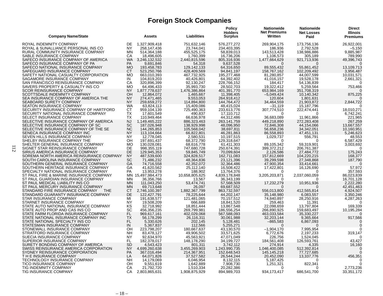| <b>Company Name/State</b>                                                       |                        | <b>Assets</b>              | <b>Liabilities</b>         | <b>Policy</b><br><b>Holders</b><br>Surplus | Nationwide<br><b>Net Premiums</b><br>Written | <b>Nationwide</b><br><b>Net Losses</b><br>Paid | <b>Direct</b><br><b>Illinois</b><br>Premiums |
|---------------------------------------------------------------------------------|------------------------|----------------------------|----------------------------|--------------------------------------------|----------------------------------------------|------------------------------------------------|----------------------------------------------|
| ROYAL INDEMNITY COMPANY                                                         | DE                     | 1,327,909,418              | 751,632,146                | 576,277,272                                | 269,904,175                                  | 173,756,136                                    | 26,922,001                                   |
| ROYAL & SUNALLIANCE PERSONAL INS CO                                             | <b>NY</b>              | 258,147,436                | 23,744,041                 | 234,403,395                                | 186,936                                      | 2,792,528                                      | $-5,150$                                     |
| RURAL COMMUNITY INSURANCE COMPANY                                               | MN                     | 514,364,188                | 455,525,175                | 58,839,013                                 | 143,513,428                                  | 138,986,886                                    | 9,885,987                                    |
| SABLE INSURANCE COMPANY                                                         | CA                     | 18,496,605                 | 1,760,399                  | 16,736,206                                 | 1,106,573                                    | 305,189                                        | 789,990                                      |
| SAFECO INSURANCE COMPANY OF AMERICA                                             | <b>WA</b>              | 3,246,132,532              | 2,440,815,596              | 805,316,936                                | 1,477,664,629                                | 921,713,936                                    | 49,396,743                                   |
| SAFECO INSURANCE COMPANY OF PA                                                  | PA                     | 9,691,846                  | 54,318                     | 9,637,528                                  | U                                            | C                                              |                                              |
| SAFECO NATIONAL INSURANCE COMPANY                                               | <b>MO</b>              | 193,458,783                | 129,142,133                | 64,316,650                                 | 89,555,432                                   | 55,861,452                                     | 13,109,713                                   |
| SAFEGUARD INSURANCE COMPANY                                                     | <b>CT</b>              | 523,250,766                | 428,409,569                | 94,841,197                                 | 158,767,162                                  | 102,209,492                                    | 3,956,487                                    |
| SAFETY NATIONAL CASUALTY CORPORATION                                            | MO                     | 663,010,393                | 467,732,925                | 195,277,468                                | 81,280,857                                   | 44,007,599                                     | 10,031,571                                   |
| SAGAMORE INSURANCE COMPANY                                                      | IN                     | 104,819,203                | 40,426,801                 | 64,392,402                                 | 41,016,157                                   | 19,528,178                                     | 2,661,321                                    |
| SAN FRANCISCO REINSURANCE COMPANY                                               | CA                     | 320,896,399                | 92,130,247                 | 228,766,152                                | 184,417                                      | 54,136,839                                     | U                                            |
| SAVERS PROPERTY & CASUALTY INS CO                                               | MO                     | 64,496,433                 | 35,993,730                 | 28,502,703                                 | 19,322,412                                   | 5,259,564                                      | 753,466                                      |
| SCOR REINSURANCE COMPANY<br>SCOTTSDALE INDEMNITY COMPANY                        | <b>NY</b><br>OH        | 1,877,778,637              | 1,476,386,864<br>1,465,667 | 401,391,770                                | 653.984.169                                  | 351,708,319                                    |                                              |
| SEA INSURANCE COMPANY OF AMERICA THE                                            | <b>NY</b>              | 12,864,072                 |                            | 11,398,405                                 | $-5,049,424$                                 | 10,140,342                                     | 875,225                                      |
| SEABOARD SURETY COMPANY                                                         | <b>NY</b>              | 274,471,465<br>259,659,272 | 9,553,053<br>114,894,800   | 264,918,412<br>144,764,472                 | 120,604<br>34,464,559                        | 1,801,631<br>21,903,872                        | 2,844,722                                    |
| SEATON INSURANCE COMPANY                                                        | WA                     | 63,824,113                 | 15,409,086                 | 48,415,024                                 | –31,119                                      | 15,187,796                                     | O                                            |
| SECURITY INSURANCE COMPANY OF HARTFORD                                          | <b>CT</b>              | 959,104,139                | 725,490,363                | 233,613,776                                | 307,774,510                                  | 222,474,441                                    | 18,010,271                                   |
| SECURITY NATIONAL INSURANCE COMPANY                                             | <b>TX</b>              | 17,601,549                 | 490.837                    | 17,110,712                                 | U                                            | C                                              | 6,742,241                                    |
| SELECT INSURANCE COMPANY                                                        | ТX                     | 110,949,464                | 66,636,978                 | 44,312,486                                 | 36,683,089                                   | 11,961,866                                     | 221,965                                      |
| SELECTIVE INSURANCE COMPANY OF AMERICA                                          | <b>NJ</b>              | 1,149,465,222              | 886,323,463                | 263,141,759                                | 449,218,890                                  | 272,283,408                                    | 267,259                                      |
| SELECTIVE INSURANCE COMPANY OF SC                                               | SC                     | 187,026,948                | 138,929,998                | 48,096,950                                 | 72,846,308                                   | 44,154,066                                     | 13,667,557                                   |
| SELECTIVE INSURANCE COMPANY OF THE SE                                           | <b>NC</b>              | 144,265,853                | 105,568,042                | 38,697,811                                 | 56,658,236                                   | 34, 342, 051                                   | 10,160,951                                   |
| SENECA INSURANCE COMPANY INC                                                    | <b>NY</b>              | 113,104,664                | 66,822,801                 | 46,281,863                                 | 86,558,893                                   | 47,451,131                                     | 5,246,623                                    |
| SEVEN HILLS INSURANCE COMPANY                                                   | NY                     | 12,778,045                 | 2,580,531                  | 10,197,515                                 | 1,029,737                                    | 556,791                                        | 48,553                                       |
| SHELBY INSURANCE COMPANY THE                                                    | OH                     | 197,691,437                | 68,372,790                 | 129,318,647                                | ŋ                                            | C                                              | 6,587,429                                    |
| SHELTER GENERAL INSURANCE COMPANY                                               | <b>MO</b>              | 130,028,081                | 68,616,778                 | 61,411,303                                 | 89,105,342                                   | 59,319,901                                     | 3,003,692                                    |
| SIGNET STAR REINSURANCE COMPANY                                                 | DE                     | 998, 355, 119              | 747,680,728                | 250,674,391                                | 399,372,212                                  | 206,761,387                                    | $\cap$                                       |
| SIRIUS AMERICA INSURANCE COMPANY                                                | DE                     | 129,945,353                | 59,845,749                 | 70,099,604                                 | 2,126,586                                    | 27,484,772                                     | 175,243                                      |
| SOREMA NORTH AMERICA REINSURANCE COMPANY                                        | <b>NY</b>              | 487,539,600                | 324,828,517                | 162,711,083                                | 157,812,669                                  | 104,220,215                                    | 168,377                                      |
| SOUTH CAROLINA INSURANCE COMPANY                                                | SC                     | 71,486,232                 | 48,364,836                 | 23,121,396                                 | 39,299,598                                   | 27,348,868                                     | 187,790                                      |
| SOUTHERN GENERAL INSURANCE COMPANY                                              | GA                     | 74,716,558                 | 42,352,072                 | 32,364,486                                 | 47,900,354                                   | 33,414,661                                     |                                              |
| SOUTHERN HERITAGE INSURANCE COMPANY                                             | GA                     | 41,620,562                 | 25,112,140                 | 16,508,422                                 | 17,422,801                                   | 16,126,690                                     | 57,972                                       |
| SPECIALTY NATIONAL INSURANCE COMPANY<br>ST PAUL FIRE & MARINE INSURANCE COMPANY | PA                     | 13.953.278                 | 188.902                    | 13,764,376                                 | O                                            | C                                              | 357,593                                      |
|                                                                                 | <b>MN</b>              | 15,497,984,473             | 10,658,805,625             | 4,839,178,848                              | 3,205,203,871                                | 2,037,060,059                                  | 86,023,839                                   |
| ST PAUL GUARDIAN INSURANCE COMPANY                                              | <b>MN</b>              | 36,356,766                 | 13,567                     | 36,343,199                                 | ∩                                            | C                                              | 16,701,128                                   |
| ST PAUL MEDICAL LIABILITY INS CO<br>ST PAUL MERCURY INSURANCE COMPANY           | <b>MN</b><br><b>MN</b> | 111,043,250<br>69,713,648  | 53.474.741<br>26,097       | 57,568,509                                 | 17,232,279                                   | 10,951,936                                     | 2,222,280                                    |
| STANDARD FIRE INSURANCE COMPANY<br><b>THE</b>                                   | <b>CT</b>              | 2,746,100,397              | 1,882,367,799              | 69,687,552<br>863,732,597                  | 556,013,800                                  | 412,565,814                                    | 42,451,463<br>4,924,507                      |
| STANDARD GUARANTY INSURANCE COMPANY                                             | <b>DE</b>              | 122,427,791                | 78,225,644                 | 44,202,147                                 | 35,148,980                                   | 6,083,557                                      | 3,350,246                                    |
| STAR INSURANCE COMPANY                                                          | MI                     | 191,638,577                | 121,481,065                | 70,157,512                                 | 74,840,897                                   | 28,250,916                                     | 4,287,263                                    |
| STARNET INSURANCE COMPANY                                                       | <b>NY</b>              | 19,508,209                 | 666.689                    | 18,841,520                                 | 259,463                                      | 11,391                                         | ∩                                            |
| STATE AUTO NATIONAL INSURANCE COMPANY                                           |                        | 32,718,992                 | 18,851,444                 | 13,867,548                                 | 22,098,659                                   | 13,797,804                                     | 169,339                                      |
| STATE AUTO PROP AND CAS INS CO                                                  | KS<br>SC               | 456,356,235                | 269,799,981                | 186,556,254                                | 266,890,925                                  | 159,683,497                                    | 10,195,284                                   |
| STATE FARM FLORIDA INSURANCE COMPANY                                            | FL                     | 969,617,161                | 402.029.068                | 567,588,093                                | 463,033,584                                  | 35,330,227                                     |                                              |
| STATE NATIONAL INSURANCE COMPANY INC                                            | <b>TX</b>              | 56,178,299                 | 26,116,311                 | 30,061,988                                 | 32,203,144                                   | 9,365,664                                      | 917,566                                      |
| STATE NATIONAL SPECIALTY INS CO                                                 | FL                     | 5,330,626                  | 202,145                    | 5,128,481                                  | –865,583                                     | 6,867,093                                      |                                              |
| STATESMAN INSURANCE COMPANY                                                     | IN                     | 5,367,837                  | 112,566                    | 5,255,271                                  | O                                            | C                                              |                                              |
| STONEWALL INSURANCE COMPANY                                                     | OH                     | 223,798,207                | 180,667,637                | 43,130,570                                 | $-1,904,170$                                 | 7,995,954                                      |                                              |
| STRATFORD INSURANCE COMPANY                                                     | NΗ                     | 83,478,127                 | 49,906,502                 | 33,571,625                                 | 6,772,676                                    | 2,197,233                                      | 319,147                                      |
| SUECIA INSURANCE COMPANY                                                        | <b>NY</b>              | 92,634,970                 | 45,563,921                 | 47,071,049                                 | 226,756                                      | 1,524,045                                      |                                              |
| SUPERIOR INSURANCE COMPANY                                                      | FL                     | 182,378,017                | 148,178,290                | 34,199,727                                 | 184,561,408                                  | 126,593,761                                    | 43,427                                       |
| SURETY BONDING COMPANY OF AMERICA                                               | <b>SD</b>              | 4,543,423                  | 801,311                    | 3,742,112                                  | 274,914                                      | 4,335                                          | 16,160                                       |
| SWISS REINSURANCE AMERICA CORPORATION                                           | <b>NY</b>              | 4,699,260,638              | 3,455,269,903              | 1,243,990,735                              | 1,046,400,085                                | 512,392,814                                    |                                              |
| SYDNEY REINSURANCE CORPORATION                                                  | PA                     | 367,016,494                | 214,367,951                | 152,648,543                                | 145, 145, 218                                | 77,727,685                                     |                                              |
| THE INSURANCE COMPANY                                                           | LA                     | 64,071,826                 | 37,527,582                 | 26,544,244                                 | 20,452,090                                   | 13,337,776                                     | 456,351                                      |
| TECHNOLOGY INSURANCE COMPANY                                                    | <b>NH</b><br>OH        | 14,179,069                 | 6,046,954<br>1.642.889     | 8,132,115                                  | 5,187,425                                    | 822.341                                        |                                              |
| TICO INSURANCE COMPANY<br>TIG INDEMNITY COMPANY                                 | СA                     | 9,551,619<br>21,792,720    | 1,510,334                  | 7,908,730<br>20,282,386                    | 1,251,321<br>0                               |                                                | 2,773,236                                    |
| <b>TIG INSURANCE COMPANY</b>                                                    | CA                     | 2,803,865,631              | 1,908,875,929              | 894,989,703                                | 934, 173, 417                                | 686,541,700                                    | 33,351,172                                   |
|                                                                                 |                        |                            |                            |                                            |                                              |                                                |                                              |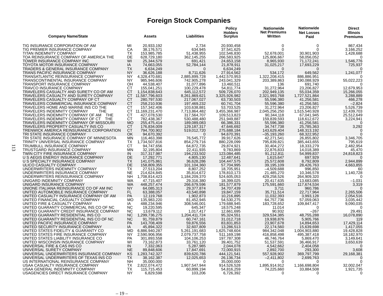| <b>Company Name/State</b>                                                           | Assets                                                 | Liabilities                  | <b>Policy</b><br><b>Holders</b><br><b>Surplus</b> | <b>Nationwide</b><br><b>Net Premiums</b><br>Written | Nationwide<br><b>Net Losses</b><br>Paid | Direct<br><b>Illinois</b><br>Premiums |
|-------------------------------------------------------------------------------------|--------------------------------------------------------|------------------------------|---------------------------------------------------|-----------------------------------------------------|-----------------------------------------|---------------------------------------|
| TIG INSURANCE CORPORATION OF AM                                                     | MI<br>20,933,192                                       | 2,734                        | 20,930,458                                        | $\Omega$                                            | ∩                                       | 867,434                               |
| TIG PREMIER INSURANCE COMPANY                                                       | 38,176,571<br>СA                                       | 634,945                      | 37,541,625                                        | $\Omega$                                            | 0                                       | 3,166,252                             |
| TITAN INDEMNITY COMPANY                                                             | 153,985,785<br>TX                                      | 51,438,955                   | 102,546,830                                       | 52,678,001                                          | 30,901,903                              | 1,428,688                             |
| TOA REINSURANCE COMPANY OF AMERICA THE                                              | DE<br>628,729,180                                      | 362,145,255                  | 266,583,925                                       | 125,806,667                                         | 58,056,052                              |                                       |
| TOWER INSURANCE COMPANY INC                                                         | WI<br>25,344,579                                       | 691,421                      | 24,653,158                                        | 8,965,930                                           | 71,172,241                              | 1,546,776                             |
| TOYOTA MOTOR INSURANCE COMPANY                                                      | 74,663,055<br>IA                                       | 52,784,144                   | 21,878,911                                        | 31,025,217                                          | 17,693,229                              | 725,937                               |
| TRADERS & GENERAL INSURANCE COMPANY                                                 | TX<br>6,634,249                                        |                              | 6,634,249                                         |                                                     |                                         |                                       |
| TRANS PACIFIC INSURANCE COMPANY                                                     | <b>NY</b><br>36,626,188                                | 8,711,626                    | 27,914,562                                        | 534,172                                             | 649,562                                 | 1,241,077                             |
| TRANSATLANTIC REINSURANCE COMPANY<br>TRANSCONTINENTAL INSURANCE COMPANY             | <b>NY</b><br>4,328,470,681<br><b>NY</b><br>985,946,606 | 2,885,899,728<br>742,905,278 | 1,442,570,953                                     | 1,322,208,415<br>203,389,863                        | 886,886,951<br>190,088,929              |                                       |
| TRANSPORT INSURANCE COMPANY                                                         | OH<br>44,538,407                                       | 31,077,896                   | 243,041,329<br>13,460,511                         | 136                                                 | 691,740                                 | 55,022,223                            |
| TRAVCO INSURANCE COMPANY                                                            | <b>CT</b><br>155,041,251                               | 100,229,478                  | 54,811,774                                        | 31,272,964                                          | 23,206,827                              | 12,679,953                            |
| TRAVELERS CASUALTY AND SURETY CO OF AM                                              | CT<br>1,154,838,643                                    | 645, 112, 572                | 509,726,070                                       | 202,949,135                                         | 55,034,359                              | 15,266,055                            |
| TRAVELERS CASUALTY AND SURETY COMPANY                                               | <b>CT</b><br>11,587,796,603                            | 8,261,869,621                | 3,325,926,982                                     | 2,321,993,768                                       | 1,727,521,864                           | 3,288,889                             |
| TRAVELERS CASUALTY COMPANY OF CT                                                    | <b>CT</b><br>280,797,530                               | 217,067,027                  | 63,730,503                                        | 55,596,380                                          | 41,256,581                              | 466,278                               |
| TRAVELERS COMMERCIAL INSURANCE COMPANY                                              | <b>CT</b><br>258,210,936                               | 197,469,232                  | 60,741,704                                        | 55,596,380                                          | 41,256,581                              | $-2,824$                              |
| TRAVELERS HOME AND MARINE INS CO THE                                                | <b>CT</b><br>157,342,406                               | 103,638,881                  | 53,703,525                                        | 31,272,964                                          | 23,206,827                              | 5,526,739                             |
| TRAVELERS INDEMNITY COMPANY<br><b>THE</b>                                           | <b>CT</b><br>11,169,231,470                            | 7,713,864,482                | 3,455,366,987                                     | 2,045,256,250                                       | 1,515,540,928                           | 12,439,703                            |
| TRAVELERS INDEMNITY COMPANY OF AM<br>THE                                            | <b>CT</b><br>427,078,530                               | 317,564,707                  | 109,513,823                                       | 90,344,118                                          | 67,041,945                              | 25,512,649                            |
| TRAVELERS INDEMNITY COMPANY OF CT<br><b>THE</b>                                     | <b>CT</b><br>782,438,367                               | 530,488,480                  | 251,949,887                                       | 159,839,593                                         | 118,612,672                             | 3,224,941                             |
| TRAVELERS INDEMNITY COMPANY OF MISSOURI                                             | 255,475,414<br><b>MO</b>                               | 189,089,083                  | 66,386,331                                        | 55,596,380                                          | 41,256,581                              |                                       |
| TRAVELERS PROPERTY CASUALTY INS CO                                                  | <b>CT</b><br>176,834,009                               | 129,187,317                  | 47,646,692                                        | 34,747,738                                          | 25,785,363                              | 3,292                                 |
| TRENWICK AMERICA REINSURANCE CORPORATION                                            | <b>CT</b><br>794,700,902                               | 519,012,720                  | 275,688,184                                       | 143,629,404                                         | 148,313,192                             |                                       |
| TRI STATE INSURANCE COMPANY                                                         | OK<br>94,670,392                                       |                              | 94,670,391                                        | $-35, 193, 260$                                     | 68,322,952                              |                                       |
| TRI STATE INSURANCE COMPANY OF MINNESOTA                                            | <b>MN</b><br>116,463,398                               | 76,545,772                   | 39,917,626                                        | 42,271,541                                          | 26,855,802                              | 3,346,705                             |
| TRINITY UNIVERSAL INSURANCE COMPANY                                                 | ТX<br>1,734,507,816                                    | 854,279,716                  | 880,228,099                                       | 795,839,821                                         | 385,443,655                             | 795,619                               |
| TRUMBULL INSURANCE COMPANY                                                          | <b>CT</b><br>94,747,656                                | 64,872,735                   | 29,874,921                                        | 30,404,272                                          | 18,333,279                              | 2,482,954                             |
| TRUSTGARD INSURANCE COMPANY                                                         | <b>MN</b><br>32,195,804                                | 22,411,935                   | 9,783,869                                         | 22,876,833                                          | 14,018,389                              | 45,470                                |
| TWIN CITY FIRE INSURANCE COMPANY                                                    | IN<br>317,317,987                                      | 194,233,502                  | 123,084,485                                       | 91,212,811                                          | 54,999,837                              | 24,818,823                            |
| U S AEGIS ENERGY INSURANCE COMPANY                                                  | DE<br>17,292,771                                       | 4,805,130                    | 12,487,641                                        | 1,615,647                                           | 697,929                                 |                                       |
| U S SPECIALTY INSURANCE COMPANY                                                     | ТX<br>141,075,861                                      | 36,628,286                   | 104,447,575                                       | 25,572,608                                          | 8,792,809                               | 2,944,899                             |
| ULICO CASUALTY COMPANY                                                              | DE<br>158,809,355                                      | 101,104,360                  | 57,704,995                                        | 39,195,109                                          | 28,426,763                              | 4,663,855                             |
| UNDERWRITERS INDEMNITY COMPANY                                                      | <b>TX</b><br>27,513,204                                | 8,807,252                    | 18,705,951                                        | $-4,509,688$                                        | 996,850                                 | 60                                    |
| UNDERWRITERS INSURANCE COMPANY                                                      | <b>NE</b><br>214,624,845                               | 35,814,672                   | 178,810,173                                       | 21,485,270                                          | 10,346,578                              | 1,140,728                             |
| UNDERWRITERS REINSURANCE COMPANY                                                    | <b>NH</b><br>1,708,814,423                             | 1,184,209,370                | 524,605,053                                       | 429,258,526                                         | 264,909,320                             |                                       |
| UNIGARD INDEMNITY COMPANY                                                           | <b>WA</b><br>47,715,407                                | 29,316,380                   | 18,399,025                                        | 20,417,635                                          | 13,683,085                              | $-1,031$                              |
| UNIGARD INSURANCE COMPANY                                                           | <b>WA</b><br>448,257,474                               | 266,679,596                  | 181,577,879                                       | 175,591,660                                         | 117,674,534                             | 3,319                                 |
| UNIONE ITALIANA REINSURANCE CO OF AM INC                                            | <b>NY</b><br>64,085,313                                | 29,377,874                   | 34,707,439                                        | 3,711                                               | 960,786                                 |                                       |
| UNITED AUTOMOBILE INSURANCE COMPANY                                                 | FL<br>63,388,057                                       | 43,540,898                   | 19,847,159                                        | 35,711,514                                          | 22,717,964                              | 2,265,506                             |
| UNITED CASUALTY INSURANCE COMPANY OF AM                                             | PA<br>12,119,768                                       | 1,902,873                    | 10,216,895                                        | 11,032,393                                          | 3,993,128                               | 2,054,516                             |
| UNITED FINANCIAL CASUALTY COMPANY                                                   | <b>MO</b><br>135,983,220                               | 81,452,945                   | 54,530,275                                        | 64,757,736                                          | 57,059,063                              | 3,035,442                             |
| UNITED FIRE & CASUALTY COMPANY                                                      | IA<br>488,234,946                                      | 308,546,001                  | 179,688,945                                       | 183,728,652                                         | 109,847,417                             | 9,090,035                             |
| UNITED GUARANTY COMMERCIAL INS CO OF NC<br>UNITED GUARANTY CREDIT INSURANCE COMPANY | <b>NC</b><br>19,220,595                                | 645,347                      | 18,575,248                                        | 11,014                                              | $\Omega$                                |                                       |
|                                                                                     | <b>NC</b><br>13,679,112<br><b>NC</b>                   | 1,017,417                    | 12,661,695                                        | 90,932                                              | $-267$                                  | 29,491                                |
| UNITED GUARANTY RESIDENTIAL INS CO                                                  | 1,299,736,275                                          | 1,204,411,724                | 95,324,551                                        | 329,534,385                                         | 48,755,288                              | 16,078,890                            |
| UNITED GUARANTY RESIDENTIAL INS CO OF NC                                            | <b>NC</b><br>91,759,879                                | 60,747,161                   | 31,012,718                                        | 19,938,876                                          | 5,905,766                               | <b>119</b>                            |
| UNITED PACIFIC INSURANCE COMPANY                                                    | <b>PA</b><br>143,708,409<br>IA<br>45,894,322           | 59,876,556<br>32,607,809     | 83,831,853                                        | 23,907,678                                          | 14,894,653                              | 17,429,114<br>1,417,055               |
| UNITED SECURITY INSURANCE COMPANY<br>UNITED STATES FIDELITY & GUARANTY CO           | <b>MD</b><br>6,886,940,287                             | 5,261,191,683                | 13,286,513<br>1,625,748,604                       | 22,174,560<br>984,342,048                           | 15,639,698<br>1,004,903,880             | 19,428,828                            |
| UNITED STATES FIRE INSURANCE COMPANY                                                | <b>NY</b><br>2,590,906,956                             | 2,079,737,758                | 511, 169, 198                                     | 416,858,498                                         | 495,387,418                             | 18,182,970                            |
| UNITED STATES LIABILITY INSURANCE CO                                                | PA<br>301,893,558                                      | 104,106,253                  | 197,787,308                                       | 46,746,764                                          | 5,869,470                               | 3,149,641                             |
| UNITED WISCONSIN INSURANCE COMPANY                                                  | WI<br>73,162,873                                       | 33,761,120                   | 39,401,752                                        | 51,537,591                                          | 36,466,917                              | 3,650,639                             |
| UNIVERSAL FIRE & CAS INS CO                                                         | IN<br>7,332,063                                        | 5,287,985                    | 2,044,078                                         | 4,542,662                                           | 2,404,058                               |                                       |
| UNIVERSAL SURETY COMPANY                                                            | <b>NE</b><br>89,848,606                                | 17,847,691                   | 72,000,915                                        | 2,892,700                                           | 293,300                                 | 3,608                                 |
| UNIVERSAL UNDERWRITERS INSURANCE COMPANY                                            | KS<br>1,283,742,327                                    | 839,620,786                  | 444,121,541                                       | 557,928,902                                         | 369,797,799                             | 29,168,381                            |
| UNIVERSAL UNDERWRITERS OF TEXAS INS CO                                              | <b>TX</b><br>38,162,387                                | 12,025,653                   | 26,136,734                                        | $-2,411,802$                                        | 2,699,763                               |                                       |
| US INTERNATIONAL REINSURANCE COMPANY                                                | <b>NH</b><br>35,000,000                                |                              | 35,000,000                                        | $\Omega$                                            | O                                       |                                       |
| USAA CASUALTY INSURANCE COMPANY                                                     | ТX<br>2,822,074,472                                    | 1,907,547,944                | 914,526,528                                       | 1,895,914,912                                       | 1,166,698,804                           | 32,002,047                            |
| USAA GENERAL INDEMNITY COMPANY                                                      | TX<br>115,715,453                                      | 60,899,194                   | 54,816,259                                        | 74,225,660                                          | 33,884,508                              | 1,921,735                             |
| USAGENCIES DIRECT INSURANCE COMPANY                                                 | <b>NY</b><br>6,829,598                                 | 103,206                      | 6,726,392                                         | ∩                                                   | n                                       | O                                     |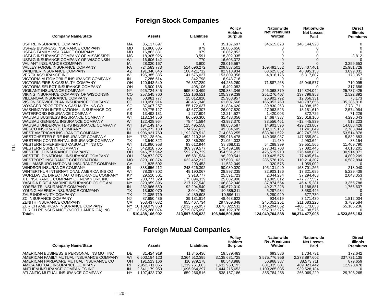| <b>Company Name/State</b>                                           |                 | Assets                        | <b>Liabilities</b>           | <b>Policy</b><br><b>Holders</b><br><b>Surplus</b> | <b>Nationwide</b><br><b>Net Premiums</b><br>Written | <b>Nationwide</b><br><b>Net Losses</b><br>Paid | Direct<br><b>Illinois</b><br><b>Premiums</b> |
|---------------------------------------------------------------------|-----------------|-------------------------------|------------------------------|---------------------------------------------------|-----------------------------------------------------|------------------------------------------------|----------------------------------------------|
| USF RE INSURANCE COMPANY                                            | MA              | 35,137,697                    | 0                            | 35,137,697                                        | 34,615,623                                          | 148,144,928                                    |                                              |
| USF&G BUSINESS INSURANCE COMPANY                                    | MD              | 16,866,635                    | 979                          | 16,865,656                                        |                                                     |                                                |                                              |
| USF&G FAMILY INSURANCE COMPANY                                      | MD              | 16,863,831                    | 979                          | 16,862,852                                        |                                                     |                                                |                                              |
| USF&G INSURANCE COMPANY OF MISSISSIPPI                              | <b>MS</b>       | 18.305.926                    | 3,591                        | 18,302,335                                        |                                                     |                                                | 8,812                                        |
| USF&G INSURANCE COMPANY OF WISCONSIN                                | WI              | 16,606,142                    | 770                          | 16,605,372                                        | 0                                                   |                                                |                                              |
| <b>VALIANT INSURANCE COMPANY</b>                                    | IA              | 28.020.167                    | 3,600                        | 28,016,567                                        | $\Omega$                                            | $\Omega$                                       | 3,259,653                                    |
| VALLEY FORGE INSURANCE COMPANY                                      | PA              | 724,583,773                   | 514,696,272                  | 209,887,501                                       | 169,491,552                                         | 158,407,461                                    | 25,981,728                                   |
| VANLINER INSURANCE COMPANY                                          | <b>AZ</b><br>WI | 191,340,646                   | 108,421,712                  | 82,918,934                                        | 63,625,652                                          | 46,395,153                                     | 3,099,031                                    |
| <b>VEREX ASSURANCE INC</b><br>VICTORIA AUTOMOBILE INSURANCE COMPANY |                 | 195,385,385                   | 41,576,027                   | 153,809,358                                       | 4,816,126<br>∩                                      | 6,317,807                                      | 173,357                                      |
| <b>VICTORIA FIRE &amp; CASUALTY COMPANY</b>                         | IN<br>OH        | 7,286,514                     | 342,798                      | 6,943,716                                         |                                                     | 0                                              |                                              |
| VICTORIA SELECT INSURANCE COMPANY                                   | OH              | 120,643,549<br>6,900,188      | 76,357,289<br>408,106        | 44,286,260<br>6,492,082                           | 71,887,268                                          | 45,946,577<br>O                                | 710,095<br>317,686                           |
| VIGILANT INSURANCE COMPANY                                          | <b>NY</b>       | 925,724,845                   | 595,840,499                  | 329,884,346                                       | 246,068,379                                         | 114,824,044                                    | 25,787,425                                   |
| VIKING INSURANCE COMPANY OF WISCONSIN                               | <b>CO</b>       | 257,545,760                   | 152,166,521                  | 105,379,239                                       | 251,276,407                                         | 137,796,953                                    | 2,522,892                                    |
| VILLANOVA INSURANCE COMPANY                                         | PA              | 50,981,777                    | 25,012,820                   | 25,968,957                                        | 26,902,792                                          | 12,856,331                                     | 75,173                                       |
| VISION SERVICE PLAN INSURANCE COMPANY                               | <b>CT</b>       | 110,058,914                   | 48,451,346                   | 61,607,568                                        | 166,953,760                                         | 140,787,656                                    | 35,286,818                                   |
| VOYAGER PROPERTY & CASUALTY INS CO                                  | SC              | 87,007,257                    | 55,172,637                   | 31,834,620                                        | 39,830,253                                          | 14,098,152                                     | 2,731,711                                    |
| WASHINGTON INTERNATIONAL INSURANCE CO                               | AZ              | 69,775,127                    | 43,677,307                   | 26,097,820                                        | 27,963,523                                          | 18,181,619                                     | 2,574,984                                    |
| WATERFORD INSURANCE COMPANY                                         | KS              | 13,492,131                    | 1,277,604                    | 12,214,527                                        | 1,420,003                                           | 872,726                                        | 71,226                                       |
| WAUSAU BUSINESS INSURANCE COMPANY                                   | WI              | 118,134,356                   | 86,696,300                   | 31,438,056                                        | 14,687,387                                          | 225,018,160                                    | 4,295,043                                    |
| WAUSAU GENERAL INSURANCE COMPANY                                    | WI              | 122,428,964                   | 78,441,594                   | 43,987,370                                        | 33,556,461                                          | $-12,445,839$                                  | 513,223                                      |
| WAUSAU UNDERWRITERS INSURANCE COMPANY                               | WI              | 194.149.145                   | 125,495,558                  | 68,653,587                                        | 14,901,596                                          | 429,723,867                                    | 14,088,428                                   |
| <b>WESCO INSURANCE COMPANY</b>                                      | DE              | 224,272,138                   | 174,967,633                  | 49,304,505                                        | 132, 115, 153                                       | 11,241,049                                     | 2,783,844                                    |
| WEST AMERICAN INSURANCE COMPANY                                     | IN              | 1,906,931,769                 | 1,192,878,513                | 714,053,255                                       | 683,801,522                                         | 402.747.255                                    | 53,514,878                                   |
| WESTCHESTER FIRE INSURANCE COMPANY                                  | <b>NY</b>       | 752,128,694                   | 492,210,216                  | 259,918,478                                       | 149,098,987                                         | 147,555,804                                    | 5,832,883                                    |
| WESTERN CONTINENTAL INSURANCE COMPANY                               | <b>TX</b>       | 43,540,322                    | 22.486.290                   | 21,054,032                                        | $-11,489$                                           | 2.953.644                                      | $-83.154$                                    |
| WESTERN DIVERSIFIED CASUALTY INS CO                                 | WI              | 131,980,958                   | 93,612,944                   | 38,368,011                                        | 54,288,399                                          | 29,551,565                                     | 11.409.790                                   |
| <b>WESTERN SURETY COMPANY</b>                                       | <b>SD</b>       | 542.818.765                   | 369,379,577                  | 173,439,188                                       | 277,341,708                                         | 37,082,445                                     | 4,018,201                                    |
| <b>WESTFIELD INSURANCE COMPANY</b>                                  | OH              | 946,757,942                   | 592,206,729                  | 354,551,213                                       | 426,519,910                                         | 276,448,832                                    | 30,914,071                                   |
| WESTFIELD NATIONAL INSURANCE COMPANY                                | OH              | 264,872,075                   | 166,581,534                  | 98,290,541                                        | 119,425,575                                         | 77,405,674                                     | 4,809,209                                    |
| <b>WESTPORT INSURANCE CORPORATION</b>                               | <b>MO</b>       | 820,160,374                   | 622,462,212                  | 197,698,162                                       | 285,578,196                                         | 110,214,307                                    | 16,582,894                                   |
| WILLIAMSBURG NATIONAL INSURANCE COMPANY                             | CA              | 11,825,502                    | 293,453                      | 11,532,049                                        | 320,575                                             | 1,059,002                                      |                                              |
| WINDSOR INSURANCE COMPANY                                           | IN              | 338,656,412                   | 248,626,392                  | 90,030,020                                        | 195,131,949                                         | 168,701,266                                    | 218,040                                      |
| WINTERTHUR INTERNATIONAL AMERICA INS CO                             | WI              | 78,087,302                    | 49,190,067                   | 28,897,235                                        | 32,903,186                                          | 17,321,685                                     | 5,229,438                                    |
| WORLDWIDE DIRECT AUTO INSURANCE COMPANY                             | <b>KY</b>       | 29,510,501                    | 3,918,777                    | 25,591,723                                        | 2,044,234                                           | 37,294,463                                     | 2,043,053                                    |
| X L INSURANCE COMPANY OF NEW YORK INC                               | <b>NY</b>       | 200,777,329                   | 175,094,339                  | 25,682,990                                        | 13,805,012                                          | $-77,777,557$                                  | ∩                                            |
| YASUDA FIRE & MARINE INSURANCE CO OF AM                             | <b>NY</b>       | 323,959,896                   | 217, 127, 548                | 106,832,348                                       | 87,874,554                                          | 45,415,281                                     | 3,355,788                                    |
| YOSEMITE INSURANCE COMPANY                                          | IN              | 232,966,550                   | 92,294,540                   | 140,672,010                                       | 49,217,228                                          | 11,188,881                                     | 1,766,637                                    |
| YOUNG AMERICA INSURANCE COMPANY                                     | <b>TX</b>       | 13,630,070                    | 3,044,759                    | 10,585,311                                        | 5,287,984                                           | 3,580,446                                      |                                              |
| ZALE INDEMNITY COMPANY                                              | <b>TX</b><br>NJ | 21,085,719                    | 10,489,608                   | 10,596,111                                        | 3,280,929                                           | 677,730                                        |                                              |
| <b>ZC INSURANCE COMPANY</b><br>ZENITH INSURANCE COMPANY             |                 | 87,650,436                    | 39,181,814                   | 48,468,622                                        | 934,619                                             | 3,171,430                                      | 1,812,004                                    |
| ZURICH AMERICAN INSURANCE COMPANY                                   | CА<br>NY.       | 953,437,082<br>10,109,079,868 | 655,467,734<br>7,032,756,957 | 297,969,348<br>3,076,322,911                      | 245,051,251<br>3,145,294,862                        | 211,683,226<br>$-488, 173, 053$                | 3,789,584<br>55,185,236                      |
| ZURICH REINSURANCE (NORTH AMERICA) INC                              | CТ              | 3,625,268,074                 | 2,719,075,098                | 906,192,976                                       | 967,312,976                                         | 724,138,576                                    |                                              |
| <b>Totals</b>                                                       |                 | 510,438,106,902               | 313,597,605,022              | 196,840,501,890                                   | 124,049,704,888                                     | 80,374,477,005                                 | 4,523,865,153                                |
|                                                                     |                 |                               |                              |                                                   |                                                     |                                                |                                              |

#### **Foreign Mutual Companies**

| <b>Company Name/State</b>                |    | Assets        | Liabilities   | <b>Policy</b><br><b>Holders</b><br>Surplus | <b>Nationwide</b><br><b>Net Premiums</b><br>Written | <b>Nationwide</b><br><b>Net Losses</b><br>Paid | Direct<br><b>Illinois</b><br>Premiums |
|------------------------------------------|----|---------------|---------------|--------------------------------------------|-----------------------------------------------------|------------------------------------------------|---------------------------------------|
| AMERICAN BUSINESS & PERSONAL INS MUT INC | DE | 31.424.919    | 11.845.436    | 19.579.483                                 | 693.586                                             | 1.734.731                                      | 172.642                               |
| AMERICAN FAMILY MUTUAL INSURANCE COMPANY | WI | 6.503.194.123 | 3.364.512.395 | 3.138.681.728                              | 3.575.776.956                                       | 2.273.897.602                                  | 337,721,138                           |
| AMERICAN HARDWARE MUTUAL INSURANCE CO    | OH | 191.523.166   | 110.979.178   | 80.543.988                                 | 56.968.387                                          | 38.573.711                                     | 879.659                               |
| AMICA MUTUAL INSURANCE COMPANY           | RI | 2.952.711.856 | 1.319.751.663 | 1.632.960.193                              | 881.335.681                                         | 469.023.442                                    | 12,928,478                            |
| ANTHEM INSURANCE COMPANIES INC           | IN | 2.541.179.950 | 1.096.964.297 | 1.444.215.653                              | .109.265.035                                        | 939.528.184                                    |                                       |
| ATLANTIC MUTUAL INSURANCE COMPANY        | ΝY | 1.197.423.702 | 659.266.516   | 538.157.186                                | 355.784.258                                         | 266.069.229                                    | 29.706.265                            |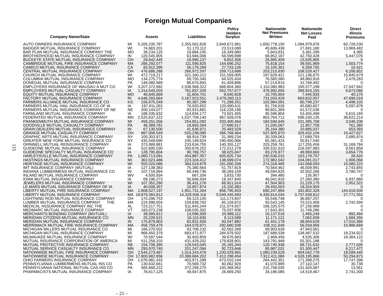## **Foreign Mutual Companies**

| 5,205,235,787<br>2,355,562,826<br>1,094,979,876<br>AUTO OWNERS INSURANCE COMPANY<br>MI<br>2,849,672,961<br>1,650,778,150<br>60,728,530<br>BADGER MUTUAL INSURANCE COMPANY<br>WI<br>74,683,201<br>23,513,089<br>45,606,438<br>27,691,180<br>13,969,482<br>51,170,112<br>BAR PLAN MUTUAL INSURANCE COMPANY THE<br><b>MO</b><br>38,234,125<br>19,884,245<br>18,349,880<br>5,943,831<br>3,381,289<br>4,385<br>IN<br>56,599,898<br>42,750,428<br>5,447,076<br>BROTHERHOOD MUTUAL INSURANCE COMPANY<br>120,545,905<br>63,946,006<br>68,952,187<br><b>BUCKEYE STATE MUTUAL INSURANCE COMPANY</b><br>OH<br>29,642,445<br>19,990,137<br>9,652,306<br>26,985,409<br>15,835,865<br>CAMBRIDGE MUTUAL FIRE INSURANCE COMPANY<br>MA<br>266,292,077<br>111,595,825<br>154,696,252<br>75,818,154<br>39,591,969<br>1,503,774<br>CA<br>CAMICO MUTUAL INSURANCE COMPANY<br>83,912,395<br>56,179,269<br>27,733,126<br>10,421<br>15,105,301<br>6,359,755<br>CENTRAL MUTUAL INSURANCE COMPANY<br>OH<br>476,686,288<br>266,972,597<br>209,713,688<br>203,210,830<br>6,206,852<br>108,528,427<br>CHURCH MUTUAL INSURANCE COMPANY<br>WI<br>151,559,005<br>472,719,217<br>321,160,212<br>197,629,421<br>121,136,675<br>15,845,679<br>COLUMBIA MUTUAL INSURANCE COMPANY<br><b>MO</b><br>134,275,774<br>69,750,340<br>64,525,434<br>2,479,283<br>76,585,580<br>48,860,916<br>DONEGAL MUTUAL INSURANCE COMPANY<br>PA<br>148,080,589<br>86,670,693<br>31,768,492<br>61,409,896<br>57,214,814<br>0<br>WI<br>EMPLOYERS INSURANCE OF WAUSAU A MUT CO<br>3,207,372,682<br>2,538,568,322<br>668,804,360<br>1,110,080,983<br>195,577,198<br>27,047,942<br>EMPLOYERS MUTUAL CASUALTY COMPANY<br>IA<br>552,707,677<br>476,992,655<br>289,924,155<br>6,673,066<br>1,314,545,003<br>761,837,326<br><b>MO</b><br>EQUITY MUTUAL INSURANCE COMPANY<br>40,645,669<br>31,604,741<br>9,040,928<br>15,705,904<br>7,445,933<br>40,170<br>FACTORY MUTUAL INSURANCE COMPANY<br>4,646,283,664<br>2,167,023,551<br>2,479,260,113<br>731,033,429<br>683,832,057<br>47,690,019<br>RI<br>FARMERS ALLIANCE MUTUAL INSURANCE CO<br>KS<br>85,387,299<br>71,288,251<br>102,984,091<br>80,799,237<br>156,675,549<br>4,498,103<br>FARMERS MUTUAL HAIL INSURANCE CO OF IA<br>ΙA<br>197,911,263<br>76,920,652<br>120,990,611<br>81,726,626<br>45,680,657<br>5,597,878<br><b>NE</b><br>FARMERS MUTUAL INSURANCE COMPANY OF NE<br>200,144,077<br>83,915,881<br>116,228,196<br>99,601,369<br>61,572,036<br>$\Omega$<br>FARMLAND MUTUAL INSURANCE COMPANY<br>IA<br>188,335,632<br>114,834,177<br>73,501,455<br>95,596,804<br>53,455,498<br>5,615,165<br><b>MN</b><br>FEDERATED MUTUAL INSURANCE COMPANY<br>2,525,637,222<br>1,537,709,140<br>987,928,078<br>803,764,712<br>596,330,135<br>38,622,214<br>FRANKENMUTH MUTUAL INSURANCE COMPANY<br>MI<br>101,395,708<br>458,251,556<br>254,851,092<br>203,400,464<br>184,594,645<br>3,046,338<br>PA<br>GOODVILLE MUTUAL CASUALTY COMPANY<br>46,389,781<br>18,693,264<br>27,696,517<br>21,035,067<br>11,957,759<br>761,380<br><b>GRAIN DEALERS MUTUAL INSURANCE COMPANY</b><br>IN<br>67,130,500<br>41,636,971<br>25,493,529<br>35,164,380<br>653,393<br>20,885,037<br><b>GRANGE MUTUAL CASUALTY COMPANY</b><br>520,238,085<br>19,427,627<br>329,432,104<br>OH<br>887,006,549<br>366,768,464<br>537,605,670<br>GRAPHIC ARTS MUTUAL INSURANCE COMPANY<br><b>NY</b><br>68,914,739<br>31,389,234<br>30,339,063<br>17,689,793<br>2,685,974<br>100,303,973<br>GREATER NEW YORK MUTUAL INSURANCE CO<br><b>NY</b><br>245,149,624<br>65,381,424<br>435,549,690<br>190,400,066<br>50,817,540<br>0<br>GRINNELL MUTUAL REINSURANCE COMPANY<br>233,634,755<br>203,259,761<br>IA<br>373,989,881<br>140,355,127<br>117,255,456<br>31,169,784<br>GUIDEONE MUTUAL INSURANCE COMPANY<br>IA<br>522,690,530<br>350,678,252<br>335,531,610<br>216,597,883<br>9,561,858<br>172,012,278<br>GUIDEONE SPECIALTY MUTUAL INSURANCE CO<br>ΙA<br>128,795,604<br>90,769,757<br>38,025,847<br>83,276,977<br>49,969,660<br>3,654,776<br>PA<br>605,825,734<br>HARLEYSVILLE MUTUAL INSURANCE COMPANY<br>454,887,357<br>240,536,015<br>153.178.757<br>28,420<br>1,060,713,091<br>HASTINGS MUTUAL INSURANCE COMPANY<br>MI<br>223.324.412<br>1,906,068<br>362,023,486<br>138,699,074<br>172,982,042<br>104,091,017<br>HERITAGE MUTUAL INSURANCE COMPANY<br>WI<br>555,020,086<br>364,019,878<br>274,318,485<br>15,080,223<br>191,000,208<br>142,068,093<br>IMT INSURANCE COMPANY (MUTUAL)<br>75,380,564<br>2,743,855<br>IA<br>127, 138, 383<br>51,757,819<br>70,564,462<br>46,509,991<br>38,269,159<br>32,502,286<br>INDIANA LUMBERMENS MUTUAL INSURANCE CO<br>IN<br>69,449,736<br>49,594,825<br>3,780,747<br>107,718,894<br>INLAND MUTUAL INSURANCE COMPANY<br>WV<br>4,500,934<br>667,204<br>3,833,730<br>394,480<br>135,957<br>0<br><b>IOWA MUTUAL INSURANCE COMPANY</b><br>69,196,273<br>27,260,380<br>50,848,434<br>18,347,840<br>46,041,916<br>6,937,860<br>IA<br>WI<br>JEWELERS MUTUAL INSURANCE COMPANY<br>107,352,290<br>38,431,276<br>68,921,014<br>47,504,903<br>21,229,175<br>2,952,322<br>LE MARS MUTUAL INSURANCE COMPANY OF IA<br>40,008,357<br>24,857,974<br>15,150,383<br>28,450,003<br>19,324,959<br>IA<br>LIBERTY MUTUAL FIRE INSURANCE COMPANY<br>144,618,500<br>МA<br>2,808,527,197<br>1,951,731,264<br>856,795,933<br>690,247,894<br>342,802,328<br>LIBERTY MUTUAL INSURANCE COMPANY<br><b>MA</b><br>19,879,383,812<br>14,329,938,118<br>3,737,639,812<br>5,549,445,693<br>4,330,614,034<br>27,771,553<br>LIGHTNING ROD MUTUAL INSURANCE COMPANY<br>170,296,753<br>59,123,145<br>OH<br>111,173,607<br>55,548,748<br>36,687,257<br>LUMBER MUTUAL INSURANCE COMPANY<br>МA<br>224,998,654<br>159,838,782<br>65,159,872<br>93,543,145<br>70,315,406<br>2,742,594<br><b>THE</b><br>MEDICAL ASSURANCE COMPANY INC THE<br>511,643,244<br>AL<br>723,217,751<br>166,325,575<br>37,156,988<br>211.574.507<br>$\Omega$<br>VT<br>MEDMARC MUTUAL INSURANCE COMPANY<br>183,073,238<br>108,035,302<br>75,037,936<br>17,643,301<br>11,749,286<br>MERCHANTS BONDING COMPANY (MUTUAL)<br>39,585,612<br>13,596,500<br>25,989,112<br>16,137,516<br>IA<br>1,465,249<br>892,494<br>MERIDIAN CITIZENS MUTUAL INSURANCE CO<br><b>MN</b><br>25,229,521<br>16,115,930<br>11,171,121<br>7,062,659<br>1,684,355<br>9,113,589<br>MERIDIAN MUTUAL INSURANCE COMPANY<br>175,879,803<br>82,831,926<br>93,047,882<br>61,441,178<br>38,844,628<br>17,010,366<br>IN<br>MERRIMACK MUTUAL FIRE INSURANCE COMPANY<br>164,078,971<br>MA<br>456,759,479<br>292,680,508<br>108,311,649<br>56,559,956<br>10,986,669<br>MICHIGAN MILLERS MUTUAL INSURANCE CO<br>MI<br>166,270,501<br>83,708,232<br>82,562,268<br>69,903,628<br>47,943,561<br>0<br>MICHIGAN MUTUAL INSURANCE COMPANY<br>MI<br>683,471,877<br>284,978,502<br>187,688,538<br>18,234,922<br>968,450,379<br>138,487,532<br>MILWAUKEE MUTUAL INSURANCE COMPANY<br>30,920,859<br>WI<br>70,597,544<br>39,676,683<br>4,535,306<br>18,364,122<br>2,468,456<br>MUTUAL INSURANCE CORPORATION OF AMERICA<br>MI<br>431,429,202<br>179,828,901<br>143,791,949<br>611,258,103<br>55,301,188<br>0<br>MUTUAL PROTECTIVE INSURANCE COMPANY<br><b>NE</b><br>154,708,390<br>129,543,045<br>25,165,344<br>68,731,632<br>120,745,938<br>2,777,026<br>MUTUAL SERVICE CASUALTY INSURANCE CO<br><b>MN</b><br>293,970,740<br>201,247,094<br>92,723,646<br>85,987,031<br>91,305,447<br>6,217,472<br>NATIONWIDE MUTUAL FIRE INSURANCE COMPANY<br>OH<br>2,544,273,467<br>1,314,243,476<br>1,080,239,529<br>1,230,029,991<br>604,042,778<br>18,599,440<br>NATIONWIDE MUTUAL INSURANCE COMPANY<br>17,800,982,656<br><b>OH</b><br>10,388,684,202<br>7,412,298,454<br>7,912,411,066<br>4,528,195,866<br>50,294,873<br>OHIO FARMERS INSURANCE COMPANY<br>1,076,981,433<br>403,971,289<br>264,442,351<br>17,747,396<br>OН<br>673,010,144<br>171,398,275<br>PA<br>70,569,732<br>30,738<br>PENNSYLVANIA LUMBERMENS MUTUAL INS CO<br>130,632,661<br>60,062,929<br>41,070,895<br>27,110,147<br>PA<br>PENNSYLVANIA NATIONAL MUTUAL CAS INS CO<br>372,299,270<br>215,758,035<br>13,561<br>565,668,222<br>193,368,952<br>131,420,087<br>PHARMACISTS MUTUAL INSURANCE COMPANY<br>IA<br>76,617,125<br>49,947,875<br>26,669,250<br>34,186,085<br>14,519,467<br>2,741,300 | <b>Company Name/State</b> | <b>Assets</b> | Liabilities | <b>Policy</b><br><b>Holders</b><br><b>Surplus</b> | Nationwide<br><b>Net Premiums</b><br>Written | Nationwide<br><b>Net Losses</b><br>Paid | <b>Direct</b><br>Illinois<br><b>Premiums</b> |
|---------------------------------------------------------------------------------------------------------------------------------------------------------------------------------------------------------------------------------------------------------------------------------------------------------------------------------------------------------------------------------------------------------------------------------------------------------------------------------------------------------------------------------------------------------------------------------------------------------------------------------------------------------------------------------------------------------------------------------------------------------------------------------------------------------------------------------------------------------------------------------------------------------------------------------------------------------------------------------------------------------------------------------------------------------------------------------------------------------------------------------------------------------------------------------------------------------------------------------------------------------------------------------------------------------------------------------------------------------------------------------------------------------------------------------------------------------------------------------------------------------------------------------------------------------------------------------------------------------------------------------------------------------------------------------------------------------------------------------------------------------------------------------------------------------------------------------------------------------------------------------------------------------------------------------------------------------------------------------------------------------------------------------------------------------------------------------------------------------------------------------------------------------------------------------------------------------------------------------------------------------------------------------------------------------------------------------------------------------------------------------------------------------------------------------------------------------------------------------------------------------------------------------------------------------------------------------------------------------------------------------------------------------------------------------------------------------------------------------------------------------------------------------------------------------------------------------------------------------------------------------------------------------------------------------------------------------------------------------------------------------------------------------------------------------------------------------------------------------------------------------------------------------------------------------------------------------------------------------------------------------------------------------------------------------------------------------------------------------------------------------------------------------------------------------------------------------------------------------------------------------------------------------------------------------------------------------------------------------------------------------------------------------------------------------------------------------------------------------------------------------------------------------------------------------------------------------------------------------------------------------------------------------------------------------------------------------------------------------------------------------------------------------------------------------------------------------------------------------------------------------------------------------------------------------------------------------------------------------------------------------------------------------------------------------------------------------------------------------------------------------------------------------------------------------------------------------------------------------------------------------------------------------------------------------------------------------------------------------------------------------------------------------------------------------------------------------------------------------------------------------------------------------------------------------------------------------------------------------------------------------------------------------------------------------------------------------------------------------------------------------------------------------------------------------------------------------------------------------------------------------------------------------------------------------------------------------------------------------------------------------------------------------------------------------------------------------------------------------------------------------------------------------------------------------------------------------------------------------------------------------------------------------------------------------------------------------------------------------------------------------------------------------------------------------------------------------------------------------------------------------------------------------------------------------------------------------------------------------------------------------------------------------------------------------------------------------------------------------------------------------------------------------------------------------------------------------------------------------------------------------------------------------------------------------------------------------------------------------------------------------------------------------------------------------------------------------------------------------------------------------------------------------------------------------------------------------------------------------------------------------------------------------------------------------------------------------------------------------------------------------------------------------------------------------------------------------------------------------------------------------------------------------------------------------------------------------------------------------------------------------------------------------------------------------------------------------------------------------------------------------------------------------------------------------------------------------------------------------------------------------------------------------------------------------------------------------------------------------------------------------------------------------------------------------------------------------------------------------------------------------------------------------------------------------------------------------------------------------------------------------------------------------------------------------------------------------------------------------------------------------------------------------------------------------------------------------------------------------------------------------------------------------------------------------------------------------------------------------------------------------------------------------------------------------------------------------------------------------------------------------------------------------------------------------------------------------------------------------------------------------------------------------------------------------------------------------|---------------------------|---------------|-------------|---------------------------------------------------|----------------------------------------------|-----------------------------------------|----------------------------------------------|
|                                                                                                                                                                                                                                                                                                                                                                                                                                                                                                                                                                                                                                                                                                                                                                                                                                                                                                                                                                                                                                                                                                                                                                                                                                                                                                                                                                                                                                                                                                                                                                                                                                                                                                                                                                                                                                                                                                                                                                                                                                                                                                                                                                                                                                                                                                                                                                                                                                                                                                                                                                                                                                                                                                                                                                                                                                                                                                                                                                                                                                                                                                                                                                                                                                                                                                                                                                                                                                                                                                                                                                                                                                                                                                                                                                                                                                                                                                                                                                                                                                                                                                                                                                                                                                                                                                                                                                                                                                                                                                                                                                                                                                                                                                                                                                                                                                                                                                                                                                                                                                                                                                                                                                                                                                                                                                                                                                                                                                                                                                                                                                                                                                                                                                                                                                                                                                                                                                                                                                                                                                                                                                                                                                                                                                                                                                                                                                                                                                                                                                                                                                                                                                                                                                                                                                                                                                                                                                                                                                                                                                                                                                                                                                                                                                                                                                                                                                                                                                                                                                                                                                                                                                                                                                                                                                                                                                                                                                                                                                                                                                                                                                                                                                                                         |                           |               |             |                                                   |                                              |                                         |                                              |
|                                                                                                                                                                                                                                                                                                                                                                                                                                                                                                                                                                                                                                                                                                                                                                                                                                                                                                                                                                                                                                                                                                                                                                                                                                                                                                                                                                                                                                                                                                                                                                                                                                                                                                                                                                                                                                                                                                                                                                                                                                                                                                                                                                                                                                                                                                                                                                                                                                                                                                                                                                                                                                                                                                                                                                                                                                                                                                                                                                                                                                                                                                                                                                                                                                                                                                                                                                                                                                                                                                                                                                                                                                                                                                                                                                                                                                                                                                                                                                                                                                                                                                                                                                                                                                                                                                                                                                                                                                                                                                                                                                                                                                                                                                                                                                                                                                                                                                                                                                                                                                                                                                                                                                                                                                                                                                                                                                                                                                                                                                                                                                                                                                                                                                                                                                                                                                                                                                                                                                                                                                                                                                                                                                                                                                                                                                                                                                                                                                                                                                                                                                                                                                                                                                                                                                                                                                                                                                                                                                                                                                                                                                                                                                                                                                                                                                                                                                                                                                                                                                                                                                                                                                                                                                                                                                                                                                                                                                                                                                                                                                                                                                                                                                                                         |                           |               |             |                                                   |                                              |                                         |                                              |
|                                                                                                                                                                                                                                                                                                                                                                                                                                                                                                                                                                                                                                                                                                                                                                                                                                                                                                                                                                                                                                                                                                                                                                                                                                                                                                                                                                                                                                                                                                                                                                                                                                                                                                                                                                                                                                                                                                                                                                                                                                                                                                                                                                                                                                                                                                                                                                                                                                                                                                                                                                                                                                                                                                                                                                                                                                                                                                                                                                                                                                                                                                                                                                                                                                                                                                                                                                                                                                                                                                                                                                                                                                                                                                                                                                                                                                                                                                                                                                                                                                                                                                                                                                                                                                                                                                                                                                                                                                                                                                                                                                                                                                                                                                                                                                                                                                                                                                                                                                                                                                                                                                                                                                                                                                                                                                                                                                                                                                                                                                                                                                                                                                                                                                                                                                                                                                                                                                                                                                                                                                                                                                                                                                                                                                                                                                                                                                                                                                                                                                                                                                                                                                                                                                                                                                                                                                                                                                                                                                                                                                                                                                                                                                                                                                                                                                                                                                                                                                                                                                                                                                                                                                                                                                                                                                                                                                                                                                                                                                                                                                                                                                                                                                                                         |                           |               |             |                                                   |                                              |                                         |                                              |
|                                                                                                                                                                                                                                                                                                                                                                                                                                                                                                                                                                                                                                                                                                                                                                                                                                                                                                                                                                                                                                                                                                                                                                                                                                                                                                                                                                                                                                                                                                                                                                                                                                                                                                                                                                                                                                                                                                                                                                                                                                                                                                                                                                                                                                                                                                                                                                                                                                                                                                                                                                                                                                                                                                                                                                                                                                                                                                                                                                                                                                                                                                                                                                                                                                                                                                                                                                                                                                                                                                                                                                                                                                                                                                                                                                                                                                                                                                                                                                                                                                                                                                                                                                                                                                                                                                                                                                                                                                                                                                                                                                                                                                                                                                                                                                                                                                                                                                                                                                                                                                                                                                                                                                                                                                                                                                                                                                                                                                                                                                                                                                                                                                                                                                                                                                                                                                                                                                                                                                                                                                                                                                                                                                                                                                                                                                                                                                                                                                                                                                                                                                                                                                                                                                                                                                                                                                                                                                                                                                                                                                                                                                                                                                                                                                                                                                                                                                                                                                                                                                                                                                                                                                                                                                                                                                                                                                                                                                                                                                                                                                                                                                                                                                                                         |                           |               |             |                                                   |                                              |                                         |                                              |
|                                                                                                                                                                                                                                                                                                                                                                                                                                                                                                                                                                                                                                                                                                                                                                                                                                                                                                                                                                                                                                                                                                                                                                                                                                                                                                                                                                                                                                                                                                                                                                                                                                                                                                                                                                                                                                                                                                                                                                                                                                                                                                                                                                                                                                                                                                                                                                                                                                                                                                                                                                                                                                                                                                                                                                                                                                                                                                                                                                                                                                                                                                                                                                                                                                                                                                                                                                                                                                                                                                                                                                                                                                                                                                                                                                                                                                                                                                                                                                                                                                                                                                                                                                                                                                                                                                                                                                                                                                                                                                                                                                                                                                                                                                                                                                                                                                                                                                                                                                                                                                                                                                                                                                                                                                                                                                                                                                                                                                                                                                                                                                                                                                                                                                                                                                                                                                                                                                                                                                                                                                                                                                                                                                                                                                                                                                                                                                                                                                                                                                                                                                                                                                                                                                                                                                                                                                                                                                                                                                                                                                                                                                                                                                                                                                                                                                                                                                                                                                                                                                                                                                                                                                                                                                                                                                                                                                                                                                                                                                                                                                                                                                                                                                                                         |                           |               |             |                                                   |                                              |                                         |                                              |
|                                                                                                                                                                                                                                                                                                                                                                                                                                                                                                                                                                                                                                                                                                                                                                                                                                                                                                                                                                                                                                                                                                                                                                                                                                                                                                                                                                                                                                                                                                                                                                                                                                                                                                                                                                                                                                                                                                                                                                                                                                                                                                                                                                                                                                                                                                                                                                                                                                                                                                                                                                                                                                                                                                                                                                                                                                                                                                                                                                                                                                                                                                                                                                                                                                                                                                                                                                                                                                                                                                                                                                                                                                                                                                                                                                                                                                                                                                                                                                                                                                                                                                                                                                                                                                                                                                                                                                                                                                                                                                                                                                                                                                                                                                                                                                                                                                                                                                                                                                                                                                                                                                                                                                                                                                                                                                                                                                                                                                                                                                                                                                                                                                                                                                                                                                                                                                                                                                                                                                                                                                                                                                                                                                                                                                                                                                                                                                                                                                                                                                                                                                                                                                                                                                                                                                                                                                                                                                                                                                                                                                                                                                                                                                                                                                                                                                                                                                                                                                                                                                                                                                                                                                                                                                                                                                                                                                                                                                                                                                                                                                                                                                                                                                                                         |                           |               |             |                                                   |                                              |                                         |                                              |
|                                                                                                                                                                                                                                                                                                                                                                                                                                                                                                                                                                                                                                                                                                                                                                                                                                                                                                                                                                                                                                                                                                                                                                                                                                                                                                                                                                                                                                                                                                                                                                                                                                                                                                                                                                                                                                                                                                                                                                                                                                                                                                                                                                                                                                                                                                                                                                                                                                                                                                                                                                                                                                                                                                                                                                                                                                                                                                                                                                                                                                                                                                                                                                                                                                                                                                                                                                                                                                                                                                                                                                                                                                                                                                                                                                                                                                                                                                                                                                                                                                                                                                                                                                                                                                                                                                                                                                                                                                                                                                                                                                                                                                                                                                                                                                                                                                                                                                                                                                                                                                                                                                                                                                                                                                                                                                                                                                                                                                                                                                                                                                                                                                                                                                                                                                                                                                                                                                                                                                                                                                                                                                                                                                                                                                                                                                                                                                                                                                                                                                                                                                                                                                                                                                                                                                                                                                                                                                                                                                                                                                                                                                                                                                                                                                                                                                                                                                                                                                                                                                                                                                                                                                                                                                                                                                                                                                                                                                                                                                                                                                                                                                                                                                                                         |                           |               |             |                                                   |                                              |                                         |                                              |
|                                                                                                                                                                                                                                                                                                                                                                                                                                                                                                                                                                                                                                                                                                                                                                                                                                                                                                                                                                                                                                                                                                                                                                                                                                                                                                                                                                                                                                                                                                                                                                                                                                                                                                                                                                                                                                                                                                                                                                                                                                                                                                                                                                                                                                                                                                                                                                                                                                                                                                                                                                                                                                                                                                                                                                                                                                                                                                                                                                                                                                                                                                                                                                                                                                                                                                                                                                                                                                                                                                                                                                                                                                                                                                                                                                                                                                                                                                                                                                                                                                                                                                                                                                                                                                                                                                                                                                                                                                                                                                                                                                                                                                                                                                                                                                                                                                                                                                                                                                                                                                                                                                                                                                                                                                                                                                                                                                                                                                                                                                                                                                                                                                                                                                                                                                                                                                                                                                                                                                                                                                                                                                                                                                                                                                                                                                                                                                                                                                                                                                                                                                                                                                                                                                                                                                                                                                                                                                                                                                                                                                                                                                                                                                                                                                                                                                                                                                                                                                                                                                                                                                                                                                                                                                                                                                                                                                                                                                                                                                                                                                                                                                                                                                                                         |                           |               |             |                                                   |                                              |                                         |                                              |
|                                                                                                                                                                                                                                                                                                                                                                                                                                                                                                                                                                                                                                                                                                                                                                                                                                                                                                                                                                                                                                                                                                                                                                                                                                                                                                                                                                                                                                                                                                                                                                                                                                                                                                                                                                                                                                                                                                                                                                                                                                                                                                                                                                                                                                                                                                                                                                                                                                                                                                                                                                                                                                                                                                                                                                                                                                                                                                                                                                                                                                                                                                                                                                                                                                                                                                                                                                                                                                                                                                                                                                                                                                                                                                                                                                                                                                                                                                                                                                                                                                                                                                                                                                                                                                                                                                                                                                                                                                                                                                                                                                                                                                                                                                                                                                                                                                                                                                                                                                                                                                                                                                                                                                                                                                                                                                                                                                                                                                                                                                                                                                                                                                                                                                                                                                                                                                                                                                                                                                                                                                                                                                                                                                                                                                                                                                                                                                                                                                                                                                                                                                                                                                                                                                                                                                                                                                                                                                                                                                                                                                                                                                                                                                                                                                                                                                                                                                                                                                                                                                                                                                                                                                                                                                                                                                                                                                                                                                                                                                                                                                                                                                                                                                                                         |                           |               |             |                                                   |                                              |                                         |                                              |
|                                                                                                                                                                                                                                                                                                                                                                                                                                                                                                                                                                                                                                                                                                                                                                                                                                                                                                                                                                                                                                                                                                                                                                                                                                                                                                                                                                                                                                                                                                                                                                                                                                                                                                                                                                                                                                                                                                                                                                                                                                                                                                                                                                                                                                                                                                                                                                                                                                                                                                                                                                                                                                                                                                                                                                                                                                                                                                                                                                                                                                                                                                                                                                                                                                                                                                                                                                                                                                                                                                                                                                                                                                                                                                                                                                                                                                                                                                                                                                                                                                                                                                                                                                                                                                                                                                                                                                                                                                                                                                                                                                                                                                                                                                                                                                                                                                                                                                                                                                                                                                                                                                                                                                                                                                                                                                                                                                                                                                                                                                                                                                                                                                                                                                                                                                                                                                                                                                                                                                                                                                                                                                                                                                                                                                                                                                                                                                                                                                                                                                                                                                                                                                                                                                                                                                                                                                                                                                                                                                                                                                                                                                                                                                                                                                                                                                                                                                                                                                                                                                                                                                                                                                                                                                                                                                                                                                                                                                                                                                                                                                                                                                                                                                                                         |                           |               |             |                                                   |                                              |                                         |                                              |
|                                                                                                                                                                                                                                                                                                                                                                                                                                                                                                                                                                                                                                                                                                                                                                                                                                                                                                                                                                                                                                                                                                                                                                                                                                                                                                                                                                                                                                                                                                                                                                                                                                                                                                                                                                                                                                                                                                                                                                                                                                                                                                                                                                                                                                                                                                                                                                                                                                                                                                                                                                                                                                                                                                                                                                                                                                                                                                                                                                                                                                                                                                                                                                                                                                                                                                                                                                                                                                                                                                                                                                                                                                                                                                                                                                                                                                                                                                                                                                                                                                                                                                                                                                                                                                                                                                                                                                                                                                                                                                                                                                                                                                                                                                                                                                                                                                                                                                                                                                                                                                                                                                                                                                                                                                                                                                                                                                                                                                                                                                                                                                                                                                                                                                                                                                                                                                                                                                                                                                                                                                                                                                                                                                                                                                                                                                                                                                                                                                                                                                                                                                                                                                                                                                                                                                                                                                                                                                                                                                                                                                                                                                                                                                                                                                                                                                                                                                                                                                                                                                                                                                                                                                                                                                                                                                                                                                                                                                                                                                                                                                                                                                                                                                                                         |                           |               |             |                                                   |                                              |                                         |                                              |
|                                                                                                                                                                                                                                                                                                                                                                                                                                                                                                                                                                                                                                                                                                                                                                                                                                                                                                                                                                                                                                                                                                                                                                                                                                                                                                                                                                                                                                                                                                                                                                                                                                                                                                                                                                                                                                                                                                                                                                                                                                                                                                                                                                                                                                                                                                                                                                                                                                                                                                                                                                                                                                                                                                                                                                                                                                                                                                                                                                                                                                                                                                                                                                                                                                                                                                                                                                                                                                                                                                                                                                                                                                                                                                                                                                                                                                                                                                                                                                                                                                                                                                                                                                                                                                                                                                                                                                                                                                                                                                                                                                                                                                                                                                                                                                                                                                                                                                                                                                                                                                                                                                                                                                                                                                                                                                                                                                                                                                                                                                                                                                                                                                                                                                                                                                                                                                                                                                                                                                                                                                                                                                                                                                                                                                                                                                                                                                                                                                                                                                                                                                                                                                                                                                                                                                                                                                                                                                                                                                                                                                                                                                                                                                                                                                                                                                                                                                                                                                                                                                                                                                                                                                                                                                                                                                                                                                                                                                                                                                                                                                                                                                                                                                                                         |                           |               |             |                                                   |                                              |                                         |                                              |
|                                                                                                                                                                                                                                                                                                                                                                                                                                                                                                                                                                                                                                                                                                                                                                                                                                                                                                                                                                                                                                                                                                                                                                                                                                                                                                                                                                                                                                                                                                                                                                                                                                                                                                                                                                                                                                                                                                                                                                                                                                                                                                                                                                                                                                                                                                                                                                                                                                                                                                                                                                                                                                                                                                                                                                                                                                                                                                                                                                                                                                                                                                                                                                                                                                                                                                                                                                                                                                                                                                                                                                                                                                                                                                                                                                                                                                                                                                                                                                                                                                                                                                                                                                                                                                                                                                                                                                                                                                                                                                                                                                                                                                                                                                                                                                                                                                                                                                                                                                                                                                                                                                                                                                                                                                                                                                                                                                                                                                                                                                                                                                                                                                                                                                                                                                                                                                                                                                                                                                                                                                                                                                                                                                                                                                                                                                                                                                                                                                                                                                                                                                                                                                                                                                                                                                                                                                                                                                                                                                                                                                                                                                                                                                                                                                                                                                                                                                                                                                                                                                                                                                                                                                                                                                                                                                                                                                                                                                                                                                                                                                                                                                                                                                                                         |                           |               |             |                                                   |                                              |                                         |                                              |
|                                                                                                                                                                                                                                                                                                                                                                                                                                                                                                                                                                                                                                                                                                                                                                                                                                                                                                                                                                                                                                                                                                                                                                                                                                                                                                                                                                                                                                                                                                                                                                                                                                                                                                                                                                                                                                                                                                                                                                                                                                                                                                                                                                                                                                                                                                                                                                                                                                                                                                                                                                                                                                                                                                                                                                                                                                                                                                                                                                                                                                                                                                                                                                                                                                                                                                                                                                                                                                                                                                                                                                                                                                                                                                                                                                                                                                                                                                                                                                                                                                                                                                                                                                                                                                                                                                                                                                                                                                                                                                                                                                                                                                                                                                                                                                                                                                                                                                                                                                                                                                                                                                                                                                                                                                                                                                                                                                                                                                                                                                                                                                                                                                                                                                                                                                                                                                                                                                                                                                                                                                                                                                                                                                                                                                                                                                                                                                                                                                                                                                                                                                                                                                                                                                                                                                                                                                                                                                                                                                                                                                                                                                                                                                                                                                                                                                                                                                                                                                                                                                                                                                                                                                                                                                                                                                                                                                                                                                                                                                                                                                                                                                                                                                                                         |                           |               |             |                                                   |                                              |                                         |                                              |
|                                                                                                                                                                                                                                                                                                                                                                                                                                                                                                                                                                                                                                                                                                                                                                                                                                                                                                                                                                                                                                                                                                                                                                                                                                                                                                                                                                                                                                                                                                                                                                                                                                                                                                                                                                                                                                                                                                                                                                                                                                                                                                                                                                                                                                                                                                                                                                                                                                                                                                                                                                                                                                                                                                                                                                                                                                                                                                                                                                                                                                                                                                                                                                                                                                                                                                                                                                                                                                                                                                                                                                                                                                                                                                                                                                                                                                                                                                                                                                                                                                                                                                                                                                                                                                                                                                                                                                                                                                                                                                                                                                                                                                                                                                                                                                                                                                                                                                                                                                                                                                                                                                                                                                                                                                                                                                                                                                                                                                                                                                                                                                                                                                                                                                                                                                                                                                                                                                                                                                                                                                                                                                                                                                                                                                                                                                                                                                                                                                                                                                                                                                                                                                                                                                                                                                                                                                                                                                                                                                                                                                                                                                                                                                                                                                                                                                                                                                                                                                                                                                                                                                                                                                                                                                                                                                                                                                                                                                                                                                                                                                                                                                                                                                                                         |                           |               |             |                                                   |                                              |                                         |                                              |
|                                                                                                                                                                                                                                                                                                                                                                                                                                                                                                                                                                                                                                                                                                                                                                                                                                                                                                                                                                                                                                                                                                                                                                                                                                                                                                                                                                                                                                                                                                                                                                                                                                                                                                                                                                                                                                                                                                                                                                                                                                                                                                                                                                                                                                                                                                                                                                                                                                                                                                                                                                                                                                                                                                                                                                                                                                                                                                                                                                                                                                                                                                                                                                                                                                                                                                                                                                                                                                                                                                                                                                                                                                                                                                                                                                                                                                                                                                                                                                                                                                                                                                                                                                                                                                                                                                                                                                                                                                                                                                                                                                                                                                                                                                                                                                                                                                                                                                                                                                                                                                                                                                                                                                                                                                                                                                                                                                                                                                                                                                                                                                                                                                                                                                                                                                                                                                                                                                                                                                                                                                                                                                                                                                                                                                                                                                                                                                                                                                                                                                                                                                                                                                                                                                                                                                                                                                                                                                                                                                                                                                                                                                                                                                                                                                                                                                                                                                                                                                                                                                                                                                                                                                                                                                                                                                                                                                                                                                                                                                                                                                                                                                                                                                                                         |                           |               |             |                                                   |                                              |                                         |                                              |
|                                                                                                                                                                                                                                                                                                                                                                                                                                                                                                                                                                                                                                                                                                                                                                                                                                                                                                                                                                                                                                                                                                                                                                                                                                                                                                                                                                                                                                                                                                                                                                                                                                                                                                                                                                                                                                                                                                                                                                                                                                                                                                                                                                                                                                                                                                                                                                                                                                                                                                                                                                                                                                                                                                                                                                                                                                                                                                                                                                                                                                                                                                                                                                                                                                                                                                                                                                                                                                                                                                                                                                                                                                                                                                                                                                                                                                                                                                                                                                                                                                                                                                                                                                                                                                                                                                                                                                                                                                                                                                                                                                                                                                                                                                                                                                                                                                                                                                                                                                                                                                                                                                                                                                                                                                                                                                                                                                                                                                                                                                                                                                                                                                                                                                                                                                                                                                                                                                                                                                                                                                                                                                                                                                                                                                                                                                                                                                                                                                                                                                                                                                                                                                                                                                                                                                                                                                                                                                                                                                                                                                                                                                                                                                                                                                                                                                                                                                                                                                                                                                                                                                                                                                                                                                                                                                                                                                                                                                                                                                                                                                                                                                                                                                                                         |                           |               |             |                                                   |                                              |                                         |                                              |
|                                                                                                                                                                                                                                                                                                                                                                                                                                                                                                                                                                                                                                                                                                                                                                                                                                                                                                                                                                                                                                                                                                                                                                                                                                                                                                                                                                                                                                                                                                                                                                                                                                                                                                                                                                                                                                                                                                                                                                                                                                                                                                                                                                                                                                                                                                                                                                                                                                                                                                                                                                                                                                                                                                                                                                                                                                                                                                                                                                                                                                                                                                                                                                                                                                                                                                                                                                                                                                                                                                                                                                                                                                                                                                                                                                                                                                                                                                                                                                                                                                                                                                                                                                                                                                                                                                                                                                                                                                                                                                                                                                                                                                                                                                                                                                                                                                                                                                                                                                                                                                                                                                                                                                                                                                                                                                                                                                                                                                                                                                                                                                                                                                                                                                                                                                                                                                                                                                                                                                                                                                                                                                                                                                                                                                                                                                                                                                                                                                                                                                                                                                                                                                                                                                                                                                                                                                                                                                                                                                                                                                                                                                                                                                                                                                                                                                                                                                                                                                                                                                                                                                                                                                                                                                                                                                                                                                                                                                                                                                                                                                                                                                                                                                                                         |                           |               |             |                                                   |                                              |                                         |                                              |
|                                                                                                                                                                                                                                                                                                                                                                                                                                                                                                                                                                                                                                                                                                                                                                                                                                                                                                                                                                                                                                                                                                                                                                                                                                                                                                                                                                                                                                                                                                                                                                                                                                                                                                                                                                                                                                                                                                                                                                                                                                                                                                                                                                                                                                                                                                                                                                                                                                                                                                                                                                                                                                                                                                                                                                                                                                                                                                                                                                                                                                                                                                                                                                                                                                                                                                                                                                                                                                                                                                                                                                                                                                                                                                                                                                                                                                                                                                                                                                                                                                                                                                                                                                                                                                                                                                                                                                                                                                                                                                                                                                                                                                                                                                                                                                                                                                                                                                                                                                                                                                                                                                                                                                                                                                                                                                                                                                                                                                                                                                                                                                                                                                                                                                                                                                                                                                                                                                                                                                                                                                                                                                                                                                                                                                                                                                                                                                                                                                                                                                                                                                                                                                                                                                                                                                                                                                                                                                                                                                                                                                                                                                                                                                                                                                                                                                                                                                                                                                                                                                                                                                                                                                                                                                                                                                                                                                                                                                                                                                                                                                                                                                                                                                                                         |                           |               |             |                                                   |                                              |                                         |                                              |
|                                                                                                                                                                                                                                                                                                                                                                                                                                                                                                                                                                                                                                                                                                                                                                                                                                                                                                                                                                                                                                                                                                                                                                                                                                                                                                                                                                                                                                                                                                                                                                                                                                                                                                                                                                                                                                                                                                                                                                                                                                                                                                                                                                                                                                                                                                                                                                                                                                                                                                                                                                                                                                                                                                                                                                                                                                                                                                                                                                                                                                                                                                                                                                                                                                                                                                                                                                                                                                                                                                                                                                                                                                                                                                                                                                                                                                                                                                                                                                                                                                                                                                                                                                                                                                                                                                                                                                                                                                                                                                                                                                                                                                                                                                                                                                                                                                                                                                                                                                                                                                                                                                                                                                                                                                                                                                                                                                                                                                                                                                                                                                                                                                                                                                                                                                                                                                                                                                                                                                                                                                                                                                                                                                                                                                                                                                                                                                                                                                                                                                                                                                                                                                                                                                                                                                                                                                                                                                                                                                                                                                                                                                                                                                                                                                                                                                                                                                                                                                                                                                                                                                                                                                                                                                                                                                                                                                                                                                                                                                                                                                                                                                                                                                                                         |                           |               |             |                                                   |                                              |                                         |                                              |
|                                                                                                                                                                                                                                                                                                                                                                                                                                                                                                                                                                                                                                                                                                                                                                                                                                                                                                                                                                                                                                                                                                                                                                                                                                                                                                                                                                                                                                                                                                                                                                                                                                                                                                                                                                                                                                                                                                                                                                                                                                                                                                                                                                                                                                                                                                                                                                                                                                                                                                                                                                                                                                                                                                                                                                                                                                                                                                                                                                                                                                                                                                                                                                                                                                                                                                                                                                                                                                                                                                                                                                                                                                                                                                                                                                                                                                                                                                                                                                                                                                                                                                                                                                                                                                                                                                                                                                                                                                                                                                                                                                                                                                                                                                                                                                                                                                                                                                                                                                                                                                                                                                                                                                                                                                                                                                                                                                                                                                                                                                                                                                                                                                                                                                                                                                                                                                                                                                                                                                                                                                                                                                                                                                                                                                                                                                                                                                                                                                                                                                                                                                                                                                                                                                                                                                                                                                                                                                                                                                                                                                                                                                                                                                                                                                                                                                                                                                                                                                                                                                                                                                                                                                                                                                                                                                                                                                                                                                                                                                                                                                                                                                                                                                                                         |                           |               |             |                                                   |                                              |                                         |                                              |
|                                                                                                                                                                                                                                                                                                                                                                                                                                                                                                                                                                                                                                                                                                                                                                                                                                                                                                                                                                                                                                                                                                                                                                                                                                                                                                                                                                                                                                                                                                                                                                                                                                                                                                                                                                                                                                                                                                                                                                                                                                                                                                                                                                                                                                                                                                                                                                                                                                                                                                                                                                                                                                                                                                                                                                                                                                                                                                                                                                                                                                                                                                                                                                                                                                                                                                                                                                                                                                                                                                                                                                                                                                                                                                                                                                                                                                                                                                                                                                                                                                                                                                                                                                                                                                                                                                                                                                                                                                                                                                                                                                                                                                                                                                                                                                                                                                                                                                                                                                                                                                                                                                                                                                                                                                                                                                                                                                                                                                                                                                                                                                                                                                                                                                                                                                                                                                                                                                                                                                                                                                                                                                                                                                                                                                                                                                                                                                                                                                                                                                                                                                                                                                                                                                                                                                                                                                                                                                                                                                                                                                                                                                                                                                                                                                                                                                                                                                                                                                                                                                                                                                                                                                                                                                                                                                                                                                                                                                                                                                                                                                                                                                                                                                                                         |                           |               |             |                                                   |                                              |                                         |                                              |
|                                                                                                                                                                                                                                                                                                                                                                                                                                                                                                                                                                                                                                                                                                                                                                                                                                                                                                                                                                                                                                                                                                                                                                                                                                                                                                                                                                                                                                                                                                                                                                                                                                                                                                                                                                                                                                                                                                                                                                                                                                                                                                                                                                                                                                                                                                                                                                                                                                                                                                                                                                                                                                                                                                                                                                                                                                                                                                                                                                                                                                                                                                                                                                                                                                                                                                                                                                                                                                                                                                                                                                                                                                                                                                                                                                                                                                                                                                                                                                                                                                                                                                                                                                                                                                                                                                                                                                                                                                                                                                                                                                                                                                                                                                                                                                                                                                                                                                                                                                                                                                                                                                                                                                                                                                                                                                                                                                                                                                                                                                                                                                                                                                                                                                                                                                                                                                                                                                                                                                                                                                                                                                                                                                                                                                                                                                                                                                                                                                                                                                                                                                                                                                                                                                                                                                                                                                                                                                                                                                                                                                                                                                                                                                                                                                                                                                                                                                                                                                                                                                                                                                                                                                                                                                                                                                                                                                                                                                                                                                                                                                                                                                                                                                                                         |                           |               |             |                                                   |                                              |                                         |                                              |
|                                                                                                                                                                                                                                                                                                                                                                                                                                                                                                                                                                                                                                                                                                                                                                                                                                                                                                                                                                                                                                                                                                                                                                                                                                                                                                                                                                                                                                                                                                                                                                                                                                                                                                                                                                                                                                                                                                                                                                                                                                                                                                                                                                                                                                                                                                                                                                                                                                                                                                                                                                                                                                                                                                                                                                                                                                                                                                                                                                                                                                                                                                                                                                                                                                                                                                                                                                                                                                                                                                                                                                                                                                                                                                                                                                                                                                                                                                                                                                                                                                                                                                                                                                                                                                                                                                                                                                                                                                                                                                                                                                                                                                                                                                                                                                                                                                                                                                                                                                                                                                                                                                                                                                                                                                                                                                                                                                                                                                                                                                                                                                                                                                                                                                                                                                                                                                                                                                                                                                                                                                                                                                                                                                                                                                                                                                                                                                                                                                                                                                                                                                                                                                                                                                                                                                                                                                                                                                                                                                                                                                                                                                                                                                                                                                                                                                                                                                                                                                                                                                                                                                                                                                                                                                                                                                                                                                                                                                                                                                                                                                                                                                                                                                                                         |                           |               |             |                                                   |                                              |                                         |                                              |
|                                                                                                                                                                                                                                                                                                                                                                                                                                                                                                                                                                                                                                                                                                                                                                                                                                                                                                                                                                                                                                                                                                                                                                                                                                                                                                                                                                                                                                                                                                                                                                                                                                                                                                                                                                                                                                                                                                                                                                                                                                                                                                                                                                                                                                                                                                                                                                                                                                                                                                                                                                                                                                                                                                                                                                                                                                                                                                                                                                                                                                                                                                                                                                                                                                                                                                                                                                                                                                                                                                                                                                                                                                                                                                                                                                                                                                                                                                                                                                                                                                                                                                                                                                                                                                                                                                                                                                                                                                                                                                                                                                                                                                                                                                                                                                                                                                                                                                                                                                                                                                                                                                                                                                                                                                                                                                                                                                                                                                                                                                                                                                                                                                                                                                                                                                                                                                                                                                                                                                                                                                                                                                                                                                                                                                                                                                                                                                                                                                                                                                                                                                                                                                                                                                                                                                                                                                                                                                                                                                                                                                                                                                                                                                                                                                                                                                                                                                                                                                                                                                                                                                                                                                                                                                                                                                                                                                                                                                                                                                                                                                                                                                                                                                                                         |                           |               |             |                                                   |                                              |                                         |                                              |
|                                                                                                                                                                                                                                                                                                                                                                                                                                                                                                                                                                                                                                                                                                                                                                                                                                                                                                                                                                                                                                                                                                                                                                                                                                                                                                                                                                                                                                                                                                                                                                                                                                                                                                                                                                                                                                                                                                                                                                                                                                                                                                                                                                                                                                                                                                                                                                                                                                                                                                                                                                                                                                                                                                                                                                                                                                                                                                                                                                                                                                                                                                                                                                                                                                                                                                                                                                                                                                                                                                                                                                                                                                                                                                                                                                                                                                                                                                                                                                                                                                                                                                                                                                                                                                                                                                                                                                                                                                                                                                                                                                                                                                                                                                                                                                                                                                                                                                                                                                                                                                                                                                                                                                                                                                                                                                                                                                                                                                                                                                                                                                                                                                                                                                                                                                                                                                                                                                                                                                                                                                                                                                                                                                                                                                                                                                                                                                                                                                                                                                                                                                                                                                                                                                                                                                                                                                                                                                                                                                                                                                                                                                                                                                                                                                                                                                                                                                                                                                                                                                                                                                                                                                                                                                                                                                                                                                                                                                                                                                                                                                                                                                                                                                                                         |                           |               |             |                                                   |                                              |                                         |                                              |
|                                                                                                                                                                                                                                                                                                                                                                                                                                                                                                                                                                                                                                                                                                                                                                                                                                                                                                                                                                                                                                                                                                                                                                                                                                                                                                                                                                                                                                                                                                                                                                                                                                                                                                                                                                                                                                                                                                                                                                                                                                                                                                                                                                                                                                                                                                                                                                                                                                                                                                                                                                                                                                                                                                                                                                                                                                                                                                                                                                                                                                                                                                                                                                                                                                                                                                                                                                                                                                                                                                                                                                                                                                                                                                                                                                                                                                                                                                                                                                                                                                                                                                                                                                                                                                                                                                                                                                                                                                                                                                                                                                                                                                                                                                                                                                                                                                                                                                                                                                                                                                                                                                                                                                                                                                                                                                                                                                                                                                                                                                                                                                                                                                                                                                                                                                                                                                                                                                                                                                                                                                                                                                                                                                                                                                                                                                                                                                                                                                                                                                                                                                                                                                                                                                                                                                                                                                                                                                                                                                                                                                                                                                                                                                                                                                                                                                                                                                                                                                                                                                                                                                                                                                                                                                                                                                                                                                                                                                                                                                                                                                                                                                                                                                                                         |                           |               |             |                                                   |                                              |                                         |                                              |
|                                                                                                                                                                                                                                                                                                                                                                                                                                                                                                                                                                                                                                                                                                                                                                                                                                                                                                                                                                                                                                                                                                                                                                                                                                                                                                                                                                                                                                                                                                                                                                                                                                                                                                                                                                                                                                                                                                                                                                                                                                                                                                                                                                                                                                                                                                                                                                                                                                                                                                                                                                                                                                                                                                                                                                                                                                                                                                                                                                                                                                                                                                                                                                                                                                                                                                                                                                                                                                                                                                                                                                                                                                                                                                                                                                                                                                                                                                                                                                                                                                                                                                                                                                                                                                                                                                                                                                                                                                                                                                                                                                                                                                                                                                                                                                                                                                                                                                                                                                                                                                                                                                                                                                                                                                                                                                                                                                                                                                                                                                                                                                                                                                                                                                                                                                                                                                                                                                                                                                                                                                                                                                                                                                                                                                                                                                                                                                                                                                                                                                                                                                                                                                                                                                                                                                                                                                                                                                                                                                                                                                                                                                                                                                                                                                                                                                                                                                                                                                                                                                                                                                                                                                                                                                                                                                                                                                                                                                                                                                                                                                                                                                                                                                                                         |                           |               |             |                                                   |                                              |                                         |                                              |
|                                                                                                                                                                                                                                                                                                                                                                                                                                                                                                                                                                                                                                                                                                                                                                                                                                                                                                                                                                                                                                                                                                                                                                                                                                                                                                                                                                                                                                                                                                                                                                                                                                                                                                                                                                                                                                                                                                                                                                                                                                                                                                                                                                                                                                                                                                                                                                                                                                                                                                                                                                                                                                                                                                                                                                                                                                                                                                                                                                                                                                                                                                                                                                                                                                                                                                                                                                                                                                                                                                                                                                                                                                                                                                                                                                                                                                                                                                                                                                                                                                                                                                                                                                                                                                                                                                                                                                                                                                                                                                                                                                                                                                                                                                                                                                                                                                                                                                                                                                                                                                                                                                                                                                                                                                                                                                                                                                                                                                                                                                                                                                                                                                                                                                                                                                                                                                                                                                                                                                                                                                                                                                                                                                                                                                                                                                                                                                                                                                                                                                                                                                                                                                                                                                                                                                                                                                                                                                                                                                                                                                                                                                                                                                                                                                                                                                                                                                                                                                                                                                                                                                                                                                                                                                                                                                                                                                                                                                                                                                                                                                                                                                                                                                                                         |                           |               |             |                                                   |                                              |                                         |                                              |
|                                                                                                                                                                                                                                                                                                                                                                                                                                                                                                                                                                                                                                                                                                                                                                                                                                                                                                                                                                                                                                                                                                                                                                                                                                                                                                                                                                                                                                                                                                                                                                                                                                                                                                                                                                                                                                                                                                                                                                                                                                                                                                                                                                                                                                                                                                                                                                                                                                                                                                                                                                                                                                                                                                                                                                                                                                                                                                                                                                                                                                                                                                                                                                                                                                                                                                                                                                                                                                                                                                                                                                                                                                                                                                                                                                                                                                                                                                                                                                                                                                                                                                                                                                                                                                                                                                                                                                                                                                                                                                                                                                                                                                                                                                                                                                                                                                                                                                                                                                                                                                                                                                                                                                                                                                                                                                                                                                                                                                                                                                                                                                                                                                                                                                                                                                                                                                                                                                                                                                                                                                                                                                                                                                                                                                                                                                                                                                                                                                                                                                                                                                                                                                                                                                                                                                                                                                                                                                                                                                                                                                                                                                                                                                                                                                                                                                                                                                                                                                                                                                                                                                                                                                                                                                                                                                                                                                                                                                                                                                                                                                                                                                                                                                                                         |                           |               |             |                                                   |                                              |                                         |                                              |
|                                                                                                                                                                                                                                                                                                                                                                                                                                                                                                                                                                                                                                                                                                                                                                                                                                                                                                                                                                                                                                                                                                                                                                                                                                                                                                                                                                                                                                                                                                                                                                                                                                                                                                                                                                                                                                                                                                                                                                                                                                                                                                                                                                                                                                                                                                                                                                                                                                                                                                                                                                                                                                                                                                                                                                                                                                                                                                                                                                                                                                                                                                                                                                                                                                                                                                                                                                                                                                                                                                                                                                                                                                                                                                                                                                                                                                                                                                                                                                                                                                                                                                                                                                                                                                                                                                                                                                                                                                                                                                                                                                                                                                                                                                                                                                                                                                                                                                                                                                                                                                                                                                                                                                                                                                                                                                                                                                                                                                                                                                                                                                                                                                                                                                                                                                                                                                                                                                                                                                                                                                                                                                                                                                                                                                                                                                                                                                                                                                                                                                                                                                                                                                                                                                                                                                                                                                                                                                                                                                                                                                                                                                                                                                                                                                                                                                                                                                                                                                                                                                                                                                                                                                                                                                                                                                                                                                                                                                                                                                                                                                                                                                                                                                                                         |                           |               |             |                                                   |                                              |                                         |                                              |
|                                                                                                                                                                                                                                                                                                                                                                                                                                                                                                                                                                                                                                                                                                                                                                                                                                                                                                                                                                                                                                                                                                                                                                                                                                                                                                                                                                                                                                                                                                                                                                                                                                                                                                                                                                                                                                                                                                                                                                                                                                                                                                                                                                                                                                                                                                                                                                                                                                                                                                                                                                                                                                                                                                                                                                                                                                                                                                                                                                                                                                                                                                                                                                                                                                                                                                                                                                                                                                                                                                                                                                                                                                                                                                                                                                                                                                                                                                                                                                                                                                                                                                                                                                                                                                                                                                                                                                                                                                                                                                                                                                                                                                                                                                                                                                                                                                                                                                                                                                                                                                                                                                                                                                                                                                                                                                                                                                                                                                                                                                                                                                                                                                                                                                                                                                                                                                                                                                                                                                                                                                                                                                                                                                                                                                                                                                                                                                                                                                                                                                                                                                                                                                                                                                                                                                                                                                                                                                                                                                                                                                                                                                                                                                                                                                                                                                                                                                                                                                                                                                                                                                                                                                                                                                                                                                                                                                                                                                                                                                                                                                                                                                                                                                                                         |                           |               |             |                                                   |                                              |                                         |                                              |
|                                                                                                                                                                                                                                                                                                                                                                                                                                                                                                                                                                                                                                                                                                                                                                                                                                                                                                                                                                                                                                                                                                                                                                                                                                                                                                                                                                                                                                                                                                                                                                                                                                                                                                                                                                                                                                                                                                                                                                                                                                                                                                                                                                                                                                                                                                                                                                                                                                                                                                                                                                                                                                                                                                                                                                                                                                                                                                                                                                                                                                                                                                                                                                                                                                                                                                                                                                                                                                                                                                                                                                                                                                                                                                                                                                                                                                                                                                                                                                                                                                                                                                                                                                                                                                                                                                                                                                                                                                                                                                                                                                                                                                                                                                                                                                                                                                                                                                                                                                                                                                                                                                                                                                                                                                                                                                                                                                                                                                                                                                                                                                                                                                                                                                                                                                                                                                                                                                                                                                                                                                                                                                                                                                                                                                                                                                                                                                                                                                                                                                                                                                                                                                                                                                                                                                                                                                                                                                                                                                                                                                                                                                                                                                                                                                                                                                                                                                                                                                                                                                                                                                                                                                                                                                                                                                                                                                                                                                                                                                                                                                                                                                                                                                                                         |                           |               |             |                                                   |                                              |                                         |                                              |
|                                                                                                                                                                                                                                                                                                                                                                                                                                                                                                                                                                                                                                                                                                                                                                                                                                                                                                                                                                                                                                                                                                                                                                                                                                                                                                                                                                                                                                                                                                                                                                                                                                                                                                                                                                                                                                                                                                                                                                                                                                                                                                                                                                                                                                                                                                                                                                                                                                                                                                                                                                                                                                                                                                                                                                                                                                                                                                                                                                                                                                                                                                                                                                                                                                                                                                                                                                                                                                                                                                                                                                                                                                                                                                                                                                                                                                                                                                                                                                                                                                                                                                                                                                                                                                                                                                                                                                                                                                                                                                                                                                                                                                                                                                                                                                                                                                                                                                                                                                                                                                                                                                                                                                                                                                                                                                                                                                                                                                                                                                                                                                                                                                                                                                                                                                                                                                                                                                                                                                                                                                                                                                                                                                                                                                                                                                                                                                                                                                                                                                                                                                                                                                                                                                                                                                                                                                                                                                                                                                                                                                                                                                                                                                                                                                                                                                                                                                                                                                                                                                                                                                                                                                                                                                                                                                                                                                                                                                                                                                                                                                                                                                                                                                                                         |                           |               |             |                                                   |                                              |                                         |                                              |
|                                                                                                                                                                                                                                                                                                                                                                                                                                                                                                                                                                                                                                                                                                                                                                                                                                                                                                                                                                                                                                                                                                                                                                                                                                                                                                                                                                                                                                                                                                                                                                                                                                                                                                                                                                                                                                                                                                                                                                                                                                                                                                                                                                                                                                                                                                                                                                                                                                                                                                                                                                                                                                                                                                                                                                                                                                                                                                                                                                                                                                                                                                                                                                                                                                                                                                                                                                                                                                                                                                                                                                                                                                                                                                                                                                                                                                                                                                                                                                                                                                                                                                                                                                                                                                                                                                                                                                                                                                                                                                                                                                                                                                                                                                                                                                                                                                                                                                                                                                                                                                                                                                                                                                                                                                                                                                                                                                                                                                                                                                                                                                                                                                                                                                                                                                                                                                                                                                                                                                                                                                                                                                                                                                                                                                                                                                                                                                                                                                                                                                                                                                                                                                                                                                                                                                                                                                                                                                                                                                                                                                                                                                                                                                                                                                                                                                                                                                                                                                                                                                                                                                                                                                                                                                                                                                                                                                                                                                                                                                                                                                                                                                                                                                                                         |                           |               |             |                                                   |                                              |                                         |                                              |
|                                                                                                                                                                                                                                                                                                                                                                                                                                                                                                                                                                                                                                                                                                                                                                                                                                                                                                                                                                                                                                                                                                                                                                                                                                                                                                                                                                                                                                                                                                                                                                                                                                                                                                                                                                                                                                                                                                                                                                                                                                                                                                                                                                                                                                                                                                                                                                                                                                                                                                                                                                                                                                                                                                                                                                                                                                                                                                                                                                                                                                                                                                                                                                                                                                                                                                                                                                                                                                                                                                                                                                                                                                                                                                                                                                                                                                                                                                                                                                                                                                                                                                                                                                                                                                                                                                                                                                                                                                                                                                                                                                                                                                                                                                                                                                                                                                                                                                                                                                                                                                                                                                                                                                                                                                                                                                                                                                                                                                                                                                                                                                                                                                                                                                                                                                                                                                                                                                                                                                                                                                                                                                                                                                                                                                                                                                                                                                                                                                                                                                                                                                                                                                                                                                                                                                                                                                                                                                                                                                                                                                                                                                                                                                                                                                                                                                                                                                                                                                                                                                                                                                                                                                                                                                                                                                                                                                                                                                                                                                                                                                                                                                                                                                                                         |                           |               |             |                                                   |                                              |                                         |                                              |
|                                                                                                                                                                                                                                                                                                                                                                                                                                                                                                                                                                                                                                                                                                                                                                                                                                                                                                                                                                                                                                                                                                                                                                                                                                                                                                                                                                                                                                                                                                                                                                                                                                                                                                                                                                                                                                                                                                                                                                                                                                                                                                                                                                                                                                                                                                                                                                                                                                                                                                                                                                                                                                                                                                                                                                                                                                                                                                                                                                                                                                                                                                                                                                                                                                                                                                                                                                                                                                                                                                                                                                                                                                                                                                                                                                                                                                                                                                                                                                                                                                                                                                                                                                                                                                                                                                                                                                                                                                                                                                                                                                                                                                                                                                                                                                                                                                                                                                                                                                                                                                                                                                                                                                                                                                                                                                                                                                                                                                                                                                                                                                                                                                                                                                                                                                                                                                                                                                                                                                                                                                                                                                                                                                                                                                                                                                                                                                                                                                                                                                                                                                                                                                                                                                                                                                                                                                                                                                                                                                                                                                                                                                                                                                                                                                                                                                                                                                                                                                                                                                                                                                                                                                                                                                                                                                                                                                                                                                                                                                                                                                                                                                                                                                                                         |                           |               |             |                                                   |                                              |                                         |                                              |
|                                                                                                                                                                                                                                                                                                                                                                                                                                                                                                                                                                                                                                                                                                                                                                                                                                                                                                                                                                                                                                                                                                                                                                                                                                                                                                                                                                                                                                                                                                                                                                                                                                                                                                                                                                                                                                                                                                                                                                                                                                                                                                                                                                                                                                                                                                                                                                                                                                                                                                                                                                                                                                                                                                                                                                                                                                                                                                                                                                                                                                                                                                                                                                                                                                                                                                                                                                                                                                                                                                                                                                                                                                                                                                                                                                                                                                                                                                                                                                                                                                                                                                                                                                                                                                                                                                                                                                                                                                                                                                                                                                                                                                                                                                                                                                                                                                                                                                                                                                                                                                                                                                                                                                                                                                                                                                                                                                                                                                                                                                                                                                                                                                                                                                                                                                                                                                                                                                                                                                                                                                                                                                                                                                                                                                                                                                                                                                                                                                                                                                                                                                                                                                                                                                                                                                                                                                                                                                                                                                                                                                                                                                                                                                                                                                                                                                                                                                                                                                                                                                                                                                                                                                                                                                                                                                                                                                                                                                                                                                                                                                                                                                                                                                                                         |                           |               |             |                                                   |                                              |                                         |                                              |
|                                                                                                                                                                                                                                                                                                                                                                                                                                                                                                                                                                                                                                                                                                                                                                                                                                                                                                                                                                                                                                                                                                                                                                                                                                                                                                                                                                                                                                                                                                                                                                                                                                                                                                                                                                                                                                                                                                                                                                                                                                                                                                                                                                                                                                                                                                                                                                                                                                                                                                                                                                                                                                                                                                                                                                                                                                                                                                                                                                                                                                                                                                                                                                                                                                                                                                                                                                                                                                                                                                                                                                                                                                                                                                                                                                                                                                                                                                                                                                                                                                                                                                                                                                                                                                                                                                                                                                                                                                                                                                                                                                                                                                                                                                                                                                                                                                                                                                                                                                                                                                                                                                                                                                                                                                                                                                                                                                                                                                                                                                                                                                                                                                                                                                                                                                                                                                                                                                                                                                                                                                                                                                                                                                                                                                                                                                                                                                                                                                                                                                                                                                                                                                                                                                                                                                                                                                                                                                                                                                                                                                                                                                                                                                                                                                                                                                                                                                                                                                                                                                                                                                                                                                                                                                                                                                                                                                                                                                                                                                                                                                                                                                                                                                                                         |                           |               |             |                                                   |                                              |                                         |                                              |
|                                                                                                                                                                                                                                                                                                                                                                                                                                                                                                                                                                                                                                                                                                                                                                                                                                                                                                                                                                                                                                                                                                                                                                                                                                                                                                                                                                                                                                                                                                                                                                                                                                                                                                                                                                                                                                                                                                                                                                                                                                                                                                                                                                                                                                                                                                                                                                                                                                                                                                                                                                                                                                                                                                                                                                                                                                                                                                                                                                                                                                                                                                                                                                                                                                                                                                                                                                                                                                                                                                                                                                                                                                                                                                                                                                                                                                                                                                                                                                                                                                                                                                                                                                                                                                                                                                                                                                                                                                                                                                                                                                                                                                                                                                                                                                                                                                                                                                                                                                                                                                                                                                                                                                                                                                                                                                                                                                                                                                                                                                                                                                                                                                                                                                                                                                                                                                                                                                                                                                                                                                                                                                                                                                                                                                                                                                                                                                                                                                                                                                                                                                                                                                                                                                                                                                                                                                                                                                                                                                                                                                                                                                                                                                                                                                                                                                                                                                                                                                                                                                                                                                                                                                                                                                                                                                                                                                                                                                                                                                                                                                                                                                                                                                                                         |                           |               |             |                                                   |                                              |                                         |                                              |
|                                                                                                                                                                                                                                                                                                                                                                                                                                                                                                                                                                                                                                                                                                                                                                                                                                                                                                                                                                                                                                                                                                                                                                                                                                                                                                                                                                                                                                                                                                                                                                                                                                                                                                                                                                                                                                                                                                                                                                                                                                                                                                                                                                                                                                                                                                                                                                                                                                                                                                                                                                                                                                                                                                                                                                                                                                                                                                                                                                                                                                                                                                                                                                                                                                                                                                                                                                                                                                                                                                                                                                                                                                                                                                                                                                                                                                                                                                                                                                                                                                                                                                                                                                                                                                                                                                                                                                                                                                                                                                                                                                                                                                                                                                                                                                                                                                                                                                                                                                                                                                                                                                                                                                                                                                                                                                                                                                                                                                                                                                                                                                                                                                                                                                                                                                                                                                                                                                                                                                                                                                                                                                                                                                                                                                                                                                                                                                                                                                                                                                                                                                                                                                                                                                                                                                                                                                                                                                                                                                                                                                                                                                                                                                                                                                                                                                                                                                                                                                                                                                                                                                                                                                                                                                                                                                                                                                                                                                                                                                                                                                                                                                                                                                                                         |                           |               |             |                                                   |                                              |                                         |                                              |
|                                                                                                                                                                                                                                                                                                                                                                                                                                                                                                                                                                                                                                                                                                                                                                                                                                                                                                                                                                                                                                                                                                                                                                                                                                                                                                                                                                                                                                                                                                                                                                                                                                                                                                                                                                                                                                                                                                                                                                                                                                                                                                                                                                                                                                                                                                                                                                                                                                                                                                                                                                                                                                                                                                                                                                                                                                                                                                                                                                                                                                                                                                                                                                                                                                                                                                                                                                                                                                                                                                                                                                                                                                                                                                                                                                                                                                                                                                                                                                                                                                                                                                                                                                                                                                                                                                                                                                                                                                                                                                                                                                                                                                                                                                                                                                                                                                                                                                                                                                                                                                                                                                                                                                                                                                                                                                                                                                                                                                                                                                                                                                                                                                                                                                                                                                                                                                                                                                                                                                                                                                                                                                                                                                                                                                                                                                                                                                                                                                                                                                                                                                                                                                                                                                                                                                                                                                                                                                                                                                                                                                                                                                                                                                                                                                                                                                                                                                                                                                                                                                                                                                                                                                                                                                                                                                                                                                                                                                                                                                                                                                                                                                                                                                                                         |                           |               |             |                                                   |                                              |                                         |                                              |
|                                                                                                                                                                                                                                                                                                                                                                                                                                                                                                                                                                                                                                                                                                                                                                                                                                                                                                                                                                                                                                                                                                                                                                                                                                                                                                                                                                                                                                                                                                                                                                                                                                                                                                                                                                                                                                                                                                                                                                                                                                                                                                                                                                                                                                                                                                                                                                                                                                                                                                                                                                                                                                                                                                                                                                                                                                                                                                                                                                                                                                                                                                                                                                                                                                                                                                                                                                                                                                                                                                                                                                                                                                                                                                                                                                                                                                                                                                                                                                                                                                                                                                                                                                                                                                                                                                                                                                                                                                                                                                                                                                                                                                                                                                                                                                                                                                                                                                                                                                                                                                                                                                                                                                                                                                                                                                                                                                                                                                                                                                                                                                                                                                                                                                                                                                                                                                                                                                                                                                                                                                                                                                                                                                                                                                                                                                                                                                                                                                                                                                                                                                                                                                                                                                                                                                                                                                                                                                                                                                                                                                                                                                                                                                                                                                                                                                                                                                                                                                                                                                                                                                                                                                                                                                                                                                                                                                                                                                                                                                                                                                                                                                                                                                                                         |                           |               |             |                                                   |                                              |                                         |                                              |
|                                                                                                                                                                                                                                                                                                                                                                                                                                                                                                                                                                                                                                                                                                                                                                                                                                                                                                                                                                                                                                                                                                                                                                                                                                                                                                                                                                                                                                                                                                                                                                                                                                                                                                                                                                                                                                                                                                                                                                                                                                                                                                                                                                                                                                                                                                                                                                                                                                                                                                                                                                                                                                                                                                                                                                                                                                                                                                                                                                                                                                                                                                                                                                                                                                                                                                                                                                                                                                                                                                                                                                                                                                                                                                                                                                                                                                                                                                                                                                                                                                                                                                                                                                                                                                                                                                                                                                                                                                                                                                                                                                                                                                                                                                                                                                                                                                                                                                                                                                                                                                                                                                                                                                                                                                                                                                                                                                                                                                                                                                                                                                                                                                                                                                                                                                                                                                                                                                                                                                                                                                                                                                                                                                                                                                                                                                                                                                                                                                                                                                                                                                                                                                                                                                                                                                                                                                                                                                                                                                                                                                                                                                                                                                                                                                                                                                                                                                                                                                                                                                                                                                                                                                                                                                                                                                                                                                                                                                                                                                                                                                                                                                                                                                                                         |                           |               |             |                                                   |                                              |                                         |                                              |
|                                                                                                                                                                                                                                                                                                                                                                                                                                                                                                                                                                                                                                                                                                                                                                                                                                                                                                                                                                                                                                                                                                                                                                                                                                                                                                                                                                                                                                                                                                                                                                                                                                                                                                                                                                                                                                                                                                                                                                                                                                                                                                                                                                                                                                                                                                                                                                                                                                                                                                                                                                                                                                                                                                                                                                                                                                                                                                                                                                                                                                                                                                                                                                                                                                                                                                                                                                                                                                                                                                                                                                                                                                                                                                                                                                                                                                                                                                                                                                                                                                                                                                                                                                                                                                                                                                                                                                                                                                                                                                                                                                                                                                                                                                                                                                                                                                                                                                                                                                                                                                                                                                                                                                                                                                                                                                                                                                                                                                                                                                                                                                                                                                                                                                                                                                                                                                                                                                                                                                                                                                                                                                                                                                                                                                                                                                                                                                                                                                                                                                                                                                                                                                                                                                                                                                                                                                                                                                                                                                                                                                                                                                                                                                                                                                                                                                                                                                                                                                                                                                                                                                                                                                                                                                                                                                                                                                                                                                                                                                                                                                                                                                                                                                                                         |                           |               |             |                                                   |                                              |                                         |                                              |
|                                                                                                                                                                                                                                                                                                                                                                                                                                                                                                                                                                                                                                                                                                                                                                                                                                                                                                                                                                                                                                                                                                                                                                                                                                                                                                                                                                                                                                                                                                                                                                                                                                                                                                                                                                                                                                                                                                                                                                                                                                                                                                                                                                                                                                                                                                                                                                                                                                                                                                                                                                                                                                                                                                                                                                                                                                                                                                                                                                                                                                                                                                                                                                                                                                                                                                                                                                                                                                                                                                                                                                                                                                                                                                                                                                                                                                                                                                                                                                                                                                                                                                                                                                                                                                                                                                                                                                                                                                                                                                                                                                                                                                                                                                                                                                                                                                                                                                                                                                                                                                                                                                                                                                                                                                                                                                                                                                                                                                                                                                                                                                                                                                                                                                                                                                                                                                                                                                                                                                                                                                                                                                                                                                                                                                                                                                                                                                                                                                                                                                                                                                                                                                                                                                                                                                                                                                                                                                                                                                                                                                                                                                                                                                                                                                                                                                                                                                                                                                                                                                                                                                                                                                                                                                                                                                                                                                                                                                                                                                                                                                                                                                                                                                                                         |                           |               |             |                                                   |                                              |                                         |                                              |
|                                                                                                                                                                                                                                                                                                                                                                                                                                                                                                                                                                                                                                                                                                                                                                                                                                                                                                                                                                                                                                                                                                                                                                                                                                                                                                                                                                                                                                                                                                                                                                                                                                                                                                                                                                                                                                                                                                                                                                                                                                                                                                                                                                                                                                                                                                                                                                                                                                                                                                                                                                                                                                                                                                                                                                                                                                                                                                                                                                                                                                                                                                                                                                                                                                                                                                                                                                                                                                                                                                                                                                                                                                                                                                                                                                                                                                                                                                                                                                                                                                                                                                                                                                                                                                                                                                                                                                                                                                                                                                                                                                                                                                                                                                                                                                                                                                                                                                                                                                                                                                                                                                                                                                                                                                                                                                                                                                                                                                                                                                                                                                                                                                                                                                                                                                                                                                                                                                                                                                                                                                                                                                                                                                                                                                                                                                                                                                                                                                                                                                                                                                                                                                                                                                                                                                                                                                                                                                                                                                                                                                                                                                                                                                                                                                                                                                                                                                                                                                                                                                                                                                                                                                                                                                                                                                                                                                                                                                                                                                                                                                                                                                                                                                                                         |                           |               |             |                                                   |                                              |                                         |                                              |
|                                                                                                                                                                                                                                                                                                                                                                                                                                                                                                                                                                                                                                                                                                                                                                                                                                                                                                                                                                                                                                                                                                                                                                                                                                                                                                                                                                                                                                                                                                                                                                                                                                                                                                                                                                                                                                                                                                                                                                                                                                                                                                                                                                                                                                                                                                                                                                                                                                                                                                                                                                                                                                                                                                                                                                                                                                                                                                                                                                                                                                                                                                                                                                                                                                                                                                                                                                                                                                                                                                                                                                                                                                                                                                                                                                                                                                                                                                                                                                                                                                                                                                                                                                                                                                                                                                                                                                                                                                                                                                                                                                                                                                                                                                                                                                                                                                                                                                                                                                                                                                                                                                                                                                                                                                                                                                                                                                                                                                                                                                                                                                                                                                                                                                                                                                                                                                                                                                                                                                                                                                                                                                                                                                                                                                                                                                                                                                                                                                                                                                                                                                                                                                                                                                                                                                                                                                                                                                                                                                                                                                                                                                                                                                                                                                                                                                                                                                                                                                                                                                                                                                                                                                                                                                                                                                                                                                                                                                                                                                                                                                                                                                                                                                                                         |                           |               |             |                                                   |                                              |                                         |                                              |
|                                                                                                                                                                                                                                                                                                                                                                                                                                                                                                                                                                                                                                                                                                                                                                                                                                                                                                                                                                                                                                                                                                                                                                                                                                                                                                                                                                                                                                                                                                                                                                                                                                                                                                                                                                                                                                                                                                                                                                                                                                                                                                                                                                                                                                                                                                                                                                                                                                                                                                                                                                                                                                                                                                                                                                                                                                                                                                                                                                                                                                                                                                                                                                                                                                                                                                                                                                                                                                                                                                                                                                                                                                                                                                                                                                                                                                                                                                                                                                                                                                                                                                                                                                                                                                                                                                                                                                                                                                                                                                                                                                                                                                                                                                                                                                                                                                                                                                                                                                                                                                                                                                                                                                                                                                                                                                                                                                                                                                                                                                                                                                                                                                                                                                                                                                                                                                                                                                                                                                                                                                                                                                                                                                                                                                                                                                                                                                                                                                                                                                                                                                                                                                                                                                                                                                                                                                                                                                                                                                                                                                                                                                                                                                                                                                                                                                                                                                                                                                                                                                                                                                                                                                                                                                                                                                                                                                                                                                                                                                                                                                                                                                                                                                                                         |                           |               |             |                                                   |                                              |                                         |                                              |
|                                                                                                                                                                                                                                                                                                                                                                                                                                                                                                                                                                                                                                                                                                                                                                                                                                                                                                                                                                                                                                                                                                                                                                                                                                                                                                                                                                                                                                                                                                                                                                                                                                                                                                                                                                                                                                                                                                                                                                                                                                                                                                                                                                                                                                                                                                                                                                                                                                                                                                                                                                                                                                                                                                                                                                                                                                                                                                                                                                                                                                                                                                                                                                                                                                                                                                                                                                                                                                                                                                                                                                                                                                                                                                                                                                                                                                                                                                                                                                                                                                                                                                                                                                                                                                                                                                                                                                                                                                                                                                                                                                                                                                                                                                                                                                                                                                                                                                                                                                                                                                                                                                                                                                                                                                                                                                                                                                                                                                                                                                                                                                                                                                                                                                                                                                                                                                                                                                                                                                                                                                                                                                                                                                                                                                                                                                                                                                                                                                                                                                                                                                                                                                                                                                                                                                                                                                                                                                                                                                                                                                                                                                                                                                                                                                                                                                                                                                                                                                                                                                                                                                                                                                                                                                                                                                                                                                                                                                                                                                                                                                                                                                                                                                                                         |                           |               |             |                                                   |                                              |                                         |                                              |
|                                                                                                                                                                                                                                                                                                                                                                                                                                                                                                                                                                                                                                                                                                                                                                                                                                                                                                                                                                                                                                                                                                                                                                                                                                                                                                                                                                                                                                                                                                                                                                                                                                                                                                                                                                                                                                                                                                                                                                                                                                                                                                                                                                                                                                                                                                                                                                                                                                                                                                                                                                                                                                                                                                                                                                                                                                                                                                                                                                                                                                                                                                                                                                                                                                                                                                                                                                                                                                                                                                                                                                                                                                                                                                                                                                                                                                                                                                                                                                                                                                                                                                                                                                                                                                                                                                                                                                                                                                                                                                                                                                                                                                                                                                                                                                                                                                                                                                                                                                                                                                                                                                                                                                                                                                                                                                                                                                                                                                                                                                                                                                                                                                                                                                                                                                                                                                                                                                                                                                                                                                                                                                                                                                                                                                                                                                                                                                                                                                                                                                                                                                                                                                                                                                                                                                                                                                                                                                                                                                                                                                                                                                                                                                                                                                                                                                                                                                                                                                                                                                                                                                                                                                                                                                                                                                                                                                                                                                                                                                                                                                                                                                                                                                                                         |                           |               |             |                                                   |                                              |                                         |                                              |
|                                                                                                                                                                                                                                                                                                                                                                                                                                                                                                                                                                                                                                                                                                                                                                                                                                                                                                                                                                                                                                                                                                                                                                                                                                                                                                                                                                                                                                                                                                                                                                                                                                                                                                                                                                                                                                                                                                                                                                                                                                                                                                                                                                                                                                                                                                                                                                                                                                                                                                                                                                                                                                                                                                                                                                                                                                                                                                                                                                                                                                                                                                                                                                                                                                                                                                                                                                                                                                                                                                                                                                                                                                                                                                                                                                                                                                                                                                                                                                                                                                                                                                                                                                                                                                                                                                                                                                                                                                                                                                                                                                                                                                                                                                                                                                                                                                                                                                                                                                                                                                                                                                                                                                                                                                                                                                                                                                                                                                                                                                                                                                                                                                                                                                                                                                                                                                                                                                                                                                                                                                                                                                                                                                                                                                                                                                                                                                                                                                                                                                                                                                                                                                                                                                                                                                                                                                                                                                                                                                                                                                                                                                                                                                                                                                                                                                                                                                                                                                                                                                                                                                                                                                                                                                                                                                                                                                                                                                                                                                                                                                                                                                                                                                                                         |                           |               |             |                                                   |                                              |                                         |                                              |
|                                                                                                                                                                                                                                                                                                                                                                                                                                                                                                                                                                                                                                                                                                                                                                                                                                                                                                                                                                                                                                                                                                                                                                                                                                                                                                                                                                                                                                                                                                                                                                                                                                                                                                                                                                                                                                                                                                                                                                                                                                                                                                                                                                                                                                                                                                                                                                                                                                                                                                                                                                                                                                                                                                                                                                                                                                                                                                                                                                                                                                                                                                                                                                                                                                                                                                                                                                                                                                                                                                                                                                                                                                                                                                                                                                                                                                                                                                                                                                                                                                                                                                                                                                                                                                                                                                                                                                                                                                                                                                                                                                                                                                                                                                                                                                                                                                                                                                                                                                                                                                                                                                                                                                                                                                                                                                                                                                                                                                                                                                                                                                                                                                                                                                                                                                                                                                                                                                                                                                                                                                                                                                                                                                                                                                                                                                                                                                                                                                                                                                                                                                                                                                                                                                                                                                                                                                                                                                                                                                                                                                                                                                                                                                                                                                                                                                                                                                                                                                                                                                                                                                                                                                                                                                                                                                                                                                                                                                                                                                                                                                                                                                                                                                                                         |                           |               |             |                                                   |                                              |                                         |                                              |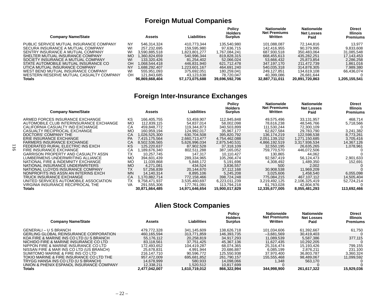#### **Foreign Mutual Companies**

| <b>Company Name/State</b>               |    | <b>Assets</b>  | Liabilities    | <b>Policy</b><br><b>Holders</b><br><b>Surplus</b> | <b>Nationwide</b><br><b>Net Premiums</b><br>Written | <b>Nationwide</b><br><b>Net Losses</b><br>Paid | <b>Direct</b><br><b>Illinois</b><br>Premiums |
|-----------------------------------------|----|----------------|----------------|---------------------------------------------------|-----------------------------------------------------|------------------------------------------------|----------------------------------------------|
| PUBLIC SERVICE MUTUAL INSURANCE COMPANY | NY | 546.314.324    | 410.773.344    | 135.540.980                                       | 101.088.087                                         | 72.144.816                                     | 13.977                                       |
| SECURA INSURANCE A MUTUAL COMPANY       | WI | 257.232.695    | 159.595.980    | 97.636.715                                        | 142.416.955                                         | 90.379.995                                     | 9.833.608                                    |
| SENTRY INSURANCE A MUTUAL COMPANY       | wı | 3.590.885.518  | 1.823.801.277  | .767.084.241                                      | 687.930.518                                         | 350.483.064                                    | 31.085.548                                   |
| SHELTER MUTUAL INSURANCE COMPANY        | MO | .360.824.659   | 540.996.344    | 819.828.315                                       | 668.455.613                                         | 435.282.251                                    | 17.143.453                                   |
| SOCIETY INSURANCE A MUTUAL COMPANY      | WI | 133.320.426    | 81.254.402     | 52.066.024                                        | 53.666.432                                          | 25.873.854                                     | 2.286.258                                    |
| STATE AUTOMOBILE MUTUAL INSURANCE CO    | OН | 1.068.544.418  | 446.831.940    | 621.712.478                                       | 347.197.170                                         | 211.472.739                                    | 1.861.016                                    |
| UTICA MUTUAL INSURANCE COMPANY          | NY | 1.688.292.407  | 1.223.601.167  | 464.691.240                                       | 540.035.318                                         | 314.878.305                                    | 7.989.380                                    |
| WEST BEND MUTUAL INSURANCE COMPANY      | WI | 555.951.093    | 375.692.051    | 180.259.041                                       | 249.127.851                                         | 134.619.108                                    | 66.436.074                                   |
| WESTERN RESERVE MUTUAL CASUALTY COMPANY | OH | 121.843.685    | 43.123.638     | 78.720.047                                        | 40.399.086                                          | 26.681.644                                     |                                              |
| <b>Totals</b>                           |    | 96.869.668.404 | 57.173.075.688 | 39.696.592.706                                    | 32,887,711,011                                      | 20,891,720,863                                 | 205,155,541,                                 |

#### **Foreign Inter-Insurance Exchanges**

| <b>Company Name/State</b>                  |           | Assets         | Liabilities    | <b>Policy</b><br><b>Holders</b><br><b>Surplus</b> | Nationwide<br><b>Net Premiums</b><br>Written | <b>Nationwide</b><br><b>Net Losses</b><br>Paid | <b>Direct</b><br><b>Illinois</b><br><b>Premiums</b> |
|--------------------------------------------|-----------|----------------|----------------|---------------------------------------------------|----------------------------------------------|------------------------------------------------|-----------------------------------------------------|
| ARMED FORCES INSURANCE EXCHANGE            | ΚS        | 166.405.755    | 53,459,907     | 112,945,848                                       | 49.575.496                                   | 33,131,957                                     | 468,714                                             |
| AUTOMOBILE CLUB INTERINSURANCE EXCHANGE    | MO        | 112.839.115    | 54,837,014     | 58,002,098                                        | 78.616.238                                   | 48.546.766                                     | 5,718,566                                           |
| CALIFORNIA CASUALTY IND EXCHANGE           | СA        | 459.848.772    | 119.344.873    | 340,503,899                                       | 111,530,244                                  | 72,300,109                                     |                                                     |
| CASUALTY RECIPROCAL EXCHANGE               | MO        | 160.959.194    | 124.992.017    | 35.967.177                                        | 62.827.584                                   | 29.783.790                                     | 3,241,382                                           |
| DOCTORS' COMPANY THE                       | CA        | 1.026.525.300  | 630.704.508    | 395.820.792                                       | 136.174.219                                  | 122.598.538                                    | 8,773,261                                           |
| ERIE INSURANCE EXCHANGE                    | <b>PA</b> | 7.415.175.564  | 2.660.713.477  | 4,754,462,088                                     | 2,051,139,152                                | 1,271,150,685                                  | 3,705,416                                           |
| <b>FARMERS INSURANCE EXCHANGE</b>          | CA        | 8.502.536.565  | 5,626,996,034  | 2.875.540.531                                     | 4.866.192.519                                | 3,317,936,534                                  | 14,367,126                                          |
| FEDERATED RURAL ELECTRIC INS EXCH          | <b>KS</b> | 125.220.637    | 87.902.528     | 37,318,109                                        | 32,550,195                                   | 26,635,265                                     | 1,078,961                                           |
| FIRE INSURANCE EXCHANGE                    | СA        | .189.676.340   | 802.511.288    | 387.165.052                                       | 759.770.570                                  | 446.072.506                                    |                                                     |
| <b>GARRISON PROPERTY AND CASUALTY ASSN</b> | TX        | 10.257.745     | 147.317        | 10.110.427                                        | 130.865                                      | 44,062                                         |                                                     |
| LUMBERMENS UNDERWRITING ALLIANCE           | <b>MO</b> | 394.601.439    | 289.334.965    | 105.266.474                                       | 92,587,419                                   | 56,124,473                                     | 2,901,633                                           |
| NATIONAL FIRE & INDEMNITY EXCHANGE         | MO        | 11.039.868     | 5.848.172      | 5,191,696                                         | 4,308,492                                    | .489.350                                       | 152,691                                             |
| NATIONAL INSURANCE UNDERWRITERS            | <b>MO</b> | 4.271.081      | 434,524        | 3,836,557                                         | 500                                          | 2,002                                          |                                                     |
| NATIONAL LLOYDS INSURANCE COMPANY          | ТX        | 57.256.839     | 20.144.670     | 37.112.168                                        | 30,908,538                                   | 11.969.209                                     |                                                     |
| NONPROFITS INS ASSN AN INTERINS EXCH       | <b>MN</b> | 14.140.314     | 8.895.106      | 5,245,208                                         | 3.025.606                                    | .458.540                                       | 6,055,098                                           |
| TRUCK INSURANCE EXCHANGE                   | CA        | 1.170.882.714  | 772,158,466    | 398,724,248                                       | 775.084.215                                  | 467.107.112                                    | 14,505,404                                          |
| UNITED SERVICES AUTOMOBILE ASSOCIATION     | ТX        | 9.758.471.937  | 3.535.460.697  | 6.223.011.239                                     | 3,219,492,125                                | 2.106.325.419                                  | 52,724,214                                          |
| VIRGINIA INSURANCE RECIPROCAL THE          | VA        | 291.555.306    | 177.761.091    | 113.794.218                                       | 61.763.028                                   | 42.804.976                                     |                                                     |
| <b>Totals</b>                              |           | 30,871,664,485 | 14,971,646,654 | 15,900,017,829                                    | 12,335,677,005                               | 8,055,481,293                                  | 113,692,466                                         |

#### **Alien Stock Companies**

| <b>Company Name/State</b>                     | <b>Assets</b> | <b>Liabilities</b> | <b>Policy</b><br><b>Holders</b><br><b>Surplus</b> | <b>Nationwide</b><br><b>Net Premiums</b><br>Written | <b>Nationwide</b><br><b>Net Losses</b><br>Paid | <b>Direct</b><br><b>Illinois</b><br><b>Premiums</b> |
|-----------------------------------------------|---------------|--------------------|---------------------------------------------------|-----------------------------------------------------|------------------------------------------------|-----------------------------------------------------|
| <b>GENERALI – U S BRANCH</b>                  | 479.772.328   | 341.145.609        | 138.626.718                                       | 101.034.606                                         | 61.392.667                                     | 61,750                                              |
| <b>GERLING GLOBAL REINSURANCE CORPORATION</b> | 460,165,594   | 313.771.859        | 146.393.735                                       | $-3.681.569$                                        | 30.419.403                                     |                                                     |
| KOA FIRE & MARINE INS CO LTD (U S BRANCH      | 55.176.112    | 20.258.819         | 34.917.293                                        | 11.089.539                                          | 5.587.386                                      | 377,115                                             |
| NICHIDO FIRE & MARINE INSURANCE CO LTD        | 83.118.561    | 37.751.425         | 45.367.136                                        | 11.627.435                                          | 10.292.205                                     |                                                     |
| NIPPON FIRE & MARINE INSURANCE CO LTD         | 172.493.652   | 104.419.287        | 68.074.365                                        | 25.316.474                                          | 15.193.426                                     | 799.155                                             |
| NISSAN FIRE & MAR INS CO LTD (US BRANCH)      | 25.678.831    | 4.991.944          | 20.686.887                                        | 6.085.199                                           | 2.876.211                                      | 231.100                                             |
| SUMITOMO MARINE & FIRE INS CO LTD             | 216.147.710   | 90.596.772         | 125.550.938                                       | 37.970.400                                          | 36.803.787                                     | 3.360.324                                           |
| TOKIO MARINE & FIRE INSURANCE CO LTD THE      | 957.472.009   | 695.681.852        | 261.790.157                                       | 155.555.468                                         | 98.489.067                                     | 11,099,592                                          |
| TRYGG HANSA INS CO LTD (U S BRANCH)           | 14.678.999    | 580.933            | 14.098.066                                        | l.348                                               | 563.170                                        |                                                     |
| UNION & PHENIX ESPANOL INSURANCE COMPANY      | 12.338.211    | 1.520.512          | 10.817.699                                        |                                                     |                                                |                                                     |
| Totals                                        | 2.477.042.007 | 1.610.719.012      | 866.322.994                                       | 344.998.900                                         | 261.617.322                                    | 15,929,036                                          |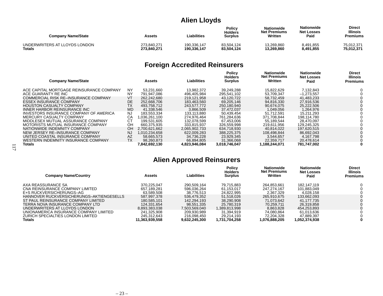#### **Alien Lloyds**

| <b>Company Name/State</b>     | Assets      | iabilities  | <b>Policy</b><br><b>Holders</b><br>Surplus | <b>Nationwide</b><br><b>Net Premiums</b><br>Written | <b>Nationwide</b><br><b>Net Losses</b><br>Paid | <b>Direct</b><br><b>Illinois</b><br>Premiums |
|-------------------------------|-------------|-------------|--------------------------------------------|-----------------------------------------------------|------------------------------------------------|----------------------------------------------|
| UNDERWRITERS AT LLOYDS LONDON | 273.840.271 | 190.336.147 | 83.504.124                                 | 13.269.860                                          | 8.491.855                                      | 75.012.371                                   |
| Totals                        | 273.840.271 | 190.336.147 | 83.504.124                                 | 13.269.860                                          | 8,491,855                                      | 75.012.371                                   |

#### **Foreign Accredited Reinsurers**

| <b>Company Name/State</b>                |           | Assets        | <b>Liabilities</b> | <b>Policy</b><br><b>Holders</b><br><b>Surplus</b> | <b>Nationwide</b><br><b>Net Premiums</b><br>Written | <b>Nationwide</b><br><b>Net Losses</b><br>Paid | <b>Direct</b><br>Illinois<br><b>Premiums</b> |
|------------------------------------------|-----------|---------------|--------------------|---------------------------------------------------|-----------------------------------------------------|------------------------------------------------|----------------------------------------------|
| ACE CAPITAL MORTGAGE REINSURANCE COMPANY | <b>NY</b> | 53.231.660    | 13.982.372         | 39,249,288                                        | 15,822,629                                          | 7.132.843                                      |                                              |
| ACE GUARANTY RE INC                      | NY        | 791.947.086   | 496.405.984        | 295.541.102                                       | 53.709.347                                          | $-1.273.557$                                   |                                              |
| COMMERCIAL RISK RE-INSURANCE COMPANY     | VT        | 262.242.680   | 219.121.958        | 43.120.722                                        | 58,732,459                                          | 41,483,233                                     |                                              |
| <b>ESSEX INSURANCE COMPANY</b>           | DE        | 252.668.706   | 183.463.560        | 69.205.146                                        | 94.816.330                                          | 27.916.536                                     |                                              |
| <b>HOUSTON CASUALTY COMPANY</b>          | TX        | 493.758.712   | 243.577.772        | 250.180.940                                       | 90.674.075                                          | 25,222,506                                     |                                              |
| INNER HARBOR REINSURANCE INC.            | <b>MD</b> | 41.338.546    | 3.866.509          | 37.472.037                                        | 1.049.056                                           | 1.264.976                                      |                                              |
| INVESTORS INSURANCE COMPANY OF AMERICA   | NJ.       | 183.553.334   | 133.113.880        | 50.439.454                                        | 51.712.591                                          | 15.211.293                                     |                                              |
| MERCURY CASUALTY COMPANY                 | СA        | 1.036.261.100 | 274.976.464        | 761.284.636                                       | 371.708.844                                         | 198.114.780                                    |                                              |
| MIDDLESEX MUTUAL ASSURANCE COMPANY       | СT        | 199.531.605   | 132.078.599        | 67.453.006                                        | 55,189,544                                          | 28,470,097                                     |                                              |
| MOTORISTS MUTUAL INSURANCE COMPANY       | OH        | 660.375.935   | 333.815.937        | 326.559.998                                       | 219.611.956                                         | 129.245.325                                    |                                              |
| NATIONWIDE INDEMNITY COMPANY             | OH        | 2.700.621.662 | 2.065.902.733      | 634.718.930                                       | 40.814.022                                          | 197.620.515                                    |                                              |
| NEW JERSEY RE–INSURANCE COMPANY          | NJ        | 1.010.234.658 | 622.009.283        | 388.225.375                                       | 108.498.844                                         | 86.692.043                                     |                                              |
| UNITED COASTAL INSURANCE COMPANY         | AZ        | 58.665.573    | 34.736.228         | 23.929.345                                        | 3.544.657                                           | 4.167.798                                      |                                              |
| WESTERN INDEMNITY INSURANCE COMPANY      | <b>TX</b> | 98.260.873    | 66.894.805         | 31.366.068                                        | 22.359.717                                          | 20.478.614                                     |                                              |
| <b>Totals</b>                            |           | 7,842,692,130 | 4,823,946,084      | 3,018,746,047                                     | .188.244.071                                        | 781.747.002                                    |                                              |

117

#### **Alien Approved Reinsurers**

| <b>Assets</b>  | Liabilities   | <b>Policy</b><br><b>Holders</b><br>Surplus | <b>Nationwide</b><br><b>Net Premiums</b><br>Written | <b>Nationwide</b><br><b>Net Losses</b><br>Paid | <b>Direct</b><br><b>Illinois</b><br><b>Premiums</b> |
|----------------|---------------|--------------------------------------------|-----------------------------------------------------|------------------------------------------------|-----------------------------------------------------|
| 370.225.047    | 290.509.164   | 79.715.883                                 | 264.853.661                                         | 182.147.119                                    |                                                     |
| 657.189.281    | 596.036.264   | 61.153.017                                 | 247.274.167                                         | 101.883.049                                    | 0                                                   |
| 63.589.508     | 38.776.513    | 24.822.995                                 | 2.367.329                                           | 4.028.158                                      |                                                     |
| 587.997.378    | 536.479.352   | 51.518.026                                 | 265.910.675                                         | 133,662,093                                    |                                                     |
| 180.585.101    | 142.294.193   | 38,290,908                                 | 71.073.642                                          | 41.177.735                                     |                                                     |
| 124.331.654    | 98.551.335    | 25.780.319                                 | 70.259.711                                          | 26.319.858                                     |                                                     |
| 8.893.383.038  | 7.503.569.040 | 1.389.813.998                              | 8.863.828                                           | 454,253,893                                    | 0                                                   |
| 241.325.908    | 209.930.989   | 31.394.919                                 | 74.080.864                                          | 61.013.636                                     |                                                     |
| 245.312.643    | 216.098.450   | 29.214.193                                 | 72.204.328                                          | 47.889.397                                     |                                                     |
| 11.363.939.558 | 9.632.245.300 | 1,731,704,258                              | 1.076.888.205                                       | 1,052,374,938                                  | 0                                                   |
|                |               |                                            |                                                     |                                                |                                                     |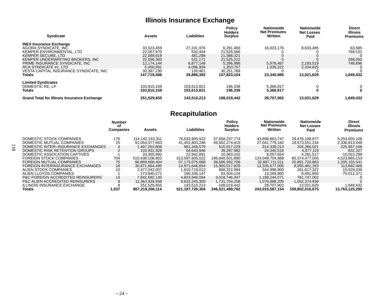## **Illinois Insurance Exchange**

| <b>Syndicate</b>                                   | <b>Assets</b>            | <b>Liabilities</b>    | <b>Policy</b><br><b>Holders</b><br><b>Surplus</b> | <b>Nationwide</b><br><b>Net Premiums</b><br>Written | <b>Nationwide</b><br><b>Net Losses</b><br>Paid | <b>Direct</b><br><b>Illinois</b><br><b>Premiums</b> |
|----------------------------------------------------|--------------------------|-----------------------|---------------------------------------------------|-----------------------------------------------------|------------------------------------------------|-----------------------------------------------------|
| <b>INEX Insurance Exchange</b>                     |                          |                       |                                                   |                                                     |                                                |                                                     |
| AGORA SYNDICATE, INC<br>KEMPER ENVIRONMENTAL, LTD  | 33,523,459<br>22.057.970 | 27.241.976<br>532.404 | 6,281,483<br>21,525,566                           | 16,023,176                                          | 8,633,485                                      | 63,585<br>769,101                                   |
| KEMPER SECURE. LTD                                 | 22,069,619               | 481.298               | 21,588,321                                        |                                                     |                                                |                                                     |
| KEMPER UNDERWRITING BROKERS. INC                   | 22,056,383               | 531.171               | 21,525,212                                        |                                                     |                                                | 268,050                                             |
| PRIME INSURANCE SYNDICATE. INC                     | 12.174.144               | 6.877.148             | 5.296.996                                         | 5,978,487                                           | 2.183.519                                      | 748,696                                             |
| RCA SYNDICATE #1. LTD                              | 5.450.691                | 4.096.934             | 1.353.757                                         | 1,339,322                                           | 2,204,625                                      |                                                     |
| VESTA CAPITAL INSURANCE SYNDICATE, INC             | 30,387,230               | 135.461               | 30,251,769                                        |                                                     |                                                |                                                     |
| Totals                                             | 147,719,496              | 39,896,392            | 107,823,104                                       | 23.340.985                                          | 13,021,629                                     | 1,849,432                                           |
| <b>Limited Syndicates</b>                          |                          |                       |                                                   |                                                     |                                                |                                                     |
| DOMESTIC RE. LP                                    | 103.810.159              | 103.613.821           | 196.338                                           | 5.366.917                                           |                                                | 0                                                   |
| Totals                                             | 103.810.159              | 103.613.821           | 196.338                                           | 5,366,917                                           |                                                | 0                                                   |
| <b>Grand Total for Illinois Insurance Exchange</b> | 251,529,655              | 143.510.213           | 108.019.442                                       | 28.707.902                                          | 13.021.629                                     | 1.849.432                                           |

## **Recapitulation**

|                                              | <b>Number</b><br>Οt |                 |                    | <b>Policy</b><br><b>Holders</b> | Nationwide<br><b>Net Premiums</b> | <b>Nationwide</b><br><b>Net Losses</b> | <b>Direct</b><br><b>Illinois</b> |
|----------------------------------------------|---------------------|-----------------|--------------------|---------------------------------|-----------------------------------|----------------------------------------|----------------------------------|
|                                              | <b>Companies</b>    | Assets          | <b>Liabilities</b> | <b>Surplus</b>                  | Written                           | Paid                                   | <b>Premiums</b>                  |
| DOMESTIC STOCK COMPANIES                     | 176                 | 114.142.143.311 | 76.533.905.522     | 37.608.237.774                  | 43.696,863,747                    | 29.476.108.877                         | 5,254,003,106                    |
| DOMESTIC MUTUAL COMPANIES                    | 15                  | 91,054,077,663  | 41.451.803.246     | 49.602.274.415                  | 27.041.779.182                    | 18.673.551.234                         | 2,336,813,448                    |
| DOMESTIC INTER-INSURANCE EXCHANGES           |                     | 1.497.263.808   | 981.346.579        | 515.917.229                     | 314.339.213                       | 204.266.021                            | 225,957,106                      |
| DOMESTIC RISK RETENTION GROUPS               |                     | 103.931.928     | 64.643.946         | 39.287.982                      | 24.345.516                        | 4.877.119                              | 832.327                          |
| DOMESTIC ASSOCATION CAPTIVES                 |                     | 33,305,992      | 22.942.891         | 10.363.102                      | 8.057.654                         | 4.281.517                              | 10.015.299                       |
| <b>FOREIGN STOCK COMPANIES</b>               | 704                 | 510.438.106.902 | 313.597.605.022    | 196.840.501.890                 | 124.049.704.888                   | 80.374.477.005                         | 4,523,865,153                    |
| FOREIGN MUTUAL COMPANIES                     | 75                  | 96.869.668.404  | 57.173.075.688     | 39.696.592.706                  | 32.887.711.011                    | 20.891.720.863                         | l.205.155.541                    |
| <b>FOREIGN INTERINSURANCE EXCHANGES</b>      | 18                  | 30.871.664.485  | 14.971.646.654     | 15.900.017.829                  | 12.335.677.005                    | 8.055.481.293                          | 113,692,466                      |
| ALIEN STOCK COMPANIES                        | 10                  | 2.477.042.007   | 1.610.719.012      | 866.322.994                     | 344.998.900                       | 261.617.322                            | 15,929,036                       |
| ALIEN LLOYDS COMPANIES                       |                     | 273.840.271     | 190.336.147        | 83.504.124                      | 13.269.860                        | 8.491.855                              | 75.012.371                       |
| <b>P&amp;C FOREIGN ACCREDITED REINSURERS</b> | 14                  | 7.842.692.130   | 4.823.946.084      | 3.018.746.047                   | 1.188.244.071                     | 781.747.002                            |                                  |
| <b>P&amp;C ALIEN ACCREDITED REINSURERS</b>   |                     | 11.363.939.558  | 9.632.245.300      | 1.731.704.258                   | 1.076.888.205                     | 1.052.374.938                          |                                  |
| <b>ILLINOIS INSURANCE EXCHANGE</b>           |                     | 251.529.655     | 143.510.213        | 108.019.442                     | 28.707.902                        | 13.021.629                             | 1.849.432                        |
| Totals                                       | 1,037               | 867.219.206.114 | 521,197,726,304    | 346.021.489.792                 | 243.010.587.154                   | 159.802.016.675                        | 13,763,125,285                   |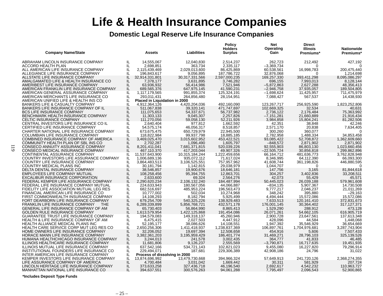# **Life & Health Insurance Companies**

## **Domestic Legal Reserve Life Insurance Companies**

| <b>Company Name/State</b>                                                        | <b>Assets</b>                                                | <b>Liabilities</b>           | <b>Policy</b><br><b>Holders</b><br><b>Surplus</b> | Net<br>Operating<br>Gain  | <b>Direct</b><br><b>Illinois</b><br>Premiums* | <b>Nationwide</b><br><b>Premiums</b> <sup>*</sup> |
|----------------------------------------------------------------------------------|--------------------------------------------------------------|------------------------------|---------------------------------------------------|---------------------------|-----------------------------------------------|---------------------------------------------------|
| ABRAHAM LINCOLN INSURANCE COMPANY                                                | IL<br>14.555.067                                             | 12.040.830                   | 2,514,237                                         | 262,723                   | 212,492                                       | 427,192                                           |
| <b>ACCORD HEALTH PLAN</b>                                                        | IL<br>2,698,851                                              | 363,734                      | 2,335,117                                         | $-3,369,734$              |                                               |                                                   |
| ALL AMERICAN LIFE INSURANCE COMPANY                                              | IL<br>2,115,439,469                                          | 2,029,013,600                | 86,425,869                                        | 60,538,561                | 16,998,783<br>n                               | 200,475,440                                       |
| ALLEGIANCE LIFE INSURANCE COMPANY<br>ALLSTATE LIFE INSURANCE COMPANY             | 196,843,617<br>IL<br>IL<br>32,914,331,801                    | 9,056,895<br>30,317,331,566  | 187,786,722<br>2,597,000,235                      | 32,876,068<br>169,257,330 | 393,411,298                                   | 1,214,698<br>8,095,086,297                        |
| AMALGAMATED LIFE & HEALTH INSURANCE CO                                           | 7,378,177<br>IL                                              | 3,631,895                    | 3,746,282                                         | 696,155                   | 7,993,013                                     | 8,128,144                                         |
| AMERIBEST LIFE INSURANCE COMPANY                                                 | IL<br>63,936,932                                             | 56,414,986                   | 7,521,946                                         | $-5,872,863$              | 2,627,288                                     | 48,356,413                                        |
| AMERICAN FRANKLIN LIFE INSURANCE COMPANY                                         | IL<br>689,565,376                                            | 647,975,145                  | 41,590,231                                        | $-2,946,758$              | 37,935,057                                    | 189,504,805                                       |
| AMERICAN GENERAL ASSURANCE COMPANY                                               | IL<br>1,117,179,565                                          | 991,855,374                  | 125,324,191                                       | $-1,698,624$              | 11,425,957                                    | 711,475,979                                       |
| AMERICAN MERCHANTS LIFE INSURANCE CO                                             | IL<br>293.011.431                                            | 264.856.480                  | 28,154,951                                        | 7,088,427                 | 567,537                                       | 14,438,930                                        |
| AMERICAN UNIFIED LIFE & HEALTH INS CO                                            | IL.<br><b>Placed in Liguidation in 2000</b>                  |                              |                                                   |                           |                                               |                                                   |
| <b>BANKERS LIFE &amp; CASUALTY COMPANY</b>                                       | IL<br>4,912,364,126                                          | 4,420,204,036                | 492,160,090                                       | 123,267,717               | 256,925,590                                   | 1,823,252,806                                     |
| BANKERS LIFE INSURANCE COMPANY OF IL<br><b>BCS LIFE INSURANCE COMPANY</b>        | IL<br>511,067,838<br>IL<br>111,075,653                       | 39,320,141<br>54,337,671     | 471,747,697<br>56,737,982                         | 102,669,325<br>2,736,122  | 32,534<br>2,176,484                           | 40,631<br>75,363,992                              |
| BENCHMARK HEALTH INSURANCE COMPANY                                               | IL<br>11,303,133                                             | 9,045,307                    | 2,257,826                                         | -7,151,281                | 21,660,889                                    | 21,916,434                                        |
| CELTIC INSURANCE COMPANY                                                         | 111,270,056<br>IL                                            | 59,058,130                   | 52,211,926                                        | 3,984,858                 | 15,804,241                                    | 81,282,506                                        |
| CENTRAL INVESTORS LIFE INSURANCE CO IL                                           | IL<br>2,640,404                                              | 977,812                      | 1,662,592                                         | 42,351                    | 38,848                                        | 42,246                                            |
| CERTIFIED LIFE INSURANCE COMPANY                                                 | IL<br>54,575,174                                             | 46,056,317                   | 8,518,857                                         | 2,571,170                 | 20,838                                        | 7,634,405                                         |
| CHARTER NATIONAL LIFE INSURANCE COMPANY                                          | IL<br>673,675,475                                            | 650,729,979                  | 22,945,500                                        | 300,260                   | 360.077                                       |                                                   |
| COLUMBIAN LIFE INSURANCE COMPANY                                                 | 118,822,984<br>IL                                            | 99,937,798                   | 18,885,185                                        | 2,782,958                 | 1,488,334                                     | 34,853,458                                        |
| COMBINED INSURANCE COMPANY OF AMERICA                                            | IL<br>3,469,025,470                                          | 3,015,602,952                | 453,422,521                                       | 93,085,422                | 52,708,872                                    | 1,362,609,660                                     |
| COMMUNITY HEALTH PLAN OF SBL INS CO                                              | IL<br>2,702,287<br>IL                                        | 1,096,490<br>7.681.371.815   | 1,605,797                                         | $-848,572$                | 2,871,902                                     | 2,871,902                                         |
| CONSECO ANNUITY ASSURANCE COMPANY<br>CONSECO MEDICAL INSURANCE COMPANY           | 8,201,411,041<br>IL<br>467,110,370                           | 417,203,044                  | 520,039,226<br>49,907,326                         | 92,555,903<br>–22,505,724 | 86,803,130<br>30,856,818                      | 1,023,660,456<br>299,862,896                      |
| CONTINENTAL ASSURANCE COMPANY                                                    | IL.<br>11,537,643,900                                        | 10,315,184,244               | 1,222,459,656                                     | 66,164,712                | 481,636,773                                   | 3,762,828,948                                     |
| COUNTRY INVESTORS LIFE ASSURANCE COMPANY                                         | IL.<br>1,006,689,136                                         | 935,072,112                  | 71,617,024                                        | 8,346,995                 | 64,112,390                                    | 66,093,300                                        |
| COUNTRY LIFE INSURANCE COMPANY                                                   | IL<br>3,864,483,513                                          | 3,106,525,551                | 757,957,962                                       | 41,608,744                | 361,198,826                                   | 446,880,595                                       |
| COUNTRY MEDICAL PLANS INC                                                        | IL<br>30,181,794                                             | 1,142,815                    | 29,038,979                                        | 1,044,707                 | $\cap$                                        | $\Omega$                                          |
| DELTA DENTAL INSURANCE COMPANY                                                   | IL<br>38,546,857                                             | 19,900,676                   | 18,646,181                                        | 147,756                   | 3,165                                         | 81,844,618                                        |
| <b>EMPLOYEES LIFE COMPANY MUTUAL</b>                                             | IL<br>108,258,456                                            | 95,394,755                   | 12,863,701                                        | 304,257                   | 3,402,836                                     | 33,208,511                                        |
| EXCALIBUR INSURANCE CORPORATION                                                  | IL<br>2,633,600                                              | 69,324                       | 2,564,276                                         | 42,073                    | 55,429                                        | 45,571                                            |
| FEDERAL KEMPER LIFE ASSURANCE COMPANY<br>FEDERAL LIFE INSURANCE COMPANY MUTUAL   | IL<br>2,290,620,234<br>IL.<br>224,633,943                    | 2,106,132,240<br>180,567,056 | 184,487,994                                       | 50,445,023<br>–834.135    | 26,039,188<br>5,907,367                       | 579,961,608<br>14,730,508                         |
| FIDELITY LIFE ASSOCIATION MUTUAL LEG RES                                         | IL<br>682,516,697                                            | 485,953,224                  | 44,066,887<br>196,563,473                         | 9,777,217                 | 2,046,237                                     | 21,011,269                                        |
| FINANCIAL AMERICAN LIFE INSURANCE CO                                             | IL<br>10,777,002                                             | 502,034                      | 10,274,968                                        | 348,242                   | 395,880                                       | $-29,163$                                         |
| FIRST COMMONWEALTH INSURANCE COMPANY                                             | IL<br>14.108.293                                             | 8.182.794                    | 5.925.499                                         | 4.494.444                 | 15.572.086                                    | 15,572,086                                        |
| FORT DEARBORN LIFE INSURANCE COMPANY                                             | IL<br>679,254,709                                            | 540,325,226                  | 138,929,483                                       | 7,633,513                 | 120,161,410                                   | 372,831,673                                       |
| FRANKLIN LIFE INSURANCE COMPANY<br><b>THE</b>                                    | IL<br>6,289,339,899                                          | 5,856,768,721                | 432,571,178                                       | 176,001,145               | 30,364,402                                    | 317,127,371                                       |
| GENERAL LIFE INSURANCE COMPANY OF AM                                             | IL<br>65,730,403                                             | 56,864,990                   | 8,865,413                                         | 1,529,290                 | 288,912                                       | 473,128                                           |
| <b>GOLDEN RULE INSURANCE COMPANY</b>                                             | IL<br>1.613.579.954                                          | 1.422.125.868                | 191.454.086                                       | 26.071.261                | 54.662.105                                    | 616.905.719                                       |
| GUARANTEE TRUST LIFE INSURANCE COMPANY<br>HEALTH & LIFE INSURANCE COMPANY OF AM  | IL.<br>194,579,083<br>IL                                     | 149,318,137                  | 45,260,946                                        | 2,900,728                 | 23,647,561                                    | 137,613,348                                       |
| <b>HEALTH ALLIANCE MEDICAL PLANS INC</b>                                         | 6,475,415<br>IL<br>52.195.177                                | 2,027,503<br>38.086.626      | 4,447,912<br>14.108.551                           | 428,096<br>1,947,392      | 44,584<br>35.546.929                          | 1,448,068<br>36,654,669                           |
| HEALTH CARE SERVICE CORP MUT LEG RES CO                                          | IL<br>2,650,256,306                                          | 1.411.418.937                | 1,238,837,369                                     | 106,897,761               | 1,704,976,681                                 | 3.287.743.904                                     |
| HOME OWNERS LIFE INSURANCE COMPANY                                               | IL<br>32,206,052                                             | 19,697,394                   | 12,508,658                                        | 454,916                   | 5,606                                         | 7,507,433                                         |
| HORACE MANN LIFE INSURANCE COMPANY                                               | IL<br>3,382,361,203                                          | 3,195,959,429                | 186,401,774                                       | 31,469,271                | 28,796,103                                    | 325,139,526                                       |
| HUMANA HEALTHCHICAGO INSURANCE COMPANY                                           | IL<br>3.244.013                                              | 241.578                      | 3,002,435                                         | 364.777                   | 41.833                                        | 46,485                                            |
| ILLINOIS HEALTHCARE INSURANCE COMPANY                                            | IL<br>11.681.806                                             | 9,126,237                    | 2.555.569                                         | $-3.790.871$              | 16,717,635                                    | 19.451.935                                        |
| ILLINOIS MUTUAL LIFE INSURANCE COMPANY                                           | IL<br>637.542.166                                            | 534.721.143                  | 102.821.023                                       | 9.455.080                 | 16,227,820                                    | 79.296.914                                        |
| INSTITUTIONAL FOUNDERS LIFE INSURANCE CO                                         | IL<br>229,494,071                                            | 187,681                      | 229,306,389                                       | 42,908,186                | 24,796                                        | 31,022                                            |
| INTER AMERICAN LIFE INSURANCE COMPANY<br>KEMPER INVESTORS LIFE INSURANCE COMPANY | IL.<br>Process of dissolving in 2000<br>IL<br>13,874,696,992 | 13,479,730,668               | 394,966,324                                       | 57,649,913                | 241,720,126                                   | 2,368,274,355                                     |
| LIFE ASSURANCE COMPANY OF AMERICA                                                | IL<br>4,700,484                                              | 3,031,042                    | 1,669,442                                         | 30,311                    | 581.929                                       | 207.724                                           |
| LINCOLN HERITAGE LIFE INSURANCE COMPANY                                          | IL<br>373,633,258                                            | 327,436,718                  | 46,196,540                                        | 2,692,617                 | 4,542,232                                     | 110,963,727                                       |
| MANHATTAN NATIONAL LIFE INSURANCE CO                                             | IL<br>394,637,551                                            | 300,576,263                  | 94,061,288                                        | 7,795,497                 | 2,096,543                                     | 52,900,865                                        |
|                                                                                  |                                                              |                              |                                                   |                           |                                               |                                                   |

**\*Includes Deposit Type Funds**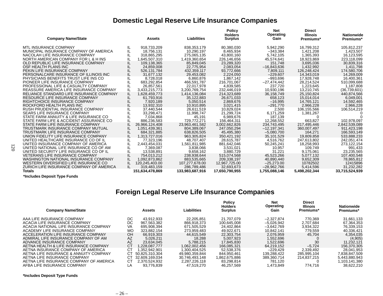| <b>Company Name/State</b>                | <b>Assets</b>        | <b>Liabilities</b> | <b>Policy</b><br><b>Holders</b><br><b>Surplus</b> | <b>Net</b><br>Operating<br>Gain | <b>Direct</b><br><b>Illinois</b><br>Premiums* | <b>Nationwide</b><br>Premiums* |
|------------------------------------------|----------------------|--------------------|---------------------------------------------------|---------------------------------|-----------------------------------------------|--------------------------------|
| MTL INSURANCE COMPANY                    | 918,733,209<br>IL.   | 838.353.179        | 80.380.030                                        | 5,942,290                       | 16.799.312                                    | 105,812,237                    |
| MUNICIPAL INSURANCE COMPANY OF AMERICA   | 18.756.131<br>IL     | 10.290.197         | 8.465.934                                         | $-343.384$                      | 1.421.208                                     | 1,423,507                      |
| NACOLAH LIFE INSURANCE COMPANY           | IL<br>318,865,295    | 275,065,135        | 43,800,160                                        | 5,742,105                       | 1,365,393                                     | 16,123,595                     |
| NORTH AMERICAN COMPANY FOR L & H INS     | 1,645,507,310        | 1,419,360,654      | 226,146,656                                       | 45,574,641                      | 18,923,869                                    | 223,118,099                    |
| OLD REPUBLIC LIFE INSURANCE COMPANY      | 109.138.365          | 85,849,045         | 23,289,320                                        | 151.748                         | 3.695.036                                     | 30.839.316                     |
| OSF HEALTH PLANS INC                     | 24,859,008           | 22,775,954         | 2,083,054                                         | $-16,843,636$                   | 1,432,992                                     | 1,411,798                      |
| PEKIN LIFE INSURANCE COMPANY             | 526,131,784          | 432,359,117        | 93,772,666                                        | 7,809,111                       | 126.248.424                                   | 174,580,706                    |
| PERSONALCARE INSURANCE OF ILLINOIS INC   | 31.677.132<br>IL     | 29.453.082         | 2.224.050                                         | $-229.607$                      | 14.343.019                                    | 14.269.009                     |
| PHYSICIANS BENEFITS TRUST LIFE INS CO    | 8.728.018<br>IL      | 6.860.876          | 1.867.142                                         | $-993.696$                      | 17.928.748                                    | 16.400.361                     |
| PIONEER LIFE INSURANCE COMPANY           | 683,292,854          | 466,591,787        | 216,701,067                                       | $-27,474,442$                   | 28,214,524                                    | 510,099,688                    |
| PROFESSIONAL LIFE & CASUALTY COMPANY     | IL<br>26.857.561     | 22.017.978         | 4.839.585                                         | 237.720                         | 1.223.645                                     | 1,187,808                      |
| REASSURE AMERICA LIFE INSURANCE COMPANY  | IL<br>3.433.215.773  | 3.200.769.754      | 232.446.019                                       | 10.930.196                      | 13.210.745                                    | (36,739,601)                   |
| RELIANCE STANDARD LIFE INSURANCE COMPANY | IL<br>1,628,459,773  | 1,414,136,084      | 214,323,689                                       | 36,158,749                      | 25,150,824                                    | 440,874,566                    |
| RESOURCE LIFE INSURANCE COMPANY          | IL<br>61,793,916     | 35,122,883         | 26,671,033                                        | 658,123                         | 15,014,014                                    | 6,049,001                      |
| RIGHTCHOICE INSURANCE COMPANY            | 7.920.189            | 5.050.514          | 2.869.676                                         | $-16.995$                       | 14.765.121                                    | 14.592.465                     |
| ROCKFORD HEALTH PLANS INC                | 13,932,310           | 10,910,895         | 3,021,415                                         | $-291.770$                      | 2,966,228                                     | 2,966,228                      |
| RUSH PRUDENTIAL INSURANCE COMPANY        | 37,440,544<br>IL     | 26.611.519         | 10,829,024                                        | 2.500                           | 106,155,566                                   | 106,514,219                    |
| SEARS LIFE INSURANCE COMPANY             | 33,298,471           | 11,998,747         | 21,299,724                                        | 6,171,259                       | 1,381,267                                     |                                |
| STATE FARM ANNUITY & LIFE INSURANCE CO   | IL<br>7,034,868      | 45,191             | 6,989,676                                         | 187,139                         |                                               |                                |
| STATE FARM LIFE & ACCIDENT ASSURANCE CO  | 886.236.583          | 729.772.271        | 156,464,311                                       | 12.268.552                      | 663.827                                       | 102.978.097                    |
| STATE FARM LIFE INSURANCE COMPANY        | 26,966,124,408<br>IL | 23.963.461.582     | 3,002,662,826                                     | 234.743.495                     | 217.495.446                                   | 2,842,539,089                  |
| TRUSTMARK INSURANCE COMPANY MUTUAL       | 1.051.439.361<br>IL  | 804.389.067        | 247.050.294                                       | $-12.197.341$                   | 360.007.497                                   | 911.423.198                    |
| TRUSTMARK LIFE INSURANCE COMPANY         | 684,321,885          | 638.826.505        | 45,495,380                                        | $-5,080,700$                    | 164.271                                       | 166,593,149                    |
| UNION FIDELITY LIFE INSURANCE COMPANY    | 1.313.727.016        | 963.305.824        | 350.421.192                                       | 35.101.529                      | 19.809.858                                    | 533.888.233                    |
| UNITED HEALTHCARE INSURANCE CO OF IL     | 77,323,196<br>IL.    | 48,707,407         | 28,615,787                                        | 4,516,762                       | 247,613,802                                   | 242,051,474                    |
| UNITED INSURANCE COMPANY OF AMERICA      | IL<br>2,443,454,031  | 1,561,811,985      | 881,642,046                                       | 50.245.241                      | 18,258,993                                    | 273,122,154                    |
| UNITED NATIONAL LIFE INSURANCE CO OF AM  | 7.369.087<br>IL.     | 3.838.066          | 3.531.021                                         | 10.957                          | 109.749                                       | 991,433                        |
| UNITED SECURITY LIFE INSURANCE CO OF IL  | IL<br>13,538,891     | 9,658,162          | 3.880.729                                         | 31,221                          | 9,175,061                                     | 23,235,565                     |
| <b>VETERANS LIFE INSURANCE COMPANY</b>   | 754.013.212          | 238.938.644        | 515,074,568                                       | 45,523,266                      | 5,077,132                                     | 107,400,548                    |
| WASHINGTON NATIONAL INSURANCE COMPANY    | 1.092.873.862        | 883.535.665        | 209.338.197                                       | 40.890.440                      | 9.652.309                                     | 78.865.812                     |
| WESTERN DIVERSIFIED LIFE INSURANCE CO    | 120,245,403.00<br>IL | 107.277.678.00     | 12,967,725.00                                     | $-25.273.00$                    | 10782502                                      | 12415896                       |
| ZURICH LIFE INSURANCE COMPANY OF AMERICA | 319,483,159          | 286.789.486        | 32,693,673                                        | $-28.962.766$                   | 5.414.596                                     | 31.232.282                     |
| <b>Totals</b>                            | 151,634,478,869      | 133,983,687,916    | 17,650,790,955                                    | 1,755,088,146                   | 5,498,202,344                                 | 33,715,524,939                 |

**\*Includes Deposit Type Funds**

#### **Foreign Legal Reserve Life Insurance Companies**

| <b>Company Name/State</b>               |    | Assets         | Liabilities    | <b>Policy</b><br><b>Holders</b><br><b>Surplus</b> | <b>Net</b><br>Operating<br>Gain | <b>Direct</b><br><b>Illinois</b><br>Premiums* | <b>Nationwide</b><br>Premiums* |
|-----------------------------------------|----|----------------|----------------|---------------------------------------------------|---------------------------------|-----------------------------------------------|--------------------------------|
| AAA LIFE INSURANCE COMPANY              | DC | 43.912.933     | 22.205.851     | 21.707.079                                        | $-2,327,874$                    | 770.369                                       | 31,661,133                     |
| ACACIA LIFE INSURANCE COMPANY           | DC | 967.563.382    | 866.918.373    | 100.645.008                                       | $-5,026,942$                    | 2.707.684                                     | 67.364.353                     |
| ACACIA NATIONAL LIFE INSURANCE COMPANY  | VA | 695.908.394    | 671.505.529    | 24.402.864                                        | $-3.642.769$                    | 3,934,322                                     | 76.339.153                     |
| ACADEMY LIFE INSURANCE COMPANY          | MO | 323.882.154    | 273.959.483    | 49.922.671                                        | 10.842.141                      | 779.559                                       | 40,336,421                     |
| ACCELERATION LIFE INSURANCE COMPANY     | OH | 66.919.303     | 44.615.549     | 22.303.754                                        | 2.076.959                       | 45.704                                        | 4,354,035                      |
| ADMIRAL LIFE INSURANCE COMPANY OF AM    | AZ | 5.026.211      | 18.288         | 5.007.923                                         | 1,552,696                       |                                               | (4,905)                        |
| ADVANCE INSURANCE COMPANY               | AZ | 23.634.045     | 5.788.215      | 17.845.830                                        | 1.522.696                       | 30                                            | 11.232.121                     |
| AETNA HEALTH & LIFE INSURANCE COMPANY   | СT | 1.228.087.777  | 1.062.002.456  | 166.085.321                                       | 64.219.152                      | $-5.724$                                      | 156.370.305                    |
| AETNA INSURANCE COMPANY OF AMERICA      | СT | .352.942.901   | 1.300.404.525  | 52.538.376                                        | $-229.429$                      | 2.339.492                                     | 28,041,953                     |
| AETNA LIFE INSURANCE & ANNUITY COMPANY  | CТ | 50.825.310.304 | 49,980,359,844 | 844.950.461                                       | 139.288.422                     | 285.995.104                                   | 7.838.847.509                  |
| AETNA LIFE INSURANCE COMPANY            | CТ | 32.609.169.034 | 30.746.493.148 | 1.862.675.886                                     | 389.360.714                     | 214.837.215                                   | 5.443.880.943                  |
| AETNA LIFE INSURANCE COMPANY OF AMERICA | СT | 2.370.524.932  | 2.287.226.118  | 83.298.814                                        | 781.120                         |                                               | ,103,141,380                   |
| AFBA LIFE INSURANCE COMPANY             | LA | 93.776.839     | 47.519.270     | 46.257.569                                        | 1.473.849                       | 774.716                                       | 38.622.210                     |
|                                         |    |                |                |                                                   |                                 |                                               |                                |

**\*Includes Deposit Type Funds**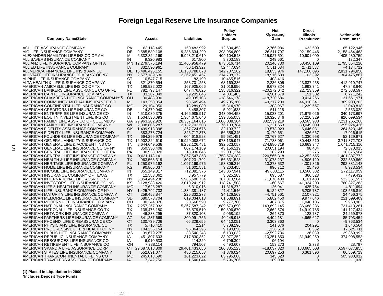| <b>Company Name/State</b>                                                          | Assets                                            | Liabilities                    | <b>Policy</b><br><b>Holders</b><br><b>Surplus</b> | <b>Net</b><br>Operating<br>Gain | <b>Direct</b><br><b>Illinois</b><br>Premiums* | <b>Nationwide</b><br>Premiums* |
|------------------------------------------------------------------------------------|---------------------------------------------------|--------------------------------|---------------------------------------------------|---------------------------------|-----------------------------------------------|--------------------------------|
| AGL LIFE ASSURANCE COMPANY                                                         | <b>PA</b><br>163,118,445                          | 150.483.992                    | 12,634,453                                        | 2,766,986                       | 632,509                                       | 65,122,946                     |
| AIG LIFE INSURANCE COMPANY                                                         | DE<br>9,585,589,108                               | 9,286,634,299                  | 298,954,809                                       | 26,511,707                      | 92,159,446                                    | 2,158,464,463                  |
| ALEXANDER HAMILTON LIFE INS CO OF AM                                               | MI<br>6,332,324,169                               | 5,923,219,619                  | 409,104,548                                       | 115,927,591                     | 10,901,009                                    | 405,230,759                    |
| ALL SAVERS INSURANCE COMPANY                                                       | IN<br>9,320,983                                   | 617,800                        | 8,703,183                                         | 249,661                         | n                                             | 132,347                        |
| ALLIANZ LIFE INSURANCE COMPANY OF N A                                              | <b>MN</b><br>12,279,575,194                       | 11,405,958,479                 | 873,616,714                                       | 20,246,730                      | 53,456,109                                    | 1,795,854,220                  |
| ALLIED LIFE INSURANCE COMPANY                                                      | 832,590,961<br>IA                                 | 780,143,327                    | 52,447,634                                        | 5,511,684                       | 2,711,587                                     | -4,134,712                     |
| ALLMERICA FINANCIAL LIFE INS & ANN CO                                              | <b>DE</b><br>16,496,496,155<br>NY                 | 16, 153, 788, 873              | 342,707,282<br>214,738,172                        | 18,853,976                      | 147,106,096                                   | 2,831,794,850                  |
| ALLSTATE LIFE INSURANCE COMPANY OF NY<br>ALPINE LIFE INSURANCE COMPANY             | 2,577,189,630<br><b>CT</b><br>10,547,715          | 2,362,451,457<br>82,199        | 10,465,516                                        | 18,916,539<br>403,416           | 103,392<br>$\Omega$                           | 304,475,867<br>O               |
| ALTA HEALTH & LIFE INSURANCE COMPANY                                               | IN<br>321,870,594                                 | 253,701,258                    | 68,169,336                                        | 2,236,805                       | 23,837,258                                    | 412,919,747                    |
| AMERICAN AMICABLE LIFE INS CO OF TX                                                | 198,922,022<br>ТX                                 | 167,905,066                    | 31,016,956                                        | 9,673,824                       | 1,993,741                                     | 47,848,640                     |
| AMERICAN BANKERS LIFE ASSURANCE CO OF FL                                           | <b>FL</b><br>782,793,147                          | 647,476,825                    | 135,316,322                                       | –20,272,042                     | 22,713,359                                    | 272,588,597                    |
| AMERICAN CAPITOL INSURANCE COMPANY                                                 | <b>TX</b><br>33,287,049                           | 29,205,646                     | 4,081,403                                         | 4,961,579                       | 151,302                                       | 6,771,242                      |
| AMERICAN CHAMBERS LIFE INSURANCE COMPANY <sup>(1)</sup>                            | OH<br>30,488,930                                  | 49,035,108                     | –18,546,178                                       | -18,720,686                     | 9,414,266                                     | 131,661,971                    |
| AMERICAN COMMUNITY MUTUAL INSURANCE CO                                             | 143,250,854<br>MI                                 | 93,545,494                     | 49,705,360                                        | $-9,217,200$                    | 44,010,341                                    | 369,903,203                    |
| AMERICAN CONTINENTAL LIFE INSURANCE CO                                             | <b>MO</b><br>29,104,050                           | 13.289.080                     | 15.814.970                                        | $-303.967$                      | 1,239,557                                     | 12,043,818                     |
| AMERICAN CREDITORS LIFE INSURANCE CO                                               | DE<br>14,379,940                                  | 8,458,307                      | 5,921,633                                         | 511,218                         | ∩                                             | 2,553,029                      |
| AMERICAN ENTERPRISE LIFE INSURANCE CO                                              | IN<br>4.510.080.375                               | 4.166.985.917                  | 343.094.458                                       | 15.033.201                      | 71,975,026                                    | 340,173,697                    |
| AMERICAN EQUITY INVESTMENT LIFE INS CO                                             | IA<br>1,504,530,093                               | 1,364,675,040                  | 139,855,053                                       | 16,326,346                      | 57,210,329                                    | 826,099,534                    |
| AMERICAN FAMILY LIFE ASSR CO OF COLUMBUS                                           | GA<br>29.963.202.920                              | 28,357,164,616                 | 1.606.038.304                                     | 332.539.219                     | 58,565,933                                    | 7,231,265,268                  |
| AMERICAN FAMILY LIFE INSURANCE COMPANY<br>AMERICAN FIDELITY ASSURANCE COMPANY      | 2,308,806,287<br>WI<br>OK<br>1,499,918,398        | 2,132,702,503<br>1,367,724,676 | 176,103,784<br>132.193.722                        | 6,321,653<br>13,573,923         | 30,049,009<br>6,646,081                       | 295,924,426<br>264,523,146     |
| AMERICAN FIDELITY LIFE INSURANCE COMPANY                                           | 383,273,724<br>FL.                                | 326,717,378                    | 56,556,345                                        | 3,179,651                       | 426,667                                       | 17,926,615                     |
| AMERICAN FOUNDERS LIFE INSURANCE COMPANY                                           | 664,299,979<br><b>TX</b>                          | 604,618,528                    | 59,681,451                                        | 20,767,627                      | 1,330,958                                     | 52,129,971                     |
| AMERICAN GENERAL ANNUITY INSURANCE CO                                              | 16.902.224.619<br>ТX                              | 15,929,088,672                 | 973,135,947                                       | 71,738,061                      | 80,443,510                                    | 3,711,372,703                  |
| AMERICAN GENERAL LIFE & ACCIDENT INS CO                                            | 8,644,649,538<br>ΤN                               | 8,252,126,481                  | 392,523,057                                       | 274,880,719                     | 16,663,347                                    | 1,041,715,116                  |
| AMERICAN GENERAL LIFE INSURANCE CO OF NY                                           | NY<br>850,330,408                                 | 807,174,189                    | 43,156,219                                        | 20,651,194                      | 98,484                                        | 72,870,015                     |
| AMERICAN GENERAL LIFE INSURANCE CO OF PA                                           | PA<br>30,938,020                                  | 18,936,646                     | 12,001,374                                        | 182,293                         | 3,275                                         | 18,875,564                     |
| AMERICAN GENERAL LIFE INSURANCE COMPANY                                            | ТX<br>9,621,118,141                               | 7,867,547,858                  | 1,753,570,283                                     | 220,565,318                     | 42,252,555                                    | 1,401,387,772                  |
| AMERICAN HEALTH & LIFE INSURANCE COMPANY                                           | <b>TX</b><br>963,563,319                          | 807,231,792                    | 156,331,528                                       | 31,073,237                      | 4,806,120                                     | 232,539,869                    |
| AMERICAN HERITAGE LIFE INSURANCE COMPANY                                           | FL<br>1,250,976,192                               | 1,097,169,976                  | 153,806,216                                       | 10,278,532                      | 4,301,826                                     | 292,881,143                    |
| AMERICAN HOME LIFE INSURANCE COMPANY                                               | KS<br>90,865,037                                  | 81,601,581                     | 9,263,455                                         | 996,712                         | 25,496                                        | 8,973,534                      |
| AMERICAN INCOME LIFE INSURANCE COMPANY                                             | IN<br>855,149,317                                 | 712,081,376                    | 143,067,941                                       | 49,608,115                      | 10,566,382                                    | 272,117,059                    |
| AMERICAN INSURANCE COMPANY OF TEXAS                                                | ТX<br>12,583,062                                  | 8,957,779                      | 3,625,283                                         | 695,587                         | 366,523                                       | 7,479,432                      |
| AMERICAN INTERNATIONAL LIFE ASSR CO NY<br>AMERICAN INVESTORS LIFE INSURANCE CO INC | <b>NY</b><br>6,354,494,238<br>KS<br>3,128,983,420 | 5,966,680,734<br>3,010,241,912 | 387,813,504<br>118,741,508                        | 71,678,400<br>–60.667           | 3,101,488<br>41,924,203                       | 522,351,557<br>760,827,263     |
| AMERICAN LIFE & HEALTH INSURANCE COMPANY                                           | <b>MO</b><br>17,628,287                           | 6,310,016                      | 11,318,272                                        | 126,041                         | 425,754                                       | 4,811,694                      |
| AMERICAN LIFE INSURANCE COMPANY OF NY                                              | NY<br>1,425,792,733                               | 1,334,381,187                  | 91,411,546                                        | 5,124,827                       | 5,205,787                                     | 103,556,810                    |
| AMERICAN MATURITY LIFE INSURANCE COMPANY                                           | <b>CT</b><br>259,458,847                          | 225,332,278                    | 34,126,569                                        | $-4,751,561$                    | 2,107,921                                     | 24,456,375                     |
| AMERICAN MEMORIAL LIFE INSURANCE COMPANY                                           | <b>SD</b><br>680,573,704                          | 619,034,813                    | 61,538,891                                        | 5,882,450                       | 9,977,646                                     | 221,599,409                    |
| AMERICAN MODERN LIFE INSURANCE COMPANY                                             | OH<br>30,344,370                                  | 20,566,590                     | 9,777,780                                         | 487,815                         | 1,048,106                                     | 9,963,963                      |
| AMERICAN NATIONAL INSURANCE COMPANY                                                | 7,257,257,932<br>ТX                               | 5,367,587,242                  | 1,889,670,690                                     | 143,892,145                     | 36,688,286                                    | 721,413,281                    |
| AMERICAN NATIONAL LIFE INSURANCE CO TX                                             | <b>TX</b><br>138,476,180                          | 78,579,510                     | 59,896,670                                        | $-2,662,574$                    | 14,919,785                                    | 141,127,434                    |
| AMERICAN NETWORK INSURANCE COMPANY                                                 | PA<br>46,888,295                                  | 37,820,103                     | 9,068,192                                         | 264,370                         | 128,787                                       | 24,269,873                     |
| AMERICAN PARTNERS LIFE INSURANCE COMPANY                                           | <b>AZ</b><br>341,237,669                          | 300,991,756                    | 40,245,913                                        | 4,404,181                       | 4,965,627                                     | 85,703,454                     |
| AMERICAN PHOENIX LIFE & REASSURANCE CO                                             | <b>CT</b><br>130,739,706                          | 66,329,655                     | 64,410,051                                        | 3,303,860                       | ∩                                             | $-9,763,534$                   |
| AMERICAN PHYSICIANS LIFE INSURANCE CO                                              | <b>TX</b><br>5,710,410                            | 2,214                          | 5,708,196                                         | 141,076                         | 204,291                                       | 1,646,564                      |
| AMERICAN PROGRESSIVE LIFE & HEALTH OF NY<br>AMERICAN PUBLIC LIFE INSURANCE COMPANY | NY<br>104,255,154<br>39,679,275<br>MS             | 95,064,296<br>33,540,243       | 9.190.858                                         | 1,136,519<br>$-2,592,736$       | 6,352<br>26.039                               | 17,625,711                     |
| AMERICAN REPUBLIC INSURANCE COMPANY                                                | IA<br>451,807,603                                 | 317,830,352                    | 6,139,032<br>133,977,252                          | 10,251,650                      | 31,949,259                                    | 29,369,992<br>374,908,553      |
| AMERICAN RESOURCES LIFE INSURANCE CO                                               | IA<br>6.910.533                                   | 114.229                        | 6,796,304                                         | 96.194                          | $\Omega$                                      |                                |
| AMERICAN RETIREMENT LIFE INSURANCE CO                                              | OH<br>7,288,114                                   | 794,507                        | 6,493,607                                         | 153,273                         | 2,738                                         | 28,797                         |
| AMERICAN SKANDIA LIFE ASSURANCE CORP                                               | СT<br>29,687,818,809                              | 29,401,433,686                 | 286,385,123                                       | $-18,037,320$                   | 183,665,508                                   | 6,597,077,855                  |
| AMERICAN STATES LIFE INSURANCE COMPANY                                             | 552,091,077<br>IN                                 | 480.215.053                    | 71.876.024                                        | 20.697.253                      | 6,361,896                                     | 66.559.713                     |
| AMERICAN TRANSCONTINENTAL LIFE INS CO                                              | <b>MO</b><br>245,018,690                          | 161,223,622                    | 83,795,068                                        | 345,620                         | $\Omega$                                      | 505,930,912                    |
| AMERICAN TRAVELERS ASSURANCE COMPANY                                               | IA<br>7,342,750                                   | 1,546,044                      | 5,796,706                                         | 189,004                         | O                                             | 11,030                         |

**(1) Placed in Liquidation in 2000 \*Includes Deposit Type Funds**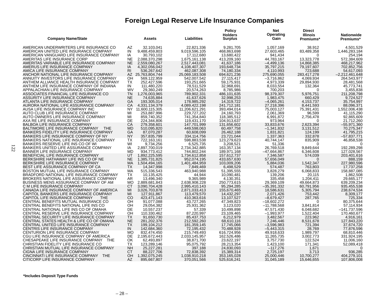| <b>Company Name/State</b>                                                       |                 | Assets                         | Liabilities                    | <b>Policy</b><br><b>Holders</b><br><b>Surplus</b> | <b>Net</b><br>Operating<br>Gain | <b>Direct</b><br><b>Illinois</b><br>Premiums* | <b>Nationwide</b><br>Premiums* |
|---------------------------------------------------------------------------------|-----------------|--------------------------------|--------------------------------|---------------------------------------------------|---------------------------------|-----------------------------------------------|--------------------------------|
| AMERICAN UNDERWRITERS LIFE INSURANCE CO                                         | ΑZ              | 32,103,041                     | 22,821,336                     | 9,281,705                                         | 1,057,169                       | 38,912                                        | 4,501,529                      |
| AMERICAN UNITED LIFE INSURANCE COMPANY                                          | IN              | 9.488.459.803                  | 9.019.596.105                  | 468,863,698                                       | 27,603,465                      | 83,489,358                                    | 1,446,283,184                  |
| AMERICAN VANGUARD LIFE INSURANCE COMPANY                                        | ΙA              | 30,793,102                     | 17,112,680                     | 13,680,422                                        | 941,434                         |                                               | 254,194                        |
| AMERITAS LIFE INSURANCE CORP                                                    | <b>NE</b>       | 2,088,370,298                  | 1,675,161,138                  | 413,209,160                                       | 44,783,167                      | 13,323,778                                    | 572,384,609                    |
| AMERITAS VARIABLE LIFE INSURANCE COMPANY                                        | <b>NE</b>       | 2,559,080,267                  | 2,517,443,081                  | 41,637,186                                        | $-4,499,136$                    | 14,868,385                                    | 468,217,962                    |
| AMERUS LIFE INSURANCE COMPANY<br>AMICA LIFE INSURANCE COMPANY                   | IA<br><b>RI</b> | 4,302,056,042<br>536,267,642   | 4,108,407,307<br>462,087,308   | 193,648,734<br>74,180,334                         | 35,797,215                      | 79,197,607                                    | 702,852,756<br>54,617,093      |
| ANCHOR NATIONAL LIFE INSURANCE COMPANY                                          | AZ              | 25,763,804,744                 | 25,069,183,508                 | 694,621,236                                       | 4,110,993<br>275,690,055        | 723,688<br>283,417,278                        | $-2,212,461,648$               |
| ANNUITY INVESTORS LIFE INSURANCE COMPANY                                        | OΗ              | 569,122,959                    | 542,007,542                    | 27,115,417                                        | $-3,716,862$                    | 4,069,934                                     | 264,543,977                    |
| ANTHEM ALLIANCE HEALTH INSURANCE COMPANY                                        | TX              | 252,427,596                    | 193,251,665                    | 59,175,931                                        | 4,973,339                       | 29.894.930                                    | 28,481,568                     |
| ANTHEM LIFE INSURANCE COMPANY OF INDIANA                                        | IN              | 111,480,220                    | 78,511,529                     | 32,968,691                                        | 8,033,554                       | 132,364                                       | 45,773,741                     |
| APPALACHIAN LIFE INSURANCE COMPANY                                              | WV              | 29,360,249                     | 20,574,263                     | 8,785,986                                         | 700,203                         |                                               | 3,455,838                      |
| ASSOCIATES FINANCIAL LIFE INSURANCE CO                                          | <b>TN</b>       | 1,276,003,965                  | 789,902,331                    | 486.101.635                                       | 98,379,307                      | 5,976,751                                     | 211,208,798                    |
| ASSURITY LIFE INSURANCE COMPANY                                                 | <b>NE</b>       | 74,635,884                     | 41,637,626                     | 32,998,253                                        | 1,983,475                       | 660,429                                       | 9,724,527                      |
| ATLANTA LIFE INSURANCE COMPANY                                                  | GA              | 193,305,014                    | 178,985,292                    | 14,319,722                                        | $-4,065,261$                    | 4,153,737                                     | 35,754,997                     |
| AURORA NATIONAL LIFE ASSURANCE COMPANY                                          | CA              | 4,331,134,379                  | 4,089,422,198                  | 241,712,181                                       | 27,218,396                      | 8,441,593                                     | 88,096,371                     |
| AUSA LIFE INSURANCE COMPANY INC                                                 | NY              | 11,600,115,305                 | 11,206,621,291                 | 393,494,014                                       | 75,003,127                      | 75,391,431                                    | 1,552,006,438                  |
| AUTO CLUB LIFE INSURANCE COMPANY                                                | MI              | 253,887,996                    | 229,727,202                    | 24,160,793                                        | 2,061,369                       | 96,599                                        | 41,115,290                     |
| AUTO OWNERS LIFE INSURANCE COMPANY                                              | MI              | 859,740,352                    | 741,354,840                    | 118,385,512                                       | 6,991,872                       | 2,756,478                                     | 92,865,609                     |
| AXA RE LIFE INSURANCE COMPANY                                                   | DE              | 224,344,806                    | 119,431,170                    | 104,913,637                                       | 973,964                         |                                               | 21,712,260                     |
| BALBOA LIFE INSURANCE COMPANY                                                   | CA              | 279,358,601                    | 147,701,999                    | 131,656,602                                       | 33,833,676                      | 2,623,394                                     | $-55,971,360$                  |
| BALTIMORE LIFE INSURANCE COMPANY THE<br>BANKERS FIDELITY LIFE INSURANCE COMPANY | <b>MD</b><br>GA | 510,095,820<br>87,070,287      | 449,598,063<br>60,608,099      | 60,497,758<br>26,462,188                          | $-1,341,832$<br>1,831,821       | 3,131,512<br>124,199                          | 70,275,347<br>41,795,215       |
| BANKERS LIFE INSURANCE COMPANY OF NY                                            | <b>NY</b>       | 357,835,799                    | 334, 114, 756                  | 23,721,044                                        | 1,337,363                       | 332,878                                       | -57,837,771                    |
| BANKERS NATIONAL LIFE INSURANCE COMPANY                                         | ТX              | 722,163,161                    | 598,883,538                    | 123,279,623                                       | 40,744,147                      | 835.909                                       | 46,858,538                     |
| BANKERS RESERVE LIFE INS CO OF WI                                               | WI              | 9,734,256                      | 6,525,735                      | 3,208,521                                         | 51,336                          | ∩                                             |                                |
| BANKERS UNITED LIFE ASSURANCE COMPANY                                           | IA              | 2,897,700,019                  | 2,734,342,885                  | 163,357,134                                       | 26,769,518                      | 9,849,644                                     | 192,289,298                    |
| <b>BANNER LIFE INSURANCE COMPANY</b>                                            | <b>MD</b>       | 934,773,412                    | 744,802,244                    | 189,971,168                                       | $-47,664,867$                   | 6,346,608                                     | 127,028,567                    |
| BENEFICIAL LIFE INSURANCE COMPANY                                               | UT              | 1,892,225,595                  | 1,734,612,858                  | 157,612,737                                       | 7,346,587                       | 574,039                                       | 203,401,616                    |
| BERKSHIRE HATHAWAY LIFE INS CO OF NE                                            | <b>NE</b>       | 1,385,731,825                  | 952,074,195                    | 433,657,630                                       | 57,656,049                      |                                               | 888,159                        |
| BERKSHIRE LIFE INSURANCE COMPANY                                                | <b>MA</b>       | 1,504,494,165                  | 1,401,484,959                  | 103,009,206                                       | 5,884,036                       | 1,542,347                                     | 227,980,596                    |
| BEST LIFE ASSURANCE COMPANY OF CA                                               | <b>TX</b>       | 14,347,998                     | 7,849,469                      | 6,498,529                                         | 574,487                         | 763,803                                       | 17,737,258                     |
| BOSTON MUTUAL LIFE INSURANCE COMPANY                                            | MA              | 515,336,543                    | 463,940,988                    | 51,395,555                                        | 3,828,279                       | 6,068,833                                     | 158,887,085                    |
| BRADFORD NATIONAL LIFE INSURANCE COMPANY                                        | ТX              | 10,135,425                     | 44,944                         | 10,090,481                                        | 139,206                         | 20,115                                        | 1,862,508                      |
| BROKERS NATIONAL LIFE ASSURANCE COMPANY                                         | <b>AR</b>       | 13.496.340                     | 9.365.989                      | 4,130,351                                         | 335.458                         | 1.204.411                                     | 29,665,177                     |
| BUSINESS MENS ASSURANCE COMPANY OF AM                                           | <b>MO</b>       | 2,889,681,843                  | 2,638,908,228                  | 250,773,615                                       | 29.369.109                      | 49,664,873                                    | 639,209,234                    |
| C M LIFE INSURANCE COMPANY<br>CANADA LIFE INSURANCE COMPANY OF AMERICA          | <b>CT</b><br>MI | 3,090,704,428<br>3,026,703,878 | 2,995,410,143<br>2,871,033,413 | 95,294,285<br>155,670,465                         | $-35,391,332$<br>18,586,631     | 60,791,956                                    | 935,455,538                    |
| CAPITOL BANKERS LIFE INSURANCE COMPANY                                          | MI              | 127,911,867                    | 113,479,570                    | 14,432,297                                        | 2,071,426                       | 5,305,794<br>753,442                          | 238,674,534<br>8,309,177       |
| CAPITOL LIFE INSURANCE COMPANY<br>THE                                           | CO              | 423,471,143                    | 410,363,616                    | 13,107,527                                        | $-8,679,427$                    | 287,765                                       | 725,334                        |
| CENTRAL BENEFITS MUTUAL INSURANCE CO                                            | OH              | 91.077.088                     | 43,727,265                     | 47.349.823                                        | $-18,602,272$                   | n                                             | 80,375,644                     |
| CENTRAL BENEFITS NATIONAL LIFE INS CO                                           | OΗ              | 29,054,382                     | 25,931,362                     | 3,123,020                                         | $-11,788,568$                   | 3,841,814                                     | 57,114,934                     |
| CENTRAL NATIONAL LIFE INS CO OF OMAHA                                           | DE              | 10.557.237                     | 57,339                         | 10,499,898                                        | 47.571.430                      | 6,048,682                                     | $-141,737,596$                 |
| CENTRAL RESERVE LIFE INSURANCE COMPANY                                          | OH              | 110,330,462                    | 87,220,997                     | 23,109,465                                        | $-1,993,977$                    | 1,522,404                                     | 170,460,677                    |
| CENTRAL SECURITY LIFE INSURANCE COMPANY                                         | <b>TX</b>       | 91,650,730                     | 85,437,753                     | 6,212,979                                         | 3,482,567                       | 223,962                                       | 4,916,161                      |
| CENTRAL STATES HEALTH & LIFE CO OF OMAHA                                        | <b>NE</b>       | 281,202,376                    | 212,592,260                    | 68,610,116                                        | 7.246.446                       | 8,531,678                                     | 127,843,220                    |
| CENTRAL UNITED LIFE INSURANCE COMPANY                                           | TX              | 199,104,212                    | 181,359,145                    | 17,745,066                                        | $-3,596,983$                    | 721,394                                       | 37,674,720                     |
| CENTRIS LIFE INSURANCE COMPANY                                                  | IN              | 142,684,360                    | 72,195,432                     | 70,488,928                                        | $-5,443,315$                    | 28,769                                        | 77,876,596                     |
| CENTURION LIFE INSURANCE COMPANY                                                | <b>MO</b>       | 832,474,450                    | 215,749,493                    | 616,724,956                                       | 49,918,633                      | 1,989,797                                     | 68,810,446                     |
| CGU LIFE INSURANCE COMPANY OF AMERICA                                           | DE              | 2,195,672,443                  | 2,033,145,957                  | 162,526,486                                       | 11,265,735                      | 3,002,773                                     | 331,924,195                    |
| CHESAPEAKE LIFE INSURANCE COMPANY THE                                           | ОK              | 62,493,897                     | 38,871,700                     | 23,622,197                                        | 3,757,730                       | 122,524                                       | 11,006,160                     |
| CHRISTIAN FIDELITY LIFE INSURANCE CO                                            | ТX              | 123,289,146                    | 95,075,792                     | 28,213,354                                        | 1,423,100                       | 171,341                                       | 52,089,418                     |
| CHRISTIAN MUTUAL LIFE INSURANCE COMPANY                                         | <b>NH</b><br>СT | 25,227,281                     | 397,188                        | 24,830,093                                        | $-117,276$                      | 1,671                                         |                                |
| CIGNA LIFE INSURANCE COMPANY<br>CINCINNATI LIFE INSURANCE COMPANY THE           | OH              | 88,227,706<br>1,392,075,245    | 72.838.392<br>1,038,910,218    | 15,389,314<br>353,165,028                         | 2,725,197<br>25,000,446         | 3,713<br>10,700,277                           | 936,285<br>404,279,101         |
| CITICORP LIFE INSURANCE COMPANY                                                 | AZ              | 895,667,807                    | 370,051,566                    | 525,616,241                                       | 31,045,189                      | 15,646,655                                    | 107,806,008                    |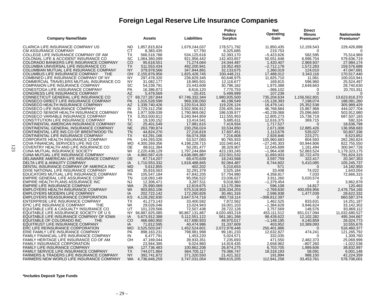| 11,850,435<br>229,426,898<br><b>ND</b><br>1,857,815,824<br>1,679,244,037<br>178,571,792<br>12,159,543<br>СT<br>8.383,435<br>8,325,685<br>219,753<br>57,750<br>32,393,170<br>COLLEGE LIFE INSURANCE COMPANY OF AM<br><b>TX</b><br>566,518,788<br>534.125.618<br>$-5,423,626$<br>582,595<br>75,514,969<br>SC<br>COLONIAL LIFE & ACCIDENT INSURANCE CO<br>1,064,360,099<br>921,956,442<br>142,403,657<br>6,996,754<br>579,636,719<br>50,551,648<br>CO<br>71,274,064<br>COLORADO BANKERS LIFE INSURANCE COMPANY<br>95,618,551<br>24,344,487<br>1,420,407<br>2,969,937<br>27,984,174<br>COLUMBIA UNIVERSAL LIFE INSURANCE CO<br><b>TX</b><br>492,200,941<br>19,352,493<br>$-2,712,178$<br>159,576,688<br>511,553,434<br>1,572,283<br>COLUMBIAN MUTUAL LIFE INSURANCE COMPANY<br>379,978,566<br>347,844,891<br><b>NY</b><br>32,133,675<br>1,360,019<br>124,010<br>47,047,691<br>COLUMBUS LIFE INSURANCE COMPANY<br>OH<br>2,155,876,956<br>1.825.428.745<br>330,448,211<br>17,488,012<br>3,343,116<br>170,517,440<br><b>THE</b><br>COMBINED LIFE INSURANCE COMPANY OF NY<br><b>NY</b><br>297,478,320<br>236,829,345<br>60,648,975<br>11,825,710<br>11,061<br>100,010,941<br>COMMERCIAL TRAVELERS MUTUAL INSURANCE CO<br>31.082.177<br>25,524,497<br><b>NY</b><br>18,965,501<br>12,116,677<br>169,815<br>596,960<br>COMPANION LIFE INSURANCE COMPANY<br>SC<br>54.239.791<br>23.443.609<br>30,796,182<br>1,975,388<br>2,649,663<br>28.740.630<br>PA<br>CONESTOGA LIFE ASSURANCE COMPANY<br>16,386,873<br>7,770,753<br>$-366, 102$<br>20,701,911<br>8,616,120<br>n<br><b>AZ</b><br>5,499,999<br>107,239<br>5,479,569<br>$-20.431$<br><b>CT</b><br>69,727,267,844<br>67,746,332,344<br>1,980,935,500<br>13,623,816,370<br>735,204,634<br>1,156,562,801<br>PA<br>1,015,528,599<br>969,330,050<br>46,198,549<br>$-15, 128, 393$<br>7,198,074<br>188,081,260<br><b>AZ</b><br>CONSECO HEALTH INSURANCE COMPANY<br>1,339,740,426<br>1,220,514,302<br>119,226,124<br>16,479,141<br>25,352,538<br>305,989,429<br>CONSECO LIFE INSURANCE COMPANY<br>IN<br>3,729,312,256<br>3,502,906,912<br>226,405,344<br>15,867,968<br>444,027,704<br>46,768,684<br>CONSECO SENIOR HEALTH INSURANCE COMPANY<br>PA<br>1,977,509,039<br>1,790,969,062<br>186,539,977<br>$-40,239,068$<br>25,096,660<br>503,912,880<br><b>TX</b><br>CONSECO VARIABLE INSURANCE COMPANY<br>3,353,500,812<br>3.240.944.859<br>112,555,953<br>12,805,273<br>15,738,719<br>687,507,183<br>592,324<br>CONSTITUTION LIFE INSURANCE COMPANY<br>ТX<br>369,715<br>19,100,152<br>13,414,541<br>5,685,611<br>12,616,375<br>SC<br>CONTINENTAL AMERICAN INSURANCE COMPANY<br>25,401,549<br>17,981,615<br>7,419,934<br>1,717,527<br>18,636,799<br><b>NE</b><br>CONTINENTAL GENERAL INSURANCE COMPANY<br>230,256,024<br>33,534,850<br>136,958,683<br>263,790,874<br>2,671,008<br>12,885,426<br>TN<br>535,027<br>CONTINENTAL LIFE INS CO OF BRENTWOOD TN<br>44,824,270<br>27,216,819<br>17,607,451<br>1,113,679<br>50,607,336<br>CONTINENTAL LIFE INSURANCE COMPANY<br><b>TX</b><br>2,928,846<br>223,271<br>8,523,852<br>63,291,166<br>56,074,358<br>7,216,808<br><b>PA</b><br>CORPORATE HEALTH INSURANCE COMPANY<br>144,293,026<br>53,527,093<br>90,765,933<br>105,960,683<br>804,593<br>282,260,824<br><b>MO</b><br>4,300,269,356<br>4,198,228,715<br>102,040,641<br>$-27,245,303$<br>50,944,806<br>822,755,550<br>DE<br>50,281,477<br>38,329,907<br>1,181,494<br>300,947,726<br>88,611,384<br>12,045,699<br>WI<br>1,797,244,884<br>1,179,323,175<br><b>CUNA MUTUAL INSURANCE SOCIETY</b><br>2,220,438,129<br>423,193,245<br>$-1,964,438$<br>52,883,524<br>IA<br>CUNA MUTUAL LIFE INSURANCE COMPANY<br>222,501,532<br>791,824,315<br>4,860,587,419<br>4,638,085,887<br>11,693,933<br>32,722,470<br>DELAWARE AMERICAN LIFE INSURANCE COMPANY<br>87,714,207<br>322,417<br>20,347,353<br>DE<br>69,470,639<br>18,243,568<br>3,597,759<br>DELTA LIFE & ANNUITY COMPANY<br>IA<br>1,710,553,332<br>1,618,488,845<br>92,064,487<br>5,410,085<br>105,245,737<br>8,744,602<br>DENTAL INSURANCE COMPANY OF AMERICA INC<br><b>MD</b><br>14,182,950<br>5,612,855<br>402,202<br>5,210,653<br>571<br>DIXIE NATIONAL LIFE INSURANCE COMPANY<br>MS<br>35,816,563<br>32,291,379<br>3,525,184<br>33,408<br>74,022<br>1,643,054<br>105,547,184<br>47,842,205<br>4,358,817<br>EDUCATORS MUTUAL LIFE INSURANCE COMPANY<br><b>PA</b><br>57,704,980<br>7,033<br>72,666,315<br>EMPIRE GENERAL LIFE ASSURANCE CORP<br><b>TN</b><br>5,020,574<br>118.093.149<br>95.056.522<br>23.036.627<br>3,911,260<br>EMPIRE HEALTH PLANS ASSURANCE INC<br>3,287,511<br>3,962,878<br><b>NJ</b><br>12,306,471<br>9,018,960<br>$-1,379,454$<br><b>WA</b><br>25.990.069<br>12,819,675<br>13,170,394<br>596,108<br>14.817<br>120,463<br>WI<br>903,853,106<br>575,518,903<br>328,334,203<br>$-2,769,630$<br>400,059,956<br>2,478,754,165<br>EMPLOYERS MODERN LIFE COMPANY<br>202.722.142<br>172,260,826<br>30,461,316<br>28,622,332<br>IA<br>2,596,938<br>1,477,039<br>EMPLOYERS REASSURANCE CORPORATION<br>KS<br>4,128,292,830<br>3.647.574.716<br>$-308,812,397$<br>660,587,374<br>480.718.114<br>ENTERPRISE LIFE INSURANCE COMPANY<br>ТX<br>41,273,143<br>33,400,582<br>7,872,562<br>833,631<br>14,251,187<br>1,462,525<br>EPIC LIFE INSURANCE COMPANY<br>WI<br>29,026,046<br>13,024,943<br>16,001,103<br>$-1,384,628$<br>3,946,624<br>33,142,302<br><b>THE</b><br><b>EQUITABLE LIFE &amp; CASUALTY INSURANCE CO</b><br>UT<br>101.229.566<br>83.869.112<br>72.507.438<br>28.722.128<br>3,757,569<br>148.576<br>EQUITABLE LIFE ASSURANCE SOCIETY OF U S<br>NY.<br>94,887,625,085<br>90,867,131,867<br>4,020,493,218<br>453,111,512<br>651,017,094<br>11,032,680,527<br>495,344,667<br>EQUITABLE LIFE INSURANCE COMPANY OF IOWA<br>IA<br>5,673,912,388<br>5,112,551,122<br>561,361,266<br>98,428,622<br>12.102.282<br>CO<br>EQUITABLE OF COLORADO INC<br><b>THE</b><br>466,660,950<br>417,690,933<br>48,970,017<br>$-1, 148, 195$<br>4,140,859<br>26,024,773<br>71,812,595<br>40,474,986<br>403,952<br>10,389,093<br>10,555,676<br>IA<br>31,337,609<br><b>MO</b><br>3,525,503,047<br>250.401.886<br>516,460,377<br>1.452.524.601<br>2,072,978,446<br><b>PA</b><br>898,163,231<br>798,981,998<br>12,632,827<br>474,241<br>121,265,792<br>99,181,233<br>6,477,791<br>1,453,220<br>5,024,571<br>332,035<br>1,309,760<br>IN<br>FAMILY HERITAGE LIFE INSURANCE CO OF AM<br>OH<br>39.933.351<br>7.235.693<br>471.550<br>25,069,999<br>47.169.044<br>2,482,373<br>FAMILY INSURANCE CORPORATION<br>23,944,395<br>9,024,960<br>14,919,435<br>2,658,962<br>$-807,260$<br>$-1,022,536$<br>38,832,997<br><b>FAMILY LIFE INSURANCE COMPANY</b><br><b>WA</b><br>127,736,483<br>100,862,208<br>26,874,275<br>6,703,705<br>1,989,606<br>FAMILY SERVICE LIFE INSURANCE COMPANY<br>ТX<br>744,071,864<br>664,705,117<br>79,366,747<br>18,318,193<br>58,091<br>6,001,146<br>FARMERS & TRADERS LIFE INSURANCE COMPANY<br>NY<br>392,741,872<br>371,320,550<br>191,894<br>42,224,359<br>21,421,322<br>988,150<br><b>WA</b><br>578,706,001<br>33,453,761 | <b>Company Name/State</b>                | <b>Assets</b> | Liabilities   | <b>Policy</b><br><b>Holders</b><br><b>Surplus</b> | Net<br>Operating<br>Gain | <b>Direct</b><br><b>Illinois</b><br>Premiums* | <b>Nationwide</b><br><b>Premiums*</b> |
|--------------------------------------------------------------------------------------------------------------------------------------------------------------------------------------------------------------------------------------------------------------------------------------------------------------------------------------------------------------------------------------------------------------------------------------------------------------------------------------------------------------------------------------------------------------------------------------------------------------------------------------------------------------------------------------------------------------------------------------------------------------------------------------------------------------------------------------------------------------------------------------------------------------------------------------------------------------------------------------------------------------------------------------------------------------------------------------------------------------------------------------------------------------------------------------------------------------------------------------------------------------------------------------------------------------------------------------------------------------------------------------------------------------------------------------------------------------------------------------------------------------------------------------------------------------------------------------------------------------------------------------------------------------------------------------------------------------------------------------------------------------------------------------------------------------------------------------------------------------------------------------------------------------------------------------------------------------------------------------------------------------------------------------------------------------------------------------------------------------------------------------------------------------------------------------------------------------------------------------------------------------------------------------------------------------------------------------------------------------------------------------------------------------------------------------------------------------------------------------------------------------------------------------------------------------------------------------------------------------------------------------------------------------------------------------------------------------------------------------------------------------------------------------------------------------------------------------------------------------------------------------------------------------------------------------------------------------------------------------------------------------------------------------------------------------------------------------------------------------------------------------------------------------------------------------------------------------------------------------------------------------------------------------------------------------------------------------------------------------------------------------------------------------------------------------------------------------------------------------------------------------------------------------------------------------------------------------------------------------------------------------------------------------------------------------------------------------------------------------------------------------------------------------------------------------------------------------------------------------------------------------------------------------------------------------------------------------------------------------------------------------------------------------------------------------------------------------------------------------------------------------------------------------------------------------------------------------------------------------------------------------------------------------------------------------------------------------------------------------------------------------------------------------------------------------------------------------------------------------------------------------------------------------------------------------------------------------------------------------------------------------------------------------------------------------------------------------------------------------------------------------------------------------------------------------------------------------------------------------------------------------------------------------------------------------------------------------------------------------------------------------------------------------------------------------------------------------------------------------------------------------------------------------------------------------------------------------------------------------------------------------------------------------------------------------------------------------------------------------------------------------------------------------------------------------------------------------------------------------------------------------------------------------------------------------------------------------------------------------------------------------------------------------------------------------------------------------------------------------------------------------------------------------------------------------------------------------------------------------------------------------------------------------------------------------------------------------------------------------------------------------------------------------------------------------------------------------------------------------------------------------------------------------------------------------------------------------------------------------------------------------------------------------------------------------------------------------------------------------------------------------------------------------------------------------------------------------------------------------------------------------------------------------------------------------------------------------------------------------------------------------------------------------------------------------------------------------------------------------------------------------------------------------------------------------------------------------------------------------------------------------------------------------------------------------------------------------------------------------------------------------------|------------------------------------------|---------------|---------------|---------------------------------------------------|--------------------------|-----------------------------------------------|---------------------------------------|
|                                                                                                                                                                                                                                                                                                                                                                                                                                                                                                                                                                                                                                                                                                                                                                                                                                                                                                                                                                                                                                                                                                                                                                                                                                                                                                                                                                                                                                                                                                                                                                                                                                                                                                                                                                                                                                                                                                                                                                                                                                                                                                                                                                                                                                                                                                                                                                                                                                                                                                                                                                                                                                                                                                                                                                                                                                                                                                                                                                                                                                                                                                                                                                                                                                                                                                                                                                                                                                                                                                                                                                                                                                                                                                                                                                                                                                                                                                                                                                                                                                                                                                                                                                                                                                                                                                                                                                                                                                                                                                                                                                                                                                                                                                                                                                                                                                                                                                                                                                                                                                                                                                                                                                                                                                                                                                                                                                                                                                                                                                                                                                                                                                                                                                                                                                                                                                                                                                                                                                                                                                                                                                                                                                                                                                                                                                                                                                                                                                                                                                                                                                                                                                                                                                                                                                                                                                                                                                                                                                                                                    | CLARICA LIFE INSURANCE COMPANY US        |               |               |                                                   |                          |                                               |                                       |
|                                                                                                                                                                                                                                                                                                                                                                                                                                                                                                                                                                                                                                                                                                                                                                                                                                                                                                                                                                                                                                                                                                                                                                                                                                                                                                                                                                                                                                                                                                                                                                                                                                                                                                                                                                                                                                                                                                                                                                                                                                                                                                                                                                                                                                                                                                                                                                                                                                                                                                                                                                                                                                                                                                                                                                                                                                                                                                                                                                                                                                                                                                                                                                                                                                                                                                                                                                                                                                                                                                                                                                                                                                                                                                                                                                                                                                                                                                                                                                                                                                                                                                                                                                                                                                                                                                                                                                                                                                                                                                                                                                                                                                                                                                                                                                                                                                                                                                                                                                                                                                                                                                                                                                                                                                                                                                                                                                                                                                                                                                                                                                                                                                                                                                                                                                                                                                                                                                                                                                                                                                                                                                                                                                                                                                                                                                                                                                                                                                                                                                                                                                                                                                                                                                                                                                                                                                                                                                                                                                                                                    | CM ASSURANCE COMPANY                     |               |               |                                                   |                          |                                               |                                       |
|                                                                                                                                                                                                                                                                                                                                                                                                                                                                                                                                                                                                                                                                                                                                                                                                                                                                                                                                                                                                                                                                                                                                                                                                                                                                                                                                                                                                                                                                                                                                                                                                                                                                                                                                                                                                                                                                                                                                                                                                                                                                                                                                                                                                                                                                                                                                                                                                                                                                                                                                                                                                                                                                                                                                                                                                                                                                                                                                                                                                                                                                                                                                                                                                                                                                                                                                                                                                                                                                                                                                                                                                                                                                                                                                                                                                                                                                                                                                                                                                                                                                                                                                                                                                                                                                                                                                                                                                                                                                                                                                                                                                                                                                                                                                                                                                                                                                                                                                                                                                                                                                                                                                                                                                                                                                                                                                                                                                                                                                                                                                                                                                                                                                                                                                                                                                                                                                                                                                                                                                                                                                                                                                                                                                                                                                                                                                                                                                                                                                                                                                                                                                                                                                                                                                                                                                                                                                                                                                                                                                                    |                                          |               |               |                                                   |                          |                                               |                                       |
|                                                                                                                                                                                                                                                                                                                                                                                                                                                                                                                                                                                                                                                                                                                                                                                                                                                                                                                                                                                                                                                                                                                                                                                                                                                                                                                                                                                                                                                                                                                                                                                                                                                                                                                                                                                                                                                                                                                                                                                                                                                                                                                                                                                                                                                                                                                                                                                                                                                                                                                                                                                                                                                                                                                                                                                                                                                                                                                                                                                                                                                                                                                                                                                                                                                                                                                                                                                                                                                                                                                                                                                                                                                                                                                                                                                                                                                                                                                                                                                                                                                                                                                                                                                                                                                                                                                                                                                                                                                                                                                                                                                                                                                                                                                                                                                                                                                                                                                                                                                                                                                                                                                                                                                                                                                                                                                                                                                                                                                                                                                                                                                                                                                                                                                                                                                                                                                                                                                                                                                                                                                                                                                                                                                                                                                                                                                                                                                                                                                                                                                                                                                                                                                                                                                                                                                                                                                                                                                                                                                                                    |                                          |               |               |                                                   |                          |                                               |                                       |
|                                                                                                                                                                                                                                                                                                                                                                                                                                                                                                                                                                                                                                                                                                                                                                                                                                                                                                                                                                                                                                                                                                                                                                                                                                                                                                                                                                                                                                                                                                                                                                                                                                                                                                                                                                                                                                                                                                                                                                                                                                                                                                                                                                                                                                                                                                                                                                                                                                                                                                                                                                                                                                                                                                                                                                                                                                                                                                                                                                                                                                                                                                                                                                                                                                                                                                                                                                                                                                                                                                                                                                                                                                                                                                                                                                                                                                                                                                                                                                                                                                                                                                                                                                                                                                                                                                                                                                                                                                                                                                                                                                                                                                                                                                                                                                                                                                                                                                                                                                                                                                                                                                                                                                                                                                                                                                                                                                                                                                                                                                                                                                                                                                                                                                                                                                                                                                                                                                                                                                                                                                                                                                                                                                                                                                                                                                                                                                                                                                                                                                                                                                                                                                                                                                                                                                                                                                                                                                                                                                                                                    |                                          |               |               |                                                   |                          |                                               |                                       |
|                                                                                                                                                                                                                                                                                                                                                                                                                                                                                                                                                                                                                                                                                                                                                                                                                                                                                                                                                                                                                                                                                                                                                                                                                                                                                                                                                                                                                                                                                                                                                                                                                                                                                                                                                                                                                                                                                                                                                                                                                                                                                                                                                                                                                                                                                                                                                                                                                                                                                                                                                                                                                                                                                                                                                                                                                                                                                                                                                                                                                                                                                                                                                                                                                                                                                                                                                                                                                                                                                                                                                                                                                                                                                                                                                                                                                                                                                                                                                                                                                                                                                                                                                                                                                                                                                                                                                                                                                                                                                                                                                                                                                                                                                                                                                                                                                                                                                                                                                                                                                                                                                                                                                                                                                                                                                                                                                                                                                                                                                                                                                                                                                                                                                                                                                                                                                                                                                                                                                                                                                                                                                                                                                                                                                                                                                                                                                                                                                                                                                                                                                                                                                                                                                                                                                                                                                                                                                                                                                                                                                    |                                          |               |               |                                                   |                          |                                               |                                       |
|                                                                                                                                                                                                                                                                                                                                                                                                                                                                                                                                                                                                                                                                                                                                                                                                                                                                                                                                                                                                                                                                                                                                                                                                                                                                                                                                                                                                                                                                                                                                                                                                                                                                                                                                                                                                                                                                                                                                                                                                                                                                                                                                                                                                                                                                                                                                                                                                                                                                                                                                                                                                                                                                                                                                                                                                                                                                                                                                                                                                                                                                                                                                                                                                                                                                                                                                                                                                                                                                                                                                                                                                                                                                                                                                                                                                                                                                                                                                                                                                                                                                                                                                                                                                                                                                                                                                                                                                                                                                                                                                                                                                                                                                                                                                                                                                                                                                                                                                                                                                                                                                                                                                                                                                                                                                                                                                                                                                                                                                                                                                                                                                                                                                                                                                                                                                                                                                                                                                                                                                                                                                                                                                                                                                                                                                                                                                                                                                                                                                                                                                                                                                                                                                                                                                                                                                                                                                                                                                                                                                                    |                                          |               |               |                                                   |                          |                                               |                                       |
|                                                                                                                                                                                                                                                                                                                                                                                                                                                                                                                                                                                                                                                                                                                                                                                                                                                                                                                                                                                                                                                                                                                                                                                                                                                                                                                                                                                                                                                                                                                                                                                                                                                                                                                                                                                                                                                                                                                                                                                                                                                                                                                                                                                                                                                                                                                                                                                                                                                                                                                                                                                                                                                                                                                                                                                                                                                                                                                                                                                                                                                                                                                                                                                                                                                                                                                                                                                                                                                                                                                                                                                                                                                                                                                                                                                                                                                                                                                                                                                                                                                                                                                                                                                                                                                                                                                                                                                                                                                                                                                                                                                                                                                                                                                                                                                                                                                                                                                                                                                                                                                                                                                                                                                                                                                                                                                                                                                                                                                                                                                                                                                                                                                                                                                                                                                                                                                                                                                                                                                                                                                                                                                                                                                                                                                                                                                                                                                                                                                                                                                                                                                                                                                                                                                                                                                                                                                                                                                                                                                                                    |                                          |               |               |                                                   |                          |                                               |                                       |
|                                                                                                                                                                                                                                                                                                                                                                                                                                                                                                                                                                                                                                                                                                                                                                                                                                                                                                                                                                                                                                                                                                                                                                                                                                                                                                                                                                                                                                                                                                                                                                                                                                                                                                                                                                                                                                                                                                                                                                                                                                                                                                                                                                                                                                                                                                                                                                                                                                                                                                                                                                                                                                                                                                                                                                                                                                                                                                                                                                                                                                                                                                                                                                                                                                                                                                                                                                                                                                                                                                                                                                                                                                                                                                                                                                                                                                                                                                                                                                                                                                                                                                                                                                                                                                                                                                                                                                                                                                                                                                                                                                                                                                                                                                                                                                                                                                                                                                                                                                                                                                                                                                                                                                                                                                                                                                                                                                                                                                                                                                                                                                                                                                                                                                                                                                                                                                                                                                                                                                                                                                                                                                                                                                                                                                                                                                                                                                                                                                                                                                                                                                                                                                                                                                                                                                                                                                                                                                                                                                                                                    |                                          |               |               |                                                   |                          |                                               |                                       |
|                                                                                                                                                                                                                                                                                                                                                                                                                                                                                                                                                                                                                                                                                                                                                                                                                                                                                                                                                                                                                                                                                                                                                                                                                                                                                                                                                                                                                                                                                                                                                                                                                                                                                                                                                                                                                                                                                                                                                                                                                                                                                                                                                                                                                                                                                                                                                                                                                                                                                                                                                                                                                                                                                                                                                                                                                                                                                                                                                                                                                                                                                                                                                                                                                                                                                                                                                                                                                                                                                                                                                                                                                                                                                                                                                                                                                                                                                                                                                                                                                                                                                                                                                                                                                                                                                                                                                                                                                                                                                                                                                                                                                                                                                                                                                                                                                                                                                                                                                                                                                                                                                                                                                                                                                                                                                                                                                                                                                                                                                                                                                                                                                                                                                                                                                                                                                                                                                                                                                                                                                                                                                                                                                                                                                                                                                                                                                                                                                                                                                                                                                                                                                                                                                                                                                                                                                                                                                                                                                                                                                    |                                          |               |               |                                                   |                          |                                               |                                       |
|                                                                                                                                                                                                                                                                                                                                                                                                                                                                                                                                                                                                                                                                                                                                                                                                                                                                                                                                                                                                                                                                                                                                                                                                                                                                                                                                                                                                                                                                                                                                                                                                                                                                                                                                                                                                                                                                                                                                                                                                                                                                                                                                                                                                                                                                                                                                                                                                                                                                                                                                                                                                                                                                                                                                                                                                                                                                                                                                                                                                                                                                                                                                                                                                                                                                                                                                                                                                                                                                                                                                                                                                                                                                                                                                                                                                                                                                                                                                                                                                                                                                                                                                                                                                                                                                                                                                                                                                                                                                                                                                                                                                                                                                                                                                                                                                                                                                                                                                                                                                                                                                                                                                                                                                                                                                                                                                                                                                                                                                                                                                                                                                                                                                                                                                                                                                                                                                                                                                                                                                                                                                                                                                                                                                                                                                                                                                                                                                                                                                                                                                                                                                                                                                                                                                                                                                                                                                                                                                                                                                                    |                                          |               |               |                                                   |                          |                                               |                                       |
|                                                                                                                                                                                                                                                                                                                                                                                                                                                                                                                                                                                                                                                                                                                                                                                                                                                                                                                                                                                                                                                                                                                                                                                                                                                                                                                                                                                                                                                                                                                                                                                                                                                                                                                                                                                                                                                                                                                                                                                                                                                                                                                                                                                                                                                                                                                                                                                                                                                                                                                                                                                                                                                                                                                                                                                                                                                                                                                                                                                                                                                                                                                                                                                                                                                                                                                                                                                                                                                                                                                                                                                                                                                                                                                                                                                                                                                                                                                                                                                                                                                                                                                                                                                                                                                                                                                                                                                                                                                                                                                                                                                                                                                                                                                                                                                                                                                                                                                                                                                                                                                                                                                                                                                                                                                                                                                                                                                                                                                                                                                                                                                                                                                                                                                                                                                                                                                                                                                                                                                                                                                                                                                                                                                                                                                                                                                                                                                                                                                                                                                                                                                                                                                                                                                                                                                                                                                                                                                                                                                                                    | CONGRESS LIFE INSURANCE COMPANY          |               |               |                                                   |                          |                                               |                                       |
|                                                                                                                                                                                                                                                                                                                                                                                                                                                                                                                                                                                                                                                                                                                                                                                                                                                                                                                                                                                                                                                                                                                                                                                                                                                                                                                                                                                                                                                                                                                                                                                                                                                                                                                                                                                                                                                                                                                                                                                                                                                                                                                                                                                                                                                                                                                                                                                                                                                                                                                                                                                                                                                                                                                                                                                                                                                                                                                                                                                                                                                                                                                                                                                                                                                                                                                                                                                                                                                                                                                                                                                                                                                                                                                                                                                                                                                                                                                                                                                                                                                                                                                                                                                                                                                                                                                                                                                                                                                                                                                                                                                                                                                                                                                                                                                                                                                                                                                                                                                                                                                                                                                                                                                                                                                                                                                                                                                                                                                                                                                                                                                                                                                                                                                                                                                                                                                                                                                                                                                                                                                                                                                                                                                                                                                                                                                                                                                                                                                                                                                                                                                                                                                                                                                                                                                                                                                                                                                                                                                                                    | CONNECTICUT GENERAL LIFE INSURANCE CO    |               |               |                                                   |                          |                                               |                                       |
|                                                                                                                                                                                                                                                                                                                                                                                                                                                                                                                                                                                                                                                                                                                                                                                                                                                                                                                                                                                                                                                                                                                                                                                                                                                                                                                                                                                                                                                                                                                                                                                                                                                                                                                                                                                                                                                                                                                                                                                                                                                                                                                                                                                                                                                                                                                                                                                                                                                                                                                                                                                                                                                                                                                                                                                                                                                                                                                                                                                                                                                                                                                                                                                                                                                                                                                                                                                                                                                                                                                                                                                                                                                                                                                                                                                                                                                                                                                                                                                                                                                                                                                                                                                                                                                                                                                                                                                                                                                                                                                                                                                                                                                                                                                                                                                                                                                                                                                                                                                                                                                                                                                                                                                                                                                                                                                                                                                                                                                                                                                                                                                                                                                                                                                                                                                                                                                                                                                                                                                                                                                                                                                                                                                                                                                                                                                                                                                                                                                                                                                                                                                                                                                                                                                                                                                                                                                                                                                                                                                                                    | CONSECO DIRECT LIFE INSURANCE COMPANY    |               |               |                                                   |                          |                                               |                                       |
|                                                                                                                                                                                                                                                                                                                                                                                                                                                                                                                                                                                                                                                                                                                                                                                                                                                                                                                                                                                                                                                                                                                                                                                                                                                                                                                                                                                                                                                                                                                                                                                                                                                                                                                                                                                                                                                                                                                                                                                                                                                                                                                                                                                                                                                                                                                                                                                                                                                                                                                                                                                                                                                                                                                                                                                                                                                                                                                                                                                                                                                                                                                                                                                                                                                                                                                                                                                                                                                                                                                                                                                                                                                                                                                                                                                                                                                                                                                                                                                                                                                                                                                                                                                                                                                                                                                                                                                                                                                                                                                                                                                                                                                                                                                                                                                                                                                                                                                                                                                                                                                                                                                                                                                                                                                                                                                                                                                                                                                                                                                                                                                                                                                                                                                                                                                                                                                                                                                                                                                                                                                                                                                                                                                                                                                                                                                                                                                                                                                                                                                                                                                                                                                                                                                                                                                                                                                                                                                                                                                                                    |                                          |               |               |                                                   |                          |                                               |                                       |
|                                                                                                                                                                                                                                                                                                                                                                                                                                                                                                                                                                                                                                                                                                                                                                                                                                                                                                                                                                                                                                                                                                                                                                                                                                                                                                                                                                                                                                                                                                                                                                                                                                                                                                                                                                                                                                                                                                                                                                                                                                                                                                                                                                                                                                                                                                                                                                                                                                                                                                                                                                                                                                                                                                                                                                                                                                                                                                                                                                                                                                                                                                                                                                                                                                                                                                                                                                                                                                                                                                                                                                                                                                                                                                                                                                                                                                                                                                                                                                                                                                                                                                                                                                                                                                                                                                                                                                                                                                                                                                                                                                                                                                                                                                                                                                                                                                                                                                                                                                                                                                                                                                                                                                                                                                                                                                                                                                                                                                                                                                                                                                                                                                                                                                                                                                                                                                                                                                                                                                                                                                                                                                                                                                                                                                                                                                                                                                                                                                                                                                                                                                                                                                                                                                                                                                                                                                                                                                                                                                                                                    |                                          |               |               |                                                   |                          |                                               |                                       |
|                                                                                                                                                                                                                                                                                                                                                                                                                                                                                                                                                                                                                                                                                                                                                                                                                                                                                                                                                                                                                                                                                                                                                                                                                                                                                                                                                                                                                                                                                                                                                                                                                                                                                                                                                                                                                                                                                                                                                                                                                                                                                                                                                                                                                                                                                                                                                                                                                                                                                                                                                                                                                                                                                                                                                                                                                                                                                                                                                                                                                                                                                                                                                                                                                                                                                                                                                                                                                                                                                                                                                                                                                                                                                                                                                                                                                                                                                                                                                                                                                                                                                                                                                                                                                                                                                                                                                                                                                                                                                                                                                                                                                                                                                                                                                                                                                                                                                                                                                                                                                                                                                                                                                                                                                                                                                                                                                                                                                                                                                                                                                                                                                                                                                                                                                                                                                                                                                                                                                                                                                                                                                                                                                                                                                                                                                                                                                                                                                                                                                                                                                                                                                                                                                                                                                                                                                                                                                                                                                                                                                    |                                          |               |               |                                                   |                          |                                               |                                       |
|                                                                                                                                                                                                                                                                                                                                                                                                                                                                                                                                                                                                                                                                                                                                                                                                                                                                                                                                                                                                                                                                                                                                                                                                                                                                                                                                                                                                                                                                                                                                                                                                                                                                                                                                                                                                                                                                                                                                                                                                                                                                                                                                                                                                                                                                                                                                                                                                                                                                                                                                                                                                                                                                                                                                                                                                                                                                                                                                                                                                                                                                                                                                                                                                                                                                                                                                                                                                                                                                                                                                                                                                                                                                                                                                                                                                                                                                                                                                                                                                                                                                                                                                                                                                                                                                                                                                                                                                                                                                                                                                                                                                                                                                                                                                                                                                                                                                                                                                                                                                                                                                                                                                                                                                                                                                                                                                                                                                                                                                                                                                                                                                                                                                                                                                                                                                                                                                                                                                                                                                                                                                                                                                                                                                                                                                                                                                                                                                                                                                                                                                                                                                                                                                                                                                                                                                                                                                                                                                                                                                                    |                                          |               |               |                                                   |                          |                                               |                                       |
|                                                                                                                                                                                                                                                                                                                                                                                                                                                                                                                                                                                                                                                                                                                                                                                                                                                                                                                                                                                                                                                                                                                                                                                                                                                                                                                                                                                                                                                                                                                                                                                                                                                                                                                                                                                                                                                                                                                                                                                                                                                                                                                                                                                                                                                                                                                                                                                                                                                                                                                                                                                                                                                                                                                                                                                                                                                                                                                                                                                                                                                                                                                                                                                                                                                                                                                                                                                                                                                                                                                                                                                                                                                                                                                                                                                                                                                                                                                                                                                                                                                                                                                                                                                                                                                                                                                                                                                                                                                                                                                                                                                                                                                                                                                                                                                                                                                                                                                                                                                                                                                                                                                                                                                                                                                                                                                                                                                                                                                                                                                                                                                                                                                                                                                                                                                                                                                                                                                                                                                                                                                                                                                                                                                                                                                                                                                                                                                                                                                                                                                                                                                                                                                                                                                                                                                                                                                                                                                                                                                                                    |                                          |               |               |                                                   |                          |                                               |                                       |
|                                                                                                                                                                                                                                                                                                                                                                                                                                                                                                                                                                                                                                                                                                                                                                                                                                                                                                                                                                                                                                                                                                                                                                                                                                                                                                                                                                                                                                                                                                                                                                                                                                                                                                                                                                                                                                                                                                                                                                                                                                                                                                                                                                                                                                                                                                                                                                                                                                                                                                                                                                                                                                                                                                                                                                                                                                                                                                                                                                                                                                                                                                                                                                                                                                                                                                                                                                                                                                                                                                                                                                                                                                                                                                                                                                                                                                                                                                                                                                                                                                                                                                                                                                                                                                                                                                                                                                                                                                                                                                                                                                                                                                                                                                                                                                                                                                                                                                                                                                                                                                                                                                                                                                                                                                                                                                                                                                                                                                                                                                                                                                                                                                                                                                                                                                                                                                                                                                                                                                                                                                                                                                                                                                                                                                                                                                                                                                                                                                                                                                                                                                                                                                                                                                                                                                                                                                                                                                                                                                                                                    |                                          |               |               |                                                   |                          |                                               |                                       |
|                                                                                                                                                                                                                                                                                                                                                                                                                                                                                                                                                                                                                                                                                                                                                                                                                                                                                                                                                                                                                                                                                                                                                                                                                                                                                                                                                                                                                                                                                                                                                                                                                                                                                                                                                                                                                                                                                                                                                                                                                                                                                                                                                                                                                                                                                                                                                                                                                                                                                                                                                                                                                                                                                                                                                                                                                                                                                                                                                                                                                                                                                                                                                                                                                                                                                                                                                                                                                                                                                                                                                                                                                                                                                                                                                                                                                                                                                                                                                                                                                                                                                                                                                                                                                                                                                                                                                                                                                                                                                                                                                                                                                                                                                                                                                                                                                                                                                                                                                                                                                                                                                                                                                                                                                                                                                                                                                                                                                                                                                                                                                                                                                                                                                                                                                                                                                                                                                                                                                                                                                                                                                                                                                                                                                                                                                                                                                                                                                                                                                                                                                                                                                                                                                                                                                                                                                                                                                                                                                                                                                    |                                          |               |               |                                                   |                          |                                               |                                       |
|                                                                                                                                                                                                                                                                                                                                                                                                                                                                                                                                                                                                                                                                                                                                                                                                                                                                                                                                                                                                                                                                                                                                                                                                                                                                                                                                                                                                                                                                                                                                                                                                                                                                                                                                                                                                                                                                                                                                                                                                                                                                                                                                                                                                                                                                                                                                                                                                                                                                                                                                                                                                                                                                                                                                                                                                                                                                                                                                                                                                                                                                                                                                                                                                                                                                                                                                                                                                                                                                                                                                                                                                                                                                                                                                                                                                                                                                                                                                                                                                                                                                                                                                                                                                                                                                                                                                                                                                                                                                                                                                                                                                                                                                                                                                                                                                                                                                                                                                                                                                                                                                                                                                                                                                                                                                                                                                                                                                                                                                                                                                                                                                                                                                                                                                                                                                                                                                                                                                                                                                                                                                                                                                                                                                                                                                                                                                                                                                                                                                                                                                                                                                                                                                                                                                                                                                                                                                                                                                                                                                                    |                                          |               |               |                                                   |                          |                                               |                                       |
|                                                                                                                                                                                                                                                                                                                                                                                                                                                                                                                                                                                                                                                                                                                                                                                                                                                                                                                                                                                                                                                                                                                                                                                                                                                                                                                                                                                                                                                                                                                                                                                                                                                                                                                                                                                                                                                                                                                                                                                                                                                                                                                                                                                                                                                                                                                                                                                                                                                                                                                                                                                                                                                                                                                                                                                                                                                                                                                                                                                                                                                                                                                                                                                                                                                                                                                                                                                                                                                                                                                                                                                                                                                                                                                                                                                                                                                                                                                                                                                                                                                                                                                                                                                                                                                                                                                                                                                                                                                                                                                                                                                                                                                                                                                                                                                                                                                                                                                                                                                                                                                                                                                                                                                                                                                                                                                                                                                                                                                                                                                                                                                                                                                                                                                                                                                                                                                                                                                                                                                                                                                                                                                                                                                                                                                                                                                                                                                                                                                                                                                                                                                                                                                                                                                                                                                                                                                                                                                                                                                                                    |                                          |               |               |                                                   |                          |                                               |                                       |
|                                                                                                                                                                                                                                                                                                                                                                                                                                                                                                                                                                                                                                                                                                                                                                                                                                                                                                                                                                                                                                                                                                                                                                                                                                                                                                                                                                                                                                                                                                                                                                                                                                                                                                                                                                                                                                                                                                                                                                                                                                                                                                                                                                                                                                                                                                                                                                                                                                                                                                                                                                                                                                                                                                                                                                                                                                                                                                                                                                                                                                                                                                                                                                                                                                                                                                                                                                                                                                                                                                                                                                                                                                                                                                                                                                                                                                                                                                                                                                                                                                                                                                                                                                                                                                                                                                                                                                                                                                                                                                                                                                                                                                                                                                                                                                                                                                                                                                                                                                                                                                                                                                                                                                                                                                                                                                                                                                                                                                                                                                                                                                                                                                                                                                                                                                                                                                                                                                                                                                                                                                                                                                                                                                                                                                                                                                                                                                                                                                                                                                                                                                                                                                                                                                                                                                                                                                                                                                                                                                                                                    | COVA FINANCIAL SERVICES LIFE INS CO      |               |               |                                                   |                          |                                               |                                       |
|                                                                                                                                                                                                                                                                                                                                                                                                                                                                                                                                                                                                                                                                                                                                                                                                                                                                                                                                                                                                                                                                                                                                                                                                                                                                                                                                                                                                                                                                                                                                                                                                                                                                                                                                                                                                                                                                                                                                                                                                                                                                                                                                                                                                                                                                                                                                                                                                                                                                                                                                                                                                                                                                                                                                                                                                                                                                                                                                                                                                                                                                                                                                                                                                                                                                                                                                                                                                                                                                                                                                                                                                                                                                                                                                                                                                                                                                                                                                                                                                                                                                                                                                                                                                                                                                                                                                                                                                                                                                                                                                                                                                                                                                                                                                                                                                                                                                                                                                                                                                                                                                                                                                                                                                                                                                                                                                                                                                                                                                                                                                                                                                                                                                                                                                                                                                                                                                                                                                                                                                                                                                                                                                                                                                                                                                                                                                                                                                                                                                                                                                                                                                                                                                                                                                                                                                                                                                                                                                                                                                                    | COVENTRY HEALTH AND LIFE INSURANCE CO    |               |               |                                                   |                          |                                               |                                       |
|                                                                                                                                                                                                                                                                                                                                                                                                                                                                                                                                                                                                                                                                                                                                                                                                                                                                                                                                                                                                                                                                                                                                                                                                                                                                                                                                                                                                                                                                                                                                                                                                                                                                                                                                                                                                                                                                                                                                                                                                                                                                                                                                                                                                                                                                                                                                                                                                                                                                                                                                                                                                                                                                                                                                                                                                                                                                                                                                                                                                                                                                                                                                                                                                                                                                                                                                                                                                                                                                                                                                                                                                                                                                                                                                                                                                                                                                                                                                                                                                                                                                                                                                                                                                                                                                                                                                                                                                                                                                                                                                                                                                                                                                                                                                                                                                                                                                                                                                                                                                                                                                                                                                                                                                                                                                                                                                                                                                                                                                                                                                                                                                                                                                                                                                                                                                                                                                                                                                                                                                                                                                                                                                                                                                                                                                                                                                                                                                                                                                                                                                                                                                                                                                                                                                                                                                                                                                                                                                                                                                                    |                                          |               |               |                                                   |                          |                                               |                                       |
|                                                                                                                                                                                                                                                                                                                                                                                                                                                                                                                                                                                                                                                                                                                                                                                                                                                                                                                                                                                                                                                                                                                                                                                                                                                                                                                                                                                                                                                                                                                                                                                                                                                                                                                                                                                                                                                                                                                                                                                                                                                                                                                                                                                                                                                                                                                                                                                                                                                                                                                                                                                                                                                                                                                                                                                                                                                                                                                                                                                                                                                                                                                                                                                                                                                                                                                                                                                                                                                                                                                                                                                                                                                                                                                                                                                                                                                                                                                                                                                                                                                                                                                                                                                                                                                                                                                                                                                                                                                                                                                                                                                                                                                                                                                                                                                                                                                                                                                                                                                                                                                                                                                                                                                                                                                                                                                                                                                                                                                                                                                                                                                                                                                                                                                                                                                                                                                                                                                                                                                                                                                                                                                                                                                                                                                                                                                                                                                                                                                                                                                                                                                                                                                                                                                                                                                                                                                                                                                                                                                                                    |                                          |               |               |                                                   |                          |                                               |                                       |
|                                                                                                                                                                                                                                                                                                                                                                                                                                                                                                                                                                                                                                                                                                                                                                                                                                                                                                                                                                                                                                                                                                                                                                                                                                                                                                                                                                                                                                                                                                                                                                                                                                                                                                                                                                                                                                                                                                                                                                                                                                                                                                                                                                                                                                                                                                                                                                                                                                                                                                                                                                                                                                                                                                                                                                                                                                                                                                                                                                                                                                                                                                                                                                                                                                                                                                                                                                                                                                                                                                                                                                                                                                                                                                                                                                                                                                                                                                                                                                                                                                                                                                                                                                                                                                                                                                                                                                                                                                                                                                                                                                                                                                                                                                                                                                                                                                                                                                                                                                                                                                                                                                                                                                                                                                                                                                                                                                                                                                                                                                                                                                                                                                                                                                                                                                                                                                                                                                                                                                                                                                                                                                                                                                                                                                                                                                                                                                                                                                                                                                                                                                                                                                                                                                                                                                                                                                                                                                                                                                                                                    |                                          |               |               |                                                   |                          |                                               |                                       |
|                                                                                                                                                                                                                                                                                                                                                                                                                                                                                                                                                                                                                                                                                                                                                                                                                                                                                                                                                                                                                                                                                                                                                                                                                                                                                                                                                                                                                                                                                                                                                                                                                                                                                                                                                                                                                                                                                                                                                                                                                                                                                                                                                                                                                                                                                                                                                                                                                                                                                                                                                                                                                                                                                                                                                                                                                                                                                                                                                                                                                                                                                                                                                                                                                                                                                                                                                                                                                                                                                                                                                                                                                                                                                                                                                                                                                                                                                                                                                                                                                                                                                                                                                                                                                                                                                                                                                                                                                                                                                                                                                                                                                                                                                                                                                                                                                                                                                                                                                                                                                                                                                                                                                                                                                                                                                                                                                                                                                                                                                                                                                                                                                                                                                                                                                                                                                                                                                                                                                                                                                                                                                                                                                                                                                                                                                                                                                                                                                                                                                                                                                                                                                                                                                                                                                                                                                                                                                                                                                                                                                    |                                          |               |               |                                                   |                          |                                               |                                       |
|                                                                                                                                                                                                                                                                                                                                                                                                                                                                                                                                                                                                                                                                                                                                                                                                                                                                                                                                                                                                                                                                                                                                                                                                                                                                                                                                                                                                                                                                                                                                                                                                                                                                                                                                                                                                                                                                                                                                                                                                                                                                                                                                                                                                                                                                                                                                                                                                                                                                                                                                                                                                                                                                                                                                                                                                                                                                                                                                                                                                                                                                                                                                                                                                                                                                                                                                                                                                                                                                                                                                                                                                                                                                                                                                                                                                                                                                                                                                                                                                                                                                                                                                                                                                                                                                                                                                                                                                                                                                                                                                                                                                                                                                                                                                                                                                                                                                                                                                                                                                                                                                                                                                                                                                                                                                                                                                                                                                                                                                                                                                                                                                                                                                                                                                                                                                                                                                                                                                                                                                                                                                                                                                                                                                                                                                                                                                                                                                                                                                                                                                                                                                                                                                                                                                                                                                                                                                                                                                                                                                                    |                                          |               |               |                                                   |                          |                                               |                                       |
|                                                                                                                                                                                                                                                                                                                                                                                                                                                                                                                                                                                                                                                                                                                                                                                                                                                                                                                                                                                                                                                                                                                                                                                                                                                                                                                                                                                                                                                                                                                                                                                                                                                                                                                                                                                                                                                                                                                                                                                                                                                                                                                                                                                                                                                                                                                                                                                                                                                                                                                                                                                                                                                                                                                                                                                                                                                                                                                                                                                                                                                                                                                                                                                                                                                                                                                                                                                                                                                                                                                                                                                                                                                                                                                                                                                                                                                                                                                                                                                                                                                                                                                                                                                                                                                                                                                                                                                                                                                                                                                                                                                                                                                                                                                                                                                                                                                                                                                                                                                                                                                                                                                                                                                                                                                                                                                                                                                                                                                                                                                                                                                                                                                                                                                                                                                                                                                                                                                                                                                                                                                                                                                                                                                                                                                                                                                                                                                                                                                                                                                                                                                                                                                                                                                                                                                                                                                                                                                                                                                                                    |                                          |               |               |                                                   |                          |                                               |                                       |
|                                                                                                                                                                                                                                                                                                                                                                                                                                                                                                                                                                                                                                                                                                                                                                                                                                                                                                                                                                                                                                                                                                                                                                                                                                                                                                                                                                                                                                                                                                                                                                                                                                                                                                                                                                                                                                                                                                                                                                                                                                                                                                                                                                                                                                                                                                                                                                                                                                                                                                                                                                                                                                                                                                                                                                                                                                                                                                                                                                                                                                                                                                                                                                                                                                                                                                                                                                                                                                                                                                                                                                                                                                                                                                                                                                                                                                                                                                                                                                                                                                                                                                                                                                                                                                                                                                                                                                                                                                                                                                                                                                                                                                                                                                                                                                                                                                                                                                                                                                                                                                                                                                                                                                                                                                                                                                                                                                                                                                                                                                                                                                                                                                                                                                                                                                                                                                                                                                                                                                                                                                                                                                                                                                                                                                                                                                                                                                                                                                                                                                                                                                                                                                                                                                                                                                                                                                                                                                                                                                                                                    |                                          |               |               |                                                   |                          |                                               |                                       |
|                                                                                                                                                                                                                                                                                                                                                                                                                                                                                                                                                                                                                                                                                                                                                                                                                                                                                                                                                                                                                                                                                                                                                                                                                                                                                                                                                                                                                                                                                                                                                                                                                                                                                                                                                                                                                                                                                                                                                                                                                                                                                                                                                                                                                                                                                                                                                                                                                                                                                                                                                                                                                                                                                                                                                                                                                                                                                                                                                                                                                                                                                                                                                                                                                                                                                                                                                                                                                                                                                                                                                                                                                                                                                                                                                                                                                                                                                                                                                                                                                                                                                                                                                                                                                                                                                                                                                                                                                                                                                                                                                                                                                                                                                                                                                                                                                                                                                                                                                                                                                                                                                                                                                                                                                                                                                                                                                                                                                                                                                                                                                                                                                                                                                                                                                                                                                                                                                                                                                                                                                                                                                                                                                                                                                                                                                                                                                                                                                                                                                                                                                                                                                                                                                                                                                                                                                                                                                                                                                                                                                    |                                          |               |               |                                                   |                          |                                               |                                       |
|                                                                                                                                                                                                                                                                                                                                                                                                                                                                                                                                                                                                                                                                                                                                                                                                                                                                                                                                                                                                                                                                                                                                                                                                                                                                                                                                                                                                                                                                                                                                                                                                                                                                                                                                                                                                                                                                                                                                                                                                                                                                                                                                                                                                                                                                                                                                                                                                                                                                                                                                                                                                                                                                                                                                                                                                                                                                                                                                                                                                                                                                                                                                                                                                                                                                                                                                                                                                                                                                                                                                                                                                                                                                                                                                                                                                                                                                                                                                                                                                                                                                                                                                                                                                                                                                                                                                                                                                                                                                                                                                                                                                                                                                                                                                                                                                                                                                                                                                                                                                                                                                                                                                                                                                                                                                                                                                                                                                                                                                                                                                                                                                                                                                                                                                                                                                                                                                                                                                                                                                                                                                                                                                                                                                                                                                                                                                                                                                                                                                                                                                                                                                                                                                                                                                                                                                                                                                                                                                                                                                                    | EMPIRE LIFE INSURANCE COMPANY            |               |               |                                                   |                          |                                               |                                       |
|                                                                                                                                                                                                                                                                                                                                                                                                                                                                                                                                                                                                                                                                                                                                                                                                                                                                                                                                                                                                                                                                                                                                                                                                                                                                                                                                                                                                                                                                                                                                                                                                                                                                                                                                                                                                                                                                                                                                                                                                                                                                                                                                                                                                                                                                                                                                                                                                                                                                                                                                                                                                                                                                                                                                                                                                                                                                                                                                                                                                                                                                                                                                                                                                                                                                                                                                                                                                                                                                                                                                                                                                                                                                                                                                                                                                                                                                                                                                                                                                                                                                                                                                                                                                                                                                                                                                                                                                                                                                                                                                                                                                                                                                                                                                                                                                                                                                                                                                                                                                                                                                                                                                                                                                                                                                                                                                                                                                                                                                                                                                                                                                                                                                                                                                                                                                                                                                                                                                                                                                                                                                                                                                                                                                                                                                                                                                                                                                                                                                                                                                                                                                                                                                                                                                                                                                                                                                                                                                                                                                                    | EMPLOYERS HEALTH INSURANCE COMPANY       |               |               |                                                   |                          |                                               |                                       |
|                                                                                                                                                                                                                                                                                                                                                                                                                                                                                                                                                                                                                                                                                                                                                                                                                                                                                                                                                                                                                                                                                                                                                                                                                                                                                                                                                                                                                                                                                                                                                                                                                                                                                                                                                                                                                                                                                                                                                                                                                                                                                                                                                                                                                                                                                                                                                                                                                                                                                                                                                                                                                                                                                                                                                                                                                                                                                                                                                                                                                                                                                                                                                                                                                                                                                                                                                                                                                                                                                                                                                                                                                                                                                                                                                                                                                                                                                                                                                                                                                                                                                                                                                                                                                                                                                                                                                                                                                                                                                                                                                                                                                                                                                                                                                                                                                                                                                                                                                                                                                                                                                                                                                                                                                                                                                                                                                                                                                                                                                                                                                                                                                                                                                                                                                                                                                                                                                                                                                                                                                                                                                                                                                                                                                                                                                                                                                                                                                                                                                                                                                                                                                                                                                                                                                                                                                                                                                                                                                                                                                    |                                          |               |               |                                                   |                          |                                               |                                       |
|                                                                                                                                                                                                                                                                                                                                                                                                                                                                                                                                                                                                                                                                                                                                                                                                                                                                                                                                                                                                                                                                                                                                                                                                                                                                                                                                                                                                                                                                                                                                                                                                                                                                                                                                                                                                                                                                                                                                                                                                                                                                                                                                                                                                                                                                                                                                                                                                                                                                                                                                                                                                                                                                                                                                                                                                                                                                                                                                                                                                                                                                                                                                                                                                                                                                                                                                                                                                                                                                                                                                                                                                                                                                                                                                                                                                                                                                                                                                                                                                                                                                                                                                                                                                                                                                                                                                                                                                                                                                                                                                                                                                                                                                                                                                                                                                                                                                                                                                                                                                                                                                                                                                                                                                                                                                                                                                                                                                                                                                                                                                                                                                                                                                                                                                                                                                                                                                                                                                                                                                                                                                                                                                                                                                                                                                                                                                                                                                                                                                                                                                                                                                                                                                                                                                                                                                                                                                                                                                                                                                                    |                                          |               |               |                                                   |                          |                                               |                                       |
|                                                                                                                                                                                                                                                                                                                                                                                                                                                                                                                                                                                                                                                                                                                                                                                                                                                                                                                                                                                                                                                                                                                                                                                                                                                                                                                                                                                                                                                                                                                                                                                                                                                                                                                                                                                                                                                                                                                                                                                                                                                                                                                                                                                                                                                                                                                                                                                                                                                                                                                                                                                                                                                                                                                                                                                                                                                                                                                                                                                                                                                                                                                                                                                                                                                                                                                                                                                                                                                                                                                                                                                                                                                                                                                                                                                                                                                                                                                                                                                                                                                                                                                                                                                                                                                                                                                                                                                                                                                                                                                                                                                                                                                                                                                                                                                                                                                                                                                                                                                                                                                                                                                                                                                                                                                                                                                                                                                                                                                                                                                                                                                                                                                                                                                                                                                                                                                                                                                                                                                                                                                                                                                                                                                                                                                                                                                                                                                                                                                                                                                                                                                                                                                                                                                                                                                                                                                                                                                                                                                                                    |                                          |               |               |                                                   |                          |                                               |                                       |
|                                                                                                                                                                                                                                                                                                                                                                                                                                                                                                                                                                                                                                                                                                                                                                                                                                                                                                                                                                                                                                                                                                                                                                                                                                                                                                                                                                                                                                                                                                                                                                                                                                                                                                                                                                                                                                                                                                                                                                                                                                                                                                                                                                                                                                                                                                                                                                                                                                                                                                                                                                                                                                                                                                                                                                                                                                                                                                                                                                                                                                                                                                                                                                                                                                                                                                                                                                                                                                                                                                                                                                                                                                                                                                                                                                                                                                                                                                                                                                                                                                                                                                                                                                                                                                                                                                                                                                                                                                                                                                                                                                                                                                                                                                                                                                                                                                                                                                                                                                                                                                                                                                                                                                                                                                                                                                                                                                                                                                                                                                                                                                                                                                                                                                                                                                                                                                                                                                                                                                                                                                                                                                                                                                                                                                                                                                                                                                                                                                                                                                                                                                                                                                                                                                                                                                                                                                                                                                                                                                                                                    |                                          |               |               |                                                   |                          |                                               |                                       |
|                                                                                                                                                                                                                                                                                                                                                                                                                                                                                                                                                                                                                                                                                                                                                                                                                                                                                                                                                                                                                                                                                                                                                                                                                                                                                                                                                                                                                                                                                                                                                                                                                                                                                                                                                                                                                                                                                                                                                                                                                                                                                                                                                                                                                                                                                                                                                                                                                                                                                                                                                                                                                                                                                                                                                                                                                                                                                                                                                                                                                                                                                                                                                                                                                                                                                                                                                                                                                                                                                                                                                                                                                                                                                                                                                                                                                                                                                                                                                                                                                                                                                                                                                                                                                                                                                                                                                                                                                                                                                                                                                                                                                                                                                                                                                                                                                                                                                                                                                                                                                                                                                                                                                                                                                                                                                                                                                                                                                                                                                                                                                                                                                                                                                                                                                                                                                                                                                                                                                                                                                                                                                                                                                                                                                                                                                                                                                                                                                                                                                                                                                                                                                                                                                                                                                                                                                                                                                                                                                                                                                    |                                          |               |               |                                                   |                          |                                               |                                       |
|                                                                                                                                                                                                                                                                                                                                                                                                                                                                                                                                                                                                                                                                                                                                                                                                                                                                                                                                                                                                                                                                                                                                                                                                                                                                                                                                                                                                                                                                                                                                                                                                                                                                                                                                                                                                                                                                                                                                                                                                                                                                                                                                                                                                                                                                                                                                                                                                                                                                                                                                                                                                                                                                                                                                                                                                                                                                                                                                                                                                                                                                                                                                                                                                                                                                                                                                                                                                                                                                                                                                                                                                                                                                                                                                                                                                                                                                                                                                                                                                                                                                                                                                                                                                                                                                                                                                                                                                                                                                                                                                                                                                                                                                                                                                                                                                                                                                                                                                                                                                                                                                                                                                                                                                                                                                                                                                                                                                                                                                                                                                                                                                                                                                                                                                                                                                                                                                                                                                                                                                                                                                                                                                                                                                                                                                                                                                                                                                                                                                                                                                                                                                                                                                                                                                                                                                                                                                                                                                                                                                                    |                                          |               |               |                                                   |                          |                                               |                                       |
|                                                                                                                                                                                                                                                                                                                                                                                                                                                                                                                                                                                                                                                                                                                                                                                                                                                                                                                                                                                                                                                                                                                                                                                                                                                                                                                                                                                                                                                                                                                                                                                                                                                                                                                                                                                                                                                                                                                                                                                                                                                                                                                                                                                                                                                                                                                                                                                                                                                                                                                                                                                                                                                                                                                                                                                                                                                                                                                                                                                                                                                                                                                                                                                                                                                                                                                                                                                                                                                                                                                                                                                                                                                                                                                                                                                                                                                                                                                                                                                                                                                                                                                                                                                                                                                                                                                                                                                                                                                                                                                                                                                                                                                                                                                                                                                                                                                                                                                                                                                                                                                                                                                                                                                                                                                                                                                                                                                                                                                                                                                                                                                                                                                                                                                                                                                                                                                                                                                                                                                                                                                                                                                                                                                                                                                                                                                                                                                                                                                                                                                                                                                                                                                                                                                                                                                                                                                                                                                                                                                                                    |                                          |               |               |                                                   |                          |                                               |                                       |
|                                                                                                                                                                                                                                                                                                                                                                                                                                                                                                                                                                                                                                                                                                                                                                                                                                                                                                                                                                                                                                                                                                                                                                                                                                                                                                                                                                                                                                                                                                                                                                                                                                                                                                                                                                                                                                                                                                                                                                                                                                                                                                                                                                                                                                                                                                                                                                                                                                                                                                                                                                                                                                                                                                                                                                                                                                                                                                                                                                                                                                                                                                                                                                                                                                                                                                                                                                                                                                                                                                                                                                                                                                                                                                                                                                                                                                                                                                                                                                                                                                                                                                                                                                                                                                                                                                                                                                                                                                                                                                                                                                                                                                                                                                                                                                                                                                                                                                                                                                                                                                                                                                                                                                                                                                                                                                                                                                                                                                                                                                                                                                                                                                                                                                                                                                                                                                                                                                                                                                                                                                                                                                                                                                                                                                                                                                                                                                                                                                                                                                                                                                                                                                                                                                                                                                                                                                                                                                                                                                                                                    | EQUITRUST LIFE INSURANCE COMPANY         |               |               |                                                   |                          |                                               |                                       |
|                                                                                                                                                                                                                                                                                                                                                                                                                                                                                                                                                                                                                                                                                                                                                                                                                                                                                                                                                                                                                                                                                                                                                                                                                                                                                                                                                                                                                                                                                                                                                                                                                                                                                                                                                                                                                                                                                                                                                                                                                                                                                                                                                                                                                                                                                                                                                                                                                                                                                                                                                                                                                                                                                                                                                                                                                                                                                                                                                                                                                                                                                                                                                                                                                                                                                                                                                                                                                                                                                                                                                                                                                                                                                                                                                                                                                                                                                                                                                                                                                                                                                                                                                                                                                                                                                                                                                                                                                                                                                                                                                                                                                                                                                                                                                                                                                                                                                                                                                                                                                                                                                                                                                                                                                                                                                                                                                                                                                                                                                                                                                                                                                                                                                                                                                                                                                                                                                                                                                                                                                                                                                                                                                                                                                                                                                                                                                                                                                                                                                                                                                                                                                                                                                                                                                                                                                                                                                                                                                                                                                    | ERC LIFE REINSURANCE CORPORATION         |               |               |                                                   |                          |                                               |                                       |
|                                                                                                                                                                                                                                                                                                                                                                                                                                                                                                                                                                                                                                                                                                                                                                                                                                                                                                                                                                                                                                                                                                                                                                                                                                                                                                                                                                                                                                                                                                                                                                                                                                                                                                                                                                                                                                                                                                                                                                                                                                                                                                                                                                                                                                                                                                                                                                                                                                                                                                                                                                                                                                                                                                                                                                                                                                                                                                                                                                                                                                                                                                                                                                                                                                                                                                                                                                                                                                                                                                                                                                                                                                                                                                                                                                                                                                                                                                                                                                                                                                                                                                                                                                                                                                                                                                                                                                                                                                                                                                                                                                                                                                                                                                                                                                                                                                                                                                                                                                                                                                                                                                                                                                                                                                                                                                                                                                                                                                                                                                                                                                                                                                                                                                                                                                                                                                                                                                                                                                                                                                                                                                                                                                                                                                                                                                                                                                                                                                                                                                                                                                                                                                                                                                                                                                                                                                                                                                                                                                                                                    | ERIE FAMILY LIFE INSURANCE COMPANY       |               |               |                                                   |                          |                                               |                                       |
|                                                                                                                                                                                                                                                                                                                                                                                                                                                                                                                                                                                                                                                                                                                                                                                                                                                                                                                                                                                                                                                                                                                                                                                                                                                                                                                                                                                                                                                                                                                                                                                                                                                                                                                                                                                                                                                                                                                                                                                                                                                                                                                                                                                                                                                                                                                                                                                                                                                                                                                                                                                                                                                                                                                                                                                                                                                                                                                                                                                                                                                                                                                                                                                                                                                                                                                                                                                                                                                                                                                                                                                                                                                                                                                                                                                                                                                                                                                                                                                                                                                                                                                                                                                                                                                                                                                                                                                                                                                                                                                                                                                                                                                                                                                                                                                                                                                                                                                                                                                                                                                                                                                                                                                                                                                                                                                                                                                                                                                                                                                                                                                                                                                                                                                                                                                                                                                                                                                                                                                                                                                                                                                                                                                                                                                                                                                                                                                                                                                                                                                                                                                                                                                                                                                                                                                                                                                                                                                                                                                                                    | FAMILY FINANCIAL LIFE INSURANCE COMPANY  |               |               |                                                   |                          |                                               |                                       |
|                                                                                                                                                                                                                                                                                                                                                                                                                                                                                                                                                                                                                                                                                                                                                                                                                                                                                                                                                                                                                                                                                                                                                                                                                                                                                                                                                                                                                                                                                                                                                                                                                                                                                                                                                                                                                                                                                                                                                                                                                                                                                                                                                                                                                                                                                                                                                                                                                                                                                                                                                                                                                                                                                                                                                                                                                                                                                                                                                                                                                                                                                                                                                                                                                                                                                                                                                                                                                                                                                                                                                                                                                                                                                                                                                                                                                                                                                                                                                                                                                                                                                                                                                                                                                                                                                                                                                                                                                                                                                                                                                                                                                                                                                                                                                                                                                                                                                                                                                                                                                                                                                                                                                                                                                                                                                                                                                                                                                                                                                                                                                                                                                                                                                                                                                                                                                                                                                                                                                                                                                                                                                                                                                                                                                                                                                                                                                                                                                                                                                                                                                                                                                                                                                                                                                                                                                                                                                                                                                                                                                    |                                          |               |               |                                                   |                          |                                               |                                       |
|                                                                                                                                                                                                                                                                                                                                                                                                                                                                                                                                                                                                                                                                                                                                                                                                                                                                                                                                                                                                                                                                                                                                                                                                                                                                                                                                                                                                                                                                                                                                                                                                                                                                                                                                                                                                                                                                                                                                                                                                                                                                                                                                                                                                                                                                                                                                                                                                                                                                                                                                                                                                                                                                                                                                                                                                                                                                                                                                                                                                                                                                                                                                                                                                                                                                                                                                                                                                                                                                                                                                                                                                                                                                                                                                                                                                                                                                                                                                                                                                                                                                                                                                                                                                                                                                                                                                                                                                                                                                                                                                                                                                                                                                                                                                                                                                                                                                                                                                                                                                                                                                                                                                                                                                                                                                                                                                                                                                                                                                                                                                                                                                                                                                                                                                                                                                                                                                                                                                                                                                                                                                                                                                                                                                                                                                                                                                                                                                                                                                                                                                                                                                                                                                                                                                                                                                                                                                                                                                                                                                                    |                                          |               |               |                                                   |                          |                                               |                                       |
|                                                                                                                                                                                                                                                                                                                                                                                                                                                                                                                                                                                                                                                                                                                                                                                                                                                                                                                                                                                                                                                                                                                                                                                                                                                                                                                                                                                                                                                                                                                                                                                                                                                                                                                                                                                                                                                                                                                                                                                                                                                                                                                                                                                                                                                                                                                                                                                                                                                                                                                                                                                                                                                                                                                                                                                                                                                                                                                                                                                                                                                                                                                                                                                                                                                                                                                                                                                                                                                                                                                                                                                                                                                                                                                                                                                                                                                                                                                                                                                                                                                                                                                                                                                                                                                                                                                                                                                                                                                                                                                                                                                                                                                                                                                                                                                                                                                                                                                                                                                                                                                                                                                                                                                                                                                                                                                                                                                                                                                                                                                                                                                                                                                                                                                                                                                                                                                                                                                                                                                                                                                                                                                                                                                                                                                                                                                                                                                                                                                                                                                                                                                                                                                                                                                                                                                                                                                                                                                                                                                                                    |                                          |               |               |                                                   |                          |                                               |                                       |
|                                                                                                                                                                                                                                                                                                                                                                                                                                                                                                                                                                                                                                                                                                                                                                                                                                                                                                                                                                                                                                                                                                                                                                                                                                                                                                                                                                                                                                                                                                                                                                                                                                                                                                                                                                                                                                                                                                                                                                                                                                                                                                                                                                                                                                                                                                                                                                                                                                                                                                                                                                                                                                                                                                                                                                                                                                                                                                                                                                                                                                                                                                                                                                                                                                                                                                                                                                                                                                                                                                                                                                                                                                                                                                                                                                                                                                                                                                                                                                                                                                                                                                                                                                                                                                                                                                                                                                                                                                                                                                                                                                                                                                                                                                                                                                                                                                                                                                                                                                                                                                                                                                                                                                                                                                                                                                                                                                                                                                                                                                                                                                                                                                                                                                                                                                                                                                                                                                                                                                                                                                                                                                                                                                                                                                                                                                                                                                                                                                                                                                                                                                                                                                                                                                                                                                                                                                                                                                                                                                                                                    |                                          |               |               |                                                   |                          |                                               |                                       |
|                                                                                                                                                                                                                                                                                                                                                                                                                                                                                                                                                                                                                                                                                                                                                                                                                                                                                                                                                                                                                                                                                                                                                                                                                                                                                                                                                                                                                                                                                                                                                                                                                                                                                                                                                                                                                                                                                                                                                                                                                                                                                                                                                                                                                                                                                                                                                                                                                                                                                                                                                                                                                                                                                                                                                                                                                                                                                                                                                                                                                                                                                                                                                                                                                                                                                                                                                                                                                                                                                                                                                                                                                                                                                                                                                                                                                                                                                                                                                                                                                                                                                                                                                                                                                                                                                                                                                                                                                                                                                                                                                                                                                                                                                                                                                                                                                                                                                                                                                                                                                                                                                                                                                                                                                                                                                                                                                                                                                                                                                                                                                                                                                                                                                                                                                                                                                                                                                                                                                                                                                                                                                                                                                                                                                                                                                                                                                                                                                                                                                                                                                                                                                                                                                                                                                                                                                                                                                                                                                                                                                    | FARMERS NEW WORLD LIFE INSURANCE COMPANY | 4,736,646,259 | 3,747,031,054 | 989,615,205                                       | 112,941,258              |                                               |                                       |

**\*Includes Deposit Type Funds**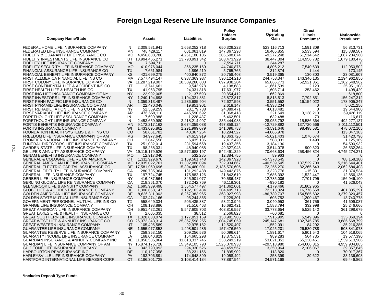| <b>Company Name/State</b>                                                         | Assets                                          | Liabilities                  | Policy<br><b>Holders</b><br><b>Surplus</b> | Net<br>Operating<br>Gain | <b>Direct</b><br><b>Illinois</b><br>Premiums* | <b>Nationwide</b><br>Premiums* |
|-----------------------------------------------------------------------------------|-------------------------------------------------|------------------------------|--------------------------------------------|--------------------------|-----------------------------------------------|--------------------------------|
| FEDERAL HOME LIFE INSURANCE COMPANY                                               | IN<br>2,308,581,941                             | 1,658,252,718                | 650,329,223                                | 523,116,713              | 1,591,309                                     | 56,813,731                     |
| FEDERATED LIFE INSURANCE COMPANY                                                  | <b>MN</b><br>748.429.117                        | 601.061.819                  | 147.367.298                                | 16,405,855               | 5.533.594                                     | 115.839.507                    |
| FIDELITY & GUARANTY LIFE INSURANCE CO                                             | MD<br>4,456,688,780                             | 4,251,180,106                | 205,508,674                                | $-9,277,248$             | 51,914,642                                    | 1,067,234,960                  |
| FIDELITY INVESTMENTS LIFE INSURANCE CO                                            | UT<br>13.994.465.271                            | 13.790.991.342               | 203.473.929                                | 38,447,304               | 114,956,782                                   | 1,679,180,476                  |
| FIDELITY LIFE INSURANCE COMPANY                                                   | PA<br>7,594,711                                 | O                            | 7,594,711                                  | 344,287                  |                                               |                                |
| FIDELITY SECURITY LIFE INSURANCE COMPANY                                          | <b>MO</b><br>410.976.044                        | 366.235.169                  | 44.740.875                                 | 4,806,212                | 7,540,639                                     | 112,950,502                    |
| FINANCIAL ASSURANCE LIFE INSURANCE CO                                             | <b>TX</b><br>7,661,984                          | 1,896,219                    | 5,765,765                                  | 312,874                  | 1.444                                         | 173,145                        |
| FINANCIAL BENEFIT LIFE INSURANCE COMPANY<br>FIRST ALLMERICA FINANCIAL LIFE INS CO | KS<br>421,699,275<br><b>MA</b><br>7.577.494.147 | 400.940.872<br>6,987,369,937 | 20,758,403<br>590,124,210                  | 3,519,365<br>244.758.347 | 130.800<br>143.346.135                        | 23,081,607<br>2,194,962,856    |
| FIRST COLONY LIFE INSURANCE COMPANY                                               | VA<br>11,287,219,007                            | 10,589,280,803               | 697,938,204                                | 65,866,773               | 52,921,361                                    | 1,362,548,962                  |
| FIRST CONTINENTAL LIFE & ACCIDENT INS CO                                          | UT<br>13.741.661                                | 9,542,978                    | 4.198.683                                  | $-1,661,539$             | 2.123                                         | 25,951,108                     |
| FIRST HEALTH LIFE & HEALTH INS CO                                                 | <b>TX</b><br>41,963,795                         | 24,331,818                   | 17,631,977                                 | 1,608,714                | 253,462                                       | 1,498,429                      |
| FIRST ING LIFE INSURANCE COMPANY OF NY                                            | <b>NY</b><br>22,992,005                         | 2,137,593                    | 20,854,412                                 | 662,869                  |                                               | 618,800                        |
| FIRST INVESTORS LIFE INSURANCE COMPANY                                            | <b>NY</b><br>1,240,194,698                      | 1,194,321,881                | 45,872,817                                 | 8,813,513                | 7,792,851                                     | 156,247,312                    |
| FIRST PENN PACIFIC LIFE INSURANCE CO                                              | IN<br>1,359,313,497                             | 1,286,685,904                | 72,627,593                                 | 3,551,552                | 16,154,022                                    | 178,905,247                    |
| FIRST PYRAMID LIFE INSURANCE CO OF AM                                             | 22,470,048<br><b>AR</b>                         | 19,851,901                   | 2,618,147                                  | $-6,338,234$             |                                               | 5,021,256                      |
| FIRST REHABILITATION LIFE INS CO OF AM                                            | <b>NY</b><br>52,569,259                         | 28,179,788                   | 24,389,471                                 | 4,013,481                |                                               | 19,644,900                     |
| FIRST VARIABLE LIFE INSURANCE COMPANY                                             | <b>AR</b><br>476,659,110                        | 445,590,692                  | 31,068,418                                 | 221,649                  | 3,138,213                                     | 69,428,119                     |
| FORETHOUGHT LIFE ASSURANCE COMPANY                                                | IN<br>7,690,988                                 | 1,228,487                    | 6,462,501                                  | 632,488                  | -73                                           | -16,617                        |
| FORETHOUGHT LIFE INSURANCE COMPANY                                                | IN<br>2,453,659,980                             | 2,218,214,997                | 235,444,983                                | 28,955,792               | 15,586,364                                    | 492,277,137                    |
| FORTIS BENEFITS INSURANCE COMPANY                                                 | <b>MN</b><br>9,172,217,162                      | 8,674,359,038                | 497,858,124                                | -12,729,892              | 137,720,566                                   | 3,011,112,501                  |
| FORTIS INSURANCE COMPANY                                                          | WI<br>1,433,095,862                             | 1,291,999,079                | 141,096,783                                | $-3,591,646$             | 98,498,581                                    | 478,072,105                    |
| FOUNDATION HEALTH SYSTEMS L & H INS CO                                            | CO<br>58,661,781                                | 40,367,254                   | 18,294,527                                 | –4,066,978               |                                               | 113,047,383                    |
| FREEDOM LIFE INSURANCE COMPANY OF AM<br>FRONTIER NATIONAL LIFE INSURANCE COMPANY  | <b>MS</b><br>34,977,645<br>OH                   | 24,613,919                   | 10,363,726                                 | $-5,021,403$             | 1,076,674<br>1,498                            | 31,420,796                     |
| FUNERAL DIRECTORS LIFE INSURANCE COMPANY                                          | 13,847,556<br><b>TX</b><br>251,032,014          | 6,435,136<br>231,594,658     | 7,412,420<br>19,437,356                    | 508,031<br>3,184,130     |                                               | 1,125,169<br>54,590,932        |
| GARDEN STATE LIFE INSURANCE COMPANY                                               | <b>TX</b><br>98.268.031                         | 48,940,088                   | 49,327,943                                 | 3,514,078                | 900.320                                       | 26,532,264                     |
| <b>GE LIFE &amp; ANNUITY ASSURANCE COMPANY</b>                                    | <b>VA</b><br>19,115,179,526                     | 18,572,688,197               | 542,491,329                                | 70,668,634               | 258,456,824                                   | 4,745,274,271                  |
| <b>GENAM BENEFITS INSURANCE COMPANY</b>                                           | <b>MO</b><br>12,917,040                         | 532,285                      | 12,384,755                                 | 89,963                   |                                               |                                |
| <b>GENERAL &amp; COLOGNE LIFE RE OF AMERICA</b>                                   | <b>CT</b><br>1,311,929,676                      | 1,169,561,748                | 142,367,928                                | $-57,378,545$            |                                               | 788.158.180                    |
| GENERAL AMERICAN LIFE INSURANCE COMPANY                                           | MO 12,035,022,761                               | 11,302,088,094               | 732,934,667                                | $-40,539,545$            | 137,529,709                                   | 5,316,644,401                  |
| GENERAL ELECTRIC CAPITAL ASSURANCE CO                                             | 17,581,050,696<br>DE.                           | 15,394,480,091               | 2,186,570,606                              | 72,255,270               | 82,365,643                                    | 2,062,684,403                  |
| GENERAL FIDELITY LIFE INSURANCE COMPANY                                           | CA<br>280,735,364                               | 131,292,488                  | 149,442,876                                | 13,323,776               | $-15,331$                                     | 31,374,534                     |
| GENERAL LIFE INSURANCE COMPANY                                                    | ТX<br>197,724,745                               | 175,882,126                  | 21,842,619                                 | $-7,686,392$             | 1,522,447                                     | 12,856,136                     |
| <b>GERBER LIFE INSURANCE COMPANY</b>                                              | <b>NY</b><br>416,487,564                        | 345,901,077                  | 70.586.487                                 | 12.735.006               | 7.701.795                                     | 156,946,100                    |
| GERLING GLOBAL LIFE REINSURANCE COMPANY                                           | СA<br>218,361,070                               | 172,242,769                  | 46,118,301                                 | $-930,182$               |                                               | 41,526,043                     |
| <b>GLENBROOK LIFE &amp; ANNUITY COMPANY</b>                                       | <b>AZ</b><br>1.695.939.498                      | 1,554,577,497                | 141,362,001                                | 4,179,466                | 81,802,965                                    |                                |
| <b>GLOBE LIFE &amp; ACCIDENT INSURANCE COMPANY</b>                                | DE<br>1,306,658,147                             | 1,102,162,434                | 204,495,713                                | 72,313,324               | 16,776,658                                    | 401,835,391                    |
| GOLDEN AMERICAN LIFE INSURANCE COMPANY<br>GOLDEN STATE MUTUAL LIFE INSURANCE CO   | DE<br>8,626,311,962<br>CA<br>102,474,166        | 8,257,383,965<br>95,244,865  | 368,927,998<br>7,229,301                   | $-86,789,707$<br>603,752 | 154,585,632<br>1,200,467                      | 3,279,320,457<br>13,740,778    |
| GOVERNMENT PERSONNEL MUTUAL LIFE INS CO                                           | ТX<br>558,649,334                               | 505,435,387                  | 53,213,946                                 | 3,040,953                | 361,756                                       | 41,609,087                     |
| <b>GRANGE LIFE INSURANCE COMPANY</b>                                              | OH<br>108,198,886                               | 91,516,463                   | 16,682,421                                 | 1,588,794                | 332,998                                       | 25,246,666                     |
| GREAT AMERICAN LIFE INSURANCE COMPANY                                             | 5,951,422,261<br>OH                             | 5,547,605,703                | 403,816,557                                | 33,778,654               | 5,525,142                                     | 361,298,679                    |
| GREAT LAKES LIFE & HEALTH INSURANCE CO                                            | IN<br>2,605,335                                 | 38,512                       | 2,566,823                                  | -60.681                  |                                               |                                |
| <b>GREAT SOUTHERN LIFE INSURANCE COMPANY</b>                                      | <b>TX</b><br>1,328,833,074                      | 1,177,851,169                | 150,981,905                                | 17,915,995               | 5,949,396                                     | 335,069,194                    |
| GREAT WEST LIFE & ANNUITY INSURANCE CO                                            | CO.<br>26,372,343,314                           | 25, 367, 598, 255            | 1,004,745,059                              | 245,147,681              | 132,745,785                                   | 3,886,568,799                  |
| <b>GREAT WESTERN INSURANCE COMPANY</b>                                            | UT<br>105,495,589                               | 92,975,182                   | 12,520,407                                 | 1,552,091                | 84,292                                        | 35,216,386                     |
| GUARANTEE LIFE INSURANCE COMPANY                                                  | <b>NE</b><br>1,655,977,853                      | 1,498,501,285                | 157,476,569                                | 17,925,201               | 26,530,788                                    | 503,841,973                    |
| GUARANTEE RESERVE LIFE INSURANCE COMPANY                                          | IN<br>259,353,150                               | 209,256,536                  | 50,096,614                                 | 1,891,617                | 5,801,543                                     | 104,518,065                    |
| GUARANTY INCOME LIFE INSURANCE COMPANY                                            | LA<br>168,040,829                               | 154,665,298                  | 13,375,531                                 | 989,283                  | 564,735                                       | 19,577,390                     |
| GUARDIAN INSURANCE & ANNUITY COMPANY INC                                          | DE<br>11,856,586,964                            | 11,618,337,746               | 238,249,219                                | 53,021,351               | 65,130,451                                    | 1,539,613,906                  |
| GUARDIAN LIFE INSURANCE COMPANY OF AM                                             | <b>NY</b><br>16.874.176.728                     | 15,349,105,790               | 1,525,070,938                              | $-29.518.980$            | 254,606,815                                   | 4.959,904,885                  |
| GUIDEONE LIFE INSURANCE COMPANY                                                   | IA<br>342,790,093                               | 294,330,526                  | 48,459,567                                 | 3,350,964                | 2,106,067                                     | 39,357,645                     |
| HARBOURTON REASSURANCE INC                                                        | DE<br>110,127,058<br>PA                         | 88,231,156                   | 21,895,902                                 | $-113,820$               |                                               | 70,017,367                     |
| HARLEYSVILLE LIFE INSURANCE COMPANY<br>HARTFORD INTERNATIONAL LIFE REASSR CORP    | 193,706,891<br>CT                               | 174,648,399                  | 19,058,492                                 | $-258,399$<br>24.571.168 | 39,622<br>$\Omega$                            | 33,136,603                     |
|                                                                                   | 3,186,301,728                                   | 3,108,414,184                | 77,887,544                                 |                          |                                               | 69,446,862                     |

**\*Includes Deposit Type Funds**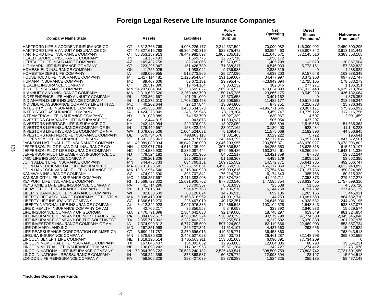| <b>Company Name/State</b>                                                         | <b>Assets</b>                                  | <b>Liabilities</b>            | <b>Policy</b><br><b>Holders</b><br><b>Surplus</b> | Net<br>Operating<br>Gain  | <b>Direct</b><br><b>Illinois</b><br>Premiums* | <b>Nationwide</b><br>Premiums* |
|-----------------------------------------------------------------------------------|------------------------------------------------|-------------------------------|---------------------------------------------------|---------------------------|-----------------------------------------------|--------------------------------|
| HARTFORD LIFE & ACCIDENT INSURANCE CO                                             | CТ<br>6,312,763,769                            | 4,098,226,177                 | 2,214,537,592                                     | 70,090,982                | 146,390,992                                   | 2,450,390,295                  |
| HARTFORD LIFE & ANNUITY INSURANCE CO                                              | CТ<br>46,827,615,788                           | 46,304,740,316                | 522,875,472                                       | 60,854,463                | 335,807,342                                   | 3,613,151,442                  |
| HARTFORD LIFE INSURANCE COMPANY                                                   | 80,353,187,913<br>СT                           | 78,447,982,897                | 1,905,205,016                                     | 121,645,571               | 572,145,516                                   | 6,383,853,108                  |
| HEALTHSOURCE INSURANCE COMPANY                                                    | <b>TN</b><br>14,137,493                        | 1,569,775                     | 12,567,718                                        | 1,058,172                 |                                               |                                |
| HERITAGE LIFE INSURANCE COMPANY                                                   | AZ<br>145,437,758                              | 82,766,866                    | 62,670,892                                        | 11,405,298                | $-3,020$                                      | 30,857,504                     |
| HIGHMARK LIFE INSURANCE COMPANY<br>HOMESHIELD INSURANCE COMPANY                   | <b>CT</b><br>223,295,047<br>OK<br>11,725,025   | 151,426,730<br>1,988,042      | 71,868,317<br>9,736,983                           | 4,546,033<br>2,833,519    | 5,773,161                                     | 157,352,823<br>4,238,822       |
| HOMESTEADERS LIFE COMPANY                                                         | 539,050,955<br>IA                              | 513,773,865                   | 25,277,090                                        | 4,633,203                 | 9,157,048                                     | 163,988,348                    |
| HOUSEHOLD LIFE INSURANCE COMPANY                                                  | MI<br>1,417,114,481                            | 1,125,954,874                 | 291,159,607                                       | 34,477,997                | 3,372,968                                     | 697,732,747                    |
| HUMANA INSURANCE COMPANY                                                          | <b>MO</b><br>89,467,606                        | 59,672,131                    | 29,795,476                                        | $-23,949,094$             | 42,725,165                                    | 178,583,273                    |
| IDEALIFE INSURANCE COMPANY                                                        | CТ<br>28,517,396                               | 19,454,164                    | 9,063,232                                         | 382,045                   | 277,271                                       | 1,136,351                      |
| <b>IDS LIFE INSURANCE COMPANY</b>                                                 | MN 54,207,884,360                              | 52,238,569,827                | 1,969,314,533                                     | 419,034,899               | 167,012,443                                   | 4,039,213,764                  |
| IL ANNUITY AND INSURANCE COMPANY                                                  | 3,319,629,526<br>MA.                           | 3,269,483,790                 | 50,145,736                                        | $-23,866,175$             | 8,549,223                                     | 436,182,064                    |
| INDEPENDENCE LIFE AND ANNUITY COMPANY                                             | 223,864,667<br>RI                              | 191,291,009                   | 32,573,658                                        | 3,491,162                 |                                               | $-1,376,353$                   |
| INDIANAPOLIS LIFE INSURANCE COMPANY                                               | IN<br>1,810,872,010                            | 1,708,263,458                 | 102,608,552                                       | $-11,482,177$             | 10,517,236                                    | 218,566,244                    |
| INDIVIDUAL ASSURANCE COMPANY LIFE HTH AC                                          | <b>MO</b><br>40,202,644                        | 27,107,844                    | 13,094,800                                        | 873,751                   | 6,216,788                                     | 25,736,343                     |
| INTEGRITY LIFE INSURANCE COMPANY                                                  | OH<br>3,545,356,880                            | 3,458,534,378                 | 86,822,502                                        | –196,771,646              | 28,807,171                                    | 575,956,992                    |
| INTER STATE ASSURANCE COMPANY                                                     | IA<br>1,424,273,849<br><b>NY</b>               | 1,346,155,545                 | 78,118,304                                        | 3,459,747<br>630.967      | 10,775,122                                    | 177, 116, 756                  |
| INTRAMERICA LIFE INSURANCE COMPANY<br><b>INVESTORS GUARANTY LIFE INSURANCE CO</b> | 91,080,989<br>12,444,815<br>CA                 | 74,153,700<br>943,878         | 16,927,289<br>11,500,937                          | 506,054                   | 4,607<br>437,207                              | 2,001,459                      |
| INVESTORS HERITAGE LIFE INSURANCE CO                                              | KY<br>242,148,984                              | 229,076,925                   | 13,072,059                                        | 888,594                   | 1,515,665                                     | 51,635,363                     |
| <b>INVESTORS LIFE INSURANCE COMPANY OF IN</b>                                     | 176,449,657<br>IN                              | 153,422,495                   | 23,027,162                                        | 3,130,400                 | 528,484                                       | 11,148,223                     |
| <b>INVESTORS LIFE INSURANCE COMPANY OF N A</b>                                    | <b>WA</b><br>1,079,693,506                     | 1,004,524,031                 | 75,169,475                                        | 11,575,068                | 2,182,396                                     | 44,856,845                     |
| <b>INVESTORS PARTNER LIFE INSURANCE COMPANY</b>                                   | <b>DE</b><br>570,734,576                       | 498,903,113                   | 71,831,463                                        | 3,529,222                 | 5,722                                         | 196,641                        |
| J C PENNEY LIFE INSURANCE COMPANY                                                 | VT<br>1,691,266,963                            | 1,447,817,669                 | 243,449,295                                       | 82,372,466                | 36,957,833                                    | 847,372,501                    |
| JACKSON NATIONAL LIFE INSURANCE COMPANY                                           | 40,089,030,034<br>MI                           | 38,042,736,090                | 2,046,293,955                                     | 200,506,871               | 456,970,027                                   | 8,073,996,802                  |
| JEFFERSON PILOT FINANCIAL INSURANCE CO                                            | <b>NH</b><br>4,822,971,784                     | 4,515,135,202                 | 307,836,582                                       | 64,253,583                | 18,625,818                                    | 615,510,197                    |
| JEFFERSON PILOT LIFE INSURANCE COMPANY                                            | <b>NC</b><br>9,214,586,930                     | 8,235,087,444                 | 979,499,486                                       | 163,372,461               | 36,260,254                                    | 1,643,141,336                  |
| JEFFERSON PILOT LIFEAMERICA INSURANCE CO                                          | <b>NJ</b><br>479.524.182                       | 395.001.965                   | 84.522.217                                        | 13.421.759                | 87.783                                        | 19,382,244                     |
| JMIC LIFE INSURANCE COMPANY<br>JOHN ALDEN LIFE INSURANCE COMPANY                  | FL<br>206,261,306<br><b>MN</b><br>744.475.733  | 155,092,939<br>634,760,151    | 51,168,367                                        | 4,498,179                 | 2,608,510                                     | 53,662,385                     |
| JOHN HANCOCK MUTUAL LIFE INSURANCE CO                                             | <b>MA</b><br>60.731.828.581                    | 57,275,159,651                | 109,715,582<br>3,456,668,930                      | 14,572,771<br>466.177.859 | 85,641,785<br>631,772,475                     | 492,566,747<br>9,622,940,892   |
| JOHN HANCOCK VARIABLE LIFE INSURANCE CO                                           | МA<br>10,612,954,546                           | 10,215,960,930                | 396,993,616                                       | 75,754,636                | 70,137,736                                    | 950,824,960                    |
| KANAWHA INSURANCE COMPANY                                                         | SC<br>474,922,590                              | 398,707,842                   | 76,214,748                                        | 6,174,343                 | 385,768                                       | 80,315,329                     |
| KANSAS CITY LIFE INSURANCE COMPANY                                                | <b>MO</b><br>2.636.257.697                     | 2.416.382.908                 | 219.874.789                                       | 41.901.711                | 7.353.373                                     | 279,527,278                    |
| KEYPORT LIFE INSURANCE COMPANY                                                    | 16,569,727,302<br><b>RI</b>                    | 15,691,906,762                | 877,820,540                                       | 147,585,754               | 538,632,455                                   | 1,757,599,310                  |
| KEYSTONE STATE LIFE INSURANCE COMPANY                                             | PA<br>41,714,296                               | 33,700,357                    | 8,013,939                                         | 723,538                   | 51,605                                        | 4,536,710                      |
| LAFAYETTE LIFE INSURANCE COMPANY THE                                              | IN<br>1,017,616,341                            | 954,479,763                   | 63,136,578                                        | 6,144,758                 | 9,791,202                                     | 237,467,139                    |
| LIBERTY BANKERS LIFE INSURANCE COMPANY                                            | WI<br>82,833,539                               | 68,126,624                    | 14,706,915                                        | 699,106                   | 1,265,166                                     | 3,445,031                      |
| LIBERTY LIFE ASSURANCE COMPANY OF BOSTON                                          | <b>MA</b><br>5,308,418,936                     | 5,166,516,962                 | 141,901,974                                       | 44.253                    | 13,081,563                                    | 864,632,710                    |
| LIBERTY LIFE INSURANCE COMPANY                                                    | SC<br>1,366,619,270                            | 1,226,467,019                 | 140,152,251                                       | 24,645,936                | 4,938,582                                     | 244,496,195                    |
| LIBERTY NATIONAL LIFE INSURANCE COMPANY<br>LIFE & HEALTH INSURANCE COMPANY OF AM  | AL<br>3,412,342,928<br><b>PA</b><br>42.706.217 | 3,097,976,385<br>36,856,558   | 314,366,543<br>5,849,659                          | 103,104,528<br>329,892    | 1,548,343<br>2,640,933                        | 538,857,077<br>15,629,574      |
| LIFE INSURANCE COMPANY OF GEORGIA                                                 | GA<br>2,476,791,898                            | 2,384,642,838                 | 92.149.060                                        | 18,748,297                | 619,649                                       | 881,324,854                    |
| LIFE INSURANCE COMPANY OF NORTH AMERICA                                           | <b>PA</b><br>5,084,692,517                     | 4,563,869,224                 | 520,823,293                                       | 90,979,798                | 97,774,503                                    | 2,345,546,846                  |
| LIFE INSURANCE COMPANY OF THE SOUTHWEST                                           | 2.355.718.902<br><b>TX</b>                     | 2,232,463,321                 | 123,255,581                                       | 4,212,582                 | 5,070,880                                     | 301,297,976                    |
| LIFE INVESTORS INSURANCE COMPANY OF AM                                            | 7,374,990,312<br>IA                            | 6,777,765,509                 | 597,224,803                                       | 83,119,666                | 22,469,903                                    | 853,857,734                    |
| LIFE OF MARYLAND INC                                                              | <b>MD</b><br>267,851,998                       | 226,237,891                   | 41,614,107                                        | 4,437,663                 | 293,656                                       | 15,417,522                     |
| LIFE REASSURANCE CORPORATION OF AMERICA                                           | СT<br>3,690,211,787                            | 3,270,696,016                 | 419,515,771                                       | 36,458,860                | ∩                                             | 768,043,518                    |
| LIFEUSA INSURANCE COMPANY                                                         | 2,578,930,808<br>MN                            | 2,443,527,028                 | 135,403,781                                       | 26,461,287                | 32,148,798                                    | 369,802,555                    |
| LINCOLN BENEFIT LIFE COMPANY                                                      | <b>NE</b><br>1,619,195,514                     | 1,465,563,911                 | 153,631,603                                       | 6,090,891                 | 77,734,209                                    |                                |
| LINCOLN MEMORIAL LIFE INSURANCE COMPANY                                           | ТX<br>167,046,437<br><b>NE</b>                 | 154,092,632                   | 12,953,805                                        | 12,004,085                | 88,793                                        | 39,554,231                     |
| LINCOLN MUTUAL LIFE INSURANCE COMPANY<br>LINCOLN NATIONAL LIFE INSURANCE COMPANY  | 136,893,242<br>IN<br>79,064,703,723            | 117,321,958<br>76,538,240,182 | 19,571,284<br>2,526,463,541                       | 342,727<br>398,500,759    | 1,274,412<br>273,803,742                      | 12,781,070<br>7,731,501,950    |
| LINCOLN NATIONAL REASSURANCE COMPANY                                              | IN<br>936,244,359                              | 875,868,587                   | 60,375,772                                        | 12,993,594                | 23,197                                        | 15,594,513                     |
| LONDON LIFE REINSURANCE COMPANY                                                   | <b>PA</b><br>456,805,328                       | 398,427,039                   | 58,378,289                                        | 1,824,325                 | 255,135                                       | 58,487,143                     |

**\*Includes Deposit Type Funds**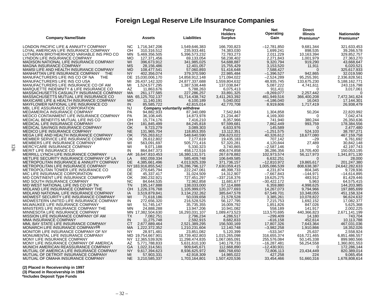| <b>Company Name/State</b>                                                       | Assets                                       | Liabilities                  | <b>Policy</b><br><b>Holders</b><br><b>Surplus</b> | Net<br>Operating<br>Gain | <b>Direct</b><br><b>Illinois</b><br>Premiums* | <b>Nationwide</b><br>Premiums* |
|---------------------------------------------------------------------------------|----------------------------------------------|------------------------------|---------------------------------------------------|--------------------------|-----------------------------------------------|--------------------------------|
| LONDON PACIFIC LIFE & ANNUITY COMPANY                                           | <b>NC</b><br>1,716,347,206                   | 1,549,646,383                | 166,700,823                                       | $-12,781,850$            | 9,681,344                                     | 321,633,453                    |
| LOYAL AMERICAN LIFE INSURANCE COMPANY                                           | OH<br>310.316.512                            | 235,933,481                  | 74,383,030                                        | 1.699.241                | 898,535                                       | 39,266,578                     |
| LUTHERAN BROTHERHOOD VARIABLE INS PRO CO                                        | 5,469,356,505<br>MN                          | 5,396,573,232                | 72,783,273                                        | 2,011,229                | 10,163,394                                    | 329,852,757                    |
| LYNDON LIFE INSURANCE COMPANY                                                   | <b>MO</b><br>127.371.456                     | 69.133.054                   | 58.238.402                                        | 2,271,843                | 1,001,979                                     | 27,363,270                     |
| MADISON NATIONAL LIFE INSURANCE COMPANY<br>MAGNA INSURANCE COMPANY              | 396,673,912<br>WI<br><b>MS</b><br>28,156,486 | 341,985,025<br>12,401,057    | 54,688,887<br>15,755,429                          | 9,320,794                | 919,290<br>11,911                             | 43,668,647<br>6,020,521        |
| MAMSI LIFE AND HEALTH INSURANCE COMPANY                                         | <b>MD</b><br>108,477,541                     | 57,060,893                   | 51,416,648                                        | 3,153,520<br>7,588,427   |                                               | 325,617,933                    |
| MANHATTAN LIFE INSURANCE COMPANY<br>THE                                         | <b>NY</b><br>402,356,074                     | 379,370,590                  | 22,985,484                                        | $-1,396,527$             | 942,865                                       | 32,019,590                     |
| MANUFACTURERS LIFE INS CO OF NA<br><b>THE</b>                                   | <b>DE</b><br>15,030,006,170                  | 14,858,912,148               | 171,094,022                                       | $-2.524.289$             | 95.255.391                                    | 2,336,828,561                  |
| <b>MANUFACTURERS LIFE INS CO USA</b>                                            | MI<br>26,437,142,320                         | 24,877,337,688               | 1,559,804,632                                     | 48.935.745               | 133.675.230                                   | 5,188,162,771                  |
| MANUFACTURERS LIFE INSURANCE CO OF AM                                           | MI<br>1,524,577,295                          | 1,387,538,448                | 137,038,847                                       | 5,087,222                | 4,741,611                                     | 243,116,798                    |
| MARQUETTE INDEMNITY & LIFE INSURANCE CO                                         | AZ<br>11.863.676                             | 5.788.263                    | 6.075.413                                         | 911.411                  |                                               | 3,017,061                      |
| MASSACHUSETTS CASUALTY INSURANCE COMPANY                                        | <b>MA</b><br>261, 177, 585                   | 227,286,257                  | 33,891,325                                        | $-9,269,077$             | 2,257,442                                     |                                |
| MASSACHUSETTS MUTUAL LIFE INSURANCE CO                                          | MA<br>65,125,702,137                         | 61,714,438,742               | 3,411,263,392                                     | 461,949,516              | 366,400,208                                   | 7,472,341,624                  |
| MAXICARE LIFE & HEALTH INSURANCE COMPANY                                        | <b>MO</b><br>11,140,191                      | 6,100,189                    | 5,040,002                                         | $-4,186,040$             | 16,043                                        | 17,144,301                     |
| MAYFLOWER NATIONAL LIFE INSURANCE CO                                            | IN<br>85,585,722                             | 42,815,014                   | 42,770,708                                        | 8,919,606                | 1,717,419                                     | 26,938,479                     |
| MBL LIFE ASSURANCE CORPORATION                                                  | <b>NJ</b>                                    | Company voluntarily withdrew |                                                   |                          |                                               |                                |
| MEDAMERICA INSURANCE COMPANY                                                    | <b>PA</b><br>94,882,933                      | 87,340,089                   | 7,542,843                                         | 1,304,858                | 50,204                                        | 22,820,992                     |
| MEDCO CONTAINMENT LIFE INSURANCE COMPANY                                        | PA<br>36,108,445                             | 14,873,978                   | 21,234,467                                        | 4,169,300                |                                               | 7,042,474                      |
| MEDICAL BENEFITS MUTUAL LIFE INS CO                                             | OH<br>15,774,176                             | 7,416,210                    | 8,357,966                                         | 741,940                  | 380,244                                       | 26,350,636                     |
| MEDICAL LIFE INSURANCE COMPANY<br>MEDICAL SAVINGS INSURANCE COMPANY             | OH<br>181,845,499<br>OK<br>9,723,279         | 84,245,818<br>3,089,303      | 97,599,681<br>6,633,976                           | 7,862,449                | 993,759<br>$\Omega$                           | 178,384,556                    |
| MEDICO LIFE INSURANCE COMPANY                                                   | <b>NE</b><br>131,965,704                     | 118,853,355                  | 13,112,351                                        | 145,589<br>$-1,251,575$  | 524,103                                       | 2,477,480<br>38,787,271        |
| MEGA LIFE AND HEALTH INSURANCE COMPANY                                          | OK<br>755,263,612                            | 548,640,590                  | 206,623,022                                       | 40,326,612               | 18,677,080                                    | 467,159,758                    |
| MEMBER SERVICE LIFE INSURANCE COMPANY                                           | OK<br>26,612,802                             | 7,177,619                    | 19,435,183                                        | 707,142                  | -29                                           | 6,761,692                      |
| MEMBERS LIFE INSURANCE COMPANY                                                  | WI<br>563,091,697                            | 505,771,416                  | 57,320,281                                        | 4,120,844                | 27,489                                        | 30,842,148                     |
| MERCYCARE INSURANCE COMPANY                                                     | WI<br>9.071.188                              | 5,330,323                    | 3.740.865                                         | $-2,587,146$             |                                               | 42,197,743                     |
| MERIT LIFE INSURANCE CO                                                         | IN<br>864,847,373                            | 458,172,516                  | 406,674,858                                       | 36,286,356               | 18,705,400                                    | 150,053,195                    |
| MERRILL LYNCH LIFE INSURANCE COMPANY                                            | <b>AR</b><br>16.647.810.453                  | 16.380.131.571               | 267,678,882                                       | 102,973,574              | 56,117,973                                    | 1,341,871,130                  |
| METLIFE SECURITY INSURANCE COMPANY OF LA                                        | 692,059,334<br>LA                            | 585,409,748                  | 106,649,585                                       | 6,632,251                |                                               | 28,000                         |
| METROPOLITAN INSURANCE & ANNUITY COMPANY                                        | <b>DE</b><br>4.385.661.496                   | 4,013,925,339                | 371,736,157                                       | $-12.810.972$            | 19,865,617                                    | 201,247,380                    |
| METROPOLITAN LIFE INSURANCE COMPANY                                             | NY 183,916,855,542                           | 176,286,796,127              | 7,630,059,415                                     | 1.005.086.539            | 808.638.387                                   | 24,642,282,633                 |
| METROPOLITAN TOWER LIFE INSURANCE CO                                            | DE<br>270,645,794                            | 222,247,061                  | 48,398,733                                        | 4,231,874                | 804,345                                       | 9,728,936                      |
| MIC LIFE INSURANCE CORPORATION                                                  | DE<br>45,337,417                             | 31.024.509                   | 14,312,907                                        | $-7,667,843$             | $-144.971$                                    | $-14,614,895$                  |
| MID CONTINENT LIFE INSURANCE COMPANY <sup>(2)</sup>                             | OK<br>390.232.921                            | 727,451,297                  | $-337,218,376$                                    | 19,625,275               | 483,912                                       | 81,429,446                     |
| MID SOUTH INSURANCE COMPANY                                                     | <b>NC</b><br>84,644,535                      | 72,962,858                   | 11,681,677                                        | $-30,422,172$            | 5.963                                         | 64,575,415                     |
| MID WEST NATIONAL LIFE INS CO OF TN                                             | <b>TN</b><br>195.147.888                     | 138.033.000<br>1,105,999,075 | 57,114,888                                        | 6,359,880                | 4,998,625                                     | 144,203,985                    |
| MIDLAND LIFE INSURANCE COMPANY THE<br>MIDLAND NATIONAL LIFE INSURANCE COMPANY   | OH<br>1,226,376,768<br>IA<br>3,519,879,841   | 3.134.232.262                | 120,377,693<br>385,647,578                        | 14,267,073<br>67,549,701 | 9,794,966<br>10,348,055                       | 197,885,699<br>451,158,324     |
| MIDWEST SECURITY LIFE INSURANCE COMPANY                                         | WI<br>71,618,186                             | 50,039,658                   | 21,578,528                                        | 3,385,261                | 10,078,822                                    | 96,624,632                     |
| MIDWESTERN UNITED LIFE INSURANCE COMPANY                                        | IN<br>272,656,320                            | 216,528,525                  | 56,127,795                                        | 7,215,753                | 1,692,152                                     | 17,082,377                     |
| MILWAUKEE LIFE INSURANCE COMPANY                                                | WI<br>51,745,147                             | 35,735,355                   | 16,009,792                                        | 1,851,826                | 847,026                                       | 5,625,368                      |
| MINISTERS LIFE INSURANCE COMPANY THE                                            | <b>MN</b><br>24,888,288                      | 13,947,206                   | 10,941,082                                        | 558,189                  | 141,917                                       | 2,002,225                      |
| MINNESOTA LIFE INSURANCE COMPANY                                                | MN<br>17,382,504,630                         | 16,293,031,107               | 1,089,473,523                                     | 113,570,695              | 440,366,823                                   | 2,671,141,199                  |
| MISSION LIFE INSURANCE COMPANY OF AM                                            | TX<br>7,082,751                              | 2,796,234                    | 4,286,517                                         | $-299,409$               | 14,180                                        | 743,704                        |
| <b>MMA INSURANCE COMPANY</b>                                                    | IN<br>11,275,748                             | 2,592,915                    | 8,682,833                                         | $-616, 158$              | 452,614                                       | 10,113,788                     |
| MML BAY STATE LIFE INSURANCE COMPANY                                            | <b>CT</b><br>2,677,889,464                   | 2,521,389,295                | 156,500,169                                       | 17,807,326               | 7,643,364                                     | 467,031,036                    |
| MONARCH LIFE INSURANCE COMPANY <sup>(3)</sup>                                   | MA<br>1,222,372,352                          | 1,210,231,604                | 12,140,748                                        | $-3.982.258$             | 1,910,866                                     | 18,352,026                     |
| MONITOR LIFE INSURANCE COMPANY OF NY                                            | <b>NY</b><br>28.971.481                      | 23,851,082                   | 5,120,399                                         | $-533,347$               | 25,637                                        | 2,558,924                      |
| MONUMENTAL LIFE INSURANCE COMPANY                                               | MD.<br>19,754,667,901                        | 18,739,402,803               | 1,015,265,098                                     | 316,655,374              | 616,721,465                                   | 6,851,486,557                  |
| MONY LIFE INSURANCE COMPANY                                                     | <b>NY</b><br>12,365,539,926                  | 11,298,474,835               | 1,067,065,091                                     | 255,576,084              | 50,145,338                                    | 899,980,566                    |
| MONY LIFE INSURANCE COMPANY OF AMERICA                                          | AZ<br>5,771,788,833                          | 5,631,610,100                | 140,178,733                                       | –16,287,481              | 56,254,558                                    | 1,360,801,553                  |
| MUNICH AMERICAN REASSURANCE COMPANY                                             | GA<br>1,022,314,561<br><b>NY</b>             | 909,645,671                  | 112,668,890                                       | $-12,430,931$            |                                               | 172,286,144                    |
| MUTUAL OF AMERICA LIFE INSURANCE COMPANY<br>MUTUAL OF DETROIT INSURANCE COMPANY | 9.617.394.623<br>MI<br>57,903,331            | 8.936.625.972<br>42,918,309  | 680,768,650<br>14,985,022                         | 72,806,113<br>427,258    | 23,434,449<br>224                             | 820.389.014<br>9,065,454       |
| MUTUAL OF OMAHA INSURANCE COMPANY                                               | <b>NE</b><br>3,210,585,337                   | 1,703,164,801                | 1,507,420,536                                     | 33.454.466               | 51,660,316                                    | 1,678,808,614                  |
|                                                                                 |                                              |                              |                                                   |                          |                                               |                                |

**(2) Placed in Receivership in 1997**

**\*Includes Deposit Type Funds (3) Placed in Receivership in 1994**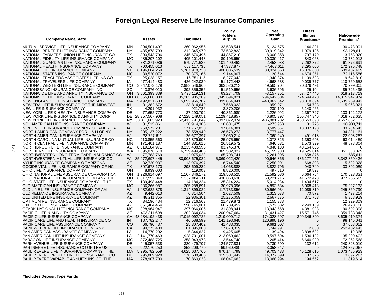| <b>Company Name/State</b>                                                    | <b>Assets</b>                                             | <b>Liabilities</b>              | <b>Policy</b><br><b>Holders</b><br><b>Surplus</b> | Net<br>Operating<br>Gain     | <b>Direct</b><br><b>Illinois</b><br>Premiums* | <b>Nationwide</b><br>Premiums*  |
|------------------------------------------------------------------------------|-----------------------------------------------------------|---------------------------------|---------------------------------------------------|------------------------------|-----------------------------------------------|---------------------------------|
| MUTUAL SERVICE LIFE INSURANCE COMPANY                                        | MN<br>394,501,497                                         | 360,962,956                     | 33,538,541                                        | 5,124,575                    | 146,391                                       | 30,478,001                      |
| NATIONAL BENEFIT LIFE INSURANCE COMPANY                                      | <b>NY</b><br>485,878,793                                  | 312,345,970                     | 173,532,823                                       | 39,919,842                   | 1,979,136                                     | 93,128,611                      |
| NATIONAL FARMERS UNION LIFE INSURANCE CO                                     | ТX<br>390,543,706                                         | 345,676,496                     | 44,867,210                                        | 8,008,858                    | 797,179                                       | 13,758,020                      |
| NATIONAL FIDELITY LIFE INSURANCE COMPANY                                     | <b>MO</b><br>485,207,102                                  | 405,101,443                     | 80,105,659                                        | 10,339,417                   | 843.063                                       | 13,732,913                      |
| NATIONAL GUARDIAN LIFE INSURANCE COMPANY                                     | WI<br>781,271,086                                         | 679.771.625                     | 101,499,462                                       | 2,453,038                    | 7,262,372                                     | 61,376,691                      |
| NATIONAL HEALTH INSURANCE COMPANY                                            | <b>TX</b><br>700,455,613                                  | 653,117,736                     | 47,337,877                                        | $-7,467,611$                 | 3,295,600                                     | 172,975,748                     |
| NATIONAL LIFE INSURANCE COMPANY                                              | VT<br>6,196,004,269                                       | 5,787,918,730                   | 408,085,539                                       | 30,024,668                   | 16,376,600                                    | 539,407,409                     |
| NATIONAL STATES INSURANCE COMPANY                                            | <b>MO</b><br>89,520,072                                   | 70,375,165                      | 19,144,907                                        | 20,644                       | 4,674,351                                     | 72,115,586                      |
| NATIONAL TEACHERS ASSOCIATES LIFE INS CO                                     | <b>TX</b><br>25,028,157                                   | 16,751,115                      | 8,277,042                                         | 1,340,874                    | 1,109,523                                     | 19,642,810                      |
| NATIONAL TRAVELERS LIFE COMPANY                                              | 477,414,483<br>IA                                         | 426,242,039                     | 51,172,443                                        | $-4,668,638$                 | 9,039,777                                     | 110,760,653                     |
| NATIONAL WESTERN LIFE INSURANCE COMPANY                                      | CO<br>3.347.073.179                                       | 2,983,546,966                   | 363.526.213                                       | 49,565,704                   | 20,379,491                                    | 470,299,305                     |
| NATIONSBANC INSURANCE COMPANY INC                                            | SC<br>443,876,010                                         | 392,356,356                     | 51,519,656                                        | 3,636,506                    | $-25,104$                                     | 85,726,495                      |
| NATIONWIDE LIFE AND ANNUITY INSURANCE CO                                     | OH<br>3,561,393,839                                       | 3,498,119,131                   | 63,274,709                                        | $-3, 157, 351$               | 57,427,446<br>724.544.420                     | 618,213,719                     |
| NATIONWIDE LIFE INSURANCE COMPANY<br>NEW ENGLAND LIFE INSURANCE COMPANY      | <b>OH</b><br>86,555,680,030<br><b>MA</b><br>5,492,821,633 | 85,205,985,209<br>5,092,956,702 | 1,349,694,821<br>399.864.941                      | 294,642,304<br>$-43.962.842$ | 98.318.694                                    | 14,315,947,974<br>1,635,259,942 |
| NEW ERA LIFE INSURANCE CO OF THE MIDWEST                                     | IN<br>31,382,672                                          | 23,814,649                      | 7,568,023                                         | 959,971                      | 54,793                                        | 5,968,921                       |
| NEW LIFE INSURANCE COMPANY                                                   | <b>TX</b><br>4,291,932                                    | 921,726                         | 3.370.206                                         | 230,190                      | 5,140,465                                     |                                 |
| NEW YORK LIFE & HEALTH INSURANCE COMPANY                                     | DE<br>77,652,773                                          | 37.290.792                      | 40.361.980                                        | 2,226,092                    | 2,367,727                                     | 133.192.172                     |
| NEW YORK LIFE INSURANCE & ANNUITY CORP                                       | DE<br>28,357,567,908                                      | 27,228,149,051                  | 1,129,418,857                                     | 46,805,397                   | 105,747,346                                   | 4,018,782,635                   |
| NEW YORK LIFE INSURANCE COMPANY                                              | 68,811,663,923<br>NY                                      | 62,413,791,849                  | 6,397,872,074                                     | 486,881,282                  | 430,553,698                                   | 9,557,882,137                   |
| NGL AMERICAN LIFE INSURANCE COMPANY                                          | WI<br>31,515,861                                          | 20.914.386                      | 10,601,475                                        | $-273,958$                   | 31.775                                        | 10,933,711                      |
| NIPPON LIFE INSURANCE COMPANY OF AMERICA                                     | IA<br>269,572,201                                         | 171,757,820                     | 97,814,381                                        | 3,589,667                    | 18,307,198                                    | 83,704,643                      |
| NORTH AMERICAN COMPANY FOR L & H OF NY                                       | <b>NY</b><br>205, 137, 222                                | 178,558,949                     | 26,578,273                                        | 3,777,447                    |                                               | 34,831,161                      |
| NORTH AMERICAN INSURANCE COMPANY                                             | WI<br>38,727,611                                          | 26.677.397                      | 12.050.214                                        | 1,360,240                    | 491.018                                       | 22,008,287                      |
| NORTH CAROLINA MUTUAL LIFE INSURANCE CO                                      | <b>NC</b><br>210,855,560                                  | 184,879,903                     | 25,975,659                                        | 1,073,325                    | 1,353,693                                     | 63,014,459                      |
| NORTH CENTRAL LIFE INSURANCE COMPANY                                         | MN<br>171,401,187                                         | 144,881,615                     | 26,519,572                                        | 4,646,631                    | 1,573,399                                     | 48,878,304                      |
| NORTHBROOK LIFE INSURANCE COMPANY                                            | AZ<br>8,319,184,971                                       | 8,235,438,593                   | 83,746,376                                        | 4,840,108                    | 40,164,606                                    | ∩                               |
| NORTHERN LIFE INSURANCE COMPANY                                              | <b>WA</b><br>7,095,076,510                                | 6,729,494,483                   | 365,582,027                                       | 45,155,900                   | 19,625,014                                    | 851,368,829                     |
| NORTHWESTERN LONG TERM CARE INSURANCE CO                                     | WI<br>77,783,769<br>WI                                    | 12,075,028                      | 65,708,741                                        | $-7,261,995$                 | 658,876                                       | 685,611                         |
| NORTHWESTERN MUTUAL LIFE INSURANCE CO<br>NYLIFE INSURANCE COMPANY OF ARIZONA | 85,972,697,445<br>AZ<br>32,720,937                        | 80,903,675,032<br>13,976,397    | 5,069,022,420<br>18,744,540                       | 490,646,865<br>$-7,258,991$  | 486,177,451<br>668,308                        | 8,342,859,436<br>5,592,328      |
| OCCIDENTAL LIFE INSURANCE COMPANY OF NC                                      | <b>TX</b><br>307,678,170                                  | 293,609,282                     | 14,068,888                                        | 3,822,796                    | 940,749                                       | 33,892,089                      |
| OHIO LIFE INSURANCE COMPANY                                                  | OH<br>8,939,003                                           | 119,003                         | 8,820,000                                         | 497,610                      | 19,823                                        |                                 |
| OHIO NATIONAL LIFE ASSURANCE CORPORATION                                     | OH<br>1.226.914.697                                       | 1,107,346,172                   | 119,568,525                                       | 21,592,086                   | 6,664,754                                     | 170,523,331                     |
| OHIO NATIONAL LIFE INSURANCE COMPANY THE                                     | OH<br>6,017,952,849                                       | 5,587,084,211                   | 430,868,638                                       | 53,221,215                   | 41,572,473                                    | 977,255,585                     |
| OHIO STATE LIFE INSURANCE COMPANY THE                                        | <b>TX</b><br>139,498,448                                  | 14,184,224                      | 125,314,224                                       | 5,014,984                    | 1,434,617                                     |                                 |
| OLD AMERICAN INSURANCE COMPANY                                               | <b>MO</b><br>236,266,987                                  | 205,288,891                     | 30,978,096                                        | 4,892,584                    | 5,068,418                                     | 75,227,133                      |
| OLD LINE LIFE INSURANCE COMPANY OF AM                                        | WI<br>1,432,632,878                                       | 1,314,899,022                   | 117,733,856                                       | 30,566,034                   | 12,089,819                                    | 245,369,790                     |
| OLD RELIANCE INSURANCE COMPANY                                               | AZ<br>9,442,013                                           | 6,814,504                       | 2,627,509                                         | 1,313,033                    | 70,872                                        | 1,497,214                       |
| OLD UNITED LIFE INSURANCE COMPANY                                            | <b>AZ</b><br>48,211,356                                   | 22,936,301                      | 25,275,059                                        | 2,667,875                    | 371,763                                       | 6,368,929                       |
| OPTIMUM RE INSURANCE COMPANY                                                 | $\overline{TX}$<br>34,196,434                             | 12,716,563                      | 21,479,871                                        | 1,155,383                    |                                               | 12,929,309                      |
| OXFORD LIFE INSURANCE COMPANY                                                | AZ<br>651,484,454                                         | 590,745,001                     | 60,739,452                                        | 1,572,882                    | 2,249,189                                     | 126,423,106                     |
| OZARK NATIONAL LIFE INSURANCE COMPANY                                        | <b>MO</b><br>328,964,947                                  | 297,066,006                     | 31,898,941                                        | 13,943,568                   | 4,381,028                                     | 90,592,398                      |
| PACIFIC LIFE & ANNUITY COMPANY                                               | AΖ<br>403,311,698<br>CA                                   | 202,364,034                     | 200,947,664                                       | 31,431,427                   | 15,571,746                                    | 359,783,348                     |
| PACIFIC LIFE INSURANCE COMPANY<br>PACIFICARE LIFE AND HEALTH INSURANCE CO    | 48,234,192,438<br>IN<br>187,782,247                       | 47,015,092,726<br>46,588,599    | 1,219,099,712<br>141,193,648                      | 174,028,697<br>120,898,196   | 399,346,809                                   | 8,635,919,374<br>98,145,041     |
| PACIFICARE LIFE ASSURANCE COMPANY                                            | CO<br>66,790,437                                          | 25,307,402                      | 41,483,035                                        | 9,691,007                    |                                               | 37,668,052                      |
| PAINEWEBBER LIFE INSURANCE COMPANY                                           | CA<br>99,273,400                                          | 81,395,080                      | 17,878,319                                        | 1,744,991                    | 2,650                                         | 252,402,443                     |
| PAN AMERICAN ASSURANCE COMPANY                                               | 14,770,292<br>LA                                          | 5,344,627                       | 9,425,665                                         | 139,494                      | 3,838,682                                     | 19,366                          |
| PAN AMERICAN LIFE INSURANCE COMPANY                                          | LA<br>2,141,770,463                                       | 1,928,701,001                   | 213,069,462                                       | 9,597,594                    | 1,536,122                                     | 135,290,402                     |
| PARAGON LIFE INSURANCE COMPANY                                               | 372,488,725<br>МO                                         | 358,943,978                     | 13,544,740                                        | 265,414                      | 5,640,920                                     | 72,262,568                      |
| PARK AVENUE LIFE INSURANCE COMPANY                                           | DE<br>445,057,538                                         | 320,479,707                     | 124,577,831                                       | 9,739,599                    | 132,612                                       | 240,323,010                     |
| PARTNERRE LIFE INSURANCE CO OF THE US                                        | <b>TX</b><br>922,170,250                                  | 852,209,770                     | 69,960,480                                        | 3,058,647                    |                                               | 124,367,067                     |
| PAUL REVERE LIFE INSURANCE COMPANY THE                                       | MA<br>5,295,782,559                                       | 4,625,637,760                   | 670,144,799                                       | 49,703,433                   | 45,128,615                                    | 1,073,485,923                   |
| PAUL REVERE PROTECTIVE LIFE INSURANCE CO                                     | <b>DE</b><br>295,889,928                                  | 176,588,486                     | 119,301,442                                       | 14,377,899                   | 137,376                                       | 13,897,267                      |
| PAUL REVERE VARIABLE ANNUITY INS CO THE                                      | MA<br>278,907,700                                         | 170,860,038                     | 108,047,663                                       | 13,068,994                   | 194,552                                       | 11,819,614                      |

**\*Includes Deposit Type Funds**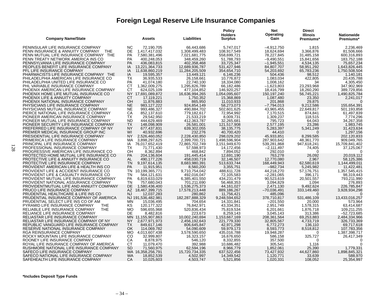| <b>Company Name/State</b>                                                         | Assets                                    | Liabilities                  | <b>Policy</b><br><b>Holders</b><br><b>Surplus</b> | Net<br>Operating<br>Gain   | Direct<br><b>Illinois</b><br>Premiums* | <b>Nationwide</b><br>Premiums* |
|-----------------------------------------------------------------------------------|-------------------------------------------|------------------------------|---------------------------------------------------|----------------------------|----------------------------------------|--------------------------------|
| PENINSULAR LIFE INSURANCE COMPANY                                                 | <b>NC</b><br>72,190,705                   | 66,443,686                   | 5,747,017                                         | $-4,912,750$               | 1,815                                  | 2,236,469                      |
| PENN INSURANCE & ANNUITY COMPANY<br><b>THE</b>                                    | DE<br>1,417,417,032                       | 1.308.499.483                | 108,917,549                                       | 18,624,694                 | 3.366.876                              | 81,506,666                     |
| PENN MUTUAL LIFE INSURANCE COMPANY THE                                            | PA<br>7,580,381,496                       | 7,021,681,775                | 558,699,721                                       | 78,227,845                 | 31,485,158                             | 600,316,893                    |
| PENN TREATY NETWORK AMERICA INS CO                                                | PA<br>400.248.053                         | 348.459.260                  | 51,788,793                                        | $-9,490,551$               | 15,841,656                             | 183,752,188                    |
| PENNSYLVANIA LIFE INSURANCE COMPANY                                               | PA<br>436,083,815                         | 402,358,468                  | 33,725,347                                        | $-1,945,551$               | 4,534,135                              | 75,657,234                     |
| PEOPLES BENEFIT LIFE INSURANCE COMPANY                                            | 13,221,364,733<br>IA                      | 12,689,936,787               | 531,427,946                                       | 84,807,707                 | 58,951,292                             | 1,643,826,445                  |
| PFL LIFE INSURANCE COMPANY<br>PHARMACISTS LIFE INSURANCE COMPANY THE              | 11,638,860,219<br>IA<br>IA<br>19,595,357  | 11,284,205,509<br>13,449,121 | 354,654,710<br>6,146,236                          | 54,203,692<br>504,436      | 65,783,236<br>98,512                   | 1,750,508,504<br>1,140,181     |
| PHILADELPHIA AMERICAN LIFE INSURANCE CO                                           | <b>TX</b><br>36,935,533                   | 26,158,661                   | 10,776,872                                        | 1,083,034                  | 422,805                                | 20,435,788                     |
| PHILADELPHIA UNITED LIFE INSURANCE CO                                             | PA<br>41,074,180                          | 22.740.100                   | 18,334,080                                        | 1,008,162                  | 34                                     | 4,305,450                      |
| PHL VARIABLE INSURANCE COMPANY                                                    | <b>CT</b><br>1,362,009,275                | 1,295,826,789                | 66,182,486                                        | $-1,623,803$               | 23,293,968                             | 347,902,969                    |
| PHOENIX AMERICAN LIFE INSURANCE COMPANY                                           | <b>CT</b><br>624,025,109                  | 477,104,852                  | 146,920,257                                       | 18,416,799                 | 18,260,290                             | 389,729,856                    |
| PHOENIX HOME LIFE MUTUAL INSURANCE CO                                             | <b>NY</b><br>17.691.089.872               | 16.636.994.265               | 1,054,095,607                                     | 150,197,240                | 56,745,221                             | 1,490,825,784                  |
| PHOENIX LIFE & ANNUITY COMPANY                                                    | CT<br>17,119,221                          | 1,750,352                    | 15,368,869                                        | 1,087,480                  | 23,350                                 | 2,241,017                      |
| PHOENIX NATIONAL INSURANCE COMPANY                                                | OH<br>11,876,883                          | 865.950                      | 11,010,933                                        | 201,868                    | 29,875                                 |                                |
| PHYSICIANS LIFE INSURANCE COMPANY                                                 | <b>NE</b><br>983,127,222                  | 924,854,149                  | 58,273,073                                        | $-7,794,013$               | 9,212,586                              | 155,654,391                    |
| PHYSICIANS MUTUAL INSURANCE COMPANY                                               | <b>NE</b><br>993,486,327                  | 490,884,702                  | 502,601,625                                       | 43,965,455                 | 22,649,817                             | 501,193,858                    |
| PIERCE NATIONAL LIFE INSURANCE COMPANY                                            | CA<br>852,137,610                         | 779,182,617                  | 72,954,992                                        | 7,170,515                  | 874,841                                | 61,497,839                     |
| PIONEER AMERICAN INSURANCE COMPANY                                                | <b>TX</b><br>29,542,950                   | 21,533,219                   | 8,009,731                                         | 1,309,237                  | 118,515                                | 7,774,296                      |
| PIONEER MUTUAL LIFE INSURANCE COMPANY                                             | <b>ND</b><br>444,629,469<br><b>TX</b>     | 412,363,787                  | 32,265,681                                        | 795,723                    | 64,043                                 | 34,267,358                     |
| PIONEER SECURITY LIFE INSURANCE COMPANY<br>PREFERRED LIFE INSURANCE COMPANY OF NY | 148,098,909<br><b>NY</b><br>677,437,831   | 26,581,001<br>639,302,055    | 121,517,908<br>38, 135, 775                       | 2,577,195<br>5,283,397     | 23,286<br>5,341,249                    | 1,983,745<br>31,423,634        |
| PREMIER MEDICAL INSURANCE GROUP INC                                               | WI<br>40,932,696                          | 232,276                      | 40,700,420                                        | 44,410                     |                                        | 1,297,156                      |
| PRESIDENTIAL LIFE INSURANCE COMPANY                                               | <b>NY</b><br>2,526,460,052                | 2,228,430,850                | 298,029,202                                       | 45,933,851                 | 8,299,585                              | 202,120,833                    |
| PRIMERICA LIFE INSURANCE COMPANY                                                  | MA<br>3,898,297,625                       | 2,399,700,721                | 1,498,596,904                                     | 287,903,642                | 48,361,770                             | 909,049,765                    |
| PRINCIPAL LIFE INSURANCE COMPANY                                                  | IA<br>76,017,652,419                      | 72,865,702,749               | 3,151,949,670                                     | 539,281,868                | 947,618,241                            | 15,709,841,402                 |
| PROFESSIONAL INSURANCE COMPANY                                                    | <b>TX</b><br>71,771,430                   | 57,598,973                   | 14,172,456                                        | –2,111,497                 | 74,405                                 | 37,125,067                     |
| PROGRESSIVE AMERICAN LIFE INSURANCE CO                                            | OH<br>8,362,894                           | 468,842                      | 7,894,052                                         | 292,010                    |                                        |                                |
| PROTECTED HOME MUTUAL LIFE INSURANCE CO                                           | <b>PA</b><br>204,136,604                  | 191,445,414                  | 12,691,190                                        | 763,278                    | 26,092                                 | 20,019,112                     |
| PROTECTIVE LIFE & ANNUITY INSURANCE CO                                            | <b>AL</b><br>490,177,226                  | 458,030,719                  | 32,146,507                                        | 12,770,080                 | 2,967                                  | 58,125,386                     |
| PROTECTIVE LIFE INSURANCE COMPANY                                                 | <b>TN</b><br>9,197,614,135                | 8,683,980,391                | 513,633,744                                       | 168,449,943                | 62,580,619                             | 1,144,499,011                  |
| PROVIDENT AMERICAN LIFE & HEALTH INS CO                                           | PA<br>11,915,951                          | 8,560,200                    | 3,355,751                                         | $-982,734$                 | 5,245,982                              | 11,422,481                     |
| PROVIDENT LIFE & ACCIDENT INSURANCE CO                                            | <b>TN</b><br>10,199,365,771               | 9.710.754.042                | 488,611,728                                       | 44,218,270                 | 57,176,751                             | 1,357,545,415                  |
| PROVIDENT LIFE & CASUALTY INSURANCE CO<br>PROVIDENT MUTUAL LIFE INSURANCE COMPANY | TN<br>564,121,631<br>PA                   | 492,016,047<br>6,385,401,550 | 72,105,583<br>434.231.479                         | $-2,281,065$<br>90.523.619 | 396,171                                | 98,319,443                     |
| PROVIDENT NATIONAL ASSURANCE COMPANY                                              | 6,819,633,029<br><b>TN</b><br>757,680,043 | 701,211,690                  | 56,468,353                                        | 3,094,829                  | 20,501,557<br>1,094                    | 793,211,990<br>276,893         |
| PROVIDENTMUTUAL LIFE AND ANNUITY COMPANY                                          | DE<br>1,580,436,400                       | 1,536,275,373                | 44, 161, 027                                      | 2,471,130                  | 9,492,624                              | 226,785,847                    |
| PRUCO LIFE INSURANCE COMPANY                                                      | AZ<br>18,467,399,715                      | 17,578,213,448               | 889,186,267                                       | $-70,036,491$              | 333,149,460                            | 3,928,934,298                  |
| PRUDENTIAL HEALTHCARE & LIFE INS CO                                               | <b>NJ</b><br>12,037,283                   | 280,862                      | 11,756,421                                        | 485,096                    | n                                      |                                |
| PRUDENTIAL INSURANCE COMPANY OF AMERICA                                           | NJ 191,536,482,981                        | 182,287,888,329              | 9,248,594,652                                     | 378,710,817                | 531,486,109                            | 13,433,016,257                 |
| PRUDENTIAL SELECT LIFE INS CO OF AM                                               | <b>MN</b><br>15.036.495                   | 704.654                      | 14.331.841                                        | $-201.550$                 | 20.000                                 | 573.964                        |
| PYRAMID LIFE INSURANCE COMPANY<br>THE                                             | KS<br>120, 177, 322                       | 76,842,971                   | 43,334,351                                        | 2,951,749                  | 1,578,315                              | 63,414,687                     |
| RELIABLE LIFE INSURANCE COMPANY<br><b>THE</b>                                     | <b>MO</b><br>596.655.968                  | 520.836.434                  | 75.819.534                                        | 6.201.661                  | 1.876.718                              | 109,211,255                    |
| RELIANCE LIFE INSURANCE COMPANY                                                   | DE<br>8,482,816                           | 223,673                      | 8,259,143                                         | 3,045,143                  | 313,386                                | $-52,723,685$                  |
| RELIASTAR LIFE INSURANCE COMPANY                                                  | <b>MN</b><br>11,155,907,863               | 10,002,240,694               | 1,153,667,169                                     | 208,361,564                | 69,253,883                             | 2,484,334,966                  |
| RELIASTAR LIFE INSURANCE COMPANY OF NY                                            | <b>NY</b><br>2,677,971,973                | 2.456.192.643                | 221,779,330                                       | 32,805,567                 | 4,733,719                              | 326,733,369                    |
| REPUBLIC VANGUARD LIFE INSURANCE COMPANY                                          | TX<br>849,617,146<br>OK                   | 806,645,847                  | 42,971,298                                        | 6,772,273                  | 136,110                                | 69,717,618                     |
| RESERVE NATIONAL INSURANCE COMPANY<br>RGA REINSURANCE COMPANY                     | 114,069,782<br><b>MO</b><br>4,013,607,438 | 54,090,609<br>3,578,590,650  | 59,979,173<br>435,016,788                         | 8,593,773<br>19,948,287    | 8,518,812<br>O                         | 107,783,356<br>1,387,398,717   |
| ROCKY MOUNTAIN LIFE INSURANCE COMPANY                                             | CO<br>32,999,807                          | 16,323,157                   | 16,676,650                                        | 586,158                    | 325,727                                | 26,417,349                     |
| ROONEY LIFE INSURANCE COMPANY                                                     | ČÃ<br>8,878,975                           | 546,120                      | 8,332,855                                         | 357,500                    | ∩                                      |                                |
| ROYAL LIFE INSURANCE COMPANY OF AMERICA                                           | <b>CT</b><br>11,079,470                   | 392,988                      | 10,686,482                                        | 305,541                    | 1,116                                  |                                |
| RUSHMORE NATIONAL LIFE INSURANCE COMPANY                                          | <b>SD</b><br>71,560,975                   | 62,594,196                   | 8,966,779                                         | 1,852,061                  | 25,390                                 | 1,779,331                      |
| SAFECO LIFE INSURANCE COMPANY                                                     | <b>WA</b><br>16,358,256,791               | 15.720.734.335               | 637,522,456                                       | 73,427,932                 | 44,627,860                             | 1.898.845.321                  |
| SAFECO NATIONAL LIFE INSURANCE COMPANY                                            | WA<br>18,852,539                          | 4,502,997                    | 14,349,542                                        | 1,120,771                  | 33,639                                 | 588,970                        |
| SAFEHEALTH LIFE INSURANCE COMPANY                                                 | CA<br>10,025,603                          | 4,503,747                    | 5,521,856                                         | 1,020,331                  | 108,052                                | 25,354,997                     |

**\*Includes Deposit Type Funds**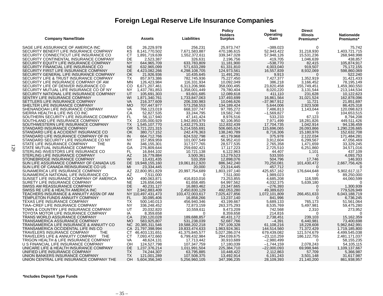| <b>Company Name/State</b>                                                     | <b>Assets</b>                         | <b>Liabilities</b>              | <b>Policy</b><br><b>Holders</b><br>Surplus | Net<br>Operating<br>Gain     | <b>Direct</b><br><b>Illinois</b><br>Premiums* | <b>Nationwide</b><br>Premiums* |
|-------------------------------------------------------------------------------|---------------------------------------|---------------------------------|--------------------------------------------|------------------------------|-----------------------------------------------|--------------------------------|
| SAGE LIFE ASSURANCE OF AMERICA INC                                            | DE<br>26,229,978                      | 256,231                         | 25,973,747                                 | –389.023                     |                                               | 75,742                         |
| SECURITY BENEFIT LIFE INSURANCE COMPANY                                       | κs<br>8,141,770,502                   | 7,671,583,887                   | 470,186,615                                | 52,943,422                   | 31,218,930                                    | 1,403,721,715                  |
| SECURITY CONNECTICUT LIFE INSURANCE CO                                        | CT<br>1,891,719,639                   | 1,552,372,611                   | 339,347,028                                | 57,948,126                   | 15,531,236                                    | 268,948,998                    |
| SECURITY CONTINENTAL INSURANCE COMPANY                                        | DE<br>2.523.387                       | 326,631                         | 2,196,756                                  | 419,705                      | 1,046,639                                     | 438,857                        |
| SECURITY EQUITY LIFE INSURANCE COMPANY                                        | N <sub>V</sub><br>644,965,709         | 633,783,809                     | 11,181,900                                 | $-538,770$                   | 82,415                                        | 105,874,917                    |
| SECURITY FINANCIAL LIFE INSURANCE CO                                          | <b>NE</b><br>632,965,099              | 571,633,289                     | 61,331,810                                 | 4,003,040                    | 919,507                                       | 75,172,155                     |
| SECURITY FIRST LIFE INSURANCE COMPANY                                         | <b>DE</b><br>4,423,082,266            | 4,298,108,705                   | 124,973,561                                | 16,557,839                   | 8,932,069                                     | 598,860,069                    |
| SECURITY GENERAL LIFE INSURANCE COMPANY                                       | OK<br>21,926,936                      | 10,435,645                      | 11,491,291                                 | 9,913                        |                                               | 522,240                        |
| SECURITY LIFE & TRUST INSURANCE COMPANY                                       | <b>TX</b><br>857,973,386              | 782,745,936                     | 75,227,450                                 | 7,427,377                    | 1,352,919                                     | 31,421,433                     |
| SECURITY LIFE INSURANCE COMPANY OF AM                                         | MN<br>126,423,984                     | 116,331,934                     | 10,092,049                                 | 386,218                      | 3,166,452                                     | 78,195,149                     |
| SECURITY LIFE OF DENVER INSURANCE CO                                          | CO<br>6,671,207,461                   | 6,313,206,966                   | 358,000,495                                | 23,820,458                   | 155,749,451                                   | 1,459,360,550                  |
| SECURITY MUTUAL LIFE INSURANCE CO OF NY                                       | <b>NY</b><br>1,437,781,853            | 1,358,001,449                   | 79,780,404                                 | 8,020,220                    | 3,131,544                                     | 213,144,534                    |
| SECURITY NATIONAL LIFE INSURANCE COMPANY                                      | UT<br>105,691,303<br>WI               | 93,601,685                      | 12,089,618                                 | 411,110                      | 231,628                                       | 10,122,623                     |
| SENTRY LIFE INSURANCE COMPANY                                                 | 1,871,340,761<br>VA<br>216,377,609    | 1,733,847,063<br>206,330,983    | 137,493,699<br>10,046,626                  | 16,861,564<br>$-37,967,912$  | 31,021,524                                    | 162,878,096<br>21,851,697      |
| SETTLERS LIFE INSURANCE COMPANY<br>SHELTER LIFE INSURANCE COMPANY             | <b>MO</b><br>707,447,977              | 573,258,553                     | 134,189,424                                | 5,644,006                    | 11,721<br>2,923,508                           | 86,425,318                     |
| SHENANDOAH LIFE INSURANCE COMPANY                                             | VA<br>766,123,019                     | 668,337,747                     | 97,785,272                                 | 7,486,813                    | 1,143,044                                     | 120,098,623                    |
| SIERRA HEALTH & LIFE INS CO INC                                               | 52,827,535<br>CA                      | 33,244,795                      | 19,582,740                                 | –1,569,827                   |                                               | 104,653,515                    |
| SOUTHERN SECURITY LIFE INSURANCE COMPANY                                      | FL<br>56,117,940                      | 47,141,424                      | 8,976,516                                  | 533,233                      | 67,123                                        | 8,794,208                      |
| SOUTHLAND LIFE INSURANCE COMPANY                                              | 2,035,000,929<br><b>TX</b>            | 1,942,893,979                   | 92,106,950                                 | 7,971,499                    | 18,281,826                                    | 449,511,426                    |
| SOUTHWESTERN LIFE INSURANCE COMPANY                                           | <b>TX</b><br>1,545,107,770            | 1,432,275,331                   | 112,832,439                                | 17,704,735                   | 1,042,914                                     | 94,136,459                     |
| STANDARD INSURANCE COMPANY                                                    | <b>OR</b><br>5,721,221,315            | 5,214,555,691                   | 506,665,624                                | 115,696,065                  | 26,093,866                                    | 1,290,226,665                  |
| STANDARD LIFE & ACCIDENT INSURANCE CO                                         | OK<br>380.717.152                     | 242,476,363                     | 138,240,789                                | 8,716,306                    | 15,180,976                                    | 152,632,708                    |
| STANDARD LIFE INSURANCE COMPANY OF IN                                         | 664,712,766<br>IN                     | 624,532,798                     | 40,179,968                                 | 375,978                      | 2,122,034                                     | 171,484,281                    |
| STANDARD SECURITY LIFE INSURANCE CO NY                                        | <b>NY</b><br>157.959.959              | 101,007,549                     | 56.952.410                                 | 3,912,604                    | 6,299,567                                     | 47,056,469                     |
| STATE LIFE INSURANCE COMPANY<br>THE                                           | IN<br>346,155,301                     | 317,577,765                     | 28,577,535                                 | 2,765,358                    | 1,471,659                                     | 33,329,245                     |
| STATE MUTUAL INSURANCE COMPANY                                                | GA<br>276,809,644                     | 259,692,421                     | 17, 117, 223                               | 2,725,510                    | 6,251,860                                     | 34,571,016                     |
| STERLING INVESTORS LIFE INSURANCE CO                                          | FL<br>16,844,102                      | 10,721,138                      | 6,122,963                                  | 44,407                       | 1,101                                         | 437,109                        |
| STERLING LIFE INSURANCE COMPANY                                               | <b>AZ</b><br>16,779,884               | 3,500,361                       | 13,279,523                                 | 533,555                      | ∩                                             | 4,093,753                      |
| STONEBRIDGE INSURANCE COMPANY                                                 | WI<br>13.431.435                      | 533.359                         | 12,898,076                                 | 504.796                      | 17.746                                        | 146,933                        |
| SUN LIFE ASSURANCE COMPANY OF CANADA US                                       | DE.<br>19,948,155,160                 | 19,061,812,920                  | 886,342,240                                | 70,250,081                   | 101,430,472                                   | 2,667,756,426                  |
| SUN LIFE OF CANADA REINSURANCE CO US                                          | MI<br>23,334,445<br><b>AZ</b>         | 20,000                          | 23,314,445                                 | 457,712                      |                                               |                                |
| SUNAMERICA LIFE INSURANCE COMPANY<br>SUNAMERICA NATIONAL LIFE INSURANCE CO    | 22,800,951,829<br>AZ                  | 20,997,754,689<br>∩             | 1,803,197,140<br>7,511,000                 | 425,657,162<br>1,989,023     | 176,644,648                                   | 5,902,617,117                  |
| SUNSET LIFE INSURANCE COMPANY OF AMERICA                                      | 7,511,000<br><b>MO</b><br>490,063,871 | 416,810,016                     | 73,253,855                                 | 4,685,208                    | 116,595                                       | 89,250,000<br>44,060,599       |
| SURETY LIFE INSURANCE COMPANY                                                 | <b>NE</b><br>126,656,046              | 61,658,485                      | 64,997,562                                 | 4,032,375                    | 5,639,180                                     | 0                              |
| SWISS AM REASSURANCE COMPANY                                                  | DE<br>40,231,127                      | 16,883,462                      | 23,347,665                                 | $-276,393$                   | ∩                                             | 1,300,939                      |
| SWISS RE LIFE & HEALTH AMERICA INC                                            | NY<br>2,942,883,409                   | 2,450,830,129                   | 492.053.280                                | 49.389.620                   |                                               | 779,526,949                    |
| TEACHERS INSURANCE & ANNUITY ASSN OF AM                                       | NY 110,497,431,473                    | 103,472,003,617                 | 7,025,427,856                              | 1,072,101,809                | 266,451,633                                   | 6,043,188,719                  |
| TEMPLETON FUNDS ANNUITY COMPANY                                               | 30,095,406<br>FL                      | 16,858,266                      | 13,237,140                                 | 841,996                      |                                               | 6,736,245                      |
| TEXAS LIFE INSURANCE COMPANY                                                  | <b>TX</b><br>500,140,013              | 456,940,346                     | 43,199,667                                 | 5,689,133                    | 765,173                                       | 51,561,064                     |
| TIAA-CREF LIFE INSURANCE COMPANY                                              | <b>NY</b><br>336,248,452              | 72,873,159                      | 263,375,293                                | 8,535,769                    | 5,497,981                                     | 59,475,280                     |
| TOWN & COUNTRY LIFE INSURANCE COMPANY                                         | UT<br>20,032,820                      | 10,559,611                      | 9,473,209                                  | 742,568                      | 2,310                                         | 273,952                        |
| TOYOTA MOTOR LIFE INSURANCE COMPANY                                           | IA<br>8,359,658                       |                                 | 8,359,658                                  | 214,816                      |                                               |                                |
| TRANS WORLD ASSURANCE COMPANY                                                 | CA<br>230,120,028                     | 189,688,857                     | 40,431,172                                 | 2,738,451                    | 239,103                                       | 15,162,359                     |
| TRANSAMERICA ASSURANCE COMPANY                                                | <b>MO</b><br>583,925,807              | 531,238,039                     | 52,687,766                                 | $-4,391$                     | 6,440,981                                     | 73,400,698                     |
| TRANSAMERICA LIFE INSURANCE & ANNUITY CO                                      | NC.<br>20,385,311,546                 | 19,588,202,218                  | 797.109.328                                | 61,108,216                   | 18,228,608                                    | 5,962,842,991                  |
| TRANSAMERICA OCCIDENTAL LIFE INS CO                                           | 21,797,398,994<br><b>CA</b><br>СT     | 19,833,474,633                  | 1,963,924,361                              | 144,514,560                  | 71,372,429                                    | 1,719,185,800                  |
| TRAVELERS INSURANCE COMPANY<br>THE<br>TRAVELERS LIFE & ANNUITY COMPANY<br>THE | 46,403,131,651<br>СT<br>7,093,472,660 | 41,375,845,577<br>6,799,432,984 | 5,027,286,074<br>294,039,675               | 679.439.082<br>$-23,110,259$ | 121,574,679<br>186, 122, 755                  | 4,499,545,038<br>2,481,171,037 |
| TRIGON HEALTH & LIFE INSURANCE COMPANY                                        | VA<br>48.624.131                      | 17.713.442                      | 30,910,689                                 | $-2,980,499$                 | ∩                                             | 58,155,235                     |
| U S FINANCIAL LIFE INSURANCE COMPANY                                          | 124,527,798<br>OH                     | 107,347,759                     | 17,180,039                                 | $-1,744,159$                 | 2,078,243                                     | 54,105,115                     |
| UNICARE LIFE & HEALTH INSURANCE COMPANY                                       | DE<br>1,237,376,214                   | 1,011,991,504                   | 225,384,710                                | $-22,000,093$                | 69,998,946                                    | 1,109,137,667                  |
| UNIFIED LIFE INSURANCE COMPANY                                                | <b>TX</b><br>74,244,307               | 63,795,885                      | 10,448,422                                 | 2,112,863                    | 57,709                                        | 5,366,987                      |
| UNION BANKERS INSURANCE COMPANY                                               | ТX<br>121,001,289                     | 107,508,375                     | 13,492,914                                 | 6,191,243                    | 3,501,148                                     | 31,617,987                     |
| UNION CENTRAL LIFE INSURANCE COMPANY THE                                      | <b>OH</b><br>5,604,356,340            | 5,256,960,105                   | 347,396,235                                | 28,109,393                   | 21,140,200                                    | 861,938,957                    |

**\*Includes Deposit Type Funds**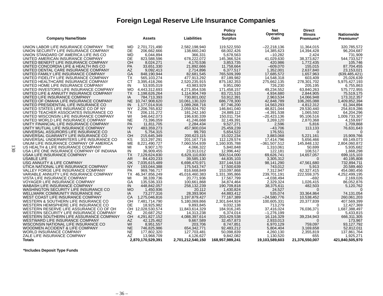| <b>Company Name/State</b>                                                          |           | Assets                       | Liabilities                  | <b>Policy</b><br><b>Holders</b><br><b>Surplus</b> | <b>Net</b><br>Operating<br>Gain | Direct<br><b>Illinois</b><br>Premiums* | <b>Nationwide</b><br>Premiums* |
|------------------------------------------------------------------------------------|-----------|------------------------------|------------------------------|---------------------------------------------------|---------------------------------|----------------------------------------|--------------------------------|
| UNION LABOR LIFE INSURANCE COMPANY THE                                             | MD        | 2,701,721,490                | 2,582,198,940                | 119,522,550                                       | $-22,218,136$                   | 11,364,015                             | 320,785,572                    |
| UNION SECURITY LIFE INSURANCE COMPANY                                              | DE        | 206.662.666                  | 138,660,240                  | 68,002,426                                        | 14,385,623                      | 14,394,428                             | 96,204,687                     |
| UNION STANDARD OF AMERICA LIFE INS CO                                              | <b>MD</b> | 6,044,894                    | 366,331                      | 5,678,563                                         | $-10,282$                       | 2,424                                  | 731,909                        |
| UNITED AMERICAN INSURANCE COMPANY                                                  | DE        | 823,588,596                  | 678,222,072                  | 145,366,524                                       | 41,029,630                      | 38,373,827                             | 544,733,527                    |
| UNITED BENEFIT LIFE INSURANCE COMPANY                                              | OH        | 8,024,271                    | 4,170,536                    | 3,853,735                                         | 420,986                         | 1,772,435                              | 105,746                        |
| UNITED CONCORDIA LIFE & HEALTH INS CO                                              | <b>PA</b> | 33.651.330                   | 21.892.666                   | 11,758,664                                        | –609.070                        | 155,015                                | 87,704,455                     |
| UNITED DENTAL CARE INSURANCE COMPANY<br>UNITED FAMILY LIFE INSURANCE COMPANY       | AZ<br>GA  | 9,092,413<br>848,190,944     | 2,714,896<br>82,681,545      | 6,377,517<br>765,509,399                          | 1,352,001<br>17,685,572         | 2,637,840<br>1,657,963                 | 23,153,021<br>(639, 485, 421)  |
| UNITED FIDELITY LIFE INSURANCE COMPANY                                             | ТX        | 565,103,274                  | 477,913,292                  | 87.189.982                                        | 14,548,318                      | 603,409                                | 25,026,639                     |
| UNITED HEALTHCARE INSURANCE COMPANY                                                | CT        | 3,395,418,266                | 2,520,235,915                | 875,182,353                                       | 275,662,135                     | 278,301,702                            | 5,975,427,193                  |
| UNITED HOME LIFE INSURANCE COMPANY                                                 | IN        | 53,935,019                   | 43,983,929                   | 9,951,090                                         | 726,230                         | 205,195                                | 6,755,863                      |
| UNITED INVESTORS LIFE INSURANCE COMPANY                                            | <b>MO</b> | 4,443,312,693                | 4,271,854,536                | 171,458,157                                       | 49,234,552                      | 63,840,263                             | 575,772,955                    |
| UNITED LIFE & ANNUITY INSURANCE COMPANY                                            | <b>TX</b> | 1,198,626,264                | 1.114.904.749                | 83,721,515                                        | 4,934,680                       | 2.844.905                              | 75,519,175                     |
| UNITED LIFE INSURANCE COMPANY                                                      | IA        | 784.713.393                  | 730.801.002                  | 53,912,391                                        | 2,963,534                       | 14,066,948                             | 173.312.357                    |
| UNITED OF OMAHA LIFE INSURANCE COMPANY                                             | <b>NE</b> | 10,747,908,620               | 10,061,130,320               | 686,778,300                                       | 42,848,789                      | 106,265,088                            | 1,409,852,394                  |
| UNITED PRESIDENTIAL LIFE INSURANCE CO                                              | IN        | 1,177,014,916                | 1,089,268,716                | 87,746,200                                        | 14,563,293                      | 4,812,312                              | 61,344,894                     |
| UNITED STATES LIFE INSURANCE CO OF NY                                              | <b>NY</b> | 2,206,765,832                | 2,059,924,792                | 146,841,040                                       | 48,821,044                      | 29,530,440                             | 254,819,286                    |
| UNITED TEACHER ASSOCIATES INSURANCE CO                                             | ТX<br>WI  | 206, 131, 272                | 181,242,160                  | 24,889,112                                        | $-4,391,538$                    | 1,065,592                              | 64,204,296                     |
| UNITED WISCONSIN LIFE INSURANCE COMPANY<br>UNITED WORLD LIFE INSURANCE COMPANY     | <b>NE</b> | 346,642,073<br>73.396.059    | 196,630,339<br>41.246.668    | 150,011,734<br>32,149,391                         | $-20,423,136$<br>3,269,120      | 95,106,516<br>2,870,368                | 1,009,733,307<br>4.159.697     |
| UNITY FINANCIAL LIFE INSURANCE COMPANY                                             | PA        | 11.811.705                   | 2.284.434                    | 9,527,271                                         | 2.596                           | 5,816                                  | 1.709.868                      |
| UNITY MUTUAL LIFE INSURANCE COMPANY                                                | NY        | 483,359,273                  | 457,900,034                  | 25,459,239                                        | $-43,706$                       | 113,133                                | 76,631,643                     |
| UNIVERSAL ASSURORS LIFE INSURANCE CO                                               | ΙA        | 5,754,315                    | 99,793                       | 5,654,522                                         | 176,551                         |                                        |                                |
| UNIVERSAL GUARANTY LIFE INSURANCE CO                                               | OH        | 215,645,349                  | 200,623,115                  | 15,022,234                                        | 3,883,068                       | 5,221,161                              | 15,909,766                     |
| UNIVERSAL UNDERWRITERS LIFE INSURANCE CO                                           | KS        | 313,297,291                  | 201, 167, 716                | 112,129,574                                       | 17.414.796                      | 5,656,466                              | 69,149,073                     |
| UNUM LIFE INSURANCE COMPANY OF AMERICA                                             | ME        | 8.221.490.727                | 7,060,554,939                | 1,160,935,788                                     | $-361,507,512$                  | 145,848,132                            | 2,804,060,872                  |
| US HEALTH & LIFE INSURANCE COMPANY                                                 | MI        | 9,907,170                    | 4,066,322                    | 5,840,848                                         | 1,310,061                       | 50,699                                 | 5,935,682                      |
| USA LIFE ONE INSURANCE COMPANY OF INDIANA                                          | IN        | 36.909.455                   | 23.913.012                   | 12.996.442                                        | 122.181                         | 108.517                                | 1.668.298                      |
| USAA LIFE INSURANCE COMPANY                                                        | <b>TX</b> | 7,129,624,830                | 6,629,110,830                | 500,514,000                                       | 69,626,741                      | 14,657,057                             | 699,115,103                    |
| USABLE LIFE                                                                        | AR<br>OK  | 84.420.233                   | 39.585.130                   | 44,835,103                                        | 3,305,312                       |                                        | 40,195,808<br>732,894,711      |
| USG ANNUITY & LIFE COMPANY<br>UTICA NATIONAL LIFE INSURANCE COMPANY                | <b>NY</b> | 7,035,615,489<br>193,044,388 | 6,698,470,971<br>175.543.747 | 337,144,518<br>17,500,639                         | 98,141,290<br>743,012           | 47,561,680                             | 20,589,460                     |
| VALLEY FORGE LIFE INSURANCE COMPANY                                                | <b>PA</b> | 969.766.717                  | 816.668.849                  | 153,097,868                                       | 7,312,947                       | 5,913<br>62.327.415                    | 454,080,456                    |
| VARIABLE ANNUITY LIFE INSURANCE COMPANY                                            | TX        | 46,347,856,249               | 45,016,460,383               | 1,331,395,866                                     | 239,701,191                     | 222,559,375                            | 4,252,499,195                  |
| VISTA LIFE INSURANCE COMPANY                                                       | МI        | 38,339,736                   | 20,771,936                   | 17,567,799                                        | $-4,038,494$                    | –692                                   | 2,169,026                      |
| VOYAGER LIFE INSURANCE COMPANY                                                     | GA        | 135,536,333                  | 100,661,868                  | 34,874,464                                        | 2,329,324                       | 1,026,415                              | 86,052,876                     |
| WABASH LIFE INSURANCE COMPANY                                                      | IN        | 448,842,057                  | 258,132,239                  | 190,709,818                                       | 38,375,611                      | 482,503                                | 5,120,762                      |
| WASHINGTON SECURITY LIFE INSURANCE CO                                              | <b>MO</b> | 1.450.936                    | 20.112                       | 1.430.824                                         | 24.527                          |                                        |                                |
| WELLMARK COMMUNITY INSURANCE INC                                                   | IA        | 73,277,316                   | 28,393,904                   | 44,883,412                                        | 535,074                         | 33,364,864                             | 74,131,054                     |
| WEST COAST LIFE INSURANCE COMPANY                                                  | CA        | 1.275.046.816                | 1.197.879.427                | 77.167.389                                        | $-24.580.776$                   | 10.538.452                             | 260,061,203                    |
| WESTERN & SOUTHERN LIFE INSURANCE CO                                               | OΗ        | 7,481,714,790                | 5,180,069,866                | 2,301,644,924                                     | 100,605,331                     | 20,377,839                             | 407,569,399                    |
| WESTERN HEMISPHERE LIFE INSURANCE CO                                               | DE        | 18,925,982                   | 9,893,845                    | 9,032,138                                         | 713,279                         |                                        | 12,427,369                     |
| WESTERN RESERVE LIFE ASSURANCE CO OF OH                                            | OН        | 12,028,530,574               | 11,843,614,329               | 184,916,245                                       | 37,416,024                      | 76,036,371                             | 1,687,388,497                  |
| WESTERN SECURITY LIFE INSURANCE COMPANY<br>WESTERN SOUTHERN LIFE ASSURANCE COMPANY | AZ<br>OH  | 20.687.252<br>4,291,827,152  | 14.313.238<br>4,088,397,614  | 6,374,014<br>203.429.538                          | $-1,276,199$<br>16.116.329      | 39,234,943                             | 5,433,815<br>666,311,305       |
| WESTWARD LIFE INSURANCE COMPANY                                                    | AΖ        | 42,125,462                   | 9,667,589                    | 32,457,873                                        | 2,933,013                       |                                        | 173,967                        |
| WISCONSIN NATIONAL LIFE INSURANCE CO                                               | WI        | 8,951,557                    | 203.706                      | 8.747.851                                         | 6,970,129                       | 759.097                                | 93,127,792                     |
| WOODMEN ACCIDENT & LIFE COMPANY                                                    | <b>NE</b> | 746,825,986                  | 654, 342, 771                | 92.483.212                                        | 5,804,404                       | 3,169,658                              | 52,812,011                     |
| <b>WORLD INSURANCE COMPANY</b>                                                     | NE        | 177,802,320                  | 127,703,481                  | 50,098,839                                        | 4,260,130                       | 2,355,819                              | 137,861,764                    |
| ZALE LIFE INSURANCE COMPANY                                                        | AZ        | 13.968.709                   | 4,126,627                    | 9,842,082                                         | 1,130,520                       | 655                                    | 1,925,271                      |
| <b>Totals</b>                                                                      |           | 2,870,170,529,391            | 2,701,212,540,150            | 168,957,989,241                                   | 19,103,589,603                  | 21,376,550,007                         | 421,840,505,970                |

**\*Includes Deposit Type Funds**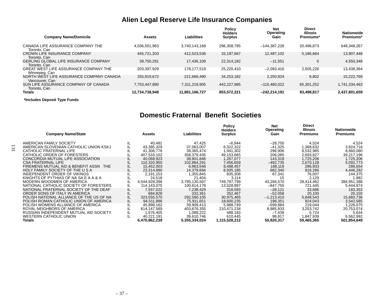| <b>Company Name/Domicile</b>                                  | <b>Assets</b>  | Liabilities    | <b>Policy</b><br><b>Holders</b><br><b>Surplus</b> | <b>Net</b><br>Operating<br>Gain | <b>Direct</b><br><b>Illinois</b><br>Premiums* | <b>Nationwide</b><br>Premiums* |
|---------------------------------------------------------------|----------------|----------------|---------------------------------------------------|---------------------------------|-----------------------------------------------|--------------------------------|
| CANADA LIFE ASSURANCE COMPANY THE<br>Toronto, Can             | 4.036.501.963  | 3.740.143.168  | 296.358.795                                       | $-144.387.228$                  | 20.496.873                                    | 649.348.267                    |
| <b>CROWN LIFE INSURANCE COMPANY</b><br>Toronto, Can           | 445.721.203    | 412.523.536    | 33.197.667                                        | 12.487.102                      | 5,186,664                                     | 13,907,448                     |
| <b>GERLING GLOBAL LIFE INSURANCE COMPANY</b><br>Toronto, Can  | 39.750.291     | 17.436.109     | 22,314,182                                        | $-11.551$                       | 0                                             | 4,550,348                      |
| <b>GREAT WEST LIFE ASSURANCE COMPANY THE</b><br>Winnepeg, Can | 203.397.929    | 178.177.519    | 25.220.410                                        | $-2,093,416$                    | 2,505,226                                     | 13,438,364                     |
| NORTH WEST LIFE ASSURANCE COMPANY CANADA<br>Vancouver, Can    | 255.919.672    | 221,666,490    | 34,253,182                                        | 2.250.924                       | 8,802                                         | 15.222.769                     |
| SUN LIFE ASSURANCE COMPANY OF CANADA<br>Toronto, Can          | 7.753.447.890  | 7,311,219,905  | 442,227,985                                       | $-110.460.022$                  | 65.301.252                                    | 1,741,334,463                  |
| <b>Totals</b>                                                 | 12.734.738.948 | 11.881.166.727 | 853.572.221                                       | $-242.214.191$                  | 93.498.817                                    | 2,437,801,659                  |

**\*Includes Deposit Type Funds**

#### **Domestic Fraternal Benefit Societies**

| <b>Company Name/State</b>                | Assets        | <b>Liabilities</b> | <b>Policy</b><br><b>Holders</b><br><b>Surplus</b> | <b>Net</b><br>Operating<br>Gain | <b>Direct</b><br><b>Illinois</b><br><b>Premiums</b> | <b>Nationwide</b><br><b>Premiums</b> |
|------------------------------------------|---------------|--------------------|---------------------------------------------------|---------------------------------|-----------------------------------------------------|--------------------------------------|
| AMERICAN FAMILY SOCIETY                  | 40,481        | 47,425             | $-6,944$                                          | $-28,750$                       | 4,524                                               | 4,524                                |
| AMERICAN SLOVENIAN CATHOLIC UNION KSKJ   | 43,385,329    | 37,063,007         | 6,322,322                                         | $-41,325$                       | 1,368,632                                           | 3,924,716                            |
| CATHOLIC FRATERNAL LIFE                  | 41.306.776    | 39.365.474         | 1.941.302                                         | 296,906                         | 8,532,985                                           | 8,660,080                            |
| CATHOLIC ORDER OF FORESTERS              | 407.533.102   | 358,379,435        | 49,153,665                                        | 206,085                         | 2,693,827                                           | 39,217,196                           |
| CONCORDIA MUTUAL LIFE ASSOCIATION        | 40.068.923    | 38.801.846         | 1,267,077                                         | 143,318                         | 1,725,206                                           | 1,725,206                            |
| CSA FRATERNAL LIFE                       | 110,320,950   | 102,864,291        | 7,456,659                                         | $-492,735$                      | 2,670,128                                           | 5,092,773                            |
| FIREMENS MUTUAL AID & BENEFIT ASSN THE   | 15.452.003    | 6,963,546          | 8.488.457                                         | 168,118                         | 286,933                                             | 286,654                              |
| HOLY FAMILY SOCIETY OF THE U S A         | 23,314,880    | 14,379,694         | 8,935,185                                         | 682,340                         | 816,266                                             | 4,446,282                            |
| INDEPENDENT ORDER OF VIKINGS             | 2,191,153     | 1,355,845          | 835,308                                           | 67,341                          | 76.007                                              | 144,375                              |
| KNIGHTS OF PYTHIAS OF NA SA E A A & A    | 24,518        | 21,404             | 3,114                                             | 15                              | 2,129                                               | 1,982                                |
| MODERN WOODMEN OF AMERICA                | 4.544.928.396 | 3.795.130.597      | 749.797.799                                       | 43,284,570                      | 28,414,462                                          | 384,951,388                          |
| NATIONAL CATHOLIC SOCIETY OF FORESTERS   | 114.143.075   | 100.614.178        | 13,528,897                                        | $-847,755$                      | 721,445                                             | 5,444,874                            |
| NATIONAL FRATERNAL SOCIETY OF THE DEAF   | 7,557,022     | 7,238,429          | 318.593                                           | $-28,121$                       | 33,686                                              | 183,353                              |
| ORDER SONS OF ITALY IN AMERICA           | 684.828       | 332,361            | 352,467                                           | $-52,058$                       | 20,100                                              | 20,150                               |
| POLISH NATIONAL ALLIANCE OF THE US OF NA | 323.555.570   | 292,580,105        | 30,975,465                                        | $-1,213,410$                    | 5,848,543                                           | 15,660,736                           |
| POLISH ROMAN CATHOLIC UNION OF AMERICA   | 94.511.886    | 75.911.651         | 18,600,235                                        | 198,351                         | 924,043                                             | 3,542,585                            |
| POLISH WOMENS ALLIANCE OF AMERICA        | 45,898,162    | 39,909,413         | 5,988,749                                         | $-599.884$                      | 219,044                                             | 1,226,075                            |
| ROYAL NEIGHBORS OF AMERICA               | 614.147.589   | 403.676.355        | 210.471.234                                       | 8,985,933                       | 3,253,742                                           | 20,753,074                           |
| RUSSIAN INDEPENDENT MUTUAL AID SOCIETY   | 1,576,405     | 1,088,222          | 488,183                                           | $-7,439$                        | 5,724                                               | 5,634                                |
| WESTERN CATHOLIC UNION                   | 40,221,191    | 39.610.746         | 610,445                                           | 98,817                          | 1,847,939                                           | 6,562,992                            |
| Totals                                   | 6,470,862,239 | 5,355,334,024      | 1,115,528,212                                     | 50,820,317                      | 59,465,365                                          | 501,854,649                          |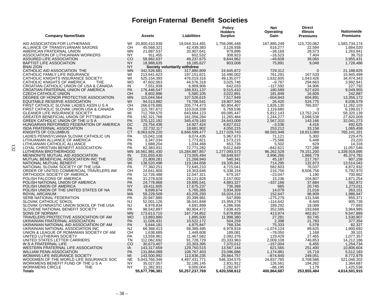## **Foreign Fraternal Benefit Societies**

| AID ASSOCIATION FOR LUTHERANS<br>19,044,314,491<br>167,885,249<br>115,720,062<br>1.583.734.174<br>WI<br>20,800,410,939<br>1,756,096,448<br>ALLIANCE OF TRANSYLVANIAN SAXONS<br>OH<br>45,568,321<br>42,439,383<br>3,128,938<br>22,594<br>1,684,020<br>616,277<br><b>MN</b><br>AMERICAN FRATERNAL UNION<br>21,887,537<br>20,907,641<br>979,896<br>–38,169<br>28,573<br>1,263,941<br>ASSOCIATION OF LITHUANIAN WORKERS<br><b>NY</b><br>911,455<br>602,532<br>308,923<br>$-16,523$<br>7,404<br>39,753<br>CO<br>ASSURED LIFE ASSOCIATION<br>58,882,637<br>49,237,675<br>9,644,962<br>$-49,609$<br>39,065<br>3,955,431<br><b>NY</b><br><b>BAPTIST LIFE ASSOCIATION</b><br>18.988.635<br>18,185,627<br>803,008<br>75,891<br>9,048<br>1,728,486<br><b>BNAI ZION</b><br><b>NY</b><br>Society voluntarily withdrew<br>CATHOLIC AID ASSOCIATION THE<br><b>MN</b><br>21,188,825<br>342,526,681<br>317,880,809<br>24,645,872<br>729,312<br>$\Omega$<br>CATHOLIC FAMILY LIFE INSURANCE<br>WI<br>761,291<br>15,945,499<br>213,641,623<br>197, 151, 621<br>16,490,002<br>167,533<br>CATHOLIC KNIGHTS INSURANCE SOCIETY<br>525, 154, 393<br>49,135,077<br>34,474,343<br>WI<br>476,019,316<br>1,632,605<br>1,043,426<br>CATHOLIC KNIGHTS OF AMERICA<br><b>MO</b><br>47,602,063<br>44,576,318<br>$-9,767$<br>THE<br>3,025,746<br>294,663<br>3,992,941<br>CROATIAN CATHOLIC UNION OF USA & CANADA<br>IN<br>7.551.939<br>6,909,906<br>$-117,592$<br>34,906<br>227,792<br>642,033<br>CROATIAN FRATERNAL UNION OF AMERICA<br>9,049,955<br><b>PA</b><br>176,446,547<br>166,931,137<br>180,589<br>527,620<br>9,515,410<br><b>CZECH CATHOLIC UNION</b><br>242,887<br>OH<br>8,602,996<br>5,580,105<br>181,849<br>3,022,891<br>16,609<br>DEGREE OF HONOR PROTECTIVE ASSOCIATION<br><b>MN</b><br>115,044,564<br>107,526,615<br>$-504,843$<br>604,891<br>13,356,172<br>7,517,949<br>EQUITABLE RESERVE ASSOCIATION<br>WI<br>94,513,882<br>74,706,541<br>19,807,340<br>26,420<br>524,775<br>8,036,579<br>FIRST CATHOLIC SLOVAK LADIES ASSN U S A<br>OH<br>11,262,103<br>266,678,880<br>205,774,473<br>60,904,407<br>1,826,130<br>765,837<br>FIRST CATHOLIC SLOVAK UNION USA & CANADA<br>110,018,339<br>OH<br>115,787,872<br>5,769,536<br>1,119,680<br>$\Omega$<br>6,199,017<br>GLEANER LIFE INSURANCE SOCIETY<br>712,769,570<br>643,684,123<br>58,320,139<br>MI<br>69,085,447<br>5,812,143<br>13,752,243<br>GREATER BENEFICIAL UNION OF PITTSBURGH<br>PA<br>192,321,768<br>181,056,284<br>3,098,538<br>27,820,009<br>11,265,484<br>1,244,277<br>GREEK CATHOLIC UNION OF THE U S A<br>PA<br>345,479,183<br>370,122,192<br>24,643,009<br>143,166<br>32,041,273<br>2,567,310<br>HUNGARIAN REFORMED FEDERATION OF AMERICA<br>DC<br>23,754,436<br>14,927,424<br>8,827,012<br>$-3,536$<br>4,416<br>492,625<br>ISDA FRATERNAL ASSOCIATION<br>PA<br>22,732,117<br>33,158<br>18,681,902<br>253,212<br>1,065,458<br>4,050,215<br>KNIGHTS OF COLUMBUS<br><b>CT</b><br>8.063.629.220<br>6,846,599,477<br>1,217,029,743<br>88,593,948<br>19,813,089<br>765,141,331<br>LADIES PENNSYLVANIA SLOVAK CATHOLIC UN<br>PA<br>15,042,108<br>9,074,435<br>229,475<br>5,967,673<br>71,121<br>5,300<br>LITHUANIAN ALLIANCE OF AMERICA<br>PA<br>23,220<br>$-75,566$<br>3,347,034<br>1,773,821<br>5.448<br>1,573,215<br>LITHUANIAN CATHOLIC ALLIANCE<br>PA<br>14,318<br>1,688,204<br>1,034,468<br>5,502<br>629<br>653,736<br>11,057,546<br>LOYAL CHRISTIAN BENEFIT ASSOCIATION<br>PA<br>82,383,931<br>72,771,282<br>9,612,649<br>$-842,621$<br>727,288<br>LUTHERAN BROTHERHOOD<br><b>MN</b><br>15,284,887,857<br>1,339,919,895<br>16,561,981,430<br>1,277,093,573<br>96,262,528<br>79,151,200<br>MENNONITE MUTUAL AID ASSOCIATION<br>IN<br>231,655,430<br>173,005,494<br>58,649,937<br>1,868,779<br>45,374,782<br>3,996,266<br>MUTUAL BENEFICIAL ASSOCIATION INC THE<br>DE<br>21,809,281<br>21,268,940<br>907,158<br>540,341<br>45,187<br>217,767<br>NATIONAL MUTUAL BENEFIT<br>WI<br>13,514,043<br>138,520,498<br>119,184,658<br>714,295<br>19,335,841<br>132,873<br>THE<br>NATIONAL SLOVAK SOCIETY OF THE USA<br>PA<br>77,360,251<br>72,645,210<br>582,603<br>76,037<br>4,872,932<br>4,715,041<br>ORDER OF UNITED COMMERCIAL TRAVELERS AM<br>OH<br>24,641,800<br>19,303,646<br>5,338,154<br>216,756<br>8,506,756<br>5,792,970<br>ORTHODOX SOCIETY OF AMERICA<br>PA<br>12,047,321<br>679,167<br>1,190<br>700,862<br>12,726,488<br>$-23,047$<br>POLISH FALCONS OF AMERICA<br>1,871,254<br><b>PA</b><br>31,278,828<br>29,121,826<br>2,157,002<br>15,236<br>104,807<br>582,872<br>PA<br>POLISH NATIONAL UNION OF AMERICA<br>24,778,868<br>19,895,541<br>4,883,327<br>$-337,166$<br>37,684<br>POLISH UNION OF AMERICA<br><b>NY</b><br>18,411,605<br>17,675,237<br>1,273,011<br>665<br>20.745<br>736,368<br>POLISH UNION OF THE UNITED STATES OF NA<br>PA<br>14,079<br>9,699,674<br>5,765,365<br>3,934,309<br>21,016<br>263,151<br>ROYAL ARCANUM<br><b>MA</b><br>59.229.509<br>43,205,293<br>16,024,216<br>152,647<br>98,909<br>1,986,947<br><b>SERB NATIONAL FEDERATION</b><br>20,947,880<br>20,399,981<br>547,899<br>$-275,279$<br>131,548<br>955,371<br><b>PA</b><br>SLOVAK CATHOLIC SOKOL<br><b>NJ</b><br>36,041,848<br>$-114,642$<br>8,449<br>905,739<br>52,001,126<br>15,959,278<br>SLOVAK GYMNASTIC UNION SOKOL OF THE USA<br><b>NJ</b><br>77,893<br>8,978,834<br>4,691,899<br>4,286,936<br>189,292<br>18,089<br>SLOVENE NATIONAL BENEFIT SOCIETY<br>PA<br>98,542,897<br>90.904.472<br>352,585<br>193.668<br>3,964,985<br>7.638.425<br><b>SONS OF NORWAY</b><br><b>MN</b><br>173,613,710<br>167,734,852<br>413,974<br>9,547,889<br>5,878,858<br>462,817<br>TRAVELERS PROTECTIVE ASSOCIATION OF AM<br><b>MO</b><br>13.893.880<br>1,895,500<br>11,998,380<br>27,281<br>93,745<br>1,530,907<br>UKRAINIAN FRATERNAL ASSOCIATION<br>PA<br>11,026,431<br>10,522,172<br>504,259<br>2,398<br>21,783<br>377,354<br>UKRAINIAN NATIONAL AID ASSOCIATION OF AM<br>PA<br>5,644,181<br>4,875,847<br>75,333<br>5,578<br>82,327<br>768,334<br>UKRAINIAN NATIONAL ASSOCIATION INC<br>1,900,692<br>NJ<br>66,368,413<br>59,389,495<br>6,978,918<br>$-1,074,124$<br>89,625<br>UNION & LEAGUE OF ROMANIAN SOCIETY OF AM<br>39,101<br>OH<br>1,638,689<br>1,449,608<br>$-78,050$<br>1,168<br>189,081<br>UNITED LUTHERAN SOCIETY<br>PA<br>13,559,961<br>11,467,582<br>129,429<br>27,465<br>1,077,357<br>2,092,376<br><b>TN</b><br>UNITED STATES LETTER CARRIERS<br>112,062,692<br>91,728,729<br>20,333,963<br>2,009,108<br>746,853<br>14,212,186<br>W S A FRATERNAL LIFE<br><sub>CO</sub><br>30,673,407<br>23,303,395<br>7,370,012<br>$-157,004$<br>6,455<br>1,254,734<br>WESTERN FRATERNAL LIFE ASSOCIATION<br>IA<br>143,317,659<br>129,750,515<br>621,565<br>251,400<br>10,806,604<br>13,567,144<br>PA<br>WILLIAM PENN ASSOCIATION<br>131,864,089<br>108,767,403<br>23,096,686<br>15,719<br>5,512,183<br>1,174,881<br>WOMANS LIFE INSURANCE SOCIETY<br>8,772,979<br>143,500,992<br>113,836,235<br>29,664,757<br>$-874,840$<br>249,051<br>MI<br>WOODMEN OF THE WORLD LIFE INSURANCE SOC<br><b>NE</b><br>5,043,766,346<br>4,497,431,771<br>546,334,575<br>24,837,785<br>3,708,586<br>521,046,202<br><b>NY</b><br>WORKMENS BENEFIT FUND OF THE U S A<br>194,262<br>1,364,687<br>35,027,057<br>32,195,145<br>2,831,912<br>126,561<br>WORKMENS CIRCLE<br><b>NY</b><br>11,282,931<br>9,000,004<br>2,282,927<br>1,425,536<br>THE<br>–86.195<br>1,179<br><b>Totals</b><br>55,677,796,381<br>50,257,237,769<br>5,420,558,612<br>400,864,687<br>253,855,484<br>4,614,501,915 | <b>Company Name/State</b> | <b>Assets</b> | Liabilities | Policy<br><b>Holders</b><br><b>Surplus</b> | Net<br>Operating<br>Gain | <b>Direct</b><br>Illinois<br><b>Premiums</b> | <b>Nationwide</b><br><b>Premiums</b> |
|---------------------------------------------------------------------------------------------------------------------------------------------------------------------------------------------------------------------------------------------------------------------------------------------------------------------------------------------------------------------------------------------------------------------------------------------------------------------------------------------------------------------------------------------------------------------------------------------------------------------------------------------------------------------------------------------------------------------------------------------------------------------------------------------------------------------------------------------------------------------------------------------------------------------------------------------------------------------------------------------------------------------------------------------------------------------------------------------------------------------------------------------------------------------------------------------------------------------------------------------------------------------------------------------------------------------------------------------------------------------------------------------------------------------------------------------------------------------------------------------------------------------------------------------------------------------------------------------------------------------------------------------------------------------------------------------------------------------------------------------------------------------------------------------------------------------------------------------------------------------------------------------------------------------------------------------------------------------------------------------------------------------------------------------------------------------------------------------------------------------------------------------------------------------------------------------------------------------------------------------------------------------------------------------------------------------------------------------------------------------------------------------------------------------------------------------------------------------------------------------------------------------------------------------------------------------------------------------------------------------------------------------------------------------------------------------------------------------------------------------------------------------------------------------------------------------------------------------------------------------------------------------------------------------------------------------------------------------------------------------------------------------------------------------------------------------------------------------------------------------------------------------------------------------------------------------------------------------------------------------------------------------------------------------------------------------------------------------------------------------------------------------------------------------------------------------------------------------------------------------------------------------------------------------------------------------------------------------------------------------------------------------------------------------------------------------------------------------------------------------------------------------------------------------------------------------------------------------------------------------------------------------------------------------------------------------------------------------------------------------------------------------------------------------------------------------------------------------------------------------------------------------------------------------------------------------------------------------------------------------------------------------------------------------------------------------------------------------------------------------------------------------------------------------------------------------------------------------------------------------------------------------------------------------------------------------------------------------------------------------------------------------------------------------------------------------------------------------------------------------------------------------------------------------------------------------------------------------------------------------------------------------------------------------------------------------------------------------------------------------------------------------------------------------------------------------------------------------------------------------------------------------------------------------------------------------------------------------------------------------------------------------------------------------------------------------------------------------------------------------------------------------------------------------------------------------------------------------------------------------------------------------------------------------------------------------------------------------------------------------------------------------------------------------------------------------------------------------------------------------------------------------------------------------------------------------------------------------------------------------------------------------------------------------------------------------------------------------------------------------------------------------------------------------------------------------------------------------------------------------------------------------------------------------------------------------------------------------------------------------------------------------------------------------------------------------------------------------------------------------------------------------------------------------------------------------------------------------------------------------------------------------------------------------------------------------------------------------------------------------------------------------------------------------------------------------------------------------------------------------------------------------------------------------------------------------------------------------------------------------------------------------------------------------------------------------------------------------------------------------------------------------------------------------------------------------------------------------------------------------------------------------------------------------------------------------------------------------------------------------------------------------------------------------------------------------------------------------------------------------------------------------------------------------------------------------------------------------------------------|---------------------------|---------------|-------------|--------------------------------------------|--------------------------|----------------------------------------------|--------------------------------------|
|                                                                                                                                                                                                                                                                                                                                                                                                                                                                                                                                                                                                                                                                                                                                                                                                                                                                                                                                                                                                                                                                                                                                                                                                                                                                                                                                                                                                                                                                                                                                                                                                                                                                                                                                                                                                                                                                                                                                                                                                                                                                                                                                                                                                                                                                                                                                                                                                                                                                                                                                                                                                                                                                                                                                                                                                                                                                                                                                                                                                                                                                                                                                                                                                                                                                                                                                                                                                                                                                                                                                                                                                                                                                                                                                                                                                                                                                                                                                                                                                                                                                                                                                                                                                                                                                                                                                                                                                                                                                                                                                                                                                                                                                                                                                                                                                                                                                                                                                                                                                                                                                                                                                                                                                                                                                                                                                                                                                                                                                                                                                                                                                                                                                                                                                                                                                                                                                                                                                                                                                                                                                                                                                                                                                                                                                                                                                                                                                                                                                                                                                                                                                                                                                                                                                                                                                                                                                                                                                                                                                                                                                                                                                                                                                                                                                                                                                                                                                                                                                                       |                           |               |             |                                            |                          |                                              |                                      |
|                                                                                                                                                                                                                                                                                                                                                                                                                                                                                                                                                                                                                                                                                                                                                                                                                                                                                                                                                                                                                                                                                                                                                                                                                                                                                                                                                                                                                                                                                                                                                                                                                                                                                                                                                                                                                                                                                                                                                                                                                                                                                                                                                                                                                                                                                                                                                                                                                                                                                                                                                                                                                                                                                                                                                                                                                                                                                                                                                                                                                                                                                                                                                                                                                                                                                                                                                                                                                                                                                                                                                                                                                                                                                                                                                                                                                                                                                                                                                                                                                                                                                                                                                                                                                                                                                                                                                                                                                                                                                                                                                                                                                                                                                                                                                                                                                                                                                                                                                                                                                                                                                                                                                                                                                                                                                                                                                                                                                                                                                                                                                                                                                                                                                                                                                                                                                                                                                                                                                                                                                                                                                                                                                                                                                                                                                                                                                                                                                                                                                                                                                                                                                                                                                                                                                                                                                                                                                                                                                                                                                                                                                                                                                                                                                                                                                                                                                                                                                                                                                       |                           |               |             |                                            |                          |                                              |                                      |
|                                                                                                                                                                                                                                                                                                                                                                                                                                                                                                                                                                                                                                                                                                                                                                                                                                                                                                                                                                                                                                                                                                                                                                                                                                                                                                                                                                                                                                                                                                                                                                                                                                                                                                                                                                                                                                                                                                                                                                                                                                                                                                                                                                                                                                                                                                                                                                                                                                                                                                                                                                                                                                                                                                                                                                                                                                                                                                                                                                                                                                                                                                                                                                                                                                                                                                                                                                                                                                                                                                                                                                                                                                                                                                                                                                                                                                                                                                                                                                                                                                                                                                                                                                                                                                                                                                                                                                                                                                                                                                                                                                                                                                                                                                                                                                                                                                                                                                                                                                                                                                                                                                                                                                                                                                                                                                                                                                                                                                                                                                                                                                                                                                                                                                                                                                                                                                                                                                                                                                                                                                                                                                                                                                                                                                                                                                                                                                                                                                                                                                                                                                                                                                                                                                                                                                                                                                                                                                                                                                                                                                                                                                                                                                                                                                                                                                                                                                                                                                                                                       |                           |               |             |                                            |                          |                                              |                                      |
|                                                                                                                                                                                                                                                                                                                                                                                                                                                                                                                                                                                                                                                                                                                                                                                                                                                                                                                                                                                                                                                                                                                                                                                                                                                                                                                                                                                                                                                                                                                                                                                                                                                                                                                                                                                                                                                                                                                                                                                                                                                                                                                                                                                                                                                                                                                                                                                                                                                                                                                                                                                                                                                                                                                                                                                                                                                                                                                                                                                                                                                                                                                                                                                                                                                                                                                                                                                                                                                                                                                                                                                                                                                                                                                                                                                                                                                                                                                                                                                                                                                                                                                                                                                                                                                                                                                                                                                                                                                                                                                                                                                                                                                                                                                                                                                                                                                                                                                                                                                                                                                                                                                                                                                                                                                                                                                                                                                                                                                                                                                                                                                                                                                                                                                                                                                                                                                                                                                                                                                                                                                                                                                                                                                                                                                                                                                                                                                                                                                                                                                                                                                                                                                                                                                                                                                                                                                                                                                                                                                                                                                                                                                                                                                                                                                                                                                                                                                                                                                                                       |                           |               |             |                                            |                          |                                              |                                      |
|                                                                                                                                                                                                                                                                                                                                                                                                                                                                                                                                                                                                                                                                                                                                                                                                                                                                                                                                                                                                                                                                                                                                                                                                                                                                                                                                                                                                                                                                                                                                                                                                                                                                                                                                                                                                                                                                                                                                                                                                                                                                                                                                                                                                                                                                                                                                                                                                                                                                                                                                                                                                                                                                                                                                                                                                                                                                                                                                                                                                                                                                                                                                                                                                                                                                                                                                                                                                                                                                                                                                                                                                                                                                                                                                                                                                                                                                                                                                                                                                                                                                                                                                                                                                                                                                                                                                                                                                                                                                                                                                                                                                                                                                                                                                                                                                                                                                                                                                                                                                                                                                                                                                                                                                                                                                                                                                                                                                                                                                                                                                                                                                                                                                                                                                                                                                                                                                                                                                                                                                                                                                                                                                                                                                                                                                                                                                                                                                                                                                                                                                                                                                                                                                                                                                                                                                                                                                                                                                                                                                                                                                                                                                                                                                                                                                                                                                                                                                                                                                                       |                           |               |             |                                            |                          |                                              |                                      |
|                                                                                                                                                                                                                                                                                                                                                                                                                                                                                                                                                                                                                                                                                                                                                                                                                                                                                                                                                                                                                                                                                                                                                                                                                                                                                                                                                                                                                                                                                                                                                                                                                                                                                                                                                                                                                                                                                                                                                                                                                                                                                                                                                                                                                                                                                                                                                                                                                                                                                                                                                                                                                                                                                                                                                                                                                                                                                                                                                                                                                                                                                                                                                                                                                                                                                                                                                                                                                                                                                                                                                                                                                                                                                                                                                                                                                                                                                                                                                                                                                                                                                                                                                                                                                                                                                                                                                                                                                                                                                                                                                                                                                                                                                                                                                                                                                                                                                                                                                                                                                                                                                                                                                                                                                                                                                                                                                                                                                                                                                                                                                                                                                                                                                                                                                                                                                                                                                                                                                                                                                                                                                                                                                                                                                                                                                                                                                                                                                                                                                                                                                                                                                                                                                                                                                                                                                                                                                                                                                                                                                                                                                                                                                                                                                                                                                                                                                                                                                                                                                       |                           |               |             |                                            |                          |                                              |                                      |
|                                                                                                                                                                                                                                                                                                                                                                                                                                                                                                                                                                                                                                                                                                                                                                                                                                                                                                                                                                                                                                                                                                                                                                                                                                                                                                                                                                                                                                                                                                                                                                                                                                                                                                                                                                                                                                                                                                                                                                                                                                                                                                                                                                                                                                                                                                                                                                                                                                                                                                                                                                                                                                                                                                                                                                                                                                                                                                                                                                                                                                                                                                                                                                                                                                                                                                                                                                                                                                                                                                                                                                                                                                                                                                                                                                                                                                                                                                                                                                                                                                                                                                                                                                                                                                                                                                                                                                                                                                                                                                                                                                                                                                                                                                                                                                                                                                                                                                                                                                                                                                                                                                                                                                                                                                                                                                                                                                                                                                                                                                                                                                                                                                                                                                                                                                                                                                                                                                                                                                                                                                                                                                                                                                                                                                                                                                                                                                                                                                                                                                                                                                                                                                                                                                                                                                                                                                                                                                                                                                                                                                                                                                                                                                                                                                                                                                                                                                                                                                                                                       |                           |               |             |                                            |                          |                                              |                                      |
|                                                                                                                                                                                                                                                                                                                                                                                                                                                                                                                                                                                                                                                                                                                                                                                                                                                                                                                                                                                                                                                                                                                                                                                                                                                                                                                                                                                                                                                                                                                                                                                                                                                                                                                                                                                                                                                                                                                                                                                                                                                                                                                                                                                                                                                                                                                                                                                                                                                                                                                                                                                                                                                                                                                                                                                                                                                                                                                                                                                                                                                                                                                                                                                                                                                                                                                                                                                                                                                                                                                                                                                                                                                                                                                                                                                                                                                                                                                                                                                                                                                                                                                                                                                                                                                                                                                                                                                                                                                                                                                                                                                                                                                                                                                                                                                                                                                                                                                                                                                                                                                                                                                                                                                                                                                                                                                                                                                                                                                                                                                                                                                                                                                                                                                                                                                                                                                                                                                                                                                                                                                                                                                                                                                                                                                                                                                                                                                                                                                                                                                                                                                                                                                                                                                                                                                                                                                                                                                                                                                                                                                                                                                                                                                                                                                                                                                                                                                                                                                                                       |                           |               |             |                                            |                          |                                              |                                      |
|                                                                                                                                                                                                                                                                                                                                                                                                                                                                                                                                                                                                                                                                                                                                                                                                                                                                                                                                                                                                                                                                                                                                                                                                                                                                                                                                                                                                                                                                                                                                                                                                                                                                                                                                                                                                                                                                                                                                                                                                                                                                                                                                                                                                                                                                                                                                                                                                                                                                                                                                                                                                                                                                                                                                                                                                                                                                                                                                                                                                                                                                                                                                                                                                                                                                                                                                                                                                                                                                                                                                                                                                                                                                                                                                                                                                                                                                                                                                                                                                                                                                                                                                                                                                                                                                                                                                                                                                                                                                                                                                                                                                                                                                                                                                                                                                                                                                                                                                                                                                                                                                                                                                                                                                                                                                                                                                                                                                                                                                                                                                                                                                                                                                                                                                                                                                                                                                                                                                                                                                                                                                                                                                                                                                                                                                                                                                                                                                                                                                                                                                                                                                                                                                                                                                                                                                                                                                                                                                                                                                                                                                                                                                                                                                                                                                                                                                                                                                                                                                                       |                           |               |             |                                            |                          |                                              |                                      |
|                                                                                                                                                                                                                                                                                                                                                                                                                                                                                                                                                                                                                                                                                                                                                                                                                                                                                                                                                                                                                                                                                                                                                                                                                                                                                                                                                                                                                                                                                                                                                                                                                                                                                                                                                                                                                                                                                                                                                                                                                                                                                                                                                                                                                                                                                                                                                                                                                                                                                                                                                                                                                                                                                                                                                                                                                                                                                                                                                                                                                                                                                                                                                                                                                                                                                                                                                                                                                                                                                                                                                                                                                                                                                                                                                                                                                                                                                                                                                                                                                                                                                                                                                                                                                                                                                                                                                                                                                                                                                                                                                                                                                                                                                                                                                                                                                                                                                                                                                                                                                                                                                                                                                                                                                                                                                                                                                                                                                                                                                                                                                                                                                                                                                                                                                                                                                                                                                                                                                                                                                                                                                                                                                                                                                                                                                                                                                                                                                                                                                                                                                                                                                                                                                                                                                                                                                                                                                                                                                                                                                                                                                                                                                                                                                                                                                                                                                                                                                                                                                       |                           |               |             |                                            |                          |                                              |                                      |
|                                                                                                                                                                                                                                                                                                                                                                                                                                                                                                                                                                                                                                                                                                                                                                                                                                                                                                                                                                                                                                                                                                                                                                                                                                                                                                                                                                                                                                                                                                                                                                                                                                                                                                                                                                                                                                                                                                                                                                                                                                                                                                                                                                                                                                                                                                                                                                                                                                                                                                                                                                                                                                                                                                                                                                                                                                                                                                                                                                                                                                                                                                                                                                                                                                                                                                                                                                                                                                                                                                                                                                                                                                                                                                                                                                                                                                                                                                                                                                                                                                                                                                                                                                                                                                                                                                                                                                                                                                                                                                                                                                                                                                                                                                                                                                                                                                                                                                                                                                                                                                                                                                                                                                                                                                                                                                                                                                                                                                                                                                                                                                                                                                                                                                                                                                                                                                                                                                                                                                                                                                                                                                                                                                                                                                                                                                                                                                                                                                                                                                                                                                                                                                                                                                                                                                                                                                                                                                                                                                                                                                                                                                                                                                                                                                                                                                                                                                                                                                                                                       |                           |               |             |                                            |                          |                                              |                                      |
|                                                                                                                                                                                                                                                                                                                                                                                                                                                                                                                                                                                                                                                                                                                                                                                                                                                                                                                                                                                                                                                                                                                                                                                                                                                                                                                                                                                                                                                                                                                                                                                                                                                                                                                                                                                                                                                                                                                                                                                                                                                                                                                                                                                                                                                                                                                                                                                                                                                                                                                                                                                                                                                                                                                                                                                                                                                                                                                                                                                                                                                                                                                                                                                                                                                                                                                                                                                                                                                                                                                                                                                                                                                                                                                                                                                                                                                                                                                                                                                                                                                                                                                                                                                                                                                                                                                                                                                                                                                                                                                                                                                                                                                                                                                                                                                                                                                                                                                                                                                                                                                                                                                                                                                                                                                                                                                                                                                                                                                                                                                                                                                                                                                                                                                                                                                                                                                                                                                                                                                                                                                                                                                                                                                                                                                                                                                                                                                                                                                                                                                                                                                                                                                                                                                                                                                                                                                                                                                                                                                                                                                                                                                                                                                                                                                                                                                                                                                                                                                                                       |                           |               |             |                                            |                          |                                              |                                      |
|                                                                                                                                                                                                                                                                                                                                                                                                                                                                                                                                                                                                                                                                                                                                                                                                                                                                                                                                                                                                                                                                                                                                                                                                                                                                                                                                                                                                                                                                                                                                                                                                                                                                                                                                                                                                                                                                                                                                                                                                                                                                                                                                                                                                                                                                                                                                                                                                                                                                                                                                                                                                                                                                                                                                                                                                                                                                                                                                                                                                                                                                                                                                                                                                                                                                                                                                                                                                                                                                                                                                                                                                                                                                                                                                                                                                                                                                                                                                                                                                                                                                                                                                                                                                                                                                                                                                                                                                                                                                                                                                                                                                                                                                                                                                                                                                                                                                                                                                                                                                                                                                                                                                                                                                                                                                                                                                                                                                                                                                                                                                                                                                                                                                                                                                                                                                                                                                                                                                                                                                                                                                                                                                                                                                                                                                                                                                                                                                                                                                                                                                                                                                                                                                                                                                                                                                                                                                                                                                                                                                                                                                                                                                                                                                                                                                                                                                                                                                                                                                                       |                           |               |             |                                            |                          |                                              |                                      |
|                                                                                                                                                                                                                                                                                                                                                                                                                                                                                                                                                                                                                                                                                                                                                                                                                                                                                                                                                                                                                                                                                                                                                                                                                                                                                                                                                                                                                                                                                                                                                                                                                                                                                                                                                                                                                                                                                                                                                                                                                                                                                                                                                                                                                                                                                                                                                                                                                                                                                                                                                                                                                                                                                                                                                                                                                                                                                                                                                                                                                                                                                                                                                                                                                                                                                                                                                                                                                                                                                                                                                                                                                                                                                                                                                                                                                                                                                                                                                                                                                                                                                                                                                                                                                                                                                                                                                                                                                                                                                                                                                                                                                                                                                                                                                                                                                                                                                                                                                                                                                                                                                                                                                                                                                                                                                                                                                                                                                                                                                                                                                                                                                                                                                                                                                                                                                                                                                                                                                                                                                                                                                                                                                                                                                                                                                                                                                                                                                                                                                                                                                                                                                                                                                                                                                                                                                                                                                                                                                                                                                                                                                                                                                                                                                                                                                                                                                                                                                                                                                       |                           |               |             |                                            |                          |                                              |                                      |
|                                                                                                                                                                                                                                                                                                                                                                                                                                                                                                                                                                                                                                                                                                                                                                                                                                                                                                                                                                                                                                                                                                                                                                                                                                                                                                                                                                                                                                                                                                                                                                                                                                                                                                                                                                                                                                                                                                                                                                                                                                                                                                                                                                                                                                                                                                                                                                                                                                                                                                                                                                                                                                                                                                                                                                                                                                                                                                                                                                                                                                                                                                                                                                                                                                                                                                                                                                                                                                                                                                                                                                                                                                                                                                                                                                                                                                                                                                                                                                                                                                                                                                                                                                                                                                                                                                                                                                                                                                                                                                                                                                                                                                                                                                                                                                                                                                                                                                                                                                                                                                                                                                                                                                                                                                                                                                                                                                                                                                                                                                                                                                                                                                                                                                                                                                                                                                                                                                                                                                                                                                                                                                                                                                                                                                                                                                                                                                                                                                                                                                                                                                                                                                                                                                                                                                                                                                                                                                                                                                                                                                                                                                                                                                                                                                                                                                                                                                                                                                                                                       |                           |               |             |                                            |                          |                                              |                                      |
|                                                                                                                                                                                                                                                                                                                                                                                                                                                                                                                                                                                                                                                                                                                                                                                                                                                                                                                                                                                                                                                                                                                                                                                                                                                                                                                                                                                                                                                                                                                                                                                                                                                                                                                                                                                                                                                                                                                                                                                                                                                                                                                                                                                                                                                                                                                                                                                                                                                                                                                                                                                                                                                                                                                                                                                                                                                                                                                                                                                                                                                                                                                                                                                                                                                                                                                                                                                                                                                                                                                                                                                                                                                                                                                                                                                                                                                                                                                                                                                                                                                                                                                                                                                                                                                                                                                                                                                                                                                                                                                                                                                                                                                                                                                                                                                                                                                                                                                                                                                                                                                                                                                                                                                                                                                                                                                                                                                                                                                                                                                                                                                                                                                                                                                                                                                                                                                                                                                                                                                                                                                                                                                                                                                                                                                                                                                                                                                                                                                                                                                                                                                                                                                                                                                                                                                                                                                                                                                                                                                                                                                                                                                                                                                                                                                                                                                                                                                                                                                                                       |                           |               |             |                                            |                          |                                              |                                      |
|                                                                                                                                                                                                                                                                                                                                                                                                                                                                                                                                                                                                                                                                                                                                                                                                                                                                                                                                                                                                                                                                                                                                                                                                                                                                                                                                                                                                                                                                                                                                                                                                                                                                                                                                                                                                                                                                                                                                                                                                                                                                                                                                                                                                                                                                                                                                                                                                                                                                                                                                                                                                                                                                                                                                                                                                                                                                                                                                                                                                                                                                                                                                                                                                                                                                                                                                                                                                                                                                                                                                                                                                                                                                                                                                                                                                                                                                                                                                                                                                                                                                                                                                                                                                                                                                                                                                                                                                                                                                                                                                                                                                                                                                                                                                                                                                                                                                                                                                                                                                                                                                                                                                                                                                                                                                                                                                                                                                                                                                                                                                                                                                                                                                                                                                                                                                                                                                                                                                                                                                                                                                                                                                                                                                                                                                                                                                                                                                                                                                                                                                                                                                                                                                                                                                                                                                                                                                                                                                                                                                                                                                                                                                                                                                                                                                                                                                                                                                                                                                                       |                           |               |             |                                            |                          |                                              |                                      |
|                                                                                                                                                                                                                                                                                                                                                                                                                                                                                                                                                                                                                                                                                                                                                                                                                                                                                                                                                                                                                                                                                                                                                                                                                                                                                                                                                                                                                                                                                                                                                                                                                                                                                                                                                                                                                                                                                                                                                                                                                                                                                                                                                                                                                                                                                                                                                                                                                                                                                                                                                                                                                                                                                                                                                                                                                                                                                                                                                                                                                                                                                                                                                                                                                                                                                                                                                                                                                                                                                                                                                                                                                                                                                                                                                                                                                                                                                                                                                                                                                                                                                                                                                                                                                                                                                                                                                                                                                                                                                                                                                                                                                                                                                                                                                                                                                                                                                                                                                                                                                                                                                                                                                                                                                                                                                                                                                                                                                                                                                                                                                                                                                                                                                                                                                                                                                                                                                                                                                                                                                                                                                                                                                                                                                                                                                                                                                                                                                                                                                                                                                                                                                                                                                                                                                                                                                                                                                                                                                                                                                                                                                                                                                                                                                                                                                                                                                                                                                                                                                       |                           |               |             |                                            |                          |                                              |                                      |
|                                                                                                                                                                                                                                                                                                                                                                                                                                                                                                                                                                                                                                                                                                                                                                                                                                                                                                                                                                                                                                                                                                                                                                                                                                                                                                                                                                                                                                                                                                                                                                                                                                                                                                                                                                                                                                                                                                                                                                                                                                                                                                                                                                                                                                                                                                                                                                                                                                                                                                                                                                                                                                                                                                                                                                                                                                                                                                                                                                                                                                                                                                                                                                                                                                                                                                                                                                                                                                                                                                                                                                                                                                                                                                                                                                                                                                                                                                                                                                                                                                                                                                                                                                                                                                                                                                                                                                                                                                                                                                                                                                                                                                                                                                                                                                                                                                                                                                                                                                                                                                                                                                                                                                                                                                                                                                                                                                                                                                                                                                                                                                                                                                                                                                                                                                                                                                                                                                                                                                                                                                                                                                                                                                                                                                                                                                                                                                                                                                                                                                                                                                                                                                                                                                                                                                                                                                                                                                                                                                                                                                                                                                                                                                                                                                                                                                                                                                                                                                                                                       |                           |               |             |                                            |                          |                                              |                                      |
|                                                                                                                                                                                                                                                                                                                                                                                                                                                                                                                                                                                                                                                                                                                                                                                                                                                                                                                                                                                                                                                                                                                                                                                                                                                                                                                                                                                                                                                                                                                                                                                                                                                                                                                                                                                                                                                                                                                                                                                                                                                                                                                                                                                                                                                                                                                                                                                                                                                                                                                                                                                                                                                                                                                                                                                                                                                                                                                                                                                                                                                                                                                                                                                                                                                                                                                                                                                                                                                                                                                                                                                                                                                                                                                                                                                                                                                                                                                                                                                                                                                                                                                                                                                                                                                                                                                                                                                                                                                                                                                                                                                                                                                                                                                                                                                                                                                                                                                                                                                                                                                                                                                                                                                                                                                                                                                                                                                                                                                                                                                                                                                                                                                                                                                                                                                                                                                                                                                                                                                                                                                                                                                                                                                                                                                                                                                                                                                                                                                                                                                                                                                                                                                                                                                                                                                                                                                                                                                                                                                                                                                                                                                                                                                                                                                                                                                                                                                                                                                                                       |                           |               |             |                                            |                          |                                              |                                      |
|                                                                                                                                                                                                                                                                                                                                                                                                                                                                                                                                                                                                                                                                                                                                                                                                                                                                                                                                                                                                                                                                                                                                                                                                                                                                                                                                                                                                                                                                                                                                                                                                                                                                                                                                                                                                                                                                                                                                                                                                                                                                                                                                                                                                                                                                                                                                                                                                                                                                                                                                                                                                                                                                                                                                                                                                                                                                                                                                                                                                                                                                                                                                                                                                                                                                                                                                                                                                                                                                                                                                                                                                                                                                                                                                                                                                                                                                                                                                                                                                                                                                                                                                                                                                                                                                                                                                                                                                                                                                                                                                                                                                                                                                                                                                                                                                                                                                                                                                                                                                                                                                                                                                                                                                                                                                                                                                                                                                                                                                                                                                                                                                                                                                                                                                                                                                                                                                                                                                                                                                                                                                                                                                                                                                                                                                                                                                                                                                                                                                                                                                                                                                                                                                                                                                                                                                                                                                                                                                                                                                                                                                                                                                                                                                                                                                                                                                                                                                                                                                                       |                           |               |             |                                            |                          |                                              |                                      |
|                                                                                                                                                                                                                                                                                                                                                                                                                                                                                                                                                                                                                                                                                                                                                                                                                                                                                                                                                                                                                                                                                                                                                                                                                                                                                                                                                                                                                                                                                                                                                                                                                                                                                                                                                                                                                                                                                                                                                                                                                                                                                                                                                                                                                                                                                                                                                                                                                                                                                                                                                                                                                                                                                                                                                                                                                                                                                                                                                                                                                                                                                                                                                                                                                                                                                                                                                                                                                                                                                                                                                                                                                                                                                                                                                                                                                                                                                                                                                                                                                                                                                                                                                                                                                                                                                                                                                                                                                                                                                                                                                                                                                                                                                                                                                                                                                                                                                                                                                                                                                                                                                                                                                                                                                                                                                                                                                                                                                                                                                                                                                                                                                                                                                                                                                                                                                                                                                                                                                                                                                                                                                                                                                                                                                                                                                                                                                                                                                                                                                                                                                                                                                                                                                                                                                                                                                                                                                                                                                                                                                                                                                                                                                                                                                                                                                                                                                                                                                                                                                       |                           |               |             |                                            |                          |                                              |                                      |
|                                                                                                                                                                                                                                                                                                                                                                                                                                                                                                                                                                                                                                                                                                                                                                                                                                                                                                                                                                                                                                                                                                                                                                                                                                                                                                                                                                                                                                                                                                                                                                                                                                                                                                                                                                                                                                                                                                                                                                                                                                                                                                                                                                                                                                                                                                                                                                                                                                                                                                                                                                                                                                                                                                                                                                                                                                                                                                                                                                                                                                                                                                                                                                                                                                                                                                                                                                                                                                                                                                                                                                                                                                                                                                                                                                                                                                                                                                                                                                                                                                                                                                                                                                                                                                                                                                                                                                                                                                                                                                                                                                                                                                                                                                                                                                                                                                                                                                                                                                                                                                                                                                                                                                                                                                                                                                                                                                                                                                                                                                                                                                                                                                                                                                                                                                                                                                                                                                                                                                                                                                                                                                                                                                                                                                                                                                                                                                                                                                                                                                                                                                                                                                                                                                                                                                                                                                                                                                                                                                                                                                                                                                                                                                                                                                                                                                                                                                                                                                                                                       |                           |               |             |                                            |                          |                                              |                                      |
|                                                                                                                                                                                                                                                                                                                                                                                                                                                                                                                                                                                                                                                                                                                                                                                                                                                                                                                                                                                                                                                                                                                                                                                                                                                                                                                                                                                                                                                                                                                                                                                                                                                                                                                                                                                                                                                                                                                                                                                                                                                                                                                                                                                                                                                                                                                                                                                                                                                                                                                                                                                                                                                                                                                                                                                                                                                                                                                                                                                                                                                                                                                                                                                                                                                                                                                                                                                                                                                                                                                                                                                                                                                                                                                                                                                                                                                                                                                                                                                                                                                                                                                                                                                                                                                                                                                                                                                                                                                                                                                                                                                                                                                                                                                                                                                                                                                                                                                                                                                                                                                                                                                                                                                                                                                                                                                                                                                                                                                                                                                                                                                                                                                                                                                                                                                                                                                                                                                                                                                                                                                                                                                                                                                                                                                                                                                                                                                                                                                                                                                                                                                                                                                                                                                                                                                                                                                                                                                                                                                                                                                                                                                                                                                                                                                                                                                                                                                                                                                                                       |                           |               |             |                                            |                          |                                              |                                      |
|                                                                                                                                                                                                                                                                                                                                                                                                                                                                                                                                                                                                                                                                                                                                                                                                                                                                                                                                                                                                                                                                                                                                                                                                                                                                                                                                                                                                                                                                                                                                                                                                                                                                                                                                                                                                                                                                                                                                                                                                                                                                                                                                                                                                                                                                                                                                                                                                                                                                                                                                                                                                                                                                                                                                                                                                                                                                                                                                                                                                                                                                                                                                                                                                                                                                                                                                                                                                                                                                                                                                                                                                                                                                                                                                                                                                                                                                                                                                                                                                                                                                                                                                                                                                                                                                                                                                                                                                                                                                                                                                                                                                                                                                                                                                                                                                                                                                                                                                                                                                                                                                                                                                                                                                                                                                                                                                                                                                                                                                                                                                                                                                                                                                                                                                                                                                                                                                                                                                                                                                                                                                                                                                                                                                                                                                                                                                                                                                                                                                                                                                                                                                                                                                                                                                                                                                                                                                                                                                                                                                                                                                                                                                                                                                                                                                                                                                                                                                                                                                                       |                           |               |             |                                            |                          |                                              |                                      |
|                                                                                                                                                                                                                                                                                                                                                                                                                                                                                                                                                                                                                                                                                                                                                                                                                                                                                                                                                                                                                                                                                                                                                                                                                                                                                                                                                                                                                                                                                                                                                                                                                                                                                                                                                                                                                                                                                                                                                                                                                                                                                                                                                                                                                                                                                                                                                                                                                                                                                                                                                                                                                                                                                                                                                                                                                                                                                                                                                                                                                                                                                                                                                                                                                                                                                                                                                                                                                                                                                                                                                                                                                                                                                                                                                                                                                                                                                                                                                                                                                                                                                                                                                                                                                                                                                                                                                                                                                                                                                                                                                                                                                                                                                                                                                                                                                                                                                                                                                                                                                                                                                                                                                                                                                                                                                                                                                                                                                                                                                                                                                                                                                                                                                                                                                                                                                                                                                                                                                                                                                                                                                                                                                                                                                                                                                                                                                                                                                                                                                                                                                                                                                                                                                                                                                                                                                                                                                                                                                                                                                                                                                                                                                                                                                                                                                                                                                                                                                                                                                       |                           |               |             |                                            |                          |                                              |                                      |
|                                                                                                                                                                                                                                                                                                                                                                                                                                                                                                                                                                                                                                                                                                                                                                                                                                                                                                                                                                                                                                                                                                                                                                                                                                                                                                                                                                                                                                                                                                                                                                                                                                                                                                                                                                                                                                                                                                                                                                                                                                                                                                                                                                                                                                                                                                                                                                                                                                                                                                                                                                                                                                                                                                                                                                                                                                                                                                                                                                                                                                                                                                                                                                                                                                                                                                                                                                                                                                                                                                                                                                                                                                                                                                                                                                                                                                                                                                                                                                                                                                                                                                                                                                                                                                                                                                                                                                                                                                                                                                                                                                                                                                                                                                                                                                                                                                                                                                                                                                                                                                                                                                                                                                                                                                                                                                                                                                                                                                                                                                                                                                                                                                                                                                                                                                                                                                                                                                                                                                                                                                                                                                                                                                                                                                                                                                                                                                                                                                                                                                                                                                                                                                                                                                                                                                                                                                                                                                                                                                                                                                                                                                                                                                                                                                                                                                                                                                                                                                                                                       |                           |               |             |                                            |                          |                                              |                                      |
|                                                                                                                                                                                                                                                                                                                                                                                                                                                                                                                                                                                                                                                                                                                                                                                                                                                                                                                                                                                                                                                                                                                                                                                                                                                                                                                                                                                                                                                                                                                                                                                                                                                                                                                                                                                                                                                                                                                                                                                                                                                                                                                                                                                                                                                                                                                                                                                                                                                                                                                                                                                                                                                                                                                                                                                                                                                                                                                                                                                                                                                                                                                                                                                                                                                                                                                                                                                                                                                                                                                                                                                                                                                                                                                                                                                                                                                                                                                                                                                                                                                                                                                                                                                                                                                                                                                                                                                                                                                                                                                                                                                                                                                                                                                                                                                                                                                                                                                                                                                                                                                                                                                                                                                                                                                                                                                                                                                                                                                                                                                                                                                                                                                                                                                                                                                                                                                                                                                                                                                                                                                                                                                                                                                                                                                                                                                                                                                                                                                                                                                                                                                                                                                                                                                                                                                                                                                                                                                                                                                                                                                                                                                                                                                                                                                                                                                                                                                                                                                                                       |                           |               |             |                                            |                          |                                              |                                      |
|                                                                                                                                                                                                                                                                                                                                                                                                                                                                                                                                                                                                                                                                                                                                                                                                                                                                                                                                                                                                                                                                                                                                                                                                                                                                                                                                                                                                                                                                                                                                                                                                                                                                                                                                                                                                                                                                                                                                                                                                                                                                                                                                                                                                                                                                                                                                                                                                                                                                                                                                                                                                                                                                                                                                                                                                                                                                                                                                                                                                                                                                                                                                                                                                                                                                                                                                                                                                                                                                                                                                                                                                                                                                                                                                                                                                                                                                                                                                                                                                                                                                                                                                                                                                                                                                                                                                                                                                                                                                                                                                                                                                                                                                                                                                                                                                                                                                                                                                                                                                                                                                                                                                                                                                                                                                                                                                                                                                                                                                                                                                                                                                                                                                                                                                                                                                                                                                                                                                                                                                                                                                                                                                                                                                                                                                                                                                                                                                                                                                                                                                                                                                                                                                                                                                                                                                                                                                                                                                                                                                                                                                                                                                                                                                                                                                                                                                                                                                                                                                                       |                           |               |             |                                            |                          |                                              |                                      |
|                                                                                                                                                                                                                                                                                                                                                                                                                                                                                                                                                                                                                                                                                                                                                                                                                                                                                                                                                                                                                                                                                                                                                                                                                                                                                                                                                                                                                                                                                                                                                                                                                                                                                                                                                                                                                                                                                                                                                                                                                                                                                                                                                                                                                                                                                                                                                                                                                                                                                                                                                                                                                                                                                                                                                                                                                                                                                                                                                                                                                                                                                                                                                                                                                                                                                                                                                                                                                                                                                                                                                                                                                                                                                                                                                                                                                                                                                                                                                                                                                                                                                                                                                                                                                                                                                                                                                                                                                                                                                                                                                                                                                                                                                                                                                                                                                                                                                                                                                                                                                                                                                                                                                                                                                                                                                                                                                                                                                                                                                                                                                                                                                                                                                                                                                                                                                                                                                                                                                                                                                                                                                                                                                                                                                                                                                                                                                                                                                                                                                                                                                                                                                                                                                                                                                                                                                                                                                                                                                                                                                                                                                                                                                                                                                                                                                                                                                                                                                                                                                       |                           |               |             |                                            |                          |                                              |                                      |
|                                                                                                                                                                                                                                                                                                                                                                                                                                                                                                                                                                                                                                                                                                                                                                                                                                                                                                                                                                                                                                                                                                                                                                                                                                                                                                                                                                                                                                                                                                                                                                                                                                                                                                                                                                                                                                                                                                                                                                                                                                                                                                                                                                                                                                                                                                                                                                                                                                                                                                                                                                                                                                                                                                                                                                                                                                                                                                                                                                                                                                                                                                                                                                                                                                                                                                                                                                                                                                                                                                                                                                                                                                                                                                                                                                                                                                                                                                                                                                                                                                                                                                                                                                                                                                                                                                                                                                                                                                                                                                                                                                                                                                                                                                                                                                                                                                                                                                                                                                                                                                                                                                                                                                                                                                                                                                                                                                                                                                                                                                                                                                                                                                                                                                                                                                                                                                                                                                                                                                                                                                                                                                                                                                                                                                                                                                                                                                                                                                                                                                                                                                                                                                                                                                                                                                                                                                                                                                                                                                                                                                                                                                                                                                                                                                                                                                                                                                                                                                                                                       |                           |               |             |                                            |                          |                                              |                                      |
|                                                                                                                                                                                                                                                                                                                                                                                                                                                                                                                                                                                                                                                                                                                                                                                                                                                                                                                                                                                                                                                                                                                                                                                                                                                                                                                                                                                                                                                                                                                                                                                                                                                                                                                                                                                                                                                                                                                                                                                                                                                                                                                                                                                                                                                                                                                                                                                                                                                                                                                                                                                                                                                                                                                                                                                                                                                                                                                                                                                                                                                                                                                                                                                                                                                                                                                                                                                                                                                                                                                                                                                                                                                                                                                                                                                                                                                                                                                                                                                                                                                                                                                                                                                                                                                                                                                                                                                                                                                                                                                                                                                                                                                                                                                                                                                                                                                                                                                                                                                                                                                                                                                                                                                                                                                                                                                                                                                                                                                                                                                                                                                                                                                                                                                                                                                                                                                                                                                                                                                                                                                                                                                                                                                                                                                                                                                                                                                                                                                                                                                                                                                                                                                                                                                                                                                                                                                                                                                                                                                                                                                                                                                                                                                                                                                                                                                                                                                                                                                                                       |                           |               |             |                                            |                          |                                              |                                      |
|                                                                                                                                                                                                                                                                                                                                                                                                                                                                                                                                                                                                                                                                                                                                                                                                                                                                                                                                                                                                                                                                                                                                                                                                                                                                                                                                                                                                                                                                                                                                                                                                                                                                                                                                                                                                                                                                                                                                                                                                                                                                                                                                                                                                                                                                                                                                                                                                                                                                                                                                                                                                                                                                                                                                                                                                                                                                                                                                                                                                                                                                                                                                                                                                                                                                                                                                                                                                                                                                                                                                                                                                                                                                                                                                                                                                                                                                                                                                                                                                                                                                                                                                                                                                                                                                                                                                                                                                                                                                                                                                                                                                                                                                                                                                                                                                                                                                                                                                                                                                                                                                                                                                                                                                                                                                                                                                                                                                                                                                                                                                                                                                                                                                                                                                                                                                                                                                                                                                                                                                                                                                                                                                                                                                                                                                                                                                                                                                                                                                                                                                                                                                                                                                                                                                                                                                                                                                                                                                                                                                                                                                                                                                                                                                                                                                                                                                                                                                                                                                                       |                           |               |             |                                            |                          |                                              |                                      |
|                                                                                                                                                                                                                                                                                                                                                                                                                                                                                                                                                                                                                                                                                                                                                                                                                                                                                                                                                                                                                                                                                                                                                                                                                                                                                                                                                                                                                                                                                                                                                                                                                                                                                                                                                                                                                                                                                                                                                                                                                                                                                                                                                                                                                                                                                                                                                                                                                                                                                                                                                                                                                                                                                                                                                                                                                                                                                                                                                                                                                                                                                                                                                                                                                                                                                                                                                                                                                                                                                                                                                                                                                                                                                                                                                                                                                                                                                                                                                                                                                                                                                                                                                                                                                                                                                                                                                                                                                                                                                                                                                                                                                                                                                                                                                                                                                                                                                                                                                                                                                                                                                                                                                                                                                                                                                                                                                                                                                                                                                                                                                                                                                                                                                                                                                                                                                                                                                                                                                                                                                                                                                                                                                                                                                                                                                                                                                                                                                                                                                                                                                                                                                                                                                                                                                                                                                                                                                                                                                                                                                                                                                                                                                                                                                                                                                                                                                                                                                                                                                       |                           |               |             |                                            |                          |                                              |                                      |
|                                                                                                                                                                                                                                                                                                                                                                                                                                                                                                                                                                                                                                                                                                                                                                                                                                                                                                                                                                                                                                                                                                                                                                                                                                                                                                                                                                                                                                                                                                                                                                                                                                                                                                                                                                                                                                                                                                                                                                                                                                                                                                                                                                                                                                                                                                                                                                                                                                                                                                                                                                                                                                                                                                                                                                                                                                                                                                                                                                                                                                                                                                                                                                                                                                                                                                                                                                                                                                                                                                                                                                                                                                                                                                                                                                                                                                                                                                                                                                                                                                                                                                                                                                                                                                                                                                                                                                                                                                                                                                                                                                                                                                                                                                                                                                                                                                                                                                                                                                                                                                                                                                                                                                                                                                                                                                                                                                                                                                                                                                                                                                                                                                                                                                                                                                                                                                                                                                                                                                                                                                                                                                                                                                                                                                                                                                                                                                                                                                                                                                                                                                                                                                                                                                                                                                                                                                                                                                                                                                                                                                                                                                                                                                                                                                                                                                                                                                                                                                                                                       |                           |               |             |                                            |                          |                                              |                                      |
|                                                                                                                                                                                                                                                                                                                                                                                                                                                                                                                                                                                                                                                                                                                                                                                                                                                                                                                                                                                                                                                                                                                                                                                                                                                                                                                                                                                                                                                                                                                                                                                                                                                                                                                                                                                                                                                                                                                                                                                                                                                                                                                                                                                                                                                                                                                                                                                                                                                                                                                                                                                                                                                                                                                                                                                                                                                                                                                                                                                                                                                                                                                                                                                                                                                                                                                                                                                                                                                                                                                                                                                                                                                                                                                                                                                                                                                                                                                                                                                                                                                                                                                                                                                                                                                                                                                                                                                                                                                                                                                                                                                                                                                                                                                                                                                                                                                                                                                                                                                                                                                                                                                                                                                                                                                                                                                                                                                                                                                                                                                                                                                                                                                                                                                                                                                                                                                                                                                                                                                                                                                                                                                                                                                                                                                                                                                                                                                                                                                                                                                                                                                                                                                                                                                                                                                                                                                                                                                                                                                                                                                                                                                                                                                                                                                                                                                                                                                                                                                                                       |                           |               |             |                                            |                          |                                              |                                      |
|                                                                                                                                                                                                                                                                                                                                                                                                                                                                                                                                                                                                                                                                                                                                                                                                                                                                                                                                                                                                                                                                                                                                                                                                                                                                                                                                                                                                                                                                                                                                                                                                                                                                                                                                                                                                                                                                                                                                                                                                                                                                                                                                                                                                                                                                                                                                                                                                                                                                                                                                                                                                                                                                                                                                                                                                                                                                                                                                                                                                                                                                                                                                                                                                                                                                                                                                                                                                                                                                                                                                                                                                                                                                                                                                                                                                                                                                                                                                                                                                                                                                                                                                                                                                                                                                                                                                                                                                                                                                                                                                                                                                                                                                                                                                                                                                                                                                                                                                                                                                                                                                                                                                                                                                                                                                                                                                                                                                                                                                                                                                                                                                                                                                                                                                                                                                                                                                                                                                                                                                                                                                                                                                                                                                                                                                                                                                                                                                                                                                                                                                                                                                                                                                                                                                                                                                                                                                                                                                                                                                                                                                                                                                                                                                                                                                                                                                                                                                                                                                                       |                           |               |             |                                            |                          |                                              |                                      |
|                                                                                                                                                                                                                                                                                                                                                                                                                                                                                                                                                                                                                                                                                                                                                                                                                                                                                                                                                                                                                                                                                                                                                                                                                                                                                                                                                                                                                                                                                                                                                                                                                                                                                                                                                                                                                                                                                                                                                                                                                                                                                                                                                                                                                                                                                                                                                                                                                                                                                                                                                                                                                                                                                                                                                                                                                                                                                                                                                                                                                                                                                                                                                                                                                                                                                                                                                                                                                                                                                                                                                                                                                                                                                                                                                                                                                                                                                                                                                                                                                                                                                                                                                                                                                                                                                                                                                                                                                                                                                                                                                                                                                                                                                                                                                                                                                                                                                                                                                                                                                                                                                                                                                                                                                                                                                                                                                                                                                                                                                                                                                                                                                                                                                                                                                                                                                                                                                                                                                                                                                                                                                                                                                                                                                                                                                                                                                                                                                                                                                                                                                                                                                                                                                                                                                                                                                                                                                                                                                                                                                                                                                                                                                                                                                                                                                                                                                                                                                                                                                       |                           |               |             |                                            |                          |                                              |                                      |
|                                                                                                                                                                                                                                                                                                                                                                                                                                                                                                                                                                                                                                                                                                                                                                                                                                                                                                                                                                                                                                                                                                                                                                                                                                                                                                                                                                                                                                                                                                                                                                                                                                                                                                                                                                                                                                                                                                                                                                                                                                                                                                                                                                                                                                                                                                                                                                                                                                                                                                                                                                                                                                                                                                                                                                                                                                                                                                                                                                                                                                                                                                                                                                                                                                                                                                                                                                                                                                                                                                                                                                                                                                                                                                                                                                                                                                                                                                                                                                                                                                                                                                                                                                                                                                                                                                                                                                                                                                                                                                                                                                                                                                                                                                                                                                                                                                                                                                                                                                                                                                                                                                                                                                                                                                                                                                                                                                                                                                                                                                                                                                                                                                                                                                                                                                                                                                                                                                                                                                                                                                                                                                                                                                                                                                                                                                                                                                                                                                                                                                                                                                                                                                                                                                                                                                                                                                                                                                                                                                                                                                                                                                                                                                                                                                                                                                                                                                                                                                                                                       |                           |               |             |                                            |                          |                                              |                                      |
|                                                                                                                                                                                                                                                                                                                                                                                                                                                                                                                                                                                                                                                                                                                                                                                                                                                                                                                                                                                                                                                                                                                                                                                                                                                                                                                                                                                                                                                                                                                                                                                                                                                                                                                                                                                                                                                                                                                                                                                                                                                                                                                                                                                                                                                                                                                                                                                                                                                                                                                                                                                                                                                                                                                                                                                                                                                                                                                                                                                                                                                                                                                                                                                                                                                                                                                                                                                                                                                                                                                                                                                                                                                                                                                                                                                                                                                                                                                                                                                                                                                                                                                                                                                                                                                                                                                                                                                                                                                                                                                                                                                                                                                                                                                                                                                                                                                                                                                                                                                                                                                                                                                                                                                                                                                                                                                                                                                                                                                                                                                                                                                                                                                                                                                                                                                                                                                                                                                                                                                                                                                                                                                                                                                                                                                                                                                                                                                                                                                                                                                                                                                                                                                                                                                                                                                                                                                                                                                                                                                                                                                                                                                                                                                                                                                                                                                                                                                                                                                                                       |                           |               |             |                                            |                          |                                              |                                      |
|                                                                                                                                                                                                                                                                                                                                                                                                                                                                                                                                                                                                                                                                                                                                                                                                                                                                                                                                                                                                                                                                                                                                                                                                                                                                                                                                                                                                                                                                                                                                                                                                                                                                                                                                                                                                                                                                                                                                                                                                                                                                                                                                                                                                                                                                                                                                                                                                                                                                                                                                                                                                                                                                                                                                                                                                                                                                                                                                                                                                                                                                                                                                                                                                                                                                                                                                                                                                                                                                                                                                                                                                                                                                                                                                                                                                                                                                                                                                                                                                                                                                                                                                                                                                                                                                                                                                                                                                                                                                                                                                                                                                                                                                                                                                                                                                                                                                                                                                                                                                                                                                                                                                                                                                                                                                                                                                                                                                                                                                                                                                                                                                                                                                                                                                                                                                                                                                                                                                                                                                                                                                                                                                                                                                                                                                                                                                                                                                                                                                                                                                                                                                                                                                                                                                                                                                                                                                                                                                                                                                                                                                                                                                                                                                                                                                                                                                                                                                                                                                                       |                           |               |             |                                            |                          |                                              |                                      |
|                                                                                                                                                                                                                                                                                                                                                                                                                                                                                                                                                                                                                                                                                                                                                                                                                                                                                                                                                                                                                                                                                                                                                                                                                                                                                                                                                                                                                                                                                                                                                                                                                                                                                                                                                                                                                                                                                                                                                                                                                                                                                                                                                                                                                                                                                                                                                                                                                                                                                                                                                                                                                                                                                                                                                                                                                                                                                                                                                                                                                                                                                                                                                                                                                                                                                                                                                                                                                                                                                                                                                                                                                                                                                                                                                                                                                                                                                                                                                                                                                                                                                                                                                                                                                                                                                                                                                                                                                                                                                                                                                                                                                                                                                                                                                                                                                                                                                                                                                                                                                                                                                                                                                                                                                                                                                                                                                                                                                                                                                                                                                                                                                                                                                                                                                                                                                                                                                                                                                                                                                                                                                                                                                                                                                                                                                                                                                                                                                                                                                                                                                                                                                                                                                                                                                                                                                                                                                                                                                                                                                                                                                                                                                                                                                                                                                                                                                                                                                                                                                       |                           |               |             |                                            |                          |                                              |                                      |
|                                                                                                                                                                                                                                                                                                                                                                                                                                                                                                                                                                                                                                                                                                                                                                                                                                                                                                                                                                                                                                                                                                                                                                                                                                                                                                                                                                                                                                                                                                                                                                                                                                                                                                                                                                                                                                                                                                                                                                                                                                                                                                                                                                                                                                                                                                                                                                                                                                                                                                                                                                                                                                                                                                                                                                                                                                                                                                                                                                                                                                                                                                                                                                                                                                                                                                                                                                                                                                                                                                                                                                                                                                                                                                                                                                                                                                                                                                                                                                                                                                                                                                                                                                                                                                                                                                                                                                                                                                                                                                                                                                                                                                                                                                                                                                                                                                                                                                                                                                                                                                                                                                                                                                                                                                                                                                                                                                                                                                                                                                                                                                                                                                                                                                                                                                                                                                                                                                                                                                                                                                                                                                                                                                                                                                                                                                                                                                                                                                                                                                                                                                                                                                                                                                                                                                                                                                                                                                                                                                                                                                                                                                                                                                                                                                                                                                                                                                                                                                                                                       |                           |               |             |                                            |                          |                                              |                                      |
|                                                                                                                                                                                                                                                                                                                                                                                                                                                                                                                                                                                                                                                                                                                                                                                                                                                                                                                                                                                                                                                                                                                                                                                                                                                                                                                                                                                                                                                                                                                                                                                                                                                                                                                                                                                                                                                                                                                                                                                                                                                                                                                                                                                                                                                                                                                                                                                                                                                                                                                                                                                                                                                                                                                                                                                                                                                                                                                                                                                                                                                                                                                                                                                                                                                                                                                                                                                                                                                                                                                                                                                                                                                                                                                                                                                                                                                                                                                                                                                                                                                                                                                                                                                                                                                                                                                                                                                                                                                                                                                                                                                                                                                                                                                                                                                                                                                                                                                                                                                                                                                                                                                                                                                                                                                                                                                                                                                                                                                                                                                                                                                                                                                                                                                                                                                                                                                                                                                                                                                                                                                                                                                                                                                                                                                                                                                                                                                                                                                                                                                                                                                                                                                                                                                                                                                                                                                                                                                                                                                                                                                                                                                                                                                                                                                                                                                                                                                                                                                                                       |                           |               |             |                                            |                          |                                              |                                      |
|                                                                                                                                                                                                                                                                                                                                                                                                                                                                                                                                                                                                                                                                                                                                                                                                                                                                                                                                                                                                                                                                                                                                                                                                                                                                                                                                                                                                                                                                                                                                                                                                                                                                                                                                                                                                                                                                                                                                                                                                                                                                                                                                                                                                                                                                                                                                                                                                                                                                                                                                                                                                                                                                                                                                                                                                                                                                                                                                                                                                                                                                                                                                                                                                                                                                                                                                                                                                                                                                                                                                                                                                                                                                                                                                                                                                                                                                                                                                                                                                                                                                                                                                                                                                                                                                                                                                                                                                                                                                                                                                                                                                                                                                                                                                                                                                                                                                                                                                                                                                                                                                                                                                                                                                                                                                                                                                                                                                                                                                                                                                                                                                                                                                                                                                                                                                                                                                                                                                                                                                                                                                                                                                                                                                                                                                                                                                                                                                                                                                                                                                                                                                                                                                                                                                                                                                                                                                                                                                                                                                                                                                                                                                                                                                                                                                                                                                                                                                                                                                                       |                           |               |             |                                            |                          |                                              |                                      |
|                                                                                                                                                                                                                                                                                                                                                                                                                                                                                                                                                                                                                                                                                                                                                                                                                                                                                                                                                                                                                                                                                                                                                                                                                                                                                                                                                                                                                                                                                                                                                                                                                                                                                                                                                                                                                                                                                                                                                                                                                                                                                                                                                                                                                                                                                                                                                                                                                                                                                                                                                                                                                                                                                                                                                                                                                                                                                                                                                                                                                                                                                                                                                                                                                                                                                                                                                                                                                                                                                                                                                                                                                                                                                                                                                                                                                                                                                                                                                                                                                                                                                                                                                                                                                                                                                                                                                                                                                                                                                                                                                                                                                                                                                                                                                                                                                                                                                                                                                                                                                                                                                                                                                                                                                                                                                                                                                                                                                                                                                                                                                                                                                                                                                                                                                                                                                                                                                                                                                                                                                                                                                                                                                                                                                                                                                                                                                                                                                                                                                                                                                                                                                                                                                                                                                                                                                                                                                                                                                                                                                                                                                                                                                                                                                                                                                                                                                                                                                                                                                       |                           |               |             |                                            |                          |                                              |                                      |
|                                                                                                                                                                                                                                                                                                                                                                                                                                                                                                                                                                                                                                                                                                                                                                                                                                                                                                                                                                                                                                                                                                                                                                                                                                                                                                                                                                                                                                                                                                                                                                                                                                                                                                                                                                                                                                                                                                                                                                                                                                                                                                                                                                                                                                                                                                                                                                                                                                                                                                                                                                                                                                                                                                                                                                                                                                                                                                                                                                                                                                                                                                                                                                                                                                                                                                                                                                                                                                                                                                                                                                                                                                                                                                                                                                                                                                                                                                                                                                                                                                                                                                                                                                                                                                                                                                                                                                                                                                                                                                                                                                                                                                                                                                                                                                                                                                                                                                                                                                                                                                                                                                                                                                                                                                                                                                                                                                                                                                                                                                                                                                                                                                                                                                                                                                                                                                                                                                                                                                                                                                                                                                                                                                                                                                                                                                                                                                                                                                                                                                                                                                                                                                                                                                                                                                                                                                                                                                                                                                                                                                                                                                                                                                                                                                                                                                                                                                                                                                                                                       |                           |               |             |                                            |                          |                                              |                                      |
|                                                                                                                                                                                                                                                                                                                                                                                                                                                                                                                                                                                                                                                                                                                                                                                                                                                                                                                                                                                                                                                                                                                                                                                                                                                                                                                                                                                                                                                                                                                                                                                                                                                                                                                                                                                                                                                                                                                                                                                                                                                                                                                                                                                                                                                                                                                                                                                                                                                                                                                                                                                                                                                                                                                                                                                                                                                                                                                                                                                                                                                                                                                                                                                                                                                                                                                                                                                                                                                                                                                                                                                                                                                                                                                                                                                                                                                                                                                                                                                                                                                                                                                                                                                                                                                                                                                                                                                                                                                                                                                                                                                                                                                                                                                                                                                                                                                                                                                                                                                                                                                                                                                                                                                                                                                                                                                                                                                                                                                                                                                                                                                                                                                                                                                                                                                                                                                                                                                                                                                                                                                                                                                                                                                                                                                                                                                                                                                                                                                                                                                                                                                                                                                                                                                                                                                                                                                                                                                                                                                                                                                                                                                                                                                                                                                                                                                                                                                                                                                                                       |                           |               |             |                                            |                          |                                              |                                      |
|                                                                                                                                                                                                                                                                                                                                                                                                                                                                                                                                                                                                                                                                                                                                                                                                                                                                                                                                                                                                                                                                                                                                                                                                                                                                                                                                                                                                                                                                                                                                                                                                                                                                                                                                                                                                                                                                                                                                                                                                                                                                                                                                                                                                                                                                                                                                                                                                                                                                                                                                                                                                                                                                                                                                                                                                                                                                                                                                                                                                                                                                                                                                                                                                                                                                                                                                                                                                                                                                                                                                                                                                                                                                                                                                                                                                                                                                                                                                                                                                                                                                                                                                                                                                                                                                                                                                                                                                                                                                                                                                                                                                                                                                                                                                                                                                                                                                                                                                                                                                                                                                                                                                                                                                                                                                                                                                                                                                                                                                                                                                                                                                                                                                                                                                                                                                                                                                                                                                                                                                                                                                                                                                                                                                                                                                                                                                                                                                                                                                                                                                                                                                                                                                                                                                                                                                                                                                                                                                                                                                                                                                                                                                                                                                                                                                                                                                                                                                                                                                                       |                           |               |             |                                            |                          |                                              |                                      |
|                                                                                                                                                                                                                                                                                                                                                                                                                                                                                                                                                                                                                                                                                                                                                                                                                                                                                                                                                                                                                                                                                                                                                                                                                                                                                                                                                                                                                                                                                                                                                                                                                                                                                                                                                                                                                                                                                                                                                                                                                                                                                                                                                                                                                                                                                                                                                                                                                                                                                                                                                                                                                                                                                                                                                                                                                                                                                                                                                                                                                                                                                                                                                                                                                                                                                                                                                                                                                                                                                                                                                                                                                                                                                                                                                                                                                                                                                                                                                                                                                                                                                                                                                                                                                                                                                                                                                                                                                                                                                                                                                                                                                                                                                                                                                                                                                                                                                                                                                                                                                                                                                                                                                                                                                                                                                                                                                                                                                                                                                                                                                                                                                                                                                                                                                                                                                                                                                                                                                                                                                                                                                                                                                                                                                                                                                                                                                                                                                                                                                                                                                                                                                                                                                                                                                                                                                                                                                                                                                                                                                                                                                                                                                                                                                                                                                                                                                                                                                                                                                       |                           |               |             |                                            |                          |                                              |                                      |
|                                                                                                                                                                                                                                                                                                                                                                                                                                                                                                                                                                                                                                                                                                                                                                                                                                                                                                                                                                                                                                                                                                                                                                                                                                                                                                                                                                                                                                                                                                                                                                                                                                                                                                                                                                                                                                                                                                                                                                                                                                                                                                                                                                                                                                                                                                                                                                                                                                                                                                                                                                                                                                                                                                                                                                                                                                                                                                                                                                                                                                                                                                                                                                                                                                                                                                                                                                                                                                                                                                                                                                                                                                                                                                                                                                                                                                                                                                                                                                                                                                                                                                                                                                                                                                                                                                                                                                                                                                                                                                                                                                                                                                                                                                                                                                                                                                                                                                                                                                                                                                                                                                                                                                                                                                                                                                                                                                                                                                                                                                                                                                                                                                                                                                                                                                                                                                                                                                                                                                                                                                                                                                                                                                                                                                                                                                                                                                                                                                                                                                                                                                                                                                                                                                                                                                                                                                                                                                                                                                                                                                                                                                                                                                                                                                                                                                                                                                                                                                                                                       |                           |               |             |                                            |                          |                                              |                                      |
|                                                                                                                                                                                                                                                                                                                                                                                                                                                                                                                                                                                                                                                                                                                                                                                                                                                                                                                                                                                                                                                                                                                                                                                                                                                                                                                                                                                                                                                                                                                                                                                                                                                                                                                                                                                                                                                                                                                                                                                                                                                                                                                                                                                                                                                                                                                                                                                                                                                                                                                                                                                                                                                                                                                                                                                                                                                                                                                                                                                                                                                                                                                                                                                                                                                                                                                                                                                                                                                                                                                                                                                                                                                                                                                                                                                                                                                                                                                                                                                                                                                                                                                                                                                                                                                                                                                                                                                                                                                                                                                                                                                                                                                                                                                                                                                                                                                                                                                                                                                                                                                                                                                                                                                                                                                                                                                                                                                                                                                                                                                                                                                                                                                                                                                                                                                                                                                                                                                                                                                                                                                                                                                                                                                                                                                                                                                                                                                                                                                                                                                                                                                                                                                                                                                                                                                                                                                                                                                                                                                                                                                                                                                                                                                                                                                                                                                                                                                                                                                                                       |                           |               |             |                                            |                          |                                              |                                      |
|                                                                                                                                                                                                                                                                                                                                                                                                                                                                                                                                                                                                                                                                                                                                                                                                                                                                                                                                                                                                                                                                                                                                                                                                                                                                                                                                                                                                                                                                                                                                                                                                                                                                                                                                                                                                                                                                                                                                                                                                                                                                                                                                                                                                                                                                                                                                                                                                                                                                                                                                                                                                                                                                                                                                                                                                                                                                                                                                                                                                                                                                                                                                                                                                                                                                                                                                                                                                                                                                                                                                                                                                                                                                                                                                                                                                                                                                                                                                                                                                                                                                                                                                                                                                                                                                                                                                                                                                                                                                                                                                                                                                                                                                                                                                                                                                                                                                                                                                                                                                                                                                                                                                                                                                                                                                                                                                                                                                                                                                                                                                                                                                                                                                                                                                                                                                                                                                                                                                                                                                                                                                                                                                                                                                                                                                                                                                                                                                                                                                                                                                                                                                                                                                                                                                                                                                                                                                                                                                                                                                                                                                                                                                                                                                                                                                                                                                                                                                                                                                                       |                           |               |             |                                            |                          |                                              |                                      |
|                                                                                                                                                                                                                                                                                                                                                                                                                                                                                                                                                                                                                                                                                                                                                                                                                                                                                                                                                                                                                                                                                                                                                                                                                                                                                                                                                                                                                                                                                                                                                                                                                                                                                                                                                                                                                                                                                                                                                                                                                                                                                                                                                                                                                                                                                                                                                                                                                                                                                                                                                                                                                                                                                                                                                                                                                                                                                                                                                                                                                                                                                                                                                                                                                                                                                                                                                                                                                                                                                                                                                                                                                                                                                                                                                                                                                                                                                                                                                                                                                                                                                                                                                                                                                                                                                                                                                                                                                                                                                                                                                                                                                                                                                                                                                                                                                                                                                                                                                                                                                                                                                                                                                                                                                                                                                                                                                                                                                                                                                                                                                                                                                                                                                                                                                                                                                                                                                                                                                                                                                                                                                                                                                                                                                                                                                                                                                                                                                                                                                                                                                                                                                                                                                                                                                                                                                                                                                                                                                                                                                                                                                                                                                                                                                                                                                                                                                                                                                                                                                       |                           |               |             |                                            |                          |                                              |                                      |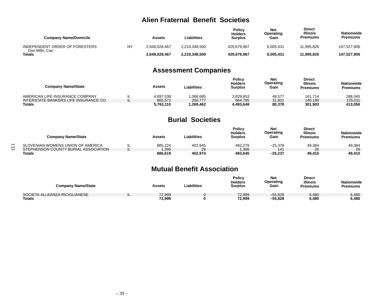#### **Alien Fraternal Benefit Societies**

| <b>Company Name/Domicile</b>                     |    | Assets        | Liabilities   | <b>Policy</b><br><b>Holders</b><br><b>Surplus</b> | <b>Net</b><br>Operating<br>Gain | <b>Direct</b><br><b>Illinois</b><br>Premiums | <b>Nationwide</b><br>Premiums |
|--------------------------------------------------|----|---------------|---------------|---------------------------------------------------|---------------------------------|----------------------------------------------|-------------------------------|
| INDEPENDENT ORDER OF FORESTERS<br>Don Mills, Can | NY | 2,649,028,467 | 2.219.348.500 | 429.679.967                                       | 6,005,431                       | 11,995,826                                   | 147,527,906                   |
| <b>Totals</b>                                    |    | 2,649,028,467 | 2,219,348,500 | 429.679.967                                       | 6.005.431                       | 11.995.826                                   | 147.527.906                   |

#### **Assessment Companies**

| <b>Company Name/State</b>            |    | Assets    | .iabilities | <b>Policy</b><br><b>Holders</b><br><b>Surplus</b> | Net<br>Operating<br>Gain | <b>Direct</b><br><b>Illinois</b><br>Premiums | <b>Nationwide</b><br>Premiums |
|--------------------------------------|----|-----------|-------------|---------------------------------------------------|--------------------------|----------------------------------------------|-------------------------------|
| AMERICAN LIFE INSURANCE COMPANY      |    | 4,897,538 | 068.685     | 3.828.853                                         | 48.577                   | 161.714                                      | 288.045                       |
| INTERSTATE BANKERS LIFE INSURANCE CO | -- | 865.572   | 200.777     | 664.795                                           | 31.801                   | 140.189                                      | 125.011                       |
| <b>Totals</b>                        |    | 5,763,110 | .269.462    | 4.493.648                                         | 80.378                   | 301.903                                      | 413.056                       |

#### **Burial Societies**

| <b>Company Name/State</b>            |   | Assets  | Liabilities | <b>Policy</b><br><b>Holders</b><br><b>Surplus</b> | <b>Net</b><br>Operating<br>Gain | Direct<br><b>Illinois</b><br><b>Premiums</b> | <b>Nationwide</b><br>Premiums |
|--------------------------------------|---|---------|-------------|---------------------------------------------------|---------------------------------|----------------------------------------------|-------------------------------|
| SLOVENIAN WOMENS UNION OF AMERICA    |   | 885.224 | 402.945     | 482.279                                           | $-25.378$                       | 49.384                                       | 49,384                        |
| STEPHENSON COUNTY BURIAL ASSOCIATION | · | 1.395   | 29          | 1.366                                             | 14 <sup>1</sup>                 | 26                                           | 26                            |
| Totals                               |   | 886.619 | 402.974     | 483.645                                           | $-25.237$                       | 49.410                                       | 49.410                        |

#### **Mutual Benefit Association**

| Companv Name/State            | Assets | iabilities | <b>Policy</b><br><b>Holders</b><br><b>Surplus</b> | <b>Net</b><br>Operating<br>Gain | <b>Direct</b><br><b>Illinois</b><br>Premiums | <b>Nationwide</b><br>Premiums |
|-------------------------------|--------|------------|---------------------------------------------------|---------------------------------|----------------------------------------------|-------------------------------|
| SOCIETA ALLEANZA RICIGLIANESE | 72,999 |            | 72,999                                            | $-55.828$                       | 6.480                                        | 6,480                         |
| Totals                        | 72,999 |            | 72,999                                            | $-55.828$                       | 6,480                                        | 6,480                         |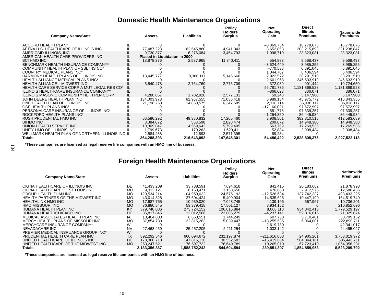#### **Domestic Health Maintenance Organizations**

| <b>Company Name/State</b>                        | <b>Assets</b>                 | <b>Liabilities</b> | <b>Policy</b><br><b>Holders</b><br><b>Surplus</b> | <b>Net</b><br>Operating<br>Gain | <b>Direct</b><br><b>Illinois</b><br><b>Premiums</b> | <b>Nationwide</b><br><b>Premiums</b> |
|--------------------------------------------------|-------------------------------|--------------------|---------------------------------------------------|---------------------------------|-----------------------------------------------------|--------------------------------------|
| ACCORD HEALTH PLAN*                              |                               |                    |                                                   | $-3,369,734$                    | 16,778,676                                          | 16,778,676                           |
| AETNA U.S. HEALTHCARE OF ILLINOIS INC            | 77,487,223                    | 62,545,880         | 14,941,343                                        | 3,652,853                       | 203,215,893                                         | 221,238,847                          |
| AMERICAID ILLINOIS. INC                          | 9,730,877                     | 6,276,084          | 3,454,793                                         | 1,098,719                       | 23,323,031                                          | 23,323,031                           |
| AMERICAN HEALTH CARE PROVIDERS INC               | Placed in Liquidation in 2000 |                    |                                                   |                                 |                                                     |                                      |
| BCI HMO INC                                      | 13,878,376                    | 2,537,965          | 11,340,411                                        | 554,883                         | 9,568,437                                           | 9,568,437                            |
| BENCHMARK HEALTH INSURANCE COMPANY*              |                               |                    |                                                   | $-3,624,449$                    | 8,985,255                                           | 8,985,255                            |
| COMMUNITY HEALTH PLAN OF SBL INS CO*             |                               |                    |                                                   | $-770,538$                      | 6,891,045                                           | 6,891,045                            |
| COUNTRY MEDICAL PLANS INC*                       |                               |                    |                                                   | 1,044,707                       | 6,406,594                                           | 6,406,594                            |
| HARMONY HEALTH PLANS OF ILLINOIS INC             | 13,445,777                    | 8,300,111          | 5,145,666                                         | 2,922,572                       | 38,291,510                                          | 38,291,510                           |
| <b>HEALTH ALLIANCE MEDICAL PLANS INC*</b>        |                               |                    |                                                   | 2,601,968                       | 246,633,919                                         | 246,633,919                          |
| <b>HEALTH ALLIANCE - MIDWEST INC</b>             | 5,540,478                     | 2,764,769          | 2,775,709                                         | 372,089                         | 901.444                                             | 10,724,650                           |
| HEALTH CARE SERVICE CORP A MUT LEGAL RES CO*     |                               |                    |                                                   | 56,781,736                      | 1,181,869,528                                       | 1,181,869,528                        |
| ILLINOIS HEALTHCARE INSURANCE COMPANY*           |                               |                    |                                                   | $-866,623$                      | 386,071                                             | 386,071                              |
| ILLINOIS MASONIC COMMUNITY HLTH PLN CORP         | 4.280.057                     | 1,702,926          | 2,577,131                                         | 59,248                          | 5,147,980                                           | 5,147,980                            |
| JOHN DEERE HEALTH PLAN INC                       | 134,003,973                   | 62,967,555         | 71,036,418                                        | 5,989,134                       | 45,975,772                                          | 416,843,355                          |
| ONE HEALTH PLAN OF ILLINOIS INC                  | 21,198,260                    | 14,850,575         | 6,347,685                                         | 2,318,114                       | 36,038,117                                          | 36,038,117                           |
| OSF HEALTH PLANS INC*                            |                               |                    |                                                   | $-17,160,021$                   | 97,572,997                                          | 97,572,997                           |
| PERSONALCARE INSURANCE OF ILLINOIS INC*          |                               |                    |                                                   | $-581.778$                      | 97,339,257                                          | 97,339,257                           |
| ROCKFORD HEALTH PLANS INC*                       |                               |                    |                                                   | $-1,254,850$                    | 86,445,984                                          | 86,445,984                           |
| RUSH PRUDENTIAL HMO INC                          | 66,586,292                    | 49,380,832         | 17,205,460                                        | 3,908,501                       | 382,810,516                                         | 412,583,689                          |
| UIHMO INC                                        | 3,384,072                     | 563,598            | 2,820,474                                         | 209,672                         | 14,948,380                                          | 14,948,380                           |
| UNION HEALTH SERVICE INC                         | 10,369,047                    | 4,569,642          | 5,799,405                                         | 563,769                         | 17,269,535                                          | 17,269,535                           |
| UNITY HMO OF ILLINOIS INC                        | 1,799,673                     | 170,262            | 1,629,411                                         | –52,834                         | 2,008,434                                           | 2,008,434                            |
| WELLMARK HEALTH PLAN OF NORTHERN ILLINOIS INC IL | 2,584,288                     | 12,893             | 2,571,395                                         | 89,284                          |                                                     |                                      |
| Totals                                           | 364,288,393                   | 216,643,092        | 147,645,301                                       | 54,486,422                      | 2,528,808,375                                       | 2,927,522,118                        |

**\*These companies are licensed as legal reserve life companies with an HMO line of business.**

#### **Foreign Health Maintenance Organizations**

**Direct**

| <b>Company Name/State</b>            |           | Assets        | Liabilities   | <b>Policy</b><br><b>Holders</b><br><b>Surplus</b> | <b>Net</b><br>Operating<br>Gain | Direct<br><b>Illinois</b><br><b>Premiums</b> | <b>Nationwide</b><br>Premiums |
|--------------------------------------|-----------|---------------|---------------|---------------------------------------------------|---------------------------------|----------------------------------------------|-------------------------------|
| CIGNA HEALTHCARE OF ILLINOIS INC     | DE        | 41.433.209    | 33,738,591    | 7.694.618                                         | 842.415                         | 20.183.682                                   | 21,878,993                    |
| CIGNA HEALTHCARE OF ST LOUIS INC     | <b>MO</b> | 9.312.121     | 6.153.471     | 3,158,650                                         | 470.680                         | 2.912.575                                    | 12,586,436                    |
| <b>GROUP HEALTH PLAN INC</b>         | <b>MO</b> | 129.534.214   | 104.959.022   | 24.575.192                                        | $-12.528.634$                   | 137.742.337                                  | 498,433,225                   |
| HEALTH PARTNERS OF THE MIDWEST INC   | <b>MO</b> | 43.014.328    | 37.604.424    | 5.409.904                                         | $-14,535,626$                   | 10.447.190                                   | 164,519,749                   |
| HEALTHLINK HMO INC                   | <b>MO</b> | 17,987,765    | 10,939,020    | 7,048,745                                         | 4,139,196                       | 667,967                                      | 10,736,201                    |
| HMO MISSOURI INC                     | <b>MO</b> | 76.880.545    | 59.379.418    | 17.501.127                                        | 8,934,152                       |                                              | 210,852,096                   |
| HUMANA HEALTH PLAN INC               | KY        | 379.740.036   | 273.724.152   | 106.015.884                                       | 8,068,118                       | 934.342.413                                  | 1,779,529,197                 |
| HUMANA HEALTHCHICAGO INC             | <b>DE</b> | 35.817.845    | 13,012,566    | 22,805,279                                        | $-4,237,141$                    | 59,816,615                                   | 71,325,074                    |
| MEDICAL ASSOCIATES HEALTH PLAN INC   | IA.       | 10,404,800    | 6.660.551     | 3,744,249                                         | 607.733                         | 5,710,401                                    | 50,799,152                    |
| MERCY HEALTH PLANS OF MISSOURI INC   | <b>MO</b> | 37.854.730    | 32.815.283    | 5.039.447                                         | $-13,255,535$                   | 6.064.001                                    | 222,890,711                   |
| MERCYCARE INSURANCE COMPANY*         | WI        |               |               |                                                   | $-2.619.730$                    |                                              | 42.341.017                    |
| NEVADACARE INC                       | <b>NV</b> | 27.468.459    | 25.257.205    | 2.211.254                                         | 1.033.142                       |                                              | 24.495.027                    |
| PREMIER MEDICAL INSRUANCE GROUP INC* | WI        |               |               |                                                   |                                 |                                              |                               |
| PRUDENTIAL HEALTH CARE PLAN INC      | ТX        | 892.292.546   | 660.094.672   | 232.197.874                                       | $-211.616.003$                  | 24.905.201                                   | 3.763.019.972                 |
| UNITED HEALTHCARE OF ILLINOIS INC.   | DE.       | 178.368.718   | 147.816.136   | 30,552,582                                        | $-15.419.084$                   | 584.344.161                                  | 585.446.711                   |
| UNITED HEALTHCARE OF THE MIDWEST INC | <b>MO</b> | 253.247.521   | 176.597.732   | 76.649.789                                        | 10.265.010                      | 67.723.410                                   | 1,064,356,231                 |
| Totals                               |           | 2,133,356,837 | 1,588,752,243 | 544,604,594                                       | $-239,851,307$                  | 1,854,859,953                                | 8,523,209,792                 |

**\*These companies are licensed as legal reserve life companies with an HMO line of business.**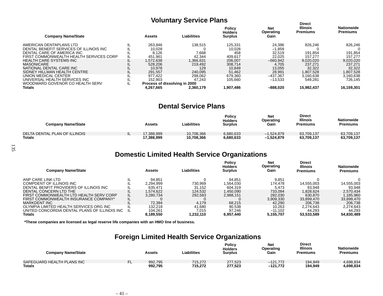#### **Voluntary Service Plans**

|                                                                  | <u>VOIDITION Y OUT VICE I TANS</u> |                                          |                    |                                                   |                                 |                                    |                                      |
|------------------------------------------------------------------|------------------------------------|------------------------------------------|--------------------|---------------------------------------------------|---------------------------------|------------------------------------|--------------------------------------|
| <b>Company Name/State</b>                                        |                                    | <b>Assets</b>                            | <b>Liabilities</b> | <b>Policy</b><br><b>Holders</b><br><b>Surplus</b> | <b>Net</b><br>Operating<br>Gain | <b>Illinois</b><br><b>Premiums</b> | <b>Nationwide</b><br><b>Premiums</b> |
| AMERICAN DENTAPLANS LTD                                          |                                    | 263.846                                  | 138,515            | 125,331                                           | 24,386                          | 826,246                            | 826,246                              |
| DENTAL BENEFIT SERVICES OF ILLINOIS INC                          |                                    | 10.028                                   |                    | 10.028                                            | $-1,859$                        |                                    |                                      |
| DENTAL CARE OF AMERICA INC                                       |                                    | 8.126                                    | 7,668              | 458                                               | 32.519                          | 191.854                            | 191,854                              |
| FIRST COMMONWEALTH HEALTH SERVICES CORP                          |                                    | 451.961                                  | 42,344             | 409.617                                           | 22.025                          | 157.277                            | 157.277                              |
| <b>HEALTH CARE SYSTEMS INC</b>                                   |                                    | 1.572.638                                | 1.366.631          | 206.007                                           | $-560.942$                      | 9.020.020                          | 9,020,020                            |
| MASONICARE                                                       |                                    | 528,206                                  | 219.492            | 308.714                                           | 4.705                           | 237.271                            | 237.271                              |
| NATIONAL DENTAL CARE INC                                         |                                    | 10.978                                   | 129                | 10,849                                            | 13,055                          | 32.322                             | 32,322                               |
| SIDNEY HILLMAN HEALTH CENTRE                                     |                                    | 291.557                                  | 240.095            | 51.462                                            | 28.991                          | 1.807.528                          | 1,807,528                            |
| UNION MEDICAL CENTER                                             |                                    | 977.422                                  | 298,062            | 679.360                                           | $-437.367$                      | 3,160,638                          | 3,160,638                            |
| UNIVERSAL HEALTH SERVICES INC<br>WOODWARD GOVENOR CO HEALTH SERV |                                    | 152.903<br>Process of dissolving in 2000 | 47.243             | 105.660                                           | $-13.533$                       | 549.281                            | 726.145                              |
| <b>Totals</b>                                                    | ℡                                  | 4.267.665                                | 2.360.179          | 1.907.486                                         | $-888.020$                      | 15.982.437                         | 16.159.301                           |

#### **Dental Service Plans**

|     | <b>Assets</b> | Liabilities | Policv<br><b>Holders</b><br><b>Surplus</b> | <b>Net</b><br>Operating<br>Gain | <b>Direct</b><br><b>Illinois</b><br>Premiums | <b>Nationwide</b><br>Premiums |
|-----|---------------|-------------|--------------------------------------------|---------------------------------|----------------------------------------------|-------------------------------|
| . . | 17.388.999    | 10.708.366  | 6.680.633                                  | $-1.524.879$                    | 63.709.137                                   | 63.709.137<br>63,709,137      |
|     |               | 17,388,999  | 10,708,366                                 | 6,680,633                       | $-1.524.879$                                 | 63.709.137                    |

#### **Domestic Limited Health Service Organizations**

| <b>Company Name/State</b>                     | Assets    | <b>Liabilities</b> | <b>Policy</b><br><b>Holders</b><br>Surplus | <b>Net</b><br>Operating<br>Gain | <b>Direct</b><br><b>Illinois</b><br><b>Premiums</b> | <b>Nationwide</b><br>Premiums |
|-----------------------------------------------|-----------|--------------------|--------------------------------------------|---------------------------------|-----------------------------------------------------|-------------------------------|
| ANP CARE LINK LTD                             | 94.851    |                    | 94,851                                     | 9,851                           |                                                     |                               |
| COMPDENT OF ILLINOIS INC                      | 2.294.999 | 730.969            | .564.030                                   | 174.478                         | 14.555.003                                          | 14,555,003                    |
| DENTAL BENFIT PROVIDERS OF ILLINOIS INC.      | 635.471   | 31.152             | 604.319                                    | 5.473                           | 93.948                                              | 93.948                        |
| DENTAL CONCERN LTD THE                        | .574.622  | 124.532            | .450.090                                   | 733.094                         | 1.828.624                                           | 2,570,434                     |
| FIRST COMMONWEALTH LTD HEALTH SERV CORP       | 3.280.734 | 292,583            | 2,988,151                                  | 282.030                         | 630.870                                             | 185,960                       |
| FIRST COMMONWEALTH INSURANCE COMPANY*         |           |                    |                                            | 3,909,330                       | 33,899,470                                          | 33.899.470                    |
| MARKDENT INC                                  | 72.394    | 4.179              | 68.215                                     | 42.290                          | 206.738                                             | 206,738                       |
| OLYMPIA LIMITED HEALTH SERVICES ORG INC       | 132.218   | 41.680             | 90.538                                     | 10.263                          | 2.274.643                                           | 2,274,643                     |
| UNITED CONCORDIA DENTAL PLANS OF ILLINOIS INC | 104.261   | 7.015              | 97.246                                     | $-11.102$                       | 44.293                                              | 44,293                        |
| <b>Totals</b>                                 | 8.189.550 | 1.232.110          | 6,957,440                                  | 5.155.707                       | 53,533,589                                          | 54.830.489                    |

**\*These companies are licensed as legal reserve life companies with an HMO line of business.**

#### **Foreign Limited Health Service Organizations**

| <b>Company Name/State</b>  |    | Assets  | ∟iabilities | Policy<br><b>Holders</b><br>Surplus | <b>Net</b><br>Operating<br>Gain | <b>Direct</b><br><b>Illinois</b><br>Premiums | <b>Nationwide</b><br>Premiums |
|----------------------------|----|---------|-------------|-------------------------------------|---------------------------------|----------------------------------------------|-------------------------------|
| SAFEGUARD HEALTH PLANS INC | -- | 992.795 | 715.272     | 277,523                             | $-121.772$                      | 194.949                                      | 4.698.834                     |
| <b>Totals</b>              |    | 992.795 | 715,272     | 277,523                             | $-121.772$                      | 194.949                                      | 4.698.834                     |